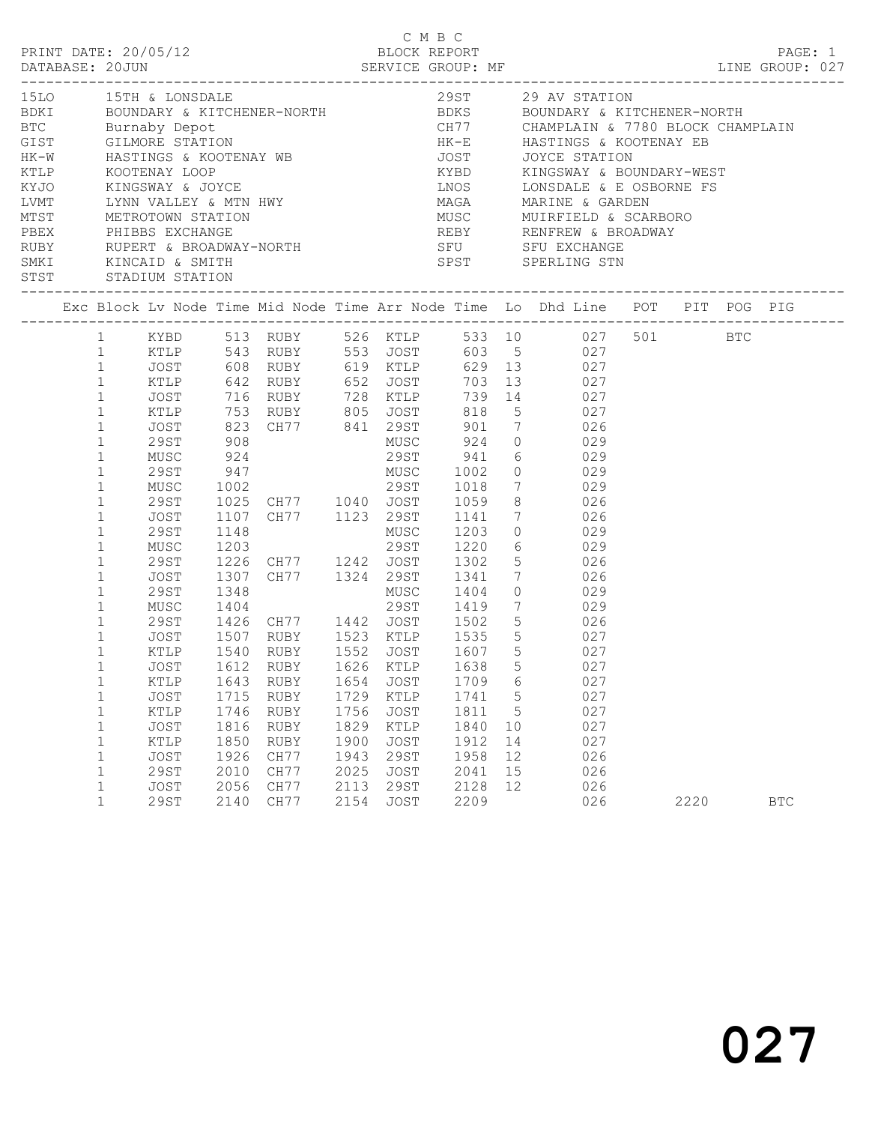|                                                                                                                                                                                                                                                                                      |                                                                                                                                                                                                                                      |                                                                                      |                                                              |                                                                                                                                                                                                                                                                                                                                                                                                                                                                              |                                                              |                                                                            | C M B C                                                      |                                           |                                                           |                                                             |      |            |  |
|--------------------------------------------------------------------------------------------------------------------------------------------------------------------------------------------------------------------------------------------------------------------------------------|--------------------------------------------------------------------------------------------------------------------------------------------------------------------------------------------------------------------------------------|--------------------------------------------------------------------------------------|--------------------------------------------------------------|------------------------------------------------------------------------------------------------------------------------------------------------------------------------------------------------------------------------------------------------------------------------------------------------------------------------------------------------------------------------------------------------------------------------------------------------------------------------------|--------------------------------------------------------------|----------------------------------------------------------------------------|--------------------------------------------------------------|-------------------------------------------|-----------------------------------------------------------|-------------------------------------------------------------|------|------------|--|
| 15LO 15TH & LONSDALE 29ST 29 AV STATION<br>BDKI BOUNDARY & KITCHENER-NORTH BDKS BOUNDARY & KITCHENER-NORTH<br>BTC Burnaby Depot CHORT CHAMPLAIN & 7780 BLOCK CHAMPLAIN<br>GIST GILMORE STATION HK-E HASTINGS & KOOTENAY EB<br>STST STADIUM STATION<br>------------------------------ |                                                                                                                                                                                                                                      |                                                                                      |                                                              |                                                                                                                                                                                                                                                                                                                                                                                                                                                                              |                                                              |                                                                            |                                                              |                                           | _____________________________________                     |                                                             |      |            |  |
|                                                                                                                                                                                                                                                                                      |                                                                                                                                                                                                                                      |                                                                                      |                                                              |                                                                                                                                                                                                                                                                                                                                                                                                                                                                              |                                                              |                                                                            |                                                              |                                           |                                                           |                                                             |      |            |  |
|                                                                                                                                                                                                                                                                                      | $\mathbf{1}$<br>$\mathbf{1}$<br>$1\,$<br>$\mathbf{1}$<br>$\mathbf{1}$<br>$\mathbf{1}$<br>$\mathbf{1}$<br>$\mathbf{1}$<br>$\mathbf{1}$<br>$\mathbf{1}$<br>$\mathbf 1$<br>$\mathbf{1}$<br>$\mathbf{1}$<br>$\mathbf{1}$<br>$\mathbf{1}$ | MUSC<br>29ST<br>MUSC<br>29ST<br>JOST<br>29ST<br>MUSC<br>29ST<br>JOST                 | 1148                                                         | 1 KYBD 513 RUBY 526 KTLP 533 10 027 501 BTC<br>1 KTLP 543 RUBY 553 JOST 603 5 027<br>1 JOST 608 RUBY 619 KTLP 629 13 027<br>1 KTLP 642 RUBY 652 JOST 703 13 027<br>JOST 716 RUBY 728 KTLP 739 14 027<br>XTLP 753 RUBY 805 JOST 818 5 027<br>JOST 823 CH77 841 29ST 901 7 026<br>29ST 908 MUSC 924 0 029<br>924 29ST 941 6 029<br>947 MUSC 1002 0 029<br>1002 29ST 1018 7 029<br>1025 CH77 1040 JOST 1059 8 026<br>1107 CH77 1123 29ST 1141 7 026<br>1307 CH77 1324 29ST 1341 |                                                              |                                                                            | MUSC 1203                                                    |                                           | $0 \qquad \qquad 029$<br>6 029<br>5 026<br>$7 \qquad 026$ |                                                             |      |            |  |
|                                                                                                                                                                                                                                                                                      | $\mathbf{1}$<br>$\mathbf{1}$<br>$\mathbf{1}$<br>1<br>$\mathbf 1$<br>1<br>1<br>$\mathbf{1}$<br>$\mathbf 1$<br>1<br>1<br>1                                                                                                             | KTLP<br>KTLP<br>JOST<br>KTLP<br>JOST<br>$\verb KTLP $<br>JOST<br><b>29ST</b><br>JOST | 1643<br>1715<br>1746<br>1816<br>1850<br>1926<br>2010<br>2056 | 1540 RUBY 1552 JOST 1607 5 027<br>JOST 1612 RUBY 1626 KTLP 1638 5<br>RUBY<br>RUBY<br>RUBY<br>RUBY<br><b>RUBY</b><br>CH77<br>CH77<br>CH77                                                                                                                                                                                                                                                                                                                                     | 1654<br>1729<br>1756<br>1829<br>1900<br>1943<br>2025<br>2113 | <b>JOST</b><br>KTLP<br>JOST<br>KTLP<br>JOST<br><b>29ST</b><br>JOST<br>29ST | 1709<br>1741<br>1811<br>1840<br>1912<br>1958<br>2041<br>2128 | 6<br>5<br>5<br>10<br>14<br>12<br>15<br>12 |                                                           | 027<br>027<br>027<br>027<br>027<br>027<br>026<br>026<br>026 |      |            |  |
|                                                                                                                                                                                                                                                                                      | $\mathbf{1}$                                                                                                                                                                                                                         | <b>29ST</b>                                                                          | 2140                                                         | CH77                                                                                                                                                                                                                                                                                                                                                                                                                                                                         | 2154                                                         | JOST                                                                       | 2209                                                         |                                           |                                                           | 026                                                         | 2220 | <b>BTC</b> |  |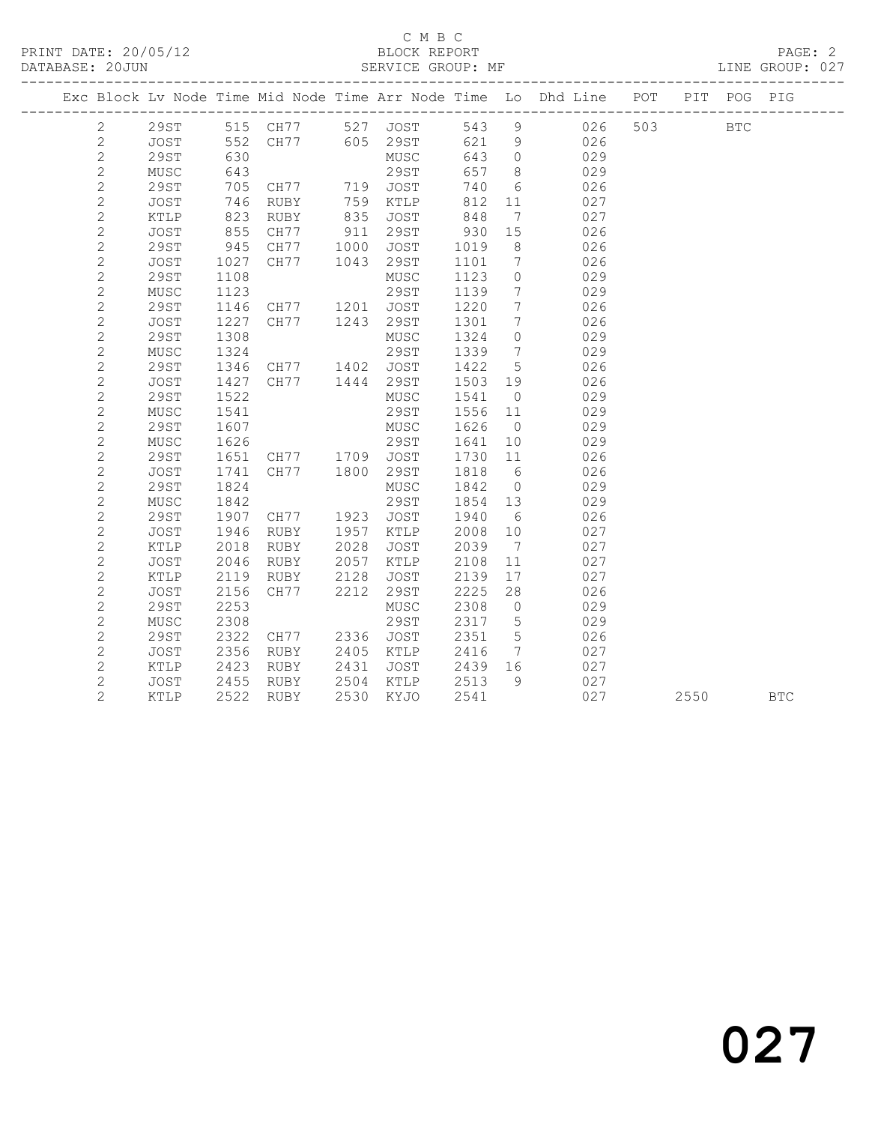#### C M B C<br>BLOCK REPORT SERVICE GROUP: MF

|                |              |      |                                                 |      |                                                              |            |                              | Exc Block Lv Node Time Mid Node Time Arr Node Time Lo Dhd Line POT |         |      | PIT POG PIG |            |
|----------------|--------------|------|-------------------------------------------------|------|--------------------------------------------------------------|------------|------------------------------|--------------------------------------------------------------------|---------|------|-------------|------------|
| $\mathbf{2}$   |              |      |                                                 |      | 29ST 515 CH77 527 JOST 543 9<br>JOST 552 CH77 605 29ST 621 9 |            |                              | 543 9 026                                                          | 503 BTC |      |             |            |
| $\mathbf{2}$   |              |      |                                                 |      |                                                              |            |                              | 026                                                                |         |      |             |            |
| $\mathbf{2}$   | 29ST         | 630  |                                                 |      | MUSC                                                         | 643 0      |                              | 029                                                                |         |      |             |            |
| $\sqrt{2}$     | MUSC         | 643  |                                                 |      | 29ST                                                         | 657        | 8 <sup>8</sup>               | 029                                                                |         |      |             |            |
| $\overline{c}$ | 29ST         | 705  |                                                 |      |                                                              | 740        | $6\overline{6}$              | 026                                                                |         |      |             |            |
| $\sqrt{2}$     | JOST         | 746  |                                                 |      |                                                              |            | 11                           | 027                                                                |         |      |             |            |
| $\sqrt{2}$     | KTLP         | 823  | CH77 719 JOST<br>RUBY 759 KTLP<br>RUBY 835 JOST |      |                                                              | 812<br>848 | $7\phantom{.0}\phantom{.0}7$ | 027                                                                |         |      |             |            |
| $\overline{c}$ | JOST         | 855  | CH77                                            |      | 911 29ST                                                     | 930        | 15                           | 026                                                                |         |      |             |            |
| $\mathbf{2}$   | <b>29ST</b>  | 945  | CH77                                            | 1000 | JOST                                                         | 1019       | 8 <sup>8</sup>               | 026                                                                |         |      |             |            |
| $\mathbf{2}$   | JOST         | 1027 | CH77                                            |      | 1043 29ST                                                    | 1101       | $7\phantom{.0}\phantom{.0}7$ | 026                                                                |         |      |             |            |
| $\mathbf{2}$   | <b>29ST</b>  | 1108 |                                                 |      | MUSC                                                         | 1123       | $\overline{0}$               | 029                                                                |         |      |             |            |
| $\mathbf{2}$   | MUSC         | 1123 |                                                 |      | 29ST                                                         | 1139       | $\overline{7}$               | 029                                                                |         |      |             |            |
| $\mathbf{2}$   | 29ST         | 1146 | CH77 1201 JOST                                  |      |                                                              | 1220       | $\overline{7}$               | 026                                                                |         |      |             |            |
| $\sqrt{2}$     | <b>JOST</b>  | 1227 | CH77 1243                                       |      | 29ST                                                         | 1301       | $\overline{7}$               | 026                                                                |         |      |             |            |
| $\overline{c}$ | 29ST         | 1308 |                                                 |      | MUSC                                                         | 1324       | $\circ$                      | 029                                                                |         |      |             |            |
| $\mathbf{2}$   | MUSC         | 1324 |                                                 |      | 29ST                                                         | 1339       | $\overline{7}$               | 029                                                                |         |      |             |            |
| $\mathbf{2}$   | 29ST         | 1346 | CH77 1402 JOST                                  |      |                                                              | 1422       | $5^{\circ}$                  | 026                                                                |         |      |             |            |
| $\mathbf{2}$   | JOST         | 1427 | CH77 1444 29ST                                  |      |                                                              | 1503 19    |                              | 026                                                                |         |      |             |            |
| $\mathbf{2}$   | 29ST         | 1522 |                                                 |      | MUSC                                                         | 1541       | $\overline{0}$               | 029                                                                |         |      |             |            |
| $\mathbf{2}$   | MUSC         | 1541 |                                                 |      | 29ST                                                         | 1556 11    |                              | 029                                                                |         |      |             |            |
| $\mathbf{2}$   | 29ST         | 1607 |                                                 |      | MUSC                                                         | 1626       | $\overline{0}$               | 029                                                                |         |      |             |            |
| $\mathbf{2}$   | MUSC         | 1626 | 29ST<br>CH77 1709 JOST                          |      |                                                              | 1641       | 10                           | 029                                                                |         |      |             |            |
| $\sqrt{2}$     | 29ST         | 1651 |                                                 |      |                                                              | 1730       | 11                           | 026                                                                |         |      |             |            |
| $\overline{c}$ | JOST         | 1741 | CH77 1800                                       |      | 29ST                                                         | 1818       | 6                            | 026                                                                |         |      |             |            |
| $\overline{c}$ | 29ST         | 1824 |                                                 |      | MUSC                                                         | 1842       | $\overline{0}$               | 029                                                                |         |      |             |            |
| $\mathbf{2}$   | MUSC         | 1842 |                                                 |      | 29ST                                                         | 1854 13    |                              | 029                                                                |         |      |             |            |
| $\overline{c}$ | <b>29ST</b>  | 1907 | CH77 1923                                       |      | JOST                                                         | 1940       | 6                            | 026                                                                |         |      |             |            |
| $\mathbf{2}$   | JOST         | 1946 | RUBY                                            | 1957 | KTLP                                                         | 2008       | 10                           | 027                                                                |         |      |             |            |
| $\overline{c}$ | KTLP         | 2018 | RUBY                                            | 2028 | JOST                                                         | 2039       | $\overline{7}$               | 027                                                                |         |      |             |            |
| $\mathbf{2}$   | JOST         | 2046 | RUBY                                            |      | $2057$ KTLP                                                  | 2108       | 11                           | 027                                                                |         |      |             |            |
| $\mathbf{2}$   | KTLP         | 2119 | RUBY                                            | 2128 | JOST                                                         | 2139       | 17                           | 027                                                                |         |      |             |            |
| $\mathbf{2}$   | JOST         | 2156 | CH77 2212                                       |      | 29ST                                                         | 2225       | 28                           | 026                                                                |         |      |             |            |
| $\mathbf{2}$   | 29ST         | 2253 |                                                 |      | MUSC                                                         | 2308       | $\overline{0}$               | 029                                                                |         |      |             |            |
| $\overline{c}$ | ${\tt MUSC}$ | 2308 |                                                 |      | 29ST                                                         | 2317       | $5\overline{)}$              | 029                                                                |         |      |             |            |
| $\mathbf{2}$   | 29ST         | 2322 | CH77 2336 JOST                                  |      |                                                              | 2351       | $5\overline{)}$              | 026                                                                |         |      |             |            |
| $\mathbf{2}$   | JOST         | 2356 | RUBY                                            |      | 2405 KTLP                                                    | 2416       | $7\overline{ }$              | 027                                                                |         |      |             |            |
| $\overline{c}$ | KTLP         | 2423 | RUBY                                            |      | 2431 JOST                                                    | 2439 16    |                              | 027                                                                |         |      |             |            |
| $\overline{c}$ | JOST         | 2455 | RUBY                                            |      | 2504 KTLP                                                    | 2513       | 9                            | 027                                                                |         |      |             |            |
| $\overline{c}$ | KTLP         | 2522 | RUBY                                            | 2530 | KYJO                                                         | 2541       |                              | 027                                                                |         | 2550 |             | <b>BTC</b> |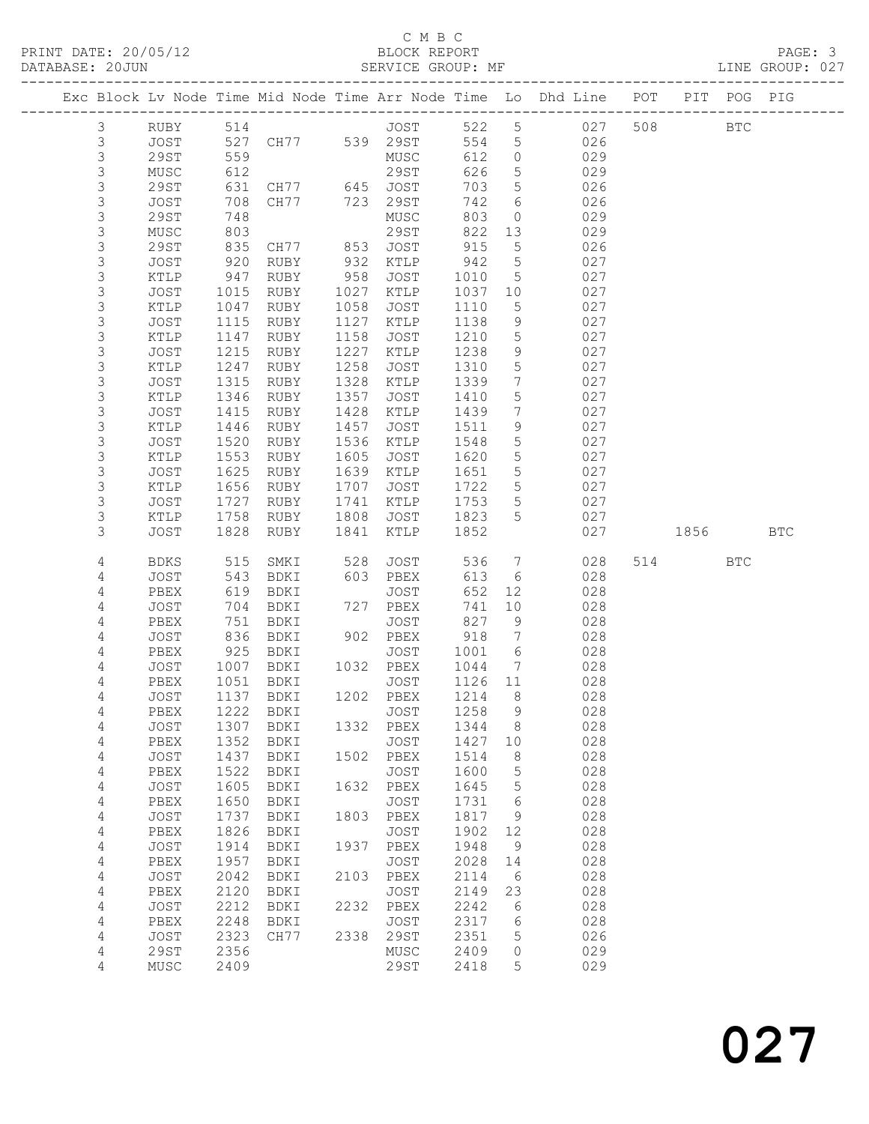### C M B C<br>BLOCK REPORT

| PRINT DATE: 20/05/12 | BLOCK REPORT                                                                             | PAGE: 3         |  |
|----------------------|------------------------------------------------------------------------------------------|-----------------|--|
| DATABASE: 20JUN      | SERVICE GROUP: MF                                                                        | LINE GROUP: 027 |  |
|                      | Exc Block Ly Node Time Mid Node Time Arr Node Time I.o. Dhd Line – POT – PTT - POG – PIG |                 |  |

| Exc Block Lv Node Time Mid Node Time Arr Node Time Lo Dhd Line |              |              |               |      |                   |              |                 |            | POT |      | PIT POG PIG |            |
|----------------------------------------------------------------|--------------|--------------|---------------|------|-------------------|--------------|-----------------|------------|-----|------|-------------|------------|
| 3                                                              | RUBY         | 514          |               |      | JOST              | 522          | $5\phantom{.0}$ | 027        | 508 |      | <b>BTC</b>  |            |
| 3                                                              | JOST         | 527          | CH77 539 29ST |      |                   | 554          | $5\phantom{.0}$ | 026        |     |      |             |            |
| 3                                                              | <b>29ST</b>  | 559          |               |      | MUSC              | 612          | $\circ$         | 029        |     |      |             |            |
| 3                                                              | MUSC         | 612          |               |      | 29ST              | 626          | $\overline{5}$  | 029        |     |      |             |            |
| 3                                                              | <b>29ST</b>  | 631          | CH77          | 645  | JOST              | 703          | 5               | 026        |     |      |             |            |
| $\mathsf S$                                                    | JOST         | 708          | CH77          | 723  | 29ST              | 742          | 6               | 026        |     |      |             |            |
| $\mathsf S$                                                    | <b>29ST</b>  | 748          |               |      | MUSC              | 803          | $\circ$         | 029        |     |      |             |            |
| $\mathsf S$                                                    | MUSC         | 803          |               |      | 29ST              | 822          | 13              | 029        |     |      |             |            |
| 3                                                              | <b>29ST</b>  | 835          | CH77          | 853  | <b>JOST</b>       | 915          | 5               | 026        |     |      |             |            |
| $\mathsf S$                                                    | JOST         | 920          | RUBY          | 932  | KTLP              | 942          | 5               | 027        |     |      |             |            |
| $\mathsf 3$                                                    | KTLP         | 947          | RUBY          | 958  | JOST              | 1010         | 5               | 027        |     |      |             |            |
| 3                                                              | JOST         | 1015         | RUBY          | 1027 | KTLP              | 1037         | 10              | 027        |     |      |             |            |
| 3                                                              | KTLP         | 1047         | RUBY          | 1058 | JOST              | 1110         | 5               | 027        |     |      |             |            |
| $\mathsf S$                                                    | JOST         | 1115         | RUBY          | 1127 | KTLP              | 1138         | 9               | 027        |     |      |             |            |
| $\mathsf 3$                                                    | KTLP         | 1147         | RUBY          | 1158 | JOST              | 1210         | 5               | 027        |     |      |             |            |
| $\mathsf 3$                                                    | JOST         | 1215         | RUBY          | 1227 | KTLP              | 1238         | 9               | 027        |     |      |             |            |
| $\mathsf S$                                                    | KTLP         | 1247         | RUBY          | 1258 | JOST              | 1310         | 5               | 027        |     |      |             |            |
| $\mathsf S$                                                    | JOST         | 1315         | RUBY          | 1328 | KTLP              | 1339         | $7\phantom{.0}$ | 027        |     |      |             |            |
| $\mathsf 3$                                                    | KTLP         | 1346         | RUBY          | 1357 | JOST              | 1410         | 5               | 027        |     |      |             |            |
| $\mathsf 3$                                                    | JOST         | 1415         | RUBY          | 1428 | KTLP              | 1439         | 7               | 027        |     |      |             |            |
| 3                                                              | KTLP         | 1446         | RUBY          | 1457 | JOST              | 1511         | 9               | 027        |     |      |             |            |
| $\mathsf S$                                                    | JOST         | 1520         | RUBY          | 1536 | KTLP              | 1548         | $\overline{5}$  | 027        |     |      |             |            |
| 3                                                              | KTLP         | 1553         | RUBY          | 1605 | JOST              | 1620         | $\overline{5}$  | 027        |     |      |             |            |
| 3                                                              | JOST         | 1625         | RUBY          | 1639 | KTLP              | 1651         | $5\phantom{.0}$ | 027        |     |      |             |            |
| 3                                                              | KTLP         | 1656         | RUBY          | 1707 | JOST              | 1722         | $\overline{5}$  | 027        |     |      |             |            |
| $\mathsf S$                                                    | JOST         | 1727         | RUBY          | 1741 | KTLP              | 1753         | $5\phantom{.0}$ | 027        |     |      |             |            |
| 3                                                              | KTLP         | 1758         | RUBY          | 1808 | JOST              | 1823         | 5               | 027        |     |      |             |            |
| 3                                                              | <b>JOST</b>  | 1828         | RUBY          | 1841 | KTLP              | 1852         |                 | 027        |     | 1856 |             | <b>BTC</b> |
| 4                                                              | <b>BDKS</b>  | 515          | SMKI          | 528  | JOST              | 536          | $7\phantom{.0}$ | 028        | 514 |      | <b>BTC</b>  |            |
| 4                                                              | JOST         | 543          | BDKI          | 603  | PBEX              | 613          | 6               | 028        |     |      |             |            |
| 4                                                              | PBEX         | 619          | BDKI          |      | JOST              | 652          | 12              | 028        |     |      |             |            |
| 4                                                              | JOST         | 704          | BDKI          | 727  | PBEX              | 741          | 10              | 028        |     |      |             |            |
| 4                                                              | PBEX         | 751          | BDKI          |      | JOST              | 827          | 9               | 028        |     |      |             |            |
| 4                                                              | JOST         | 836          | BDKI          |      | 902 PBEX          | 918          | $7\phantom{.0}$ | 028        |     |      |             |            |
| 4                                                              | PBEX         | 925          | BDKI          |      | JOST              | 1001         | 6               | 028        |     |      |             |            |
| 4                                                              | JOST         | 1007         | BDKI          | 1032 | PBEX              | 1044         | 7               | 028        |     |      |             |            |
| 4                                                              | PBEX         | 1051         | BDKI          |      | JOST              | 1126         | 11              | 028        |     |      |             |            |
| 4                                                              | JOST         | 1137         | BDKI          |      | 1202 PBEX         | 1214         | 8               | 028        |     |      |             |            |
| 4                                                              | PBEX         | 1222         | BDKI          |      | JOST              | 1258         | 9               | 028        |     |      |             |            |
| 4                                                              | JOST         |              | 1307 BDKI     |      | 1332 PBEX         | 1344         | 8               | 028        |     |      |             |            |
| 4                                                              | PBEX         | 1352         | BDKI          |      | JOST              | 1427         | 10              | 028        |     |      |             |            |
| $\sqrt{4}$                                                     | JOST         | 1437<br>1522 | BDKI          |      | 1502 PBEX<br>JOST | 1514<br>1600 | 8               | 028<br>028 |     |      |             |            |
| 4<br>4                                                         | PBEX<br>JOST | 1605         | BDKI<br>BDKI  | 1632 | PBEX              | 1645         | 5<br>5          | 028        |     |      |             |            |
| 4                                                              | PBEX         | 1650         | BDKI          |      | JOST              | 1731         | 6               | 028        |     |      |             |            |
| 4                                                              | JOST         | 1737         | BDKI          | 1803 | PBEX              | 1817         | 9               | 028        |     |      |             |            |
| 4                                                              | PBEX         | 1826         | BDKI          |      | JOST              | 1902         | 12              | 028        |     |      |             |            |
| 4                                                              | JOST         | 1914         | BDKI          | 1937 | PBEX              | 1948         | 9               | 028        |     |      |             |            |
| 4                                                              | PBEX         | 1957         | BDKI          |      | JOST              | 2028         | 14              | 028        |     |      |             |            |
| 4                                                              | JOST         | 2042         | BDKI          | 2103 | PBEX              | 2114         | - 6             | 028        |     |      |             |            |
| 4                                                              | PBEX         | 2120         | BDKI          |      | JOST              | 2149         | 23              | 028        |     |      |             |            |
| 4                                                              | JOST         | 2212         | BDKI          | 2232 | PBEX              | 2242         | 6               | 028        |     |      |             |            |
| 4                                                              | PBEX         | 2248         | BDKI          |      | JOST              | 2317         | 6               | 028        |     |      |             |            |
| 4                                                              | JOST         | 2323         | CH77          | 2338 | 29ST              | 2351         | 5               | 026        |     |      |             |            |
| 4                                                              | 29ST         | 2356         |               |      | MUSC              | 2409         | 0               | 029        |     |      |             |            |
| 4                                                              | MUSC         | 2409         |               |      | 29ST              | 2418         | 5               | 029        |     |      |             |            |
|                                                                |              |              |               |      |                   |              |                 |            |     |      |             |            |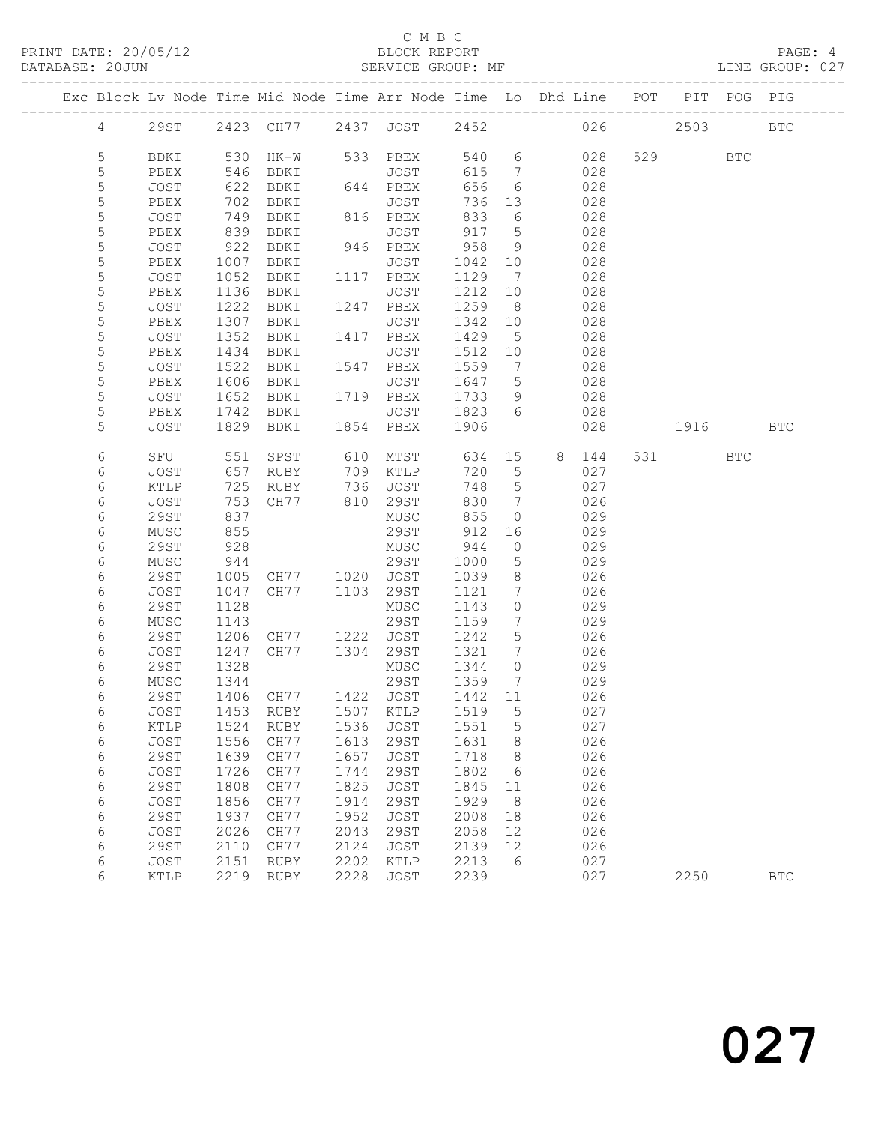### C M B C<br>BLOCK REPORT

### LINE GROUP: 027

|                  |              |              |                                 |      |                   |                |                                   | Exc Block Lv Node Time Mid Node Time Arr Node Time Lo Dhd Line POT |         | PIT POG PIG |              |
|------------------|--------------|--------------|---------------------------------|------|-------------------|----------------|-----------------------------------|--------------------------------------------------------------------|---------|-------------|--------------|
| $\overline{4}$   |              |              |                                 |      |                   |                |                                   | 29ST 2423 CH77 2437 JOST 2452 026                                  | 2503    |             | <b>BTC</b>   |
| 5                | BDKI         |              | 530 HK-W 533 PBEX               |      |                   | 540 6          |                                   | 028                                                                | 529 BTC |             |              |
| 5                | PBEX         | 546          | BDKI                            |      | JOST              | 615            | $7\overline{ }$                   | 028                                                                |         |             |              |
| $\mathsf S$      | JOST         | 622          | BDKI                            |      | 644 PBEX          | 656            | 6                                 | 028                                                                |         |             |              |
| 5                | PBEX         | 702          | BDKI                            |      | JOST              | 736            | 13                                | 028                                                                |         |             |              |
| $\mathsf S$      | JOST         | 749          | BDKI                            |      | 816 PBEX          | 833            | 6                                 | 028                                                                |         |             |              |
| 5                | PBEX         | 839          | BDKI                            |      | JOST              | 917            | $5\overline{)}$                   | 028                                                                |         |             |              |
| $\mathsf S$      | JOST         | 922          | BDKI                            |      | 946 PBEX          | 958            | 9                                 | 028                                                                |         |             |              |
| 5                | PBEX         | 1007         | BDKI                            |      | JOST              | 1042 10        |                                   | 028                                                                |         |             |              |
| 5                | JOST         | 1052         | BDKI                            |      | 1117 PBEX         | 1129           | $\overline{7}$                    | 028                                                                |         |             |              |
| 5                | PBEX         | 1136         | BDKI                            |      | JOST              | 1212           | 10                                | 028                                                                |         |             |              |
| $\mathsf S$      | JOST         | 1222         | BDKI                            |      | 1247 PBEX         | 1259           | 8 <sup>8</sup>                    | 028                                                                |         |             |              |
| 5                | PBEX         | 1307         | BDKI                            |      | JOST              | 1342           | 10                                | 028                                                                |         |             |              |
| $\mathsf S$      | JOST         | 1352         | BDKI                            |      | 1417 PBEX         | 1429           | $5^{\circ}$                       | 028                                                                |         |             |              |
| $\mathsf S$      | PBEX         | 1434         | BDKI                            |      | JOST              | 1512           | 10                                | 028                                                                |         |             |              |
| $\mathsf S$<br>5 | JOST<br>PBEX | 1522<br>1606 | BDKI<br>BDKI                    |      | 1547 PBEX<br>JOST | 1559<br>1647 5 | $\overline{7}$                    | 028<br>028                                                         |         |             |              |
| $\mathsf S$      | JOST         | 1652         | BDKI 1719 PBEX                  |      |                   | 1733           | 9                                 | 028                                                                |         |             |              |
| 5                | PBEX         | 1742         | BDKI                            |      | JOST 1823         |                | 6                                 | 028                                                                |         |             |              |
| 5                | <b>JOST</b>  | 1829         | BDKI                            |      | 1854 PBEX         | 1906           |                                   | 028                                                                | 1916    |             | BTC          |
|                  |              |              |                                 |      |                   |                |                                   |                                                                    |         |             |              |
| 6                | SFU          | 551          | SPST                            |      | 610 MTST          | 634            |                                   | 15 8 144                                                           | 531 6   | <b>BTC</b>  |              |
| 6                | JOST         | 657          | RUBY                            |      | 709 KTLP          | 720            | $5^{\circ}$                       | 027                                                                |         |             |              |
| 6                | KTLP         | 725          | RUBY                            |      | 736 JOST          | 748            | $5^{\circ}$                       | 027                                                                |         |             |              |
| 6                | JOST         | 753          | RUBY 736 JOST<br>CH77 810 29ST  |      |                   | 830            | $\overline{7}$                    | 026                                                                |         |             |              |
| 6                | 29ST         | 837          |                                 |      | MUSC              | 855            | $\overline{0}$                    | 029                                                                |         |             |              |
| 6                | MUSC         | 855          |                                 |      | 29ST              | 912            | 16                                | 029                                                                |         |             |              |
| 6                | 29ST         | 928          |                                 |      | MUSC              | 944            | $\circ$                           | 029                                                                |         |             |              |
| 6                | MUSC         | 944          |                                 |      | 29ST              | 1000           | $5\overline{)}$                   | 029                                                                |         |             |              |
| 6                | 29ST         | 1005         | CH77 1020 JOST                  |      |                   | 1039           | 8 <sup>8</sup>                    | 026                                                                |         |             |              |
| 6                | JOST         | 1047         | CH77                            |      | 1103 29ST         | 1121           | $7\phantom{.0}\,$                 | 026                                                                |         |             |              |
| 6                | 29ST         | 1128         |                                 |      | MUSC              | 1143           | $\circ$                           | 029                                                                |         |             |              |
| 6<br>6           | MUSC<br>29ST | 1143<br>1206 | CH77 1222 JOST                  |      | 29ST              | 1159<br>1242   | $\overline{7}$<br>$5\phantom{.0}$ | 029<br>026                                                         |         |             |              |
| 6                | JOST         | 1247         | CH77 1304 29ST                  |      |                   | 1321           | 7                                 | 026                                                                |         |             |              |
| 6                | 29ST         | 1328         |                                 |      | MUSC              | 1344           | $\overline{0}$                    | 029                                                                |         |             |              |
| 6                | MUSC         | 1344         |                                 |      | 29ST              | 1359           | $\overline{7}$                    | 029                                                                |         |             |              |
| 6                | 29ST         |              | 1406 CH77 1422 JOST             |      |                   | 1442 11        |                                   | 026                                                                |         |             |              |
| 6                |              |              | JOST 1453 RUBY 1507 KTLP 1519 5 |      |                   |                |                                   | 027                                                                |         |             |              |
| 6                | KTLP         | 1524         | RUBY                            | 1536 | JOST              | 1551           | 5                                 | 027                                                                |         |             |              |
| 6                | JOST         | 1556         | CH77                            | 1613 | 29ST              | 1631           | 8                                 | 026                                                                |         |             |              |
| $\epsilon$       | 29ST         | 1639         | CH77                            | 1657 | JOST              | 1718           | 8                                 | 026                                                                |         |             |              |
| 6                | JOST         | 1726         | CH77                            | 1744 | 29ST              | 1802           | 6                                 | 026                                                                |         |             |              |
| 6                | 29ST         | 1808         | CH77                            | 1825 | JOST              | 1845           | 11                                | 026                                                                |         |             |              |
| 6                | JOST         | 1856         | CH77                            | 1914 | 29ST              | 1929           | 8 <sup>8</sup>                    | 026                                                                |         |             |              |
| 6                | <b>29ST</b>  | 1937         | CH77                            | 1952 | <b>JOST</b>       | 2008           | 18                                | 026                                                                |         |             |              |
| 6                | JOST         | 2026         | CH77                            | 2043 | 29ST              | 2058           | 12                                | 026                                                                |         |             |              |
| 6                | 29ST         | 2110         | CH77                            | 2124 | JOST              | 2139           | 12                                | 026                                                                |         |             |              |
| 6                | JOST         | 2151         | RUBY                            | 2202 | KTLP              | 2213           | 6                                 | 027                                                                |         |             |              |
| 6                | KTLP         |              | 2219 RUBY                       | 2228 | JOST              | 2239           |                                   | 027                                                                | 2250    |             | $_{\rm BTC}$ |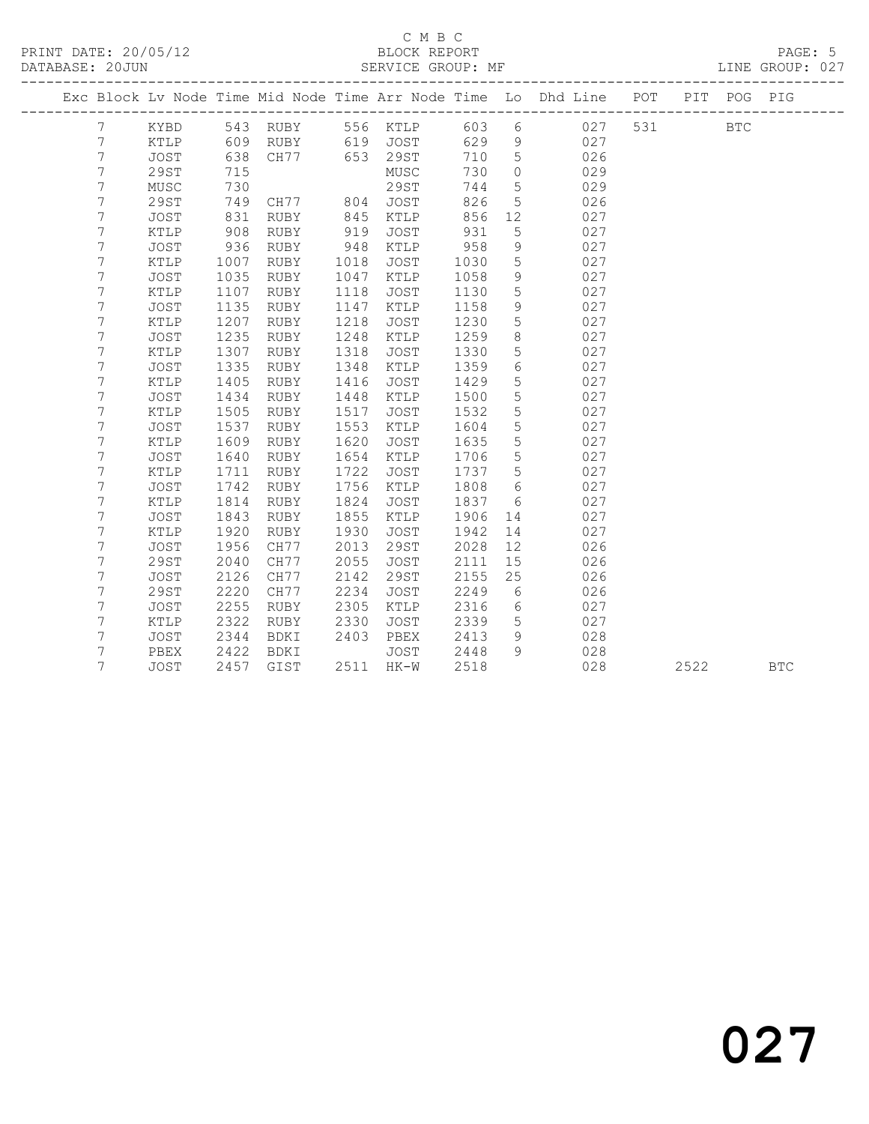|                |               |      |             |      |             |      |                 | Exc Block Lv Node Time Mid Node Time Arr Node Time Lo Dhd Line | POT | PIT  | POG        | PIG        |
|----------------|---------------|------|-------------|------|-------------|------|-----------------|----------------------------------------------------------------|-----|------|------------|------------|
| $7\phantom{.}$ | KYBD          |      | 543 RUBY    |      | 556 KTLP    | 603  | $6\phantom{.}6$ | 027                                                            | 531 |      | <b>BTC</b> |            |
| 7              | KTLP          | 609  | RUBY        |      | 619 JOST    | 629  | $\overline{9}$  | 027                                                            |     |      |            |            |
| $\overline{7}$ | JOST          | 638  | CH77        |      | 653 29ST    | 710  | 5               | 026                                                            |     |      |            |            |
| $\overline{7}$ | 29ST          | 715  |             |      | MUSC        | 730  | $\circ$         | 029                                                            |     |      |            |            |
| 7              | MUSC          | 730  |             |      | 29ST        | 744  | $5\phantom{.0}$ | 029                                                            |     |      |            |            |
| 7              | <b>29ST</b>   | 749  | CH77 804    |      | JOST        | 826  | 5               | 026                                                            |     |      |            |            |
| 7              | <b>JOST</b>   | 831  | RUBY        | 845  | KTLP        | 856  | 12              | 027                                                            |     |      |            |            |
| 7              | KTLP          | 908  | RUBY        | 919  | JOST        | 931  | 5               | 027                                                            |     |      |            |            |
| 7              | JOST          | 936  | <b>RUBY</b> | 948  | KTLP        | 958  | $\mathcal{G}$   | 027                                                            |     |      |            |            |
| 7              | $\verb KTLP $ | 1007 | RUBY        | 1018 | JOST        | 1030 | 5               | 027                                                            |     |      |            |            |
| 7              | <b>JOST</b>   | 1035 | RUBY        | 1047 | KTLP        | 1058 | $\mathcal{G}$   | 027                                                            |     |      |            |            |
| 7              | $\verb KTLP $ | 1107 | RUBY        | 1118 | JOST        | 1130 | $5\phantom{.0}$ | 027                                                            |     |      |            |            |
| 7              | JOST          | 1135 | <b>RUBY</b> | 1147 | KTLP        | 1158 | $\,9$           | 027                                                            |     |      |            |            |
| 7              | KTLP          | 1207 | RUBY        | 1218 | JOST        | 1230 | 5               | 027                                                            |     |      |            |            |
| 7              | <b>JOST</b>   | 1235 | RUBY        | 1248 | KTLP        | 1259 | $8\,$           | 027                                                            |     |      |            |            |
| 7              | KTLP          | 1307 | RUBY        | 1318 | JOST        | 1330 | 5               | 027                                                            |     |      |            |            |
| 7              | JOST          | 1335 | RUBY        | 1348 | KTLP        | 1359 | $\epsilon$      | 027                                                            |     |      |            |            |
| 7              | KTLP          | 1405 | RUBY        | 1416 | JOST        | 1429 | 5               | 027                                                            |     |      |            |            |
| 7              | JOST          | 1434 | RUBY        | 1448 | KTLP        | 1500 | $\mathsf S$     | 027                                                            |     |      |            |            |
| 7              | $\verb KTLP $ | 1505 | RUBY        | 1517 | JOST        | 1532 | $\mathsf 5$     | 027                                                            |     |      |            |            |
| 7              | <b>JOST</b>   | 1537 | <b>RUBY</b> | 1553 | KTLP        | 1604 | 5               | 027                                                            |     |      |            |            |
| 7              | KTLP          | 1609 | RUBY        | 1620 | JOST        | 1635 | 5               | 027                                                            |     |      |            |            |
| 7              | JOST          | 1640 | RUBY        | 1654 | KTLP        | 1706 | 5               | 027                                                            |     |      |            |            |
| 7              | KTLP          | 1711 | RUBY        | 1722 | JOST        | 1737 | 5               | 027                                                            |     |      |            |            |
| 7              | JOST          | 1742 | RUBY        | 1756 | KTLP        | 1808 | $\epsilon$      | 027                                                            |     |      |            |            |
| 7              | KTLP          | 1814 | <b>RUBY</b> | 1824 | JOST        | 1837 | 6               | 027                                                            |     |      |            |            |
| 7              | JOST          | 1843 | <b>RUBY</b> | 1855 | KTLP        | 1906 | 14              | 027                                                            |     |      |            |            |
| 7              | KTLP          | 1920 | RUBY        | 1930 | JOST        | 1942 | 14              | 027                                                            |     |      |            |            |
| 7              | JOST          | 1956 | CH77        | 2013 | 29ST        | 2028 | 12              | 026                                                            |     |      |            |            |
| 7              | 29ST          | 2040 | CH77        | 2055 | <b>JOST</b> | 2111 | 15              | 026                                                            |     |      |            |            |
| 7              | <b>JOST</b>   | 2126 | CH77        | 2142 | 29ST        | 2155 | 25              | 026                                                            |     |      |            |            |
| $\overline{7}$ | <b>29ST</b>   | 2220 | CH77        | 2234 | JOST        | 2249 | 6               | 026                                                            |     |      |            |            |
| 7              | JOST          | 2255 | RUBY        | 2305 | KTLP        | 2316 | $6\phantom{.}6$ | 027                                                            |     |      |            |            |
| 7              | KTLP          | 2322 | <b>RUBY</b> | 2330 | <b>JOST</b> | 2339 | $5\overline{)}$ | 027                                                            |     |      |            |            |
| 7              | JOST          | 2344 | BDKI        | 2403 | PBEX        | 2413 | 9               | 028                                                            |     |      |            |            |
| 7              | PBEX          | 2422 | BDKI        |      | JOST        | 2448 | $\mathcal{Q}$   | 028                                                            |     |      |            |            |
| 7              | <b>JOST</b>   | 2457 | GIST        |      | 2511 HK-W   | 2518 |                 | 028                                                            |     | 2522 |            | <b>BTC</b> |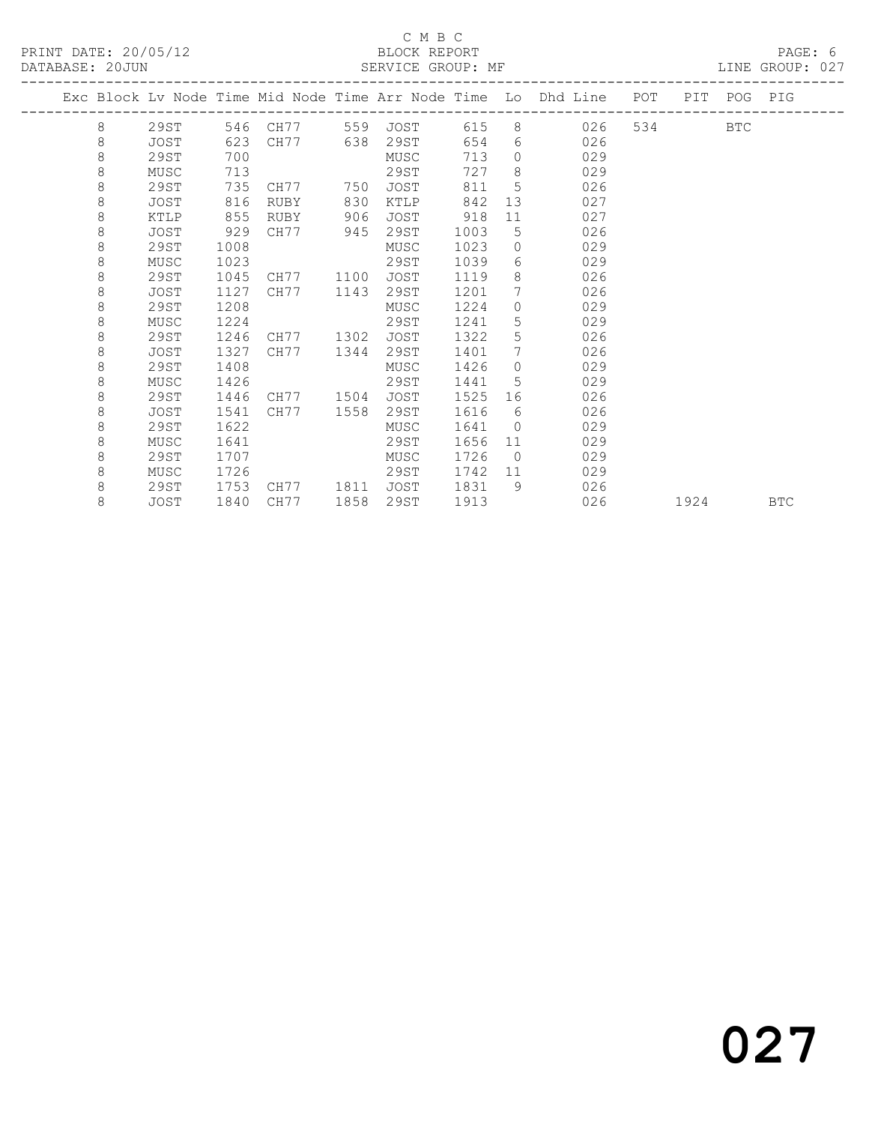### C M B C<br>BLOCK REPORT

LINE GROUP: 027

|  |   |             |      |             |      |             |      |                 | Exc Block Lv Node Time Mid Node Time Arr Node Time Lo Dhd Line POT | PIT  | POG PIG    |            |
|--|---|-------------|------|-------------|------|-------------|------|-----------------|--------------------------------------------------------------------|------|------------|------------|
|  | 8 | 29ST        |      | 546 CH77    |      | 559 JOST    | 615  |                 | 8 026                                                              |      | <b>BTC</b> |            |
|  | 8 | JOST        | 623  | CH77        | 638  | 29ST        | 654  |                 | 026<br>$6 \quad$                                                   |      |            |            |
|  | 8 | 29ST        | 700  |             |      | MUSC        | 713  | $\Omega$        | 029                                                                |      |            |            |
|  | 8 | MUSC        | 713  |             |      | 29ST        | 727  | 8               | 029                                                                |      |            |            |
|  | 8 | 29ST        | 735  | CH77        | 750  | <b>JOST</b> | 811  | 5               | 026                                                                |      |            |            |
|  | 8 | JOST        | 816  | <b>RUBY</b> | 830  | KTLP        | 842  | 13              | 027                                                                |      |            |            |
|  | 8 | KTLP        | 855  | RUBY        | 906  | JOST        | 918  | 11              | 027                                                                |      |            |            |
|  | 8 | JOST        | 929  | CH77        | 945  | 29ST        | 1003 | 5               | 026                                                                |      |            |            |
|  | 8 | 29ST        | 1008 |             |      | MUSC        | 1023 | $\Omega$        | 029                                                                |      |            |            |
|  | 8 | MUSC        | 1023 |             |      | 29ST        | 1039 | 6               | 029                                                                |      |            |            |
|  | 8 | 29ST        | 1045 | CH77        | 1100 | <b>JOST</b> | 1119 | 8               | 026                                                                |      |            |            |
|  | 8 | <b>JOST</b> | 1127 | CH77        | 1143 | 29ST        | 1201 | $7\phantom{.0}$ | 026                                                                |      |            |            |
|  | 8 | 29ST        | 1208 |             |      | MUSC        | 1224 | $\circ$         | 029                                                                |      |            |            |
|  | 8 | MUSC        | 1224 |             |      | 29ST        | 1241 | 5               | 029                                                                |      |            |            |
|  | 8 | 29ST        | 1246 | CH77        | 1302 | <b>JOST</b> | 1322 | 5               | 026                                                                |      |            |            |
|  | 8 | JOST        | 1327 | CH77        | 1344 | 29ST        | 1401 | $7\phantom{.0}$ | 026                                                                |      |            |            |
|  | 8 | 29ST        | 1408 |             |      | MUSC        | 1426 | $\Omega$        | 029                                                                |      |            |            |
|  | 8 | MUSC        | 1426 |             |      | 29ST        | 1441 | 5               | 029                                                                |      |            |            |
|  | 8 | 29ST        | 1446 | CH77        | 1504 | JOST        | 1525 | 16              | 026                                                                |      |            |            |
|  | 8 | JOST        | 1541 | CH77        | 1558 | 29ST        | 1616 | 6               | 026                                                                |      |            |            |
|  | 8 | 29ST        | 1622 |             |      | MUSC        | 1641 | $\bigcap$       | 029                                                                |      |            |            |
|  | 8 | MUSC        | 1641 |             |      | 29ST        | 1656 | 11              | 029                                                                |      |            |            |
|  | 8 | 29ST        | 1707 |             |      | MUSC        | 1726 | $\bigcirc$      | 029                                                                |      |            |            |
|  | 8 | MUSC        | 1726 |             |      | 29ST        | 1742 | 11              | 029                                                                |      |            |            |
|  | 8 | 29ST        | 1753 | CH77        | 1811 | <b>JOST</b> | 1831 | - 9             | 026                                                                |      |            |            |
|  | 8 | JOST        | 1840 | CH77        | 1858 | 29ST        | 1913 |                 | 026                                                                | 1924 |            | <b>BTC</b> |
|  |   |             |      |             |      |             |      |                 |                                                                    |      |            |            |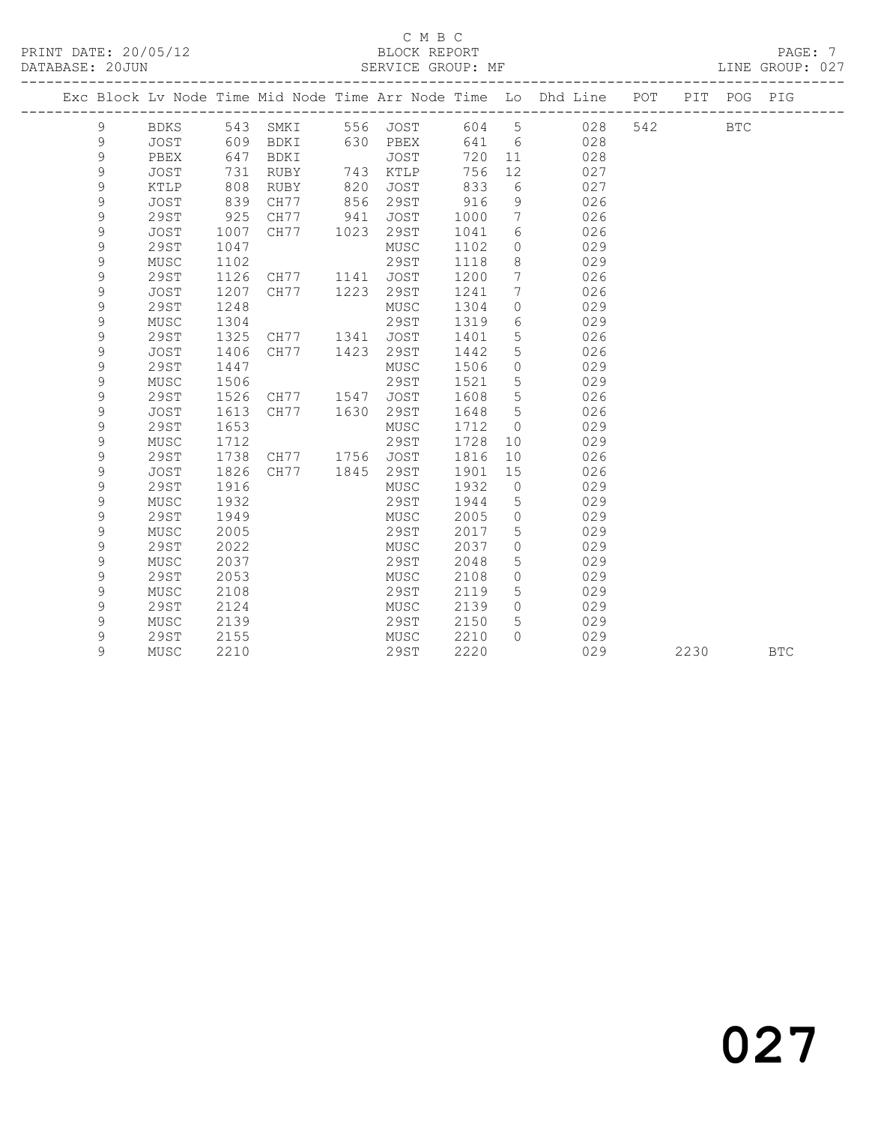### C M B C<br>BLOCK REPORT

| PRINT DATE: 20/05/12<br>DATABASE: 20JUN |   |      |     |             |     | BLOCK REPORT<br>SERVICE GROUP: MF |     |     |                                                                |     |     |     | PAGE: 7<br>LINE GROUP: 027 |  |
|-----------------------------------------|---|------|-----|-------------|-----|-----------------------------------|-----|-----|----------------------------------------------------------------|-----|-----|-----|----------------------------|--|
|                                         |   |      |     |             |     |                                   |     |     | Exc Block Lv Node Time Mid Node Time Arr Node Time Lo Dhd Line | POT | PTT | POG | PIG                        |  |
|                                         |   | BDKS | 543 | SMKI        | 556 | JOST                              | 604 | .5  | 028                                                            | 542 |     | BTC |                            |  |
|                                         | 9 | JOST | 609 | BDKI        | 630 | PBEX                              | 641 | 6   | 028                                                            |     |     |     |                            |  |
|                                         |   | PBEX | 647 | <b>BDKI</b> |     | JOST                              | 720 | -11 | 028                                                            |     |     |     |                            |  |
|                                         | 9 | JOST | 731 | RUBY        | 743 | KTLP                              | 756 | 12  | 027                                                            |     |     |     |                            |  |
|                                         |   | KTLP | 808 | RUBY        | 820 | JOST                              | 833 | 6   | 027                                                            |     |     |     |                            |  |
|                                         |   | JOST | 839 | CH77        | 856 | 29ST                              | 916 |     | 026                                                            |     |     |     |                            |  |

| 9 | 29ST        | 925  | CH77 | 941  | JOST        | 1000 |             | 026 |      |            |  |
|---|-------------|------|------|------|-------------|------|-------------|-----|------|------------|--|
| 9 | <b>JOST</b> | 1007 | CH77 | 1023 | 29ST        | 1041 | 6           | 026 |      |            |  |
| 9 | 29ST        | 1047 |      |      | MUSC        | 1102 | $\circ$     | 029 |      |            |  |
| 9 | MUSC        | 1102 |      |      | 29ST        | 1118 | 8           | 029 |      |            |  |
| 9 | 29ST        | 1126 | CH77 | 1141 | <b>JOST</b> | 1200 | 7           | 026 |      |            |  |
| 9 | <b>JOST</b> | 1207 | CH77 | 1223 | 29ST        | 1241 | 7           | 026 |      |            |  |
| 9 | 29ST        | 1248 |      |      | MUSC        | 1304 | 0           | 029 |      |            |  |
| 9 | MUSC        | 1304 |      |      | 29ST        | 1319 | 6           | 029 |      |            |  |
| 9 | 29ST        | 1325 | CH77 | 1341 | <b>JOST</b> | 1401 | 5           | 026 |      |            |  |
| 9 | <b>JOST</b> | 1406 | CH77 | 1423 | 29ST        | 1442 | 5           | 026 |      |            |  |
| 9 | 29ST        | 1447 |      |      | MUSC        | 1506 | 0           | 029 |      |            |  |
| 9 | MUSC        | 1506 |      |      | 29ST        | 1521 | 5           | 029 |      |            |  |
| 9 | 29ST        | 1526 | CH77 | 1547 | <b>JOST</b> | 1608 | 5           | 026 |      |            |  |
| 9 | <b>JOST</b> | 1613 | CH77 | 1630 | 29ST        | 1648 | 5           | 026 |      |            |  |
| 9 | <b>29ST</b> | 1653 |      |      | MUSC        | 1712 | $\mathbf 0$ | 029 |      |            |  |
| 9 | MUSC        | 1712 |      |      | 29ST        | 1728 | 10          | 029 |      |            |  |
| 9 | 29ST        | 1738 | CH77 | 1756 | <b>JOST</b> | 1816 | 10          | 026 |      |            |  |
| 9 | <b>JOST</b> | 1826 | CH77 | 1845 | 29ST        | 1901 | 15          | 026 |      |            |  |
| 9 | 29ST        | 1916 |      |      | MUSC        | 1932 | $\circ$     | 029 |      |            |  |
| 9 | MUSC        | 1932 |      |      | 29ST        | 1944 | 5           | 029 |      |            |  |
| 9 | 29ST        | 1949 |      |      | MUSC        | 2005 | $\circ$     | 029 |      |            |  |
| 9 | MUSC        | 2005 |      |      | 29ST        | 2017 | 5           | 029 |      |            |  |
| 9 | 29ST        | 2022 |      |      | MUSC        | 2037 | $\mathbf 0$ | 029 |      |            |  |
| 9 | MUSC        | 2037 |      |      | 29ST        | 2048 | 5           | 029 |      |            |  |
| 9 | 29ST        | 2053 |      |      | MUSC        | 2108 | $\circ$     | 029 |      |            |  |
| 9 | MUSC        | 2108 |      |      | 29ST        | 2119 | 5           | 029 |      |            |  |
| 9 | 29ST        | 2124 |      |      | MUSC        | 2139 | $\mathbf 0$ | 029 |      |            |  |
| 9 | MUSC        | 2139 |      |      | 29ST        | 2150 | 5           | 029 |      |            |  |
| 9 | 29ST        | 2155 |      |      | MUSC        | 2210 | $\Omega$    | 029 |      |            |  |
| 9 | MUSC        | 2210 |      |      | 29ST        | 2220 |             | 029 | 2230 | <b>BTC</b> |  |
|   |             |      |      |      |             |      |             |     |      |            |  |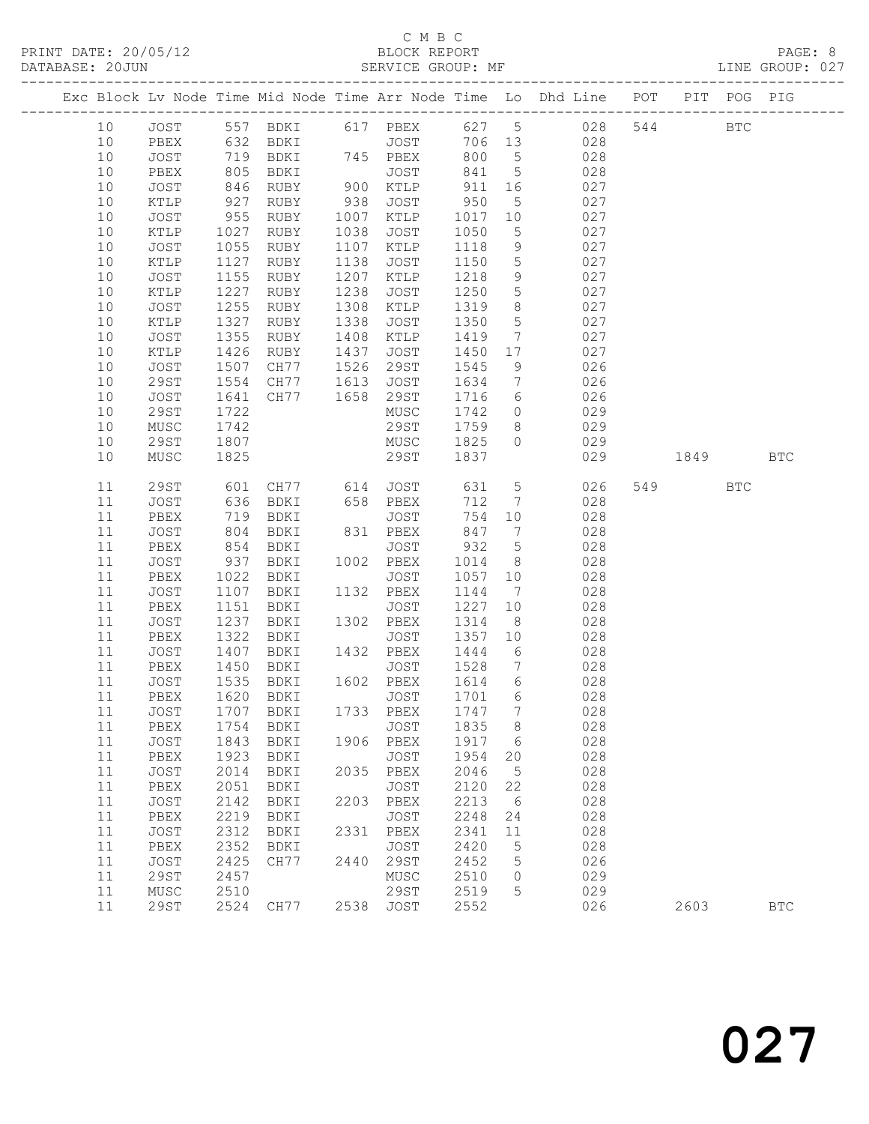## C M B C<br>BLOCK REPORT

LINE GROUP: 027

|          |              |              |                                             |      |                   |              |                      | Exc Block Lv Node Time Mid Node Time Arr Node Time Lo Dhd Line POT |     |      | PIT POG PIG |              |
|----------|--------------|--------------|---------------------------------------------|------|-------------------|--------------|----------------------|--------------------------------------------------------------------|-----|------|-------------|--------------|
| 10       | JOST         |              |                                             |      |                   |              |                      | 557 BDKI 617 PBEX 627 5 028                                        | 544 |      | <b>BTC</b>  |              |
| 10       | PBEX         | 632          | BDKI                                        |      | <b>JOST</b>       | 706 13       |                      | 028                                                                |     |      |             |              |
| 10       | JOST         | 719          | BDKI 745 PBEX                               |      |                   | 800          | $5^{\circ}$          | 028                                                                |     |      |             |              |
| 10       | PBEX         | 805          | BDKI                                        |      | JOST              | 841          | $5\overline{)}$      | 028                                                                |     |      |             |              |
| 10       | JOST         | 846          | RUBY                                        |      | $900$ $KTLP$      | 911          | 16                   | 027                                                                |     |      |             |              |
| 10       | KTLP         | 927          | RUBY                                        | 938  | JOST              | 950          | $5\overline{)}$      | 027                                                                |     |      |             |              |
| 10       | JOST         | 955          | RUBY                                        |      | 1007 KTLP         | 1017         | 10                   | 027                                                                |     |      |             |              |
| 10       | KTLP         | 1027         | RUBY                                        | 1038 | JOST              | 1050         | $5\overline{)}$      | 027                                                                |     |      |             |              |
| 10       | JOST         | 1055         | RUBY                                        | 1107 | KTLP              | 1118         | 9                    | 027                                                                |     |      |             |              |
| 10       | KTLP         | 1127         | RUBY                                        | 1138 | JOST              | 1150         | $5\phantom{.0}$      | 027                                                                |     |      |             |              |
| 10       | JOST         | 1155         | RUBY                                        | 1207 | KTLP              | 1218         | 9                    | 027                                                                |     |      |             |              |
| 10       | KTLP         | 1227         | RUBY                                        | 1238 | JOST              | 1250         | $5\phantom{.0}$      | 027                                                                |     |      |             |              |
| 10       | JOST         | 1255         | RUBY                                        | 1308 | KTLP              | 1319         | 8 <sup>8</sup>       | 027                                                                |     |      |             |              |
| 10       | KTLP         | 1327         | RUBY                                        | 1338 | JOST              | 1350         | $5\phantom{.0}$      | 027                                                                |     |      |             |              |
| 10       | JOST         | 1355         | RUBY                                        | 1408 | KTLP              | 1419         | $\overline{7}$       | 027                                                                |     |      |             |              |
| 10       | KTLP         | 1426         | RUBY                                        | 1437 | JOST              | 1450         | 17                   | 027                                                                |     |      |             |              |
| 10       | JOST         | 1507<br>1554 | CH77                                        | 1526 | 29ST              | 1545         | 9                    | 026                                                                |     |      |             |              |
| 10       | 29ST         |              | CH77                                        | 1613 | JOST              | 1634         | $\overline{7}$       | 026                                                                |     |      |             |              |
| 10       | JOST         | 1641         | CH77                                        | 1658 | 29ST              | 1716         | $6\overline{6}$      | 026                                                                |     |      |             |              |
| 10       | 29ST         | 1722         |                                             |      | MUSC              | 1742         | $\overline{0}$       | 029                                                                |     |      |             |              |
| 10       | ${\tt MUSC}$ | 1742         |                                             |      | 29ST              | 1759         | 8 <sup>8</sup>       | 029                                                                |     |      |             |              |
| 10       | 29ST         | 1807         |                                             |      | MUSC              | 1825         | $\circ$              | 029                                                                |     |      |             |              |
| 10       | MUSC         | 1825         |                                             |      | 29ST              | 1837         |                      | 029                                                                |     | 1849 |             | <b>BTC</b>   |
| 11       | 29ST         | 601<br>636   | CH77 614 JOST<br>BDKI 658 PBEX<br>PDKI JOST |      |                   | 631          | $5\overline{)}$      | 026                                                                |     | 549  | <b>BTC</b>  |              |
| 11       | JOST         |              | BDKI                                        |      |                   | 712          | $\overline{7}$       | 028                                                                |     |      |             |              |
| 11       | PBEX         | 719          | BDKI                                        |      | JOST              | 754          | 10                   | 028                                                                |     |      |             |              |
| 11       | JOST         | 804          | BDKI                                        |      | 831 PBEX          | 847          | $\overline{7}$       | 028                                                                |     |      |             |              |
| 11       | PBEX         | 854          | BDKI                                        |      | JOST              | 932          | $5\overline{)}$      | 028                                                                |     |      |             |              |
| 11       | JOST         | 937          | BDKI                                        |      | 1002 PBEX         | 1014         | 8 <sup>8</sup>       | 028                                                                |     |      |             |              |
| 11<br>11 | PBEX         | 1022         | BDKI                                        |      | JOST              | 1057         | 10                   | 028                                                                |     |      |             |              |
|          | JOST         | 1107         | BDKI                                        |      | 1132 PBEX         | 1144<br>1227 | $\overline{7}$       | 028                                                                |     |      |             |              |
| 11<br>11 | PBEX         | 1151<br>1237 | BDKI                                        |      | JOST<br>1302 PBEX | 1314         | 10<br>8 <sup>8</sup> | 028<br>028                                                         |     |      |             |              |
| 11       | JOST<br>PBEX | 1322         | BDKI<br>BDKI                                |      | JOST              | 1357         | 10                   | 028                                                                |     |      |             |              |
| 11       | JOST         | 1407         | BDKI                                        |      | 1432 PBEX         | 1444         | 6                    | 028                                                                |     |      |             |              |
| 11       | PBEX         | 1450         | BDKI                                        |      | JOST              | 1528         | $\overline{7}$       | 028                                                                |     |      |             |              |
| 11       | JOST         | 1535         | BDKI                                        |      | 1602 PBEX         | 1614         | $6\overline{6}$      | 028                                                                |     |      |             |              |
| 11       | PBEX         | 1620         | BDKI                                        |      | JOST              | 1701 6       |                      | 028                                                                |     |      |             |              |
|          |              |              | 11 JOST 1707 BDKI 1733 PBEX 1747 7          |      |                   |              |                      | 028                                                                |     |      |             |              |
| 11       | PBEX         | 1754         | BDKI                                        |      | JOST              | 1835         | 8                    | 028                                                                |     |      |             |              |
| 11       | JOST         | 1843         | BDKI                                        |      | 1906 PBEX         | 1917         | 6                    | 028                                                                |     |      |             |              |
| 11       | PBEX         | 1923         | BDKI                                        |      | JOST              | 1954         | 20                   | 028                                                                |     |      |             |              |
| 11       | JOST         | 2014         | BDKI                                        |      | 2035 PBEX         | 2046         | $5\phantom{.0}$      | 028                                                                |     |      |             |              |
| 11       | ${\tt PBEX}$ | 2051         | BDKI                                        |      | JOST              | 2120         | 22                   | 028                                                                |     |      |             |              |
| 11       | JOST         | 2142         | BDKI                                        | 2203 | PBEX              | 2213         | 6                    | 028                                                                |     |      |             |              |
| 11       | PBEX         | 2219         | BDKI                                        |      | JOST              | 2248         | 24                   | 028                                                                |     |      |             |              |
| 11       | JOST         | 2312         | BDKI                                        |      | 2331 PBEX         | 2341         | 11                   | 028                                                                |     |      |             |              |
| 11       | PBEX         | 2352         | BDKI                                        |      | JOST              | 2420         | 5                    | 028                                                                |     |      |             |              |
| 11       | JOST         | 2425         | CH77                                        | 2440 | 29ST              | 2452         | 5                    | 026                                                                |     |      |             |              |
| 11       | 29ST         | 2457         |                                             |      | MUSC              | 2510         | $\circ$              | 029                                                                |     |      |             |              |
| 11       | MUSC         | 2510         |                                             |      | 29ST              | 2519         | 5                    | 029                                                                |     |      |             |              |
| 11       | 29ST         |              | 2524 CH77                                   |      | 2538 JOST         | 2552         |                      | 026                                                                |     | 2603 |             | $_{\rm BTC}$ |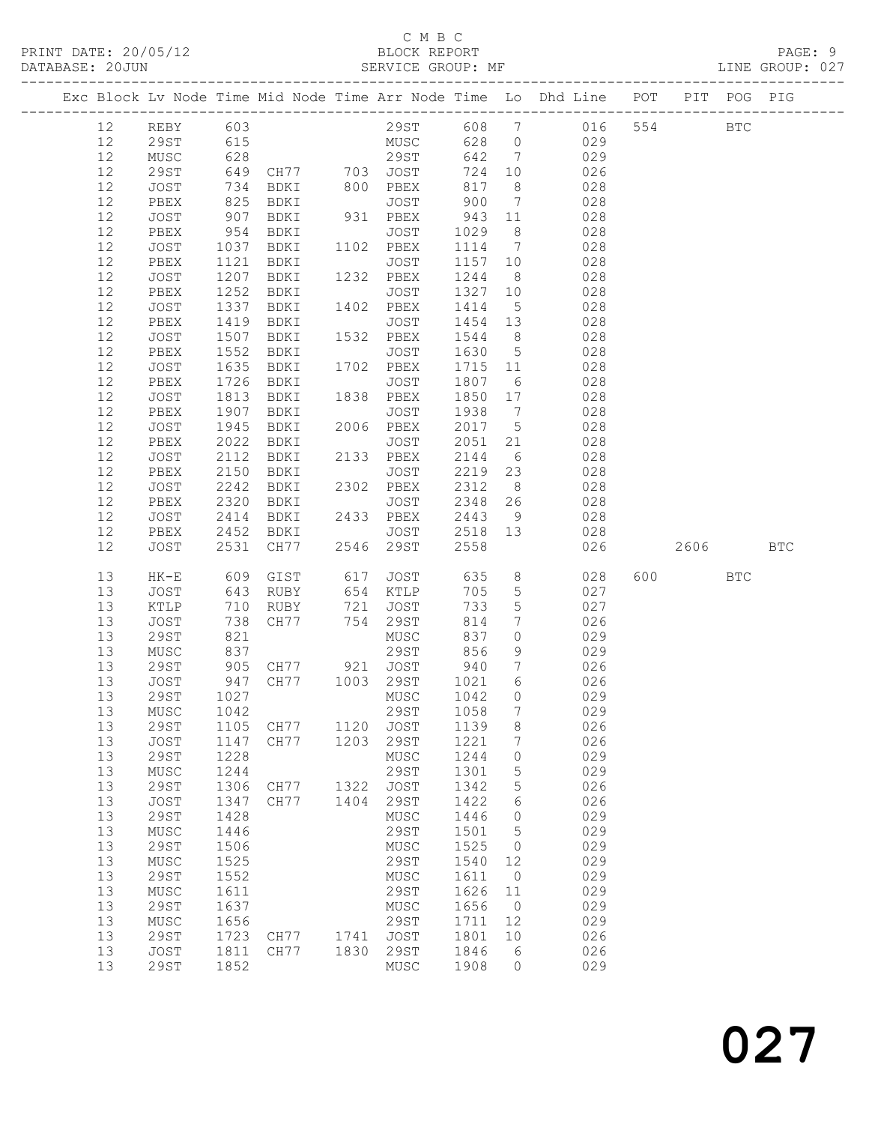|  |          |              |                |                                                         |      |                           |                                                |                              | Exc Block Lv Node Time Mid Node Time Arr Node Time Lo Dhd Line POT PIT POG PIG |         |            |            |
|--|----------|--------------|----------------|---------------------------------------------------------|------|---------------------------|------------------------------------------------|------------------------------|--------------------------------------------------------------------------------|---------|------------|------------|
|  | 12       | REBY 603     |                |                                                         |      |                           |                                                |                              | 29ST 608 7 016                                                                 | 554     | <b>BTC</b> |            |
|  | 12       | 29ST         | 615            |                                                         |      | MUSC 628 0                |                                                |                              | 029                                                                            |         |            |            |
|  | 12       | MUSC         | 628            |                                                         |      | 29ST                      | 642                                            | $7\overline{ }$              | 029                                                                            |         |            |            |
|  | 12       | 29ST         |                | 649 CH77 703 JOST<br>734 BDKI 800 PBEX<br>825 BDKI JOST |      |                           | 724                                            | 10                           | 026                                                                            |         |            |            |
|  | 12       | JOST         |                |                                                         |      |                           | 817                                            | 8 <sup>8</sup>               | 028                                                                            |         |            |            |
|  | 12       | PBEX         |                |                                                         |      |                           | 900                                            | $\overline{7}$               | 028                                                                            |         |            |            |
|  | 12       | JOST         | 907            | BDKI                                                    |      | 931 PBEX                  | 943 11                                         |                              | 028                                                                            |         |            |            |
|  | $12$     | PBEX         | 954            | BDKI                                                    |      | JOST                      | 1029                                           | 8 <sup>8</sup>               | 028                                                                            |         |            |            |
|  | 12       | JOST         | 1037           | BDKI 1102 PBEX                                          |      |                           | 1114 7                                         |                              | 028                                                                            |         |            |            |
|  | 12       | PBEX         | 1121           | BDKI                                                    |      | JOST                      | 1157 10                                        |                              | 028                                                                            |         |            |            |
|  | 12       | JOST         | 1207           | BDKI 1232 PBEX                                          |      |                           | 1244                                           | 8 <sup>8</sup>               | 028                                                                            |         |            |            |
|  | 12       | PBEX         | 1252           | BDKI                                                    |      | JOST                      | 1327 10                                        |                              | 028                                                                            |         |            |            |
|  | 12       | JOST         | 1337           | BDKI                                                    |      |                           | 1414                                           | 5 <sup>5</sup>               | 028                                                                            |         |            |            |
|  | 12       | PBEX         | 1419           | BDKI                                                    |      | 1402 PBEX<br>JOST<br>JOST | 1454 13                                        |                              | 028                                                                            |         |            |            |
|  | 12       | JOST         | 1507           | BDKI                                                    |      | 1532 PBEX                 | 1544                                           | 8 <sup>8</sup>               | 028                                                                            |         |            |            |
|  | $12$     | PBEX         | 1552           | BDKI                                                    |      | JOST                      | 1630 5                                         |                              | 028                                                                            |         |            |            |
|  | 12       | JOST         | 1635           | BDKI                                                    |      | 1702 PBEX                 | 1715 11                                        |                              | 028                                                                            |         |            |            |
|  | 12       | PBEX         |                | 1726 BDKI                                               |      | JOST                      | 1807 6                                         |                              | 028                                                                            |         |            |            |
|  | 12       | JOST         | 1813           | BDKI 1838 PBEX                                          |      |                           | 1850 17                                        |                              | 028                                                                            |         |            |            |
|  | 12       | PBEX         | 1907           | BDKI                                                    |      | JOST                      | 1938                                           | $\overline{7}$               | 028                                                                            |         |            |            |
|  | 12       | JOST         | 1945           | BDKI                                                    |      | 2006 PBEX                 | 2017 5                                         |                              | 028                                                                            |         |            |            |
|  | 12       | PBEX         |                | 2022 BDKI                                               |      | JOST                      | $\begin{array}{c}\n 2051 \\  21\n \end{array}$ |                              | 028                                                                            |         |            |            |
|  | 12       | JOST         | 2112           | BDKI                                                    |      | 2133 PBEX                 | 2144                                           | 6                            | 028                                                                            |         |            |            |
|  | 12       | PBEX         | 2150           | BDKI                                                    |      | JOST                      | 2219 23                                        |                              | 028                                                                            |         |            |            |
|  | 12       | JOST         | 2242           | BDKI                                                    |      | 2302 PBEX                 | 2312                                           | 8 <sup>8</sup>               | 028                                                                            |         |            |            |
|  | 12       | PBEX         | 2320           | BDKI                                                    |      |                           | $2348$ 26                                      |                              | 028                                                                            |         |            |            |
|  | 12       | JOST         | 2414           |                                                         |      |                           | 2443                                           | 9                            | 028                                                                            |         |            |            |
|  | 12       | PBEX         | 2452           | BDKI                                                    |      | JOST 2518 13              |                                                |                              | 028                                                                            |         |            |            |
|  | 12       | JOST         | 2531           | CH77                                                    |      | 2546 29ST                 | 2558                                           |                              | 026                                                                            | 2606 7  |            | <b>BTC</b> |
|  |          |              |                |                                                         |      |                           |                                                |                              |                                                                                |         |            |            |
|  | 13       | $HK-E$       | 609            | GIST                                                    | 617  | <b>JOST</b>               | 635                                            |                              | $8 - 8$<br>028                                                                 | 600 000 | <b>BTC</b> |            |
|  | 13       | JOST         | 643            | RUBY                                                    |      | 654 KTLP                  | 705                                            | $5\overline{)}$              | 027                                                                            |         |            |            |
|  | 13       | KTLP         | 710            | RUBY                                                    |      | 721 JOST                  | 733                                            | $5\overline{)}$              | 027                                                                            |         |            |            |
|  | 13       | JOST         | 738            | CH77                                                    |      | 754 29ST                  | 814                                            | $7\phantom{.0}\phantom{.0}7$ | 026                                                                            |         |            |            |
|  | 13       | 29ST         | $\frac{7}{30}$ |                                                         |      | MUSC                      | 837                                            | $\overline{0}$               | 029                                                                            |         |            |            |
|  | 13       | MUSC         | 837            |                                                         |      | 29ST                      | 856                                            | 9                            | 029                                                                            |         |            |            |
|  | 13       | 29ST         | 905            |                                                         |      |                           | 940                                            | $7\overline{ }$              | 026                                                                            |         |            |            |
|  | 13       | JOST         | 947            |                                                         |      |                           | 1021                                           | 6                            | 026                                                                            |         |            |            |
|  | 13       | 29ST         | 1027           |                                                         |      | MUSC                      | 1042                                           | $\overline{0}$               | 029                                                                            |         |            |            |
|  |          | 13 MUSC 1042 |                |                                                         |      | 29ST 1058 7               |                                                |                              | 029                                                                            |         |            |            |
|  | 13       | 29ST         | 1105           | CH77                                                    | 1120 | JOST                      | 1139                                           | 8                            | 026                                                                            |         |            |            |
|  | 13       | JOST         | 1147           | CH77                                                    | 1203 | 29ST                      | 1221                                           | $7\overline{ }$              | 026                                                                            |         |            |            |
|  | 13       | <b>29ST</b>  | 1228           |                                                         |      | MUSC                      | 1244                                           | $\circledcirc$               | 029                                                                            |         |            |            |
|  | 13       | MUSC         | 1244           |                                                         |      | 29ST                      | 1301                                           | $\overline{5}$               | 029                                                                            |         |            |            |
|  | 13       | 29ST         | 1306           | CH77                                                    | 1322 | JOST                      | 1342                                           | 5                            | 026                                                                            |         |            |            |
|  | 13       | JOST         | 1347           | CH77                                                    | 1404 | 29ST                      | 1422                                           | 6                            | 026                                                                            |         |            |            |
|  | 13       | <b>29ST</b>  | 1428           |                                                         |      | MUSC                      | 1446                                           | $\overline{0}$               | 029                                                                            |         |            |            |
|  | 13       | MUSC         | 1446           |                                                         |      | 29ST                      | 1501                                           | $5\overline{)}$              | 029                                                                            |         |            |            |
|  | 13       | <b>29ST</b>  | 1506           |                                                         |      | MUSC                      | 1525                                           | $\overline{0}$               | 029                                                                            |         |            |            |
|  | 13       | MUSC         | 1525           |                                                         |      | 29ST                      | 1540                                           | 12                           | 029                                                                            |         |            |            |
|  | 13       | <b>29ST</b>  | 1552           |                                                         |      | MUSC                      | 1611                                           | $\overline{0}$               | 029                                                                            |         |            |            |
|  | 13       | MUSC         | 1611           |                                                         |      | 29ST                      | 1626                                           | 11                           | 029                                                                            |         |            |            |
|  | 13       | 29ST         | 1637           |                                                         |      | MUSC                      | 1656                                           | $\overline{0}$               | 029                                                                            |         |            |            |
|  | 13       | MUSC         | 1656           |                                                         |      | 29ST                      | 1711                                           | 12                           | 029                                                                            |         |            |            |
|  | 13       | 29ST         | 1723           | CH77 1741 JOST                                          |      |                           | 1801                                           | 10                           | 026                                                                            |         |            |            |
|  | 13<br>13 | JOST         | 1811           | CH77                                                    |      | 1830 29ST                 | 1846                                           | 6                            | 026<br>029                                                                     |         |            |            |
|  |          | 29ST         | 1852           |                                                         |      | MUSC                      | 1908                                           | $\circ$                      |                                                                                |         |            |            |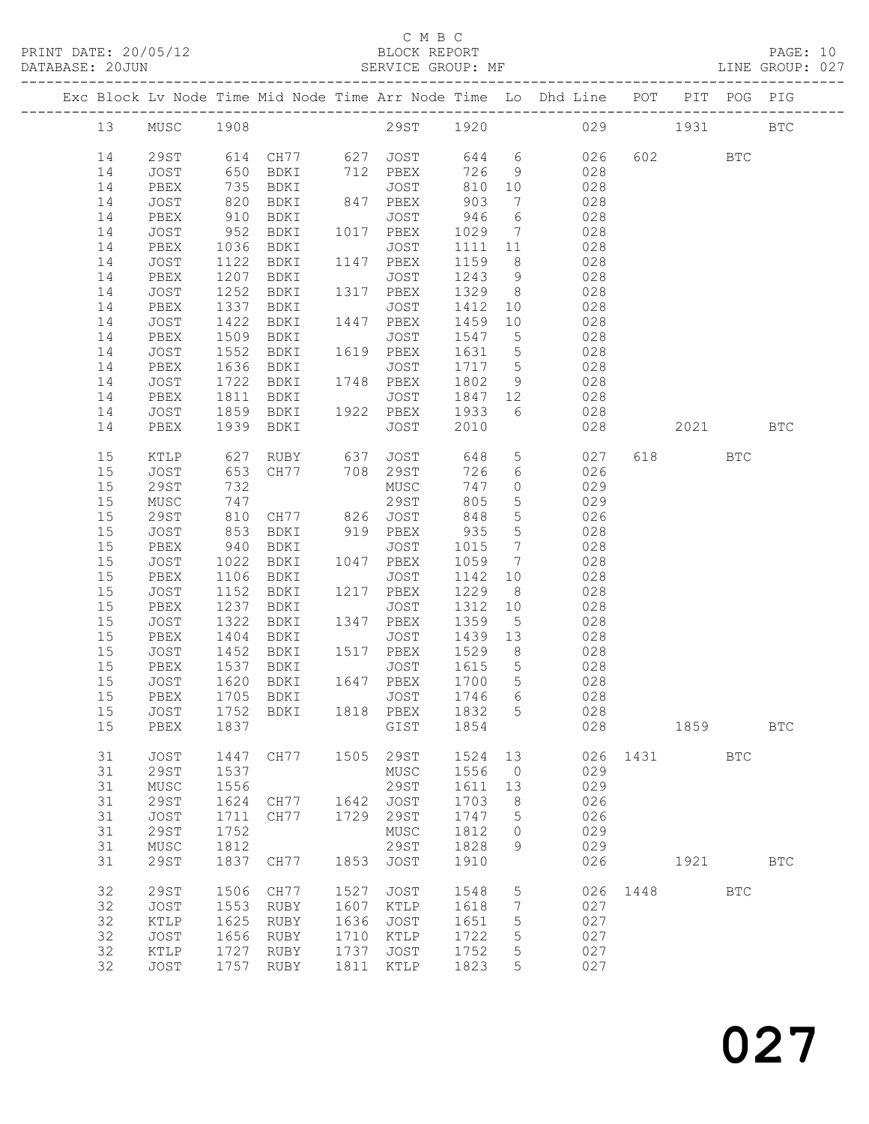PRINT DATE: 20/05/12 BLOCK REPORT<br>DATABASE: 20JUN BATABASE: 2010

### C M B C<br>BLOCK REPORT

PAGE: 10<br>LINE GROUP: 027

|    |              |              |                                                                                                                |      |                   |        |                                   | Exc Block Lv Node Time Mid Node Time Arr Node Time Lo Dhd Line POT PIT POG PIG |      |          |              |              |
|----|--------------|--------------|----------------------------------------------------------------------------------------------------------------|------|-------------------|--------|-----------------------------------|--------------------------------------------------------------------------------|------|----------|--------------|--------------|
| 13 | MUSC 1908    |              |                                                                                                                |      |                   |        |                                   | 29ST 1920 029 1931                                                             |      |          |              | <b>BTC</b>   |
| 14 | 29ST         |              |                                                                                                                |      |                   |        |                                   | 026                                                                            |      | 602 000  | BTC          |              |
| 14 | JOST         |              | 614   CH77           627    JOST           644       6<br>650    BDKI          712    PBEX          726      9 |      |                   |        |                                   | 028                                                                            |      |          |              |              |
| 14 | PBEX         | 735          | BDKI                                                                                                           |      | JOST              | 810 10 |                                   | 028                                                                            |      |          |              |              |
| 14 | JOST         | 820          | BDKI                                                                                                           |      | 847 PBEX          | 903    | $\overline{7}$                    | 028                                                                            |      |          |              |              |
| 14 | PBEX         |              | BDKI                                                                                                           |      | JOST              | 946    | $6\overline{6}$                   | 028                                                                            |      |          |              |              |
| 14 | JOST         | 910<br>952   | BDKI                                                                                                           |      | 1017 PBEX         | 1029   | $7\overline{ }$                   | 028                                                                            |      |          |              |              |
| 14 | PBEX         | 1036         | BDKI                                                                                                           |      | JOST              | 1111   | 11                                | 028                                                                            |      |          |              |              |
| 14 | JOST         | 1122         | BDKI                                                                                                           |      | 1147 PBEX         | 1159   | 8 <sup>8</sup>                    | 028                                                                            |      |          |              |              |
| 14 | PBEX         | 1207         | BDKI                                                                                                           |      | JOST              | 1243   | 9                                 | 028                                                                            |      |          |              |              |
| 14 | JOST         | 1252         | BDKI                                                                                                           |      | 1317 PBEX         | 1329   | 8 <sup>8</sup>                    | 028                                                                            |      |          |              |              |
| 14 | PBEX         | 1337         | BDKI                                                                                                           |      | JOST              | 1412   | 10                                | 028                                                                            |      |          |              |              |
| 14 | JOST         | 1422         | BDKI                                                                                                           |      | 1447 PBEX         | 1459   | 10                                | 028                                                                            |      |          |              |              |
| 14 |              | 1509         |                                                                                                                |      |                   | 1547   |                                   | 028                                                                            |      |          |              |              |
| 14 | PBEX<br>JOST | 1552         | BDKI<br>BDKI                                                                                                   |      | JOST<br>1619 PBEX | 1631   | $5\overline{)}$<br>5 <sup>5</sup> | 028                                                                            |      |          |              |              |
| 14 | PBEX         | 1636         | BDKI                                                                                                           |      | JOST              | 1717   | $5\overline{)}$                   | 028                                                                            |      |          |              |              |
| 14 | JOST         | 1722         | BDKI                                                                                                           |      | 1748 PBEX         | 1802   | 9                                 | 028                                                                            |      |          |              |              |
| 14 | PBEX         | 1811         | BDKI                                                                                                           |      | JOST              | 1847   |                                   | 12 028                                                                         |      |          |              |              |
| 14 | JOST         |              | BDKI                                                                                                           |      | 1922 PBEX         | 1933   | 6                                 | 028                                                                            |      |          |              |              |
| 14 | PBEX         | 1859<br>1939 | 1939 BDKI                                                                                                      |      | JOST              | 2010   |                                   | 028                                                                            |      | 2021 BTC |              |              |
|    |              |              |                                                                                                                |      |                   |        |                                   |                                                                                |      |          |              |              |
| 15 | KTLP         | 627          | RUBY                                                                                                           |      | 637 JOST          | 648    |                                   | $5 - 5$<br>027                                                                 |      | 618 — 18 | BTC          |              |
| 15 | JOST         | 653          | CH77 708 29ST                                                                                                  |      |                   | 726    | 6                                 | 026                                                                            |      |          |              |              |
| 15 | 29ST         | 732          |                                                                                                                |      | MUSC              | 747    | $\overline{0}$                    | 029                                                                            |      |          |              |              |
| 15 | MUSC         | 747          |                                                                                                                |      | 29ST              | 805    | $5\overline{)}$                   | 029                                                                            |      |          |              |              |
| 15 | 29ST         | 810          | CH77 826 JOST                                                                                                  |      |                   | 848    | $5\overline{)}$                   | 026                                                                            |      |          |              |              |
| 15 | JOST         | 853<br>940   | BDKI                                                                                                           |      | 919 PBEX          | 935    | $5\overline{)}$                   | 028                                                                            |      |          |              |              |
| 15 | PBEX         |              | BDKI                                                                                                           |      | JOST              | 1015   | $7\phantom{.0}\phantom{.0}7$      | 028                                                                            |      |          |              |              |
| 15 | JOST         | 1022         | BDKI                                                                                                           |      | 1047 PBEX         | 1059   | $\overline{7}$                    | 028                                                                            |      |          |              |              |
| 15 | PBEX         | 1106         | BDKI                                                                                                           |      | JOST              | 1142   | 10                                | 028                                                                            |      |          |              |              |
| 15 | JOST         | 1152         | BDKI                                                                                                           |      | 1217 PBEX         | 1229   | 8 <sup>8</sup>                    | 028                                                                            |      |          |              |              |
| 15 | PBEX         | 1237         | BDKI                                                                                                           |      | JOST              | 1312   | 10                                | 028                                                                            |      |          |              |              |
| 15 | JOST         | 1322         | BDKI                                                                                                           |      | 1347 PBEX         | 1359   | $5\overline{)}$                   | 028                                                                            |      |          |              |              |
| 15 | PBEX         | 1404         | BDKI                                                                                                           |      | JOST              | 1439   | 13                                | 028                                                                            |      |          |              |              |
| 15 | JOST         | 1452         | BDKI                                                                                                           |      | 1517 PBEX         | 1529   | 8 <sup>8</sup>                    | 028                                                                            |      |          |              |              |
| 15 | PBEX         | 1537         | BDKI                                                                                                           |      | JOST              | 1615   | $5\overline{)}$                   | 028                                                                            |      |          |              |              |
| 15 | JOST         | 1620         | BDKI                                                                                                           |      | 1647 PBEX         | 1700   | $5\overline{)}$                   | 028                                                                            |      |          |              |              |
| 15 | PBEX         |              | 1705 BDKI                                                                                                      |      | JOST              |        |                                   | 1746 6 028                                                                     |      |          |              |              |
| 15 | JOST         | 1752         | BDKI                                                                                                           |      | 1818 PBEX         | 1832 5 |                                   | 028                                                                            |      |          |              |              |
| 15 | PBEX         | 1837         |                                                                                                                |      | GIST              | 1854   |                                   | 028                                                                            |      | 1859     |              | $_{\rm BTC}$ |
| 31 | <b>JOST</b>  | 1447         | CH77                                                                                                           | 1505 | 29ST              | 1524   | 13                                | 026                                                                            | 1431 |          | $_{\rm BTC}$ |              |
| 31 | <b>29ST</b>  | 1537         |                                                                                                                |      | MUSC              | 1556   | $\circ$                           | 029                                                                            |      |          |              |              |
| 31 | ${\tt MUSC}$ | 1556         |                                                                                                                |      | <b>29ST</b>       | 1611   | 13                                | 029                                                                            |      |          |              |              |
| 31 | <b>29ST</b>  | 1624         | CH77                                                                                                           | 1642 | JOST              | 1703   | 8                                 | 026                                                                            |      |          |              |              |
| 31 | JOST         | 1711         | CH77                                                                                                           | 1729 | 29ST              | 1747   | 5                                 | 026                                                                            |      |          |              |              |
| 31 | <b>29ST</b>  | 1752         |                                                                                                                |      | MUSC              | 1812   | 0                                 | 029                                                                            |      |          |              |              |
| 31 | MUSC         | 1812         |                                                                                                                |      | 29ST              | 1828   | 9                                 | 029                                                                            |      |          |              |              |
| 31 | <b>29ST</b>  | 1837         | CH77                                                                                                           | 1853 | JOST              | 1910   |                                   | 026                                                                            |      | 1921     |              | <b>BTC</b>   |
| 32 | 29ST         | 1506         | CH77                                                                                                           | 1527 | <b>JOST</b>       | 1548   | 5                                 | 026                                                                            | 1448 |          | <b>BTC</b>   |              |
| 32 | JOST         | 1553         | RUBY                                                                                                           | 1607 | KTLP              | 1618   | 7                                 | 027                                                                            |      |          |              |              |
| 32 | KTLP         | 1625         | RUBY                                                                                                           | 1636 | JOST              | 1651   | 5                                 | 027                                                                            |      |          |              |              |
| 32 | JOST         | 1656         | RUBY                                                                                                           | 1710 | KTLP              | 1722   | 5                                 | 027                                                                            |      |          |              |              |
| 32 | KTLP         | 1727         | RUBY                                                                                                           | 1737 | JOST              | 1752   | 5                                 | 027                                                                            |      |          |              |              |
| 32 | JOST         | 1757         | RUBY                                                                                                           | 1811 | KTLP              | 1823   | 5                                 | 027                                                                            |      |          |              |              |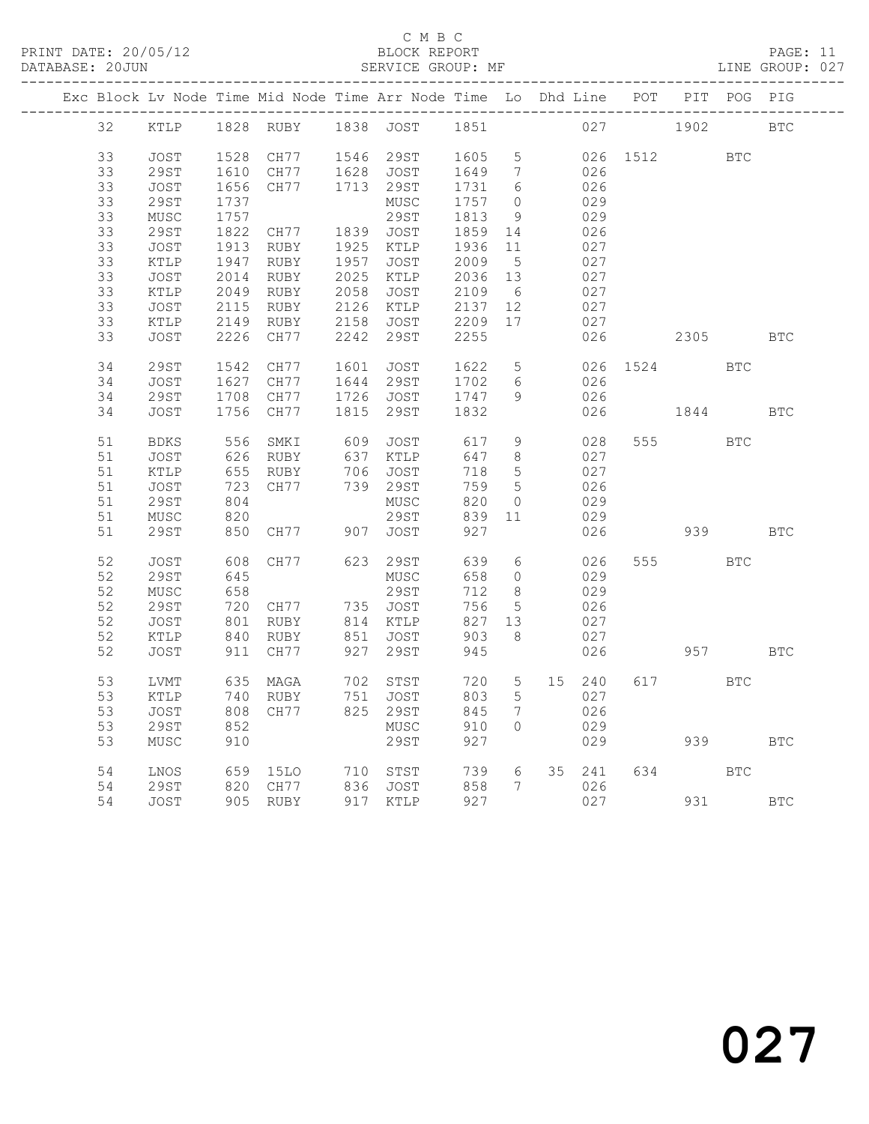### C M B C<br>BLOCK REPORT

### PAGE: 11<br>LINE GROUP: 027

|  |        | __________________________ |      |           |      | Exc Block Lv Node Time Mid Node Time Arr Node Time Lo Dhd Line POT |      |                 |    |        |      |          | PIT POG PIG  |            |
|--|--------|----------------------------|------|-----------|------|--------------------------------------------------------------------|------|-----------------|----|--------|------|----------|--------------|------------|
|  | 32     | KTLP                       |      | 1828 RUBY |      | 1838 JOST                                                          | 1851 |                 |    |        | 027  | 1902     |              | <b>BTC</b> |
|  | 33     | <b>JOST</b>                | 1528 | CH77      | 1546 | 29ST                                                               | 1605 | $5\phantom{.0}$ |    | 026    | 1512 |          | <b>BTC</b>   |            |
|  | 33     | <b>29ST</b>                | 1610 | CH77      | 1628 | JOST                                                               | 1649 | $7\phantom{.0}$ |    | 026    |      |          |              |            |
|  | 33     | JOST                       | 1656 | CH77      | 1713 | 29ST                                                               | 1731 | 6               |    | 026    |      |          |              |            |
|  | 33     | <b>29ST</b>                | 1737 |           |      | MUSC                                                               | 1757 | $\circ$         |    | 029    |      |          |              |            |
|  | 33     | MUSC                       | 1757 |           |      | 29ST                                                               | 1813 | 9               |    | 029    |      |          |              |            |
|  | 33     | 29ST                       | 1822 | CH77      | 1839 | JOST                                                               | 1859 | 14              |    | 026    |      |          |              |            |
|  | 33     | JOST                       | 1913 | RUBY      | 1925 | KTLP                                                               | 1936 | 11              |    | 027    |      |          |              |            |
|  | 33     | KTLP                       | 1947 | RUBY      | 1957 | JOST                                                               | 2009 | 5               |    | 027    |      |          |              |            |
|  | 33     | JOST                       | 2014 | RUBY      | 2025 | KTLP                                                               | 2036 | 13              |    | 027    |      |          |              |            |
|  | 33     | KTLP                       | 2049 | RUBY      | 2058 | JOST                                                               | 2109 | 6               |    | 027    |      |          |              |            |
|  | 33     | <b>JOST</b>                | 2115 | RUBY      | 2126 | KTLP                                                               | 2137 | 12              |    | 027    |      |          |              |            |
|  | 33     | KTLP                       | 2149 | RUBY      | 2158 | JOST                                                               | 2209 | 17              |    | 027    |      |          |              |            |
|  | 33     | JOST                       | 2226 | CH77      | 2242 | 29ST                                                               | 2255 |                 |    | 026    |      | 2305     |              | <b>BTC</b> |
|  |        |                            |      |           |      |                                                                    |      |                 |    |        |      |          |              |            |
|  | 34     | 29ST                       | 1542 | CH77      | 1601 | JOST                                                               | 1622 | 5               |    | 026    | 1524 |          | BTC          |            |
|  | 34     | JOST                       | 1627 | CH77      | 1644 | 29ST                                                               | 1702 | 6               |    | 026    |      |          |              |            |
|  | 34     | 29ST                       | 1708 | CH77      | 1726 | JOST                                                               | 1747 | 9               |    | 026    |      |          |              |            |
|  | 34     | <b>JOST</b>                | 1756 | CH77      | 1815 | 29ST                                                               | 1832 |                 |    | 026    |      | 1844     |              | <b>BTC</b> |
|  |        |                            |      |           |      |                                                                    |      |                 |    |        |      |          |              |            |
|  | 51     | <b>BDKS</b>                | 556  | SMKI      | 609  | JOST                                                               | 617  | 9               |    | 028    | 555  |          | $_{\rm BTC}$ |            |
|  | $51\,$ | JOST                       | 626  | RUBY      | 637  | KTLP                                                               | 647  | $8\,$           |    | 027    |      |          |              |            |
|  | 51     | KTLP                       | 655  | RUBY      | 706  | JOST                                                               | 718  | 5               |    | 027    |      |          |              |            |
|  | 51     | JOST                       | 723  | CH77      | 739  | 29ST                                                               | 759  | 5               |    | 026    |      |          |              |            |
|  | 51     | 29ST                       | 804  |           |      | MUSC                                                               | 820  | $\circ$         |    | 029    |      |          |              |            |
|  | 51     | MUSC                       | 820  |           |      | <b>29ST</b>                                                        | 839  | 11              |    | 029    |      |          |              |            |
|  | 51     | <b>29ST</b>                | 850  | CH77      | 907  | <b>JOST</b>                                                        | 927  |                 |    | 026    |      | 939      |              | <b>BTC</b> |
|  |        |                            |      |           |      |                                                                    |      |                 |    |        |      |          |              |            |
|  | 52     | <b>JOST</b>                | 608  | CH77      | 623  | 29ST                                                               | 639  | 6               |    | 026    |      | 555 75   | <b>BTC</b>   |            |
|  | 52     | <b>29ST</b>                | 645  |           |      | MUSC                                                               | 658  | $\circ$         |    | 029    |      |          |              |            |
|  | 52     | MUSC                       | 658  |           |      | 29ST                                                               | 712  | 8               |    | 029    |      |          |              |            |
|  | 52     | <b>29ST</b>                | 720  | CH77      | 735  | JOST                                                               | 756  | 5               |    | 026    |      |          |              |            |
|  | 52     | JOST                       | 801  | RUBY      | 814  | KTLP                                                               | 827  | 13              |    | 027    |      |          |              |            |
|  | 52     | KTLP                       | 840  | RUBY      | 851  | JOST                                                               | 903  | 8               |    | 027    |      |          |              |            |
|  | 52     | JOST                       | 911  | CH77      | 927  | 29ST                                                               | 945  |                 |    | 026    |      | 957 — 10 |              | <b>BTC</b> |
|  |        |                            |      |           |      |                                                                    |      |                 |    |        |      |          |              |            |
|  | 53     | LVMT                       | 635  | MAGA      | 702  | STST                                                               | 720  | $5\phantom{.0}$ | 15 | 240    |      | 617      | BTC          |            |
|  | 53     | KTLP                       | 740  | RUBY      | 751  | JOST                                                               | 803  | 5               |    | 027    |      |          |              |            |
|  | 53     | JOST                       | 808  | CH77      | 825  | 29ST                                                               | 845  | $7\phantom{.0}$ |    | 026    |      |          |              |            |
|  | 53     | 29ST                       | 852  |           |      | MUSC                                                               | 910  | $\Omega$        |    | 029    |      |          |              |            |
|  | 53     | MUSC                       | 910  |           |      | 29ST                                                               | 927  |                 |    | 029    |      | 939      |              | <b>BTC</b> |
|  | 54     | LNOS                       | 659  | 15LO      |      | 710 STST                                                           | 739  | 6               |    | 35 241 | 634  |          | BTC          |            |
|  | 54     | 29ST                       | 820  | CH77      | 836  | JOST                                                               | 858  | $7\phantom{.0}$ |    | 026    |      |          |              |            |
|  | 54     | <b>JOST</b>                |      | 905 RUBY  | 917  | KTLP                                                               | 927  |                 |    | 027    |      | 931      |              | <b>BTC</b> |
|  |        |                            |      |           |      |                                                                    |      |                 |    |        |      |          |              |            |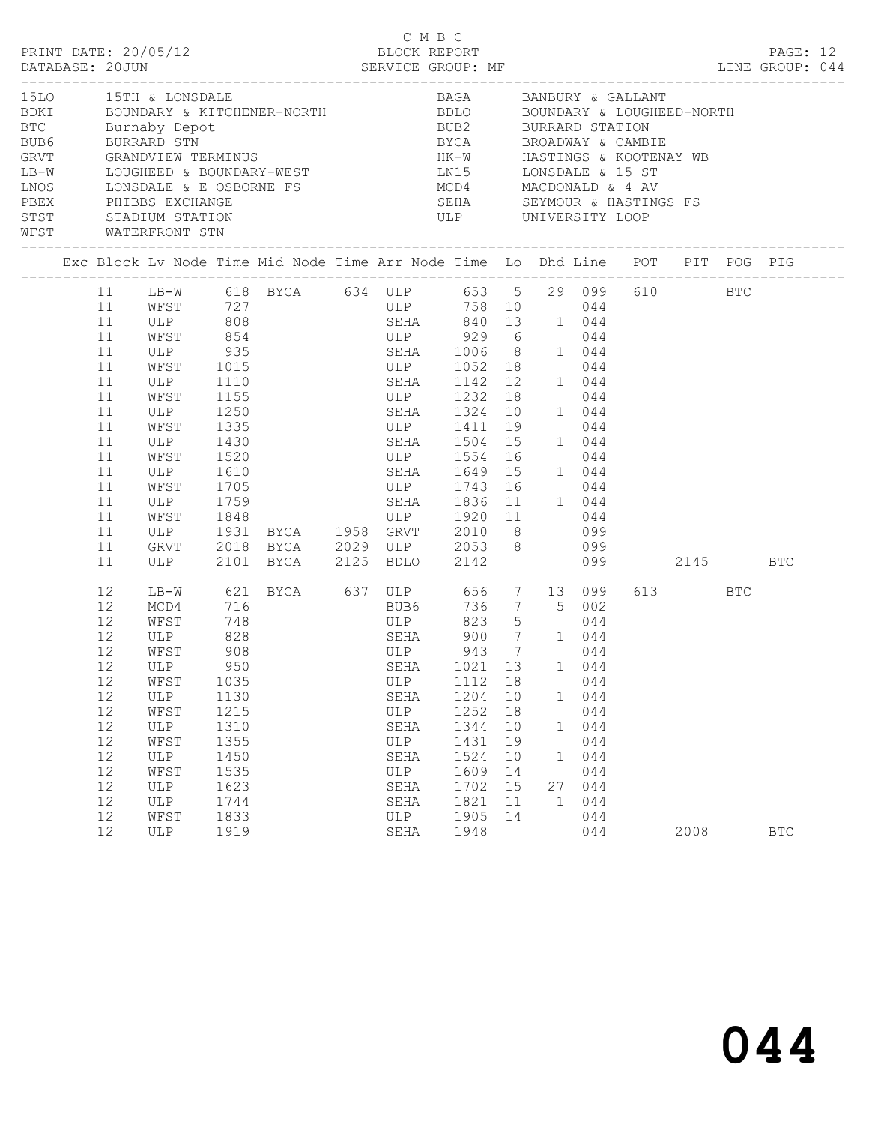|                                                                                                                                                                                                                                                                                                                                                                                                                                                            |                                                                                                          |                                                                                                                         |                                                                                                                         |                                                                                                                                                                                                                                                                                                                                                                                                                           |                                                                                 |                                                                                                                                                                                      |                                                          |                              |                                                                             |               |                 | PAGE: 12   |  |
|------------------------------------------------------------------------------------------------------------------------------------------------------------------------------------------------------------------------------------------------------------------------------------------------------------------------------------------------------------------------------------------------------------------------------------------------------------|----------------------------------------------------------------------------------------------------------|-------------------------------------------------------------------------------------------------------------------------|-------------------------------------------------------------------------------------------------------------------------|---------------------------------------------------------------------------------------------------------------------------------------------------------------------------------------------------------------------------------------------------------------------------------------------------------------------------------------------------------------------------------------------------------------------------|---------------------------------------------------------------------------------|--------------------------------------------------------------------------------------------------------------------------------------------------------------------------------------|----------------------------------------------------------|------------------------------|-----------------------------------------------------------------------------|---------------|-----------------|------------|--|
| 15LO 15TH & LONSDALE<br>BDKI     BOUNDARY & KITCHENER-NORTH         BDLO     BOUNDARY & LOUGHEED-NORTH<br>BTC Burnaby Depot<br>BTC             Burnaby  Depot<br>BUB6             BURRARD   STN<br>GRVT             GRANDVIEW  TERMINUS<br>LB-W LOUGHEED & BOUNDARY-WEST LN15 LONSDALE & 15 ST<br>NOS LONSDALE & E OSBORNE FS<br>PEEX PHIBBS EXCHANGE FS SERA SEYMOUR & HASTING<br>STST STADIUM STATION STATION ULP UNIVERSITY LOOP<br>WFST WATERFRONT STN |                                                                                                          |                                                                                                                         |                                                                                                                         |                                                                                                                                                                                                                                                                                                                                                                                                                           |                                                                                 | BAGA BANBURY & GALLANT<br>BUB2 BURRARD STATION<br>BYCA BROADWAY & CAMBIE<br>HK-W HASTINGS & KOOTENAY WB                                                                              |                                                          |                              |                                                                             |               |                 |            |  |
|                                                                                                                                                                                                                                                                                                                                                                                                                                                            |                                                                                                          |                                                                                                                         |                                                                                                                         | Exc Block Lv Node Time Mid Node Time Arr Node Time Lo Dhd Line POT PIT POG PIG                                                                                                                                                                                                                                                                                                                                            |                                                                                 |                                                                                                                                                                                      |                                                          |                              |                                                                             |               |                 |            |  |
|                                                                                                                                                                                                                                                                                                                                                                                                                                                            | 11<br>11<br>11<br>11<br>11<br>11<br>11<br>11<br>11<br>11<br>11<br>11<br>11<br>11<br>11<br>11<br>11<br>11 | ULP<br>WFST<br>WFST<br>ULP 1430<br>WFST<br>ULP 1610<br>WFST 1705<br>ULP                                                 | 1110<br>1155<br>1335<br>1520                                                                                            | 11 LB-W 618 BYCA 634 ULP 653 5 29 099 610 BTC<br>WFST 727 ULP 758 10 044<br>ULP 808 SEHA 840 13 1 044<br>WFST 854 ULP 929 6 044<br>ULP 935 SEHA 1006 8 1 044<br>WFST 1015 ULP 1052 18 044<br>ULP 1250 SEHA 1324 10 1 044<br>ULP 1411 19 044<br>ULP 1743 16<br>ULP 1759 SEHA 1836 11 1 044<br>WFST 1848 ULP 1920 11 044<br>ULP 1931 BYCA 1958 GRVT 2010 8 099<br>GRVT 2018 BYCA 2029 ULP 2053 8 099<br>2101 BYCA 2125 BDLO |                                                                                 | SEHA 1142 12 1 044<br>ULP 1232 18 044<br>SEHA 1504 15<br>ULP 1554 16<br>SEHA 1649 15 1 044                                                                                           |                                                          |                              | 1 044<br>044<br>044                                                         | 2142 099 2145 |                 | <b>BTC</b> |  |
|                                                                                                                                                                                                                                                                                                                                                                                                                                                            | 12<br>12<br>12<br>12<br>12<br>12<br>12<br>12<br>12<br>12<br>12<br>12<br>12<br>12<br>12<br>12             | MCD4<br>WFST<br>ULP<br>WFST<br>12 ULP<br>WFST<br>ULP<br>WFST<br>ULP<br>WFST<br>ULP<br>WFST<br>ULP<br>ULP<br>WFST<br>ULP | 716<br>748<br>828<br>908<br>950<br>1035<br>1130<br>1215<br>1310<br>1355<br>1450<br>1535<br>1623<br>1744<br>1833<br>1919 | LB-W 621 BYCA 637 ULP 656 7 13 099                                                                                                                                                                                                                                                                                                                                                                                        | ULP<br>SEHA<br>ULP<br>SEHA<br>ULP<br>SEHA<br>ULP<br>SEHA<br>SEHA<br>ULP<br>SEHA | BUB6 736 7 5 002<br>ULP 823 5 044<br>SEHA 900 7 1 044<br>ULP 943 7 044<br>SEHA 1021 13 1 044<br>1112<br>1204<br>1252<br>1344<br>1431<br>1524<br>1609<br>1702<br>1821<br>1905<br>1948 | 18<br>10<br>18<br>10<br>19<br>10<br>14<br>15<br>11<br>14 | 1<br>1<br>27<br>$\mathbf{1}$ | 044<br>1 044<br>044<br>044<br>044<br>044<br>044<br>044<br>044<br>044<br>044 |               | 613 BTC<br>2008 | <b>BTC</b> |  |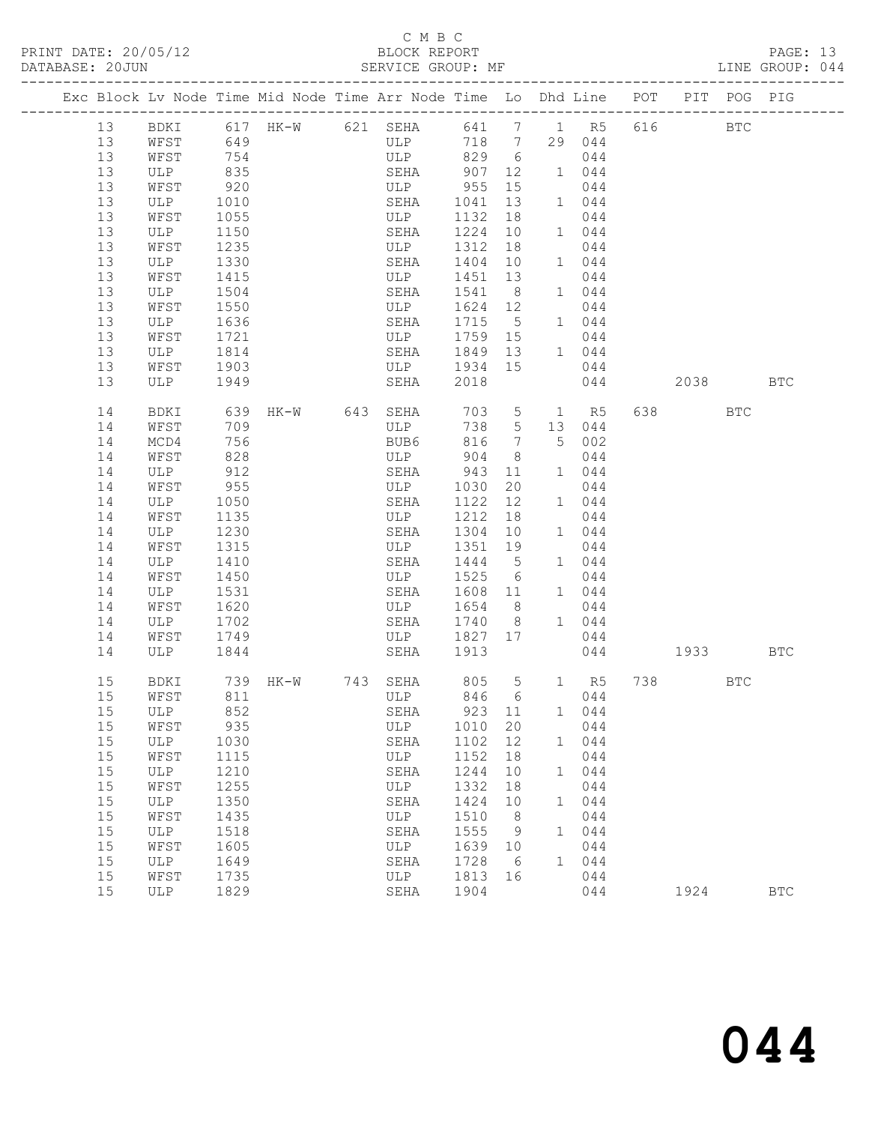## C M B C<br>BLOCK REPORT

| DATABASE: 20JUN                                                                |          |              |                   | SERVICE GROUP: MF                    |         |                 |   |            |              |         |          | LINE GROUP: 044 |  |
|--------------------------------------------------------------------------------|----------|--------------|-------------------|--------------------------------------|---------|-----------------|---|------------|--------------|---------|----------|-----------------|--|
| Exc Block Lv Node Time Mid Node Time Arr Node Time Lo Dhd Line POT PIT POG PIG |          |              |                   |                                      |         |                 |   |            |              |         |          |                 |  |
| 13                                                                             |          |              |                   | BDKI 617 HK-W 621 SEHA 641 7 1 R5    |         |                 |   |            |              | 616 BTC |          |                 |  |
| 13                                                                             | WFST     | 649          |                   | ULP 718 7                            |         |                 |   | 29 044     |              |         |          |                 |  |
| 13                                                                             | WFST     | 754          |                   | ULP 829 6                            |         |                 |   | 044        |              |         |          |                 |  |
| 13                                                                             | ULP      | 835          |                   | SEHA                                 | 907 12  |                 |   | 1 044      |              |         |          |                 |  |
| 13                                                                             | WFST     | 920          |                   | $ULP$ 955                            |         | 15              |   | 044        |              |         |          |                 |  |
| 13                                                                             | ULP      | 1010         |                   | SEHA                                 | 1041    | 13              |   | 1 044      |              |         |          |                 |  |
| 13                                                                             | WFST     | 1055         |                   | ULP                                  | 1132    | 18              |   | 044        |              |         |          |                 |  |
| 13                                                                             | ULP      | 1150         |                   | SEHA                                 | 1224 10 |                 |   | 1 044      |              |         |          |                 |  |
| 13                                                                             | WFST     | 1235         |                   | ULP                                  | 1312    | 18              |   | 044        |              |         |          |                 |  |
| 13                                                                             | ULP      | 1330         |                   | SEHA                                 | 1404 10 |                 |   | 1 044      |              |         |          |                 |  |
| 13                                                                             | WFST     | 1415         |                   | ULP                                  | 1451    | 13              |   | 044        |              |         |          |                 |  |
| 13                                                                             | ULP      | 1504         |                   | SEHA                                 | 1541 8  |                 |   | 1 044      |              |         |          |                 |  |
| 13                                                                             | WFST     | 1550         |                   | ULP                                  | 1624 12 |                 |   | 044        |              |         |          |                 |  |
| 13                                                                             | ULP 1636 |              |                   | SEHA                                 | 1715 5  |                 |   | 1 044      |              |         |          |                 |  |
| 13                                                                             | WFST     | 1721         |                   | ULP                                  | 1759 15 |                 |   | 044        |              |         |          |                 |  |
| 13                                                                             | ULP      | 1814<br>1903 |                   | SEHA                                 | 1849 13 |                 |   | 1 044      |              |         |          |                 |  |
| 13                                                                             | WFST     |              |                   | ULP                                  | 1934 15 |                 |   | 044        |              |         |          |                 |  |
| 13                                                                             | ULP 1949 |              |                   | SEHA                                 | 2018    |                 |   | 044        |              |         | 2038 BTC |                 |  |
| 14                                                                             | BDKI     |              | 639 HK-W 643 SEHA |                                      |         |                 |   | 703 5 1 R5 |              | 638 BTC |          |                 |  |
| 14                                                                             | WFST     | 709          |                   | ULP                                  | 738 5   |                 |   | 13 044     |              |         |          |                 |  |
| 14                                                                             | MCD4     | 756          |                   | BUB6                                 | 816     | $7\phantom{0}$  |   | 5 002      |              |         |          |                 |  |
| 14                                                                             | WFST     | 828          |                   | ULP                                  | 904     | 8 <sup>8</sup>  |   | 044        |              |         |          |                 |  |
| 14                                                                             | ULP      | 912          |                   | SEHA                                 | 943     | 11              |   | 1 044      |              |         |          |                 |  |
| 14                                                                             | WFST     | 955          |                   | ULP                                  | 1030    | 20              |   | 044        |              |         |          |                 |  |
| 14                                                                             | ULP      | 1050         |                   | SEHA                                 | 1122    | 12              |   | 1 044      |              |         |          |                 |  |
| 14                                                                             | WFST     | 1135         |                   | ULP                                  | 1212    | 18              |   | 044        |              |         |          |                 |  |
| 14                                                                             | ULP      | 1230         |                   | SEHA                                 | 1304    | 10              |   | 1 044      |              |         |          |                 |  |
| 14                                                                             | WFST     | 1315         |                   | ULP                                  | 1351    | 19              |   | 044        |              |         |          |                 |  |
| 14                                                                             | ULP      | 1410         |                   | SEHA                                 | 1444 5  |                 |   | 1 044      |              |         |          |                 |  |
| 14                                                                             | WFST     | 1450         |                   | ULP                                  | 1525 6  |                 |   | 044        |              |         |          |                 |  |
| 14                                                                             | ULP      | 1531         |                   | SEHA                                 | 1608 11 |                 |   | 1 044      |              |         |          |                 |  |
| 14                                                                             | WFST     | 1620         |                   | ULP                                  | 1654 8  |                 |   | 044        |              |         |          |                 |  |
| 14                                                                             | ULP 1702 |              |                   | SEHA                                 | 1740    | 8 <sup>8</sup>  |   | 1 044      |              |         |          |                 |  |
| 14                                                                             | WFST     | 1749         |                   | ULP                                  | 1827 17 |                 |   | 044        |              |         |          |                 |  |
| 14                                                                             | ULP 1844 |              |                   | SEHA                                 | 1913    |                 |   |            | 044 1933 BTC |         |          |                 |  |
| 15                                                                             | BDKI     |              |                   | 739 HK-W 743 SEHA 805 5 1 R5 738 BTC |         |                 |   |            |              |         |          |                 |  |
|                                                                                |          |              |                   | 15 MFST 811 ULP 846 6 044            |         |                 |   |            |              |         |          |                 |  |
| 15                                                                             | ULP      | 852          |                   | SEHA                                 | 923     | 11              | 1 | 044        |              |         |          |                 |  |
| 15                                                                             | WFST     | 935          |                   | ULP                                  | 1010    | 20              |   | 044        |              |         |          |                 |  |
| 15                                                                             | ULP      | 1030         |                   | SEHA                                 | 1102    | 12              | 1 | 044        |              |         |          |                 |  |
| 15                                                                             | WFST     | 1115         |                   | ULP                                  | 1152    | 18              |   | 044        |              |         |          |                 |  |
| 15                                                                             | ULP      | 1210         |                   | SEHA                                 | 1244    | 10              | 1 | 044        |              |         |          |                 |  |
| 15                                                                             | WFST     | 1255         |                   | ULP                                  | 1332    | 18              |   | 044        |              |         |          |                 |  |
| 15                                                                             | ULP      | 1350         |                   | SEHA                                 | 1424    | 10              | 1 | 044        |              |         |          |                 |  |
| 15                                                                             | WFST     | 1435         |                   | ULP                                  | 1510    | 8 <sup>8</sup>  |   | 044        |              |         |          |                 |  |
| 15                                                                             | ULP      | 1518         |                   | SEHA                                 | 1555    | - 9             | 1 | 044        |              |         |          |                 |  |
| 15                                                                             | WFST     | 1605         |                   | ULP                                  | 1639    | 10              |   | 044        |              |         |          |                 |  |
| 15                                                                             | ULP      | 1649         |                   | SEHA                                 | 1728    | $6\overline{6}$ | 1 | 044        |              |         |          |                 |  |
| 15                                                                             | WFST     | 1735         |                   | ULP                                  | 1813    | 16              |   | 044        |              |         |          |                 |  |
| 15                                                                             | ULP      | 1829         |                   | SEHA                                 | 1904    |                 |   | 044        |              | 1924    |          | $_{\rm BTC}$    |  |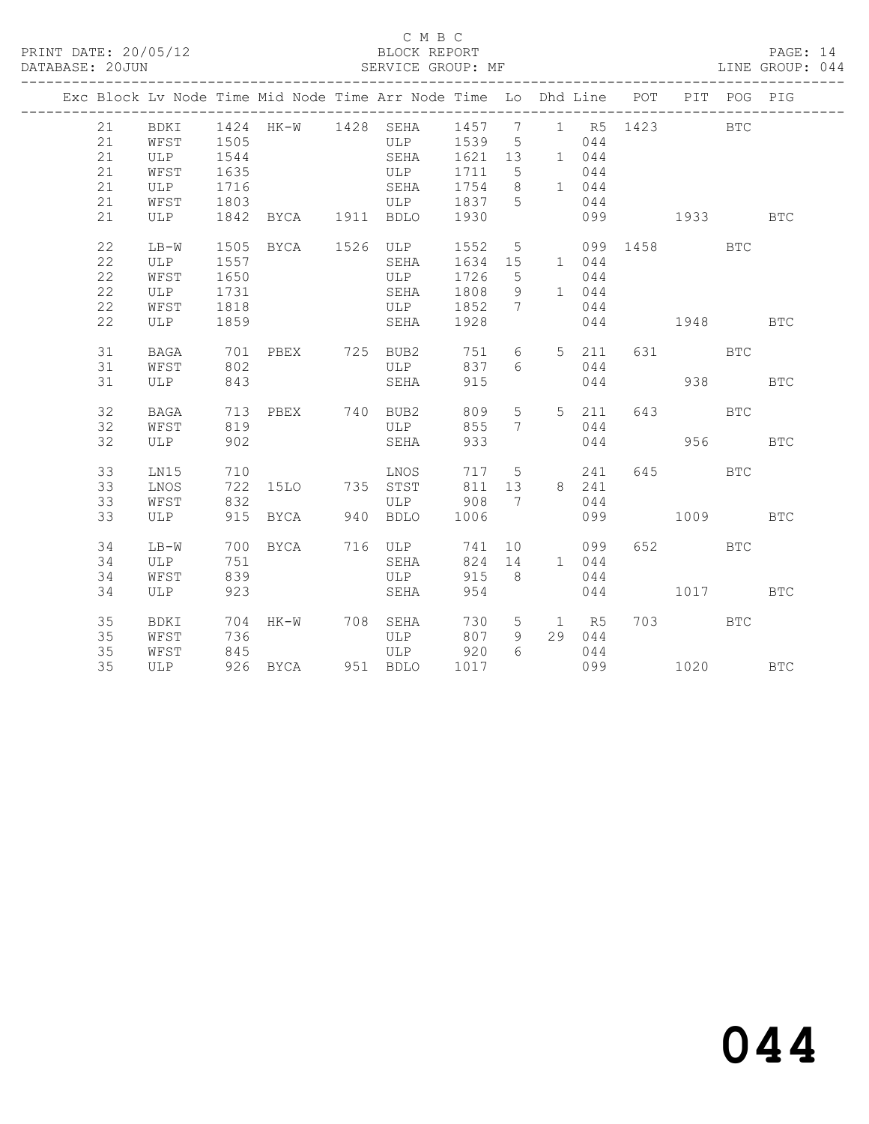### C M B C<br>BLOCK REPORT

PAGE: 14<br>LINE GROUP: 044

|  |    |             |      |                     | Exc Block Lv Node Time Mid Node Time Arr Node Time Lo Dhd Line POT | ______________ |                  |                |       |     |                                                                                                                                                                                                                                 | PIT POG PIG |            |
|--|----|-------------|------|---------------------|--------------------------------------------------------------------|----------------|------------------|----------------|-------|-----|---------------------------------------------------------------------------------------------------------------------------------------------------------------------------------------------------------------------------------|-------------|------------|
|  | 21 | BDKI        |      | 1424 HK-W 1428 SEHA |                                                                    | 1457           | $\overline{7}$   |                |       |     | 1 R5 1423                                                                                                                                                                                                                       | <b>BTC</b>  |            |
|  | 21 | WFST        | 1505 |                     | ULP                                                                | 1539           | 5                |                | 044   |     |                                                                                                                                                                                                                                 |             |            |
|  | 21 | ULP         | 1544 |                     | SEHA                                                               | 1621           | 13               |                | 1 044 |     |                                                                                                                                                                                                                                 |             |            |
|  | 21 | WFST        | 1635 |                     | ULP                                                                | 1711           | 5                |                | 044   |     |                                                                                                                                                                                                                                 |             |            |
|  | 21 | ULP         | 1716 |                     | SEHA                                                               | 1754           | 8                |                | 1 044 |     |                                                                                                                                                                                                                                 |             |            |
|  | 21 | WFST        | 1803 |                     | ULP                                                                | 1837           | 5                |                | 044   |     |                                                                                                                                                                                                                                 |             |            |
|  | 21 | ULP         |      | 1842 BYCA 1911 BDLO |                                                                    | 1930           |                  |                | 099   |     | 1933 — 1933 — 1934 — 1935 — 1936 — 1937 — 1948 — 1948 — 1948 — 1948 — 1948 — 1948 — 1948 — 1948 — 1948 — 1948 — 1948 — 1948 — 1948 — 1948 — 1948 — 1948 — 1948 — 1948 — 1948 — 1948 — 1948 — 1948 — 1948 — 1948 — 1948 — 1948 — |             | <b>BTC</b> |
|  | 22 | $LB-W$      | 1505 | BYCA 1526 ULP       |                                                                    | 1552           | $5\overline{)}$  |                |       |     | 099 1458                                                                                                                                                                                                                        | <b>BTC</b>  |            |
|  | 22 | ULP         | 1557 |                     | SEHA                                                               | 1634           | 15               | 1 044          |       |     |                                                                                                                                                                                                                                 |             |            |
|  | 22 | WFST        | 1650 |                     | ULP                                                                | 1726           | 5                |                | 044   |     |                                                                                                                                                                                                                                 |             |            |
|  | 22 | ULP         | 1731 |                     | SEHA                                                               | 1808           | 9                |                | 1 044 |     |                                                                                                                                                                                                                                 |             |            |
|  | 22 | WFST        | 1818 |                     | ULP                                                                | 1852           | 7                |                | 044   |     |                                                                                                                                                                                                                                 |             |            |
|  | 22 | <b>ULP</b>  | 1859 |                     | SEHA                                                               | 1928           |                  |                | 044   |     | 1948                                                                                                                                                                                                                            |             | <b>BTC</b> |
|  | 31 | <b>BAGA</b> | 701  | PBEX                | 725 BUB2                                                           | 751            | 6                | 5 <sup>5</sup> | 211   |     | 631 7                                                                                                                                                                                                                           | <b>BTC</b>  |            |
|  | 31 | WFST        | 802  |                     | ULP                                                                | 837            | 6                |                | 044   |     |                                                                                                                                                                                                                                 |             |            |
|  | 31 | ULP         | 843  |                     | SEHA                                                               | 915            |                  |                | 044   |     | 938                                                                                                                                                                                                                             |             | <b>BTC</b> |
|  | 32 | <b>BAGA</b> | 713  | PBEX 740 BUB2       |                                                                    | 809            | 5                |                | 5 211 | 643 |                                                                                                                                                                                                                                 | <b>BTC</b>  |            |
|  | 32 | WFST        | 819  |                     | ULP                                                                | 855            | 7                |                | 044   |     |                                                                                                                                                                                                                                 |             |            |
|  | 32 | ULP         | 902  |                     | SEHA                                                               | 933            |                  |                | 044   |     | 956                                                                                                                                                                                                                             |             | <b>BTC</b> |
|  |    |             |      |                     |                                                                    |                |                  |                |       |     |                                                                                                                                                                                                                                 |             |            |
|  | 33 | LN15        | 710  |                     | LNOS                                                               | 717            | 5                |                | 241   |     | 645   100                                                                                                                                                                                                                       | <b>BTC</b>  |            |
|  | 33 | LNOS        | 722  | 15LO                | 735 STST                                                           | 811            | 13               | 8 241          |       |     |                                                                                                                                                                                                                                 |             |            |
|  | 33 | WFST        | 832  |                     | ULP                                                                | 908            | $\overline{7}$   |                | 044   |     |                                                                                                                                                                                                                                 |             |            |
|  | 33 | ULP         | 915  | BYCA                | 940 BDLO                                                           | 1006           |                  |                | 099   |     | 1009                                                                                                                                                                                                                            |             | <b>BTC</b> |
|  | 34 | $LB-W$      | 700  | BYCA                | 716 ULP                                                            | 741            | 10 <sup>°</sup>  |                | 099   |     | 652 7                                                                                                                                                                                                                           | <b>BTC</b>  |            |
|  | 34 | ULP         | 751  |                     | SEHA                                                               | 824            | 14               |                | 1 044 |     |                                                                                                                                                                                                                                 |             |            |
|  | 34 | WFST        | 839  |                     | ULP                                                                | 915            | - 8              |                | 044   |     |                                                                                                                                                                                                                                 |             |            |
|  | 34 | <b>ULP</b>  | 923  |                     | SEHA                                                               | 954            |                  |                | 044   |     | 1017                                                                                                                                                                                                                            |             | <b>BTC</b> |
|  | 35 | BDKI        | 704  | HK-W                | 708 SEHA                                                           | 730            | 5                |                | 1 R5  |     | 703 — 103                                                                                                                                                                                                                       | <b>BTC</b>  |            |
|  | 35 | WFST        | 736  |                     | ULP                                                                | 807            | 9                | 29             | 044   |     |                                                                                                                                                                                                                                 |             |            |
|  | 35 | WFST        | 845  |                     | ULP                                                                | 920            | $6 \overline{6}$ |                | 044   |     |                                                                                                                                                                                                                                 |             |            |
|  | 35 | ULP         |      | 926 BYCA            | 951 BDLO                                                           | 1017           |                  |                |       | 099 | 1020                                                                                                                                                                                                                            |             | <b>BTC</b> |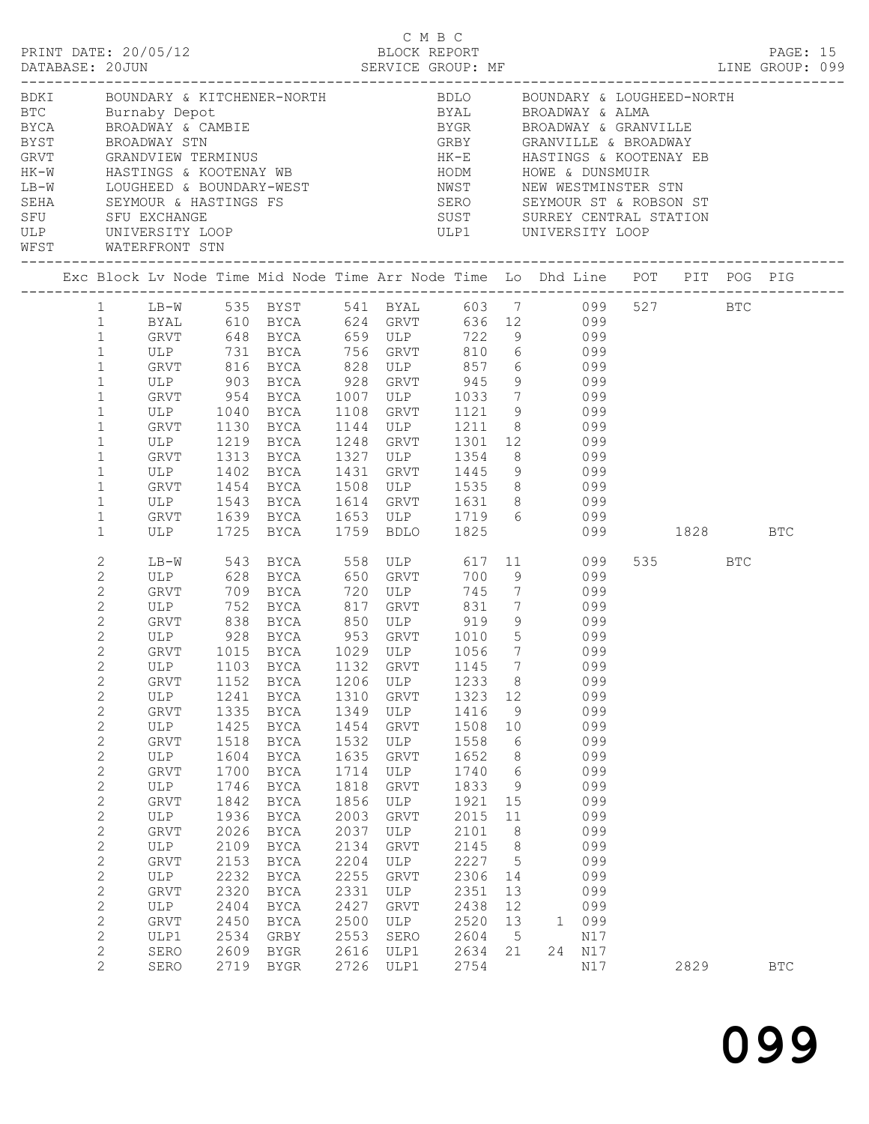| BLOCK REPORT<br>PRINT DATE: 20/05/12<br>PAGE: 15<br>BDKI     BOUNDARY & KITCHENER-NORTH       BDLO   BOUNDARY & LOUGHEED-NORTH<br>ETC Burnaby Depot BYAL BROADWAY & ALMA<br>BYCA BROADWAY & CAMBIE BYGR BROADWAY & GRANVILLE<br>BYST BROADWAY STN GRBY GRANVILLE & BROADWAY STN GRBY GRANVILLE & BROADWAY<br>GRVT GRANDVIEW TERMINUS HK-E HASTINGS & KOOTENAY EB<br>BYST BROADWAY STN GRBY GRANVILLE & BROADWAY STN GRVT GRANDVIEW TERMINUS<br>GRVT GRANDVIEW TERMINUS WB HK-E HASTINGS & KOOTE<br>HK-W HASTINGS & KOOTENAY WB HODM HOWE & DUNSMUIR<br>LB-W LOUGHEED & BOUNDARY-WEST NEWST NEW WESTMINSTER STN SEHA SEYMOUR & HASTINGS FS SERO SEYMOUR ST & ROBSON ST<br>SEHA SEYMOUR & HASTINGS FS SERO SEYMOUR ST & ROBSON ST<br>SFU SFU EXCHANGE SUST SURREY CENTRAL STATION<br>WFST WATERFRONT STN<br>Exc Block Lv Node Time Mid Node Time Arr Node Time Lo Dhd Line POT PIT POG PIG<br>1 LB-W 535 BYST 541 BYAL 603 7 099 527 BTC<br>BYAL 610 BYCA 624 GRVT 636 12 099<br>GRVT 648 BYCA 659 ULP 722 9 099<br>1<br>$\mathbf{1}$<br>ULP 731 BYCA 756 GRVT 810 6 099<br>$\mathbf{1}$<br>GRVT 816 BYCA 828 ULP 857 6 099<br>$\mathbf{1}$<br>ULP 903 BYCA 928 GRVT 945 9 099<br>GRVT 954 BYCA 1007 ULP 1033 7 099<br>$\mathbf{1}$<br>$\mathbf{1}$<br>1040 BYCA 1108 GRVT 1121 9 099<br>ULP<br>$\mathbf{1}$<br>$\mathbf{1}$<br>GRVT 1130 BYCA 1144 ULP 1211 8 099<br>ULP 1219 BYCA<br>GRVT 1313 BYCA<br>1248 GRVT 1301 12 099<br>1327 ULP 1354 8 099<br>$\mathbf{1}$<br>$\mathbf{1}$<br>ULP 1402 BYCA 1431 GRVT 1445 9 099<br>$\mathbf{1}$<br>GRVT 1454 BYCA 1508 ULP 1535 8 099<br>$\mathbf{1}$<br>ULP 1543 BYCA 1614 GRVT 1631 8 099<br>GRVT 1639 BYCA 1653 ULP 1719 6 099<br>ULP 1725 BYCA 1759 BDLO 1825 099<br>$\mathbf{1}$<br>$\mathbf{1}$<br>099<br>099 1828 BTC<br>$\mathbf{1}$<br>543 BYCA 558 ULP 617 11 099<br>2<br>535 7<br>LB-W<br>BTC<br>$\mathbf{2}$<br>700 9<br>099<br>745 7 099<br>2<br>ULP 752 BYCA 817 GRVT 831 7 099<br>$\overline{2}$<br>$\overline{2}$<br>GRVT 838 BYCA 850 ULP 919 9 099<br>ULP 928 BYCA 953 GRVT 1010 5 099<br>GRVT 1015 BYCA 1029 ULP 1056 7 099<br>$\overline{c}$<br>$\overline{2}$<br>$\mathbf{2}$<br>ULP 1103 BYCA 1132 GRVT 1145 7 099<br>$\mathbf{2}$<br>8 <sup>8</sup><br>1206<br>1233<br>099<br>GRVT<br>1152<br>BYCA<br>ULP<br>$\mathbf{2}$<br>1310<br>099<br>ULP<br>1241<br>1323<br>12<br>BYCA<br>GRVT<br>$\mathbf{2}$<br>1349<br>1335<br>1416<br>099<br><b>GRVT</b><br>BYCA<br>ULP<br>9<br>$\mathbf{2}$<br>1425<br>1454<br>1508<br>099<br>ULP<br>BYCA<br>GRVT<br>10<br>$\mathbf{2}$<br>1532<br>099<br>GRVT<br>1518<br><b>BYCA</b><br>ULP<br>1558<br>6<br>$\sqrt{2}$<br>1635<br>099<br>ULP<br>1604<br>BYCA<br>GRVT<br>1652<br>8<br>$\sqrt{2}$<br>$6\,$<br>099<br>GRVT<br>1700<br>BYCA<br>1714<br>ULP<br>1740<br>2<br>099<br>ULP<br>1746<br>BYCA<br>1818<br>GRVT<br>1833<br>- 9<br>$\mathbf{2}$<br>1842<br>1856<br>1921<br>099<br>GRVT<br>BYCA<br>ULP<br>15<br>$\mathbf{2}$<br>1936<br>2003<br>2015<br>099<br>ULP<br>BYCA<br>GRVT<br>11<br>$\mathbf{2}$<br>2026<br>2037<br>2101<br>8<br>099<br>GRVT<br>BYCA<br>ULP<br>$\mathbf{2}$<br>2109<br>2134<br>2145<br>8<br>099<br>ULP<br>BYCA<br>GRVT<br>$\mathbf{2}$<br>2204<br>2227<br>$\overline{5}$<br>099<br>GRVT<br>2153<br>BYCA<br>ULP<br>$\mathbf{2}$<br>2232<br>2255<br>2306<br>099<br>ULP<br>BYCA<br>${\tt GRVT}$<br>14<br>$\mathbf{2}$<br>2320<br>2331<br>2351<br>099<br><b>GRVT</b><br>BYCA<br>ULP<br>13<br>$\mathbf{2}$<br>2404<br>2427<br>2438<br>099<br>ULP<br>BYCA<br>GRVT<br>12<br>$\mathbf{2}$<br>2500<br>099<br>GRVT<br>2450<br>BYCA<br>ULP<br>2520<br>13<br>1<br>2<br>2534<br>2553<br>2604<br>ULP1<br>GRBY<br>SERO<br>$5\overline{)}$<br>N17<br>$\mathbf{2}$<br>2609<br>2616<br>2634<br>24 N17<br>SERO<br>BYGR<br>ULP1<br>21<br>2<br>2719 BYGR<br>2726<br>2754<br>2829<br>SERO<br>ULP1<br>N17<br><b>BTC</b> |  |  |  | C M B C |  |  |  |  |  |
|------------------------------------------------------------------------------------------------------------------------------------------------------------------------------------------------------------------------------------------------------------------------------------------------------------------------------------------------------------------------------------------------------------------------------------------------------------------------------------------------------------------------------------------------------------------------------------------------------------------------------------------------------------------------------------------------------------------------------------------------------------------------------------------------------------------------------------------------------------------------------------------------------------------------------------------------------------------------------------------------------------------------------------------------------------------------------------------------------------------------------------------------------------------------------------------------------------------------------------------------------------------------------------------------------------------------------------------------------------------------------------------------------------------------------------------------------------------------------------------------------------------------------------------------------------------------------------------------------------------------------------------------------------------------------------------------------------------------------------------------------------------------------------------------------------------------------------------------------------------------------------------------------------------------------------------------------------------------------------------------------------------------------------------------------------------------------------------------------------------------------------------------------------------------------------------------------------------------------------------------------------------------------------------------------------------------------------------------------------------------------------------------------------------------------------------------------------------------------------------------------------------------------------------------------------------------------------------------------------------------------------------------------------------------------------------------------------------------------------------------------------------------------------------------------------------------------------------------------------------------------------------------------------------------------------------------------------------------------------------------------------------------------------------------------------------------------------------------------------------------------------------------------------------------------------------------------------------------------------------------------------------------------------------------------------------------------------------------------------------------------------------------------------------------------------------------------------------------------------------------------------------------------------------------------------------------------------------------------------------------------------------------------------------------------------------------------------------------------------------------------------------------------------------------------------------------|--|--|--|---------|--|--|--|--|--|
|                                                                                                                                                                                                                                                                                                                                                                                                                                                                                                                                                                                                                                                                                                                                                                                                                                                                                                                                                                                                                                                                                                                                                                                                                                                                                                                                                                                                                                                                                                                                                                                                                                                                                                                                                                                                                                                                                                                                                                                                                                                                                                                                                                                                                                                                                                                                                                                                                                                                                                                                                                                                                                                                                                                                                                                                                                                                                                                                                                                                                                                                                                                                                                                                                                                                                                                                                                                                                                                                                                                                                                                                                                                                                                                                                                                                                        |  |  |  |         |  |  |  |  |  |
|                                                                                                                                                                                                                                                                                                                                                                                                                                                                                                                                                                                                                                                                                                                                                                                                                                                                                                                                                                                                                                                                                                                                                                                                                                                                                                                                                                                                                                                                                                                                                                                                                                                                                                                                                                                                                                                                                                                                                                                                                                                                                                                                                                                                                                                                                                                                                                                                                                                                                                                                                                                                                                                                                                                                                                                                                                                                                                                                                                                                                                                                                                                                                                                                                                                                                                                                                                                                                                                                                                                                                                                                                                                                                                                                                                                                                        |  |  |  |         |  |  |  |  |  |
|                                                                                                                                                                                                                                                                                                                                                                                                                                                                                                                                                                                                                                                                                                                                                                                                                                                                                                                                                                                                                                                                                                                                                                                                                                                                                                                                                                                                                                                                                                                                                                                                                                                                                                                                                                                                                                                                                                                                                                                                                                                                                                                                                                                                                                                                                                                                                                                                                                                                                                                                                                                                                                                                                                                                                                                                                                                                                                                                                                                                                                                                                                                                                                                                                                                                                                                                                                                                                                                                                                                                                                                                                                                                                                                                                                                                                        |  |  |  |         |  |  |  |  |  |
|                                                                                                                                                                                                                                                                                                                                                                                                                                                                                                                                                                                                                                                                                                                                                                                                                                                                                                                                                                                                                                                                                                                                                                                                                                                                                                                                                                                                                                                                                                                                                                                                                                                                                                                                                                                                                                                                                                                                                                                                                                                                                                                                                                                                                                                                                                                                                                                                                                                                                                                                                                                                                                                                                                                                                                                                                                                                                                                                                                                                                                                                                                                                                                                                                                                                                                                                                                                                                                                                                                                                                                                                                                                                                                                                                                                                                        |  |  |  |         |  |  |  |  |  |
|                                                                                                                                                                                                                                                                                                                                                                                                                                                                                                                                                                                                                                                                                                                                                                                                                                                                                                                                                                                                                                                                                                                                                                                                                                                                                                                                                                                                                                                                                                                                                                                                                                                                                                                                                                                                                                                                                                                                                                                                                                                                                                                                                                                                                                                                                                                                                                                                                                                                                                                                                                                                                                                                                                                                                                                                                                                                                                                                                                                                                                                                                                                                                                                                                                                                                                                                                                                                                                                                                                                                                                                                                                                                                                                                                                                                                        |  |  |  |         |  |  |  |  |  |
|                                                                                                                                                                                                                                                                                                                                                                                                                                                                                                                                                                                                                                                                                                                                                                                                                                                                                                                                                                                                                                                                                                                                                                                                                                                                                                                                                                                                                                                                                                                                                                                                                                                                                                                                                                                                                                                                                                                                                                                                                                                                                                                                                                                                                                                                                                                                                                                                                                                                                                                                                                                                                                                                                                                                                                                                                                                                                                                                                                                                                                                                                                                                                                                                                                                                                                                                                                                                                                                                                                                                                                                                                                                                                                                                                                                                                        |  |  |  |         |  |  |  |  |  |
|                                                                                                                                                                                                                                                                                                                                                                                                                                                                                                                                                                                                                                                                                                                                                                                                                                                                                                                                                                                                                                                                                                                                                                                                                                                                                                                                                                                                                                                                                                                                                                                                                                                                                                                                                                                                                                                                                                                                                                                                                                                                                                                                                                                                                                                                                                                                                                                                                                                                                                                                                                                                                                                                                                                                                                                                                                                                                                                                                                                                                                                                                                                                                                                                                                                                                                                                                                                                                                                                                                                                                                                                                                                                                                                                                                                                                        |  |  |  |         |  |  |  |  |  |
|                                                                                                                                                                                                                                                                                                                                                                                                                                                                                                                                                                                                                                                                                                                                                                                                                                                                                                                                                                                                                                                                                                                                                                                                                                                                                                                                                                                                                                                                                                                                                                                                                                                                                                                                                                                                                                                                                                                                                                                                                                                                                                                                                                                                                                                                                                                                                                                                                                                                                                                                                                                                                                                                                                                                                                                                                                                                                                                                                                                                                                                                                                                                                                                                                                                                                                                                                                                                                                                                                                                                                                                                                                                                                                                                                                                                                        |  |  |  |         |  |  |  |  |  |
|                                                                                                                                                                                                                                                                                                                                                                                                                                                                                                                                                                                                                                                                                                                                                                                                                                                                                                                                                                                                                                                                                                                                                                                                                                                                                                                                                                                                                                                                                                                                                                                                                                                                                                                                                                                                                                                                                                                                                                                                                                                                                                                                                                                                                                                                                                                                                                                                                                                                                                                                                                                                                                                                                                                                                                                                                                                                                                                                                                                                                                                                                                                                                                                                                                                                                                                                                                                                                                                                                                                                                                                                                                                                                                                                                                                                                        |  |  |  |         |  |  |  |  |  |
|                                                                                                                                                                                                                                                                                                                                                                                                                                                                                                                                                                                                                                                                                                                                                                                                                                                                                                                                                                                                                                                                                                                                                                                                                                                                                                                                                                                                                                                                                                                                                                                                                                                                                                                                                                                                                                                                                                                                                                                                                                                                                                                                                                                                                                                                                                                                                                                                                                                                                                                                                                                                                                                                                                                                                                                                                                                                                                                                                                                                                                                                                                                                                                                                                                                                                                                                                                                                                                                                                                                                                                                                                                                                                                                                                                                                                        |  |  |  |         |  |  |  |  |  |
|                                                                                                                                                                                                                                                                                                                                                                                                                                                                                                                                                                                                                                                                                                                                                                                                                                                                                                                                                                                                                                                                                                                                                                                                                                                                                                                                                                                                                                                                                                                                                                                                                                                                                                                                                                                                                                                                                                                                                                                                                                                                                                                                                                                                                                                                                                                                                                                                                                                                                                                                                                                                                                                                                                                                                                                                                                                                                                                                                                                                                                                                                                                                                                                                                                                                                                                                                                                                                                                                                                                                                                                                                                                                                                                                                                                                                        |  |  |  |         |  |  |  |  |  |
|                                                                                                                                                                                                                                                                                                                                                                                                                                                                                                                                                                                                                                                                                                                                                                                                                                                                                                                                                                                                                                                                                                                                                                                                                                                                                                                                                                                                                                                                                                                                                                                                                                                                                                                                                                                                                                                                                                                                                                                                                                                                                                                                                                                                                                                                                                                                                                                                                                                                                                                                                                                                                                                                                                                                                                                                                                                                                                                                                                                                                                                                                                                                                                                                                                                                                                                                                                                                                                                                                                                                                                                                                                                                                                                                                                                                                        |  |  |  |         |  |  |  |  |  |
|                                                                                                                                                                                                                                                                                                                                                                                                                                                                                                                                                                                                                                                                                                                                                                                                                                                                                                                                                                                                                                                                                                                                                                                                                                                                                                                                                                                                                                                                                                                                                                                                                                                                                                                                                                                                                                                                                                                                                                                                                                                                                                                                                                                                                                                                                                                                                                                                                                                                                                                                                                                                                                                                                                                                                                                                                                                                                                                                                                                                                                                                                                                                                                                                                                                                                                                                                                                                                                                                                                                                                                                                                                                                                                                                                                                                                        |  |  |  |         |  |  |  |  |  |
|                                                                                                                                                                                                                                                                                                                                                                                                                                                                                                                                                                                                                                                                                                                                                                                                                                                                                                                                                                                                                                                                                                                                                                                                                                                                                                                                                                                                                                                                                                                                                                                                                                                                                                                                                                                                                                                                                                                                                                                                                                                                                                                                                                                                                                                                                                                                                                                                                                                                                                                                                                                                                                                                                                                                                                                                                                                                                                                                                                                                                                                                                                                                                                                                                                                                                                                                                                                                                                                                                                                                                                                                                                                                                                                                                                                                                        |  |  |  |         |  |  |  |  |  |
|                                                                                                                                                                                                                                                                                                                                                                                                                                                                                                                                                                                                                                                                                                                                                                                                                                                                                                                                                                                                                                                                                                                                                                                                                                                                                                                                                                                                                                                                                                                                                                                                                                                                                                                                                                                                                                                                                                                                                                                                                                                                                                                                                                                                                                                                                                                                                                                                                                                                                                                                                                                                                                                                                                                                                                                                                                                                                                                                                                                                                                                                                                                                                                                                                                                                                                                                                                                                                                                                                                                                                                                                                                                                                                                                                                                                                        |  |  |  |         |  |  |  |  |  |
|                                                                                                                                                                                                                                                                                                                                                                                                                                                                                                                                                                                                                                                                                                                                                                                                                                                                                                                                                                                                                                                                                                                                                                                                                                                                                                                                                                                                                                                                                                                                                                                                                                                                                                                                                                                                                                                                                                                                                                                                                                                                                                                                                                                                                                                                                                                                                                                                                                                                                                                                                                                                                                                                                                                                                                                                                                                                                                                                                                                                                                                                                                                                                                                                                                                                                                                                                                                                                                                                                                                                                                                                                                                                                                                                                                                                                        |  |  |  |         |  |  |  |  |  |
|                                                                                                                                                                                                                                                                                                                                                                                                                                                                                                                                                                                                                                                                                                                                                                                                                                                                                                                                                                                                                                                                                                                                                                                                                                                                                                                                                                                                                                                                                                                                                                                                                                                                                                                                                                                                                                                                                                                                                                                                                                                                                                                                                                                                                                                                                                                                                                                                                                                                                                                                                                                                                                                                                                                                                                                                                                                                                                                                                                                                                                                                                                                                                                                                                                                                                                                                                                                                                                                                                                                                                                                                                                                                                                                                                                                                                        |  |  |  |         |  |  |  |  |  |
|                                                                                                                                                                                                                                                                                                                                                                                                                                                                                                                                                                                                                                                                                                                                                                                                                                                                                                                                                                                                                                                                                                                                                                                                                                                                                                                                                                                                                                                                                                                                                                                                                                                                                                                                                                                                                                                                                                                                                                                                                                                                                                                                                                                                                                                                                                                                                                                                                                                                                                                                                                                                                                                                                                                                                                                                                                                                                                                                                                                                                                                                                                                                                                                                                                                                                                                                                                                                                                                                                                                                                                                                                                                                                                                                                                                                                        |  |  |  |         |  |  |  |  |  |
|                                                                                                                                                                                                                                                                                                                                                                                                                                                                                                                                                                                                                                                                                                                                                                                                                                                                                                                                                                                                                                                                                                                                                                                                                                                                                                                                                                                                                                                                                                                                                                                                                                                                                                                                                                                                                                                                                                                                                                                                                                                                                                                                                                                                                                                                                                                                                                                                                                                                                                                                                                                                                                                                                                                                                                                                                                                                                                                                                                                                                                                                                                                                                                                                                                                                                                                                                                                                                                                                                                                                                                                                                                                                                                                                                                                                                        |  |  |  |         |  |  |  |  |  |
|                                                                                                                                                                                                                                                                                                                                                                                                                                                                                                                                                                                                                                                                                                                                                                                                                                                                                                                                                                                                                                                                                                                                                                                                                                                                                                                                                                                                                                                                                                                                                                                                                                                                                                                                                                                                                                                                                                                                                                                                                                                                                                                                                                                                                                                                                                                                                                                                                                                                                                                                                                                                                                                                                                                                                                                                                                                                                                                                                                                                                                                                                                                                                                                                                                                                                                                                                                                                                                                                                                                                                                                                                                                                                                                                                                                                                        |  |  |  |         |  |  |  |  |  |
|                                                                                                                                                                                                                                                                                                                                                                                                                                                                                                                                                                                                                                                                                                                                                                                                                                                                                                                                                                                                                                                                                                                                                                                                                                                                                                                                                                                                                                                                                                                                                                                                                                                                                                                                                                                                                                                                                                                                                                                                                                                                                                                                                                                                                                                                                                                                                                                                                                                                                                                                                                                                                                                                                                                                                                                                                                                                                                                                                                                                                                                                                                                                                                                                                                                                                                                                                                                                                                                                                                                                                                                                                                                                                                                                                                                                                        |  |  |  |         |  |  |  |  |  |
|                                                                                                                                                                                                                                                                                                                                                                                                                                                                                                                                                                                                                                                                                                                                                                                                                                                                                                                                                                                                                                                                                                                                                                                                                                                                                                                                                                                                                                                                                                                                                                                                                                                                                                                                                                                                                                                                                                                                                                                                                                                                                                                                                                                                                                                                                                                                                                                                                                                                                                                                                                                                                                                                                                                                                                                                                                                                                                                                                                                                                                                                                                                                                                                                                                                                                                                                                                                                                                                                                                                                                                                                                                                                                                                                                                                                                        |  |  |  |         |  |  |  |  |  |
|                                                                                                                                                                                                                                                                                                                                                                                                                                                                                                                                                                                                                                                                                                                                                                                                                                                                                                                                                                                                                                                                                                                                                                                                                                                                                                                                                                                                                                                                                                                                                                                                                                                                                                                                                                                                                                                                                                                                                                                                                                                                                                                                                                                                                                                                                                                                                                                                                                                                                                                                                                                                                                                                                                                                                                                                                                                                                                                                                                                                                                                                                                                                                                                                                                                                                                                                                                                                                                                                                                                                                                                                                                                                                                                                                                                                                        |  |  |  |         |  |  |  |  |  |
|                                                                                                                                                                                                                                                                                                                                                                                                                                                                                                                                                                                                                                                                                                                                                                                                                                                                                                                                                                                                                                                                                                                                                                                                                                                                                                                                                                                                                                                                                                                                                                                                                                                                                                                                                                                                                                                                                                                                                                                                                                                                                                                                                                                                                                                                                                                                                                                                                                                                                                                                                                                                                                                                                                                                                                                                                                                                                                                                                                                                                                                                                                                                                                                                                                                                                                                                                                                                                                                                                                                                                                                                                                                                                                                                                                                                                        |  |  |  |         |  |  |  |  |  |
|                                                                                                                                                                                                                                                                                                                                                                                                                                                                                                                                                                                                                                                                                                                                                                                                                                                                                                                                                                                                                                                                                                                                                                                                                                                                                                                                                                                                                                                                                                                                                                                                                                                                                                                                                                                                                                                                                                                                                                                                                                                                                                                                                                                                                                                                                                                                                                                                                                                                                                                                                                                                                                                                                                                                                                                                                                                                                                                                                                                                                                                                                                                                                                                                                                                                                                                                                                                                                                                                                                                                                                                                                                                                                                                                                                                                                        |  |  |  |         |  |  |  |  |  |
|                                                                                                                                                                                                                                                                                                                                                                                                                                                                                                                                                                                                                                                                                                                                                                                                                                                                                                                                                                                                                                                                                                                                                                                                                                                                                                                                                                                                                                                                                                                                                                                                                                                                                                                                                                                                                                                                                                                                                                                                                                                                                                                                                                                                                                                                                                                                                                                                                                                                                                                                                                                                                                                                                                                                                                                                                                                                                                                                                                                                                                                                                                                                                                                                                                                                                                                                                                                                                                                                                                                                                                                                                                                                                                                                                                                                                        |  |  |  |         |  |  |  |  |  |
|                                                                                                                                                                                                                                                                                                                                                                                                                                                                                                                                                                                                                                                                                                                                                                                                                                                                                                                                                                                                                                                                                                                                                                                                                                                                                                                                                                                                                                                                                                                                                                                                                                                                                                                                                                                                                                                                                                                                                                                                                                                                                                                                                                                                                                                                                                                                                                                                                                                                                                                                                                                                                                                                                                                                                                                                                                                                                                                                                                                                                                                                                                                                                                                                                                                                                                                                                                                                                                                                                                                                                                                                                                                                                                                                                                                                                        |  |  |  |         |  |  |  |  |  |
|                                                                                                                                                                                                                                                                                                                                                                                                                                                                                                                                                                                                                                                                                                                                                                                                                                                                                                                                                                                                                                                                                                                                                                                                                                                                                                                                                                                                                                                                                                                                                                                                                                                                                                                                                                                                                                                                                                                                                                                                                                                                                                                                                                                                                                                                                                                                                                                                                                                                                                                                                                                                                                                                                                                                                                                                                                                                                                                                                                                                                                                                                                                                                                                                                                                                                                                                                                                                                                                                                                                                                                                                                                                                                                                                                                                                                        |  |  |  |         |  |  |  |  |  |
|                                                                                                                                                                                                                                                                                                                                                                                                                                                                                                                                                                                                                                                                                                                                                                                                                                                                                                                                                                                                                                                                                                                                                                                                                                                                                                                                                                                                                                                                                                                                                                                                                                                                                                                                                                                                                                                                                                                                                                                                                                                                                                                                                                                                                                                                                                                                                                                                                                                                                                                                                                                                                                                                                                                                                                                                                                                                                                                                                                                                                                                                                                                                                                                                                                                                                                                                                                                                                                                                                                                                                                                                                                                                                                                                                                                                                        |  |  |  |         |  |  |  |  |  |
|                                                                                                                                                                                                                                                                                                                                                                                                                                                                                                                                                                                                                                                                                                                                                                                                                                                                                                                                                                                                                                                                                                                                                                                                                                                                                                                                                                                                                                                                                                                                                                                                                                                                                                                                                                                                                                                                                                                                                                                                                                                                                                                                                                                                                                                                                                                                                                                                                                                                                                                                                                                                                                                                                                                                                                                                                                                                                                                                                                                                                                                                                                                                                                                                                                                                                                                                                                                                                                                                                                                                                                                                                                                                                                                                                                                                                        |  |  |  |         |  |  |  |  |  |
|                                                                                                                                                                                                                                                                                                                                                                                                                                                                                                                                                                                                                                                                                                                                                                                                                                                                                                                                                                                                                                                                                                                                                                                                                                                                                                                                                                                                                                                                                                                                                                                                                                                                                                                                                                                                                                                                                                                                                                                                                                                                                                                                                                                                                                                                                                                                                                                                                                                                                                                                                                                                                                                                                                                                                                                                                                                                                                                                                                                                                                                                                                                                                                                                                                                                                                                                                                                                                                                                                                                                                                                                                                                                                                                                                                                                                        |  |  |  |         |  |  |  |  |  |
|                                                                                                                                                                                                                                                                                                                                                                                                                                                                                                                                                                                                                                                                                                                                                                                                                                                                                                                                                                                                                                                                                                                                                                                                                                                                                                                                                                                                                                                                                                                                                                                                                                                                                                                                                                                                                                                                                                                                                                                                                                                                                                                                                                                                                                                                                                                                                                                                                                                                                                                                                                                                                                                                                                                                                                                                                                                                                                                                                                                                                                                                                                                                                                                                                                                                                                                                                                                                                                                                                                                                                                                                                                                                                                                                                                                                                        |  |  |  |         |  |  |  |  |  |
|                                                                                                                                                                                                                                                                                                                                                                                                                                                                                                                                                                                                                                                                                                                                                                                                                                                                                                                                                                                                                                                                                                                                                                                                                                                                                                                                                                                                                                                                                                                                                                                                                                                                                                                                                                                                                                                                                                                                                                                                                                                                                                                                                                                                                                                                                                                                                                                                                                                                                                                                                                                                                                                                                                                                                                                                                                                                                                                                                                                                                                                                                                                                                                                                                                                                                                                                                                                                                                                                                                                                                                                                                                                                                                                                                                                                                        |  |  |  |         |  |  |  |  |  |
|                                                                                                                                                                                                                                                                                                                                                                                                                                                                                                                                                                                                                                                                                                                                                                                                                                                                                                                                                                                                                                                                                                                                                                                                                                                                                                                                                                                                                                                                                                                                                                                                                                                                                                                                                                                                                                                                                                                                                                                                                                                                                                                                                                                                                                                                                                                                                                                                                                                                                                                                                                                                                                                                                                                                                                                                                                                                                                                                                                                                                                                                                                                                                                                                                                                                                                                                                                                                                                                                                                                                                                                                                                                                                                                                                                                                                        |  |  |  |         |  |  |  |  |  |
|                                                                                                                                                                                                                                                                                                                                                                                                                                                                                                                                                                                                                                                                                                                                                                                                                                                                                                                                                                                                                                                                                                                                                                                                                                                                                                                                                                                                                                                                                                                                                                                                                                                                                                                                                                                                                                                                                                                                                                                                                                                                                                                                                                                                                                                                                                                                                                                                                                                                                                                                                                                                                                                                                                                                                                                                                                                                                                                                                                                                                                                                                                                                                                                                                                                                                                                                                                                                                                                                                                                                                                                                                                                                                                                                                                                                                        |  |  |  |         |  |  |  |  |  |
|                                                                                                                                                                                                                                                                                                                                                                                                                                                                                                                                                                                                                                                                                                                                                                                                                                                                                                                                                                                                                                                                                                                                                                                                                                                                                                                                                                                                                                                                                                                                                                                                                                                                                                                                                                                                                                                                                                                                                                                                                                                                                                                                                                                                                                                                                                                                                                                                                                                                                                                                                                                                                                                                                                                                                                                                                                                                                                                                                                                                                                                                                                                                                                                                                                                                                                                                                                                                                                                                                                                                                                                                                                                                                                                                                                                                                        |  |  |  |         |  |  |  |  |  |
|                                                                                                                                                                                                                                                                                                                                                                                                                                                                                                                                                                                                                                                                                                                                                                                                                                                                                                                                                                                                                                                                                                                                                                                                                                                                                                                                                                                                                                                                                                                                                                                                                                                                                                                                                                                                                                                                                                                                                                                                                                                                                                                                                                                                                                                                                                                                                                                                                                                                                                                                                                                                                                                                                                                                                                                                                                                                                                                                                                                                                                                                                                                                                                                                                                                                                                                                                                                                                                                                                                                                                                                                                                                                                                                                                                                                                        |  |  |  |         |  |  |  |  |  |
|                                                                                                                                                                                                                                                                                                                                                                                                                                                                                                                                                                                                                                                                                                                                                                                                                                                                                                                                                                                                                                                                                                                                                                                                                                                                                                                                                                                                                                                                                                                                                                                                                                                                                                                                                                                                                                                                                                                                                                                                                                                                                                                                                                                                                                                                                                                                                                                                                                                                                                                                                                                                                                                                                                                                                                                                                                                                                                                                                                                                                                                                                                                                                                                                                                                                                                                                                                                                                                                                                                                                                                                                                                                                                                                                                                                                                        |  |  |  |         |  |  |  |  |  |
|                                                                                                                                                                                                                                                                                                                                                                                                                                                                                                                                                                                                                                                                                                                                                                                                                                                                                                                                                                                                                                                                                                                                                                                                                                                                                                                                                                                                                                                                                                                                                                                                                                                                                                                                                                                                                                                                                                                                                                                                                                                                                                                                                                                                                                                                                                                                                                                                                                                                                                                                                                                                                                                                                                                                                                                                                                                                                                                                                                                                                                                                                                                                                                                                                                                                                                                                                                                                                                                                                                                                                                                                                                                                                                                                                                                                                        |  |  |  |         |  |  |  |  |  |
|                                                                                                                                                                                                                                                                                                                                                                                                                                                                                                                                                                                                                                                                                                                                                                                                                                                                                                                                                                                                                                                                                                                                                                                                                                                                                                                                                                                                                                                                                                                                                                                                                                                                                                                                                                                                                                                                                                                                                                                                                                                                                                                                                                                                                                                                                                                                                                                                                                                                                                                                                                                                                                                                                                                                                                                                                                                                                                                                                                                                                                                                                                                                                                                                                                                                                                                                                                                                                                                                                                                                                                                                                                                                                                                                                                                                                        |  |  |  |         |  |  |  |  |  |
|                                                                                                                                                                                                                                                                                                                                                                                                                                                                                                                                                                                                                                                                                                                                                                                                                                                                                                                                                                                                                                                                                                                                                                                                                                                                                                                                                                                                                                                                                                                                                                                                                                                                                                                                                                                                                                                                                                                                                                                                                                                                                                                                                                                                                                                                                                                                                                                                                                                                                                                                                                                                                                                                                                                                                                                                                                                                                                                                                                                                                                                                                                                                                                                                                                                                                                                                                                                                                                                                                                                                                                                                                                                                                                                                                                                                                        |  |  |  |         |  |  |  |  |  |
|                                                                                                                                                                                                                                                                                                                                                                                                                                                                                                                                                                                                                                                                                                                                                                                                                                                                                                                                                                                                                                                                                                                                                                                                                                                                                                                                                                                                                                                                                                                                                                                                                                                                                                                                                                                                                                                                                                                                                                                                                                                                                                                                                                                                                                                                                                                                                                                                                                                                                                                                                                                                                                                                                                                                                                                                                                                                                                                                                                                                                                                                                                                                                                                                                                                                                                                                                                                                                                                                                                                                                                                                                                                                                                                                                                                                                        |  |  |  |         |  |  |  |  |  |
|                                                                                                                                                                                                                                                                                                                                                                                                                                                                                                                                                                                                                                                                                                                                                                                                                                                                                                                                                                                                                                                                                                                                                                                                                                                                                                                                                                                                                                                                                                                                                                                                                                                                                                                                                                                                                                                                                                                                                                                                                                                                                                                                                                                                                                                                                                                                                                                                                                                                                                                                                                                                                                                                                                                                                                                                                                                                                                                                                                                                                                                                                                                                                                                                                                                                                                                                                                                                                                                                                                                                                                                                                                                                                                                                                                                                                        |  |  |  |         |  |  |  |  |  |
|                                                                                                                                                                                                                                                                                                                                                                                                                                                                                                                                                                                                                                                                                                                                                                                                                                                                                                                                                                                                                                                                                                                                                                                                                                                                                                                                                                                                                                                                                                                                                                                                                                                                                                                                                                                                                                                                                                                                                                                                                                                                                                                                                                                                                                                                                                                                                                                                                                                                                                                                                                                                                                                                                                                                                                                                                                                                                                                                                                                                                                                                                                                                                                                                                                                                                                                                                                                                                                                                                                                                                                                                                                                                                                                                                                                                                        |  |  |  |         |  |  |  |  |  |
|                                                                                                                                                                                                                                                                                                                                                                                                                                                                                                                                                                                                                                                                                                                                                                                                                                                                                                                                                                                                                                                                                                                                                                                                                                                                                                                                                                                                                                                                                                                                                                                                                                                                                                                                                                                                                                                                                                                                                                                                                                                                                                                                                                                                                                                                                                                                                                                                                                                                                                                                                                                                                                                                                                                                                                                                                                                                                                                                                                                                                                                                                                                                                                                                                                                                                                                                                                                                                                                                                                                                                                                                                                                                                                                                                                                                                        |  |  |  |         |  |  |  |  |  |
|                                                                                                                                                                                                                                                                                                                                                                                                                                                                                                                                                                                                                                                                                                                                                                                                                                                                                                                                                                                                                                                                                                                                                                                                                                                                                                                                                                                                                                                                                                                                                                                                                                                                                                                                                                                                                                                                                                                                                                                                                                                                                                                                                                                                                                                                                                                                                                                                                                                                                                                                                                                                                                                                                                                                                                                                                                                                                                                                                                                                                                                                                                                                                                                                                                                                                                                                                                                                                                                                                                                                                                                                                                                                                                                                                                                                                        |  |  |  |         |  |  |  |  |  |
|                                                                                                                                                                                                                                                                                                                                                                                                                                                                                                                                                                                                                                                                                                                                                                                                                                                                                                                                                                                                                                                                                                                                                                                                                                                                                                                                                                                                                                                                                                                                                                                                                                                                                                                                                                                                                                                                                                                                                                                                                                                                                                                                                                                                                                                                                                                                                                                                                                                                                                                                                                                                                                                                                                                                                                                                                                                                                                                                                                                                                                                                                                                                                                                                                                                                                                                                                                                                                                                                                                                                                                                                                                                                                                                                                                                                                        |  |  |  |         |  |  |  |  |  |
|                                                                                                                                                                                                                                                                                                                                                                                                                                                                                                                                                                                                                                                                                                                                                                                                                                                                                                                                                                                                                                                                                                                                                                                                                                                                                                                                                                                                                                                                                                                                                                                                                                                                                                                                                                                                                                                                                                                                                                                                                                                                                                                                                                                                                                                                                                                                                                                                                                                                                                                                                                                                                                                                                                                                                                                                                                                                                                                                                                                                                                                                                                                                                                                                                                                                                                                                                                                                                                                                                                                                                                                                                                                                                                                                                                                                                        |  |  |  |         |  |  |  |  |  |
|                                                                                                                                                                                                                                                                                                                                                                                                                                                                                                                                                                                                                                                                                                                                                                                                                                                                                                                                                                                                                                                                                                                                                                                                                                                                                                                                                                                                                                                                                                                                                                                                                                                                                                                                                                                                                                                                                                                                                                                                                                                                                                                                                                                                                                                                                                                                                                                                                                                                                                                                                                                                                                                                                                                                                                                                                                                                                                                                                                                                                                                                                                                                                                                                                                                                                                                                                                                                                                                                                                                                                                                                                                                                                                                                                                                                                        |  |  |  |         |  |  |  |  |  |
|                                                                                                                                                                                                                                                                                                                                                                                                                                                                                                                                                                                                                                                                                                                                                                                                                                                                                                                                                                                                                                                                                                                                                                                                                                                                                                                                                                                                                                                                                                                                                                                                                                                                                                                                                                                                                                                                                                                                                                                                                                                                                                                                                                                                                                                                                                                                                                                                                                                                                                                                                                                                                                                                                                                                                                                                                                                                                                                                                                                                                                                                                                                                                                                                                                                                                                                                                                                                                                                                                                                                                                                                                                                                                                                                                                                                                        |  |  |  |         |  |  |  |  |  |
|                                                                                                                                                                                                                                                                                                                                                                                                                                                                                                                                                                                                                                                                                                                                                                                                                                                                                                                                                                                                                                                                                                                                                                                                                                                                                                                                                                                                                                                                                                                                                                                                                                                                                                                                                                                                                                                                                                                                                                                                                                                                                                                                                                                                                                                                                                                                                                                                                                                                                                                                                                                                                                                                                                                                                                                                                                                                                                                                                                                                                                                                                                                                                                                                                                                                                                                                                                                                                                                                                                                                                                                                                                                                                                                                                                                                                        |  |  |  |         |  |  |  |  |  |
|                                                                                                                                                                                                                                                                                                                                                                                                                                                                                                                                                                                                                                                                                                                                                                                                                                                                                                                                                                                                                                                                                                                                                                                                                                                                                                                                                                                                                                                                                                                                                                                                                                                                                                                                                                                                                                                                                                                                                                                                                                                                                                                                                                                                                                                                                                                                                                                                                                                                                                                                                                                                                                                                                                                                                                                                                                                                                                                                                                                                                                                                                                                                                                                                                                                                                                                                                                                                                                                                                                                                                                                                                                                                                                                                                                                                                        |  |  |  |         |  |  |  |  |  |
|                                                                                                                                                                                                                                                                                                                                                                                                                                                                                                                                                                                                                                                                                                                                                                                                                                                                                                                                                                                                                                                                                                                                                                                                                                                                                                                                                                                                                                                                                                                                                                                                                                                                                                                                                                                                                                                                                                                                                                                                                                                                                                                                                                                                                                                                                                                                                                                                                                                                                                                                                                                                                                                                                                                                                                                                                                                                                                                                                                                                                                                                                                                                                                                                                                                                                                                                                                                                                                                                                                                                                                                                                                                                                                                                                                                                                        |  |  |  |         |  |  |  |  |  |
|                                                                                                                                                                                                                                                                                                                                                                                                                                                                                                                                                                                                                                                                                                                                                                                                                                                                                                                                                                                                                                                                                                                                                                                                                                                                                                                                                                                                                                                                                                                                                                                                                                                                                                                                                                                                                                                                                                                                                                                                                                                                                                                                                                                                                                                                                                                                                                                                                                                                                                                                                                                                                                                                                                                                                                                                                                                                                                                                                                                                                                                                                                                                                                                                                                                                                                                                                                                                                                                                                                                                                                                                                                                                                                                                                                                                                        |  |  |  |         |  |  |  |  |  |
|                                                                                                                                                                                                                                                                                                                                                                                                                                                                                                                                                                                                                                                                                                                                                                                                                                                                                                                                                                                                                                                                                                                                                                                                                                                                                                                                                                                                                                                                                                                                                                                                                                                                                                                                                                                                                                                                                                                                                                                                                                                                                                                                                                                                                                                                                                                                                                                                                                                                                                                                                                                                                                                                                                                                                                                                                                                                                                                                                                                                                                                                                                                                                                                                                                                                                                                                                                                                                                                                                                                                                                                                                                                                                                                                                                                                                        |  |  |  |         |  |  |  |  |  |
|                                                                                                                                                                                                                                                                                                                                                                                                                                                                                                                                                                                                                                                                                                                                                                                                                                                                                                                                                                                                                                                                                                                                                                                                                                                                                                                                                                                                                                                                                                                                                                                                                                                                                                                                                                                                                                                                                                                                                                                                                                                                                                                                                                                                                                                                                                                                                                                                                                                                                                                                                                                                                                                                                                                                                                                                                                                                                                                                                                                                                                                                                                                                                                                                                                                                                                                                                                                                                                                                                                                                                                                                                                                                                                                                                                                                                        |  |  |  |         |  |  |  |  |  |
|                                                                                                                                                                                                                                                                                                                                                                                                                                                                                                                                                                                                                                                                                                                                                                                                                                                                                                                                                                                                                                                                                                                                                                                                                                                                                                                                                                                                                                                                                                                                                                                                                                                                                                                                                                                                                                                                                                                                                                                                                                                                                                                                                                                                                                                                                                                                                                                                                                                                                                                                                                                                                                                                                                                                                                                                                                                                                                                                                                                                                                                                                                                                                                                                                                                                                                                                                                                                                                                                                                                                                                                                                                                                                                                                                                                                                        |  |  |  |         |  |  |  |  |  |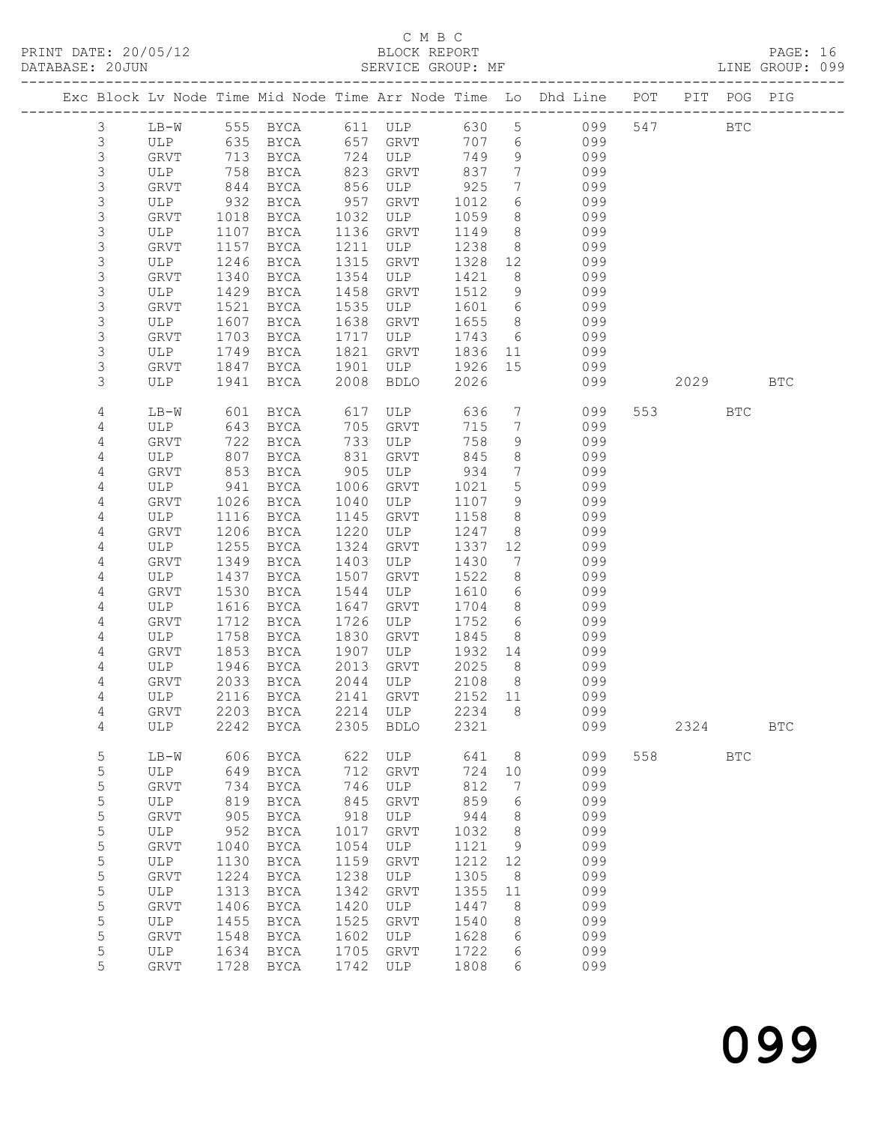## C M B C<br>BLOCK REPORT

| DATABASE: 20JUN |                |         |      |           |      | SERVICE GROUP: MF    |         |                              |                                                                                |        |            | LINE GROUP: 099 |  |
|-----------------|----------------|---------|------|-----------|------|----------------------|---------|------------------------------|--------------------------------------------------------------------------------|--------|------------|-----------------|--|
|                 |                |         |      |           |      |                      |         |                              | Exc Block Lv Node Time Mid Node Time Arr Node Time Lo Dhd Line POT PIT POG PIG |        |            |                 |  |
|                 | 3              |         |      |           |      |                      |         |                              | LB-W 555 BYCA 611 ULP 630 5 099 547 BTC                                        |        |            |                 |  |
|                 | 3              | ULP 635 |      |           |      | BYCA 657 GRVT        |         |                              | 707 6 099                                                                      |        |            |                 |  |
|                 | 3              | GRVT    | 713  | BYCA      |      | 724 ULP              | 749     | 9                            | 099                                                                            |        |            |                 |  |
|                 | 3              | ULP     | 758  | BYCA      | 823  | GRVT                 | 837     | $7\phantom{.0}\phantom{.0}7$ | 099                                                                            |        |            |                 |  |
|                 | 3              | GRVT    | 844  | BYCA      | 856  | $ULP$ 925            |         | $7\overline{ }$              | 099                                                                            |        |            |                 |  |
|                 | 3              | ULP     | 932  | BYCA      | 957  | GRVT                 | 1012    | 6                            | 099                                                                            |        |            |                 |  |
|                 | 3              | GRVT    | 1018 | BYCA      | 1032 | ULP                  | 1059    | 8                            | 099                                                                            |        |            |                 |  |
|                 | 3              | ULP     | 1107 | BYCA      | 1136 | GRVT                 | 1149    | 8 <sup>8</sup>               | 099                                                                            |        |            |                 |  |
|                 | 3              | GRVT    | 1157 | BYCA      | 1211 | ULP                  | 1238    | 8 <sup>8</sup>               | 099                                                                            |        |            |                 |  |
|                 | 3              | ULP     | 1246 | BYCA      | 1315 | GRVT                 | 1328 12 |                              | 099                                                                            |        |            |                 |  |
|                 | 3              |         |      |           | 1354 | ULP                  | 1421    | 8                            | 099                                                                            |        |            |                 |  |
|                 |                | GRVT    | 1340 | BYCA      |      |                      |         | 9                            |                                                                                |        |            |                 |  |
|                 | 3              | ULP     | 1429 | BYCA      | 1458 | GRVT                 | 1512    |                              | 099                                                                            |        |            |                 |  |
|                 | 3              | GRVT    | 1521 | BYCA      | 1535 | ULP                  | 1601    | $6\overline{6}$              | 099                                                                            |        |            |                 |  |
|                 | 3              | ULP     | 1607 | BYCA      | 1638 | GRVT                 | 1655    | 8 <sup>8</sup>               | 099                                                                            |        |            |                 |  |
|                 | 3              | GRVT    | 1703 | BYCA      | 1717 | ULP                  | 1743    | 6                            | 099                                                                            |        |            |                 |  |
|                 | 3              | ULP     | 1749 | BYCA      | 1821 | GRVT                 | 1836    | 11                           | 099                                                                            |        |            |                 |  |
|                 | 3              | GRVT    | 1847 | BYCA      | 1901 | ULP                  | 1926    | 15                           | 099                                                                            |        |            |                 |  |
|                 | 3              | ULP     | 1941 | BYCA      | 2008 | BDLO                 | 2026    |                              | 099                                                                            | 2029   |            | <b>BTC</b>      |  |
|                 | 4              | LB-W    | 601  | BYCA      |      | 617 ULP              | 636     | $7\overline{ }$              | 099                                                                            |        | <b>BTC</b> |                 |  |
|                 | 4              | ULP     | 643  | BYCA      | 705  | GRVT                 | 715     | $7\overline{ }$              | 099                                                                            |        |            |                 |  |
|                 | 4              | GRVT    | 722  | BYCA      | 733  | ULP                  | 758     | 9                            | 099                                                                            |        |            |                 |  |
|                 | 4              | ULP     | 807  | BYCA      | 831  | GRVT                 | 845     | 8                            | 099                                                                            |        |            |                 |  |
|                 | 4              | GRVT    | 853  | BYCA      | 905  | ULP                  | 934     | $7\phantom{.0}$              | 099                                                                            |        |            |                 |  |
|                 | 4              | ULP     | 941  | BYCA      | 1006 | GRVT                 | 1021    | $5\phantom{.0}$              | 099                                                                            |        |            |                 |  |
|                 | 4              | GRVT    | 1026 | BYCA      | 1040 | ULP                  | 1107    | 9                            | 099                                                                            |        |            |                 |  |
|                 | 4              | ULP     | 1116 | BYCA      | 1145 | GRVT                 | 1158    | 8                            | 099                                                                            |        |            |                 |  |
|                 | 4              | GRVT    | 1206 | BYCA      | 1220 | ULP                  | 1247    | 8                            | 099                                                                            |        |            |                 |  |
|                 | 4              | ULP     | 1255 | BYCA      | 1324 | GRVT                 | 1337    | 12                           | 099                                                                            |        |            |                 |  |
|                 | 4              | GRVT    | 1349 | BYCA      | 1403 | ULP                  | 1430    | $7\phantom{.0}$              | 099                                                                            |        |            |                 |  |
|                 | 4              | ULP     | 1437 | BYCA      | 1507 | GRVT                 | 1522    | 8                            | 099                                                                            |        |            |                 |  |
|                 | 4              | GRVT    | 1530 | BYCA      | 1544 | ULP                  | 1610    | 6                            | 099                                                                            |        |            |                 |  |
|                 | 4              | ULP     | 1616 | BYCA      | 1647 | GRVT                 | 1704    | 8 <sup>8</sup>               | 099                                                                            |        |            |                 |  |
|                 | 4              | GRVT    | 1712 | BYCA      | 1726 | ULP                  | 1752    | 6                            | 099                                                                            |        |            |                 |  |
|                 | 4              | ULP     | 1758 | BYCA      | 1830 | GRVT                 | 1845    | 8 <sup>8</sup>               | 099                                                                            |        |            |                 |  |
|                 |                |         | 1853 |           | 1907 | ULP                  |         | 14                           | 099                                                                            |        |            |                 |  |
|                 | 4              | GRVT    |      | BYCA      |      |                      | 1932    | 8 <sup>8</sup>               |                                                                                |        |            |                 |  |
|                 | 4              | ULP     | 1946 | BYCA      | 2013 | GRVT<br>$2044$ $ULP$ | 2025    |                              | 099                                                                            |        |            |                 |  |
|                 | 4              | GRVT    |      | 2033 BYCA |      |                      | 2108    | 8 <sup>8</sup>               | 099                                                                            |        |            |                 |  |
|                 | 4              |         |      |           |      |                      |         |                              | ULP 2116 BYCA 2141 GRVT 2152 11 099                                            |        |            |                 |  |
|                 | 4              | GRVT    |      | 2203 BYCA | 2214 | ULP                  | 2234    | - 8                          | 099                                                                            |        |            |                 |  |
|                 | 4              | ULP     |      | 2242 BYCA | 2305 | BDLO                 | 2321    |                              | 099                                                                            | 2324   |            | <b>BTC</b>      |  |
|                 | $\overline{5}$ | LB-W    | 606  | BYCA      | 622  | ULP                  | 641     | - 8                          | 099                                                                            | 558 30 | <b>BTC</b> |                 |  |
|                 | 5              | ULP     | 649  | BYCA      | 712  | GRVT                 | 724     | 10                           | 099                                                                            |        |            |                 |  |
|                 | $\mathsf S$    | GRVT    | 734  | BYCA      | 746  | ULP                  | 812     | 7                            | 099                                                                            |        |            |                 |  |
|                 | $\mathsf S$    | ULP     | 819  | BYCA      | 845  | GRVT                 | 859     | 6                            | 099                                                                            |        |            |                 |  |
|                 | 5              | GRVT    | 905  | BYCA      | 918  | ULP                  | 944     | 8                            | 099                                                                            |        |            |                 |  |
|                 | 5              | ULP     | 952  | BYCA      | 1017 | GRVT                 | 1032    | 8                            | 099                                                                            |        |            |                 |  |
|                 | $\mathsf S$    | GRVT    | 1040 | BYCA      | 1054 | ULP                  | 1121    | 9                            | 099                                                                            |        |            |                 |  |
|                 | $\mathsf S$    | ULP     | 1130 | BYCA      | 1159 | GRVT                 | 1212    | 12                           | 099                                                                            |        |            |                 |  |
|                 | 5              | GRVT    | 1224 | BYCA      | 1238 | ULP                  | 1305    | 8                            | 099                                                                            |        |            |                 |  |
|                 | $\mathsf S$    | ULP     | 1313 | BYCA      | 1342 | GRVT                 | 1355    | 11                           | 099                                                                            |        |            |                 |  |
|                 | 5              | GRVT    | 1406 | BYCA      | 1420 | ULP                  | 1447    | 8                            | 099                                                                            |        |            |                 |  |
|                 | $\mathsf S$    | ULP     | 1455 | BYCA      | 1525 | GRVT                 | 1540    | 8                            | 099                                                                            |        |            |                 |  |
|                 | 5              | GRVT    | 1548 | BYCA      | 1602 | ULP                  | 1628    | 6                            | 099                                                                            |        |            |                 |  |
|                 | 5              | ULP     | 1634 | BYCA      | 1705 | GRVT                 | 1722    |                              | 099                                                                            |        |            |                 |  |
|                 | 5              |         |      |           |      |                      |         | 6                            |                                                                                |        |            |                 |  |
|                 |                | GRVT    | 1728 | BYCA      | 1742 | ULP                  | 1808    | 6                            | 099                                                                            |        |            |                 |  |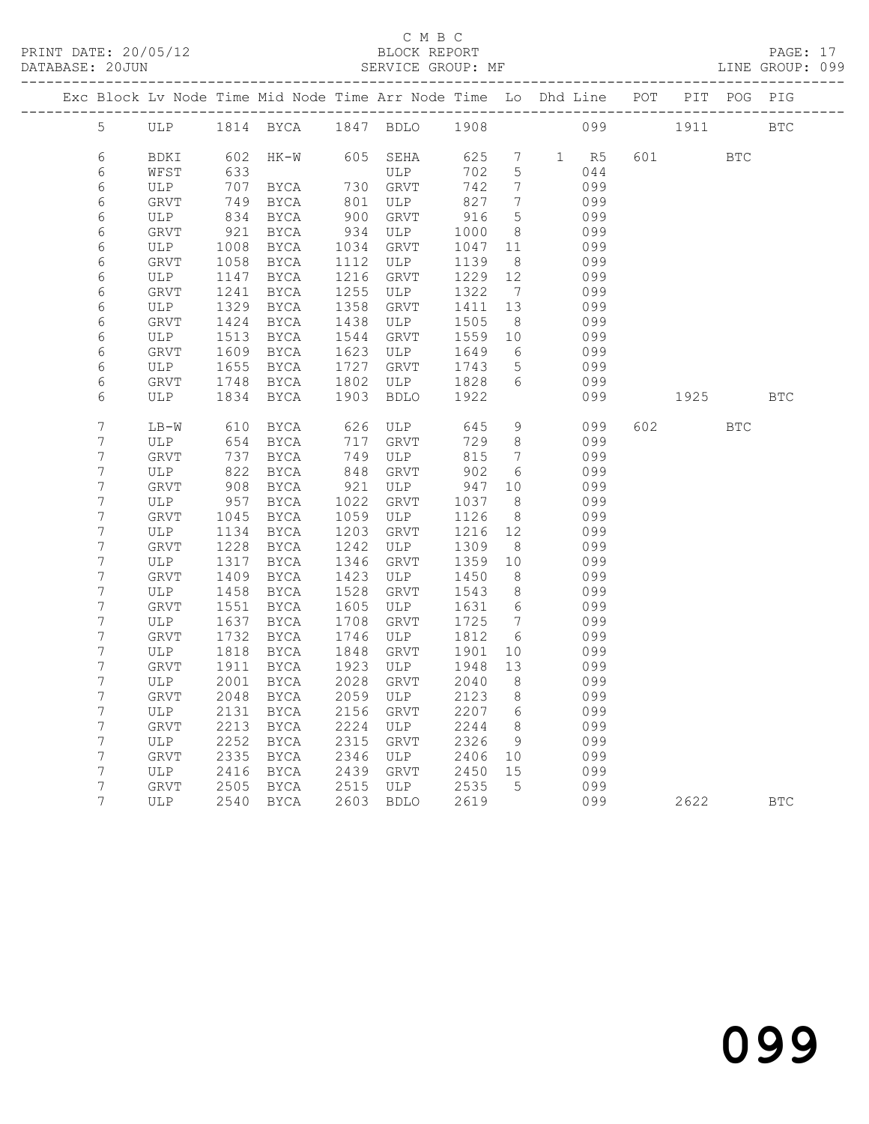### C M B C

|                  |                    |              | Exc Block Lv Node Time Mid Node Time Arr Node Time Lo Dhd Line POT PIT POG PIG    |              |                                 |                 |                                       |                                |                                                        |          |              |  |
|------------------|--------------------|--------------|-----------------------------------------------------------------------------------|--------------|---------------------------------|-----------------|---------------------------------------|--------------------------------|--------------------------------------------------------|----------|--------------|--|
| 5 <sup>5</sup>   |                    |              | ULP 1814 BYCA 1847 BDLO 1908 099 1911 BTC                                         |              |                                 |                 |                                       |                                |                                                        |          |              |  |
| $\epsilon$       | BDKI               |              | 602 HK-W 605 SEHA 625 7 1 R5 601 BTC                                              |              |                                 |                 |                                       |                                |                                                        |          |              |  |
| 6                | WFST               |              |                                                                                   |              |                                 |                 | 5 <sup>5</sup>                        |                                | 044                                                    |          |              |  |
| $\epsilon$       | ULP                |              |                                                                                   |              |                                 |                 | $7\overline{ }$                       |                                | 099<br>099                                             |          |              |  |
| $\epsilon$       | GRVT               |              |                                                                                   |              |                                 |                 | $7\overline{ }$                       |                                |                                                        |          |              |  |
| $\sqrt{6}$       | ULP                |              | 834 BYCA 900 GRVT 916                                                             |              |                                 |                 | 5 <sup>5</sup>                        |                                | 099                                                    |          |              |  |
| $\epsilon$       | GRVT               |              | 921 BYCA 934 ULP                                                                  |              |                                 | 1000            |                                       | 8 099                          |                                                        |          |              |  |
| $\epsilon$       | ULP                | 1008         | BYCA                                                                              |              | 1034 GRVT                       | 1047            |                                       | 11 099                         |                                                        |          |              |  |
| $\epsilon$       | GRVT               |              | 1058 BYCA                                                                         |              | 1112 ULP                        | 1139            | 8 <sup>8</sup>                        |                                | 099                                                    |          |              |  |
| $\epsilon$       | ULP                |              | 1147 BYCA                                                                         | 1216         | GRVT                            | $1229$ $12$ 099 |                                       |                                |                                                        |          |              |  |
| $\epsilon$       | GRVT               |              | 1241 BYCA                                                                         | 1255         | ULP                             | 1322            |                                       | 7 099                          |                                                        |          |              |  |
| $\sqrt{6}$       | ULP                |              | 1329 BYCA                                                                         | 1358         | GRVT                            | 1411 13         |                                       |                                | 099                                                    |          |              |  |
| $\epsilon$       | GRVT               | 1424         | BYCA                                                                              | 1438         | ULP                             | 1505<br>1559    | 8 <sup>8</sup>                        |                                | 099<br>$\begin{array}{ccc}\n 10 & 099 \\  \end{array}$ |          |              |  |
| $\epsilon$       | ULP                | 1513         | BYCA<br>1609 BYCA                                                                 | 1544<br>1623 | GRVT<br>ULP                     |                 |                                       | 6 099                          |                                                        |          |              |  |
| 6<br>$\sqrt{6}$  | GRVT               | 1655         |                                                                                   | 1727         |                                 | 1649<br>1743    |                                       |                                |                                                        |          |              |  |
| $\epsilon$       | ULP<br>GRVT        |              | BYCA<br>1748 BYCA                                                                 |              | GRVT                            |                 |                                       | 5 099                          | 099                                                    |          |              |  |
| 6                | GRVT<br>ULP        |              | 1834 BYCA 1903 BDLO                                                               |              | 1802 ULP 1828<br>1903 BDLO 1922 |                 |                                       | $6\overline{6}$                | 099                                                    | 1925 BTC |              |  |
|                  |                    |              |                                                                                   |              |                                 |                 |                                       |                                |                                                        |          |              |  |
| 7                | LB-W               |              | 610 BYCA 626 ULP 645                                                              |              |                                 |                 |                                       | $9 \left( \frac{1}{2} \right)$ | 099                                                    | 602 BTC  |              |  |
| $\boldsymbol{7}$ | ULP                |              |                                                                                   |              |                                 |                 |                                       |                                |                                                        |          |              |  |
| $\boldsymbol{7}$ | GRVT               |              | 654 BYCA       717   GRVT        729<br>737   BYCA        749   ULP           815 |              |                                 |                 | $\begin{array}{c} 8 \\ 7 \end{array}$ |                                | 099<br>099                                             |          |              |  |
| $\boldsymbol{7}$ | ULP                |              | 822 BYCA                                                                          |              | 848 GRVT                        | 902             |                                       | 6 099                          |                                                        |          |              |  |
| $\boldsymbol{7}$ | GRVT               |              | 908 BYCA                                                                          | 921          | ULP 947                         |                 |                                       | 10 099                         |                                                        |          |              |  |
| $\boldsymbol{7}$ | ULP 957 BYCA       |              |                                                                                   | 1022         | GRVT                            | 1037            | $\frac{1}{8}$                         |                                |                                                        |          |              |  |
| $\boldsymbol{7}$ | GRVT               |              | 1045 BYCA                                                                         |              | 1059 ULP                        | 1126            | 8 <sup>8</sup>                        |                                | 099<br>099                                             |          |              |  |
| $\boldsymbol{7}$ | ULP                |              | 1134 BYCA                                                                         | 1203         | GRVT                            | 1216 12 099     |                                       |                                |                                                        |          |              |  |
| $\boldsymbol{7}$ | GRVT               | 1228         | <b>BYCA</b>                                                                       | 1242         | ULP                             | 1309            |                                       | 8 099                          |                                                        |          |              |  |
| $\boldsymbol{7}$ | ULP                | 1317         | BYCA                                                                              | 1346         | GRVT                            | 1359            | 10                                    |                                | 099                                                    |          |              |  |
| $\boldsymbol{7}$ | GRVT               | 1409         | BYCA                                                                              | 1423         | ULP                             | 1450            | 8 <sup>8</sup>                        |                                | 099                                                    |          |              |  |
| $\boldsymbol{7}$ | ULP                | 1458         | BYCA                                                                              | 1528         | GRVT                            | 1543            |                                       |                                | 8099                                                   |          |              |  |
| $\boldsymbol{7}$ | <b>GRVT</b>        |              | 1551 BYCA                                                                         |              | 1605 ULP                        | 1631 6 099      |                                       |                                |                                                        |          |              |  |
| $\boldsymbol{7}$ | ULP                | 1637         | BYCA                                                                              | 1708         | GRVT                            | 1725            |                                       | $7 \overline{)}$ 099           |                                                        |          |              |  |
| $\boldsymbol{7}$ | ${\tt GRVT}$       |              | 1732 BYCA                                                                         | 1746         | ULP                             | 1812            | $6\overline{6}$                       |                                | 099                                                    |          |              |  |
| 7                | ULP                |              | 1818 BYCA 1848 GRVT 1901                                                          |              |                                 |                 |                                       |                                | 10 099                                                 |          |              |  |
| 7                | GRVT               |              | 1911 BYCA                                                                         |              | 1923 ULP                        | 1948 13 099     |                                       |                                |                                                        |          |              |  |
|                  | ULP                | 2001         | BYCA                                                                              | 2028         | GRVT                            | 2040            | 8                                     |                                | 099                                                    |          |              |  |
| 7                | GRVT               | 2048         | <b>BYCA</b>                                                                       | 2059         | ULP                             | 2123            | 8                                     |                                | 099                                                    |          |              |  |
| 7                | ULP                | 2131         | <b>BYCA</b>                                                                       | 2156         | GRVT                            | 2207            | 6                                     |                                | 099                                                    |          |              |  |
| 7                | <b>GRVT</b>        | 2213         | <b>BYCA</b>                                                                       | 2224         | ULP                             | 2244            | 8                                     |                                | 099                                                    |          |              |  |
| 7                | <b>ULP</b>         | 2252         | <b>BYCA</b>                                                                       | 2315         | GRVT                            | 2326            | 9                                     |                                | 099                                                    |          |              |  |
| $\boldsymbol{7}$ | <b>GRVT</b>        | 2335         | BYCA                                                                              | 2346<br>2439 | ULP                             | 2406            | 10                                    |                                | 099<br>099                                             |          |              |  |
| 7<br>7           | ULP<br><b>GRVT</b> | 2416<br>2505 | <b>BYCA</b>                                                                       | 2515         | GRVT<br>ULP                     | 2450<br>2535    | 15<br>5                               |                                | 099                                                    |          |              |  |
| $7\phantom{.0}$  |                    |              | <b>BYCA</b>                                                                       |              |                                 |                 |                                       |                                |                                                        |          |              |  |
|                  | <b>ULP</b>         | 2540         | BYCA                                                                              | 2603         | <b>BDLO</b>                     | 2619            |                                       |                                | 099                                                    | 2622     | $_{\rm BTC}$ |  |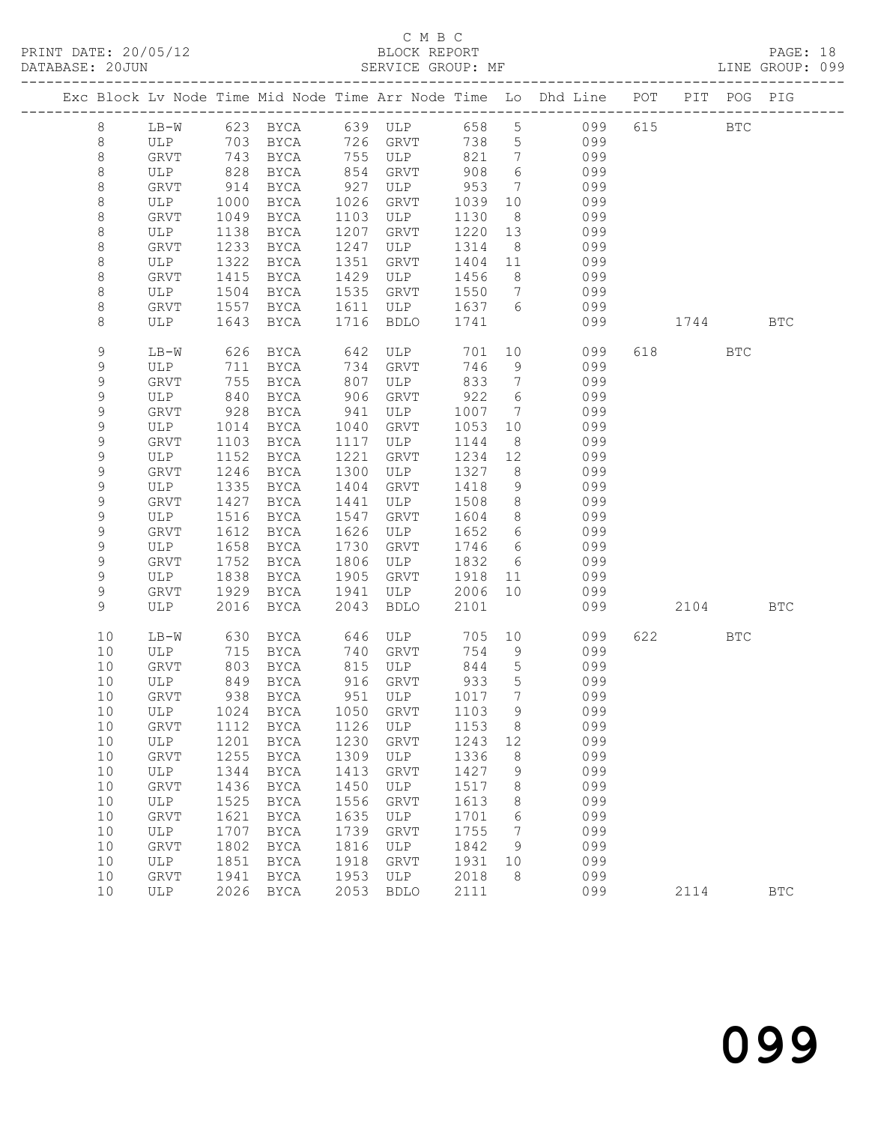|                  |             |              |                                 |              |             |              |                                    | Exc Block Lv Node Time Mid Node Time Arr Node Time Lo Dhd Line POT        |          | PIT POG PIG |              |
|------------------|-------------|--------------|---------------------------------|--------------|-------------|--------------|------------------------------------|---------------------------------------------------------------------------|----------|-------------|--------------|
| 8                |             |              |                                 |              |             |              |                                    |                                                                           | 615 BTC  |             |              |
| 8                |             |              |                                 |              | 726 GRVT    |              |                                    | LB-W 623 BYCA 639 ULP 658 5 099<br>ULP 703 BYCA 726 GRVT 738 5 099<br>099 |          |             |              |
| 8                | GRVT        | 743          | BYCA                            |              | 755 ULP     | 821          | $\overline{7}$                     | 099                                                                       |          |             |              |
| 8                | ULP         | 828          | BYCA                            | 854          | GRVT        | 908          | $6\overline{6}$                    | 099                                                                       |          |             |              |
| 8                | GRVT        | 914          | BYCA                            | 927          | ULP         | 953          | $\overline{7}$                     | 099                                                                       |          |             |              |
| 8                | ULP         | 1000         | BYCA                            | 1026         | GRVT        | 1039         | 10                                 | 099                                                                       |          |             |              |
| 8                | GRVT        | 1049         | BYCA                            | 1103         | ULP         | 1130         | 8 <sup>8</sup>                     | 099                                                                       |          |             |              |
| 8                | ULP         | 1138         | BYCA                            | 1207         | GRVT        | 1220         | 13                                 | 099                                                                       |          |             |              |
| $\,8\,$          | <b>GRVT</b> | 1233         | BYCA                            | 1247         | ULP         | 1314         | 8 <sup>8</sup>                     | 099                                                                       |          |             |              |
| 8                | ULP         | 1322         | BYCA                            | 1351         | GRVT        | 1404 11      |                                    | 099                                                                       |          |             |              |
| 8                | GRVT        | 1415         | BYCA                            | 1429         | ULP         | 1456         | 8 <sup>8</sup>                     | 099                                                                       |          |             |              |
| 8                | ULP         | 1504         | BYCA                            | 1535         | GRVT        | 1550         | $7\overline{ }$                    | 099                                                                       |          |             |              |
| 8                | GRVT        | 1557         | BYCA                            | 1611         | <b>ULP</b>  | 1637 6       |                                    | 099                                                                       |          |             |              |
| 8                | ULP         | 1643         | BYCA                            | 1716         | BDLO        | 1741         |                                    | 099                                                                       | 1744     |             | <b>BTC</b>   |
| 9                | LB-W        | 626          | BYCA                            | 642          | ULP         | 701          |                                    | 10<br>099                                                                 | 618 — 18 | <b>BTC</b>  |              |
| $\mathsf 9$      | ULP         | 711          | BYCA                            | 734          | GRVT        | 746          | 9                                  | 099                                                                       |          |             |              |
| $\mathsf 9$      | GRVT        | 755          | BYCA                            | 807          | ULP         | 833          | $\overline{7}$                     | 099                                                                       |          |             |              |
| $\mathsf 9$      | ULP         | 840          | BYCA                            | 906          | GRVT        | 922          | 6                                  | 099                                                                       |          |             |              |
| $\mathsf 9$      | GRVT        | 928          | BYCA                            | 941          | ULP         | 1007         | $7\overline{ }$                    | 099                                                                       |          |             |              |
| $\mathsf 9$      | ULP         | 1014         | BYCA                            | 1040         | GRVT        | 1053         | 10                                 | 099                                                                       |          |             |              |
| $\mathsf 9$      | GRVT        | 1103         | BYCA                            | 1117         | ULP         | 1144         | 8                                  | 099                                                                       |          |             |              |
| $\mathsf 9$      | ULP         | 1152         | BYCA                            | 1221         | GRVT        | 1234         | 12                                 | 099                                                                       |          |             |              |
| $\mathsf 9$      | GRVT        | 1246         | BYCA                            | 1300         | ULP         | 1327         | 8 <sup>8</sup>                     | 099                                                                       |          |             |              |
| 9                | ULP         | 1335         | BYCA                            | 1404         | GRVT        | 1418         | 9<br>8 <sup>8</sup>                | 099                                                                       |          |             |              |
| $\mathsf 9$      | GRVT        | 1427         | BYCA                            | 1441         | ULP         | 1508         |                                    | 099                                                                       |          |             |              |
| $\mathsf 9$<br>9 | ULP         | 1516         | BYCA                            | 1547         | GRVT<br>ULP | 1604<br>1652 | 8 <sup>8</sup>                     | 099<br>099                                                                |          |             |              |
| 9                | GRVT<br>ULP | 1612<br>1658 | BYCA<br>BYCA                    | 1626<br>1730 | GRVT        | 1746         | $6\overline{6}$<br>$6\overline{6}$ | 099                                                                       |          |             |              |
| 9                | GRVT        | 1752         | BYCA                            | 1806         | ULP         | 1832         | 6                                  | 099                                                                       |          |             |              |
| $\mathsf 9$      | ULP         | 1838         | BYCA                            | 1905         | GRVT        | 1918         | 11                                 | 099                                                                       |          |             |              |
| 9                | GRVT        | 1929         | BYCA                            | 1941         | ULP         | 2006         | 10                                 | 099                                                                       |          |             |              |
| 9                | ULP         | 2016         | BYCA                            | 2043         | <b>BDLO</b> | 2101         |                                    | 099                                                                       | 2104     |             | <b>BTC</b>   |
|                  |             |              |                                 |              |             |              |                                    |                                                                           |          |             |              |
| 10               | LB-W        | 630          | BYCA                            |              | 646 ULP     |              |                                    | 705 10<br>099                                                             | 622 BTC  |             |              |
| 10               | ULP         | 715          | BYCA                            | 740          | GRVT        | 754          | 9                                  | 099                                                                       |          |             |              |
| 10               | GRVT        | 803          | BYCA                            |              | 815 ULP     | 844          | $5\overline{)}$                    | 099                                                                       |          |             |              |
| 10               | ULP         | 849          | BYCA                            | 916          | GRVT        | 933          | $5\overline{)}$                    | 099                                                                       |          |             |              |
| 10               | GRVT        |              | 938 BYCA                        |              | 951 ULP     | 1017         | $\overline{7}$                     | 099                                                                       |          |             |              |
|                  |             |              | 10 ULP 1024 BYCA 1050 GRVT 1103 |              |             |              | 9                                  | 099                                                                       |          |             |              |
| 10               | GRVT        |              | 1112 BYCA                       | 1126         | ULP         | 1153         | 8                                  | 099                                                                       |          |             |              |
| 10<br>10         | ULP         | 1201<br>1255 | BYCA                            | 1230<br>1309 | GRVT        | 1243<br>1336 | 12<br>8                            | 099<br>099                                                                |          |             |              |
| 10               | GRVT        | 1344         | BYCA                            | 1413         | ULP         | 1427         |                                    | 099                                                                       |          |             |              |
| 10               | ULP<br>GRVT | 1436         | BYCA<br><b>BYCA</b>             | 1450         | GRVT<br>ULP | 1517         | 9<br>8                             | 099                                                                       |          |             |              |
| 10               | ULP         | 1525         | BYCA                            | 1556         | <b>GRVT</b> | 1613         | 8                                  | 099                                                                       |          |             |              |
| 10               | GRVT        | 1621         | BYCA                            | 1635         | ULP         | 1701         | 6                                  | 099                                                                       |          |             |              |
| 10               | ULP         | 1707         | BYCA                            | 1739         | GRVT        | 1755         | 7                                  | 099                                                                       |          |             |              |
| 10               | GRVT        | 1802         | BYCA                            | 1816         | ULP         | 1842         | 9                                  | 099                                                                       |          |             |              |
| 10               | ULP         | 1851         | BYCA                            | 1918         | GRVT        | 1931         | 10                                 | 099                                                                       |          |             |              |
| 10               | GRVT        | 1941         | BYCA                            | 1953         | ULP         | 2018         | 8                                  | 099                                                                       |          |             |              |
| 10               | ULP         |              | 2026 BYCA                       | 2053         | <b>BDLO</b> | 2111         |                                    | 099                                                                       | 2114     |             | $_{\rm BTC}$ |
|                  |             |              |                                 |              |             |              |                                    |                                                                           |          |             |              |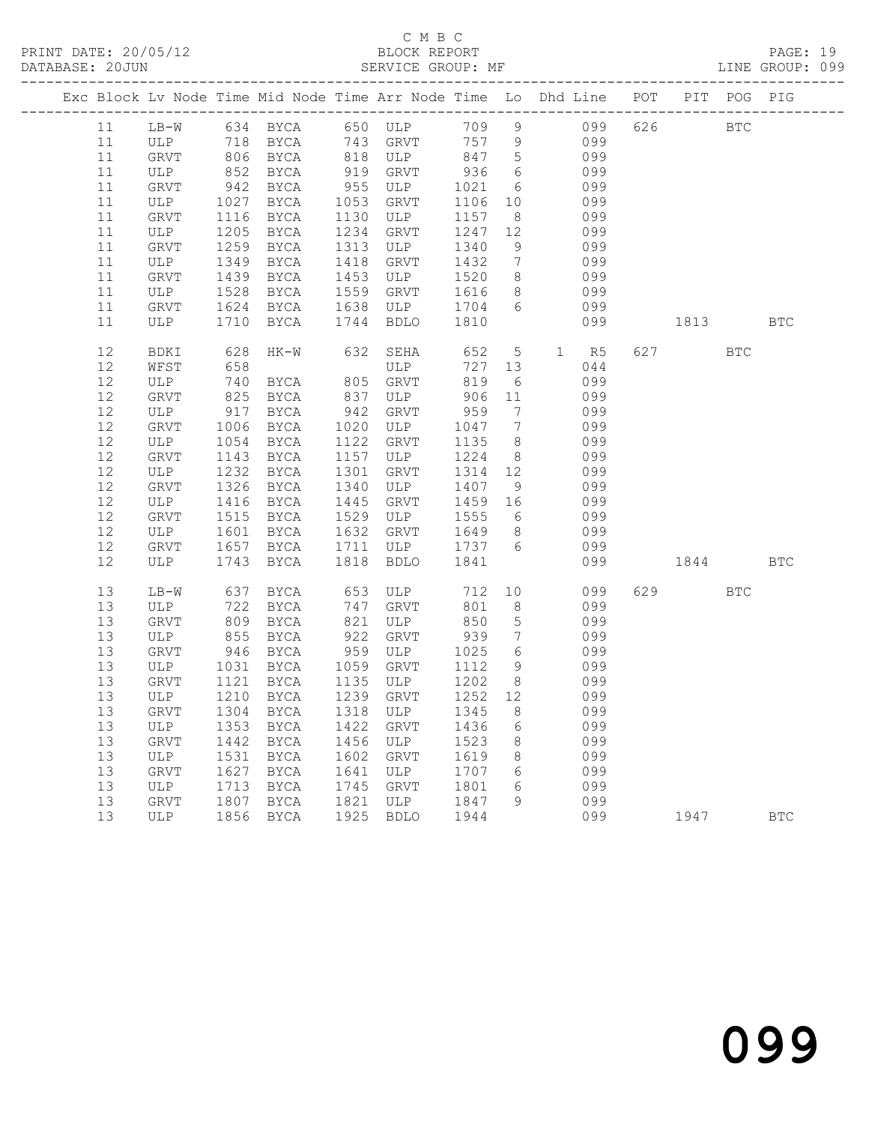| Exc Block Lv Node Time Mid Node Time Arr Node Time Lo Dhd Line POT PIT POG PIG |         |      |               |      |                                |         |                              |     |           |           |            |            |
|--------------------------------------------------------------------------------|---------|------|---------------|------|--------------------------------|---------|------------------------------|-----|-----------|-----------|------------|------------|
| 11                                                                             |         |      |               |      | LB-W 634 BYCA 650 ULP          |         |                              |     | 709 9 099 | 626 BTC   |            |            |
| 11                                                                             |         |      |               |      | ULP 718 BYCA 743 GRVT          | 757 9   |                              | 099 |           |           |            |            |
| 11                                                                             | GRVT    |      | 806 BYCA      |      | 818 ULP 847 5                  |         |                              | 099 |           |           |            |            |
| 11                                                                             | ULP     | 852  | BYCA          | 919  | GRVT                           | 936     | 6                            |     | 099       |           |            |            |
| 11                                                                             | GRVT    | 942  | BYCA          | 955  | ULP                            | 1021    | $6\overline{6}$              |     | 099       |           |            |            |
| 11                                                                             | ULP     | 1027 | BYCA          | 1053 | GRVT                           | 1106    | 10                           |     | 099       |           |            |            |
| 11                                                                             | GRVT    | 1116 | BYCA          | 1130 | ULP                            | 1157    | 8 <sup>8</sup>               |     | 099       |           |            |            |
| 11                                                                             | ULP     | 1205 | BYCA          | 1234 | GRVT                           | 1247    | 12                           |     | 099       |           |            |            |
| 11                                                                             | GRVT    | 1259 | BYCA          | 1313 | ULP                            | 1340    | 9                            |     | 099       |           |            |            |
| 11                                                                             | ULP     | 1349 | BYCA          | 1418 | GRVT                           | 1432    | $7\overline{ }$              |     | 099       |           |            |            |
| 11                                                                             | GRVT    | 1439 | BYCA          | 1453 | ULP                            | 1520    | 8 <sup>8</sup>               | 099 |           |           |            |            |
| 11                                                                             | ULP     | 1528 | BYCA          | 1559 | GRVT                           | 1616    | 8 <sup>8</sup>               |     | 099       |           |            |            |
| 11                                                                             | GRVT    | 1624 | BYCA          | 1638 | ULP                            | 1704 6  |                              |     | 099       |           |            |            |
| 11                                                                             | ULP     | 1710 | BYCA          | 1744 | BDLO                           | 1810    |                              |     | 099       | 1813      |            | <b>BTC</b> |
| 12                                                                             | BDKI    | 628  | $HK-W$        | 632  | SEHA                           | 652 5   |                              |     | 1 R5      | 627 — 100 | <b>BTC</b> |            |
| 12                                                                             | WFST    | 658  |               |      | ULP                            | 727 13  |                              |     | 044       |           |            |            |
| 12                                                                             | ULP     | 740  | BYCA 805 GRVT |      |                                | 819     | 6                            |     | 099       |           |            |            |
| 12                                                                             | GRVT    | 825  | BYCA          | 837  | ULP                            | 906 11  |                              |     | 099       |           |            |            |
| 12                                                                             | ULP     | 917  | BYCA          | 942  | GRVT                           | 959     | $\overline{7}$               |     | 099       |           |            |            |
| 12                                                                             | GRVT    | 1006 | BYCA          | 1020 | ULP                            | 1047 7  |                              |     | 099       |           |            |            |
| 12                                                                             | ULP     | 1054 | BYCA          | 1122 | GRVT                           | 1135    | 8 <sup>8</sup>               |     | 099       |           |            |            |
| 12                                                                             | GRVT    | 1143 | BYCA          | 1157 | ULP                            | 1224    | 8 <sup>8</sup>               | 099 |           |           |            |            |
| 12                                                                             | ULP     | 1232 | BYCA          | 1301 | GRVT                           | 1314 12 |                              |     | 099       |           |            |            |
| 12                                                                             | GRVT    | 1326 | BYCA          | 1340 | ULP                            | 1407 9  |                              |     | 099       |           |            |            |
| 12                                                                             | ULP     | 1416 | BYCA          | 1445 | GRVT                           | 1459 16 |                              |     | 099       |           |            |            |
| 12                                                                             | GRVT    | 1515 | <b>BYCA</b>   | 1529 | ULP                            | 1555 6  |                              |     | 099       |           |            |            |
| 12                                                                             | ULP     | 1601 | BYCA          | 1632 | GRVT                           | 1649    | 8 <sup>8</sup>               |     | 099       |           |            |            |
| 12                                                                             | GRVT    | 1657 | BYCA          | 1711 | ULP                            | 1737 6  |                              |     | 099       |           |            |            |
| 12                                                                             | ULP     | 1743 | BYCA          | 1818 | BDLO                           | 1841    |                              |     | 099       | 1844      |            | <b>BTC</b> |
| 13                                                                             | LB-W    | 637  | BYCA          | 653  | ULP                            | 712     |                              | 10  | 099       | 629       | <b>BTC</b> |            |
| 13                                                                             | ULP     | 722  | BYCA          | 747  | GRVT                           | 801     | 8 <sup>8</sup>               |     | 099       |           |            |            |
| 13                                                                             | GRVT    | 809  | BYCA          | 821  | ULP                            | 850     | 5 <sup>5</sup>               |     | 099       |           |            |            |
| 13                                                                             | ULP 855 |      | BYCA          | 922  | GRVT                           | 939     | $7\phantom{.0}\phantom{.0}7$ |     | 099       |           |            |            |
| 13                                                                             | GRVT    | 946  | BYCA          | 959  | ULP                            | 1025    | 6                            |     | 099       |           |            |            |
| 13                                                                             | ULP     | 1031 | BYCA 1059     |      | GRVT                           | 1112    | 9                            |     | 099       |           |            |            |
| 13                                                                             | GRVT    | 1121 | BYCA          |      | 1135 ULP                       | 1202    | 8 <sup>8</sup>               |     | 099       |           |            |            |
| 13                                                                             | ULP     | 1210 | <b>BYCA</b>   |      | 1239 GRVT                      | 1252 12 |                              |     | 099       |           |            |            |
| 13                                                                             |         |      |               |      | GRVT 1304 BYCA 1318 ULP 1345 8 |         |                              |     | 099       |           |            |            |
| 13                                                                             | ULP     |      | 1353 BYCA     | 1422 | GRVT                           | 1436    | 6                            |     | 099       |           |            |            |
| 13                                                                             | GRVT    | 1442 | BYCA          | 1456 | ULP                            | 1523    | 8                            |     | 099       |           |            |            |
| 13                                                                             | ULP     | 1531 | BYCA          | 1602 | GRVT                           | 1619    | 8                            |     | 099       |           |            |            |
| 13                                                                             | GRVT    | 1627 | <b>BYCA</b>   | 1641 | ULP                            | 1707    | 6                            |     | 099       |           |            |            |
| 13                                                                             | ULP     | 1713 | BYCA          | 1745 | GRVT                           | 1801    | 6                            |     | 099       |           |            |            |
| 13                                                                             | GRVT    | 1807 | BYCA          | 1821 | ULP                            | 1847    | 9                            |     | 099       |           |            |            |
| 13                                                                             | ULP     | 1856 | <b>BYCA</b>   | 1925 | <b>BDLO</b>                    | 1944    |                              |     | 099       | 1947      |            | <b>BTC</b> |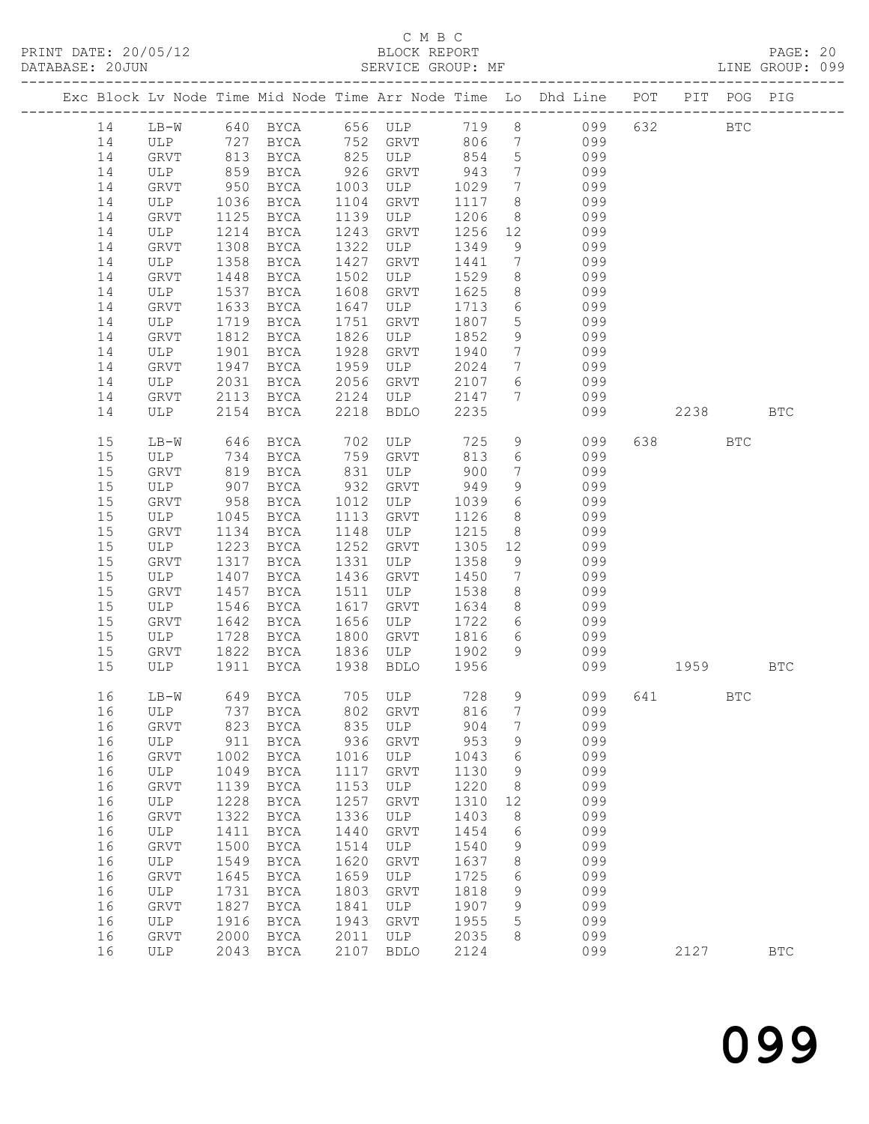|    |        |      |                   |      |               |      |                              | Exc Block Lv Node Time Mid Node Time Arr Node Time Lo Dhd Line POT PIT POG PIG |           |            |            |            |
|----|--------|------|-------------------|------|---------------|------|------------------------------|--------------------------------------------------------------------------------|-----------|------------|------------|------------|
| 14 |        |      |                   |      |               |      |                              | LB-W 640 BYCA 656 ULP 719 8 099                                                | 632       | <b>BTC</b> |            |            |
| 14 | ULP    |      | 727 BYCA 752 GRVT |      |               | 806  | $7\overline{ }$              | 099                                                                            |           |            |            |            |
| 14 | GRVT   |      | 813 BYCA          |      | 825 ULP 854   |      | $5\overline{)}$              | 099                                                                            |           |            |            |            |
| 14 | ULP    | 859  | BYCA              | 926  | GRVT          | 943  | $7\overline{ }$              | 099                                                                            |           |            |            |            |
| 14 | GRVT   | 950  | BYCA              | 1003 | ULP           | 1029 | $7\phantom{.0}\phantom{.0}7$ | 099                                                                            |           |            |            |            |
| 14 | ULP    | 1036 | BYCA              | 1104 | GRVT          | 1117 | 8 <sup>8</sup>               | 099                                                                            |           |            |            |            |
| 14 | GRVT   | 1125 | BYCA              |      | 1139 ULP      | 1206 | 8 <sup>8</sup>               | 099                                                                            |           |            |            |            |
| 14 | ULP    | 1214 | BYCA              | 1243 | GRVT          | 1256 | 12                           | 099                                                                            |           |            |            |            |
| 14 | GRVT   | 1308 | BYCA              | 1322 | ULP           | 1349 | 9                            | 099                                                                            |           |            |            |            |
| 14 | ULP    | 1358 | BYCA              | 1427 | GRVT          | 1441 | $7\overline{ }$              | 099                                                                            |           |            |            |            |
| 14 | GRVT   | 1448 | BYCA              | 1502 | ULP           | 1529 | 8 <sup>8</sup>               | 099                                                                            |           |            |            |            |
| 14 | ULP    | 1537 | BYCA              | 1608 | GRVT          | 1625 | 8                            | 099                                                                            |           |            |            |            |
| 14 | GRVT   | 1633 | BYCA              | 1647 | ULP           | 1713 | $6\overline{6}$              | 099                                                                            |           |            |            |            |
| 14 | ULP    | 1719 | BYCA              | 1751 | GRVT          | 1807 | 5 <sup>5</sup>               | 099                                                                            |           |            |            |            |
| 14 | GRVT   | 1812 | BYCA              | 1826 | ULP           | 1852 | 9                            | 099                                                                            |           |            |            |            |
| 14 | ULP    | 1901 | BYCA              | 1928 | GRVT          | 1940 | $\overline{7}$               | 099                                                                            |           |            |            |            |
| 14 | GRVT   | 1947 | BYCA              |      | 1959 ULP      | 2024 | $7\overline{ }$              | 099                                                                            |           |            |            |            |
| 14 | ULP    | 2031 | BYCA              | 2056 | GRVT          | 2107 | $6\overline{6}$              | 099                                                                            |           |            |            |            |
| 14 | GRVT   | 2113 | BYCA              | 2124 | ULP           | 2147 | 7                            | 099                                                                            |           |            |            |            |
| 14 | ULP    | 2154 | <b>BYCA</b>       | 2218 | BDLO          | 2235 |                              | 099                                                                            |           | 2238 BTC   |            |            |
| 15 | $LB-W$ | 646  | BYCA              |      | 702 ULP       | 725  | 9                            | 099                                                                            |           | 638 8      | <b>BTC</b> |            |
| 15 | ULP    | 734  | BYCA              |      | 759 GRVT      | 813  | 6                            | 099                                                                            |           |            |            |            |
| 15 | GRVT   | 819  | BYCA              |      | 831 ULP       | 900  | $7\phantom{.0}\phantom{.0}7$ | 099                                                                            |           |            |            |            |
| 15 | ULP    | 907  | BYCA              | 932  | GRVT          | 949  | 9                            | 099                                                                            |           |            |            |            |
| 15 | GRVT   | 958  | BYCA              |      | 1012 ULP      | 1039 | $6\overline{6}$              | 099                                                                            |           |            |            |            |
| 15 | ULP    | 1045 | BYCA              | 1113 | GRVT          | 1126 | 8 <sup>8</sup>               | 099                                                                            |           |            |            |            |
| 15 | GRVT   | 1134 | BYCA              | 1148 | ULP           | 1215 | 8 <sup>8</sup>               | 099                                                                            |           |            |            |            |
| 15 | ULP    | 1223 | BYCA              | 1252 | GRVT          | 1305 | 12                           | 099                                                                            |           |            |            |            |
| 15 | GRVT   | 1317 | BYCA              | 1331 | ULP           | 1358 | 9                            | 099                                                                            |           |            |            |            |
| 15 | ULP    | 1407 | BYCA              | 1436 | GRVT          | 1450 | $7\overline{ }$              | 099                                                                            |           |            |            |            |
| 15 | GRVT   | 1457 | BYCA              | 1511 | ULP           | 1538 | 8 <sup>8</sup>               | 099                                                                            |           |            |            |            |
| 15 | ULP    | 1546 | BYCA              | 1617 | GRVT          | 1634 | 8 <sup>8</sup>               | 099                                                                            |           |            |            |            |
| 15 | GRVT   | 1642 | BYCA              | 1656 | ULP           | 1722 | 6                            | 099                                                                            |           |            |            |            |
| 15 | ULP    | 1728 | BYCA              | 1800 | GRVT          | 1816 | 6                            | 099                                                                            |           |            |            |            |
| 15 | GRVT   |      | 1822 BYCA         | 1836 | ULP           | 1902 | 9                            | 099                                                                            |           |            |            |            |
| 15 | ULP    | 1911 | BYCA              | 1938 | BDLO          | 1956 |                              |                                                                                | 099 — 100 | 1959 1990  |            | BTC        |
| 16 | $LB-W$ |      | 649 BYCA          |      | 705 ULP 728 9 |      |                              | 099                                                                            |           | 641 64     | <b>BTC</b> |            |
|    |        |      |                   |      |               |      |                              | 16 ULP 737 BYCA 802 GRVT 816 7 099                                             |           |            |            |            |
| 16 | GRVT   |      | 823 BYCA          | 835  | ULP           | 904  | $7\phantom{.0}$              | 099                                                                            |           |            |            |            |
| 16 | ULP    | 911  | BYCA              | 936  | GRVT          | 953  | 9                            | 099                                                                            |           |            |            |            |
| 16 | GRVT   | 1002 | BYCA              | 1016 | ULP           | 1043 | 6                            | 099                                                                            |           |            |            |            |
| 16 | ULP    | 1049 | <b>BYCA</b>       | 1117 | GRVT          | 1130 | 9                            | 099                                                                            |           |            |            |            |
| 16 | GRVT   | 1139 | BYCA              | 1153 | ULP           | 1220 | 8                            | 099                                                                            |           |            |            |            |
| 16 | ULP    | 1228 | <b>BYCA</b>       | 1257 | GRVT          | 1310 | 12                           | 099                                                                            |           |            |            |            |
| 16 | GRVT   | 1322 | BYCA              | 1336 | ULP           | 1403 | 8                            | 099                                                                            |           |            |            |            |
| 16 | ULP    | 1411 | BYCA              | 1440 | GRVT          | 1454 | - 6                          | 099                                                                            |           |            |            |            |
| 16 | GRVT   | 1500 | BYCA              | 1514 | ULP           | 1540 | 9                            | 099                                                                            |           |            |            |            |
| 16 | ULP    | 1549 | <b>BYCA</b>       | 1620 | GRVT          | 1637 | 8                            | 099                                                                            |           |            |            |            |
| 16 | GRVT   | 1645 | BYCA              | 1659 | ULP           | 1725 | 6                            | 099                                                                            |           |            |            |            |
| 16 | ULP    | 1731 | BYCA              | 1803 | GRVT          | 1818 | 9                            | 099                                                                            |           |            |            |            |
| 16 | GRVT   | 1827 | BYCA              | 1841 | ULP           | 1907 | 9                            | 099                                                                            |           |            |            |            |
| 16 | ULP    | 1916 | <b>BYCA</b>       | 1943 | GRVT          | 1955 | 5                            | 099                                                                            |           |            |            |            |
| 16 | GRVT   | 2000 | BYCA              | 2011 | ULP           | 2035 | 8                            | 099                                                                            |           |            |            |            |
| 16 | ULP    | 2043 | BYCA              | 2107 | BDLO          | 2124 |                              | 099                                                                            |           | 2127       |            | <b>BTC</b> |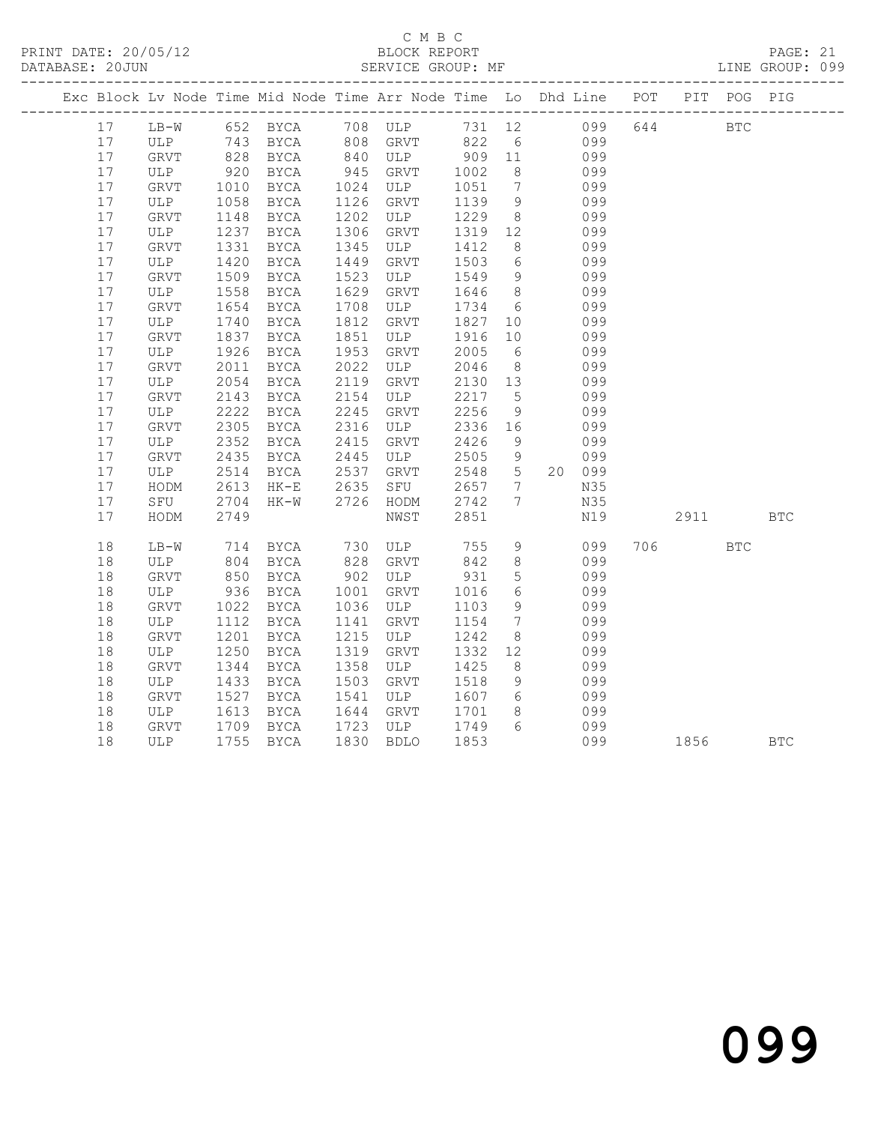### C M B C

| DATABASE: 20JUN                                                                |              |                 |          |      | SERVICE GROUP: MF |        |                 |        |     |         |            | LINE GROUP: 099 |
|--------------------------------------------------------------------------------|--------------|-----------------|----------|------|-------------------|--------|-----------------|--------|-----|---------|------------|-----------------|
| Exc Block Lv Node Time Mid Node Time Arr Node Time Lo Dhd Line POT PIT POG PIG |              |                 |          |      |                   |        |                 |        |     |         |            |                 |
| 17                                                                             | LB-W         |                 | 652 BYCA |      | 708 ULP           | 731 12 |                 | 099    |     | 644 BTC |            |                 |
| 17                                                                             | ULP          | 743             | BYCA     |      | 808 GRVT          | 822    | $6\overline{6}$ | 099    |     |         |            |                 |
| 17                                                                             | GRVT         | 828             | BYCA     |      | 840 ULP           | 909    | 11              | 099    |     |         |            |                 |
| 17                                                                             | ULP          | $920$<br>$1010$ | BYCA     | 945  | GRVT              | 1002   | 8 <sup>8</sup>  | 099    |     |         |            |                 |
| 17                                                                             | GRVT         |                 | BYCA     | 1024 | ULP               | 1051   | 7               | 099    |     |         |            |                 |
| 17                                                                             | ULP          | 1058            | BYCA     | 1126 | GRVT              | 1139   | 9               | 099    |     |         |            |                 |
| 17                                                                             | ${\tt GRVT}$ | 1148            | BYCA     | 1202 | ULP               | 1229   | 8 <sup>8</sup>  | 099    |     |         |            |                 |
| 17                                                                             | ULP          | 1237            | BYCA     | 1306 | GRVT              | 1319   | 12              | 099    |     |         |            |                 |
| 17                                                                             | ${\tt GRVT}$ | 1331            | BYCA     | 1345 | ULP               | 1412   | 8               | 099    |     |         |            |                 |
| 17                                                                             | ULP          | 1420            | BYCA     | 1449 | GRVT              | 1503   | $6\overline{6}$ | 099    |     |         |            |                 |
| 17                                                                             | GRVT         | 1509            | BYCA     | 1523 | ULP               | 1549   | 9               | 099    |     |         |            |                 |
| 17                                                                             | ULP          | 1558            | BYCA     | 1629 | <b>GRVT</b>       | 1646   | 8 <sup>8</sup>  | 099    |     |         |            |                 |
| 17                                                                             | ${\tt GRVT}$ | 1654            | BYCA     | 1708 | ULP               | 1734   | 6               | 099    |     |         |            |                 |
| 17                                                                             | ULP          | 1740            | BYCA     | 1812 | GRVT              | 1827   | 10              | 099    |     |         |            |                 |
| 17                                                                             | GRVT         | 1837            | BYCA     | 1851 | ULP               | 1916   | 10              | 099    |     |         |            |                 |
| 17                                                                             | ULP          | 1926            | BYCA     | 1953 | GRVT              | 2005   | 6               | 099    |     |         |            |                 |
| 17                                                                             | GRVT         | 2011            | BYCA     | 2022 | ULP               | 2046   | 8 <sup>8</sup>  | 099    |     |         |            |                 |
| 17                                                                             | ULP          | 2054            | BYCA     | 2119 | GRVT              | 2130   | 13              | 099    |     |         |            |                 |
| 17                                                                             | GRVT         | 2143            | BYCA     | 2154 | ULP               | 2217   | $5^{\circ}$     | 099    |     |         |            |                 |
| 17                                                                             | ULP          | 2222            | BYCA     | 2245 | GRVT              | 2256   | 9               | 099    |     |         |            |                 |
| 17                                                                             | GRVT         | 2305            | BYCA     | 2316 | ULP               | 2336   | 16              | 099    |     |         |            |                 |
| 17                                                                             | ULP          | 2352            | BYCA     | 2415 | GRVT              | 2426   | 9               | 099    |     |         |            |                 |
| 17                                                                             | GRVT         | 2435            | BYCA     | 2445 | ULP               | 2505   | 9               | 099    |     |         |            |                 |
| 17                                                                             | ULP          | 2514            | BYCA     | 2537 | GRVT              | 2548   | $5\overline{)}$ | 20 099 |     |         |            |                 |
| 17                                                                             | HODM         | 2613            | $HK-E$   | 2635 | SFU               | 2657   | $7\phantom{.0}$ | N35    |     |         |            |                 |
| 17                                                                             | SFU          | 2704            | HK-W     | 2726 | HODM              | 2742   | 7               | N35    |     |         |            |                 |
| 17                                                                             | HODM         | 2749            |          |      | NWST              | 2851   |                 | N19    |     | 2911    |            | <b>BTC</b>      |
| 18                                                                             | LB-W         | 714             | BYCA     | 730  | ULP               | 755    | 9               | 099    | 706 |         | <b>BTC</b> |                 |
| $18\,$                                                                         | ULP          | 804             | BYCA     | 828  | GRVT              | 842    | $8\,$           | 099    |     |         |            |                 |
| 18                                                                             | GRVT         | 850             | BYCA     | 902  | ULP               | 931    | $5\phantom{.0}$ | 099    |     |         |            |                 |
| $18\,$                                                                         | ULP          | 936             | BYCA     | 1001 | GRVT              | 1016   | 6               | 099    |     |         |            |                 |
| 18                                                                             | ${\tt GRVT}$ | 1022            | BYCA     | 1036 | ULP               | 1103   | 9               | 099    |     |         |            |                 |
| 18                                                                             | ULP          | 1112            | BYCA     | 1141 | GRVT              | 1154   | $7\overline{ }$ | 099    |     |         |            |                 |
| $18\,$                                                                         | ${\tt GRVT}$ | 1201            | BYCA     | 1215 | ULP               | 1242   | 8               | 099    |     |         |            |                 |
| 18                                                                             | ULP          | 1250            | BYCA     | 1319 | GRVT              | 1332   | 12 <sup>°</sup> | 099    |     |         |            |                 |
| 18                                                                             | ${\tt GRVT}$ | 1344            | BYCA     | 1358 | ULP               | 1425   | 8               | 099    |     |         |            |                 |
| 18                                                                             | ULP          | 1433            | BYCA     | 1503 | GRVT              | 1518   | 9               | 099    |     |         |            |                 |
| 18                                                                             | GRVT         | 1527            | BYCA     | 1541 | ULP               | 1607   | 6               | 099    |     |         |            |                 |
| 18                                                                             | ULP          | 1613            | BYCA     | 1644 | GRVT              | 1701   | 8               | 099    |     |         |            |                 |
| 18                                                                             | GRVT         | 1709            | BYCA     | 1723 | ULP               | 1749   | 6               | 099    |     |         |            |                 |
| 18                                                                             | ULP          | 1755            | BYCA     | 1830 | <b>BDLO</b>       | 1853   |                 | 099    |     | 1856    |            | <b>BTC</b>      |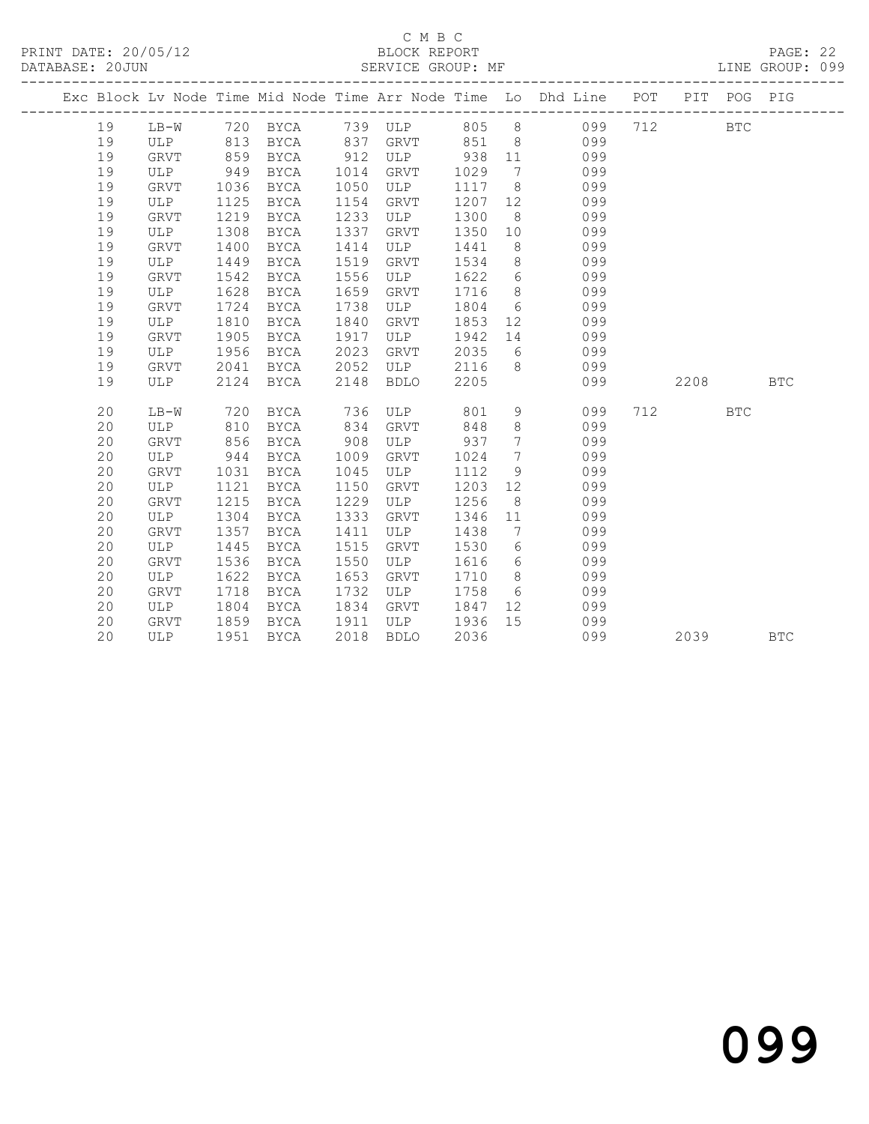|    |             |      |             |      |             |      |                 | Exc Block Lv Node Time Mid Node Time Arr Node Time Lo Dhd Line POT |     |      | PIT POG PIG |            |
|----|-------------|------|-------------|------|-------------|------|-----------------|--------------------------------------------------------------------|-----|------|-------------|------------|
| 19 | $LB-W$      |      | 720 BYCA    |      | 739 ULP 805 |      | 8 <sup>8</sup>  | 099                                                                | 712 |      | <b>BTC</b>  |            |
| 19 | ULP         | 813  | BYCA        | 837  | GRVT        | 851  | 8 <sup>8</sup>  | 099                                                                |     |      |             |            |
| 19 | <b>GRVT</b> | 859  | BYCA        | 912  | ULP         | 938  | 11              | 099                                                                |     |      |             |            |
| 19 | ULP         | 949  | BYCA        | 1014 | GRVT        | 1029 | 7               | 099                                                                |     |      |             |            |
| 19 | <b>GRVT</b> | 1036 | BYCA        | 1050 | ULP         | 1117 | 8               | 099                                                                |     |      |             |            |
| 19 | ULP         | 1125 | BYCA        | 1154 | <b>GRVT</b> | 1207 | 12              | 099                                                                |     |      |             |            |
| 19 | GRVT        | 1219 | BYCA        | 1233 | ULP         | 1300 | - 8             | 099                                                                |     |      |             |            |
| 19 | ULP         | 1308 | BYCA        | 1337 | GRVT        | 1350 | 10 <sup>°</sup> | 099                                                                |     |      |             |            |
| 19 | <b>GRVT</b> | 1400 | BYCA        | 1414 | ULP         | 1441 | 8               | 099                                                                |     |      |             |            |
| 19 | ULP         | 1449 | BYCA        | 1519 | GRVT        | 1534 | 8               | 099                                                                |     |      |             |            |
| 19 | <b>GRVT</b> | 1542 | BYCA        | 1556 | ULP         | 1622 | $6\overline{6}$ | 099                                                                |     |      |             |            |
| 19 | <b>ULP</b>  | 1628 | BYCA        | 1659 | GRVT        | 1716 | 8               | 099                                                                |     |      |             |            |
| 19 | <b>GRVT</b> | 1724 | BYCA        | 1738 | ULP         | 1804 | 6               | 099                                                                |     |      |             |            |
| 19 | ULP         | 1810 | BYCA        | 1840 | GRVT        | 1853 | 12              | 099                                                                |     |      |             |            |
| 19 | GRVT        | 1905 | BYCA        | 1917 | ULP         | 1942 | 14              | 099                                                                |     |      |             |            |
| 19 | ULP         | 1956 | <b>BYCA</b> | 2023 | GRVT        | 2035 | 6               | 099                                                                |     |      |             |            |
| 19 | <b>GRVT</b> | 2041 | BYCA        | 2052 | ULP         | 2116 | 8               | 099                                                                |     |      |             |            |
| 19 | <b>ULP</b>  | 2124 | BYCA        | 2148 | <b>BDLO</b> | 2205 |                 | 099                                                                |     | 2208 |             | <b>BTC</b> |
|    |             |      |             |      |             |      |                 |                                                                    |     |      |             |            |
| 20 | $LB-W$      | 720  | BYCA        | 736  | ULP         | 801  | 9               | 099                                                                | 712 |      | <b>BTC</b>  |            |
| 20 | ULP         | 810  | <b>BYCA</b> | 834  | <b>GRVT</b> | 848  | $\,8\,$         | 099                                                                |     |      |             |            |
| 20 | <b>GRVT</b> | 856  | BYCA        | 908  | ULP         | 937  | $7\phantom{.0}$ | 099                                                                |     |      |             |            |
| 20 | ULP         | 944  | BYCA        | 1009 | <b>GRVT</b> | 1024 | $7\phantom{.0}$ | 099                                                                |     |      |             |            |
| 20 | <b>GRVT</b> | 1031 | BYCA        | 1045 | ULP         | 1112 | 9               | 099                                                                |     |      |             |            |
| 20 | ULP         | 1121 | BYCA        | 1150 | <b>GRVT</b> | 1203 | 12              | 099                                                                |     |      |             |            |
| 20 | <b>GRVT</b> | 1215 | BYCA        | 1229 | ULP         | 1256 | 8               | 099                                                                |     |      |             |            |
| 20 | ULP         | 1304 | BYCA        | 1333 | <b>GRVT</b> | 1346 | 11              | 099                                                                |     |      |             |            |
| 20 | <b>GRVT</b> | 1357 | <b>BYCA</b> | 1411 | ULP         | 1438 | 7               | 099                                                                |     |      |             |            |
| 20 | ULP         | 1445 | BYCA        | 1515 | <b>GRVT</b> | 1530 | $6\overline{6}$ | 099                                                                |     |      |             |            |
| 20 | <b>GRVT</b> | 1536 | BYCA        | 1550 | ULP         | 1616 | 6               | 099                                                                |     |      |             |            |
| 20 | ULP         | 1622 | BYCA        | 1653 | GRVT        | 1710 | 8               | 099                                                                |     |      |             |            |
| 20 | GRVT        | 1718 | BYCA        | 1732 | ULP         | 1758 | 6               | 099                                                                |     |      |             |            |
| 20 | ULP         | 1804 | BYCA        | 1834 | <b>GRVT</b> | 1847 | 12              | 099                                                                |     |      |             |            |
| 20 | <b>GRVT</b> | 1859 | BYCA        | 1911 | ULP         | 1936 | 15              | 099                                                                |     |      |             |            |
| 20 | ULP         | 1951 | BYCA        | 2018 | <b>BDLO</b> | 2036 |                 | 099                                                                |     | 2039 |             | <b>BTC</b> |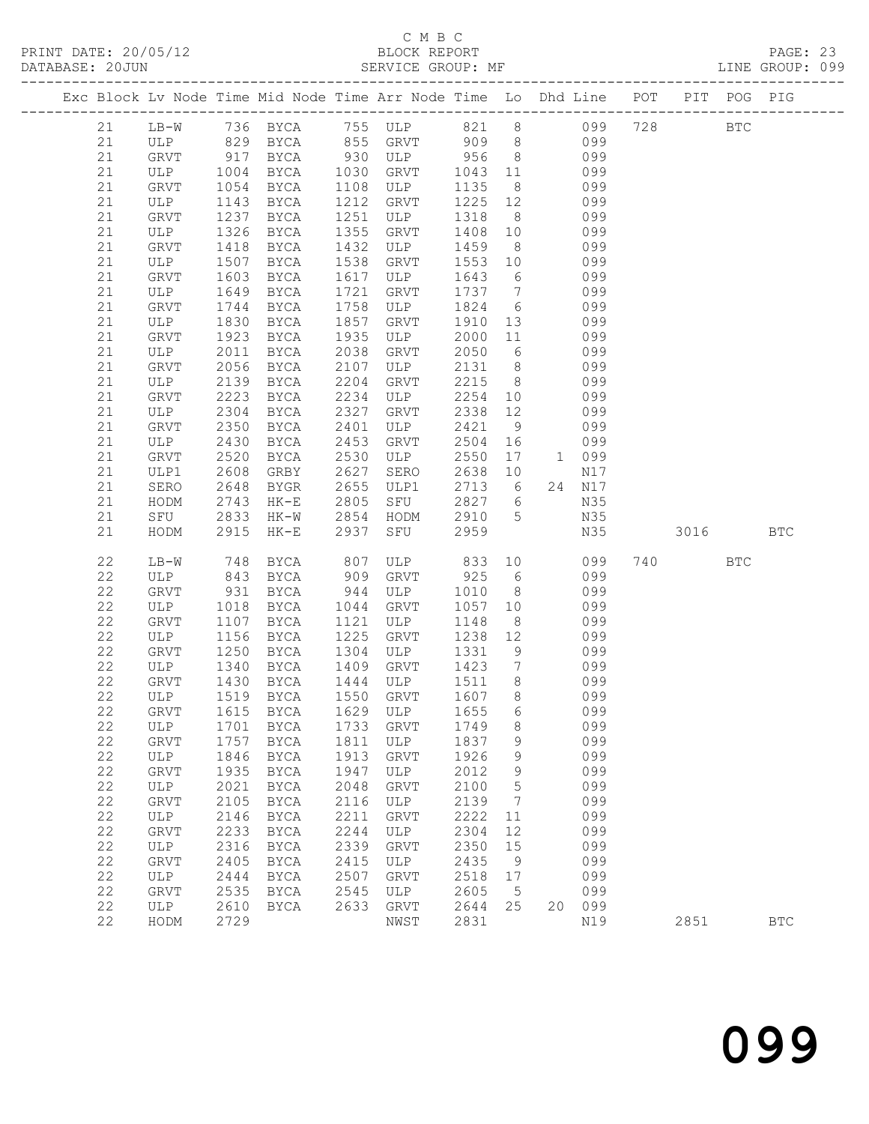|  |          |                               |      | Exc Block Lv Node Time Mid Node Time Arr Node Time Lo Dhd Line POT PIT POG PIG |            |              |            |                 |     |            |     |      |              |              |
|--|----------|-------------------------------|------|--------------------------------------------------------------------------------|------------|--------------|------------|-----------------|-----|------------|-----|------|--------------|--------------|
|  |          |                               |      | 736 BYCA 755 ULP 821 8 099                                                     |            |              |            |                 |     |            | 728 |      | $_{\rm BTC}$ |              |
|  | 21<br>21 | $LB-W$                        |      |                                                                                |            |              |            |                 |     |            |     |      |              |              |
|  | 21       | ULP 829 BYCA<br>GRVT 917 BYCA |      | BYCA                                                                           |            |              |            |                 |     | 099<br>099 |     |      |              |              |
|  | 21       | ULP 1004                      |      | BYCA                                                                           | 1030       | GRVT         | 1043 11    |                 | 099 |            |     |      |              |              |
|  | 21       | GRVT                          | 1054 | BYCA                                                                           | 1108       | ULP          | 1135       | 8 <sup>8</sup>  |     | 099        |     |      |              |              |
|  | 21       | ULP                           | 1143 | BYCA                                                                           | 1212       | GRVT         | 1225 12    |                 |     | 099        |     |      |              |              |
|  | 21       | GRVT                          | 1237 | BYCA                                                                           | 1251       | ULP          | 1318       | 8 <sup>8</sup>  |     | 099        |     |      |              |              |
|  | 21       | ULP                           | 1326 | BYCA                                                                           | 1355       | GRVT         | 1408       | 10              |     | 099        |     |      |              |              |
|  | 21       | GRVT                          | 1418 | BYCA                                                                           | 1432       | ULP          | 1459       | 8 <sup>8</sup>  |     | 099        |     |      |              |              |
|  | 21       | ULP                           | 1507 | BYCA                                                                           | 1538       | GRVT         | 1553       | 10              |     | 099        |     |      |              |              |
|  | 21       | GRVT                          | 1603 | BYCA                                                                           | 1617       | ULP          | 1643       | $6\overline{6}$ |     | 099        |     |      |              |              |
|  | 21       | ULP                           | 1649 | BYCA                                                                           | 1721       | GRVT         | 1737       | $\overline{7}$  |     | 099        |     |      |              |              |
|  | 21       | GRVT                          | 1744 | BYCA                                                                           | 1758       | ULP          | 1824       | 6               |     | 099        |     |      |              |              |
|  | 21       | ULP                           | 1830 | BYCA                                                                           | 1857       | GRVT         | 1910       | 13              |     | 099        |     |      |              |              |
|  | 21       | GRVT                          | 1923 | BYCA                                                                           | 1935       | ULP          | 2000       | 11              |     | 099        |     |      |              |              |
|  | 21       | ULP                           | 2011 | BYCA                                                                           | 2038       | GRVT         | 2050       | $6\overline{6}$ |     | 099        |     |      |              |              |
|  | 21       | GRVT                          | 2056 | BYCA                                                                           | 2107       | ULP          | 2131       | 8 <sup>8</sup>  |     | 099        |     |      |              |              |
|  | 21       | ULP                           | 2139 | BYCA                                                                           | 2204       | GRVT         | 2215       | 8 <sup>8</sup>  |     | 099        |     |      |              |              |
|  | 21       | GRVT                          | 2223 | BYCA                                                                           | 2234       | ULP          | 2254       | 10              |     | 099        |     |      |              |              |
|  | 21       | ULP                           | 2304 | BYCA                                                                           | 2327       | GRVT         | 2338       | 12              |     | 099        |     |      |              |              |
|  | 21       | GRVT                          | 2350 | BYCA                                                                           | 2401       | ULP          | 2421       | 9               |     | 099        |     |      |              |              |
|  | 21       | ULP                           | 2430 | BYCA                                                                           | 2453       | GRVT         | 2504       | 16              |     | 099        |     |      |              |              |
|  | 21       | GRVT                          | 2520 | BYCA                                                                           | 2530       | ULP          | 2550       | 17              |     | 1 099      |     |      |              |              |
|  | 21       | ULP1                          | 2608 | GRBY                                                                           | 2627       | SERO         | 2638       | 10              |     | N17        |     |      |              |              |
|  | 21       | SERO                          | 2648 | BYGR                                                                           | 2655       | ULP1         | 2713       | 6               |     | 24 N17     |     |      |              |              |
|  | 21       | HODM                          | 2743 | $HK-E$                                                                         | 2805       | SFU          | 2827       | 6               |     | N35        |     |      |              |              |
|  | 21       | SFU                           | 2833 | HK-W                                                                           | 2854       | HODM         | 2910       | $5\overline{)}$ |     | N35        |     |      |              |              |
|  | 21       | HODM                          | 2915 | HK-E                                                                           | 2937       | SFU          | 2959       |                 |     | N35        |     | 3016 |              | <b>BTC</b>   |
|  | 22       |                               | 748  |                                                                                |            | ULP          |            |                 | 10  | 099        |     | 740  | <b>BTC</b>   |              |
|  | 22       | LB-W<br>ULP                   | 843  | BYCA<br>BYCA                                                                   | 807<br>909 | GRVT         | 833<br>925 | 6               |     | 099        |     |      |              |              |
|  | 22       | GRVT                          | 931  | BYCA                                                                           | 944        | ULP          | 1010       | 8 <sup>8</sup>  |     | 099        |     |      |              |              |
|  | 22       | ULP                           | 1018 | BYCA                                                                           | 1044       | GRVT         | 1057       | 10              |     | 099        |     |      |              |              |
|  | 22       | GRVT                          | 1107 | BYCA                                                                           | 1121       | ULP          | 1148       | 8 <sup>8</sup>  |     | 099        |     |      |              |              |
|  | 22       | ULP                           | 1156 | BYCA                                                                           | 1225       | GRVT         | 1238       | 12              |     | 099        |     |      |              |              |
|  | 22       | <b>GRVT</b>                   | 1250 | BYCA                                                                           | 1304       | ULP          | 1331       | 9               |     | 099        |     |      |              |              |
|  | 22       | ULP                           | 1340 | BYCA                                                                           | 1409       | GRVT         | 1423       | $\overline{7}$  |     | 099        |     |      |              |              |
|  | 22       | GRVT                          | 1430 | BYCA                                                                           |            | 1444 ULP     | 1511 8     |                 |     | 099        |     |      |              |              |
|  | 22       | ULP                           |      | 1519 BYCA                                                                      |            | 1550 GRVT    | 1607 8     |                 |     | 099        |     |      |              |              |
|  |          |                               |      | 22 GRVT 1615 BYCA 1629 ULP 1655 6                                              |            |              |            |                 |     | 099        |     |      |              |              |
|  | 22       | ULP                           | 1701 | <b>BYCA</b>                                                                    | 1733       | GRVT         | 1749       | 8               |     | 099        |     |      |              |              |
|  | 22       | GRVT                          | 1757 | BYCA                                                                           | 1811       | ULP          | 1837       | 9               |     | 099        |     |      |              |              |
|  | 22       | ULP                           | 1846 | <b>BYCA</b>                                                                    | 1913       | GRVT         | 1926       | 9               |     | 099        |     |      |              |              |
|  | 22       | GRVT                          | 1935 | <b>BYCA</b>                                                                    | 1947       | ULP          | 2012       | 9               |     | 099        |     |      |              |              |
|  | 22       | ULP                           | 2021 | <b>BYCA</b>                                                                    | 2048       | GRVT         | 2100       | 5               |     | 099        |     |      |              |              |
|  | 22       | <b>GRVT</b>                   | 2105 | <b>BYCA</b>                                                                    | 2116       | ULP          | 2139       | 7               |     | 099        |     |      |              |              |
|  | 22       | ULP                           | 2146 | <b>BYCA</b>                                                                    | 2211       | <b>GRVT</b>  | 2222       | 11              |     | 099        |     |      |              |              |
|  | 22       | <b>GRVT</b>                   | 2233 | <b>BYCA</b>                                                                    | 2244       | ULP          | 2304       | 12              |     | 099        |     |      |              |              |
|  | 22       | ULP                           | 2316 | <b>BYCA</b>                                                                    | 2339       | GRVT         | 2350       | 15              |     | 099        |     |      |              |              |
|  | 22       | GRVT                          | 2405 | <b>BYCA</b>                                                                    | 2415       | ULP          | 2435       | 9               |     | 099        |     |      |              |              |
|  | 22       | ULP                           | 2444 | BYCA                                                                           | 2507       | GRVT         | 2518       | 17              |     | 099        |     |      |              |              |
|  | 22       | GRVT                          | 2535 | <b>BYCA</b>                                                                    | 2545       | ULP          | 2605       | 5               |     | 099        |     |      |              |              |
|  | 22       | ULP                           | 2610 | <b>BYCA</b>                                                                    | 2633       | ${\tt GRVT}$ | 2644       | 25              | 20  | 099        |     |      |              |              |
|  | 22       | HODM                          | 2729 |                                                                                |            | NWST         | 2831       |                 |     | N19        |     | 2851 |              | $_{\rm BTC}$ |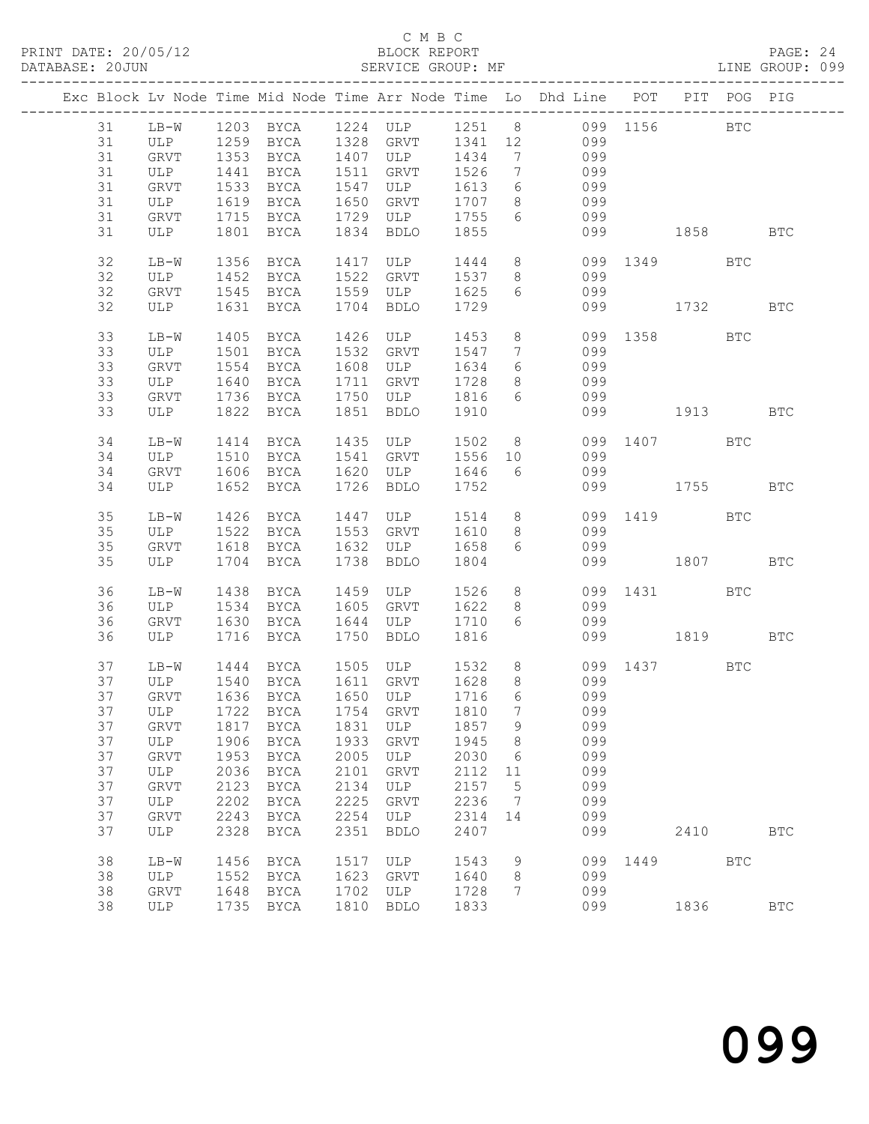|          |             |      |                        |              |                                                     |              |                                  | Exc Block Lv Node Time Mid Node Time Arr Node Time Lo Dhd Line POT PIT POG PIG |              |      |            |            |
|----------|-------------|------|------------------------|--------------|-----------------------------------------------------|--------------|----------------------------------|--------------------------------------------------------------------------------|--------------|------|------------|------------|
| 31       |             |      |                        |              |                                                     |              |                                  | LB-W 1203 BYCA 1224 ULP 1251 8 099 1156 BTC                                    |              |      |            |            |
| 31       |             |      |                        |              |                                                     |              |                                  | ULP 1259 BYCA 1328 GRVT 1341 12 099                                            |              |      |            |            |
| 31       | GRVT        |      |                        |              | 1353 BYCA 1407 ULP 1434                             |              | $\overline{7}$                   | 099                                                                            |              |      |            |            |
| 31       | ULP         | 1441 | <b>BYCA</b>            |              | 1511 GRVT                                           | 1526         | $7\overline{ }$                  | 099                                                                            |              |      |            |            |
| 31       | GRVT        |      | 1533 BYCA              |              | 1547 ULP                                            | 1613         | $6\overline{6}$                  | 099                                                                            |              |      |            |            |
| 31       | ULP         |      | 1619 BYCA 1650 GRVT    |              |                                                     | 1707         | 8 <sup>8</sup>                   | 099                                                                            |              |      |            |            |
| 31       | GRVT        |      |                        |              | 1715 BYCA 1729 ULP 1755                             |              | 6                                | 099                                                                            |              |      |            |            |
| 31       | ULP         |      | 1801 BYCA              |              | 1834 BDLO                                           | 1855         |                                  |                                                                                | 099 1858     |      |            | <b>BTC</b> |
|          |             |      |                        |              |                                                     |              |                                  |                                                                                |              |      |            |            |
| 32       | $LB-W$      |      | 1356 BYCA              |              | 1417 ULP                                            |              |                                  | 1444 8                                                                         | 099 1349 BTC |      |            |            |
| 32       | ULP         |      |                        |              |                                                     |              |                                  | 1452 BYCA 1522 GRVT 1537 8 099                                                 |              |      |            |            |
| 32       | GRVT        |      | 1545 BYCA 1559 ULP     |              |                                                     | 1625         | 6                                | 099                                                                            |              |      |            |            |
| 32       | ULP         |      | 1631 BYCA              |              | 1704 BDLO                                           | 1729         |                                  |                                                                                | 099 1732     |      |            | BTC        |
|          |             |      |                        |              |                                                     |              |                                  |                                                                                |              |      |            |            |
| 33       | $LB-W$      | 1405 | BYCA                   | 1426         | ULP                                                 | 1453         | 8 <sup>8</sup><br>$\overline{7}$ |                                                                                | 099 1358     |      | <b>BTC</b> |            |
| 33<br>33 | ULP         |      | 1501 BYCA 1532 GRVT    |              |                                                     | 1547         | $6\overline{6}$                  | 099<br>099                                                                     |              |      |            |            |
| 33       | GRVT<br>ULP |      | 1554 BYCA<br>1640 BYCA |              | 1608 ULP 1634<br>1711 GRVT 1728                     |              | 8 <sup>8</sup>                   | 099                                                                            |              |      |            |            |
| 33       | GRVT        |      |                        |              | 1736 BYCA 1750 ULP 1816 6                           |              |                                  | 099                                                                            |              |      |            |            |
| 33       | ULP         |      | 1822 BYCA              |              | 1851 BDLO                                           | 1910         |                                  |                                                                                | 099 1913 BTC |      |            |            |
|          |             |      |                        |              |                                                     |              |                                  |                                                                                |              |      |            |            |
| 34       | $LB-W$      |      | 1414 BYCA              |              | 1435 ULP                                            |              |                                  | 1502 8                                                                         | 099 1407 BTC |      |            |            |
| 34       | ULP         | 1510 |                        |              | BYCA 1541 GRVT 1556 10                              |              |                                  | 099                                                                            |              |      |            |            |
| 34       | GRVT        |      | 1606 BYCA              |              | 1620 ULP                                            | 1646 6       |                                  | 099                                                                            |              |      |            |            |
| 34       | ULP         |      | 1652 BYCA              |              | 1726 BDLO                                           | 1752         |                                  |                                                                                | 099 1755     |      |            | <b>BTC</b> |
|          |             |      |                        |              |                                                     |              |                                  |                                                                                |              |      |            |            |
| 35       | $LB-W$      |      | 1426 BYCA              |              | 1447 ULP                                            |              |                                  | 1514 8                                                                         | 099 1419 BTC |      |            |            |
| 35       | ULP         |      |                        |              | 1522 BYCA 1553 GRVT 1610                            |              | 8 <sup>8</sup>                   | 099                                                                            |              |      |            |            |
| 35       | GRVT        |      | 1618 BYCA              |              | 1632 ULP                                            | 1658         | 6                                | 099                                                                            |              |      |            |            |
| 35       | ULP         |      | 1704 BYCA              |              | 1738 BDLO                                           | 1804         |                                  |                                                                                | 099 1807     |      |            | <b>BTC</b> |
|          |             |      |                        |              |                                                     |              |                                  |                                                                                |              |      |            |            |
| 36<br>36 | LB-W        |      | 1438 BYCA<br>1534 BYCA |              | 1459 ULP 1526<br>1605 GRVT                          | 1622         | 8                                | 8<br>099                                                                       | 099 1431     |      | BTC        |            |
| 36       | ULP<br>GRVT |      | 1630 BYCA              |              | 1644 ULP                                            | 1710         | 6                                | 099                                                                            |              |      |            |            |
| 36       | ULP         |      | 1716 BYCA              |              | 1750 BDLO                                           | 1816         |                                  |                                                                                | 099 1819 BTC |      |            |            |
|          |             |      |                        |              |                                                     |              |                                  |                                                                                |              |      |            |            |
| 37       | $LB-W$      |      |                        |              | 1444 BYCA 1505 ULP                                  | 1532         | 8 <sup>8</sup>                   | 099 1437 BTC                                                                   |              |      |            |            |
| 37       | ULP         |      |                        |              |                                                     |              | 8 <sup>8</sup>                   | 099                                                                            |              |      |            |            |
| 37       | GRVT        |      |                        |              | 1540 BYCA 1611 GRVT 1628<br>1636 BYCA 1650 ULP 1716 |              | 6                                | 099                                                                            |              |      |            |            |
|          |             |      |                        |              |                                                     |              |                                  | 37 ULP 1722 BYCA 1754 GRVT 1810 7 099                                          |              |      |            |            |
| 37       | GRVT        |      | 1817 BYCA              | 1831         | ULP                                                 | 1857         | 9                                | 099                                                                            |              |      |            |            |
| 37       | ULP         | 1906 | BYCA                   | 1933         | GRVT                                                | 1945         | 8 <sup>8</sup>                   | 099                                                                            |              |      |            |            |
| 37       | GRVT        | 1953 | BYCA                   | 2005         | ULP                                                 | 2030         | $6\overline{6}$                  | 099                                                                            |              |      |            |            |
| 37       | ULP         | 2036 | BYCA                   | 2101         | GRVT                                                | 2112         | 11                               | 099                                                                            |              |      |            |            |
| 37       | GRVT        | 2123 | BYCA                   | 2134         | ULP                                                 | 2157         | 5                                | 099                                                                            |              |      |            |            |
| 37       | ULP         | 2202 | BYCA                   | 2225         | GRVT                                                | 2236         | $\overline{7}$                   | 099                                                                            |              |      |            |            |
| 37       | GRVT        | 2243 | BYCA                   | 2254         | ULP                                                 | 2314 14      |                                  | 099                                                                            |              |      |            |            |
| 37       | ULP         | 2328 | BYCA                   | 2351         | <b>BDLO</b>                                         | 2407         |                                  | 099                                                                            |              | 2410 |            | <b>BTC</b> |
|          |             |      |                        |              |                                                     |              |                                  |                                                                                |              |      |            |            |
| 38       | LB-W        | 1456 | BYCA                   | 1517         | ULP                                                 | 1543         | 9                                | 099                                                                            |              | 1449 | <b>BTC</b> |            |
| 38       | ULP         | 1552 | BYCA                   | 1623         | GRVT                                                | 1640         | 8                                | 099                                                                            |              |      |            |            |
| 38<br>38 | <b>GRVT</b> | 1648 | BYCA<br>1735 BYCA      | 1702<br>1810 | ULP                                                 | 1728<br>1833 | 7                                | 099<br>099                                                                     |              | 1836 |            | <b>BTC</b> |
|          | ULP         |      |                        |              | BDLO                                                |              |                                  |                                                                                |              |      |            |            |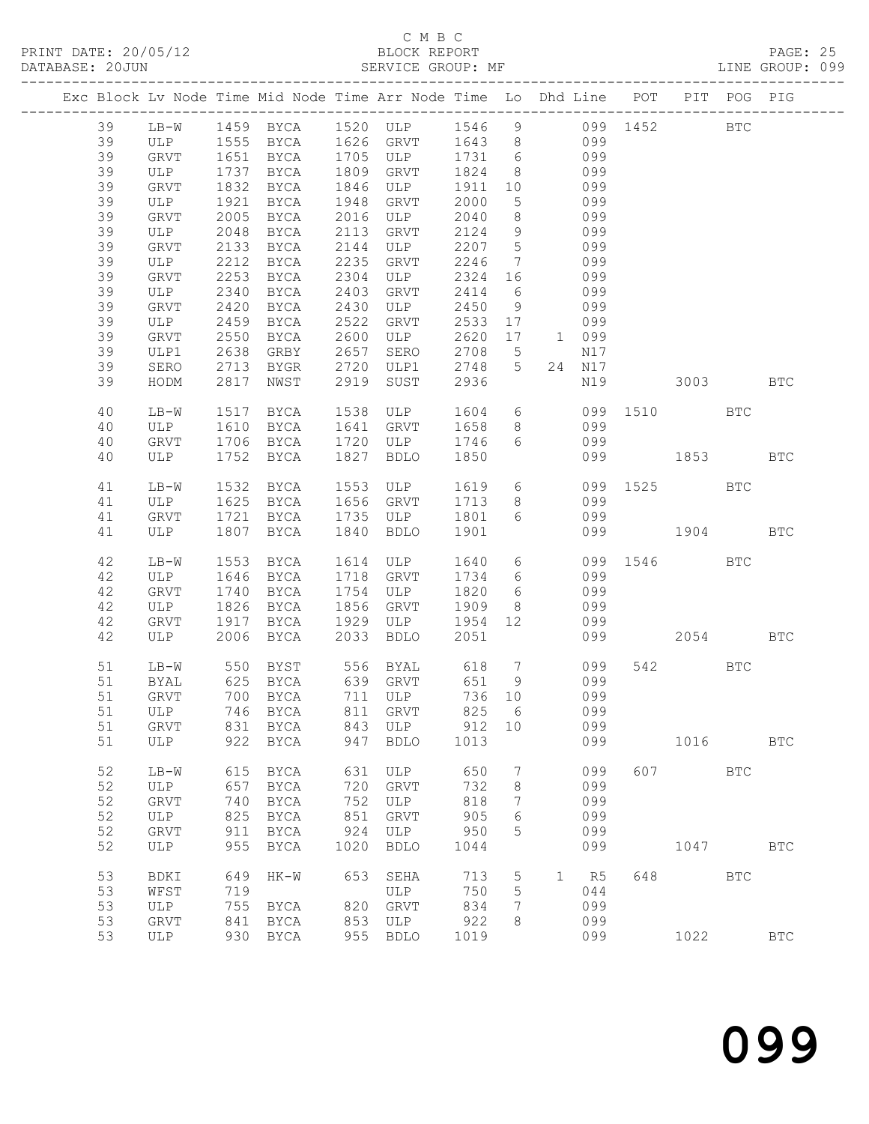### C M B C<br>BLOCK REPORT

| DATABASE: 20JUN |    |        |      |               |      | SERVICE GROUP: MF                                                              |         |                 |                 |        |                     |          |     | LINE GROUP: 099 |  |
|-----------------|----|--------|------|---------------|------|--------------------------------------------------------------------------------|---------|-----------------|-----------------|--------|---------------------|----------|-----|-----------------|--|
|                 |    |        |      |               |      | Exc Block Lv Node Time Mid Node Time Arr Node Time Lo Dhd Line POT PIT POG PIG |         |                 |                 |        |                     |          |     |                 |  |
|                 | 39 |        |      |               |      | LB-W 1459 BYCA 1520 ULP 1546 9 099 1452 BTC                                    |         |                 |                 |        |                     |          |     |                 |  |
|                 | 39 |        |      |               |      | ULP 1555 BYCA 1626 GRVT 1643 8 099                                             |         |                 |                 |        |                     |          |     |                 |  |
|                 | 39 | GRVT   |      |               |      | 1651 BYCA 1705 ULP 1731 6                                                      |         |                 |                 | 099    |                     |          |     |                 |  |
|                 | 39 |        |      | ULP 1737 BYCA |      | 1809 GRVT                                                                      | 1824 8  |                 |                 | 099    |                     |          |     |                 |  |
|                 | 39 | GRVT   | 1832 | <b>BYCA</b>   |      | 1846 ULP                                                                       | 1911    |                 | 10 099          |        |                     |          |     |                 |  |
|                 | 39 | ULP    | 1921 | BYCA          |      | 1948 GRVT                                                                      | 2000    | $5\overline{)}$ | 099             |        |                     |          |     |                 |  |
|                 | 39 | GRVT   | 2005 |               |      | BYCA 2016 ULP                                                                  | 2040    | 8 <sup>8</sup>  |                 | 099    |                     |          |     |                 |  |
|                 | 39 | ULP    | 2048 | BYCA          |      | 2113 GRVT                                                                      | 2124    | 9               |                 | 099    |                     |          |     |                 |  |
|                 |    |        |      | BYCA 2144     |      | ULP                                                                            | 2207 5  |                 |                 |        |                     |          |     |                 |  |
|                 | 39 | GRVT   | 2133 |               |      | GRVT                                                                           |         |                 | 099             | 099    |                     |          |     |                 |  |
|                 | 39 | ULP    | 2212 | BYCA          | 2235 |                                                                                | 2246    | $7\overline{ }$ |                 |        |                     |          |     |                 |  |
|                 | 39 | GRVT   | 2253 | BYCA 2304     |      | ULP                                                                            | 2324    | 16              | 099             |        |                     |          |     |                 |  |
|                 | 39 | ULP    | 2340 | BYCA          | 2403 | GRVT                                                                           | 2414    | 6               |                 | 099    |                     |          |     |                 |  |
|                 | 39 | GRVT   | 2420 | BYCA          | 2430 | ULP                                                                            | 2450    | 9               |                 | 099    |                     |          |     |                 |  |
|                 | 39 | ULP    | 2459 | BYCA 2522     |      | GRVT                                                                           | 2533    | 17              |                 | 099    |                     |          |     |                 |  |
|                 | 39 | GRVT   | 2550 | <b>BYCA</b>   | 2600 | ULP                                                                            | 2620    | 17              | 1 099           |        |                     |          |     |                 |  |
|                 | 39 | ULP1   | 2638 | GRBY          | 2657 | SERO                                                                           | 2708 5  |                 |                 | N17    |                     |          |     |                 |  |
|                 | 39 | SERO   |      |               |      | 2713 BYGR 2720 ULP1                                                            | 2748 5  |                 |                 | 24 N17 |                     |          |     |                 |  |
|                 | 39 | HODM   | 2817 | NWST          | 2919 | SUST                                                                           | 2936    |                 |                 | N19    | 3003 BTC            |          |     |                 |  |
|                 | 40 | LB-W   | 1517 | BYCA          |      | 1538 ULP                                                                       | 1604 6  |                 |                 |        | 099 1510 BTC        |          |     |                 |  |
|                 | 40 | ULP    | 1610 | <b>BYCA</b>   |      | 1641 GRVT                                                                      | 1658    | 8 <sup>8</sup>  |                 | 099    |                     |          |     |                 |  |
|                 | 40 | GRVT   |      | 1706 BYCA     |      | 1720 ULP                                                                       | 1746    |                 | $6\overline{6}$ | 099    |                     |          |     |                 |  |
|                 | 40 | ULP    |      | 1752 BYCA     | 1827 | BDLO                                                                           | 1850    |                 |                 |        | 099 1853            |          |     | <b>BTC</b>      |  |
|                 | 41 | LB-W   | 1532 | BYCA          |      | 1553 ULP                                                                       |         |                 |                 |        | 1619 6 099 1525 BTC |          |     |                 |  |
|                 | 41 | ULP    |      | 1625 BYCA     |      | 1656 GRVT                                                                      | 1713    |                 | 8 <sup>1</sup>  | 099    |                     |          |     |                 |  |
|                 | 41 | GRVT   | 1721 | BYCA          |      | 1735 ULP                                                                       | 1801 6  |                 |                 | 099    |                     |          |     |                 |  |
|                 | 41 | ULP    | 1807 | BYCA          | 1840 | BDLO                                                                           | 1901    |                 |                 |        | 099 1904 BTC        |          |     |                 |  |
|                 | 42 | $LB-W$ | 1553 | BYCA          |      | 1614 ULP                                                                       | 1640    |                 | $6\overline{6}$ |        | 099 1546            |          | BTC |                 |  |
|                 | 42 | ULP    | 1646 | BYCA          |      | 1718 GRVT                                                                      | 1734    | 6               |                 | 099    |                     |          |     |                 |  |
|                 | 42 | GRVT   | 1740 | BYCA          |      | 1754 ULP                                                                       | 1820    | 6               |                 | 099    |                     |          |     |                 |  |
|                 | 42 | ULP    | 1826 | BYCA          |      | 1856 GRVT                                                                      | 1909    | 8 <sup>8</sup>  |                 | 099    |                     |          |     |                 |  |
|                 | 42 | GRVT   |      | 1917 BYCA     |      | 1929 ULP                                                                       | 1954 12 |                 |                 | 099    |                     |          |     |                 |  |
|                 | 42 | ULP    |      | 2006 BYCA     | 2033 | <b>BDLO</b>                                                                    | 2051    |                 |                 |        | 099 00              | 2054 BTC |     |                 |  |
|                 | 51 | $LB-W$ |      |               |      |                                                                                |         |                 |                 |        |                     | 542 BTC  |     |                 |  |
|                 | 51 | BYAL   |      |               |      |                                                                                |         |                 |                 |        |                     |          |     |                 |  |
|                 |    |        |      |               |      | 51 GRVT 700 BYCA 711 ULP 736 10 099                                            |         |                 |                 |        |                     |          |     |                 |  |
|                 | 51 | ULP    |      | 746 BYCA      | 811  | GRVT                                                                           | 825     | - 6             |                 | 099    |                     |          |     |                 |  |
|                 | 51 | GRVT   |      | 831 BYCA      |      | 843 ULP                                                                        | 912 10  |                 |                 | 099    |                     |          |     |                 |  |
|                 | 51 | ULP    | 922  | BYCA          | 947  | <b>BDLO</b>                                                                    | 1013    |                 |                 | 099    |                     | 1016     |     | <b>BTC</b>      |  |
|                 | 52 | $LB-W$ | 615  | BYCA          | 631  | ULP                                                                            | 650     | 7               |                 | 099    |                     | 607 BTC  |     |                 |  |
|                 | 52 |        |      |               | 720  |                                                                                | 732     | 8               |                 | 099    |                     |          |     |                 |  |
|                 |    | ULP    | 657  | BYCA          |      | GRVT                                                                           |         |                 |                 |        |                     |          |     |                 |  |
|                 | 52 | GRVT   | 740  | BYCA          | 752  | ULP                                                                            | 818     | 7               |                 | 099    |                     |          |     |                 |  |
|                 | 52 | ULP    | 825  | BYCA          | 851  | GRVT                                                                           | 905     | 6               |                 | 099    |                     |          |     |                 |  |
|                 | 52 | GRVT   | 911  | BYCA          | 924  | ULP                                                                            | 950     | 5               |                 | 099    |                     |          |     |                 |  |
|                 | 52 | ULP    | 955  | BYCA          | 1020 | <b>BDLO</b>                                                                    | 1044    |                 |                 | 099    |                     | 1047     |     | <b>BTC</b>      |  |
|                 | 53 | BDKI   | 649  | HK-W          | 653  | SEHA                                                                           | 713     | $5\overline{)}$ |                 | 1 R5   |                     |          | BTC |                 |  |
|                 | 53 | WFST   | 719  |               |      | ULP                                                                            | 750     | 5               |                 | 044    |                     |          |     |                 |  |
|                 | 53 | ULP    | 755  | BYCA          |      | 820 GRVT                                                                       | 834     | 7               |                 | 099    |                     |          |     |                 |  |
|                 | 53 | GRVT   | 841  | BYCA          |      | 853 ULP                                                                        | 922     | 8               |                 | 099    |                     |          |     |                 |  |
|                 | 53 | ULP    |      | 930 BYCA      |      | 955 BDLO                                                                       | 1019    |                 |                 | 099    |                     | 1022     |     | $_{\rm BTC}$    |  |
|                 |    |        |      |               |      |                                                                                |         |                 |                 |        |                     |          |     |                 |  |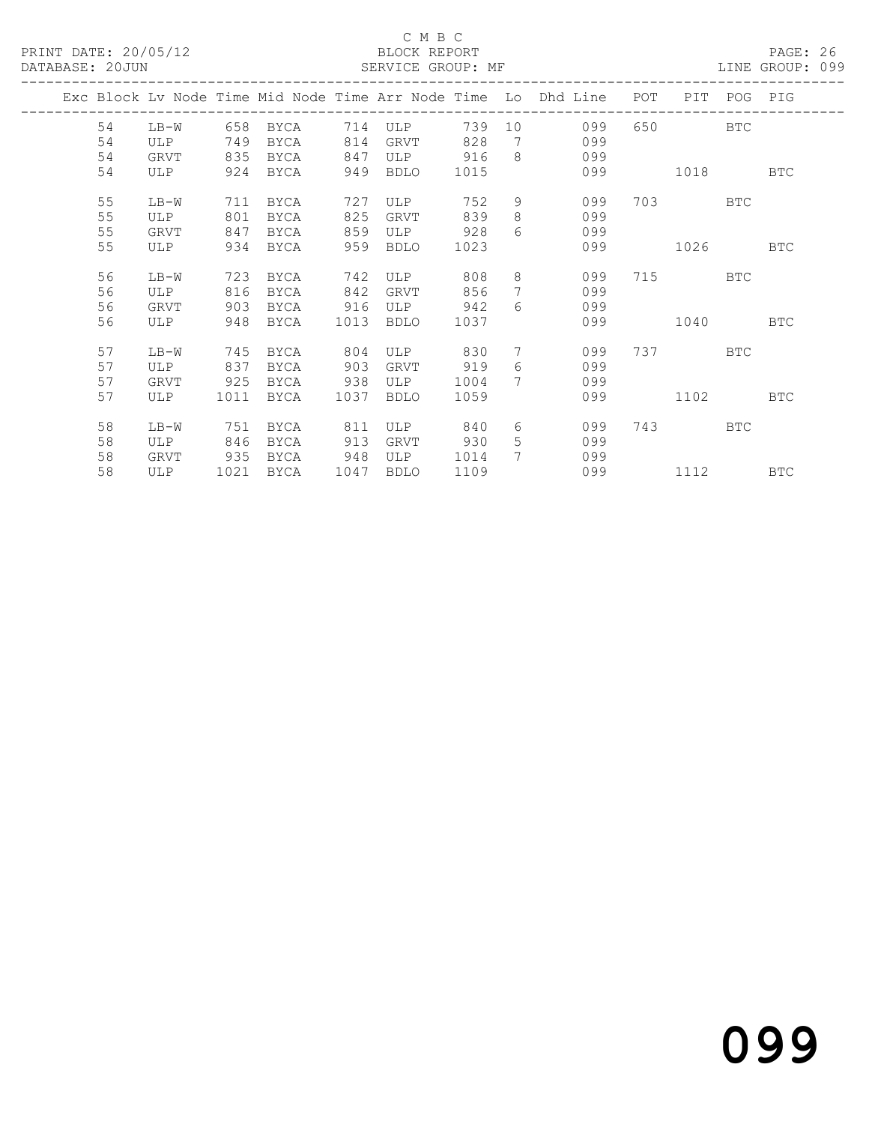### C M B C<br>BLOCK REPORT

LINE GROUP: 099

|    |        |      |             |      |             |      |                  | Exc Block Lv Node Time Mid Node Time Arr Node Time Lo Dhd Line | POT | PIT       |            | POG PIG    |
|----|--------|------|-------------|------|-------------|------|------------------|----------------------------------------------------------------|-----|-----------|------------|------------|
| 54 | LB-W   | 658  | BYCA        | 714  | ULP         | 739  | 10               | 099                                                            | 650 |           | <b>BTC</b> |            |
| 54 | ULP    | 749  | BYCA        | 814  | GRVT        | 828  | 7                | 099                                                            |     |           |            |            |
| 54 | GRVT   | 835  | BYCA        | 847  | ULP         | 916  | 8                | 099                                                            |     |           |            |            |
| 54 | ULP    | 924  | BYCA        | 949  | BDLO        | 1015 |                  | 099                                                            |     | 1018      |            | <b>BTC</b> |
| 55 | LB-W   | 711  | BYCA        | 727  | ULP         | 752  | 9                | 099                                                            |     | 703 — 103 | <b>BTC</b> |            |
| 55 | ULP    | 801  | BYCA        | 825  | <b>GRVT</b> | 839  | 8                | 099                                                            |     |           |            |            |
| 55 | GRVT   | 847  | BYCA        | 859  | ULP         | 928  | $6 \overline{6}$ | 099                                                            |     |           |            |            |
| 55 | ULP    | 934  | BYCA        | 959  | <b>BDLO</b> | 1023 |                  | 099                                                            |     | 1026      |            | <b>BTC</b> |
| 56 | $LB-W$ | 723  | BYCA        | 742  | ULP         | 808  | 8                | 099                                                            |     | 715       | <b>BTC</b> |            |
| 56 | ULP    | 816  | BYCA        | 842  | GRVT        | 856  | 7                | 099                                                            |     |           |            |            |
| 56 | GRVT   | 903  | BYCA        | 916  | ULP         | 942  | $6 \overline{6}$ | 099                                                            |     |           |            |            |
| 56 | ULP    | 948  | BYCA        | 1013 | <b>BDLO</b> | 1037 |                  | 099                                                            |     | 1040      |            | <b>BTC</b> |
| 57 | LB-W   | 745  | BYCA        | 804  | ULP         | 830  | $7\phantom{.0}$  | 099                                                            |     | 737 — 137 | <b>BTC</b> |            |
| 57 | ULP    | 837  | <b>BYCA</b> | 903  | GRVT        | 919  | 6                | 099                                                            |     |           |            |            |
| 57 | GRVT   | 925  | BYCA        | 938  | ULP         | 1004 | $\tau$           | 099                                                            |     |           |            |            |
| 57 | ULP    | 1011 | BYCA        | 1037 | <b>BDLO</b> | 1059 |                  | 099                                                            |     | 1102      |            | <b>BTC</b> |
|    |        |      |             |      |             |      |                  |                                                                |     |           |            |            |
| 58 | $LB-W$ | 751  | BYCA        | 811  | ULP         | 840  | 6                | 099                                                            | 743 |           | <b>BTC</b> |            |
| 58 | ULP    | 846  | BYCA        | 913  | GRVT        | 930  | 5                | 099                                                            |     |           |            |            |
| 58 | GRVT   | 935  | BYCA        | 948  | ULP         | 1014 | 7                | 099                                                            |     |           |            |            |
| 58 | ULP    | 1021 | BYCA        | 1047 | BDLO        | 1109 |                  | 099                                                            |     | 1112      |            | <b>BTC</b> |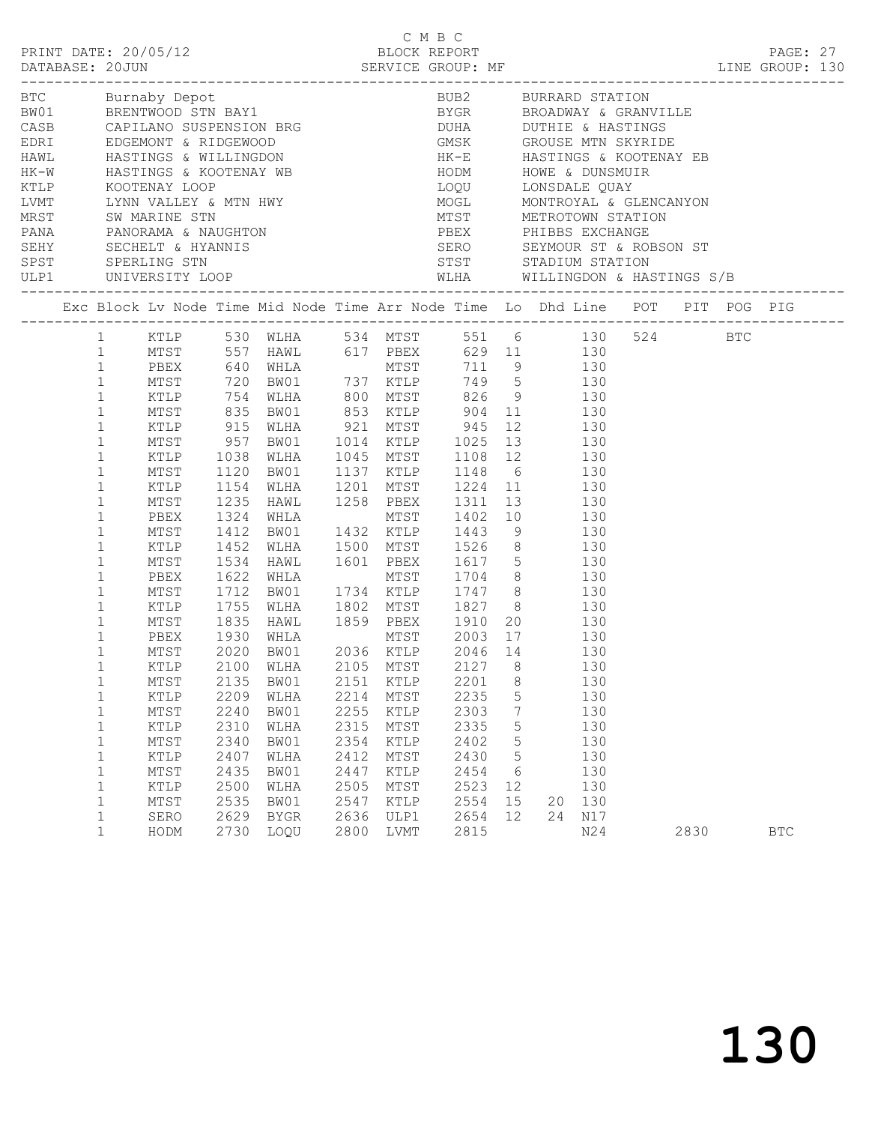|                                                                                                                                                                                                                                                                                              |                                                                                                      |                                                                                              | C M B C<br>PRINT DATE: 20/05/12<br>DATABASE: 20JUN SERVICE GROUP: MF ELECTRIC SERVICE GROUP: ME EXAMPLE SERVICE GROUP: 130                                                                                                                                                                                                                                                                                                                                                                                                                                                                                                                                                                    |                                                                                      |                                                                                                 | C M B C                                                                              |                                                   |    |                                                                                               |      |            |  |
|----------------------------------------------------------------------------------------------------------------------------------------------------------------------------------------------------------------------------------------------------------------------------------------------|------------------------------------------------------------------------------------------------------|----------------------------------------------------------------------------------------------|-----------------------------------------------------------------------------------------------------------------------------------------------------------------------------------------------------------------------------------------------------------------------------------------------------------------------------------------------------------------------------------------------------------------------------------------------------------------------------------------------------------------------------------------------------------------------------------------------------------------------------------------------------------------------------------------------|--------------------------------------------------------------------------------------|-------------------------------------------------------------------------------------------------|--------------------------------------------------------------------------------------|---------------------------------------------------|----|-----------------------------------------------------------------------------------------------|------|------------|--|
|                                                                                                                                                                                                                                                                                              |                                                                                                      |                                                                                              |                                                                                                                                                                                                                                                                                                                                                                                                                                                                                                                                                                                                                                                                                               |                                                                                      |                                                                                                 |                                                                                      |                                                   |    |                                                                                               |      |            |  |
|                                                                                                                                                                                                                                                                                              |                                                                                                      |                                                                                              | Exc Block Lv Node Time Mid Node Time Arr Node Time Lo Dhd Line POT PIT POG PIG                                                                                                                                                                                                                                                                                                                                                                                                                                                                                                                                                                                                                |                                                                                      |                                                                                                 |                                                                                      |                                                   |    |                                                                                               |      |            |  |
| 1<br>$\mathbf{1}$<br>$\mathbf{1}$<br>$\mathbf{1}$<br>$\mathbf{1}$<br>$\mathbf{1}$<br>$\mathbf{1}$<br>$\mathbf{1}$<br>$\mathbf{1}$<br>$\mathbf{1}$<br>$\mathbf{1}$<br>$\mathbf 1$<br>$\mathbf 1$<br>$\mathbf 1$<br>$\mathbf{1}$<br>$\mathbf 1$<br>$\mathbf{1}$<br>$\mathbf 1$<br>$\mathbf{1}$ | KTLP<br>MTST<br>KTLP<br>MTST<br>PBEX<br>MTST<br>KTLP<br>MTST<br>PBEX<br>MTST<br>KTLP<br>MTST         | 1038<br>1154<br>1235<br>1324<br>1412<br>1452<br>1534                                         | 1 KTLP 530 WLHA 534 MTST 551 6 130 524 BTC<br>MTST 557 HAWL 617 PBEX 629 11 130<br>PBEX 640 WHLA MTST 711 9 130<br>MTST 720 BW01 737 KTLP 749 5 130<br>XTLP 754 WLHA 800 MTST 826 9 130<br>MTST 835 BW01 853 KTLP 904 11 130<br>KTLP 915 WLHA 921 MTST 945 12 130<br>MTST 957 BW01 1014 KTLP 1025 13 130<br>WLHA<br>1120 BW01 1137 KTLP 1148 6 130<br>1154 WLHA 1201 MTST 1224 11 130<br>1235 HAWL 1258 PBEX 1311 13 130<br>WHLA<br>BW01 1432 KTLP 1443 9 130<br>WLHA 1500 MTST 1526 8 130<br>HAWL 1601 PBEX 1617 5 130<br>WHLA MTST 1704 8 130<br>1622 WHLA<br>1712 BW01 1734 KTLP 1747 8<br>1755 WLHA 1802 MTST 1827 8 130<br>1835 HAWL 1859 PBEX 1910 20 130<br>1930 WHLA MTST 2003 17 130 |                                                                                      |                                                                                                 | 1045 MTST 1108 12 130<br>MTST 1402 10 130                                            |                                                   |    |                                                                                               |      |            |  |
| $\mathbf{1}$<br>$\mathbf{1}$<br>1<br>$\mathbf 1$<br>1<br>$\mathbf 1$<br>1<br>$\mathbf 1$<br>1<br>1<br>1<br>$\mathbf 1$<br>$\mathbf 1$<br>$\mathbf{1}$                                                                                                                                        | PBEX<br>MTST<br>MTST<br>KTLP<br>MTST<br>KTLP<br>MTST<br>KTLP<br>MTST<br>KTLP<br>MTST<br>SERO<br>HODM | 2020<br>2135<br>2209<br>2240<br>2310<br>2340<br>2407<br>2435<br>2500<br>2535<br>2629<br>2730 | BW01 2036 KTLP 2046 14<br>KTLP 2100 WLHA 2105 MTST 2127 8<br>BW01<br>WLHA<br>BW01<br>WLHA<br>BW01<br>WLHA<br>BW01<br>WLHA<br>BW01<br><b>BYGR</b><br>LOQU                                                                                                                                                                                                                                                                                                                                                                                                                                                                                                                                      | 2151<br>2214<br>2255<br>2315<br>2354<br>2412<br>2447<br>2505<br>2547<br>2636<br>2800 | KTLP<br>MTST<br>KTLP<br>MTST<br>KTLP<br>MTST<br>KTLP<br>$\mathtt{MTST}$<br>KTLP<br>ULP1<br>LVMT | 2201<br>2235<br>2303<br>2335<br>2402<br>2430<br>2454<br>2523<br>2554<br>2654<br>2815 | 8<br>5<br>7<br>5<br>5<br>5<br>6<br>12<br>15<br>12 | 20 | 130<br>130<br>130<br>130<br>130<br>130<br>130<br>130<br>130<br>130<br>130<br>24<br>N17<br>N24 | 2830 | <b>BTC</b> |  |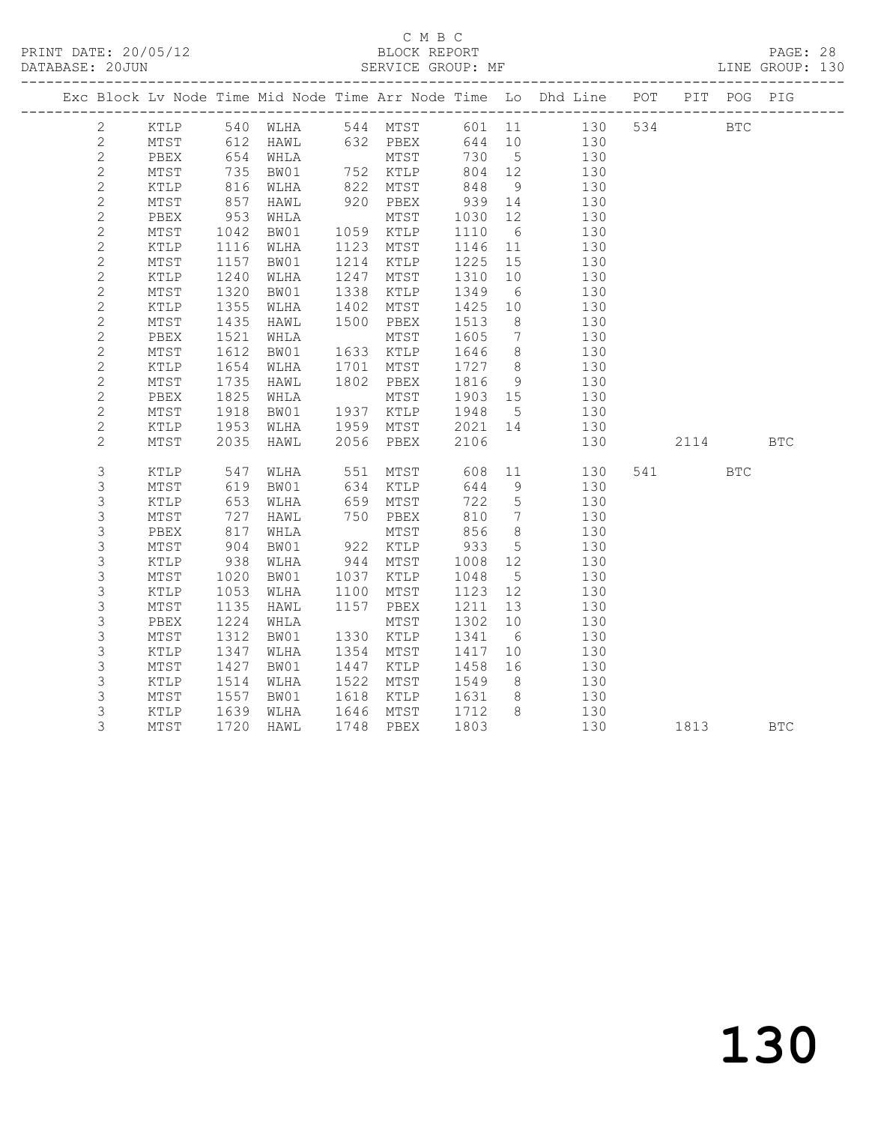PRINT DATE: 20/05/12 BLOCK REPORT<br>DATABASE: 20JUN BATABASE: 2010

## C M B C<br>BLOCK REPORT

PAGE: 28<br>LINE GROUP: 130

|                |                |                 |                                           |                                |      |                          |                 |                 | Exc Block Lv Node Time Mid Node Time Arr Node Time Lo Dhd Line POT PIT POG PIG |          |            |            |
|----------------|----------------|-----------------|-------------------------------------------|--------------------------------|------|--------------------------|-----------------|-----------------|--------------------------------------------------------------------------------|----------|------------|------------|
|                | $\overline{2}$ |                 |                                           |                                |      |                          |                 |                 | KTLP 540 WLHA 544 MTST 601 11 130                                              | 534      | <b>BTC</b> |            |
|                | $\overline{2}$ | MTST            |                                           |                                |      |                          |                 |                 |                                                                                |          |            |            |
| $\overline{2}$ |                | PBEX            |                                           |                                |      |                          |                 |                 |                                                                                |          |            |            |
| $\sqrt{2}$     |                | MTST            | 735                                       | BW01                           |      | 752 KTLP 804 12          |                 |                 | 130                                                                            |          |            |            |
| $\sqrt{2}$     |                | KTLP            | 816<br>857                                | WLHA                           |      | 822 MTST                 | 848 9<br>939 14 |                 | 130                                                                            |          |            |            |
| $\sqrt{2}$     |                | MTST            |                                           | HAWL                           |      | 822<br>920 PBEX<br>**met |                 |                 | 130                                                                            |          |            |            |
| $\mathbf{2}$   |                | PBEX            | 953                                       | WHLA                           |      | MTST                     | 1030 12         |                 | 130                                                                            |          |            |            |
| $\sqrt{2}$     |                | MTST            | 1042                                      | BW01                           |      | 1059 KTLP                | 1110            | 6 <sup>6</sup>  | 130                                                                            |          |            |            |
| $\overline{c}$ |                | KTLP            | 1116                                      | WLHA                           |      | 1123 MTST                | 1146 11         |                 | 130                                                                            |          |            |            |
| $\mathbf{2}$   |                | MTST            | 1157                                      | BW01                           | 1214 | KTLP                     | 1225 15         |                 | 130                                                                            |          |            |            |
|                | $\mathbf{2}$   | KTLP            | 1240                                      | WLHA                           | 1247 | MTST                     | 1310            | 10              | 130                                                                            |          |            |            |
| $\sqrt{2}$     |                | MTST            | 1320                                      | BW01                           | 1338 | KTLP                     | 1349            | $6\overline{6}$ | 130                                                                            |          |            |            |
| $\mathbf{2}$   |                | KTLP            | 1355                                      | WLHA                           | 1402 | MTST                     | 1425            | 10              | 130                                                                            |          |            |            |
|                | $\mathbf{2}$   | MTST            | 1435                                      | HAWL                           | 1500 | PBEX                     | 1513            | 8 <sup>8</sup>  | 130                                                                            |          |            |            |
| $\sqrt{2}$     |                | PBEX            | 1521                                      | WHLA                           |      | MTST                     | 1605            | $7\overline{ }$ | 130                                                                            |          |            |            |
| $\mathbf{2}$   |                | MTST            | 1612                                      | BW01                           |      | 1633 KTLP                | 1646            | 8 <sup>8</sup>  | 130                                                                            |          |            |            |
|                | $\mathbf{2}$   | KTLP            | 1654                                      | WLHA                           | 1701 | MTST                     | 1727 8          |                 | 130                                                                            |          |            |            |
|                | $\overline{c}$ | MTST            | $1,2$<br>1825<br>1825                     | HAWL                           |      | 1802 PBEX                | 1816            | 9               | 130                                                                            |          |            |            |
| $\mathbf{2}$   |                | PBEX            |                                           | WHLA                           |      | MTST                     | 1903 15         |                 | 130                                                                            |          |            |            |
|                | $\mathbf{2}$   | MTST            | 1918                                      | BW01                           |      | 1937 KTLP                | 1948 5          |                 | 130                                                                            |          |            |            |
|                | $\overline{c}$ | KTLP            | 1953<br>2035                              | WLHA                           |      |                          |                 |                 | 1959 MTST 2021 14 130                                                          |          |            |            |
|                | $\overline{2}$ | MTST            |                                           | HAWL                           |      | 2056 PBEX                | 2106            |                 | 130                                                                            | 2114 BTC |            |            |
|                | 3              | KTLP            | 547<br>619                                | WLHA                           |      | 551 MTST                 | 608<br>644      |                 | 11 130                                                                         | 541 BTC  |            |            |
|                | 3              | MTST            |                                           | BW01                           |      | 634 KTLP                 | 644             | 9               | 130                                                                            |          |            |            |
|                | 3              | KTLP            | 653                                       | WLHA                           |      | 659 MTST                 | 722             | $5\overline{)}$ | 130                                                                            |          |            |            |
|                | $\mathsf S$    | MTST            |                                           | HAWL                           |      | 750 PBEX                 | 810             | $7\overline{ }$ | 130                                                                            |          |            |            |
|                | $\mathsf S$    | PBEX            | $\begin{array}{c} 727 \\ 817 \end{array}$ | WHLA                           |      | MTST                     |                 | 8 <sup>8</sup>  | 130                                                                            |          |            |            |
|                | 3              | MTST            | 904                                       | BW01                           |      | 922 KTLP                 | 856<br>933      | 5 <sup>5</sup>  | 130                                                                            |          |            |            |
|                | $\mathsf S$    | KTLP            | 938                                       | WLHA                           |      | 944 MTST                 | 1008 12         |                 | 130                                                                            |          |            |            |
|                | 3              | MTST            | $\frac{1020}{1053}$                       | BW01                           |      | 1037 KTLP                | 1048            | 5 <sup>5</sup>  | 130                                                                            |          |            |            |
|                | 3              | KTLP            |                                           | WLHA                           | 1100 | MTST                     | 1123 12         |                 | 130                                                                            |          |            |            |
|                | 3              | MTST            | 1135                                      | HAWL                           | 1157 | PBEX                     | 1211            | 13              | 130                                                                            |          |            |            |
|                | 3              | PBEX            | 1224                                      | WHLA                           |      | MTST                     | 1302            | 10              | 130                                                                            |          |            |            |
|                | $\mathsf S$    | MTST            | 1312                                      | BW01                           |      | 1330 KTLP                | 1341 6          |                 | 130                                                                            |          |            |            |
|                | 3              | KTLP            | 1347                                      | WLHA                           |      | 1354 MTST                | 1417            | 10              | 130                                                                            |          |            |            |
|                | 3              | $\mathtt{MTST}$ | 1427                                      | BW01                           | 1447 | KTLP                     | 1458            | 16              | 130                                                                            |          |            |            |
|                | $\mathsf S$    | $\texttt{KTLP}$ | 1514                                      | WLHA                           |      | 1522 MTST                | 1549            | 8 <sup>8</sup>  | 130                                                                            |          |            |            |
|                | 3              | MTST            | 1557                                      | BW01                           |      | 1618 KTLP                | 1631            | 8 <sup>8</sup>  | 130                                                                            |          |            |            |
|                | 3              | KTLP            |                                           | 1639 WLHA<br>1720 HAWL<br>WLHA |      | 1646 MTST                | 1712            |                 | 8 130                                                                          |          |            |            |
|                | 3              | MTST            |                                           |                                |      | 1748 PBEX                | 1803            |                 | 130                                                                            | 1813     |            | <b>BTC</b> |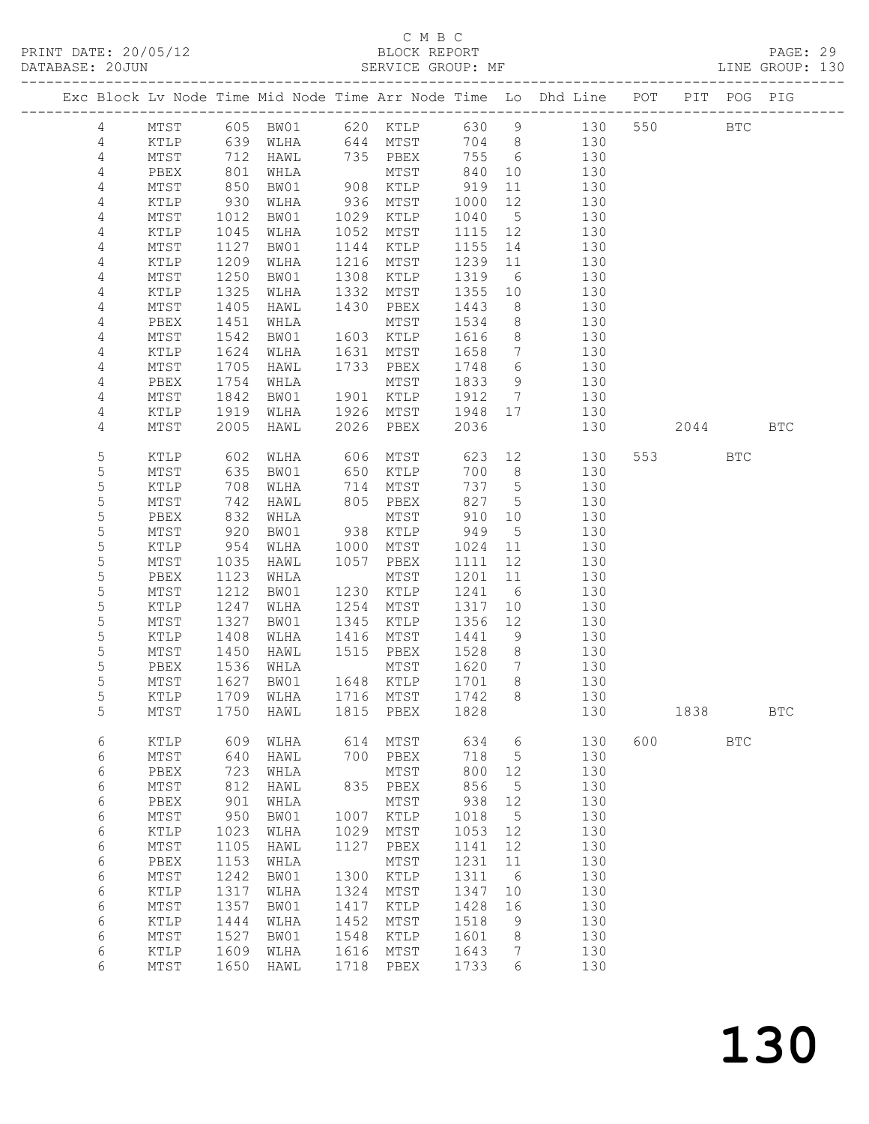### C M B C

| DATABASE: 20JUN |                |                 |                   | SERVICE GROUP: MF |      |                                          |                     |                 |                                                                                |         |            | LINE GROUP: 130 |  |
|-----------------|----------------|-----------------|-------------------|-------------------|------|------------------------------------------|---------------------|-----------------|--------------------------------------------------------------------------------|---------|------------|-----------------|--|
|                 |                |                 |                   |                   |      |                                          |                     |                 | Exc Block Lv Node Time Mid Node Time Arr Node Time Lo Dhd Line POT PIT POG PIG |         |            |                 |  |
|                 | 4              |                 |                   |                   |      |                                          |                     |                 | MTST 605 BW01 620 KTLP 630 9 130 550 BTC                                       |         |            |                 |  |
|                 | 4              |                 |                   |                   |      |                                          |                     |                 | KTLP 639 WLHA 644 MTST 704 8 130                                               |         |            |                 |  |
|                 | 4              | MTST            | 712<br>801<br>850 |                   |      |                                          |                     |                 | HAWL 735 PBEX 755 6 130                                                        |         |            |                 |  |
|                 | $\overline{4}$ | PBEX            |                   |                   |      |                                          |                     |                 | 130                                                                            |         |            |                 |  |
|                 | 4              | MTST            |                   |                   |      | WHLA MTST 840 10<br>BW01 908 KTLP 919 11 |                     |                 | $\begin{array}{c} 11 \\ 1 \end{array}$<br>130                                  |         |            |                 |  |
|                 | 4              | KTLP            | 930               | WLHA              |      | 936 MTST                                 | 1000                | 12              | 130                                                                            |         |            |                 |  |
|                 | 4              | MTST            | 1012              | BW01              |      | 1029 KTLP                                | 1040                | 5 <sup>5</sup>  | 130                                                                            |         |            |                 |  |
|                 | 4              | KTLP            | 1045              | WLHA              |      | 1052 MTST                                | 1115 12             |                 | 130                                                                            |         |            |                 |  |
|                 | 4              | MTST            | $\frac{1}{1127}$  | BW01              |      | 1144 KTLP                                | 1155 14             |                 | 130                                                                            |         |            |                 |  |
|                 | 4              | KTLP            | 1209              | WLHA              |      | 1216 MTST                                | 1239 11             |                 | 130                                                                            |         |            |                 |  |
|                 | 4              | MTST            | 1250              | BW01              | 1308 | KTLP                                     | 1319                |                 | 6 130                                                                          |         |            |                 |  |
|                 | 4              | KTLP            | 1325              | WLHA              |      | 1332 MTST                                | 1355 10             |                 | 130                                                                            |         |            |                 |  |
|                 | 4              | MTST            | 1405              | HAWL              |      | 1430 PBEX                                | 1443                | 8 <sup>8</sup>  | 130                                                                            |         |            |                 |  |
|                 | 4              | PBEX            | 1451              | WHLA              |      | MTST                                     | 1534                |                 | 8 130                                                                          |         |            |                 |  |
|                 |                |                 |                   |                   |      |                                          |                     |                 |                                                                                |         |            |                 |  |
|                 | 4              | MTST            | 1542              | BW01              |      | 1603 KTLP                                | 1616                | 8 <sup>8</sup>  | 130                                                                            |         |            |                 |  |
|                 | 4              | KTLP            | $1624$<br>1705    | WLHA              |      | 1631 MTST                                | 1658                | $7\overline{)}$ | 130                                                                            |         |            |                 |  |
|                 | 4              | MTST            |                   | HAWL              |      | 1733 PBEX                                | 1748 6              |                 | 130                                                                            |         |            |                 |  |
|                 | 4              | PBEX            | 1754              | WHLA              |      | MTST                                     | 1833                | 9               | 130                                                                            |         |            |                 |  |
|                 | 4              | MTST            | 1842              | BW01              |      | 1901 KTLP                                |                     |                 | 1912 7 130                                                                     |         |            |                 |  |
|                 | 4              | KTLP            | 1919              | WLHA              |      | 1926 MTST                                | 1948 17             |                 | 130                                                                            |         |            |                 |  |
|                 | 4              | MTST            | 2005              | HAWL 2026 PBEX    |      |                                          | 2036                |                 | 130                                                                            | 2044    |            | <b>BTC</b>      |  |
|                 | 5              | KTLP            | 602               | WLHA              |      | 606 MTST                                 |                     |                 | 623 12<br>130                                                                  | 553 75  | <b>BTC</b> |                 |  |
|                 | 5              | MTST            |                   | BW01              |      | 650 KTLP                                 |                     | 700 8           | 130                                                                            |         |            |                 |  |
|                 | 5              | KTLP            |                   | WLHA              |      | 714 MTST                                 |                     | 737 5           | 130                                                                            |         |            |                 |  |
|                 | 5              | MTST            | 635<br>708<br>742 | HAWL              |      | 805 PBEX                                 |                     | 827 5           | 130                                                                            |         |            |                 |  |
|                 | 5              | PBEX            | 832               | WHLA              |      | MTST                                     |                     | 910 10          | 130                                                                            |         |            |                 |  |
|                 | 5              | MTST            | 920               | BW01              |      | 938 KTLP                                 | 949                 | $5\overline{)}$ | 130                                                                            |         |            |                 |  |
|                 | 5              | KTLP            | 954               | WLHA              |      | 1000 MTST                                | 1024 11             |                 | 130                                                                            |         |            |                 |  |
|                 | 5              | MTST            | 1035              | HAWL              |      | 1057 PBEX                                | 1111                | 12              | 130                                                                            |         |            |                 |  |
|                 | 5              | PBEX            | 1123              | WHLA              |      | MTST                                     |                     |                 | 1201 11<br>130                                                                 |         |            |                 |  |
|                 | 5              | MTST            | 1212              | BW01              |      | 1230 KTLP                                | 1241 6              |                 | 130                                                                            |         |            |                 |  |
|                 | 5              | KTLP            | 1247              | WLHA              |      | 1254 MTST                                | 1317                | 10              | 130                                                                            |         |            |                 |  |
|                 | 5              | MTST            | 1327              | BW01              | 1345 | KTLP                                     | 1356 12             |                 | 130                                                                            |         |            |                 |  |
|                 | 5              | KTLP            | 1408              | WLHA              | 1416 | MTST                                     | 1441                |                 | 9 130                                                                          |         |            |                 |  |
|                 | 5              | MTST            | 1450              | HAWL 1515 PBEX    |      |                                          | 1528                | 8 <sup>8</sup>  | 130                                                                            |         |            |                 |  |
|                 | 5              | PBEX            |                   | WHLA              |      | MTST                                     | 1620                | $\overline{7}$  | 130                                                                            |         |            |                 |  |
|                 | 5              | MTST            | 1536<br>1627      | BW01              |      | 1648 KTLP                                | $\overline{1701}$ 8 |                 | 130                                                                            |         |            |                 |  |
|                 | 5              |                 |                   |                   |      |                                          |                     |                 | KTLP 1709 WLHA 1716 MTST 1742 8 130                                            |         |            |                 |  |
|                 | 5              | MTST            | 1750              | HAWL              | 1815 | PBEX                                     | 1828                |                 | 130                                                                            | 1838    |            | <b>BTC</b>      |  |
|                 | 6              | KTLP            | 609               | WLHA              |      | 614 MTST                                 | 634                 | $6\overline{6}$ | 130                                                                            | 600 000 | <b>BTC</b> |                 |  |
|                 | 6              | MTST            | 640               | HAWL              |      | 700 PBEX                                 | 718                 | $5^{\circ}$     | 130                                                                            |         |            |                 |  |
|                 | 6              | PBEX            | 723               | WHLA              |      | MTST                                     | 800                 | 12              | 130                                                                            |         |            |                 |  |
|                 | 6              | $\mathtt{MTST}$ | 812               | HAWL              |      | 835 PBEX                                 | 856                 | 5               | 130                                                                            |         |            |                 |  |
|                 | 6              | PBEX            | 901               | WHLA              |      | MTST                                     | 938                 | 12              | 130                                                                            |         |            |                 |  |
|                 | 6              | MTST            | 950               | BW01              | 1007 | KTLP                                     | 1018                | $5^{\circ}$     | 130                                                                            |         |            |                 |  |
|                 | 6              | KTLP            | 1023              | WLHA              | 1029 | MTST                                     | 1053                | 12              | 130                                                                            |         |            |                 |  |
|                 | 6              | $\mathtt{MTST}$ | 1105              | HAWL              | 1127 | PBEX                                     | 1141                | 12              | 130                                                                            |         |            |                 |  |
|                 | 6              | PBEX            | 1153              | WHLA              |      | MTST                                     | 1231                | 11              | 130                                                                            |         |            |                 |  |
|                 | 6              | $\mathtt{MTST}$ | 1242              | BW01              | 1300 | KTLP                                     | 1311                | $6\overline{6}$ | 130                                                                            |         |            |                 |  |
|                 |                |                 |                   |                   |      |                                          |                     |                 |                                                                                |         |            |                 |  |
|                 | 6              | KTLP            | 1317              | WLHA              | 1324 | MTST                                     | 1347                | 10              | 130                                                                            |         |            |                 |  |
|                 | 6              | MTST            | 1357              | BW01              | 1417 | KTLP                                     | 1428                | 16              | 130                                                                            |         |            |                 |  |
|                 | 6              | KTLP            | 1444              | WLHA              | 1452 | MTST                                     | 1518                | 9               | 130                                                                            |         |            |                 |  |
|                 | 6              | MTST            | 1527              | BW01              | 1548 | KTLP                                     | 1601                | 8               | 130                                                                            |         |            |                 |  |
|                 | 6              | KTLP            | 1609              | WLHA              | 1616 | MTST                                     | 1643                | $\overline{7}$  | 130                                                                            |         |            |                 |  |
|                 | 6              | MTST            | 1650              | HAWL              | 1718 | PBEX                                     | 1733                | 6               | 130                                                                            |         |            |                 |  |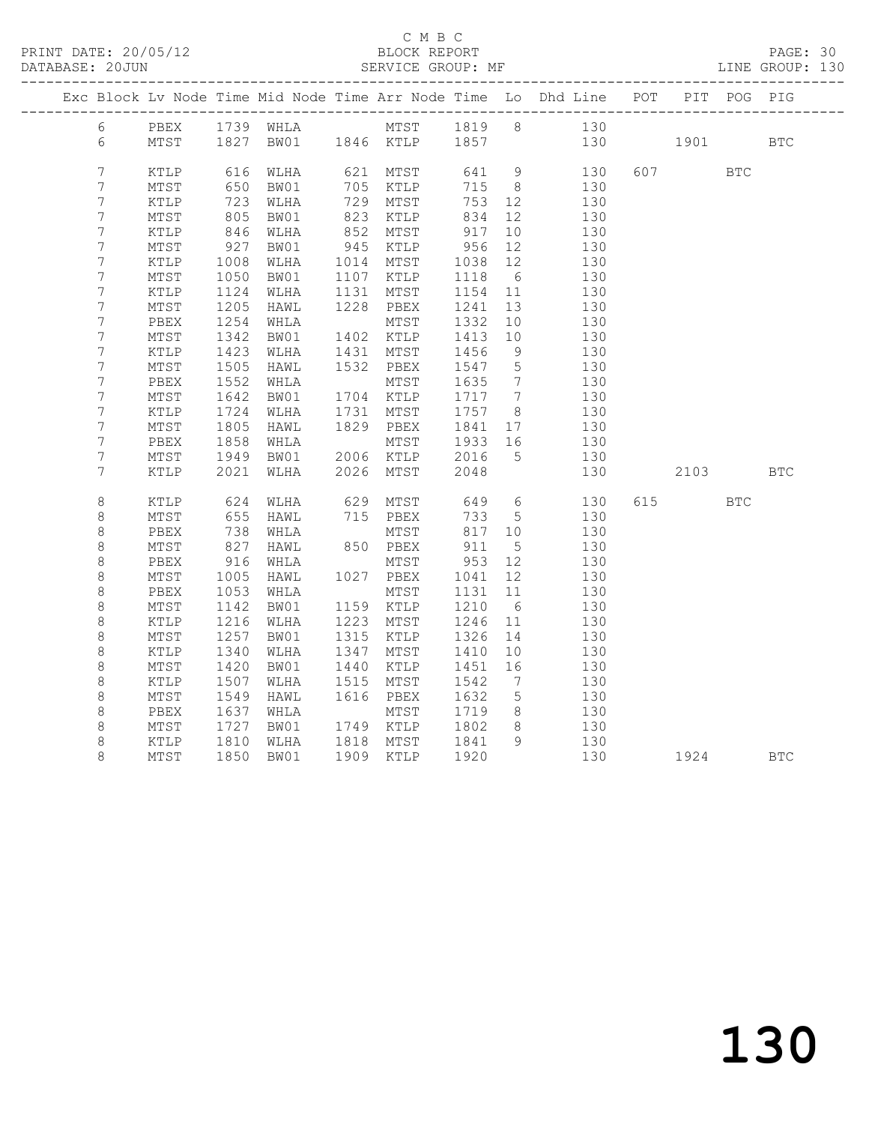### C M B C<br>BLOCK REPORT

### PAGE: 30<br>LINE GROUP: 130

|                  |                 |                           |                |      |                      |                        |                 | Exc Block Lv Node Time Mid Node Time Arr Node Time Lo Dhd Line POT |          | PIT POG PIG |            |
|------------------|-----------------|---------------------------|----------------|------|----------------------|------------------------|-----------------|--------------------------------------------------------------------|----------|-------------|------------|
| 6                | PBEX            |                           |                |      |                      |                        |                 | 1739 WHLA MTST 1819 8 130                                          |          |             |            |
| 6                | MTST            |                           |                |      |                      |                        |                 | 1827 BW01 1846 KTLP 1857 130 1901                                  |          |             | <b>BTC</b> |
| $\boldsymbol{7}$ |                 |                           |                |      |                      |                        | $\overline{9}$  | 130                                                                | 607      |             |            |
| 7                | KTLP<br>MTST    | 616                       | WLHA<br>BW01   |      | 621 MTST             | 641<br>715             | 8 <sup>8</sup>  | 130                                                                |          | <b>BTC</b>  |            |
| $\boldsymbol{7}$ | $\texttt{KTLP}$ | 650<br>723                | WLHA           |      | 705 KTLP<br>729 MTST | 753 12                 |                 | 130                                                                |          |             |            |
| 7                | $\mathtt{MTST}$ |                           | BW01           | 823  | KTLP                 | 834                    | 12              | 130                                                                |          |             |            |
| $\overline{7}$   | $\texttt{KTLP}$ | 805<br>846                | WLHA           |      | 852 MTST             | 917                    | 10              | 130                                                                |          |             |            |
| $\overline{7}$   | MTST            | 927                       | BW01           |      | 945 KTLP             | 956                    | 12              | 130                                                                |          |             |            |
| 7                | KTLP            |                           | WLHA           |      | 1014 MTST            |                        | 12              | 130                                                                |          |             |            |
| $\overline{7}$   | MTST            | $\frac{1008}{1050}$       | BW01           |      | 1107 KTLP            | 1038<br>1118<br>1118 6 |                 | 130                                                                |          |             |            |
| $\overline{7}$   | KTLP            | 1124                      | WLHA           |      | 1131 MTST            | 1154 11                |                 | 130                                                                |          |             |            |
| 7                | MTST            | 1205                      | HAWL           |      | 1228 PBEX            | 1241                   | 13              | 130                                                                |          |             |            |
| 7                | PBEX            | 1254                      | WHLA           |      | MTST                 | 1332                   | 10              | 130                                                                |          |             |            |
| $\overline{7}$   | MTST            | 1342                      | BW01           |      | 1402 KTLP            | 1413                   | 10              | 130                                                                |          |             |            |
| 7                | KTLP            | 1423                      | WLHA           |      | 1431 MTST            | 1456                   | 9               | 130                                                                |          |             |            |
| 7                | MTST            | 1505                      | HAWL           |      | 1532 PBEX            | 1547                   | $5^{\circ}$     | 130                                                                |          |             |            |
| 7                | PBEX            | 1552                      | WHLA           |      | MTST                 | 1635                   | $\overline{7}$  | 130                                                                |          |             |            |
| 7                | $\mathtt{MTST}$ | 1642                      | BW01           |      | 1704 KTLP            | 1717 7                 |                 | 130                                                                |          |             |            |
| $\boldsymbol{7}$ | KTLP            | 1724                      | WLHA           |      | 1731 MTST            | 1757 8                 |                 | 130                                                                |          |             |            |
| 7                | $\mathtt{MTST}$ | 1805                      | HAWL           |      | 1829 PBEX            | 1841                   | 17              | 130                                                                |          |             |            |
| $\boldsymbol{7}$ | PBEX            | 1805<br>1858              | WHLA           |      | MTST                 | $10.1 -$<br>1933 16    |                 | 130                                                                |          |             |            |
| $\overline{7}$   | MTST            | 1949                      | BW01 2006 KTLP |      |                      | 2016                   | $5\overline{)}$ | 130                                                                |          |             |            |
| 7                | KTLP            | 2021                      | WLHA           |      | 2026 MTST            | 2048                   |                 | 130                                                                | 2103     |             | <b>BTC</b> |
|                  |                 |                           |                |      |                      |                        |                 |                                                                    |          |             |            |
| 8                | KTLP            | 624                       | WLHA           | 629  | MTST                 | 649                    | $6\overline{6}$ | 130                                                                | 615 — 10 | <b>BTC</b>  |            |
| $\,8\,$          | MTST            | 655                       | HAWL           |      | 715 PBEX<br>MTST     | 733                    | $5^{\circ}$     | 130                                                                |          |             |            |
| 8                | PBEX            | 738                       | WHLA           |      |                      | 817 10                 |                 | 130                                                                |          |             |            |
| $\,8\,$          | MTST            | 827<br>916                | HAWL           |      | 850 PBEX             | 911                    | $5\overline{)}$ | 130                                                                |          |             |            |
| $\,8\,$          | PBEX            |                           | WHLA           |      | MTST                 | 953                    | 12              | 130                                                                |          |             |            |
| $\,8\,$          | MTST            | 1005                      | HAWL           |      | 1027 PBEX            | 1041                   | 12              | 130                                                                |          |             |            |
| $\,8\,$          | PBEX            | 1053                      | WHLA           |      | MTST                 | 1131                   | 11              | 130                                                                |          |             |            |
| $\,8\,$          | MTST            | 1142                      | BW01           |      | 1159 KTLP            | 1210                   | 6 <sup>6</sup>  | 130                                                                |          |             |            |
| $\,8\,$          | $\texttt{KTLP}$ | 1216                      | WLHA           | 1223 | MTST                 | 1246                   | 11              | 130                                                                |          |             |            |
| $\,8\,$          | $\mathtt{MTST}$ | 1257                      | BW01           | 1315 | KTLP                 | 1326                   | 14              | 130                                                                |          |             |            |
| $\,8\,$          | $\texttt{KTLP}$ | 1340                      | WLHA           | 1347 | MTST                 | 1410                   | 10              | 130                                                                |          |             |            |
| $\,8\,$          | MTST            | 1420                      | BW01           | 1440 | KTLP                 | 1451                   | 16              | 130                                                                |          |             |            |
| $\,8\,$          | $\texttt{KTLP}$ | 1507                      | WLHA           | 1515 | MTST                 | 1542                   | $\overline{7}$  | 130                                                                |          |             |            |
| $\,8\,$          | MTST            | 1549                      | HAWL           |      | 1616 PBEX            | 1632                   | $5\overline{)}$ | 130                                                                |          |             |            |
| 8                | PBEX            | 1637<br>$102\n1727\n1910$ | WHLA           |      | MTST                 | 1719                   | 8 <sup>8</sup>  | 130                                                                |          |             |            |
| 8                | MTST            |                           | BW01           |      | 1749 KTLP            | 1802                   | 8 <sup>8</sup>  | 130<br>130                                                         |          |             |            |
| 8                | KTLP            | 1810                      | WLHA           |      | 1818 MTST            | 1841                   | $\overline{9}$  |                                                                    |          |             |            |
| 8                | MTST            | 1850                      | BW01           |      | 1909 KTLP            | 1920                   |                 | 130                                                                | 1924     |             | <b>BTC</b> |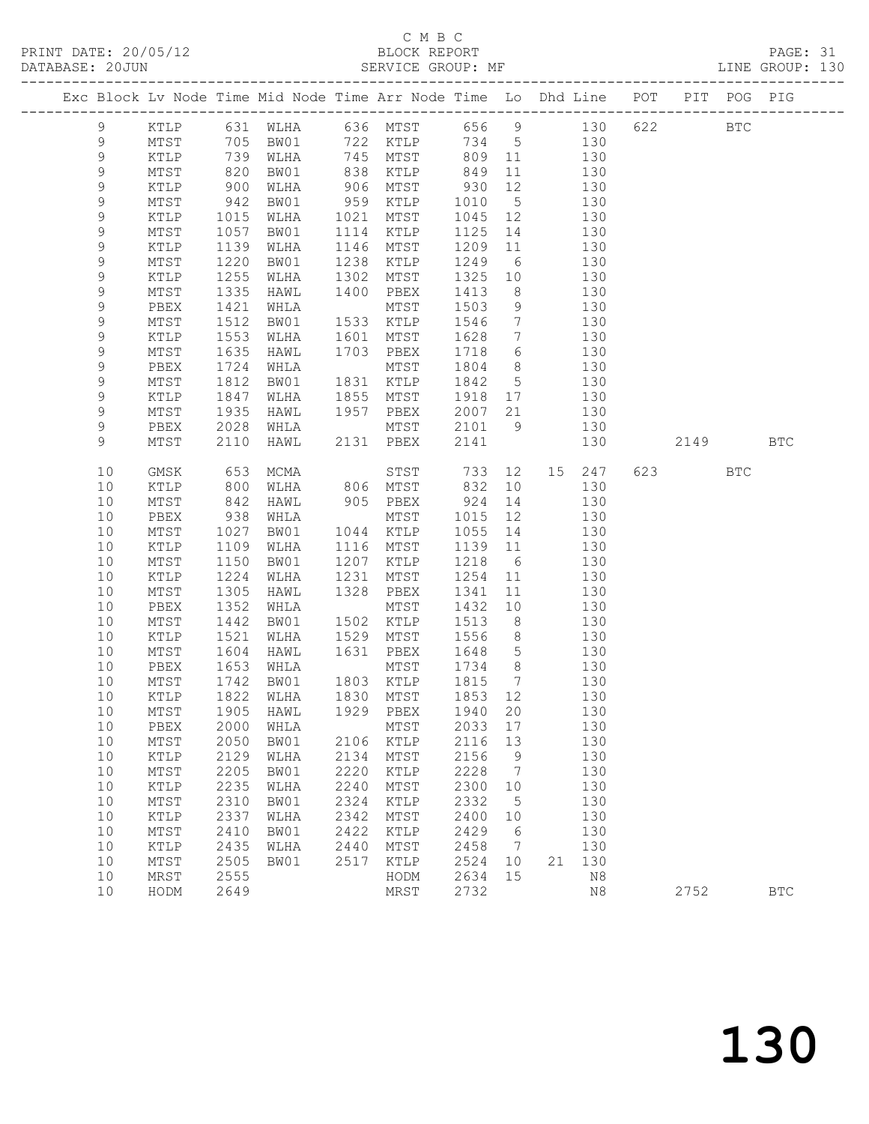## C M B C<br>BLOCK REPORT

PAGE: 31<br>LINE GROUP: 130

|  |             |                 |            | Exc Block Lv Node Time Mid Node Time Arr Node Time Lo Dhd Line POT                                                                                                                         |      |            |         |                 |       |             |     |                           | PIT POG PIG |              |
|--|-------------|-----------------|------------|--------------------------------------------------------------------------------------------------------------------------------------------------------------------------------------------|------|------------|---------|-----------------|-------|-------------|-----|---------------------------|-------------|--------------|
|  | 9           | KTLP            |            | 631 WLHA       636   MTST           656      9             130<br>705   BW01        722   KTLP       734     5          130<br>739   WLHA       745   MTST        809   11             130 |      |            |         |                 |       |             | 622 |                           | <b>BTC</b>  |              |
|  | 9           | MTST            |            |                                                                                                                                                                                            |      |            |         |                 |       |             |     |                           |             |              |
|  | 9           | KTLP            |            |                                                                                                                                                                                            |      | $745$ MTST |         |                 |       |             |     |                           |             |              |
|  | 9           | MTST            | 820        | BW01                                                                                                                                                                                       |      | 838 KTLP   | 849     | 11              | 130   |             |     |                           |             |              |
|  | $\mathsf 9$ | KTLP            |            | WLHA                                                                                                                                                                                       | 906  | MTST       | 930     | 12              |       | 130         |     |                           |             |              |
|  | $\mathsf 9$ | MTST            | 900<br>942 | BW01                                                                                                                                                                                       | 959  | KTLP       | 1010    | $5\overline{)}$ |       | 130         |     |                           |             |              |
|  | $\mathsf 9$ | $\texttt{KTLP}$ | 1015       | WLHA                                                                                                                                                                                       | 1021 | MTST       | 1045 12 |                 | 130   |             |     |                           |             |              |
|  | 9           | MTST            | 1057       | BW01                                                                                                                                                                                       | 1114 | KTLP       | 1125    | 14              |       | 130         |     |                           |             |              |
|  | 9           | KTLP            | 1139       | WLHA                                                                                                                                                                                       | 1146 | MTST       | 1209    | 11              |       | 130         |     |                           |             |              |
|  | $\mathsf 9$ | MTST            | 1220       | BW01                                                                                                                                                                                       | 1238 | KTLP       | 1249 6  |                 |       | 130         |     |                           |             |              |
|  | $\mathsf 9$ | KTLP            | 1255       | WLHA                                                                                                                                                                                       | 1302 | MTST       | 1325    | 10              |       | 130         |     |                           |             |              |
|  | $\mathsf 9$ | MTST            | 1335       | HAWL                                                                                                                                                                                       | 1400 | PBEX       | 1413    | 8 <sup>8</sup>  | 130   |             |     |                           |             |              |
|  | $\mathsf 9$ | PBEX            | 1421       | WHLA                                                                                                                                                                                       |      | MTST       | 1503    | 9               |       | 130         |     |                           |             |              |
|  | $\mathsf 9$ | MTST            | 1512       | BW01                                                                                                                                                                                       |      | 1533 KTLP  | 1546    | $7\overline{ }$ |       | 130         |     |                           |             |              |
|  | $\mathsf 9$ | KTLP            | 1553       | WLHA                                                                                                                                                                                       | 1601 | MTST       | 1628    | $7\overline{ }$ |       | 130         |     |                           |             |              |
|  | 9           | MTST            | 1635       | HAWL                                                                                                                                                                                       |      | 1703 PBEX  | 1718    | 6               |       | 130         |     |                           |             |              |
|  | 9           | PBEX            | 1724       | WHLA                                                                                                                                                                                       |      | MTST       | 1804    | 8 <sup>8</sup>  |       | 130         |     |                           |             |              |
|  | 9           | MTST            | 1812       | BW01                                                                                                                                                                                       |      | 1831 KTLP  | 1842    | $5\overline{)}$ |       | 130         |     |                           |             |              |
|  | $\mathsf 9$ | KTLP            | 1847       | WLHA                                                                                                                                                                                       |      | 1855 MTST  | 1918 17 |                 |       | 130         |     |                           |             |              |
|  | 9           | MTST            | 1935       | HAWL                                                                                                                                                                                       |      | 1957 PBEX  | 2007 21 |                 |       | 130         |     |                           |             |              |
|  | 9           | PBEX            | 2028       | WHLA                                                                                                                                                                                       |      | MTST       | 2101    |                 | 9 130 |             |     |                           |             |              |
|  | 9           | MTST            | 2110       | HAWL                                                                                                                                                                                       |      | 2131 PBEX  | 2141    |                 |       | 130         |     | 2149                      |             | <b>BTC</b>   |
|  | 10          | GMSK            | 653        | MCMA                                                                                                                                                                                       |      | STST       | 733     | 12              |       | 15 247      |     | 623 and the set of $\sim$ | BTC         |              |
|  | 10          | KTLP            | 800        | WLHA                                                                                                                                                                                       |      | 806 MTST   | 832     | 10              |       | 130         |     |                           |             |              |
|  | 10          | MTST            |            | HAWL                                                                                                                                                                                       |      | 905 PBEX   | 924     | 14              |       | 130         |     |                           |             |              |
|  | 10          | PBEX            | 842<br>938 | WHLA                                                                                                                                                                                       |      | MTST       | 1015    | 12              |       | 130         |     |                           |             |              |
|  | 10          | MTST            | 1027       | BW01                                                                                                                                                                                       |      | 1044 KTLP  | 1055 14 |                 |       | 130         |     |                           |             |              |
|  | 10          | KTLP            | 1109       | WLHA                                                                                                                                                                                       | 1116 | MTST       | 1139 11 |                 |       | 130         |     |                           |             |              |
|  | 10          | ${\tt MTST}$    | 1150       | BW01                                                                                                                                                                                       | 1207 | KTLP       | 1218    | $6\overline{6}$ |       | 130         |     |                           |             |              |
|  | 10          | KTLP            | 1224       | WLHA                                                                                                                                                                                       | 1231 | MTST       | 1254 11 |                 |       | 130         |     |                           |             |              |
|  | 10          | ${\tt MTST}$    | 1305       | HAWL                                                                                                                                                                                       | 1328 | PBEX       | 1341    | 11              |       | 130         |     |                           |             |              |
|  | 10          | PBEX            | 1352       | WHLA                                                                                                                                                                                       |      | MTST       | 1432    | 10              |       | 130         |     |                           |             |              |
|  | 10          | MTST            | 1442       | BW01                                                                                                                                                                                       |      | 1502 KTLP  | 1513    | 8 <sup>8</sup>  |       | 130         |     |                           |             |              |
|  | 10          | KTLP            | 1521       | WLHA                                                                                                                                                                                       |      | 1529 MTST  | 1556    | 8 <sup>8</sup>  |       | 130         |     |                           |             |              |
|  | 10          | MTST            | 1604       | HAWL                                                                                                                                                                                       | 1631 | PBEX       | 1648 5  |                 |       | 130         |     |                           |             |              |
|  | 10          | PBEX            | 1653       | WHLA                                                                                                                                                                                       |      | MTST       | 1734 8  |                 |       | 130         |     |                           |             |              |
|  | 10          | MTST            | 1742       | BW01                                                                                                                                                                                       |      | 1803 KTLP  | 1815    | $7\overline{ }$ |       | 130         |     |                           |             |              |
|  | 10          | KTLP            | 1822       | WLHA                                                                                                                                                                                       |      | 1830 MTST  | 1853 12 |                 |       | 130         |     |                           |             |              |
|  |             |                 |            | 10 MTST 1905 HAWL 1929 PBEX 1940 20                                                                                                                                                        |      |            |         |                 |       | 130         |     |                           |             |              |
|  | 10          | PBEX            | 2000       | WHLA                                                                                                                                                                                       |      | MTST       | 2033    | 17              |       | 130         |     |                           |             |              |
|  | 10          | MTST            | 2050       | BW01                                                                                                                                                                                       | 2106 | KTLP       | 2116    | 13              |       | 130         |     |                           |             |              |
|  | 10          | KTLP            | 2129       | WLHA                                                                                                                                                                                       | 2134 | MTST       | 2156    | 9               |       | 130         |     |                           |             |              |
|  | 10          | $\mathtt{MTST}$ | 2205       | BW01                                                                                                                                                                                       | 2220 | KTLP       | 2228    | 7               |       | 130         |     |                           |             |              |
|  | 10          | KTLP            | 2235       | WLHA                                                                                                                                                                                       | 2240 | MTST       | 2300    | 10              |       | 130         |     |                           |             |              |
|  | 10          | MTST            | 2310       | BW01                                                                                                                                                                                       | 2324 | KTLP       | 2332    | 5               |       | 130         |     |                           |             |              |
|  | 10          | KTLP            | 2337       | WLHA                                                                                                                                                                                       | 2342 | MTST       | 2400    | 10              |       | 130         |     |                           |             |              |
|  | 10          | MTST            | 2410       | BW01                                                                                                                                                                                       | 2422 | KTLP       | 2429    | - 6             |       | 130         |     |                           |             |              |
|  | 10          | KTLP            | 2435       | WLHA                                                                                                                                                                                       | 2440 | MTST       | 2458    | $\overline{7}$  |       | 130         |     |                           |             |              |
|  | 10          | MTST            | 2505       | BW01                                                                                                                                                                                       | 2517 | KTLP       | 2524    | 10              | 21    | 130         |     |                           |             |              |
|  | 10          | MRST            | 2555       |                                                                                                                                                                                            |      | HODM       | 2634    | 15              |       | $_{\rm N8}$ |     |                           |             |              |
|  | 10          | HODM            | 2649       |                                                                                                                                                                                            |      | MRST       | 2732    |                 |       | $\rm N8$    |     | 2752                      |             | $_{\rm BTC}$ |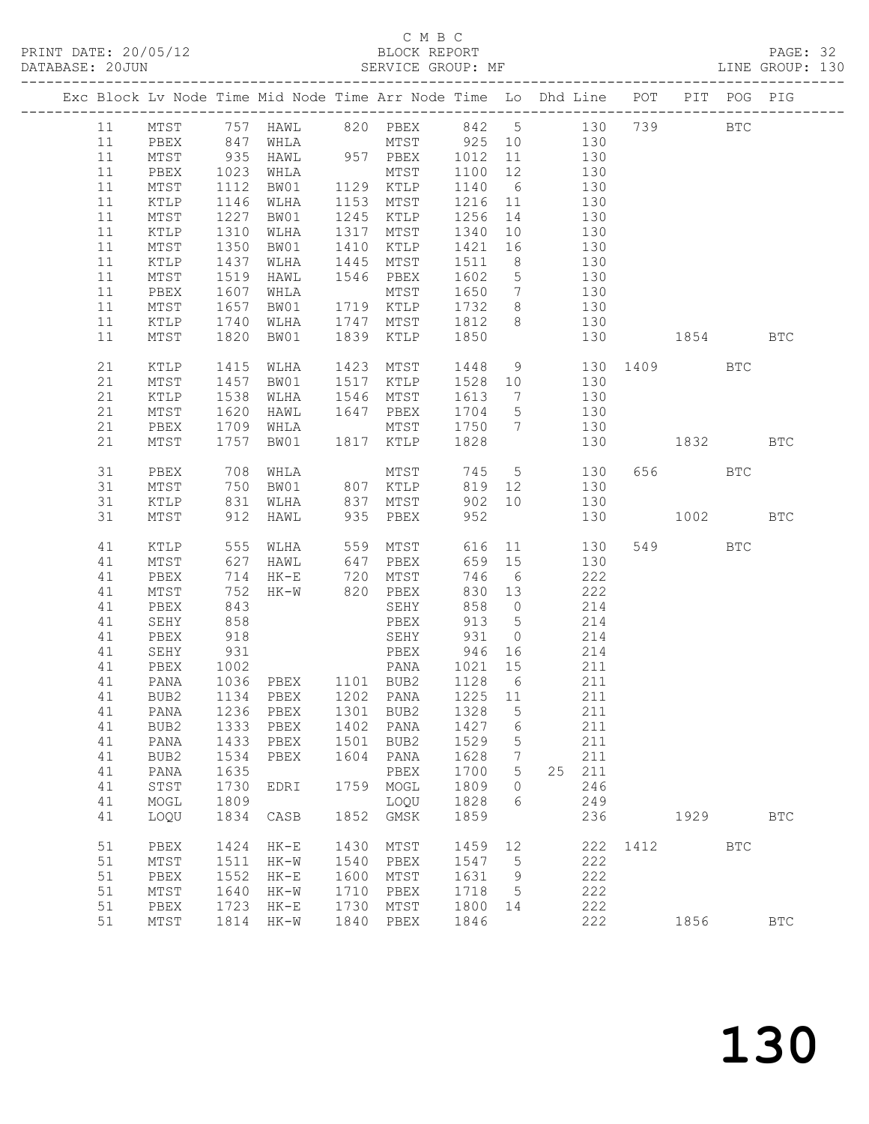### C M B C<br>BLOCK REPORT

PAGE: 32<br>LINE GROUP: 130

|  |          |                 |              |                                |              | Exc Block Lv Node Time Mid Node Time Arr Node Time Lo Dhd Line POT PIT POG PIG |                                        |                 |                                           |            |                 |         |              |            |
|--|----------|-----------------|--------------|--------------------------------|--------------|--------------------------------------------------------------------------------|----------------------------------------|-----------------|-------------------------------------------|------------|-----------------|---------|--------------|------------|
|  | 11       | MTST            |              |                                |              | 757 HAWL 820 PBEX 842 5 130 739                                                |                                        |                 |                                           |            |                 |         | $_{\rm BTC}$ |            |
|  | 11       | PBEX            |              |                                |              |                                                                                |                                        |                 |                                           |            |                 |         |              |            |
|  | 11       | MTST            |              | 847 WHLA<br>935 HAWL           |              |                                                                                |                                        |                 |                                           |            |                 |         |              |            |
|  | 11       | PBEX            | 1023         | WHLA                           |              | MTST                                                                           | 1100 12                                |                 | 130                                       |            |                 |         |              |            |
|  | 11       | MTST            | 1112         | BW01 1129 KTLP                 |              |                                                                                | 1140 6 130                             |                 |                                           |            |                 |         |              |            |
|  | 11       | KTLP            |              | WLHA                           |              | 1153 MTST                                                                      | $1216$ $11$ $130$<br>$1256$ $14$ $130$ |                 |                                           |            |                 |         |              |            |
|  | 11       | MTST            | 1146<br>1227 | BW01                           |              | 1245 KTLP                                                                      | 1256 14                                |                 |                                           | 130        |                 |         |              |            |
|  | 11       | KTLP            | 1310         | WLHA                           |              | 1317 MTST                                                                      | 1340                                   |                 | 10 130                                    |            |                 |         |              |            |
|  | 11       | MTST            | 1350         | BW01                           |              | 1410 KTLP                                                                      | 1421 16 130                            |                 |                                           |            |                 |         |              |            |
|  | 11       | KTLP            | 1437<br>1519 | WLHA                           |              | 1445 MTST                                                                      | 1511                                   | 8 <sup>8</sup>  |                                           | 130        |                 |         |              |            |
|  | 11       | MTST            |              | HAWL                           |              | 1546 PBEX                                                                      | 1602 5                                 |                 |                                           | 130        |                 |         |              |            |
|  | 11       | PBEX            | 1607         | WHLA                           |              | MTST                                                                           | 1650 7 130                             |                 |                                           |            |                 |         |              |            |
|  | 11       | MTST            | 1657         | BW01                           |              | 1719 KTLP                                                                      | 1732 8 130                             |                 |                                           |            |                 |         |              |            |
|  | 11       | KTLP            | 1740         | WLHA                           | 1747         | MTST                                                                           | 1812 8                                 |                 | 130                                       |            |                 |         |              |            |
|  | 11       | MTST            | 1820         | BW01                           |              | 1839 KTLP                                                                      | 1850                                   |                 |                                           |            | 130 1854        |         |              | BTC        |
|  | 21       | KTLP            | 1415         | WLHA                           |              | 1423 MTST                                                                      |                                        |                 |                                           |            | 1448 9 130 1409 |         | <b>BTC</b>   |            |
|  | 21       | MTST            | 1457         | BW01                           |              | 1517 KTLP                                                                      | 1528 10                                |                 |                                           | 130        |                 |         |              |            |
|  | 21       | KTLP            | 1538         | WLHA                           |              | 1546 MTST                                                                      | 1613 7                                 |                 | $\begin{array}{c} 150 \\ 130 \end{array}$ | 130        |                 |         |              |            |
|  | 21       | MTST            | 1620         | HAWL                           |              | 1647 PBEX                                                                      | 1704 5                                 |                 |                                           |            |                 |         |              |            |
|  | 21<br>21 | PBEX            | 1709         | WHLA<br>BW01                   |              | MTST 1750 7 130<br>1817 KTLP 1828                                              |                                        |                 |                                           |            |                 |         |              |            |
|  |          | MTST            | 1757         |                                |              |                                                                                |                                        |                 |                                           |            | 130 1832 BTC    |         |              |            |
|  | 31       | PBEX            | 708          | WHLA                           |              | MTST                                                                           |                                        |                 | 745 5                                     | 130        |                 | 656 BTC |              |            |
|  | 31       | MTST            | 750          | BW01                           |              | 807 KTLP                                                                       |                                        |                 | 819 12 130                                |            |                 |         |              |            |
|  | 31       | KTLP            | 831          | WLHA                           |              | 837 MTST                                                                       |                                        |                 | 902 10 130                                |            |                 |         |              |            |
|  | 31       | MTST            | 912          | HAWL                           |              | 935 PBEX                                                                       | 952                                    |                 |                                           | 130        | 1002            |         |              | <b>BTC</b> |
|  | 41       | KTLP            |              | 555 WLHA                       |              | 559 MTST                                                                       |                                        |                 | 616 11                                    | 130        |                 | 549     | BTC          |            |
|  | 41       | MTST            | 627          | HAWL 647 PBEX                  |              |                                                                                | 659 15                                 |                 |                                           | 130        |                 |         |              |            |
|  | 41       | PBEX            | 714          |                                |              |                                                                                | 746                                    | $6\overline{6}$ |                                           | 222        |                 |         |              |            |
|  | 41       | MTST            | 752          | HK-E 720 MTST<br>HK-W 820 PBEX |              |                                                                                | 830 13                                 |                 |                                           | 222        |                 |         |              |            |
|  | 41       | PBEX            | 843          |                                |              | SEHY                                                                           | 858 0                                  |                 | 214                                       |            |                 |         |              |            |
|  | 41       | SEHY            | 858          |                                |              | PBEX                                                                           | 913                                    | $5\overline{)}$ | 214                                       |            |                 |         |              |            |
|  | 41       | PBEX            | 918          |                                |              | SEHY 931 0<br>PBEX 946 16<br>PANA 1021 15                                      |                                        |                 |                                           | 214        |                 |         |              |            |
|  | 41       | SEHY            | 931          |                                |              |                                                                                |                                        | 16              |                                           | 214        |                 |         |              |            |
|  | 41       | PBEX            | 1002         |                                |              |                                                                                |                                        |                 | 211                                       |            |                 |         |              |            |
|  | 41       | PANA            |              |                                |              | 1036 PBEX 1101 BUB2 1128 6                                                     |                                        |                 | 211                                       |            |                 |         |              |            |
|  | 41       | BUB2            |              | 1134 PBEX                      |              | 1202 PANA                                                                      | 1225 11                                |                 |                                           | 211        |                 |         |              |            |
|  |          |                 |              |                                |              | 41  PANA  1236  PBEX  1301  BUB2  1328  5                                      |                                        |                 |                                           | 211        |                 |         |              |            |
|  | 41<br>41 | BUB2            | 1333<br>1433 | PBEX<br>${\tt PBEX}$           | 1402<br>1501 | PANA<br>BUB2                                                                   | 1427<br>1529                           | 6               |                                           | 211<br>211 |                 |         |              |            |
|  | 41       | PANA<br>BUB2    | 1534         | PBEX                           | 1604         | PANA                                                                           | 1628                                   | 5<br>7          |                                           | 211        |                 |         |              |            |
|  | 41       | PANA            | 1635         |                                |              | PBEX                                                                           | 1700                                   | 5               | 25                                        | 211        |                 |         |              |            |
|  | 41       | ${\tt STST}$    | 1730         | EDRI                           | 1759         | MOGL                                                                           | 1809                                   | $\circ$         |                                           | 246        |                 |         |              |            |
|  | 41       | MOGL            | 1809         |                                |              | LOQU                                                                           | 1828                                   | 6               |                                           | 249        |                 |         |              |            |
|  | 41       | LOQU            | 1834         | CASB                           | 1852         | $\rm{GMSK}$                                                                    | 1859                                   |                 |                                           | 236        |                 | 1929    |              | <b>BTC</b> |
|  | 51       | PBEX            | 1424         | $HK-E$                         | 1430         | ${\tt MTST}$                                                                   | 1459                                   | 12              |                                           | 222        | 1412            |         | <b>BTC</b>   |            |
|  | 51       | MTST            | 1511         | $HK-W$                         | 1540         | PBEX                                                                           | 1547                                   | 5               |                                           | 222        |                 |         |              |            |
|  | 51       | PBEX            | 1552         | $HK-E$                         | 1600         | MTST                                                                           | 1631                                   | 9               |                                           | 222        |                 |         |              |            |
|  | 51       | $\mathtt{MTST}$ | 1640         | $HK-W$                         | 1710         | PBEX                                                                           | 1718                                   | 5               |                                           | 222        |                 |         |              |            |
|  | 51       | PBEX            | 1723         | $HK-E$                         | 1730         | MTST                                                                           | 1800                                   | 14              |                                           | 222        |                 |         |              |            |
|  | 51       | MTST            | 1814         | $HK-W$                         | 1840         | PBEX                                                                           | 1846                                   |                 |                                           | 222        |                 | 1856    |              | <b>BTC</b> |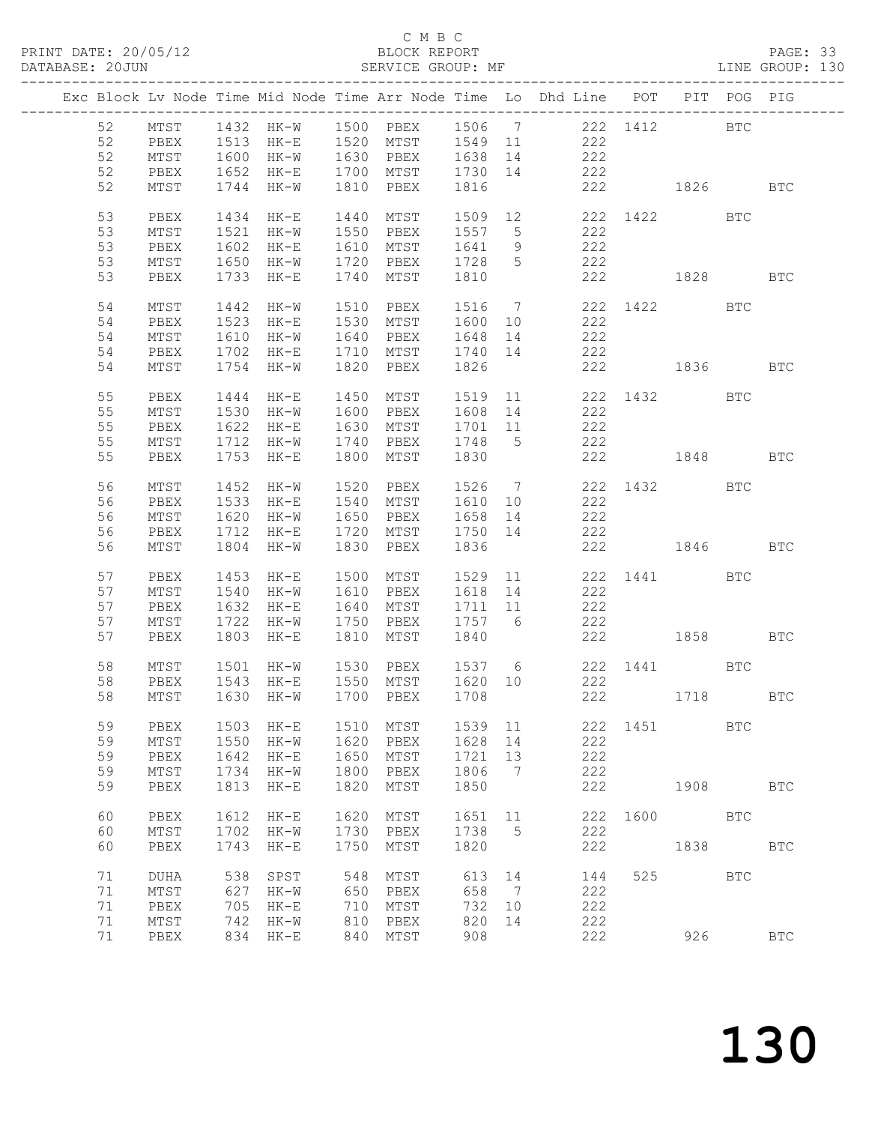### C M B C<br>BLOCK REPORT

### PAGE: 33<br>LINE GROUP: 130

|  |    |                 |      |                                                                      |      |                                    |                   |                | Exc Block Lv Node Time Mid Node Time Arr Node Time Lo Dhd Line POT PIT POG PIG |          |              |            |              |
|--|----|-----------------|------|----------------------------------------------------------------------|------|------------------------------------|-------------------|----------------|--------------------------------------------------------------------------------|----------|--------------|------------|--------------|
|  | 52 |                 |      |                                                                      |      |                                    |                   |                | MTST 1432 HK-W 1500 PBEX 1506 7 222 1412 BTC                                   |          |              |            |              |
|  | 52 | PBEX            |      | 1513 HK-E 1520 MTST 1549 11                                          |      |                                    |                   |                | 222                                                                            |          |              |            |              |
|  |    |                 |      |                                                                      |      |                                    |                   |                | 222                                                                            |          |              |            |              |
|  | 52 | MTST            |      | 1600 HK-W 1630 PBEX 1638 14                                          |      |                                    |                   |                |                                                                                |          |              |            |              |
|  | 52 | PBEX            |      | 1652 HK-E 1700 MTST 1730 14                                          |      |                                    |                   |                | 222                                                                            |          |              |            |              |
|  | 52 | MTST            |      | 1744 HK-W 1810 PBEX                                                  |      |                                    | 1816              |                |                                                                                |          | 222 1826 BTC |            |              |
|  |    |                 |      |                                                                      |      |                                    |                   |                |                                                                                |          |              |            |              |
|  | 53 | PBEX            |      | 1434 HK-E                                                            |      | 1440 MTST                          |                   |                | 1509 12 222 1422                                                               |          |              | <b>BTC</b> |              |
|  | 53 | MTST            |      | 1521 HK-W 1550 PBEX                                                  |      |                                    | 1557 5            |                | 222                                                                            |          |              |            |              |
|  | 53 | PBEX            |      |                                                                      |      |                                    |                   |                | $222$<br>222                                                                   |          |              |            |              |
|  | 53 | MTST            |      | 1602 HK-E   1610 MTST   1641   9<br>1650 HK-W   1720 PBEX   1728   5 |      |                                    |                   |                | 222                                                                            |          |              |            |              |
|  | 53 | PBEX            |      | 1733 HK-E                                                            |      | 1740 MTST 1810                     |                   |                |                                                                                |          | 222 1828 BTC |            |              |
|  |    |                 |      |                                                                      |      |                                    |                   |                |                                                                                |          |              |            |              |
|  | 54 | MTST            |      | 1442 HK-W                                                            |      |                                    |                   |                | 1510 PBEX 1516 7 222 1422 BTC<br>1530 MTST 1600 10 222                         |          |              |            |              |
|  | 54 | PBEX            |      | 1523 HK-E                                                            |      |                                    |                   |                |                                                                                |          |              |            |              |
|  | 54 | MTST            |      | 1610 HK-W 1640 PBEX 1648 14                                          |      |                                    |                   |                | 222                                                                            |          |              |            |              |
|  | 54 | PBEX            |      | 1702 HK-E 1710 MTST 1740 14                                          |      |                                    |                   |                | 222                                                                            |          |              |            |              |
|  | 54 | MTST            |      | 1754 HK-W                                                            |      | 1820 PBEX                          | 1826              |                | 222 1836                                                                       |          |              |            | BTC          |
|  |    |                 |      |                                                                      |      |                                    |                   |                |                                                                                |          |              |            |              |
|  | 55 | PBEX            |      |                                                                      |      |                                    |                   |                | 1444 HK-E 1450 MTST 1519 11 222 1432 BTC                                       |          |              |            |              |
|  | 55 | MTST            |      |                                                                      |      |                                    |                   |                | 1530 HK-W 1600 PBEX 1608 14 222                                                |          |              |            |              |
|  | 55 | PBEX            |      | 1622 HK-E                                                            |      |                                    |                   |                |                                                                                |          |              |            |              |
|  | 55 |                 |      | 1622 HK-E 1630 MTST<br>1712 HK-W 1740 PBEX                           |      |                                    | 1701 11<br>1748 5 |                | 222<br>222                                                                     |          |              |            |              |
|  |    | MTST            |      |                                                                      |      |                                    |                   |                |                                                                                |          |              |            |              |
|  | 55 | PBEX            |      | 1753 HK-E                                                            | 1800 | MTST                               | 1830              |                | 222                                                                            |          | 1848         |            | <b>BTC</b>   |
|  | 56 | MTST            |      | 1452 HK-W                                                            |      |                                    |                   |                |                                                                                |          |              |            |              |
|  | 56 | PBEX            |      |                                                                      |      |                                    |                   |                | 1452 HK-W 1520 PBEX 1526 7 222 1432 BTC<br>1533 HK-E 1540 MTST 1610 10 222     |          |              |            |              |
|  | 56 | $\mathtt{MTST}$ |      | 1620 HK-W 1650 PBEX                                                  |      |                                    | 1658 14           |                | 222                                                                            |          |              |            |              |
|  | 56 | PBEX            |      | 1712 HK-E 1720 MTST 1750 14                                          |      |                                    |                   |                | 222                                                                            |          |              |            |              |
|  | 56 | MTST            |      | 1804 HK-W                                                            |      | 1830 PBEX                          | 1836              |                |                                                                                |          | 222 1846 BTC |            |              |
|  |    |                 |      |                                                                      |      |                                    |                   |                |                                                                                |          |              |            |              |
|  | 57 | PBEX            |      | 1453 HK-E                                                            |      | 1500 MTST                          | 1529 11           |                |                                                                                |          | 222 1441 BTC |            |              |
|  | 57 | MTST            |      | 1540 HK-W 1610 PBEX                                                  |      |                                    | 1618 14           |                | 222                                                                            |          |              |            |              |
|  | 57 | PBEX            |      | 1632 HK-E                                                            |      | 1640 MTST                          | 1711 11           |                | 222                                                                            |          |              |            |              |
|  | 57 | MTST            |      | 1722 HK-W 1750 PBEX                                                  |      |                                    |                   |                | 222                                                                            |          |              |            |              |
|  | 57 | PBEX            |      | 1803 HK-E                                                            |      | 1750 PBEX 1757 6<br>1810 MTST 1840 |                   |                | 222 1858 BTC                                                                   |          |              |            |              |
|  |    |                 |      |                                                                      |      |                                    |                   |                |                                                                                |          |              |            |              |
|  | 58 | MTST            |      |                                                                      |      |                                    |                   |                | 1501 HK-W 1530 PBEX 1537 6 222 1441 BTC                                        |          |              |            |              |
|  | 58 |                 |      |                                                                      |      |                                    |                   |                |                                                                                |          |              |            |              |
|  |    | PBEX            |      | 1543 HK-E   1550 MTST   1620  10<br>1630 HK-W   1700  PBEX   1708    |      |                                    |                   |                | 222                                                                            |          | 222 1718 BTC |            |              |
|  | 58 | MTST            |      |                                                                      |      |                                    |                   |                |                                                                                |          |              |            |              |
|  |    |                 |      |                                                                      |      |                                    |                   |                |                                                                                |          |              |            |              |
|  | 59 | PBEX            | 1503 | $HK-E$                                                               | 1510 | MTST                               | 1539              | 11             |                                                                                | 222 1451 |              | <b>BTC</b> |              |
|  | 59 | MTST            | 1550 | $HK-W$                                                               | 1620 | PBEX                               | 1628              | 14             | 222                                                                            |          |              |            |              |
|  | 59 | PBEX            | 1642 | $HK-E$                                                               | 1650 | MTST                               | 1721              | 13             | 222                                                                            |          |              |            |              |
|  | 59 | MTST            | 1734 | $HK-W$                                                               | 1800 | PBEX                               | 1806              | 7              | 222                                                                            |          |              |            |              |
|  | 59 | PBEX            | 1813 | $HK-E$                                                               | 1820 | MTST                               | 1850              |                | 222                                                                            |          | 1908         |            | $_{\rm BTC}$ |
|  |    |                 |      |                                                                      |      |                                    |                   |                |                                                                                |          |              |            |              |
|  | 60 | PBEX            | 1612 | $HK-E$                                                               | 1620 | MTST                               | 1651              | 11             | 222                                                                            | 1600     |              | BTC        |              |
|  | 60 | $\mathtt{MTST}$ | 1702 | $HK-W$                                                               | 1730 | PBEX                               | 1738              | 5              | 222                                                                            |          |              |            |              |
|  | 60 | PBEX            | 1743 | $HK-E$                                                               | 1750 | MTST                               | 1820              |                | 222                                                                            |          | 1838         |            | <b>BTC</b>   |
|  | 71 |                 | 538  |                                                                      |      |                                    |                   |                |                                                                                | 525      |              | <b>BTC</b> |              |
|  |    | DUHA            |      | SPST                                                                 | 548  | MTST                               | 613               | 14             | 144                                                                            |          |              |            |              |
|  | 71 | $MTST$          | 627  | $HK-W$                                                               | 650  | PBEX                               | 658               | $\overline{7}$ | 222                                                                            |          |              |            |              |
|  | 71 | PBEX            | 705  | HK-E                                                                 | 710  | MTST                               | 732               | 10             | 222                                                                            |          |              |            |              |
|  | 71 | $\mathtt{MTST}$ | 742  | HK-W                                                                 | 810  | PBEX                               | 820               | 14             | 222                                                                            |          |              |            |              |
|  | 71 | PBEX            | 834  | $HK-E$                                                               | 840  | MTST                               | 908               |                | 222                                                                            |          | 926          |            | <b>BTC</b>   |
|  |    |                 |      |                                                                      |      |                                    |                   |                |                                                                                |          |              |            |              |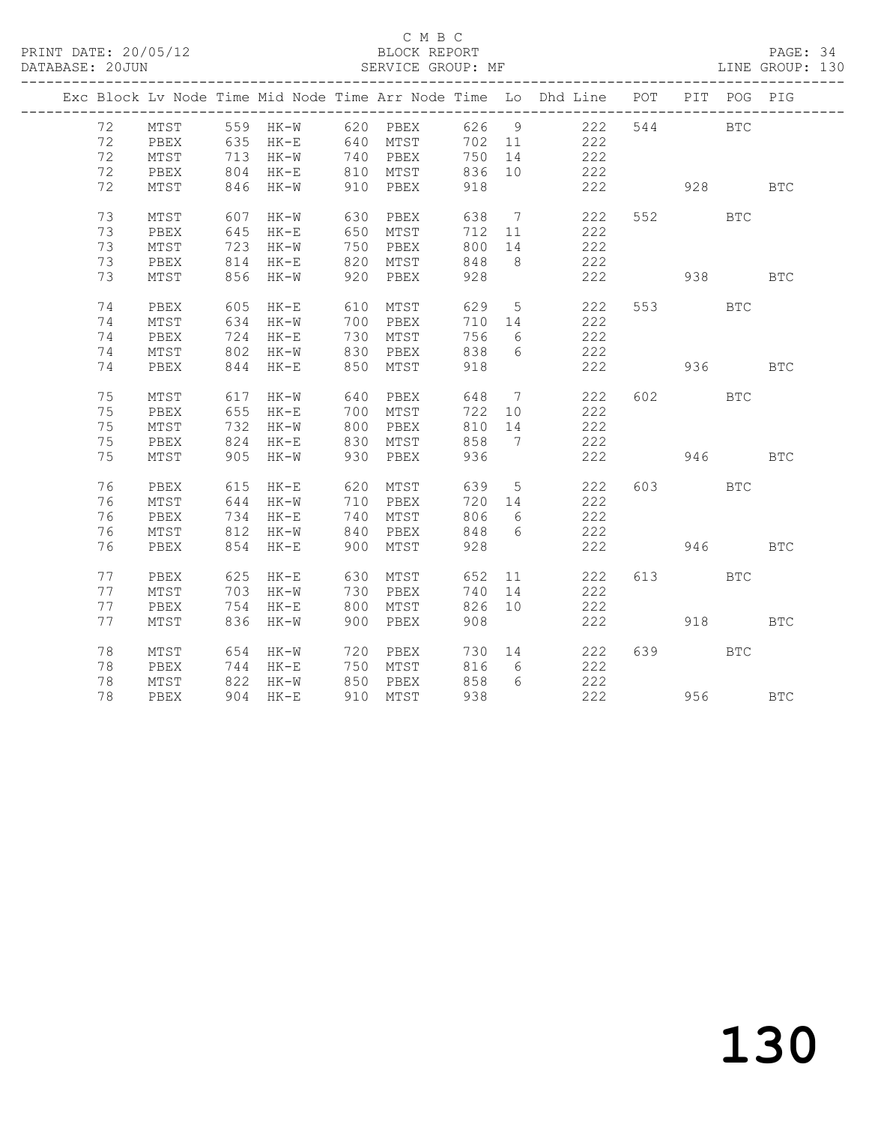### C M B C<br>BLOCK REPORT

PAGE: 34<br>LINE GROUP: 130

|    |      |          |                      |     |                      |     |                 | Exc Block Lv Node Time Mid Node Time Arr Node Time Lo Dhd Line POT          |         |         | PIT POG PIG |              |
|----|------|----------|----------------------|-----|----------------------|-----|-----------------|-----------------------------------------------------------------------------|---------|---------|-------------|--------------|
|    |      |          |                      |     |                      |     |                 | 72 MTST 559 HK-W 620 PBEX 626 9 222<br>72 PBEX 635 HK-E 640 MTST 702 11 222 |         | 544     | <b>BTC</b>  |              |
|    |      |          |                      |     |                      |     |                 |                                                                             |         |         |             |              |
| 72 | MTST |          | 713 HK-W 740 PBEX    |     |                      | 750 | 14              | 222                                                                         |         |         |             |              |
| 72 | PBEX |          | 804 HK-E 810 MTST    |     |                      | 836 | 10              | 222                                                                         |         |         |             |              |
| 72 | MTST |          | 846 HK-W 910 PBEX    |     |                      | 918 |                 | 222 928                                                                     |         |         |             | $_{\rm BTC}$ |
| 73 | MTST |          | 607 HK-W             | 630 | PBEX                 | 638 | $7\overline{ }$ | 222                                                                         |         | 552     | <b>BTC</b>  |              |
| 73 | PBEX |          | 645 HK-E             |     | 650 MTST             | 712 | 11              | 222                                                                         |         |         |             |              |
| 73 | MTST |          | 723 HK-W             |     | 750 PBEX             | 800 | 14              | 222                                                                         |         |         |             |              |
| 73 | PBEX |          | 814 НК-Е<br>856 НК-W |     | 820 MTST             | 848 | 8 <sup>8</sup>  | 222                                                                         |         |         |             |              |
| 73 | MTST |          |                      |     | 920 PBEX             | 928 |                 | 222                                                                         |         |         |             | <b>BTC</b>   |
| 74 | PBEX |          |                      |     |                      | 629 |                 | 5 222                                                                       |         | 553 BTC |             |              |
| 74 | MTST |          | 634 HK-W             |     | 700 PBEX             | 710 | 14              | 222                                                                         |         |         |             |              |
| 74 | PBEX |          | 724 НК-Е<br>802 НК-W |     | 730 MTST<br>830 PBEX | 756 | 6               | 222                                                                         |         |         |             |              |
| 74 | MTST |          |                      |     |                      | 838 | 6               | 222                                                                         |         |         |             |              |
| 74 | PBEX |          | $844$ HK-E           |     | 850 MTST             | 918 |                 | 222                                                                         |         |         | 936 1990    | <b>BTC</b>   |
|    |      |          |                      |     |                      |     |                 |                                                                             |         |         |             |              |
| 75 | MTST |          | 617 HK-W             | 640 | PBEX                 | 648 | $\overline{7}$  | 222                                                                         |         | 602 000 | <b>BTC</b>  |              |
| 75 | PBEX |          | 655 нк-е<br>732 нк-w |     | 700 MTST<br>800 PBEX | 722 | 10              | 222                                                                         |         |         |             |              |
| 75 | MTST |          |                      |     |                      | 810 | 14              | $\frac{222}{2}$                                                             |         |         |             |              |
| 75 | PBEX |          | 824 HK-E             |     | 830 MTST             | 858 | $7\phantom{0}$  | 222                                                                         |         |         |             |              |
| 75 | MTST |          | 905 HK-W 930 PBEX    |     |                      | 936 |                 | 222                                                                         | 946 BTC |         |             |              |
| 76 | PBEX |          | 615 HK-E             | 620 | MTST                 | 639 | $5\overline{)}$ | 222                                                                         |         | 603 BTC |             |              |
| 76 | MTST |          | $644$ HK-W           |     | 710 PBEX             | 720 | 14              | 222                                                                         |         |         |             |              |
| 76 | PBEX | 734 HK-E |                      |     | 740 MTST             | 806 | 6               | 222                                                                         |         |         |             |              |
| 76 | MTST |          | 812 HK-W             |     | 840 PBEX             | 848 | 6               | 222                                                                         |         |         |             |              |
| 76 | PBEX | 854 HK-E |                      | 900 | MTST                 | 928 |                 |                                                                             | 222     |         | 946         | <b>BTC</b>   |
| 77 | PBEX |          | 625 HK-E             | 630 | MTST                 | 652 |                 | 11<br>222                                                                   |         | 613 BTC |             |              |
| 77 | MTST |          | 703 HK-W 730         |     | PBEX                 | 740 | 14              | 222                                                                         |         |         |             |              |
| 77 | PBEX | 754 HK-E |                      |     | 800 MTST             | 826 | 10              | 222                                                                         |         |         |             |              |
| 77 | MTST | 836 HK-W |                      |     | 900 PBEX             | 908 |                 | 222                                                                         |         |         | 918 — 10    | <b>BTC</b>   |
| 78 | MTST |          | 654 HK-W             |     | 720 PBEX             |     |                 | 730 14 222                                                                  |         | 639 8   | <b>BTC</b>  |              |
| 78 | PBEX |          | 744 HK-E             |     | 750 MTST             | 816 | 6               | 222                                                                         |         |         |             |              |
| 78 | MTST |          | 822 HK-W             |     | 850 PBEX<br>910 mert | 858 | $6\overline{6}$ | 222                                                                         |         |         |             |              |
| 78 | PBEX |          | 904 HK-E             |     | 910 MTST             | 938 |                 | 222                                                                         |         | 956     |             | <b>BTC</b>   |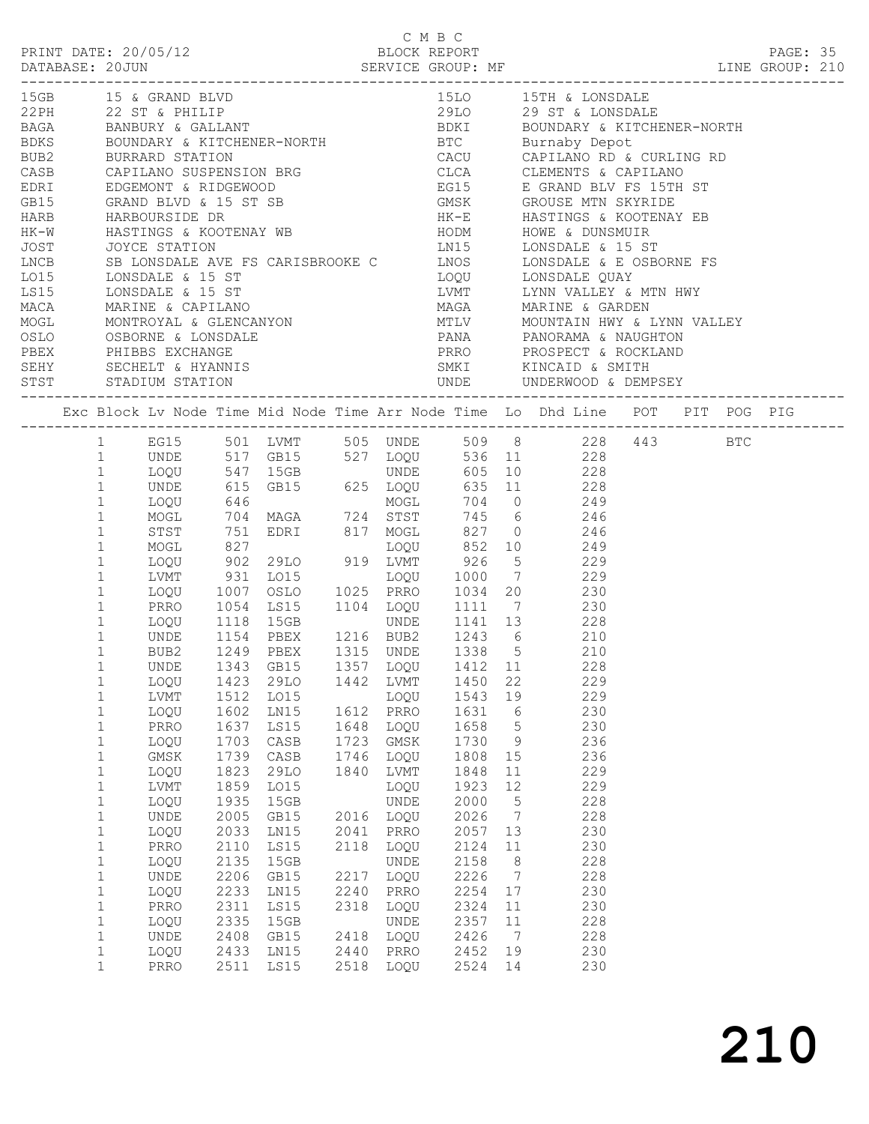| BLOCK REPORT<br>PRINT DATE: 20/05/12 |                                                                                                                                                                                        |              |                      |              |                                                                                                          |      | C M B C      |              |  |                 |                                                                                                                                                           |  |  |  | PAGE: 35 |  |
|--------------------------------------|----------------------------------------------------------------------------------------------------------------------------------------------------------------------------------------|--------------|----------------------|--------------|----------------------------------------------------------------------------------------------------------|------|--------------|--------------|--|-----------------|-----------------------------------------------------------------------------------------------------------------------------------------------------------|--|--|--|----------|--|
|                                      |                                                                                                                                                                                        |              |                      |              |                                                                                                          |      |              |              |  |                 |                                                                                                                                                           |  |  |  |          |  |
|                                      |                                                                                                                                                                                        |              | 15GB 15 & GRAND BLVD |              |                                                                                                          |      |              |              |  |                 | 15LO 15TH & LONSDALE                                                                                                                                      |  |  |  |          |  |
|                                      |                                                                                                                                                                                        |              |                      |              |                                                                                                          |      |              |              |  |                 |                                                                                                                                                           |  |  |  |          |  |
|                                      |                                                                                                                                                                                        |              |                      |              |                                                                                                          |      |              |              |  |                 |                                                                                                                                                           |  |  |  |          |  |
|                                      |                                                                                                                                                                                        |              |                      |              |                                                                                                          |      |              |              |  |                 |                                                                                                                                                           |  |  |  |          |  |
|                                      |                                                                                                                                                                                        |              |                      |              |                                                                                                          |      |              |              |  |                 |                                                                                                                                                           |  |  |  |          |  |
| CASB                                 | CAPILANO SUSPENSION BRG CLCA CLEMENTS & CAPILANO                                                                                                                                       |              |                      |              |                                                                                                          |      |              |              |  |                 |                                                                                                                                                           |  |  |  |          |  |
|                                      |                                                                                                                                                                                        |              |                      |              |                                                                                                          |      |              |              |  |                 |                                                                                                                                                           |  |  |  |          |  |
|                                      |                                                                                                                                                                                        |              |                      |              |                                                                                                          |      |              |              |  |                 |                                                                                                                                                           |  |  |  |          |  |
|                                      |                                                                                                                                                                                        |              |                      |              |                                                                                                          |      |              |              |  |                 |                                                                                                                                                           |  |  |  |          |  |
|                                      | EDRI EDGEMONT & RIDGEWOOD<br>GB15 GRAND BLVD & 15 ST SB GMSK GROUSE MTN SKYRIDE<br>HARB HARBOURSIDE DR HK-E HASTINGS & KOOTENAY WB<br>HK-W HASTINGS & KOOTENAY WB HODM HOWE & DUNSMUIR |              |                      |              |                                                                                                          |      |              |              |  |                 |                                                                                                                                                           |  |  |  |          |  |
| JOST                                 |                                                                                                                                                                                        |              |                      |              |                                                                                                          |      |              |              |  |                 |                                                                                                                                                           |  |  |  |          |  |
| LNCB<br>LO15                         |                                                                                                                                                                                        |              |                      |              |                                                                                                          |      |              |              |  |                 |                                                                                                                                                           |  |  |  |          |  |
|                                      |                                                                                                                                                                                        |              |                      |              |                                                                                                          |      |              |              |  |                 |                                                                                                                                                           |  |  |  |          |  |
| LS15                                 |                                                                                                                                                                                        |              | LONSDALE & 15 ST     |              |                                                                                                          |      |              |              |  |                 | LVMT LYNN VALLEY & MTN HWY                                                                                                                                |  |  |  |          |  |
|                                      |                                                                                                                                                                                        |              |                      |              |                                                                                                          |      |              |              |  |                 | MAGA MARINE & GARDEN                                                                                                                                      |  |  |  |          |  |
|                                      |                                                                                                                                                                                        |              |                      |              |                                                                                                          |      |              |              |  |                 | MTLV           MOUNTAIN HWY & LYNN VALLEY<br>PANA              PANORAMA & NAUGHTON                                                                        |  |  |  |          |  |
|                                      |                                                                                                                                                                                        |              |                      |              | MACA MARINE & CAPILANO<br>MOGL MONTROYAL & GLENCANYON<br>OSLO OSBORNE & LONSDALE<br>PBEX PHIBBS EXCHANGE |      |              |              |  |                 | PRRO PROSPECT & ROCKLAND                                                                                                                                  |  |  |  |          |  |
|                                      |                                                                                                                                                                                        |              |                      |              |                                                                                                          |      |              |              |  |                 |                                                                                                                                                           |  |  |  |          |  |
|                                      |                                                                                                                                                                                        |              |                      |              |                                                                                                          |      |              |              |  |                 | SERY SECHELT & HYANNIS<br>STST STADIUM STATION STATION DIN DE UNDERWOOD & DEM                                                                             |  |  |  |          |  |
|                                      |                                                                                                                                                                                        |              | STST STADIUM STATION |              |                                                                                                          |      |              |              |  |                 |                                                                                                                                                           |  |  |  |          |  |
|                                      |                                                                                                                                                                                        |              |                      |              |                                                                                                          |      |              |              |  |                 | Exc Block Lv Node Time Mid Node Time Arr Node Time Lo Dhd Line POT PIT POG PIG                                                                            |  |  |  |          |  |
|                                      |                                                                                                                                                                                        |              |                      |              |                                                                                                          |      |              |              |  |                 | EG15 501 LVMT 505 UNDE 509 8 228 443 BTC<br>1 UNDE 517 GB15 527 LOQU 536 11 228<br>1 LOQU 547 15GB UNDE 605 10 228<br>1 UNDE 615 GB15 625 LOQU 635 11 228 |  |  |  |          |  |
|                                      |                                                                                                                                                                                        |              |                      |              |                                                                                                          |      |              |              |  |                 |                                                                                                                                                           |  |  |  |          |  |
|                                      |                                                                                                                                                                                        |              |                      |              |                                                                                                          |      |              |              |  |                 |                                                                                                                                                           |  |  |  |          |  |
|                                      |                                                                                                                                                                                        |              |                      |              |                                                                                                          |      |              |              |  |                 |                                                                                                                                                           |  |  |  |          |  |
|                                      |                                                                                                                                                                                        | $\mathbf{1}$ | LOQU                 |              |                                                                                                          |      |              |              |  |                 |                                                                                                                                                           |  |  |  |          |  |
|                                      |                                                                                                                                                                                        | $\mathbf{1}$ | MOGL                 |              |                                                                                                          |      |              |              |  |                 |                                                                                                                                                           |  |  |  |          |  |
|                                      |                                                                                                                                                                                        | $\mathbf{1}$ | STST                 |              |                                                                                                          |      |              |              |  |                 |                                                                                                                                                           |  |  |  |          |  |
|                                      |                                                                                                                                                                                        | $\mathbf{1}$ | MOGL                 |              |                                                                                                          |      |              |              |  |                 |                                                                                                                                                           |  |  |  |          |  |
|                                      |                                                                                                                                                                                        | $\mathbf{1}$ | LOQU                 |              |                                                                                                          |      |              |              |  |                 | 902 29LO 919 LVMT 926 5 229                                                                                                                               |  |  |  |          |  |
|                                      |                                                                                                                                                                                        | $\mathbf{1}$ |                      |              |                                                                                                          |      |              |              |  |                 |                                                                                                                                                           |  |  |  |          |  |
|                                      |                                                                                                                                                                                        | $\mathbf{1}$ |                      |              |                                                                                                          |      |              |              |  |                 |                                                                                                                                                           |  |  |  |          |  |
|                                      |                                                                                                                                                                                        | $\mathbf{1}$ |                      |              |                                                                                                          |      |              |              |  |                 | PRRO 1054 LS15 1104 LOQU 1111 7 230                                                                                                                       |  |  |  |          |  |
|                                      |                                                                                                                                                                                        | $\mathbf{1}$ | $LOQU$ 1118          |              |                                                                                                          |      |              |              |  |                 | UNDE 1141 13 228                                                                                                                                          |  |  |  |          |  |
|                                      |                                                                                                                                                                                        | $\mathbf{1}$ | UNDE                 |              |                                                                                                          |      |              |              |  |                 | $\frac{-26}{210}$                                                                                                                                         |  |  |  |          |  |
|                                      |                                                                                                                                                                                        | $\mathbf{1}$ | BUB2                 |              |                                                                                                          |      |              |              |  |                 | 210                                                                                                                                                       |  |  |  |          |  |
|                                      |                                                                                                                                                                                        | 1            |                      |              |                                                                                                          |      |              |              |  |                 | UNDE 1343 GB15 1357 LOQU 1412 11 228                                                                                                                      |  |  |  |          |  |
|                                      |                                                                                                                                                                                        | 1<br>1       | LOQU<br>LVMT         | 1423<br>1512 | 29LO<br>LO15                                                                                             | 1442 | LVMT<br>LOQU | 1450<br>1543 |  | 22<br>19        | 229<br>229                                                                                                                                                |  |  |  |          |  |
|                                      |                                                                                                                                                                                        | $\mathbf 1$  | LOQU                 | 1602         | LN15                                                                                                     | 1612 | PRRO         | 1631         |  | 6               | 230                                                                                                                                                       |  |  |  |          |  |
|                                      |                                                                                                                                                                                        | $\mathbf 1$  | PRRO                 | 1637         | LS15                                                                                                     | 1648 | LOQU         | 1658         |  | 5               | 230                                                                                                                                                       |  |  |  |          |  |
|                                      |                                                                                                                                                                                        | $\mathbf 1$  | LOQU                 | 1703         | CASB                                                                                                     | 1723 | GMSK         | 1730         |  | - 9             | 236                                                                                                                                                       |  |  |  |          |  |
|                                      |                                                                                                                                                                                        | $\mathbf 1$  | GMSK                 | 1739         | CASB                                                                                                     | 1746 | LOQU         | 1808         |  | 15              | 236                                                                                                                                                       |  |  |  |          |  |
|                                      |                                                                                                                                                                                        | $\mathbf 1$  | LOQU                 | 1823         | 29LO                                                                                                     | 1840 | LVMT         | 1848         |  | 11              | 229                                                                                                                                                       |  |  |  |          |  |
|                                      |                                                                                                                                                                                        | $\mathbf 1$  | LVMT                 | 1859         | LO15                                                                                                     |      | LOQU         | 1923         |  | 12              | 229                                                                                                                                                       |  |  |  |          |  |
|                                      |                                                                                                                                                                                        | $\mathbf 1$  | LOQU                 | 1935         | 15GB                                                                                                     |      | <b>UNDE</b>  | 2000         |  | $5\phantom{.0}$ | 228                                                                                                                                                       |  |  |  |          |  |
|                                      |                                                                                                                                                                                        | $\mathbf 1$  | UNDE                 | 2005         | GB15                                                                                                     | 2016 | LOQU         | 2026         |  | $\overline{7}$  | 228                                                                                                                                                       |  |  |  |          |  |
|                                      |                                                                                                                                                                                        | $1\,$        | LOQU                 | 2033         | LN15                                                                                                     | 2041 | PRRO         | 2057         |  | 13              | 230                                                                                                                                                       |  |  |  |          |  |
|                                      |                                                                                                                                                                                        | $\mathbf 1$  | PRRO                 | 2110         | LS15                                                                                                     | 2118 | LOQU         | 2124         |  | 11              | 230                                                                                                                                                       |  |  |  |          |  |
|                                      |                                                                                                                                                                                        | $\mathbf 1$  | LOQU                 | 2135         | 15GB                                                                                                     |      | UNDE         | 2158         |  | - 8             | 228                                                                                                                                                       |  |  |  |          |  |
|                                      |                                                                                                                                                                                        | $\mathbf 1$  | UNDE                 | 2206         | GB15                                                                                                     | 2217 | LOQU         | 2226         |  | $\overline{7}$  | 228                                                                                                                                                       |  |  |  |          |  |
|                                      |                                                                                                                                                                                        | $\mathbf 1$  | LOQU                 | 2233         | LN15                                                                                                     | 2240 | PRRO         | 2254         |  | 17              | 230                                                                                                                                                       |  |  |  |          |  |
|                                      |                                                                                                                                                                                        | $\mathbf{1}$ | PRRO                 | 2311         | LS15                                                                                                     | 2318 | LOQU         | 2324         |  | 11              | 230                                                                                                                                                       |  |  |  |          |  |
|                                      |                                                                                                                                                                                        | $\mathbf 1$  | LOQU                 | 2335         | 15GB                                                                                                     |      | <b>UNDE</b>  | 2357         |  | 11              | 228                                                                                                                                                       |  |  |  |          |  |
|                                      |                                                                                                                                                                                        | $\mathbf 1$  | UNDE                 | 2408         | GB15                                                                                                     | 2418 | LOQU         | 2426         |  | $\overline{7}$  | 228                                                                                                                                                       |  |  |  |          |  |
|                                      |                                                                                                                                                                                        | $\mathbf{1}$ | LOQU                 | 2433         | LN15                                                                                                     | 2440 | PRRO         | 2452         |  | 19              | 230                                                                                                                                                       |  |  |  |          |  |
|                                      |                                                                                                                                                                                        | $\mathbf{1}$ | PRRO                 | 2511         | LS15                                                                                                     | 2518 | LOQU         | 2524         |  | 14              | 230                                                                                                                                                       |  |  |  |          |  |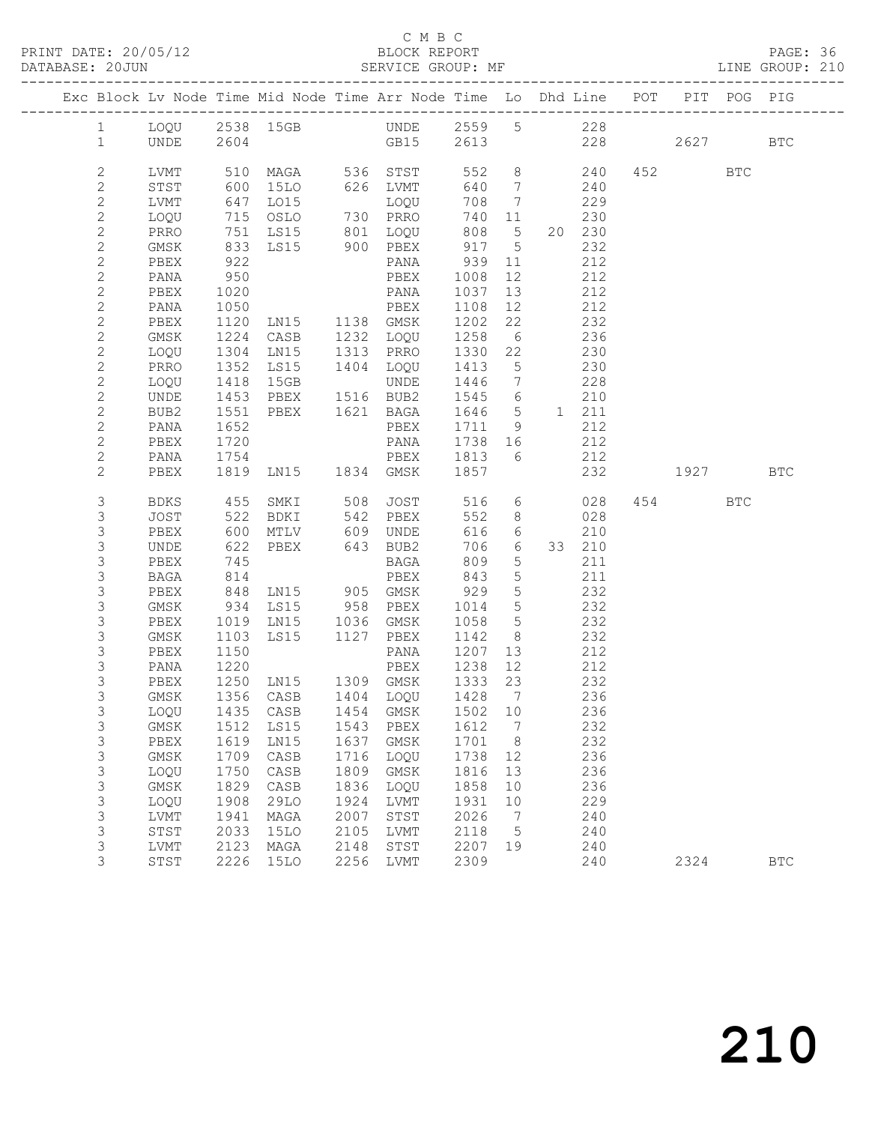### C M B C N B C N B C N B C N B C N B C N B C SEPORT

|  | DATABASE: 20JUN              |              |                   | SERVICE GROUP: MF                                                              |      |                          |              |                 |           |           |          |         | LINE GROUP: 210 |  |
|--|------------------------------|--------------|-------------------|--------------------------------------------------------------------------------|------|--------------------------|--------------|-----------------|-----------|-----------|----------|---------|-----------------|--|
|  |                              |              |                   | Exc Block Lv Node Time Mid Node Time Arr Node Time Lo Dhd Line POT PIT POG PIG |      |                          |              |                 |           |           |          |         |                 |  |
|  | $\mathbf{1}$                 |              |                   | LOQU 2538 15GB UNDE 2559 5 228                                                 |      |                          |              |                 |           |           |          |         |                 |  |
|  | 1                            | UNDE 2604    |                   | GB15 2613 228 2627 BTC                                                         |      |                          |              |                 |           |           |          |         |                 |  |
|  | $\mathbf{2}$                 |              |                   |                                                                                |      |                          |              |                 |           |           |          | 452 BTC |                 |  |
|  | $\mathbf{2}$                 |              |                   | LVMT 510 MAGA 536 STST 552 8 240<br>STST 600 15LO 626 LVMT 640 7 240           |      |                          |              |                 |           | 240       |          |         |                 |  |
|  | $\mathbf{2}$                 | LVMT         |                   | 647 LO15                                                                       |      | LOQU                     | 708 7        |                 | 229       |           |          |         |                 |  |
|  | $\mathbf{2}$                 | LOQU         |                   | 715 OSLO 730 PRRO                                                              |      |                          |              |                 | 740 11    | 230       |          |         |                 |  |
|  | $\mathbf{2}$                 | PRRO         |                   |                                                                                |      |                          |              |                 |           | 20 230    |          |         |                 |  |
|  | $\mathbf{2}$                 | GMSK         |                   |                                                                                |      |                          |              |                 |           | 232       |          |         |                 |  |
|  | $\mathbf{2}$                 | PBEX         | 922               |                                                                                |      |                          |              |                 | 212       |           |          |         |                 |  |
|  | $\mathbf{2}$                 | PANA         | 950               |                                                                                |      |                          | PBEX 1008    | 12              | 212       |           |          |         |                 |  |
|  | $\sqrt{2}$                   | PBEX         | 1020<br>1050      |                                                                                |      | PANA                     | 1037 13      |                 |           | 212       |          |         |                 |  |
|  | $\mathbf{2}$                 | PANA         |                   |                                                                                |      | PBEX                     | 1108 12      |                 |           | 212       |          |         |                 |  |
|  | $\overline{c}$               | PBEX         |                   | 1120 LN15 1138 GMSK 1202 22 232                                                |      |                          |              |                 |           |           |          |         |                 |  |
|  | $\mathbf{2}$                 | GMSK         |                   | 1224 CASB 1232 LOQU 1258 6 236                                                 |      |                          |              |                 |           |           |          |         |                 |  |
|  | $\sqrt{2}$                   | LOQU         | 1304<br>1352      | LN15 1313 PRRO<br>LS15 1404 LOQU                                               |      | 1313 PRRO                | 1330 22      |                 |           | 230       |          |         |                 |  |
|  | $\mathbf{2}$                 | PRRO         |                   |                                                                                |      |                          | 1413 5       |                 |           | 230       |          |         |                 |  |
|  | $\mathbf{2}$                 | LOQU         | 1418              | 15GB                                                                           |      | UNDE                     | 1446 7 228   |                 |           |           |          |         |                 |  |
|  | $\mathbf{2}$                 | UNDE         | 1453              | PBEX 1516 BUB2 1545 6                                                          |      |                          |              |                 |           | 210       |          |         |                 |  |
|  | $\overline{c}$               | BUB2         | 1551<br>1652      | PBEX 1621 BAGA                                                                 |      |                          | 1646 5 1 211 |                 |           |           |          |         |                 |  |
|  | $\mathbf{2}$                 | PANA         |                   |                                                                                |      | PBEX                     | 1711 9       |                 |           | 212       |          |         |                 |  |
|  | $\mathbf{2}$                 | PBEX         | 1720              |                                                                                |      | PANA 1738 16             |              |                 | 212       |           |          |         |                 |  |
|  | $\mathbf{2}$<br>$\mathbf{2}$ | PANA<br>PBEX | 1754              | PBEX 1813 6 212<br>1819 LN15 1834 GMSK 1857                                    |      |                          |              |                 |           |           | 232 1927 |         | BTC             |  |
|  |                              |              |                   |                                                                                |      |                          |              |                 |           |           |          |         |                 |  |
|  | 3                            | BDKS         |                   | 455 SMKI 508 JOST                                                              |      |                          |              |                 |           | 516 6 028 |          | 454 BTC |                 |  |
|  | 3                            | JOST         | 522               | BDKI 542 PBEX                                                                  |      |                          |              |                 | 552 8 028 |           |          |         |                 |  |
|  | 3                            | PBEX         |                   | MTLV 609 UNDE                                                                  |      |                          | 616          | 6               |           | 210       |          |         |                 |  |
|  | $\mathsf S$                  | UNDE         | 600<br>622<br>745 | PBEX 643 BUB2                                                                  |      |                          | 706          | $6\overline{6}$ |           | 33 210    |          |         |                 |  |
|  | $\mathsf S$                  | PBEX         | 745               |                                                                                |      | $\overline{\text{BAGA}}$ | 809          | $5\overline{)}$ |           | 211       |          |         |                 |  |
|  | $\mathsf S$                  | BAGA         | 814               |                                                                                |      | PBEX                     | 843          | $5\overline{)}$ | 211       |           |          |         |                 |  |
|  | 3                            | PBEX         | 848               | LN15 905 GMSK                                                                  |      |                          | 929          | $5\overline{)}$ |           | 232       |          |         |                 |  |
|  | $\mathsf S$                  | GMSK         |                   | 934 LS15 958 PBEX 1014 5<br>1019 LN15 1036 GMSK 1058 5                         |      |                          |              |                 |           | 232       |          |         |                 |  |
|  | $\mathsf S$<br>3             | PBEX<br>GMSK | 1103              | LS15 1127 PBEX 1142 8                                                          |      |                          |              |                 | 232       | 232       |          |         |                 |  |
|  | 3                            | PBEX         | 1150              |                                                                                |      |                          | PANA 1207    |                 | 13 212    |           |          |         |                 |  |
|  | $\mathsf S$                  | PANA         |                   |                                                                                |      |                          |              |                 |           | 212       |          |         |                 |  |
|  | 3                            | PBEX         |                   |                                                                                |      |                          |              |                 |           | 232       |          |         |                 |  |
|  | 3                            |              |                   | GMSK 1356 CASB 1404 LOQU 1428 7 236                                            |      |                          |              |                 |           |           |          |         |                 |  |
|  | 3                            | LOQU         | 1435              | CASB                                                                           | 1454 | GMSK                     | 1502         | 10              |           | 236       |          |         |                 |  |
|  | 3                            | GMSK         | 1512              | LS15                                                                           | 1543 | PBEX                     | 1612         | 7               |           | 232       |          |         |                 |  |
|  | 3                            | PBEX         | 1619              | LN15                                                                           | 1637 | GMSK                     | 1701         | - 8             |           | 232       |          |         |                 |  |
|  | 3                            | GMSK         | 1709              | CASB                                                                           | 1716 | LOQU                     | 1738         | 12              |           | 236       |          |         |                 |  |
|  | 3                            | LOQU         | 1750              | CASB                                                                           | 1809 | GMSK                     | 1816         | 13              |           | 236       |          |         |                 |  |
|  | $\mathsf S$                  | GMSK         | 1829              | CASB                                                                           | 1836 | LOQU                     | 1858         | 10              |           | 236       |          |         |                 |  |
|  | $\mathsf S$                  | LOQU         | 1908              | <b>29LO</b>                                                                    | 1924 | LVMT                     | 1931         | 10              |           | 229       |          |         |                 |  |
|  | 3                            | LVMT         | 1941              | MAGA                                                                           | 2007 | STST                     | 2026         | 7               |           | 240       |          |         |                 |  |
|  | 3                            | STST         | 2033              | 15LO                                                                           | 2105 | LVMT                     | 2118         | 5               |           | 240       |          |         |                 |  |
|  | 3                            | LVMT         | 2123              | MAGA                                                                           | 2148 | STST                     | 2207         | 19              |           | 240       |          |         |                 |  |
|  | 3                            | STST         | 2226              | <b>15LO</b>                                                                    | 2256 | LVMT                     | 2309         |                 |           | 240       |          | 2324    | $_{\rm BTC}$    |  |
|  |                              |              |                   |                                                                                |      |                          |              |                 |           |           |          |         |                 |  |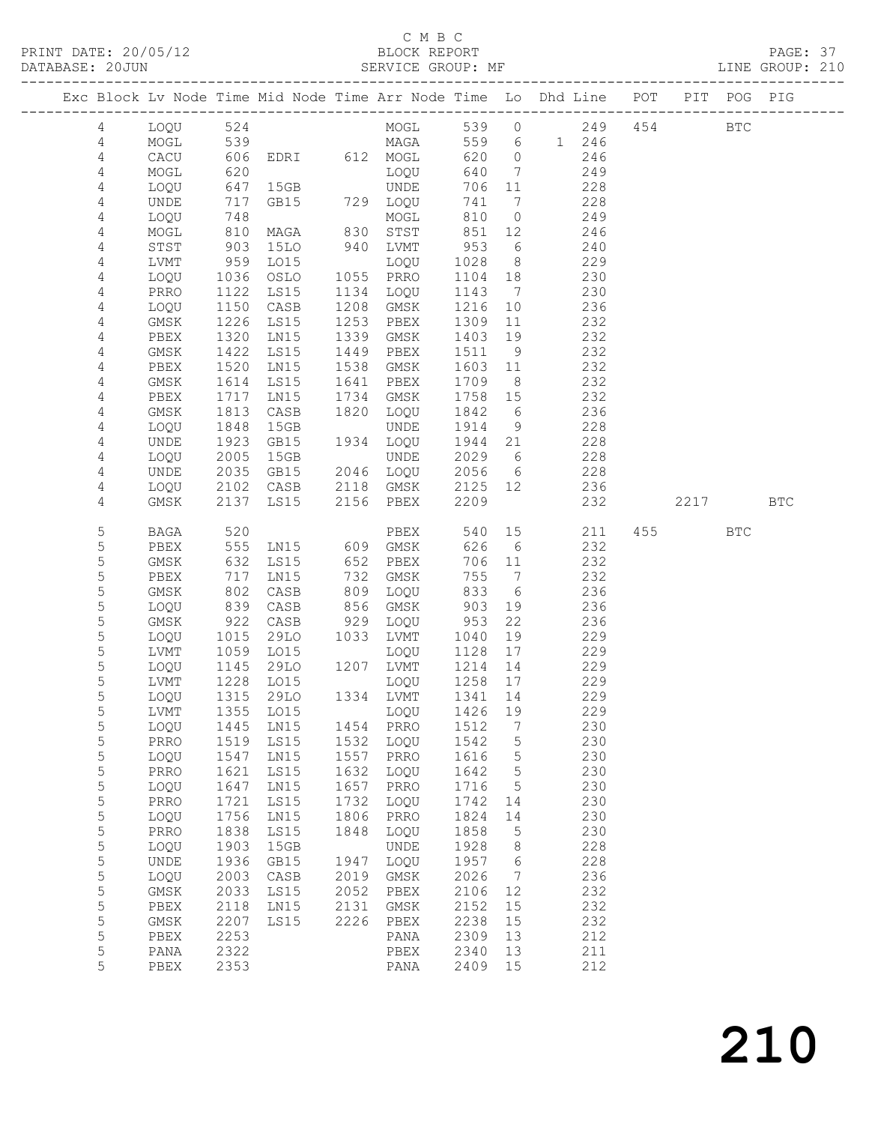### C M B C<br>BLOCK REPORT

PRINT DATE: 20/05/12 BLOCK REPORT PAGE: 37 LINE GROUP: 210 ------------------------------------------------------------------------------------------------- Exc Block Lv Node Time Mid Node Time Arr Node Time Lo Dhd Line POT PIT POG PIG

| 4              | LOQU        | 524  |                 |                                 | MOGL        |              |                              | 539 0 | 249   |     | 454 BTC |            |            |
|----------------|-------------|------|-----------------|---------------------------------|-------------|--------------|------------------------------|-------|-------|-----|---------|------------|------------|
| 4              | MOGL        | 539  |                 |                                 | MAGA        | 559          | 6                            |       | 1 246 |     |         |            |            |
| $\overline{4}$ | CACU        | 606  | EDRI            |                                 | 612 MOGL    | 620          | $\circ$                      |       | 246   |     |         |            |            |
| 4              | MOGL        | 620  |                 |                                 | LOQU        | 640          | $7\phantom{.0}$              |       | 249   |     |         |            |            |
| 4              | LOQU        | 647  | 15GB            |                                 | UNDE        | 706          | 11                           |       | 228   |     |         |            |            |
| 4              | UNDE        | 717  | GB15            |                                 | 729 LOQU    | 741          | 7                            |       | 228   |     |         |            |            |
| 4              | LOQU        | 748  |                 |                                 | MOGL        | 810          | $\circ$                      |       | 249   |     |         |            |            |
| 4              | MOGL        | 810  | MAGA            | 830                             | STST        | 851          | 12                           |       | 246   |     |         |            |            |
| 4              | STST        | 903  | <b>15LO</b>     | 940                             | LVMT        | 953          | 6                            |       | 240   |     |         |            |            |
| 4              | LVMT        | 959  | LO15            |                                 | LOQU        | 1028         | 8                            |       | 229   |     |         |            |            |
| 4              | LOQU        | 1036 | OSLO            | 1055                            | PRRO        | 1104         | 18                           |       | 230   |     |         |            |            |
| 4              | PRRO        | 1122 | LS15            | 1134                            | LOQU        | 1143         | $\overline{7}$               |       | 230   |     |         |            |            |
| 4              | LOQU        | 1150 | CASB            | 1208                            | GMSK        | 1216         | 10                           |       | 236   |     |         |            |            |
| 4              | GMSK        | 1226 | LS15            | 1253                            | PBEX        | 1309         | 11                           |       | 232   |     |         |            |            |
| 4              | PBEX        | 1320 | LN15            | 1339                            | GMSK        | 1403         | 19                           |       | 232   |     |         |            |            |
| 4              | GMSK        | 1422 | LS15            | 1449                            | PBEX        | 1511         | 9                            |       | 232   |     |         |            |            |
| 4              | PBEX        | 1520 | LN15            | 1538                            | GMSK        | 1603         | 11                           |       | 232   |     |         |            |            |
| 4              | GMSK        | 1614 | LS15            | 1641                            | PBEX        | 1709         | 8                            |       | 232   |     |         |            |            |
| 4              | PBEX        | 1717 | LN15            | 1734                            | GMSK        | 1758         | 15                           |       | 232   |     |         |            |            |
|                |             | 1813 | $\mathtt{CASE}$ | 1820                            |             |              | 6                            |       | 236   |     |         |            |            |
| 4              | GMSK        |      |                 |                                 | LOQU        | 1842         |                              |       | 228   |     |         |            |            |
| $\sqrt{4}$     | LOQU        | 1848 | 15GB<br>GB15    |                                 | <b>UNDE</b> | 1914<br>1944 | 9                            |       |       |     |         |            |            |
| 4              | UNDE        | 1923 |                 | 1934                            | LOQU        |              | 21                           |       | 228   |     |         |            |            |
| 4              | LOQU        | 2005 | 15GB            |                                 | UNDE        | 2029         | 6                            |       | 228   |     |         |            |            |
| 4              | <b>UNDE</b> | 2035 | GB15            | 2046                            | LOQU        | 2056         | $6\overline{6}$              |       | 228   |     |         |            |            |
| 4              | LOQU        | 2102 | CASB            | 2118                            | GMSK        | 2125         | 12                           |       | 236   |     |         |            |            |
| 4              | GMSK        | 2137 | LS15            | 2156                            | PBEX        | 2209         |                              |       | 232   |     | 2217    |            | <b>BTC</b> |
|                |             |      |                 |                                 |             |              |                              |       |       |     |         |            |            |
| 5              | <b>BAGA</b> | 520  |                 |                                 | PBEX        | 540          | 15                           |       | 211   | 455 |         | <b>BTC</b> |            |
| $\mathsf S$    | PBEX        | 555  | LN15            | 609                             | GMSK        | 626          | 6                            |       | 232   |     |         |            |            |
| 5              | GMSK        | 632  | LS15            | 652                             | PBEX        | 706          | 11                           |       | 232   |     |         |            |            |
| 5              | PBEX        | 717  | LN15            | 732                             | GMSK        | 755          | $\overline{7}$               |       | 232   |     |         |            |            |
| 5              | GMSK        | 802  | CASB            | 809                             | LOQU        | 833          | - 6                          |       | 236   |     |         |            |            |
| 5              | LOQU        | 839  | CASB            | 856                             | GMSK        | 903          | 19                           |       | 236   |     |         |            |            |
| $\mathsf S$    | GMSK        | 922  | CASB            | 929                             | LOQU        | 953          | 22                           |       | 236   |     |         |            |            |
| 5              | LOQU        | 1015 | 29LO            | 1033                            | LVMT        | 1040         | 19                           |       | 229   |     |         |            |            |
| 5              | LVMT        | 1059 | LO15            |                                 | LOQU        | 1128         | 17                           |       | 229   |     |         |            |            |
| 5              | LOQU        | 1145 | 29LO            | 1207                            | LVMT        | 1214         | 14                           |       | 229   |     |         |            |            |
| 5              | LVMT        | 1228 | LO15            |                                 | LOQU        | 1258         | 17                           |       | 229   |     |         |            |            |
| 5              | LOQU        | 1315 | 29LO            |                                 | 1334 LVMT   | 1341         | 14                           |       | 229   |     |         |            |            |
| 5              | LVMT        | 1355 | LO15            |                                 | LOOU        | 1426         | 19                           |       | 229   |     |         |            |            |
| 5              | LOQU        | 1445 | LN15            |                                 | 1454 PRRO   | 1512         | $7\phantom{.0}\phantom{.0}7$ |       | 230   |     |         |            |            |
| 5              |             |      |                 | PRRO 1519 LS15 1532 LOQU 1542 5 |             |              |                              |       | 230   |     |         |            |            |
| 5              | LOQU        | 1547 | LNI5            | 1557                            | PRRO        | 1616         | $\mathsf S$                  |       | 230   |     |         |            |            |
| 5              | PRRO        | 1621 | LS15            | 1632                            | LOQU        | 1642         | 5                            |       | 230   |     |         |            |            |
| 5              | LOQU        | 1647 | LN15            | 1657                            | PRRO        | 1716         | 5                            |       | 230   |     |         |            |            |
| 5              | PRRO        | 1721 | LS15            | 1732                            | LOQU        | 1742         | 14                           |       | 230   |     |         |            |            |
| 5              | LOQU        | 1756 | LN15            | 1806                            | PRRO        | 1824         | 14                           |       | 230   |     |         |            |            |
| 5              | PRRO        | 1838 | LS15            | 1848                            | LOQU        | 1858         | 5                            |       | 230   |     |         |            |            |
| 5              | LOQU        | 1903 | 15GB            |                                 | UNDE        | 1928         | 8                            |       | 228   |     |         |            |            |
| 5              | UNDE        | 1936 | GB15            | 1947                            | LOQU        | 1957         | 6                            |       | 228   |     |         |            |            |
| 5              | LOQU        | 2003 | CASB            | 2019                            | GMSK        | 2026         | 7                            |       | 236   |     |         |            |            |
| 5              | GMSK        | 2033 | LS15            | 2052                            | PBEX        | 2106         | 12                           |       | 232   |     |         |            |            |
| 5              | PBEX        | 2118 | LN15            | 2131                            | GMSK        | 2152         | 15                           |       | 232   |     |         |            |            |
| 5              | $\rm{GMSK}$ | 2207 | LS15            | 2226                            | PBEX        | 2238         | 15                           |       | 232   |     |         |            |            |
| 5              | PBEX        | 2253 |                 |                                 | PANA        | 2309         | 13                           |       | 212   |     |         |            |            |
| 5              | PANA        | 2322 |                 |                                 | PBEX        | 2340         | 13                           |       | 211   |     |         |            |            |
| 5              | PBEX        | 2353 |                 |                                 | PANA        | 2409         | 15                           |       | 212   |     |         |            |            |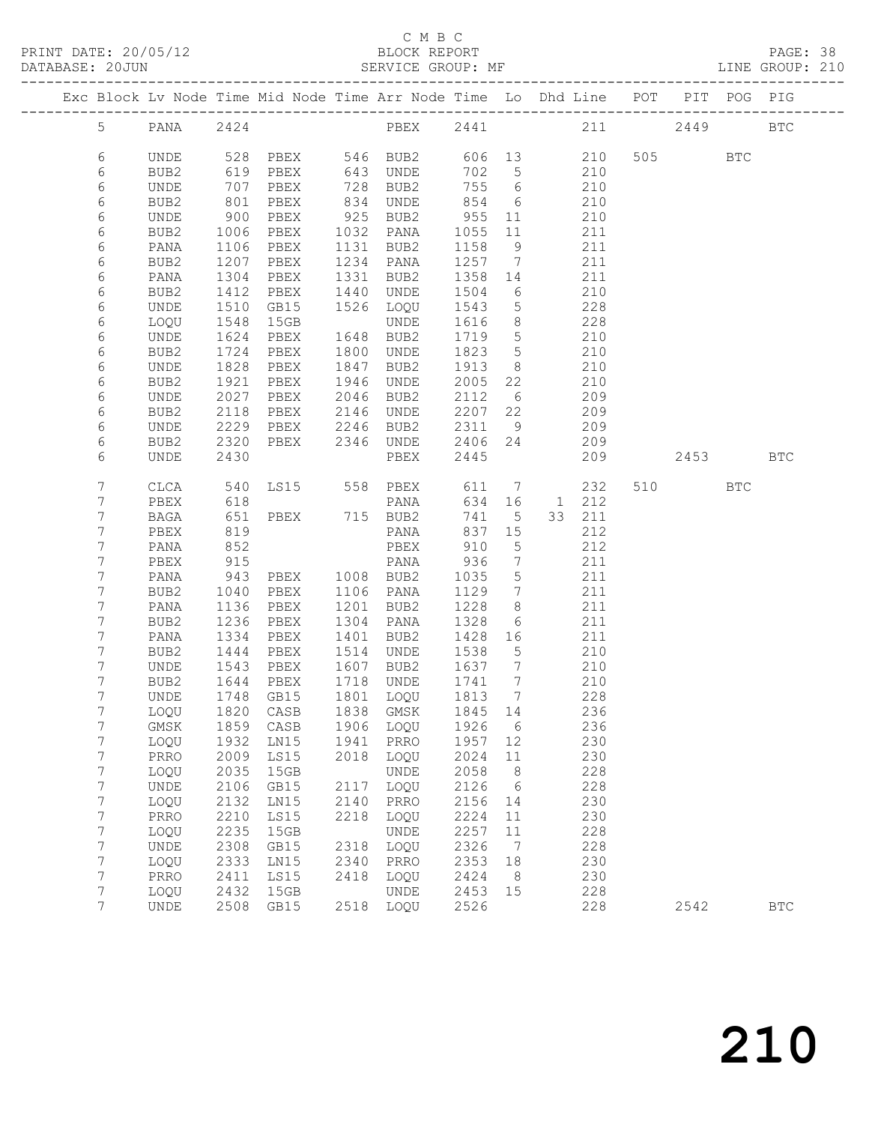## C M B C

|  | DATABASE: 20JUN |              |              | ---------------------------      |      | SERVICE GROUP: MF               |                  |                              | LINE GROUP: 210                                                                |         |      |              |  |
|--|-----------------|--------------|--------------|----------------------------------|------|---------------------------------|------------------|------------------------------|--------------------------------------------------------------------------------|---------|------|--------------|--|
|  |                 |              |              |                                  |      |                                 |                  |                              | Exc Block Lv Node Time Mid Node Time Arr Node Time Lo Dhd Line POT PIT POG PIG |         |      |              |  |
|  | 5 <sup>5</sup>  |              |              |                                  |      |                                 |                  |                              |                                                                                |         |      |              |  |
|  | 6               | UNDE         |              |                                  |      |                                 |                  |                              | 528 PBEX 546 BUB2 606 13 210                                                   | 505 BTC |      |              |  |
|  | 6               | BUB2         | 619<br>707   | PBEX                             |      | 643 UNDE                        | 702 5            |                              | 210                                                                            |         |      |              |  |
|  | 6               | UNDE         | 707          | PBEX                             |      | 728 BUB2                        | 755 6            |                              | 210                                                                            |         |      |              |  |
|  | 6               | BUB2         | 801          | PBEX                             |      | 834 UNDE                        | 854              | 6                            | 210                                                                            |         |      |              |  |
|  | 6               | UNDE         | 900          | PBEX                             |      | 925 BUB2                        | 955              | 11                           | 210                                                                            |         |      |              |  |
|  | 6               | BUB2         | 1006         | PBEX 1032 PANA                   |      |                                 | 1055 11          |                              | 211                                                                            |         |      |              |  |
|  | 6               | PANA         | 1106         | PBEX                             |      | 1131 BUB2                       | 1158             | 9                            | 211                                                                            |         |      |              |  |
|  | 6               | BUB2         | 1207         | PBEX                             |      | 1234 PANA                       | 1257 7           |                              | 211                                                                            |         |      |              |  |
|  | 6               | PANA         | 1304         | PBEX                             |      | 1331 BUB2                       | 1358 14          |                              | 211                                                                            |         |      |              |  |
|  | 6               | BUB2         | 1412         | PBEX                             |      | 1440 UNDE                       | 1504             | 6                            | 210                                                                            |         |      |              |  |
|  | 6               | UNDE         | 1510         | GB15                             |      | 1526 LOQU                       | 1543             | $5\overline{)}$              | 228                                                                            |         |      |              |  |
|  | 6               | LOQU         | 1548         | 15GB                             |      | UNDE                            | 1616             | 8 <sup>8</sup>               | 228                                                                            |         |      |              |  |
|  | 6               | UNDE         | 1624         | PBEX                             |      | 1648 BUB2                       | 1719 5           |                              | 210                                                                            |         |      |              |  |
|  | 6               | BUB2         | 1724<br>1828 | PBEX                             |      | 1800 UNDE                       | 1823 5           |                              | 210                                                                            |         |      |              |  |
|  | 6               | UNDE         |              | PBEX                             |      | 1847 BUB2                       | 1913             | 8 <sup>8</sup>               | 210                                                                            |         |      |              |  |
|  | 6               | BUB2         | 1921         | PBEX                             |      | 1946 UNDE                       | 2005 22          |                              | 210                                                                            |         |      |              |  |
|  | 6               | UNDE         | 2027         | PBEX 2046 BUB2                   |      |                                 | 2112 6           |                              | 209                                                                            |         |      |              |  |
|  | 6               | BUB2         | 2118         | PBEX 2146 UNDE<br>PBEX 2246 BUB2 |      |                                 | 2207 22          |                              | 209                                                                            |         |      |              |  |
|  | 6               | UNDE         | 2229         |                                  |      |                                 | 2311 9           |                              | 209                                                                            |         |      |              |  |
|  | 6               | BUB2         | 2320         |                                  |      | PBEX 2346 UNDE                  | 2406 24          |                              | 209                                                                            |         |      |              |  |
|  | 6               | UNDE         | 2430         |                                  |      | PBEX                            | 2445             |                              | 209                                                                            |         | 2453 | <b>BTC</b>   |  |
|  | 7               | CLCA         | 540          |                                  |      | LS15 558 PBEX 611 7             |                  |                              | 232                                                                            | 510 BTC |      |              |  |
|  | 7               | PBEX         | 618          |                                  |      | PANA                            |                  |                              | 634 16 1 212                                                                   |         |      |              |  |
|  | 7               | BAGA         | 651          |                                  |      | PBEX 715 BUB2                   | 741              | 5 <sup>5</sup>               | 33 211                                                                         |         |      |              |  |
|  | 7               | PBEX         | 819          |                                  |      | PANA                            | 837 15           |                              | 212                                                                            |         |      |              |  |
|  | 7               | PANA         | 852          |                                  |      | PBEX                            | 910              | $5^{\circ}$                  | 212                                                                            |         |      |              |  |
|  | 7               | PBEX         | 915          |                                  |      | PANA 936                        |                  | $7\phantom{.0}\phantom{.0}7$ | 211                                                                            |         |      |              |  |
|  | 7               | PANA         | 943          | PBEX 1008 BUB2                   |      |                                 | 1035             | $5\overline{)}$              | 211                                                                            |         |      |              |  |
|  | 7               | BUB2         | 1040         | PBEX                             |      | 1106 PANA                       | 1129             | $\overline{7}$               | 211                                                                            |         |      |              |  |
|  | 7               | PANA         | 1136         | PBEX                             |      | 1201 BUB2                       | 1228             | 8 <sup>8</sup>               | 211                                                                            |         |      |              |  |
|  | 7               | BUB2         | 1236         | PBEX                             |      | 1304 PANA                       | 1328             | 6                            | 211                                                                            |         |      |              |  |
|  | 7               | PANA         | 1334         | PBEX                             |      | 1401 BUB2                       | 1428 16          |                              | 211                                                                            |         |      |              |  |
|  | 7<br>7          | BUB2<br>UNDE | 1444         | PBEX 1514 UNDE                   |      | 1607 BUB2                       | 1538<br>1637 7   | $5\overline{)}$              | 210<br>210                                                                     |         |      |              |  |
|  | 7               | BUB2         | 1543         | PBEX<br>$1644$ PBEX              |      | 1718 UNDE                       | $\frac{1}{1741}$ | $7\overline{ }$              | 210                                                                            |         |      |              |  |
|  | $7^{\circ}$     |              |              |                                  |      | UNDE 1748 GB15 1801 LOQU 1813 7 |                  |                              | 228                                                                            |         |      |              |  |
|  | 7               | LOQU         | 1820         | CASB                             | 1838 | GMSK                            | 1845             | 14                           | 236                                                                            |         |      |              |  |
|  | 7               | GMSK         | 1859         | CASB                             | 1906 | LOQU                            | 1926             | $6\overline{6}$              | 236                                                                            |         |      |              |  |
|  | 7               | LOQU         | 1932         | LN15                             | 1941 | PRRO                            | 1957             | 12                           | 230                                                                            |         |      |              |  |
|  | 7               | PRRO         | 2009         | LS15                             | 2018 | LOQU                            | 2024             | 11                           | 230                                                                            |         |      |              |  |
|  | 7               | LOQU         | 2035         | 15GB                             |      | UNDE                            | 2058             | 8 <sup>8</sup>               | 228                                                                            |         |      |              |  |
|  | 7               | UNDE         | 2106         | GB15                             | 2117 | LOQU                            | 2126             | $6\overline{6}$              | 228                                                                            |         |      |              |  |
|  | $\overline{7}$  | LOQU         | 2132         | LN15                             | 2140 | PRRO                            | 2156             | 14                           | 230                                                                            |         |      |              |  |
|  | 7               | PRRO         | 2210         | LS15                             | 2218 | LOQU                            | 2224             | 11                           | 230                                                                            |         |      |              |  |
|  | 7               | LOQU         | 2235         | 15GB                             |      | UNDE                            | 2257             | 11                           | 228                                                                            |         |      |              |  |
|  | 7               | UNDE         | 2308         | GB15                             | 2318 | LOQU                            | 2326             | 7                            | 228                                                                            |         |      |              |  |
|  | $\overline{7}$  | LOQU         | 2333         | LN15                             | 2340 | PRRO                            | 2353             | 18                           | 230                                                                            |         |      |              |  |
|  | 7               | PRRO         | 2411         | LS15                             | 2418 | LOQU                            | 2424             | 8                            | 230                                                                            |         |      |              |  |
|  | 7               | LOQU         | 2432         | 15GB                             |      | UNDE                            | 2453             | 15                           | 228                                                                            |         |      |              |  |
|  | 7               | UNDE         | 2508         | GB15                             | 2518 | LOQU                            | 2526             |                              | 228                                                                            | 2542    |      | $_{\rm BTC}$ |  |
|  |                 |              |              |                                  |      |                                 |                  |                              |                                                                                |         |      |              |  |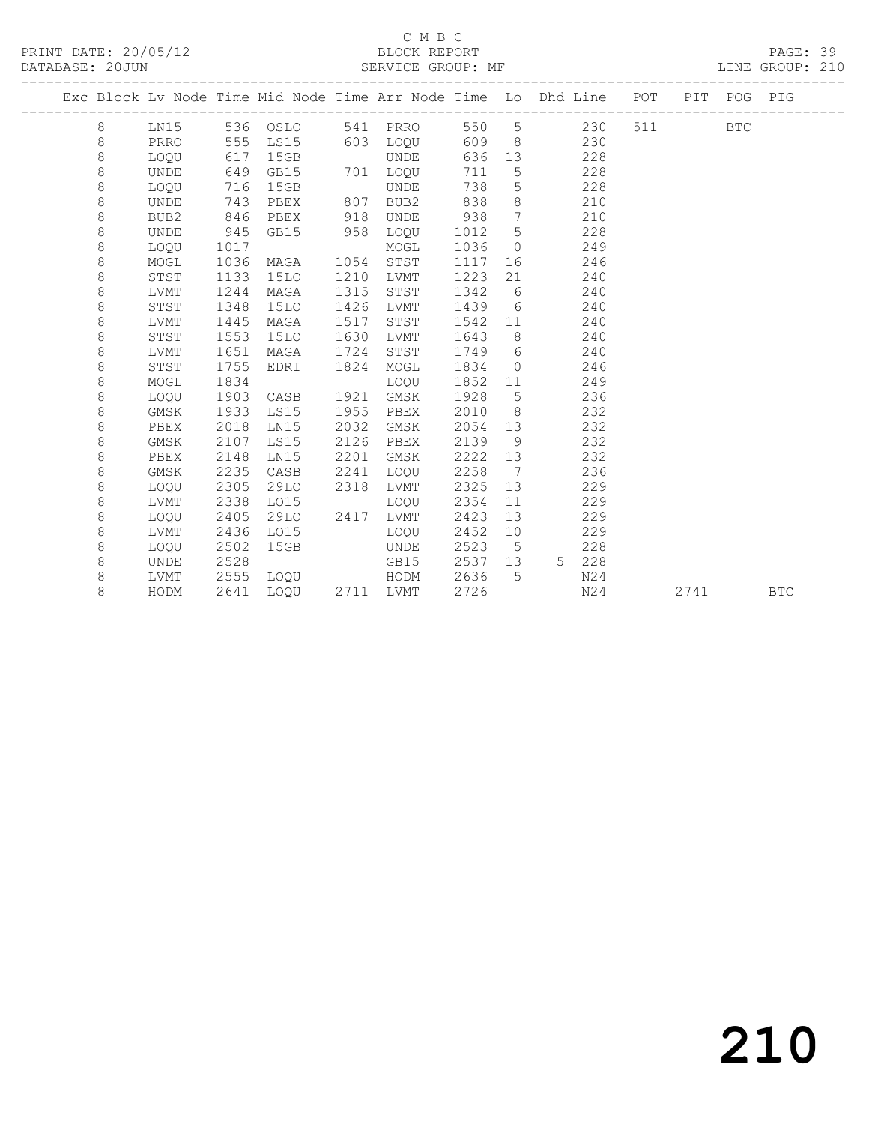# C M B C<br>BLOCK REPORT

PAGE: 39<br>LINE GROUP: 210

|  |         |             |      |                |      |             |      |                 | Exc Block Lv Node Time Mid Node Time Arr Node Time Lo Dhd Line POT PIT POG PIG |     |      |     |            |
|--|---------|-------------|------|----------------|------|-------------|------|-----------------|--------------------------------------------------------------------------------|-----|------|-----|------------|
|  | 8       | LN15        |      | 536 OSLO       |      | 541 PRRO    |      |                 | 550 5<br>230                                                                   | 511 |      | BTC |            |
|  | 8       | PRRO        | 555  | LS15           |      | 603 LOQU    | 609  |                 | 230<br>8 <sup>1</sup>                                                          |     |      |     |            |
|  | $\,8\,$ | LOQU        | 617  | 15GB           |      | UNDE        | 636  | 13              | 228                                                                            |     |      |     |            |
|  | $\,8\,$ | UNDE        | 649  | GB15           |      | 701 LOQU    | 711  | $5\overline{)}$ | 228                                                                            |     |      |     |            |
|  | 8       | LOQU        | 716  | 15GB           |      | UNDE        | 738  | $5\phantom{.0}$ | 228                                                                            |     |      |     |            |
|  | $\,8\,$ | UNDE        | 743  | PBEX           | 807  | BUB2        | 838  | 8               | 210                                                                            |     |      |     |            |
|  | 8       | BUB2        | 846  | PBEX           | 918  | <b>UNDE</b> | 938  | $7\overline{ }$ | 210                                                                            |     |      |     |            |
|  | 8       | <b>UNDE</b> | 945  | GB15           | 958  | LOQU        | 1012 | 5               | 228                                                                            |     |      |     |            |
|  | 8       | LOQU        | 1017 |                |      | MOGL        | 1036 | $\overline{0}$  | 249                                                                            |     |      |     |            |
|  | $\,8\,$ | MOGL        | 1036 | MAGA           | 1054 | STST        | 1117 | 16              | 246                                                                            |     |      |     |            |
|  | $\,8\,$ | STST        | 1133 | <b>15LO</b>    | 1210 | LVMT        | 1223 | 21              | 240                                                                            |     |      |     |            |
|  | 8       | LVMT        | 1244 | MAGA           | 1315 | STST        | 1342 | 6               | 240                                                                            |     |      |     |            |
|  | 8       | STST        | 1348 | <b>15LO</b>    | 1426 | LVMT        | 1439 | 6               | 240                                                                            |     |      |     |            |
|  | 8       | LVMT        | 1445 | MAGA           | 1517 | STST        | 1542 | 11              | 240                                                                            |     |      |     |            |
|  | 8       | STST        | 1553 | 15LO           | 1630 | LVMT        | 1643 | 8 <sup>8</sup>  | 240                                                                            |     |      |     |            |
|  | 8       | LVMT        | 1651 | MAGA           | 1724 | STST        | 1749 | 6               | 240                                                                            |     |      |     |            |
|  | 8       | STST        | 1755 | EDRI           | 1824 | MOGL        | 1834 | $\overline{0}$  | 246                                                                            |     |      |     |            |
|  | 8       | MOGL        | 1834 |                |      | LOQU        | 1852 | 11              | 249                                                                            |     |      |     |            |
|  | $\,8\,$ | LOQU        | 1903 | CASB           | 1921 | GMSK        | 1928 | $5\overline{)}$ | 236                                                                            |     |      |     |            |
|  | 8       | GMSK        | 1933 | LS15           | 1955 | PBEX        | 2010 | 8               | 232                                                                            |     |      |     |            |
|  | 8       | PBEX        | 2018 | LN15           | 2032 | GMSK        | 2054 | 13              | 232                                                                            |     |      |     |            |
|  | $\,8\,$ | GMSK        | 2107 | LS15           | 2126 | PBEX        | 2139 | 9               | 232                                                                            |     |      |     |            |
|  | 8       | PBEX        | 2148 | LN15           | 2201 | GMSK        | 2222 | 13              | 232                                                                            |     |      |     |            |
|  | 8       | GMSK        | 2235 | CASB           | 2241 | LOQU        | 2258 | $\overline{7}$  | 236                                                                            |     |      |     |            |
|  | 8       | LOQU        | 2305 | 29LO           | 2318 | LVMT        | 2325 | 13              | 229                                                                            |     |      |     |            |
|  | 8       | LVMT        | 2338 | L015           |      | LOQU        | 2354 | 11              | 229                                                                            |     |      |     |            |
|  | 8       | LOOU        | 2405 | 29LO           | 2417 | LVMT        | 2423 | 13              | 229                                                                            |     |      |     |            |
|  | 8       | LVMT        | 2436 | L015           |      | LOOU        | 2452 | 10 <sup>°</sup> | 229                                                                            |     |      |     |            |
|  | 8       | LOOU        | 2502 | 15GB           |      | UNDE        | 2523 | $5^{\circ}$     | 228                                                                            |     |      |     |            |
|  | 8       | <b>UNDE</b> | 2528 |                |      | GB15        | 2537 | 13              | 5 228                                                                          |     |      |     |            |
|  | 8       | LVMT        | 2555 | LOQU           |      | HODM        | 2636 | 5               | N24                                                                            |     |      |     |            |
|  | 8       | HODM        | 2641 | LOQU 2711 LVMT |      |             | 2726 |                 | N24                                                                            |     | 2741 |     | <b>BTC</b> |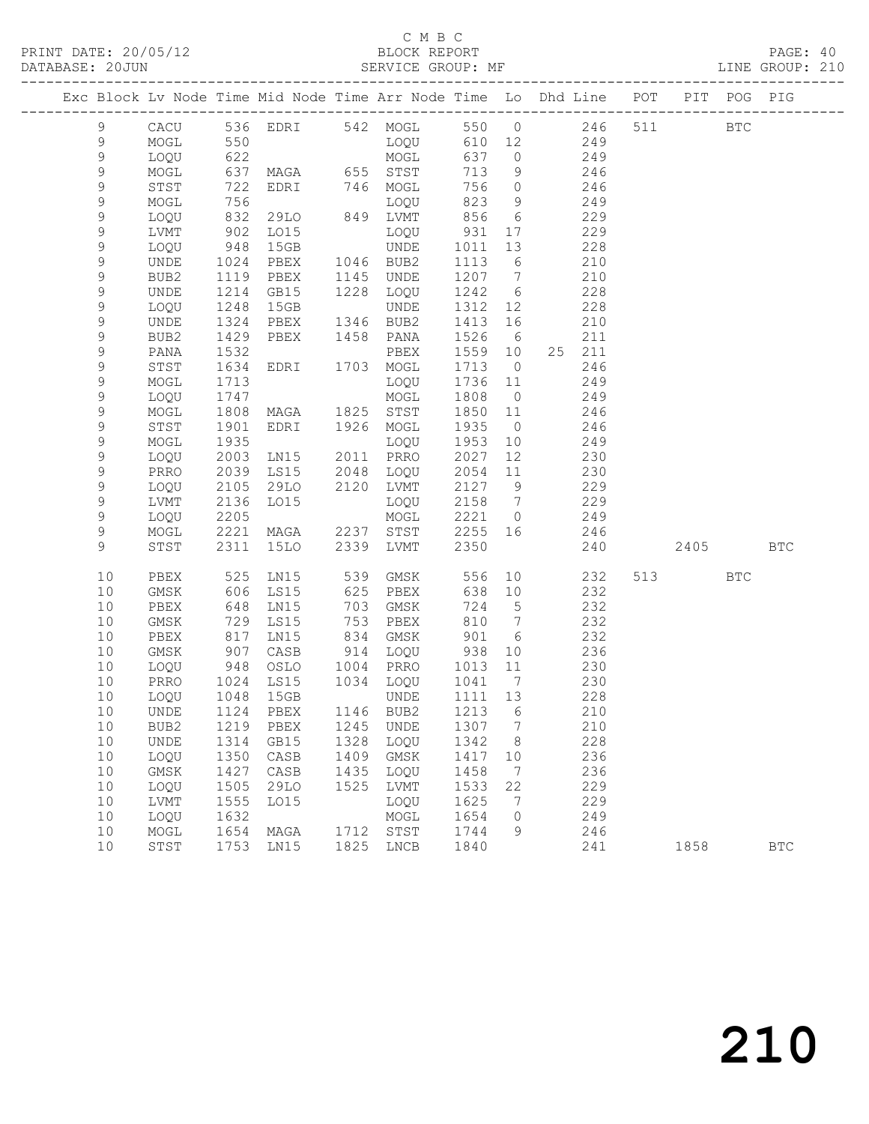## C M B C<br>BLOCK REPORT

LINE GROUP: 210

|  |                |              |              |                   |      | Exc Block Lv Node Time Mid Node Time Arr Node Time Lo Dhd Line POT |                   |                 |    |            |      | PIT POG PIG |            |
|--|----------------|--------------|--------------|-------------------|------|--------------------------------------------------------------------|-------------------|-----------------|----|------------|------|-------------|------------|
|  | $\overline{9}$ | CACU         |              |                   |      | 536 EDRI 542 MOGL 550 0 246 511                                    |                   |                 |    |            |      | <b>BTC</b>  |            |
|  | 9              | MOGL         |              |                   |      |                                                                    | 610 12            |                 |    | 249        |      |             |            |
|  | $\mathsf 9$    | LOQU         | 550<br>622   |                   |      | MOGT<br>TOÕN<br>MOGL                                               | 637               | $\overline{0}$  |    | 249        |      |             |            |
|  | 9              | MOGL         | 637          | MAGA 655 STST     |      |                                                                    | 713               | 9               |    | 246        |      |             |            |
|  | 9              | STST         | 722          | EDRI 746 MOGL     |      |                                                                    | 756               | $\overline{0}$  |    | 246        |      |             |            |
|  | $\mathsf 9$    | MOGL         | 756          |                   |      | LOQU                                                               | 823               | 9               |    | 249        |      |             |            |
|  | $\mathsf 9$    | LOQU         | 832          | 29LO              |      | 849 LVMT                                                           | 856               | $6\overline{6}$ |    | 229        |      |             |            |
|  | 9              | LVMT         | 902          | LO15              |      | LOQU                                                               | 931               | 17              |    | 229        |      |             |            |
|  | 9              | LOQU         | 948          | 15GB              |      | UNDE                                                               | 1011              | 13              |    | 228        |      |             |            |
|  | 9              | UNDE         | 1024         | PBEX              |      | 1046 BUB2                                                          | 1113              | 6               |    | 210        |      |             |            |
|  | 9              | BUB2         | 1119         | PBEX              |      | 1145 UNDE                                                          | 1207 7            |                 |    | 210        |      |             |            |
|  | 9              | UNDE         | 1214         | GB15              |      | 1228 LOQU                                                          | 1242              | 6               |    | 228        |      |             |            |
|  | 9              | LOQU         | 1248         | 15GB              |      | UNDE                                                               | 1312              | 12              |    | 228        |      |             |            |
|  | 9              | UNDE         | 1324         | PBEX              |      | 1346 BUB2                                                          | 1413              | 16              |    | 210        |      |             |            |
|  | 9              | BUB2         | 1429         | PBEX              |      | 1458 PANA                                                          | 1526              | $6\overline{6}$ |    | 211        |      |             |            |
|  | 9              | PANA         | 1532         |                   |      | PBEX                                                               | 1559 10           |                 |    | 25 211     |      |             |            |
|  | 9              | STST         | 1634         | EDRI              |      | 1703 MOGL                                                          | 1713              | $\overline{0}$  |    | 246        |      |             |            |
|  | 9              | MOGL         | 1713         |                   |      | LOQU                                                               | 1736              | 11              |    | 249        |      |             |            |
|  | 9              | LOQU         | 1747         |                   |      | MOGL                                                               | 1808              | $\overline{0}$  |    | 249        |      |             |            |
|  | 9              | MOGL         | 1808         | MAGA 1825 STST    |      |                                                                    | 1850 11           |                 |    | 246        |      |             |            |
|  | 9              | STST         | 1901         | EDRI 1926 MOGL    |      |                                                                    | 1935              | $\overline{0}$  |    | 246        |      |             |            |
|  | 9              | MOGL         | 1935         |                   |      | LOQU                                                               | 1953              | 10              |    | 249        |      |             |            |
|  | 9              | LOQU         | 2003         | LN15 2011 PRRO    |      |                                                                    | 2027              | 12              |    | 230        |      |             |            |
|  | 9<br>9         | PRRO<br>LOQU | 2039<br>2105 | LS15<br>29LO      |      | 2048 LOQU<br>2120 LVMT                                             | 2054<br>2127      | 11<br>9         |    | 230<br>229 |      |             |            |
|  | $\mathsf 9$    | LVMT         | 2136         | LO15              |      | LOQU                                                               | 2158 7            |                 |    | 229        |      |             |            |
|  | 9              | LOQU         | 2205         |                   |      | MOGL                                                               | 2221 0            |                 |    | 249        |      |             |            |
|  | 9              | MOGL         | 2221         | MAGA 2237 STST    |      |                                                                    | 2255 16           |                 |    | 246        |      |             |            |
|  | 9              | STST         | 2311         | 15LO 2339 LVMT    |      |                                                                    | 2350              |                 |    | 240        | 2405 |             | <b>BTC</b> |
|  |                |              |              |                   |      |                                                                    |                   |                 |    |            |      |             |            |
|  | 10             | PBEX         | 525          | LN15              |      | 539 GMSK                                                           | 556               |                 | 10 | 232        | 513  | <b>BTC</b>  |            |
|  | 10             | GMSK         | 606          | LS15              | 625  | PBEX                                                               | 638 10            |                 |    | 232        |      |             |            |
|  | 10             | PBEX         | 648          | LN15              | 703  | GMSK                                                               | 724               | $5^{\circ}$     |    | 232        |      |             |            |
|  | 10             | GMSK         | 729          | LS15              | 753  | PBEX                                                               | 810               | $\overline{7}$  |    | 232        |      |             |            |
|  | 10             | PBEX         | 817<br>907   | LN15              | 834  | GMSK                                                               | 901<br>938        | 6               |    | 232        |      |             |            |
|  | 10             | GMSK         | 948          | CASB              |      | 914 LOQU                                                           |                   | 10              |    | 236        |      |             |            |
|  | 10<br>10       | LOQU         |              | OSLO 1004 PRRO    |      | 1034 LOQU                                                          | 1013 11           |                 |    | 230<br>230 |      |             |            |
|  | 10             | PRRO<br>LOQU | 1024<br>1048 | LS15<br>15GB      |      | UNDE                                                               | 1041 7<br>1111 13 |                 |    | 228        |      |             |            |
|  |                |              |              | 10 UNDE 1124 PBEX |      | 1146 BUB2 1213 6                                                   |                   |                 |    | 210        |      |             |            |
|  | 10             | BUB2         | 1219         | PBEX              | 1245 | UNDE                                                               | 1307              | 7               |    | 210        |      |             |            |
|  | 10             | UNDE         | 1314         | GB15              | 1328 | LOQU                                                               | 1342              | 8               |    | 228        |      |             |            |
|  | 10             | LOQU         | 1350         | CASB              | 1409 | GMSK                                                               | 1417              | 10              |    | 236        |      |             |            |
|  | 10             | GMSK         | 1427         | CASB              | 1435 | LOQU                                                               | 1458              | 7               |    | 236        |      |             |            |
|  | 10             | LOQU         | 1505         | 29LO              | 1525 | LVMT                                                               | 1533              | 22              |    | 229        |      |             |            |
|  | 10             | LVMT         | 1555         | L015              |      | LOQU                                                               | 1625              | 7               |    | 229        |      |             |            |
|  | 10             | LOQU         | 1632         |                   |      | MOGL                                                               | 1654              | $\mathbf 0$     |    | 249        |      |             |            |
|  | 10             | MOGL         | 1654         | MAGA              | 1712 | STST                                                               | 1744              | 9               |    | 246        |      |             |            |

10 STST 1753 LN15 1825 LNCB 1840 241 1858 BTC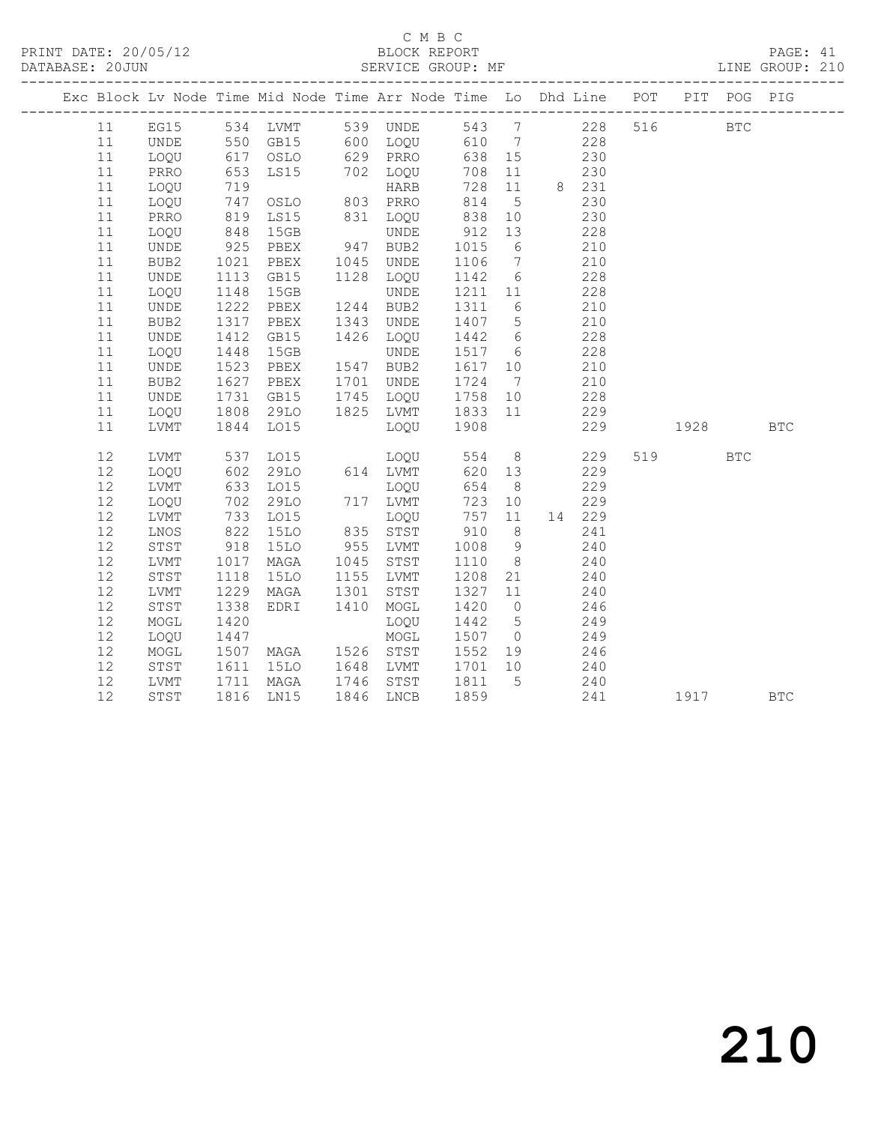# C M B C<br>BLOCK REPORT

PAGE: 41<br>LINE GROUP: 210

| Exc Block Lv Node Time Mid Node Time Arr Node Time Lo Dhd Line POT |             |                   |                                                    |      |                                  |             |                 |          |                  |     |          | PIT POG PIG |            |
|--------------------------------------------------------------------|-------------|-------------------|----------------------------------------------------|------|----------------------------------|-------------|-----------------|----------|------------------|-----|----------|-------------|------------|
| 11                                                                 |             |                   |                                                    |      | EG15 534 LVMT 539 UNDE 543 7 228 |             |                 |          |                  | 516 |          | <b>BTC</b>  |            |
| 11                                                                 | UNDE        |                   |                                                    |      |                                  |             |                 |          | 228              |     |          |             |            |
| 11                                                                 | LOQU        |                   |                                                    |      |                                  |             |                 | 230      |                  |     |          |             |            |
| 11                                                                 | PRRO        | 653               |                                                    |      | LS15 702 LOQU                    | 708 11      |                 | 230      |                  |     |          |             |            |
| 11                                                                 | LOQU        |                   |                                                    |      |                                  | 728         |                 | 11 8 231 |                  |     |          |             |            |
| 11                                                                 | LOQU        |                   |                                                    |      |                                  | 814         | $5\overline{)}$ |          | 230              |     |          |             |            |
| 11                                                                 | PRRO        | 719<br>747<br>819 | ---<br>OSLO 803 PRRO<br>T <15 831 LOQU<br>TINDE    |      |                                  | 838         | 10              |          | 230              |     |          |             |            |
| 11                                                                 | LOQU        | 848               | 15GB                                               |      | UNDE                             | 912         | 13              |          | 228              |     |          |             |            |
| 11                                                                 | <b>UNDE</b> | 925               | PBEX                                               |      | 947 BUB2                         | 1015        | 6               | 210      |                  |     |          |             |            |
| 11                                                                 | BUB2        | 1021              | PBEX                                               |      | 1045 UNDE                        | 1106        | $\overline{7}$  |          | 210              |     |          |             |            |
| 11                                                                 | UNDE        | 1113              | GB15                                               |      | 1128 LOQU                        | 1142 6      |                 |          | 228              |     |          |             |            |
| 11                                                                 | LOQU        | 1148              | 15GB                                               |      | <b>UNDE</b>                      | 1211 11     |                 |          | 228              |     |          |             |            |
| 11                                                                 | UNDE        | 1222              | PBEX                                               |      | 1244 BUB2                        | 1311        | 6 <sup>6</sup>  | 210      |                  |     |          |             |            |
| 11                                                                 | BUB2        | 1317              | PBEX                                               | 1343 | UNDE                             | 1407 5      |                 |          | 210              |     |          |             |            |
| 11                                                                 | UNDE        | 1412<br>1448      | GB15                                               |      | 1426 LOQU                        | 1442 6      |                 |          | $\frac{15}{228}$ |     |          |             |            |
| 11                                                                 | LOQU        |                   | 15GB                                               |      | <b>UNDE</b>                      | 1517 6      |                 |          | 228              |     |          |             |            |
| 11                                                                 | UNDE        | 1523              | PBEX                                               |      | 1547 BUB2                        | 1617 10     |                 | 210      |                  |     |          |             |            |
| 11                                                                 | BUB2        | 1627              | PBEX                                               |      | 1701 UNDE                        | 1724        | $7\overline{ }$ | 210      |                  |     |          |             |            |
| 11                                                                 | UNDE        | 1731              | GB15                                               |      | 1745 LOQU                        | 1758 10     |                 |          | 228              |     |          |             |            |
| 11                                                                 | LOQU        | 1808<br>1844      | 29LO                                               |      | 1825 LVMT 1833 11<br>LOQU 1908   |             |                 |          | 229              |     |          |             |            |
| 11                                                                 | LVMT        |                   | L015                                               |      |                                  |             |                 |          | 229              |     | 1928 BTC |             |            |
| 12                                                                 | LVMT        | 537               | LO15                                               |      | LOQU 554                         |             | 8 <sup>8</sup>  | 229      |                  |     | 519      | <b>BTC</b>  |            |
| 12                                                                 | LOQU        |                   | 29LO                                               |      | 614 LVMT<br>LOQU                 | 620 13      |                 |          | 229              |     |          |             |            |
| 12                                                                 | LVMT        | 602<br>633        | LO15                                               |      | LOQU                             | 654         | 8 <sup>8</sup>  |          | 229              |     |          |             |            |
| 12                                                                 | LOQU        | 702               | 29LO                                               |      | 717 LVMT                         | 723         | 10              |          | 229              |     |          |             |            |
| 12                                                                 | LVMT        | 733               | LO15                                               |      | LOQU                             | 757         | 11              |          | 14 229           |     |          |             |            |
| 12                                                                 | LNOS        | 822               | <b>15LO</b>                                        |      | 835 STST                         | 910         | 8 <sup>8</sup>  |          | 241              |     |          |             |            |
| 12                                                                 | STST        | 918               | 15LO                                               |      | 955 LVMT                         | 1008        | 9               |          | 240              |     |          |             |            |
| 12                                                                 | LVMT        | 1017              | MAGA                                               | 1045 | STST                             | 1110        | 8 <sup>8</sup>  |          | 240              |     |          |             |            |
| 12                                                                 | STST        | 1118              | 15LO                                               |      | 1155 LVMT                        | 1208        | 21              | 240      |                  |     |          |             |            |
| 12                                                                 | LVMT        | 1229              | MAGA                                               | 1301 | STST                             | 1327        | 11              |          | 240              |     |          |             |            |
| 12                                                                 | STST        | 1338              | EDRI 1410                                          |      | MOGL                             | 1420        | $\overline{0}$  |          | 246              |     |          |             |            |
| 12                                                                 | MOGL        | 1420              |                                                    |      | LOQU                             | 1442        | 5 <sup>5</sup>  |          | 249              |     |          |             |            |
| 12                                                                 | LOQU        | 1447              |                                                    |      | MOGL                             | 1507 0      |                 | 249      |                  |     |          |             |            |
| 12                                                                 | MOGL        | 1507              | MAGA 1526 STST                                     |      |                                  | 1552 19 246 |                 |          |                  |     |          |             |            |
| 12                                                                 | STST        |                   | 1611 15LO<br>1711 MAGA<br>1816 LN15<br><b>15LO</b> |      | 1648 LVMT                        | 1701 10     |                 | 240      |                  |     |          |             |            |
| 12                                                                 | LVMT        |                   | MAGA                                               |      | 1746 STST                        | 1811 5      |                 |          | $\frac{240}{2}$  |     |          |             |            |
| 12                                                                 | STST        |                   |                                                    |      | 1846 LNCB                        | 1859        |                 |          | 241              |     | 1917     |             | <b>BTC</b> |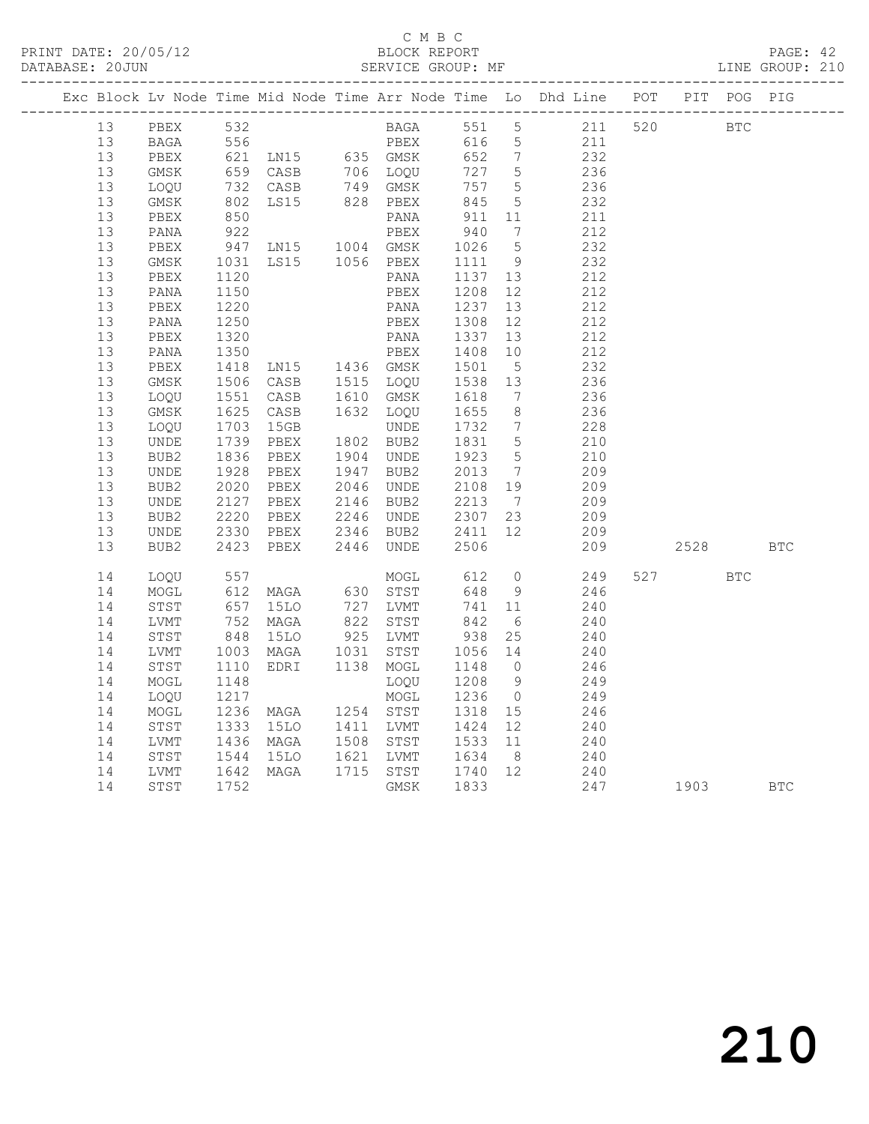### C M B C<br>BLOCK REPORT SERVICE GROUP: MF

|    |                  |                                |                                                  |      |             |              |                              | Exc Block Lv Node Time Mid Node Time Arr Node Time Lo Dhd Line POT |     |            | PIT POG PIG |            |
|----|------------------|--------------------------------|--------------------------------------------------|------|-------------|--------------|------------------------------|--------------------------------------------------------------------|-----|------------|-------------|------------|
| 13 | PBEX             | 532                            |                                                  |      | <b>BAGA</b> |              | 551 5                        | 211                                                                | 520 | <b>BTC</b> |             |            |
| 13 | BAGA             |                                |                                                  |      |             |              |                              |                                                                    |     |            |             |            |
| 13 | PBEX             |                                |                                                  |      |             |              |                              |                                                                    |     |            |             |            |
| 13 | GMSK             |                                |                                                  |      |             |              |                              |                                                                    |     |            |             |            |
| 13 | LOQU             | 732<br>802                     | CASB 749 GMSK<br>LS15 828 PBEX                   |      |             | 757          | $5^{\circ}$                  | 236                                                                |     |            |             |            |
| 13 | GMSK             |                                |                                                  |      |             | 845          | $5^{\circ}$                  | 232                                                                |     |            |             |            |
| 13 | PBEX             |                                |                                                  |      | PANA        | 911          | 11                           | 211                                                                |     |            |             |            |
| 13 | PANA             | 850<br>922                     |                                                  |      | PBEX        | 940          | $7\phantom{.0}\phantom{.0}7$ | 212                                                                |     |            |             |            |
| 13 | PBEX             | 947                            | LN15 1004 GMSK                                   |      |             | 1026         | $5\overline{)}$              | 232                                                                |     |            |             |            |
| 13 | GMSK             | $10 - 1120$<br>$1120$<br>$150$ | LS15 1056 PBEX                                   |      |             | 1111         | 9                            | 232                                                                |     |            |             |            |
| 13 | PBEX             |                                |                                                  |      | PANA        | 1137 13      |                              | 212                                                                |     |            |             |            |
| 13 | PANA             | 1150                           |                                                  |      | PBEX        | 1208         | 12                           | 212                                                                |     |            |             |            |
| 13 | PBEX             | 1220                           |                                                  |      | PANA        | 1237         | 13                           | 212                                                                |     |            |             |            |
| 13 | PANA             | 1250                           |                                                  |      | PBEX        | 1308         | 12                           | 212                                                                |     |            |             |            |
| 13 | PBEX             | 1320                           |                                                  |      |             | 1337         | 13                           | 212                                                                |     |            |             |            |
| 13 | PANA             | 1350                           |                                                  |      |             | 1408         | 10                           | 212                                                                |     |            |             |            |
| 13 | PBEX             | 1418                           | PANA<br>PBEX<br>LN15 1436 GMSK<br>CASB 1515 LOOU |      |             | 1501         | $5^{\circ}$                  | 232                                                                |     |            |             |            |
| 13 | GMSK             | $1410$<br>1506                 |                                                  |      |             | 1538         | 13                           | 236                                                                |     |            |             |            |
| 13 | LOQU             |                                | CASB                                             |      | 1610 GMSK   | 1618         | $7\overline{ }$              | 236                                                                |     |            |             |            |
| 13 | GMSK             | 1551<br>1625                   | CASB                                             |      | 1632 LOQU   | 1655         | 8 <sup>8</sup>               | 236                                                                |     |            |             |            |
| 13 | LOQU             | 1703                           | 15GB                                             |      | UNDE        | 1732         | $\overline{7}$               | 228                                                                |     |            |             |            |
| 13 | UNDE             |                                | PBEX                                             |      | 1802 BUB2   | 1831         | $5\overline{)}$              | 210                                                                |     |            |             |            |
| 13 | BUB2             | 1739<br>1836                   | PBEX                                             |      | 1904 UNDE   | 1923         | $5\overline{)}$              | 210                                                                |     |            |             |            |
| 13 | UNDE             |                                | PBEX                                             |      | 1947 BUB2   | 2013         | $\overline{7}$               | 209                                                                |     |            |             |            |
| 13 | BUB2             | 1928<br>2020                   | PBEX                                             |      | 2046 UNDE   | 2108 19      |                              | 209                                                                |     |            |             |            |
| 13 | UNDE             | 2127                           | PBEX                                             |      | 2146 BUB2   | 2213 7       |                              | 209                                                                |     |            |             |            |
| 13 | BUB2             |                                | PBEX                                             |      | 2246 UNDE   | 2307 23      |                              | 209                                                                |     |            |             |            |
| 13 | UNDE             | 2220<br>2330                   | PBEX                                             |      | 2346 BUB2   | 2307<br>2411 | 12                           | 209                                                                |     |            |             |            |
| 13 | BUB <sub>2</sub> | 2423                           | PBEX                                             | 2446 | UNDE        | 2506         |                              | 209                                                                |     | 2528       |             | <b>BTC</b> |
|    |                  |                                |                                                  |      |             |              |                              |                                                                    |     |            |             |            |
| 14 | LOQU             | 557<br>612<br>657              |                                                  |      | MOGL        | 612          | $\overline{0}$               | 249                                                                |     | 527        | <b>BTC</b>  |            |
| 14 | MOGL             |                                | MAGA 630 STST                                    |      |             | 648          | 9                            | 246                                                                |     |            |             |            |
| 14 | STST             |                                | 15LO                                             |      | 727 LVMT    | 741 11       |                              | 240                                                                |     |            |             |            |
| 14 | LVMT             | 752<br>848                     | MAGA                                             |      | 822 STST    | 842<br>938   | 6                            | 240                                                                |     |            |             |            |
| 14 | STST             |                                | 15LO                                             |      | 925 LVMT    |              | 25                           | 240                                                                |     |            |             |            |
| 14 | LVMT             | 1003<br>1110                   | MAGA                                             | 1031 | STST        | 1056 14      |                              | 240                                                                |     |            |             |            |
| 14 | STST             | 1110                           | EDRI                                             |      | 1138 MOGL   | 1148 0       |                              | 246                                                                |     |            |             |            |
| 14 | MOGL             | 1148                           |                                                  |      | LOQU        | 1208         | 9                            | 249                                                                |     |            |             |            |
| 14 | LOQU             | 1217                           |                                                  |      | MOGL        | 1236         | $\overline{0}$               | 249                                                                |     |            |             |            |
| 14 | MOGL             | 121 /<br>1236                  | MAGA                                             |      | 1254 STST   | 1318         | 15                           | 246                                                                |     |            |             |            |
| 14 | STST             |                                | 15LO                                             |      | 1411 LVMT   | 1424         | 12                           | 240                                                                |     |            |             |            |
| 14 | LVMT             | 1333<br>1436                   | MAGA                                             |      | 1508 STST   | 1533 11      |                              | 240                                                                |     |            |             |            |
| 14 | STST             | 1544 15LO                      |                                                  |      | 1621 LVMT   | 1634         | 8 <sup>8</sup>               | 240                                                                |     |            |             |            |
| 14 | LVMT             | 1642                           | MAGA                                             | 1715 | STST        | 1740 12      |                              | 240                                                                |     |            |             |            |

14 STST 1752 GMSK 1833 247 1903 BTC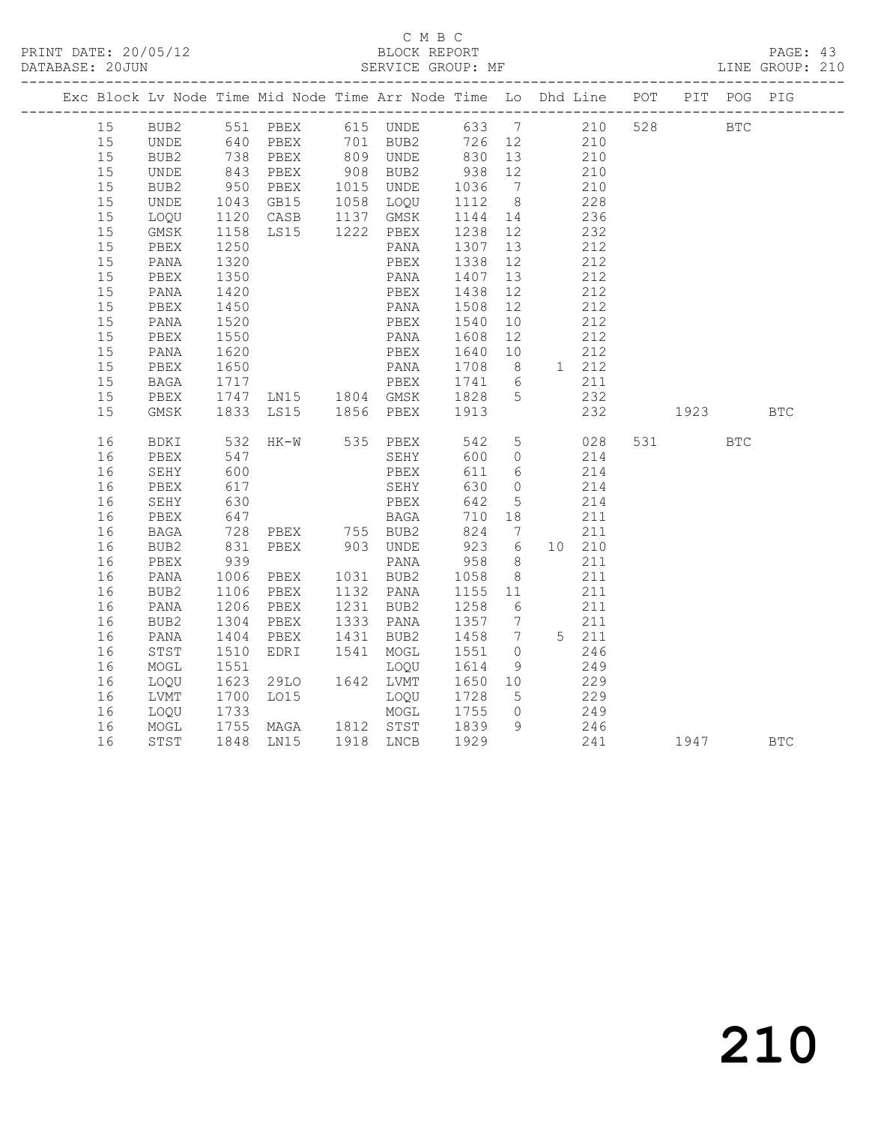# C M B C<br>BLOCK REPORT

PAGE: 43<br>LINE GROUP: 210

| Exc Block Lv Node Time Mid Node Time Arr Node Time Lo Dhd Line POT PIT POG PIG |              |                 |                                                                                                           |                                      |                          |                |     |                                           |              |            |            |
|--------------------------------------------------------------------------------|--------------|-----------------|-----------------------------------------------------------------------------------------------------------|--------------------------------------|--------------------------|----------------|-----|-------------------------------------------|--------------|------------|------------|
| 15                                                                             |              |                 | BUB2 551 PBEX 615 UNDE 633 7 210                                                                          |                                      |                          |                |     |                                           | 528 BTC      |            |            |
| 15                                                                             | UNDE         |                 |                                                                                                           |                                      |                          |                |     |                                           |              |            |            |
| 15                                                                             | BUB2         |                 |                                                                                                           |                                      |                          |                |     |                                           |              |            |            |
| 15                                                                             | UNDE         |                 | 640 PBEX  701 BUB2  726  12  210<br>738 PBEX  809 UNDE  830  13  210<br>843 PBEX  908  BUB2  938  12  210 |                                      | $938$ 12                 |                |     |                                           |              |            |            |
| 15                                                                             | BUB2         |                 |                                                                                                           |                                      |                          |                |     | 210<br>228                                |              |            |            |
| 15                                                                             | UNDE         |                 | 950 PBEX 1015 UNDE 1036 7<br>1043 GB15 1058 LOQU 1112 8                                                   |                                      |                          |                |     |                                           |              |            |            |
| 15                                                                             | LOQU         |                 |                                                                                                           |                                      | 1144 14                  |                | 236 |                                           |              |            |            |
| 15                                                                             | GMSK         |                 | 1120 CASB 1137 GMSK<br>1158 LS15 1222 PBEX<br>1250 PANA                                                   |                                      | 1238    12<br>1307    13 |                |     | $\begin{array}{c} 232 \\ 212 \end{array}$ |              |            |            |
| 15                                                                             | PBEX         |                 |                                                                                                           |                                      |                          |                |     |                                           |              |            |            |
| 15                                                                             | PANA         | 1320            |                                                                                                           | PBEX                                 | 1338 12                  |                | 212 |                                           |              |            |            |
| 15                                                                             | PBEX         | 1350<br>1420    |                                                                                                           | PANA 1407 13<br>PBEX 1438 12         |                          |                |     | 212                                       |              |            |            |
| 15                                                                             | PANA         |                 |                                                                                                           |                                      |                          |                |     | 212                                       |              |            |            |
| 15                                                                             | PBEX         | 1450            |                                                                                                           | PANA 1508 12                         |                          |                | 212 |                                           |              |            |            |
| 15                                                                             | PANA         | 1520<br>1550    |                                                                                                           | PBEX 1540 10<br>PANA 1608 12         |                          |                |     | 212                                       |              |            |            |
| 15                                                                             | PBEX         |                 |                                                                                                           |                                      |                          |                | 212 |                                           |              |            |            |
| 15                                                                             | PANA         | 1620            |                                                                                                           | PBEX 1640 10                         |                          |                | 212 |                                           |              |            |            |
| 15                                                                             | PBEX         | 1650<br>1717    |                                                                                                           | PANA 1708 8 1 212<br>PBEX 1741 6 211 |                          |                |     |                                           |              |            |            |
| 15                                                                             | BAGA         |                 |                                                                                                           |                                      |                          |                |     |                                           |              |            |            |
| 15                                                                             | PBEX         |                 |                                                                                                           |                                      |                          |                | 232 |                                           |              |            |            |
| 15                                                                             | GMSK         |                 | 1717 – FANA 1708<br>1717 – PBEX 1741 6<br>1747 LN15 1804 GMSK 1828 5<br>1833 LS15 1856 PBEX 1913          |                                      |                          |                |     | 232                                       | 1923         |            | <b>BTC</b> |
|                                                                                |              |                 |                                                                                                           |                                      |                          |                |     |                                           |              |            |            |
| 16                                                                             | BDKI         | 532<br>547      | $HK-W$                                                                                                    | 535 PBEX<br>PBEX 542 5<br>SEHY 600 0 |                          |                |     | 542 5 028                                 | 531 7        | <b>BTC</b> |            |
| 16                                                                             | PBEX         | 600             |                                                                                                           |                                      |                          |                |     | 214<br>214                                |              |            |            |
| 16                                                                             | SEHY         |                 |                                                                                                           | PBEX                                 | 611 6<br>630             | $\overline{0}$ |     |                                           |              |            |            |
| 16<br>16                                                                       | PBEX         | $\frac{6}{630}$ |                                                                                                           | SEHY<br>PBEX                         | 642                      | $5^{\circ}$    |     | 214<br>214                                |              |            |            |
| 16                                                                             | SEHY<br>PBEX | 647             |                                                                                                           | <b>BAGA</b>                          | 710 18                   |                | 211 |                                           |              |            |            |
| 16                                                                             |              |                 |                                                                                                           |                                      | 824 7                    |                |     | 211                                       |              |            |            |
| 16                                                                             | BAGA<br>BUB2 |                 | 728 PBEX      755  BUB2<br>831   PBEX       903   UNDE                                                    |                                      | $824$ 7<br>923 6         |                |     | 10 210                                    |              |            |            |
| 16                                                                             | PBEX         | 939             |                                                                                                           |                                      | $958$ 8                  |                |     | 211                                       |              |            |            |
| 16                                                                             | PANA         |                 |                                                                                                           |                                      |                          |                |     | 211                                       |              |            |            |
| 16                                                                             | BUB2         | 1006<br>1106    | PANA<br>PBEX 1031 BUB2<br>PBEX 1132 PANA                                                                  |                                      | 1058 8<br>1155 11        |                |     | 211                                       |              |            |            |
| 16                                                                             | PANA         | 1206            | PBEX 1231 BUB2                                                                                            |                                      | 1258 6                   |                | 211 |                                           |              |            |            |
| 16                                                                             | BUB2         |                 | PBEX                                                                                                      | 1333 PANA                            |                          |                |     | 211                                       |              |            |            |
| 16                                                                             | PANA         | 1304<br>1404    | PBEX                                                                                                      | 1431 BUB2                            | 1357 7<br>1458 7         |                |     | 5 211                                     |              |            |            |
| 16                                                                             | STST         | 1510            | EDRI 1541 MOGL                                                                                            |                                      | 1551                     | $\overline{0}$ |     | 246                                       |              |            |            |
| 16                                                                             | MOGL         |                 |                                                                                                           | LOQU                                 |                          | 9              |     | 249                                       |              |            |            |
| 16                                                                             | LOQU         | 1551<br>1623    | 29LO 1642 LVMT                                                                                            |                                      | 1614 9<br>1650 10        |                | 229 |                                           |              |            |            |
| 16                                                                             | LVMT         |                 |                                                                                                           |                                      |                          |                | 229 |                                           |              |            |            |
| 16                                                                             | LOQU         |                 | 1700 LO15 LOQU 1728 5<br>1733 MOGL 1755 0<br>1755 MAGA 1812 STST 1839 9                                   |                                      |                          |                |     |                                           |              |            |            |
| 16                                                                             | MOGL         |                 |                                                                                                           |                                      |                          |                |     | $\frac{249}{246}$                         |              |            |            |
| 16                                                                             | STST         |                 | 1848 LN15 1918 LNCB 1929                                                                                  |                                      |                          |                |     |                                           | 241 1947 BTC |            |            |
|                                                                                |              |                 |                                                                                                           |                                      |                          |                |     |                                           |              |            |            |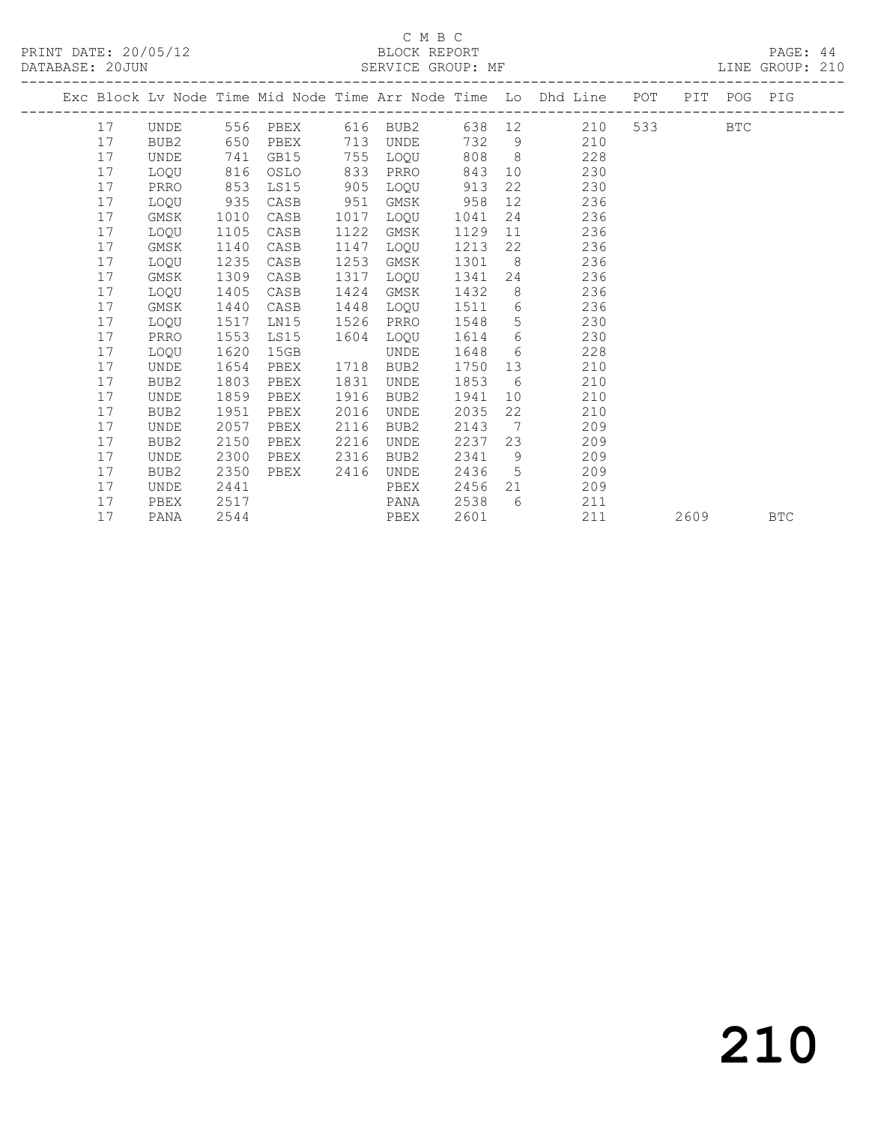# C M B C<br>BLOCK REPORT

DATABASE: 20JUN SERVICE GROUP: MF LINE GROUP: 210

|  |    |                  |      |      |      |                   |      |                 | Exc Block Lv Node Time Mid Node Time Arr Node Time Lo Dhd Line POT PIT POG PIG |         |      |            |
|--|----|------------------|------|------|------|-------------------|------|-----------------|--------------------------------------------------------------------------------|---------|------|------------|
|  | 17 | UNDE             |      |      |      | 556 PBEX 616 BUB2 |      |                 | 638 12 210                                                                     | 533 BTC |      |            |
|  | 17 | BUB2             | 650  | PBEX | 713  | UNDE              | 732  |                 | 9<br>210                                                                       |         |      |            |
|  | 17 | UNDE             | 741  | GB15 | 755  | LOOU              | 808  | 8 <sup>1</sup>  | 228                                                                            |         |      |            |
|  | 17 | LOQU             | 816  | OSLO | 833  | PRRO              | 843  |                 | 10<br>230                                                                      |         |      |            |
|  | 17 | PRRO             | 853  | LS15 | 905  | LOOU              | 913  | 22              | 230                                                                            |         |      |            |
|  | 17 | LOQU             | 935  | CASB | 951  | GMSK              | 958  | 12 <sup>7</sup> | 236                                                                            |         |      |            |
|  | 17 | GMSK             | 1010 | CASB | 1017 | LOOU              | 1041 |                 | 236<br>24                                                                      |         |      |            |
|  | 17 | LOQU             | 1105 | CASB | 1122 | GMSK              | 1129 | 11              | 236                                                                            |         |      |            |
|  | 17 | GMSK             | 1140 | CASB | 1147 | LOOU              | 1213 | 22              | 236                                                                            |         |      |            |
|  | 17 | LOOU             | 1235 | CASB | 1253 | GMSK              | 1301 | 8               | 236                                                                            |         |      |            |
|  | 17 | GMSK             | 1309 | CASB | 1317 | LOOU              | 1341 |                 | 236                                                                            |         |      |            |
|  | 17 | LOOU             | 1405 | CASB | 1424 | GMSK              | 1432 | 8               | 236                                                                            |         |      |            |
|  | 17 | GMSK             | 1440 | CASB | 1448 | LOOU              | 1511 | 6               | 236                                                                            |         |      |            |
|  | 17 | LOOU             | 1517 | LN15 | 1526 | PRRO              | 1548 | 5 <sup>5</sup>  | 230                                                                            |         |      |            |
|  | 17 | PRRO             | 1553 | LS15 | 1604 | LOQU              | 1614 |                 | $6 \quad \text{or}$<br>230                                                     |         |      |            |
|  | 17 | LOOU             | 1620 | 15GB |      | UNDE              | 1648 | 6               | 228                                                                            |         |      |            |
|  | 17 | <b>UNDE</b>      | 1654 | PBEX | 1718 | BUB <sub>2</sub>  | 1750 | 13              | 210                                                                            |         |      |            |
|  | 17 | BUB <sub>2</sub> | 1803 | PBEX | 1831 | UNDE              | 1853 | 6               | 210                                                                            |         |      |            |
|  | 17 | <b>UNDE</b>      | 1859 | PBEX | 1916 | BUB <sub>2</sub>  | 1941 | 10              | 210                                                                            |         |      |            |
|  | 17 | BUB <sub>2</sub> | 1951 | PBEX | 2016 | UNDE              | 2035 | 22              | 210                                                                            |         |      |            |
|  | 17 | <b>UNDE</b>      | 2057 | PBEX | 2116 | BUB <sub>2</sub>  | 2143 | $\overline{7}$  | 209                                                                            |         |      |            |
|  | 17 | BUB <sub>2</sub> | 2150 | PBEX | 2216 | UNDE              | 2237 | 23              | 209                                                                            |         |      |            |
|  | 17 | UNDE             | 2300 | PBEX | 2316 | BUB <sub>2</sub>  | 2341 | - 9             | 209                                                                            |         |      |            |
|  | 17 | BUB <sub>2</sub> | 2350 | PBEX | 2416 | UNDE              | 2436 | $5^{\circ}$     | 209                                                                            |         |      |            |
|  | 17 | UNDE             | 2441 |      |      | PBEX              | 2456 |                 | 209                                                                            |         |      |            |
|  | 17 | PBEX             | 2517 |      |      | PANA              | 2538 | 6               | 211                                                                            |         |      |            |
|  | 17 | PANA             | 2544 |      |      | PBEX              | 2601 |                 | 211                                                                            |         | 2609 | <b>BTC</b> |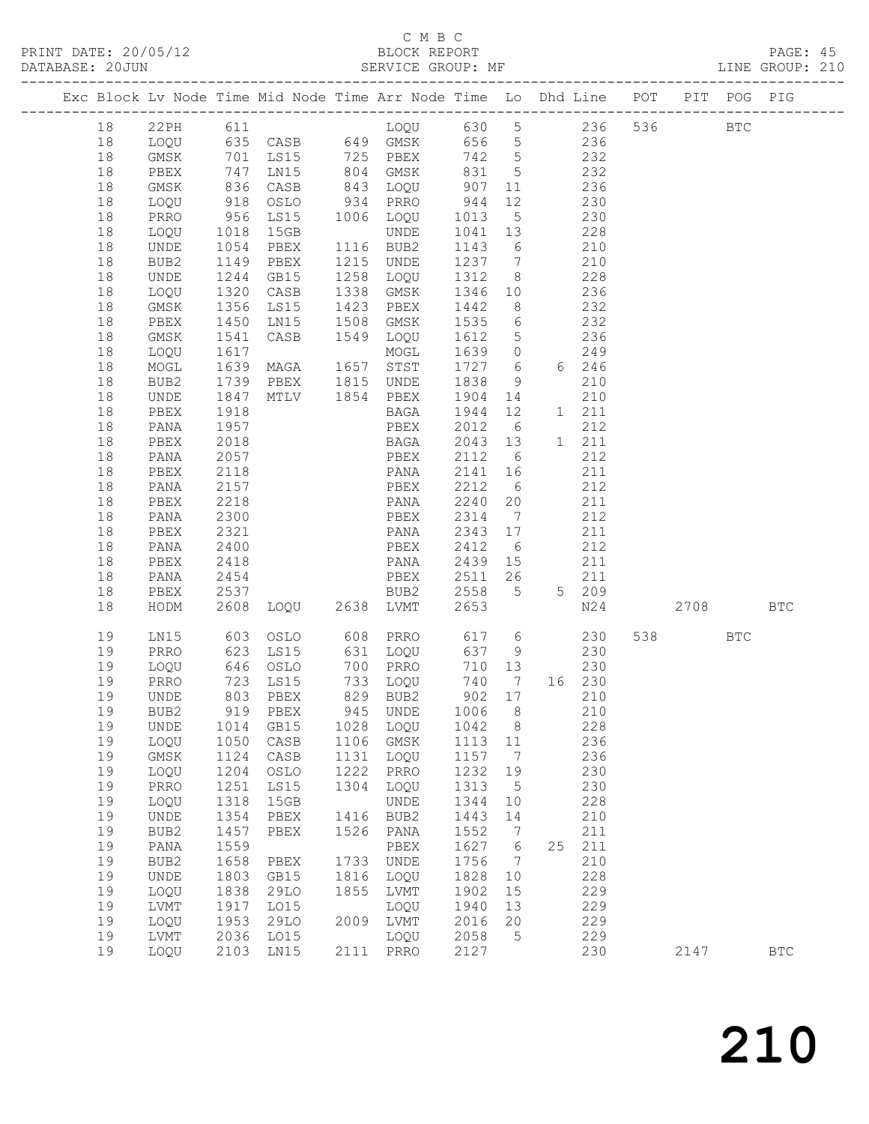# C M B C<br>BLOCK REPORT

| (1) 705 712<br>$\cap$ $\cap$ $\ldots$<br>DATE •<br>PRINT | REPORT<br>.NUK<br>$\sim$ .<br>◡▴◟▴ | PAGE                            |
|----------------------------------------------------------|------------------------------------|---------------------------------|
| DATABASE<br>? O JUN                                      | GROIIP<br><b>SERVICE</b><br>МF     | $\sim$ $\sim$<br>CROIID<br>TNE. |

|  |          |              |                   | Exc Block Lv Node Time Mid Node Time Arr Node Time Lo Dhd Line POT |      |                   |                   |                 |     |                 |         | PIT POG PIG |              |
|--|----------|--------------|-------------------|--------------------------------------------------------------------|------|-------------------|-------------------|-----------------|-----|-----------------|---------|-------------|--------------|
|  | 18       |              |                   | 22PH 611 LOQU 630 5 236                                            |      |                   |                   |                 |     |                 | 536 BTC |             |              |
|  | 18       |              |                   | LOQU 635 CASB 649 GMSK 656 5 236                                   |      |                   |                   |                 |     |                 |         |             |              |
|  | 18       | GMSK         |                   | 701 LS15 725 PBEX                                                  |      |                   | 742 5             |                 | 232 |                 |         |             |              |
|  | 18       | PBEX         |                   | LNI5                                                               |      | 804 GMSK          | 831 5             |                 |     | 232             |         |             |              |
|  | 18       | GMSK         |                   | CASB                                                               |      |                   |                   |                 |     | 236             |         |             |              |
|  | 18       | LOQU         | 747<br>836<br>918 | OSLO                                                               |      | 934 PRRO          |                   |                 |     | 230             |         |             |              |
|  | 18       | PRRO         | 956               | LS15                                                               |      | 1006 LOQU         | 1013 5            |                 | 230 |                 |         |             |              |
|  | 18       | LOQU         | 1018              | 15GB                                                               |      | UNDE              | 1041 13           |                 | 228 |                 |         |             |              |
|  | 18       | UNDE         |                   | PBEX 1116 BUB2                                                     |      |                   | 1143 6            |                 |     | $\frac{210}{2}$ |         |             |              |
|  | 18       | BUB2         | 1054<br>1149      | PBEX                                                               |      | 1215 UNDE         | 1237 7            |                 |     | 210             |         |             |              |
|  | 18       | UNDE         | 1244              | GB15                                                               |      | 1258 LOQU 1312 8  |                   |                 | 228 |                 |         |             |              |
|  | 18       | LOQU         | 1320              | CASB                                                               |      | 1338 GMSK         | 1346 10           |                 | 236 |                 |         |             |              |
|  | 18       | GMSK         | 1356<br>1450      | LS15                                                               |      | 1423 PBEX         | 1442              | 8 <sup>8</sup>  |     | 232             |         |             |              |
|  | 18       | PBEX         |                   | LN15                                                               |      | 1508 GMSK         | 1535 6            |                 |     | $\frac{2}{2}$   |         |             |              |
|  | 18       | GMSK         | 1541              | CASB                                                               |      | 1549 LOQU         | 1612 5            |                 | 236 |                 |         |             |              |
|  | 18       | LOQU         | 1617              |                                                                    |      |                   | 1639 0            |                 |     | 249             |         |             |              |
|  | 18       | MOGL         |                   |                                                                    |      |                   | 1727 6            |                 |     | 6 246           |         |             |              |
|  | 18       | BUB2         |                   |                                                                    |      |                   | 1838              | 9               |     | 210             |         |             |              |
|  | 18       | UNDE         | 1847              | MTLV 1854 PBEX                                                     |      |                   | 1904 14           |                 |     | 210             |         |             |              |
|  | 18       | PBEX         | 1918              |                                                                    |      | BAGA              | 1944 12           |                 |     | 1 211           |         |             |              |
|  | 18       | PANA         | 1957              |                                                                    |      | PBEX              | 2012 6            |                 |     | 212             |         |             |              |
|  | 18       | PBEX         | 2018              |                                                                    |      | <b>BAGA</b>       | 2043 13           |                 |     | 1 211           |         |             |              |
|  | 18       | PANA         | 2057              |                                                                    |      | PBEX              | 2112 6<br>2141 16 |                 |     | 212             |         |             |              |
|  | 18<br>18 | PBEX<br>PANA | 2118<br>2157      |                                                                    |      | PANA<br>PBEX      | 2212 6            |                 |     | 211<br>212      |         |             |              |
|  | 18       | PBEX         | 2218              |                                                                    |      | PANA              | 2240 20           |                 |     | 211             |         |             |              |
|  | 18       | PANA         | 2300              |                                                                    |      | PBEX              | 2314              | $7\overline{)}$ |     | 212             |         |             |              |
|  | 18       | PBEX         | 2321              |                                                                    |      | PANA              | 2343 17           |                 | 211 |                 |         |             |              |
|  | 18       | PANA         | 2400              |                                                                    |      | PBEX              | 2412              | 6               |     | 212             |         |             |              |
|  | 18       | PBEX         | 2418              |                                                                    |      | PANA              | 2439 15           |                 |     | 211             |         |             |              |
|  | 18       | PANA         | 2454              |                                                                    |      | PBEX              | 2511 26           |                 |     | 211             |         |             |              |
|  | 18       | PBEX         | 2537              |                                                                    |      | BUB2              | 2558 5            |                 |     | 5 209           |         |             |              |
|  | 18       | HODM         |                   | 2608 LOQU 2638 LVMT                                                |      |                   | 2653              |                 |     | N24             | 2708    |             | <b>BTC</b>   |
|  |          |              | 603               |                                                                    |      | OSLO 608 PRRO     |                   |                 |     |                 |         |             |              |
|  | 19<br>19 | LN15<br>PRRO | 623               |                                                                    |      | LS15 631 LOQU     | 617 6<br>637 9    |                 | 230 | 230             | 538 BTC |             |              |
|  | 19       | LOQU         | 646               | OSLO                                                               |      | 700 PRRO          | 710 13            |                 |     | 230             |         |             |              |
|  | 19       | PRRO         |                   |                                                                    |      | 733 LOQU          | 740 7             |                 |     | 16 230          |         |             |              |
|  | 19       | <b>UNDE</b>  |                   | 723 LS15<br>803 PBEX                                               |      | 829 BUB2          | 902 17            |                 | 210 |                 |         |             |              |
|  | 19       | BUB2         |                   | 919 PBEX                                                           |      | 945 UNDE 1006 8   |                   |                 |     | 210             |         |             |              |
|  | 19       | UNDE         | 1014              | GB15                                                               | 1028 | LOQU              | 1042              | 8 <sup>8</sup>  |     | 228             |         |             |              |
|  | 19       | LOQU         | 1050              | CASB                                                               |      | 1106 GMSK         | 1113 11           |                 |     | 236             |         |             |              |
|  | 19       | GMSK         | 1124              | CASB                                                               | 1131 | LOQU              | 1157              | $\overline{7}$  |     | 236             |         |             |              |
|  | 19       | LOQU         | 1204              | OSLO                                                               | 1222 | PRRO              | 1232              | 19              |     | 230             |         |             |              |
|  | 19       | PRRO         | 1251              | LS15                                                               | 1304 | LOQU              | 1313              | 5               |     | 230             |         |             |              |
|  | 19       | LOQU         | 1318              | 15GB                                                               |      | UNDE              | 1344              | 10              |     | 228             |         |             |              |
|  | 19       | UNDE         | 1354              | PBEX                                                               | 1416 | BUB2              | 1443              | 14              |     | 210             |         |             |              |
|  | 19       | BUB2         | 1457              | PBEX                                                               | 1526 | PANA              | 1552              | $7\phantom{.0}$ |     | 211             |         |             |              |
|  | 19       | PANA         | 1559              |                                                                    |      | PBEX              | 1627              | $6\overline{6}$ |     | 25 211          |         |             |              |
|  | 19       | BUB2         | 1658              | PBEX                                                               | 1733 | UNDE              | 1756              | $\overline{7}$  |     | 210             |         |             |              |
|  | 19       | UNDE         | 1803              | GB15                                                               | 1816 | LOQU              | 1828              | 10              |     | 228             |         |             |              |
|  | 19       | LOQU         | 1838              | 29LO                                                               | 1855 | LVMT              | 1902              | 15              |     | 229             |         |             |              |
|  | 19       | LVMT         | 1917              | LO15                                                               |      | LOQU              | 1940              | 13              |     | 229             |         |             |              |
|  | 19       | LOQU         | 1953              | 29LO                                                               | 2009 | LVMT              | 2016              | 20              |     | 229             |         |             |              |
|  | 19<br>19 | LVMT         | 2036              | LO15<br>2103 LN15                                                  |      | LOQU<br>2111 PRRO | 2058<br>2127      | $5\phantom{.0}$ |     | 229<br>230      | 2147    |             |              |
|  |          | LOQU         |                   |                                                                    |      |                   |                   |                 |     |                 |         |             | $_{\rm BTC}$ |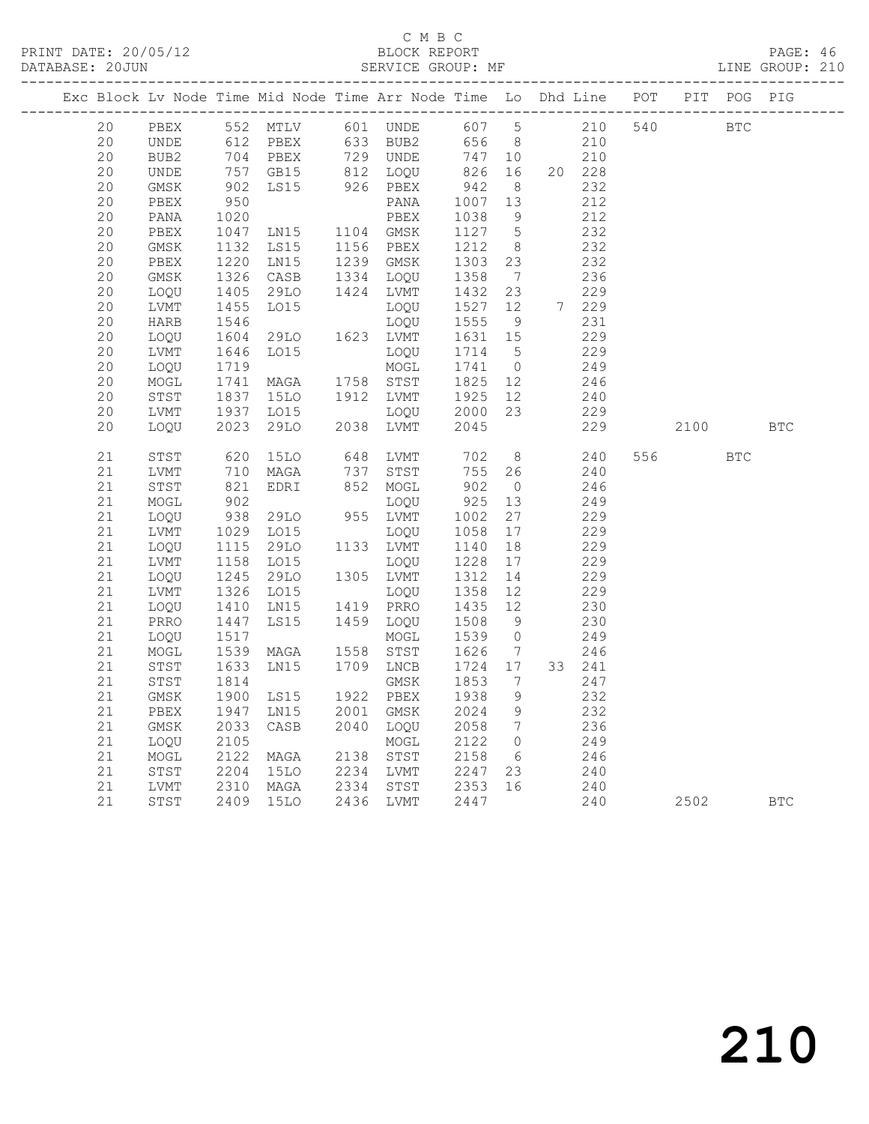# C M B C<br>BLOCK REPORT

PAGE: 46<br>LINE GROUP: 210

| 210<br>PBEX 552 MTLV 601 UNDE 607 5<br>540 BTC<br>20<br>612 PBEX 633 BUB2<br>210<br>20<br>656 8<br>UNDE<br>704<br>PBEX 729 UNDE<br>20<br>747 10<br>210<br>BUB2<br>826<br>20<br>GB15<br>812 LOQU<br>16<br>20 228<br>UNDE<br>757<br>902<br>950<br>942<br>8 <sup>8</sup><br>20<br>GMSK<br>LS15<br>926 PBEX<br>232<br>20<br>PANA<br>1007<br>212<br>PBEX<br>13<br>20<br>1020<br>PBEX<br>1038<br>9<br>212<br>PANA<br>LN15 1104 GMSK<br>20<br>1047<br>1127<br>$5\overline{)}$<br>232<br>PBEX<br>1212<br>20<br>1132<br><b>LS15</b><br>1156 PBEX<br>8 <sup>8</sup><br>232<br>GMSK<br>1220<br>1239 GMSK<br>20<br>LN15<br>1303 23<br>232<br>PBEX<br>20<br>1326<br>CASB<br>1334 LOQU<br>1358<br>236<br>GMSK<br>$\overline{7}$<br>20<br>1424 LVMT<br>1432 23<br>229<br>LOQU<br>1405<br>29LO<br>1527 12<br>20<br>LO15<br>7 229<br>LVMT<br>1455<br>1546<br>LOQU<br>20<br>1555<br>9<br>231<br>HARB<br>LOQU<br>1604<br>229<br>20<br>29LO 1623 LVMT<br>1631 15<br>LOQU<br>20<br>1646<br>1714 5<br>229<br>LVMT<br>LO15<br>LOQU<br>20<br>MOGL<br>1741 0<br>249<br>LOQU<br>1719<br>1741<br>20<br>MAGA 1758 STST<br>1825 12<br>246<br>MOGL<br>1837<br>20<br>15LO<br>1912 LVMT<br>1925 12<br>240<br>STST<br>20<br>1937<br>LO15<br>2000 23<br>229<br>LVMT<br>LOQU<br>20<br>2023<br>29LO<br>2038 LVMT<br>2045<br>229<br>LOQU<br>2100<br><b>BTC</b><br>8<br>620<br>21<br>15LO<br>648 LVMT<br>702<br>240<br>556 75<br>STST<br><b>BTC</b><br>755 26<br>21<br>710<br>737 STST<br>240<br>LVMT<br>MAGA<br>902<br>21<br>STST<br>EDRI<br>852 MOGL<br>246<br>$\overline{0}$<br>$02$<br>902<br>21<br>925<br>13<br>249<br>MOGL<br>LOQU<br>938<br><b>29LO</b><br>955 LVMT<br>27<br>21<br>1002<br>229<br>LOQU<br>1029<br>21<br>LO15<br>1058<br>17<br>229<br>LVMT<br>LOQU<br>21<br>1115<br>1158<br>29LO<br>1133 LVMT<br>18<br>229<br>LOQU<br>1140<br>21<br>LVMT<br>LO15<br>1228<br>17<br>229<br>LOQU<br>1245<br>21<br>29LO<br>1305 LVMT<br>1312<br>14<br>229<br>LOQU<br>21<br>1326<br>LO15<br>1358<br>229<br>LVMT<br>LOQU<br>12<br>21<br>1410<br>1419 PRRO<br>1435 12<br>LN15<br>230<br>LOQU<br>21<br>1447<br>LS15<br>1459 LOQU<br>1508<br>9<br>230<br>PRRO<br>$\frac{1}{1517}$<br>21<br>1539<br>249<br>LOQU<br>MOGL<br>$\overline{0}$<br>1539<br>$7\overline{ }$<br>21<br>1558 STST<br>1626<br>246<br>MOGL<br>MAGA<br>21<br>1633<br>1709 LNCB<br>33 241<br>STST<br>LNI5<br>1724<br>17<br>1814<br>1900<br>21<br>1853<br>247<br>STST<br>GMSK<br>$\overline{7}$<br>LS15<br>1938<br>21<br>1922 PBEX<br>9<br>232<br>GMSK<br>9<br>21<br>PBEX 1947 LN15 2001 GMSK 2024<br>232<br>21<br>2058<br>$\overline{7}$<br>236<br>GMSK<br>2033<br>CASB<br>2040<br>LOQU<br>21<br>2105<br>2122<br>249<br>LOQU<br>MOGL<br>$\overline{0}$<br>2138 STST<br>21<br>2122<br>2158<br>246<br>MOGL<br>MAGA<br>6<br>21<br>2204<br>2234<br>2247<br>240<br>STST<br>15LO<br>LVMT<br>23<br>21<br>2334<br>2353<br>LVMT<br>2310<br>MAGA<br>STST<br>16<br>240<br>21<br>2409<br>2436<br>2447<br>2502<br>STST<br>15LO<br>LVMT<br>240<br>$_{\rm BTC}$ | Exc Block Lv Node Time Mid Node Time Arr Node Time Lo Dhd Line POT PIT POG PIG |  |  |  |  |  |  |  |
|--------------------------------------------------------------------------------------------------------------------------------------------------------------------------------------------------------------------------------------------------------------------------------------------------------------------------------------------------------------------------------------------------------------------------------------------------------------------------------------------------------------------------------------------------------------------------------------------------------------------------------------------------------------------------------------------------------------------------------------------------------------------------------------------------------------------------------------------------------------------------------------------------------------------------------------------------------------------------------------------------------------------------------------------------------------------------------------------------------------------------------------------------------------------------------------------------------------------------------------------------------------------------------------------------------------------------------------------------------------------------------------------------------------------------------------------------------------------------------------------------------------------------------------------------------------------------------------------------------------------------------------------------------------------------------------------------------------------------------------------------------------------------------------------------------------------------------------------------------------------------------------------------------------------------------------------------------------------------------------------------------------------------------------------------------------------------------------------------------------------------------------------------------------------------------------------------------------------------------------------------------------------------------------------------------------------------------------------------------------------------------------------------------------------------------------------------------------------------------------------------------------------------------------------------------------------------------------------------------------------------------------------------------------------------------------------------------------------------------------------------------------------------------------------------------------------------------------------------------------------------------------------------------------------------------------------------------------------------|--------------------------------------------------------------------------------|--|--|--|--|--|--|--|
|                                                                                                                                                                                                                                                                                                                                                                                                                                                                                                                                                                                                                                                                                                                                                                                                                                                                                                                                                                                                                                                                                                                                                                                                                                                                                                                                                                                                                                                                                                                                                                                                                                                                                                                                                                                                                                                                                                                                                                                                                                                                                                                                                                                                                                                                                                                                                                                                                                                                                                                                                                                                                                                                                                                                                                                                                                                                                                                                                                          |                                                                                |  |  |  |  |  |  |  |
|                                                                                                                                                                                                                                                                                                                                                                                                                                                                                                                                                                                                                                                                                                                                                                                                                                                                                                                                                                                                                                                                                                                                                                                                                                                                                                                                                                                                                                                                                                                                                                                                                                                                                                                                                                                                                                                                                                                                                                                                                                                                                                                                                                                                                                                                                                                                                                                                                                                                                                                                                                                                                                                                                                                                                                                                                                                                                                                                                                          |                                                                                |  |  |  |  |  |  |  |
|                                                                                                                                                                                                                                                                                                                                                                                                                                                                                                                                                                                                                                                                                                                                                                                                                                                                                                                                                                                                                                                                                                                                                                                                                                                                                                                                                                                                                                                                                                                                                                                                                                                                                                                                                                                                                                                                                                                                                                                                                                                                                                                                                                                                                                                                                                                                                                                                                                                                                                                                                                                                                                                                                                                                                                                                                                                                                                                                                                          |                                                                                |  |  |  |  |  |  |  |
|                                                                                                                                                                                                                                                                                                                                                                                                                                                                                                                                                                                                                                                                                                                                                                                                                                                                                                                                                                                                                                                                                                                                                                                                                                                                                                                                                                                                                                                                                                                                                                                                                                                                                                                                                                                                                                                                                                                                                                                                                                                                                                                                                                                                                                                                                                                                                                                                                                                                                                                                                                                                                                                                                                                                                                                                                                                                                                                                                                          |                                                                                |  |  |  |  |  |  |  |
|                                                                                                                                                                                                                                                                                                                                                                                                                                                                                                                                                                                                                                                                                                                                                                                                                                                                                                                                                                                                                                                                                                                                                                                                                                                                                                                                                                                                                                                                                                                                                                                                                                                                                                                                                                                                                                                                                                                                                                                                                                                                                                                                                                                                                                                                                                                                                                                                                                                                                                                                                                                                                                                                                                                                                                                                                                                                                                                                                                          |                                                                                |  |  |  |  |  |  |  |
|                                                                                                                                                                                                                                                                                                                                                                                                                                                                                                                                                                                                                                                                                                                                                                                                                                                                                                                                                                                                                                                                                                                                                                                                                                                                                                                                                                                                                                                                                                                                                                                                                                                                                                                                                                                                                                                                                                                                                                                                                                                                                                                                                                                                                                                                                                                                                                                                                                                                                                                                                                                                                                                                                                                                                                                                                                                                                                                                                                          |                                                                                |  |  |  |  |  |  |  |
|                                                                                                                                                                                                                                                                                                                                                                                                                                                                                                                                                                                                                                                                                                                                                                                                                                                                                                                                                                                                                                                                                                                                                                                                                                                                                                                                                                                                                                                                                                                                                                                                                                                                                                                                                                                                                                                                                                                                                                                                                                                                                                                                                                                                                                                                                                                                                                                                                                                                                                                                                                                                                                                                                                                                                                                                                                                                                                                                                                          |                                                                                |  |  |  |  |  |  |  |
|                                                                                                                                                                                                                                                                                                                                                                                                                                                                                                                                                                                                                                                                                                                                                                                                                                                                                                                                                                                                                                                                                                                                                                                                                                                                                                                                                                                                                                                                                                                                                                                                                                                                                                                                                                                                                                                                                                                                                                                                                                                                                                                                                                                                                                                                                                                                                                                                                                                                                                                                                                                                                                                                                                                                                                                                                                                                                                                                                                          |                                                                                |  |  |  |  |  |  |  |
|                                                                                                                                                                                                                                                                                                                                                                                                                                                                                                                                                                                                                                                                                                                                                                                                                                                                                                                                                                                                                                                                                                                                                                                                                                                                                                                                                                                                                                                                                                                                                                                                                                                                                                                                                                                                                                                                                                                                                                                                                                                                                                                                                                                                                                                                                                                                                                                                                                                                                                                                                                                                                                                                                                                                                                                                                                                                                                                                                                          |                                                                                |  |  |  |  |  |  |  |
|                                                                                                                                                                                                                                                                                                                                                                                                                                                                                                                                                                                                                                                                                                                                                                                                                                                                                                                                                                                                                                                                                                                                                                                                                                                                                                                                                                                                                                                                                                                                                                                                                                                                                                                                                                                                                                                                                                                                                                                                                                                                                                                                                                                                                                                                                                                                                                                                                                                                                                                                                                                                                                                                                                                                                                                                                                                                                                                                                                          |                                                                                |  |  |  |  |  |  |  |
|                                                                                                                                                                                                                                                                                                                                                                                                                                                                                                                                                                                                                                                                                                                                                                                                                                                                                                                                                                                                                                                                                                                                                                                                                                                                                                                                                                                                                                                                                                                                                                                                                                                                                                                                                                                                                                                                                                                                                                                                                                                                                                                                                                                                                                                                                                                                                                                                                                                                                                                                                                                                                                                                                                                                                                                                                                                                                                                                                                          |                                                                                |  |  |  |  |  |  |  |
|                                                                                                                                                                                                                                                                                                                                                                                                                                                                                                                                                                                                                                                                                                                                                                                                                                                                                                                                                                                                                                                                                                                                                                                                                                                                                                                                                                                                                                                                                                                                                                                                                                                                                                                                                                                                                                                                                                                                                                                                                                                                                                                                                                                                                                                                                                                                                                                                                                                                                                                                                                                                                                                                                                                                                                                                                                                                                                                                                                          |                                                                                |  |  |  |  |  |  |  |
|                                                                                                                                                                                                                                                                                                                                                                                                                                                                                                                                                                                                                                                                                                                                                                                                                                                                                                                                                                                                                                                                                                                                                                                                                                                                                                                                                                                                                                                                                                                                                                                                                                                                                                                                                                                                                                                                                                                                                                                                                                                                                                                                                                                                                                                                                                                                                                                                                                                                                                                                                                                                                                                                                                                                                                                                                                                                                                                                                                          |                                                                                |  |  |  |  |  |  |  |
|                                                                                                                                                                                                                                                                                                                                                                                                                                                                                                                                                                                                                                                                                                                                                                                                                                                                                                                                                                                                                                                                                                                                                                                                                                                                                                                                                                                                                                                                                                                                                                                                                                                                                                                                                                                                                                                                                                                                                                                                                                                                                                                                                                                                                                                                                                                                                                                                                                                                                                                                                                                                                                                                                                                                                                                                                                                                                                                                                                          |                                                                                |  |  |  |  |  |  |  |
|                                                                                                                                                                                                                                                                                                                                                                                                                                                                                                                                                                                                                                                                                                                                                                                                                                                                                                                                                                                                                                                                                                                                                                                                                                                                                                                                                                                                                                                                                                                                                                                                                                                                                                                                                                                                                                                                                                                                                                                                                                                                                                                                                                                                                                                                                                                                                                                                                                                                                                                                                                                                                                                                                                                                                                                                                                                                                                                                                                          |                                                                                |  |  |  |  |  |  |  |
|                                                                                                                                                                                                                                                                                                                                                                                                                                                                                                                                                                                                                                                                                                                                                                                                                                                                                                                                                                                                                                                                                                                                                                                                                                                                                                                                                                                                                                                                                                                                                                                                                                                                                                                                                                                                                                                                                                                                                                                                                                                                                                                                                                                                                                                                                                                                                                                                                                                                                                                                                                                                                                                                                                                                                                                                                                                                                                                                                                          |                                                                                |  |  |  |  |  |  |  |
|                                                                                                                                                                                                                                                                                                                                                                                                                                                                                                                                                                                                                                                                                                                                                                                                                                                                                                                                                                                                                                                                                                                                                                                                                                                                                                                                                                                                                                                                                                                                                                                                                                                                                                                                                                                                                                                                                                                                                                                                                                                                                                                                                                                                                                                                                                                                                                                                                                                                                                                                                                                                                                                                                                                                                                                                                                                                                                                                                                          |                                                                                |  |  |  |  |  |  |  |
|                                                                                                                                                                                                                                                                                                                                                                                                                                                                                                                                                                                                                                                                                                                                                                                                                                                                                                                                                                                                                                                                                                                                                                                                                                                                                                                                                                                                                                                                                                                                                                                                                                                                                                                                                                                                                                                                                                                                                                                                                                                                                                                                                                                                                                                                                                                                                                                                                                                                                                                                                                                                                                                                                                                                                                                                                                                                                                                                                                          |                                                                                |  |  |  |  |  |  |  |
|                                                                                                                                                                                                                                                                                                                                                                                                                                                                                                                                                                                                                                                                                                                                                                                                                                                                                                                                                                                                                                                                                                                                                                                                                                                                                                                                                                                                                                                                                                                                                                                                                                                                                                                                                                                                                                                                                                                                                                                                                                                                                                                                                                                                                                                                                                                                                                                                                                                                                                                                                                                                                                                                                                                                                                                                                                                                                                                                                                          |                                                                                |  |  |  |  |  |  |  |
|                                                                                                                                                                                                                                                                                                                                                                                                                                                                                                                                                                                                                                                                                                                                                                                                                                                                                                                                                                                                                                                                                                                                                                                                                                                                                                                                                                                                                                                                                                                                                                                                                                                                                                                                                                                                                                                                                                                                                                                                                                                                                                                                                                                                                                                                                                                                                                                                                                                                                                                                                                                                                                                                                                                                                                                                                                                                                                                                                                          |                                                                                |  |  |  |  |  |  |  |
|                                                                                                                                                                                                                                                                                                                                                                                                                                                                                                                                                                                                                                                                                                                                                                                                                                                                                                                                                                                                                                                                                                                                                                                                                                                                                                                                                                                                                                                                                                                                                                                                                                                                                                                                                                                                                                                                                                                                                                                                                                                                                                                                                                                                                                                                                                                                                                                                                                                                                                                                                                                                                                                                                                                                                                                                                                                                                                                                                                          |                                                                                |  |  |  |  |  |  |  |
|                                                                                                                                                                                                                                                                                                                                                                                                                                                                                                                                                                                                                                                                                                                                                                                                                                                                                                                                                                                                                                                                                                                                                                                                                                                                                                                                                                                                                                                                                                                                                                                                                                                                                                                                                                                                                                                                                                                                                                                                                                                                                                                                                                                                                                                                                                                                                                                                                                                                                                                                                                                                                                                                                                                                                                                                                                                                                                                                                                          |                                                                                |  |  |  |  |  |  |  |
|                                                                                                                                                                                                                                                                                                                                                                                                                                                                                                                                                                                                                                                                                                                                                                                                                                                                                                                                                                                                                                                                                                                                                                                                                                                                                                                                                                                                                                                                                                                                                                                                                                                                                                                                                                                                                                                                                                                                                                                                                                                                                                                                                                                                                                                                                                                                                                                                                                                                                                                                                                                                                                                                                                                                                                                                                                                                                                                                                                          |                                                                                |  |  |  |  |  |  |  |
|                                                                                                                                                                                                                                                                                                                                                                                                                                                                                                                                                                                                                                                                                                                                                                                                                                                                                                                                                                                                                                                                                                                                                                                                                                                                                                                                                                                                                                                                                                                                                                                                                                                                                                                                                                                                                                                                                                                                                                                                                                                                                                                                                                                                                                                                                                                                                                                                                                                                                                                                                                                                                                                                                                                                                                                                                                                                                                                                                                          |                                                                                |  |  |  |  |  |  |  |
|                                                                                                                                                                                                                                                                                                                                                                                                                                                                                                                                                                                                                                                                                                                                                                                                                                                                                                                                                                                                                                                                                                                                                                                                                                                                                                                                                                                                                                                                                                                                                                                                                                                                                                                                                                                                                                                                                                                                                                                                                                                                                                                                                                                                                                                                                                                                                                                                                                                                                                                                                                                                                                                                                                                                                                                                                                                                                                                                                                          |                                                                                |  |  |  |  |  |  |  |
|                                                                                                                                                                                                                                                                                                                                                                                                                                                                                                                                                                                                                                                                                                                                                                                                                                                                                                                                                                                                                                                                                                                                                                                                                                                                                                                                                                                                                                                                                                                                                                                                                                                                                                                                                                                                                                                                                                                                                                                                                                                                                                                                                                                                                                                                                                                                                                                                                                                                                                                                                                                                                                                                                                                                                                                                                                                                                                                                                                          |                                                                                |  |  |  |  |  |  |  |
|                                                                                                                                                                                                                                                                                                                                                                                                                                                                                                                                                                                                                                                                                                                                                                                                                                                                                                                                                                                                                                                                                                                                                                                                                                                                                                                                                                                                                                                                                                                                                                                                                                                                                                                                                                                                                                                                                                                                                                                                                                                                                                                                                                                                                                                                                                                                                                                                                                                                                                                                                                                                                                                                                                                                                                                                                                                                                                                                                                          |                                                                                |  |  |  |  |  |  |  |
|                                                                                                                                                                                                                                                                                                                                                                                                                                                                                                                                                                                                                                                                                                                                                                                                                                                                                                                                                                                                                                                                                                                                                                                                                                                                                                                                                                                                                                                                                                                                                                                                                                                                                                                                                                                                                                                                                                                                                                                                                                                                                                                                                                                                                                                                                                                                                                                                                                                                                                                                                                                                                                                                                                                                                                                                                                                                                                                                                                          |                                                                                |  |  |  |  |  |  |  |
|                                                                                                                                                                                                                                                                                                                                                                                                                                                                                                                                                                                                                                                                                                                                                                                                                                                                                                                                                                                                                                                                                                                                                                                                                                                                                                                                                                                                                                                                                                                                                                                                                                                                                                                                                                                                                                                                                                                                                                                                                                                                                                                                                                                                                                                                                                                                                                                                                                                                                                                                                                                                                                                                                                                                                                                                                                                                                                                                                                          |                                                                                |  |  |  |  |  |  |  |
|                                                                                                                                                                                                                                                                                                                                                                                                                                                                                                                                                                                                                                                                                                                                                                                                                                                                                                                                                                                                                                                                                                                                                                                                                                                                                                                                                                                                                                                                                                                                                                                                                                                                                                                                                                                                                                                                                                                                                                                                                                                                                                                                                                                                                                                                                                                                                                                                                                                                                                                                                                                                                                                                                                                                                                                                                                                                                                                                                                          |                                                                                |  |  |  |  |  |  |  |
|                                                                                                                                                                                                                                                                                                                                                                                                                                                                                                                                                                                                                                                                                                                                                                                                                                                                                                                                                                                                                                                                                                                                                                                                                                                                                                                                                                                                                                                                                                                                                                                                                                                                                                                                                                                                                                                                                                                                                                                                                                                                                                                                                                                                                                                                                                                                                                                                                                                                                                                                                                                                                                                                                                                                                                                                                                                                                                                                                                          |                                                                                |  |  |  |  |  |  |  |
|                                                                                                                                                                                                                                                                                                                                                                                                                                                                                                                                                                                                                                                                                                                                                                                                                                                                                                                                                                                                                                                                                                                                                                                                                                                                                                                                                                                                                                                                                                                                                                                                                                                                                                                                                                                                                                                                                                                                                                                                                                                                                                                                                                                                                                                                                                                                                                                                                                                                                                                                                                                                                                                                                                                                                                                                                                                                                                                                                                          |                                                                                |  |  |  |  |  |  |  |
|                                                                                                                                                                                                                                                                                                                                                                                                                                                                                                                                                                                                                                                                                                                                                                                                                                                                                                                                                                                                                                                                                                                                                                                                                                                                                                                                                                                                                                                                                                                                                                                                                                                                                                                                                                                                                                                                                                                                                                                                                                                                                                                                                                                                                                                                                                                                                                                                                                                                                                                                                                                                                                                                                                                                                                                                                                                                                                                                                                          |                                                                                |  |  |  |  |  |  |  |
|                                                                                                                                                                                                                                                                                                                                                                                                                                                                                                                                                                                                                                                                                                                                                                                                                                                                                                                                                                                                                                                                                                                                                                                                                                                                                                                                                                                                                                                                                                                                                                                                                                                                                                                                                                                                                                                                                                                                                                                                                                                                                                                                                                                                                                                                                                                                                                                                                                                                                                                                                                                                                                                                                                                                                                                                                                                                                                                                                                          |                                                                                |  |  |  |  |  |  |  |
|                                                                                                                                                                                                                                                                                                                                                                                                                                                                                                                                                                                                                                                                                                                                                                                                                                                                                                                                                                                                                                                                                                                                                                                                                                                                                                                                                                                                                                                                                                                                                                                                                                                                                                                                                                                                                                                                                                                                                                                                                                                                                                                                                                                                                                                                                                                                                                                                                                                                                                                                                                                                                                                                                                                                                                                                                                                                                                                                                                          |                                                                                |  |  |  |  |  |  |  |
|                                                                                                                                                                                                                                                                                                                                                                                                                                                                                                                                                                                                                                                                                                                                                                                                                                                                                                                                                                                                                                                                                                                                                                                                                                                                                                                                                                                                                                                                                                                                                                                                                                                                                                                                                                                                                                                                                                                                                                                                                                                                                                                                                                                                                                                                                                                                                                                                                                                                                                                                                                                                                                                                                                                                                                                                                                                                                                                                                                          |                                                                                |  |  |  |  |  |  |  |
|                                                                                                                                                                                                                                                                                                                                                                                                                                                                                                                                                                                                                                                                                                                                                                                                                                                                                                                                                                                                                                                                                                                                                                                                                                                                                                                                                                                                                                                                                                                                                                                                                                                                                                                                                                                                                                                                                                                                                                                                                                                                                                                                                                                                                                                                                                                                                                                                                                                                                                                                                                                                                                                                                                                                                                                                                                                                                                                                                                          |                                                                                |  |  |  |  |  |  |  |
|                                                                                                                                                                                                                                                                                                                                                                                                                                                                                                                                                                                                                                                                                                                                                                                                                                                                                                                                                                                                                                                                                                                                                                                                                                                                                                                                                                                                                                                                                                                                                                                                                                                                                                                                                                                                                                                                                                                                                                                                                                                                                                                                                                                                                                                                                                                                                                                                                                                                                                                                                                                                                                                                                                                                                                                                                                                                                                                                                                          |                                                                                |  |  |  |  |  |  |  |
|                                                                                                                                                                                                                                                                                                                                                                                                                                                                                                                                                                                                                                                                                                                                                                                                                                                                                                                                                                                                                                                                                                                                                                                                                                                                                                                                                                                                                                                                                                                                                                                                                                                                                                                                                                                                                                                                                                                                                                                                                                                                                                                                                                                                                                                                                                                                                                                                                                                                                                                                                                                                                                                                                                                                                                                                                                                                                                                                                                          |                                                                                |  |  |  |  |  |  |  |
|                                                                                                                                                                                                                                                                                                                                                                                                                                                                                                                                                                                                                                                                                                                                                                                                                                                                                                                                                                                                                                                                                                                                                                                                                                                                                                                                                                                                                                                                                                                                                                                                                                                                                                                                                                                                                                                                                                                                                                                                                                                                                                                                                                                                                                                                                                                                                                                                                                                                                                                                                                                                                                                                                                                                                                                                                                                                                                                                                                          |                                                                                |  |  |  |  |  |  |  |
|                                                                                                                                                                                                                                                                                                                                                                                                                                                                                                                                                                                                                                                                                                                                                                                                                                                                                                                                                                                                                                                                                                                                                                                                                                                                                                                                                                                                                                                                                                                                                                                                                                                                                                                                                                                                                                                                                                                                                                                                                                                                                                                                                                                                                                                                                                                                                                                                                                                                                                                                                                                                                                                                                                                                                                                                                                                                                                                                                                          |                                                                                |  |  |  |  |  |  |  |
|                                                                                                                                                                                                                                                                                                                                                                                                                                                                                                                                                                                                                                                                                                                                                                                                                                                                                                                                                                                                                                                                                                                                                                                                                                                                                                                                                                                                                                                                                                                                                                                                                                                                                                                                                                                                                                                                                                                                                                                                                                                                                                                                                                                                                                                                                                                                                                                                                                                                                                                                                                                                                                                                                                                                                                                                                                                                                                                                                                          |                                                                                |  |  |  |  |  |  |  |
|                                                                                                                                                                                                                                                                                                                                                                                                                                                                                                                                                                                                                                                                                                                                                                                                                                                                                                                                                                                                                                                                                                                                                                                                                                                                                                                                                                                                                                                                                                                                                                                                                                                                                                                                                                                                                                                                                                                                                                                                                                                                                                                                                                                                                                                                                                                                                                                                                                                                                                                                                                                                                                                                                                                                                                                                                                                                                                                                                                          |                                                                                |  |  |  |  |  |  |  |
|                                                                                                                                                                                                                                                                                                                                                                                                                                                                                                                                                                                                                                                                                                                                                                                                                                                                                                                                                                                                                                                                                                                                                                                                                                                                                                                                                                                                                                                                                                                                                                                                                                                                                                                                                                                                                                                                                                                                                                                                                                                                                                                                                                                                                                                                                                                                                                                                                                                                                                                                                                                                                                                                                                                                                                                                                                                                                                                                                                          |                                                                                |  |  |  |  |  |  |  |
|                                                                                                                                                                                                                                                                                                                                                                                                                                                                                                                                                                                                                                                                                                                                                                                                                                                                                                                                                                                                                                                                                                                                                                                                                                                                                                                                                                                                                                                                                                                                                                                                                                                                                                                                                                                                                                                                                                                                                                                                                                                                                                                                                                                                                                                                                                                                                                                                                                                                                                                                                                                                                                                                                                                                                                                                                                                                                                                                                                          |                                                                                |  |  |  |  |  |  |  |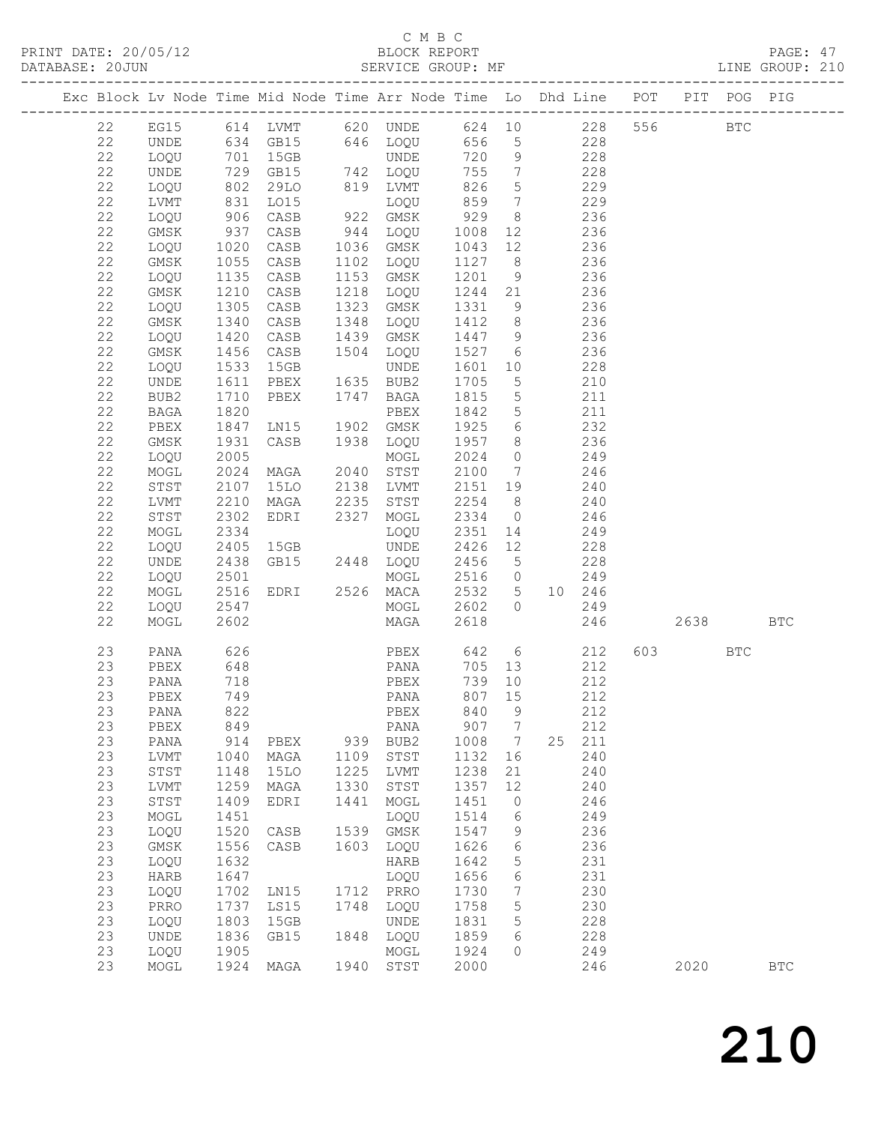# C M B C<br>BLOCK REPORT

PRINT DATE: 20/05/12 BLOCK REPORT BATABASE: 20JUN

PAGE: 47<br>LINE GROUP: 210

|  |             |              |                   |                |             | Exc Block Lv Node Time Mid Node Time Arr Node Time Lo Dhd Line POT PIT POG PIG |              |                               |        |            |           |     |              |
|--|-------------|--------------|-------------------|----------------|-------------|--------------------------------------------------------------------------------|--------------|-------------------------------|--------|------------|-----------|-----|--------------|
|  | 22          |              |                   |                |             | EG15 614 LVMT 620 UNDE 624 10 228                                              |              |                               |        |            | 556 BTC   |     |              |
|  | 22          | UNDE         |                   |                |             | 634 GB15 646 LOQU 656 5                                                        |              |                               |        | 228        |           |     |              |
|  | 22          | LOQU         |                   | 701 15GB       |             | <b>UNDE</b>                                                                    | 720          | 9                             | 228    |            |           |     |              |
|  | 22          | UNDE         |                   | GB15           |             | 742 LOQU                                                                       | 755          | $\overline{7}$                |        | 228        |           |     |              |
|  | 22          | LOQU         | 729<br>802<br>831 | 29LO           |             | 819 LVMT                                                                       | 826          | $5\overline{)}$               |        | 229        |           |     |              |
|  | $2\sqrt{2}$ | LVMT         |                   | L015           |             | LOQU                                                                           | 859          | $7\phantom{.0}\phantom{.0}7$  | 229    |            |           |     |              |
|  | 22          | LOQU         | 906               | CASB           | $rac{1}{2}$ | 922 GMSK                                                                       | 929          | 8 <sup>8</sup>                | 236    |            |           |     |              |
|  | $2\sqrt{2}$ | GMSK         | 937               | CASB           |             | 944 LOQU                                                                       | 1008         | 12                            |        | 236        |           |     |              |
|  | 22          | LOQU         | 1020              | CASB           |             | 1036 GMSK                                                                      | 1043         | 12                            |        | 236        |           |     |              |
|  | $2\sqrt{2}$ | GMSK         | 1055              | CASB           |             | 1102 LOQU                                                                      | 1127         | 8 <sup>8</sup>                |        | 236        |           |     |              |
|  | 22          | LOQU         | 1135              | CASB           |             | 1153 GMSK                                                                      | 1201         | 9                             | 236    |            |           |     |              |
|  | 22          | GMSK         | 1210              | CASB           |             | 1218 LOQU                                                                      | 1244 21      |                               |        | 236        |           |     |              |
|  | 22          | LOQU         | 1305              | CASB           |             | 1323 GMSK                                                                      | 1331         | 9                             |        | 236        |           |     |              |
|  | $2\sqrt{2}$ | GMSK         | 1340              | CASB           | 1348        | LOQU                                                                           | 1412         | 8 <sup>8</sup>                |        | 236        |           |     |              |
|  | 22          | LOQU         | 1420              | CASB           |             | 1439 GMSK                                                                      | 1447         | 9                             | 236    |            |           |     |              |
|  | $2\sqrt{2}$ | GMSK         | 1456              | CASB           |             | 1504 LOQU                                                                      | 1527         | $6\overline{6}$               |        | 236        |           |     |              |
|  | 22          | LOQU         | 1533              | 15GB           |             | UNDE                                                                           | 1601         | 10                            |        | 228        |           |     |              |
|  | $2\sqrt{2}$ | UNDE         | 1611              | PBEX 1635 BUB2 |             |                                                                                | 1705         | $5\overline{)}$               |        | 210        |           |     |              |
|  | 22          | BUB2         | 1710              | PBEX           |             | 1747 BAGA                                                                      | 1815         | $5\overline{)}$               |        | 211        |           |     |              |
|  | 22          | BAGA         | 1820              |                |             | PBEX                                                                           | 1842         | $5\overline{)}$               |        | 211        |           |     |              |
|  | 22          | PBEX         | 1847              | LNI5           |             | 1902 GMSK                                                                      | 1925         | $6\overline{6}$               |        | 232        |           |     |              |
|  | 22          | $\rm{GMSK}$  | 1931              | CASB           |             | 1938 LOQU                                                                      | 1957         | 8 <sup>8</sup>                |        | 236        |           |     |              |
|  | 22          | LOQU         | 2005              |                |             | MOGL                                                                           | 2024         | $\overline{0}$                | 249    |            |           |     |              |
|  | $2\sqrt{2}$ | MOGL         | 2024              | MAGA           |             | 2040 STST                                                                      | 2100         | $\overline{7}$                | 246    |            |           |     |              |
|  | 22          | ${\tt STST}$ | 2107              | 15LO           |             | 2138 LVMT                                                                      | 2151         | 19                            |        | 240        |           |     |              |
|  | $2\sqrt{2}$ | LVMT         | 2210              | MAGA           |             | 2235 STST                                                                      | 2254<br>2334 | 8 <sup>8</sup>                |        | 240        |           |     |              |
|  | 22          | STST         | 2302              | EDRI           |             | 2327 MOGL                                                                      |              | $\overline{0}$                |        | 246        |           |     |              |
|  | $2\sqrt{2}$ | MOGL         | 2334<br>2405      |                |             | LOQU<br>UNDE                                                                   | 2351<br>2426 | 14                            |        | 249        |           |     |              |
|  | 22<br>22    | LOQU<br>UNDE | 2438              | 15GB           |             |                                                                                | 2456         | 12<br>$5\overline{)}$         |        | 228<br>228 |           |     |              |
|  | 22          | LOQU         | 2501              | GB15 2448 LOQU |             | MOGL                                                                           | 2516         | $\overline{0}$                |        | 249        |           |     |              |
|  | $2\sqrt{2}$ | MOGL         | 2516              | EDRI           |             | 2526 MACA                                                                      | 2532         | 5 <sup>5</sup>                | 10 246 |            |           |     |              |
|  | 22          | LOQU         | 2547              |                |             | MOGL                                                                           | 2602         | $\circ$                       | 249    |            |           |     |              |
|  | 22          | MOGL         | 2602              |                |             | MAGA                                                                           | 2618         |                               |        | 246        | 2638      |     | <b>BTC</b>   |
|  |             |              |                   |                |             |                                                                                |              |                               |        |            |           |     |              |
|  | 23          | PANA         | 626               |                |             | PBEX 642 6                                                                     |              |                               |        | 212        | 603   100 | BTC |              |
|  | 23          | PBEX         | 648               |                |             | PANA                                                                           | 705          | 13                            |        | 212        |           |     |              |
|  | 23          | PANA         | 718               |                |             | PBEX                                                                           | 739          | 10                            |        | 212        |           |     |              |
|  | 23          | PBEX         | 749               |                |             | PANA                                                                           | 807          | 15                            |        | 212        |           |     |              |
|  | 23          | PANA         | 822               |                |             | PBEX 840 9                                                                     |              |                               |        | 212        |           |     |              |
|  | 23          | PBEX         | 849               |                |             | PANA                                                                           | 907          | $7\phantom{.0}$               |        | 212        |           |     |              |
|  | 23          | PANA         | 914               | PBEX           |             | 939 BUB2                                                                       | 1008 7       |                               | 25 211 |            |           |     |              |
|  | 23          | LVMT         | 1040              | MAGA           | 1109        | STST                                                                           | 1132         | 16                            |        | 240        |           |     |              |
|  | 23          | STST         | 1148              | 15LO           | 1225        | LVMT                                                                           | 1238         | 21                            |        | 240        |           |     |              |
|  | 23          | LVMT         | 1259              | MAGA           | 1330        | $_{\footnotesize\rm STST}$                                                     | 1357         | 12                            |        | 240        |           |     |              |
|  | 23          | STST         | 1409              | EDRI           | 1441        | MOGL                                                                           | 1451         | $\circ$                       |        | 246        |           |     |              |
|  | 23          | MOGL         | 1451              |                |             | LOQU                                                                           | 1514         | 6                             |        | 249        |           |     |              |
|  | 23          | LOQU         | 1520              | CASB           |             | 1539 GMSK                                                                      | 1547         | 9                             |        | 236        |           |     |              |
|  | 23          | GMSK         | 1556              | CASB           | 1603        | LOQU                                                                           | 1626         | 6                             |        | 236        |           |     |              |
|  | 23<br>23    | LOQU         | 1632              |                |             | HARB                                                                           | 1642         | $\mathsf S$                   |        | 231        |           |     |              |
|  | 23          | HARB         | 1647<br>1702      |                |             | LOQU<br>1712 PRRO                                                              | 1656<br>1730 | $\sqrt{6}$<br>$7\phantom{.0}$ |        | 231<br>230 |           |     |              |
|  | 23          | LOQU<br>PRRO | 1737              | LN15<br>LS15   | 1748        | LOQU                                                                           | 1758         | 5                             |        | 230        |           |     |              |
|  | 23          | LOQU         | 1803              | 15GB           |             | <b>UNDE</b>                                                                    | 1831         | 5                             |        | 228        |           |     |              |
|  | 23          | UNDE         | 1836              | GB15           |             | 1848 LOQU                                                                      | 1859         | 6                             |        | 228        |           |     |              |
|  | 23          | LOQU         | 1905              |                |             | MOGL                                                                           | 1924         | 0                             |        | 249        |           |     |              |
|  | 23          | MOGL         |                   | 1924 MAGA      | 1940        | STST                                                                           | 2000         |                               |        | 246        | 2020      |     | $_{\rm BTC}$ |
|  |             |              |                   |                |             |                                                                                |              |                               |        |            |           |     |              |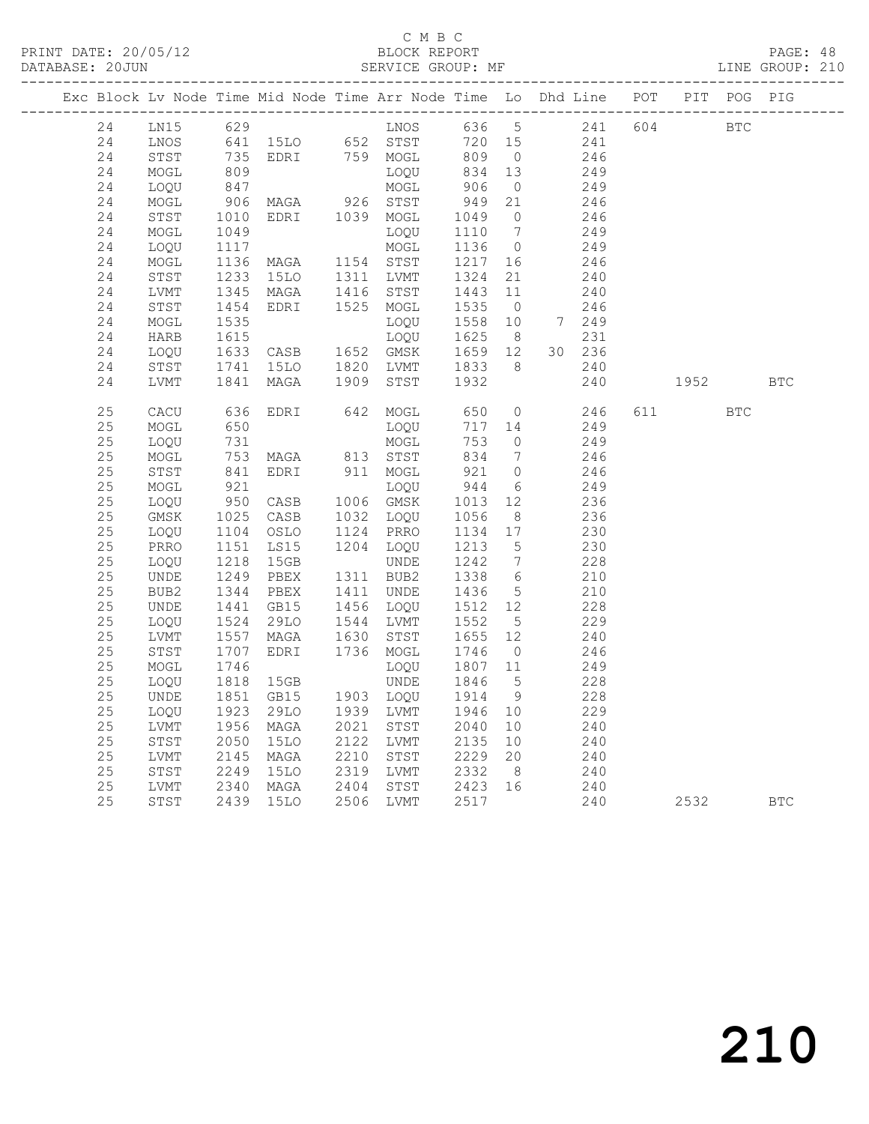# C M B C<br>BLOCK REPORT

PAGE: 48<br>LINE GROUP: 210

| Exc Block Lv Node Time Mid Node Time Arr Node Time Lo Dhd Line POT PIT POG PIG |                      |                                                                     |                                                                                                                  |                                                                           |                        |                 |             |           |            |            |
|--------------------------------------------------------------------------------|----------------------|---------------------------------------------------------------------|------------------------------------------------------------------------------------------------------------------|---------------------------------------------------------------------------|------------------------|-----------------|-------------|-----------|------------|------------|
| 24                                                                             | LN15                 | 629                                                                 |                                                                                                                  | LNOS                                                                      |                        | 636 5           | 241 604 BTC |           |            |            |
| 24                                                                             | LNOS                 |                                                                     | 641 15LO 652 STST<br>735 EDRI 759 MOGL                                                                           |                                                                           | 720 15                 |                 | $241$       |           |            |            |
| 24                                                                             | STST                 | 735<br>809                                                          |                                                                                                                  |                                                                           | 809 0<br>834 13        |                 | 246         |           |            |            |
| 24                                                                             | MOGL                 |                                                                     |                                                                                                                  | LOQU                                                                      |                        |                 | 249         |           |            |            |
| 24                                                                             | LOQU                 |                                                                     | 847 MOGL<br>906 MAGA 926 STST                                                                                    |                                                                           | 906<br>949             | $\overline{0}$  | 249         |           |            |            |
| 24                                                                             | MOGL                 |                                                                     |                                                                                                                  |                                                                           |                        | 21              | 246         |           |            |            |
| 24                                                                             | STST                 | 1010<br>1049                                                        | EDRI 1039 MOGL                                                                                                   |                                                                           | 1049<br>1110           | $\overline{0}$  | 246         |           |            |            |
| 24                                                                             | MOGL                 |                                                                     |                                                                                                                  | LOQU                                                                      |                        | $\overline{7}$  | 249         |           |            |            |
| 24                                                                             | LOQU                 |                                                                     | 1117<br>1136 MAGA 1154 STST<br>1233 15LO 1311 LVMT<br>1345 MAGA 1416 STST<br>1454 EDRI 1525 MOGL<br>1535 LOQU    |                                                                           | 1136 0<br>1217 16      |                 | 249         |           |            |            |
| 24                                                                             | MOGL                 |                                                                     |                                                                                                                  |                                                                           |                        |                 | 246         |           |            |            |
| 24<br>24                                                                       | STST                 |                                                                     |                                                                                                                  | 15LO 1311 LVMT 1324 21<br>MAGA 1416 STST 1443 11<br>EDRI 1525 MOGL 1535 0 |                        |                 | 240         |           |            |            |
| 24                                                                             | LVMT                 |                                                                     |                                                                                                                  |                                                                           |                        |                 | 240<br>246  |           |            |            |
| 24                                                                             | STST<br>MOGL         |                                                                     |                                                                                                                  |                                                                           | 1535 0<br>1558 10      |                 | 7 249       |           |            |            |
| 24                                                                             | HARB                 |                                                                     |                                                                                                                  |                                                                           |                        |                 | 231         |           |            |            |
| 24                                                                             | LOQU                 |                                                                     |                                                                                                                  |                                                                           | 1625 8<br>1659 12      |                 | 30 236      |           |            |            |
| 24                                                                             | STST                 |                                                                     | 15LO                                                                                                             |                                                                           |                        | 8 <sup>8</sup>  | 240         |           |            |            |
| 24                                                                             | LVMT                 | 1741<br>1841<br>1841                                                | MAGA                                                                                                             | 1820 LVMT<br>1909 STST                                                    | 1833<br>1932           |                 | 240         | 1952      |            | <b>BTC</b> |
|                                                                                |                      |                                                                     |                                                                                                                  |                                                                           |                        |                 |             |           |            |            |
| 25                                                                             | CACU                 | 636                                                                 | EDRI                                                                                                             | 642 MOGL                                                                  | 650                    | $\overline{0}$  | 246         | 611 — 100 | <b>BTC</b> |            |
| 25                                                                             | MOGL                 | 650                                                                 |                                                                                                                  | LOQU                                                                      | 717 14                 |                 | 249         |           |            |            |
| 25                                                                             | LOQU                 | 731                                                                 |                                                                                                                  | MOGL                                                                      | 753                    | $\overline{0}$  | 249         |           |            |            |
| 25                                                                             | MOGL                 | 753<br>841                                                          | MAGA 813 STST<br>EDRI 911 MOGL                                                                                   |                                                                           | 834                    | $7\overline{ }$ | 246         |           |            |            |
| 25                                                                             | STST                 |                                                                     |                                                                                                                  |                                                                           | 921 0                  |                 | 246         |           |            |            |
| 25                                                                             | MOGL                 | 921<br>950                                                          |                                                                                                                  | LOQU                                                                      | 944                    | 6               | 249         |           |            |            |
| 25                                                                             | LOQU                 |                                                                     | CASB 1006 GMSK                                                                                                   |                                                                           | 1013 12                |                 | 236         |           |            |            |
| 25                                                                             | GMSK                 |                                                                     | CASB 1032 LOQU<br>OSLO 1124 PRRO                                                                                 |                                                                           | 1056 8<br>1134 17      |                 | 236         |           |            |            |
| 25                                                                             | LOQU                 |                                                                     |                                                                                                                  |                                                                           |                        |                 | 230         |           |            |            |
| 25                                                                             | PRRO                 |                                                                     |                                                                                                                  | 1204 LOQU                                                                 | 1213                   | $5\overline{)}$ | 230         |           |            |            |
| 25                                                                             | LOQU                 |                                                                     |                                                                                                                  | UNDE                                                                      | 1242                   | $7\overline{ }$ | 228         |           |            |            |
| 25                                                                             | UNDE                 |                                                                     |                                                                                                                  | 1311 BUB2                                                                 | 1338<br>1436           | 6               | 210         |           |            |            |
| 25                                                                             | BUB2                 |                                                                     | 950 CASB<br>1025 CASB<br>1104 OSLO<br>1151 LS15<br>1218 15GB<br>1249 PBEX<br>1441 GB15<br>1524 29LO<br>1557 MACA | 1411 UNDE                                                                 |                        | $5\overline{)}$ | 210         |           |            |            |
| 25                                                                             | UNDE                 |                                                                     |                                                                                                                  | 1456 LOQU                                                                 | 1512 12                |                 | 228         |           |            |            |
| 25                                                                             | LOQU                 |                                                                     |                                                                                                                  | 1544 LVMT                                                                 | 1552                   | $5\overline{)}$ | 229         |           |            |            |
| 25<br>25                                                                       | LVMT                 | $\begin{array}{r} 1524 \\ 1557 \\ 1707 \\ 1746 \\ 1818 \end{array}$ | MAGA                                                                                                             | 1630 STST<br>1736 MOGL                                                    | $\frac{1655}{1746}$ 12 | $\overline{0}$  | 240         |           |            |            |
| 25                                                                             | ${\tt STST}$<br>MOGL |                                                                     | EDRI                                                                                                             |                                                                           | 1807 11                |                 | 246<br>249  |           |            |            |
| 25                                                                             | LOQU                 |                                                                     | 15GB                                                                                                             | LOQU<br>UNDE                                                              | 1846                   | $5\overline{)}$ | 228         |           |            |            |
| 25                                                                             | UNDE                 |                                                                     |                                                                                                                  |                                                                           | 1914                   | 9               | 228         |           |            |            |
| 25                                                                             | LOQU                 |                                                                     | GB15 1903 LOQU<br>29LO 1939 LVMT                                                                                 |                                                                           | 1946 10                |                 | 229         |           |            |            |
| 25                                                                             | LVMT                 |                                                                     | MAGA                                                                                                             | 2021 STST                                                                 | 2040 10                |                 | 240         |           |            |            |
| 25                                                                             | ${\tt STST}$         | 1851<br>1851<br>1923<br>1956<br>2050                                | <b>15LO</b>                                                                                                      | 2122 LVMT                                                                 | 2135 10                |                 | 240         |           |            |            |
| 25                                                                             | LVMT                 |                                                                     |                                                                                                                  |                                                                           |                        |                 | 240         |           |            |            |
| 25                                                                             | ${\tt STST}$         | $2145$<br>2249                                                      |                                                                                                                  |                                                                           |                        |                 | 240         |           |            |            |
| 25                                                                             | LVMT                 |                                                                     | 2340 MAGA                                                                                                        | MAGA 2210 STST 2229 20<br>15LO 2319 LVMT 2332 8<br>MAGA 2404 STST 2423 16 |                        |                 | 240         |           |            |            |
| 25                                                                             | STST                 |                                                                     | 2439 15LO                                                                                                        | 2506 LVMT                                                                 | 2517                   |                 | 240         | 2532      |            | <b>BTC</b> |
|                                                                                |                      |                                                                     |                                                                                                                  |                                                                           |                        |                 |             |           |            |            |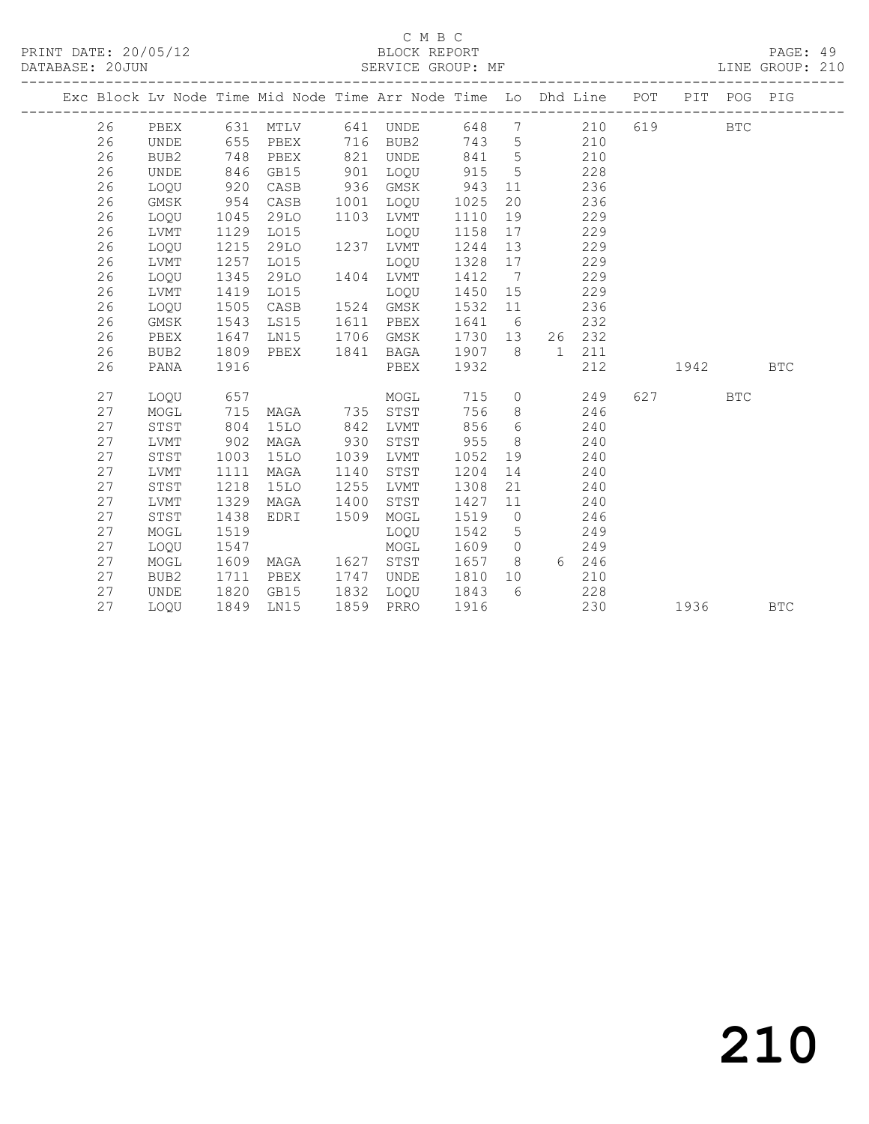# C M B C<br>BLOCK REPORT

PAGE: 49<br>LINE GROUP: 210

|  |    |             |      |             |      | Exc Block Lv Node Time Mid Node Time Arr Node Time Lo Dhd Line POT |      |                              |    | ___________________________ |     |      | PIT POG PIG |            |
|--|----|-------------|------|-------------|------|--------------------------------------------------------------------|------|------------------------------|----|-----------------------------|-----|------|-------------|------------|
|  | 26 | PBEX        | 631  | MTLV        | 641  | UNDE                                                               | 648  | $7\phantom{.0}$              |    | 210                         | 619 |      | <b>BTC</b>  |            |
|  | 26 | <b>UNDE</b> | 655  | PBEX        | 716  | BUB2                                                               | 743  | 5                            |    | 210                         |     |      |             |            |
|  | 26 | BUB2        | 748  | PBEX        | 821  | UNDE                                                               | 841  | 5                            |    | 210                         |     |      |             |            |
|  | 26 | <b>UNDE</b> | 846  | GB15        | 901  | LOQU                                                               | 915  | 5                            |    | 228                         |     |      |             |            |
|  | 26 | LOQU        | 920  | CASB        | 936  | GMSK                                                               | 943  | 11                           |    | 236                         |     |      |             |            |
|  | 26 | GMSK        | 954  | CASB        | 1001 | LOQU                                                               | 1025 | 20                           |    | 236                         |     |      |             |            |
|  | 26 | LOQU        | 1045 | 29LO        | 1103 | LVMT                                                               | 1110 | 19                           |    | 229                         |     |      |             |            |
|  | 26 | <b>LVMT</b> | 1129 | L015        |      | LOQU                                                               | 1158 | 17                           |    | 229                         |     |      |             |            |
|  | 26 | LOQU        | 1215 | 29LO        | 1237 | LVMT                                                               | 1244 | 13                           |    | 229                         |     |      |             |            |
|  | 26 | LVMT        | 1257 | LO15        |      | LOQU                                                               | 1328 | 17                           |    | 229                         |     |      |             |            |
|  | 26 | LOQU        | 1345 | 29LO        | 1404 | LVMT                                                               | 1412 | $7\phantom{.0}\phantom{.0}7$ |    | 229                         |     |      |             |            |
|  | 26 | LVMT        | 1419 | L015        |      | LOQU                                                               | 1450 | 15                           |    | 229                         |     |      |             |            |
|  | 26 | LOQU        | 1505 | CASB        |      | 1524 GMSK                                                          | 1532 | 11                           |    | 236                         |     |      |             |            |
|  | 26 | GMSK        | 1543 | LS15        | 1611 | PBEX                                                               | 1641 | 6                            |    | 232                         |     |      |             |            |
|  | 26 | PBEX        | 1647 | LN15        | 1706 | GMSK                                                               | 1730 | 13                           | 26 | 232                         |     |      |             |            |
|  | 26 | BUB2        | 1809 | PBEX        | 1841 | BAGA                                                               | 1907 | 8                            | 1  | 211                         |     |      |             |            |
|  | 26 | PANA        | 1916 |             |      | PBEX                                                               | 1932 |                              |    | 212                         |     | 1942 |             | <b>BTC</b> |
|  | 27 | LOQU        | 657  |             |      | MOGL                                                               | 715  | $\circ$                      |    | 249                         | 627 |      | <b>BTC</b>  |            |
|  | 27 | $\sf{MOGL}$ | 715  | MAGA        | 735  | STST                                                               | 756  | 8                            |    | 246                         |     |      |             |            |
|  | 27 | STST        | 804  | <b>15LO</b> | 842  | LVMT                                                               | 856  | 6                            |    | 240                         |     |      |             |            |
|  | 27 | <b>LVMT</b> | 902  | MAGA        | 930  | STST                                                               | 955  | 8                            |    | 240                         |     |      |             |            |
|  | 27 | STST        | 1003 | 15LO        | 1039 | LVMT                                                               | 1052 | 19                           |    | 240                         |     |      |             |            |
|  | 27 | <b>LVMT</b> | 1111 | MAGA        | 1140 | STST                                                               | 1204 | 14                           |    | 240                         |     |      |             |            |
|  | 27 | STST        | 1218 | <b>15LO</b> | 1255 | LVMT                                                               | 1308 | 21                           |    | 240                         |     |      |             |            |
|  | 27 | <b>LVMT</b> | 1329 | MAGA        | 1400 | STST                                                               | 1427 | 11                           |    | 240                         |     |      |             |            |
|  | 27 | STST        | 1438 | EDRI        | 1509 | MOGL                                                               | 1519 | $\overline{0}$               |    | 246                         |     |      |             |            |
|  | 27 | MOGL        | 1519 |             |      | LOQU                                                               | 1542 | 5                            |    | 249                         |     |      |             |            |
|  | 27 | LOQU        | 1547 |             |      | MOGL                                                               | 1609 | $\circ$                      |    | 249                         |     |      |             |            |
|  | 27 | MOGL        | 1609 | MAGA        | 1627 | STST                                                               | 1657 | 8                            |    | 6 246                       |     |      |             |            |
|  | 27 | BUB2        | 1711 | PBEX        | 1747 | UNDE                                                               | 1810 | 10                           |    | 210                         |     |      |             |            |
|  | 27 | UNDE        | 1820 | GB15        | 1832 | LOOU                                                               | 1843 | 6                            |    | 228                         |     |      |             |            |
|  | 27 | LOOU        | 1849 | LN15        | 1859 | PRRO                                                               | 1916 |                              |    | 230                         |     | 1936 |             | <b>BTC</b> |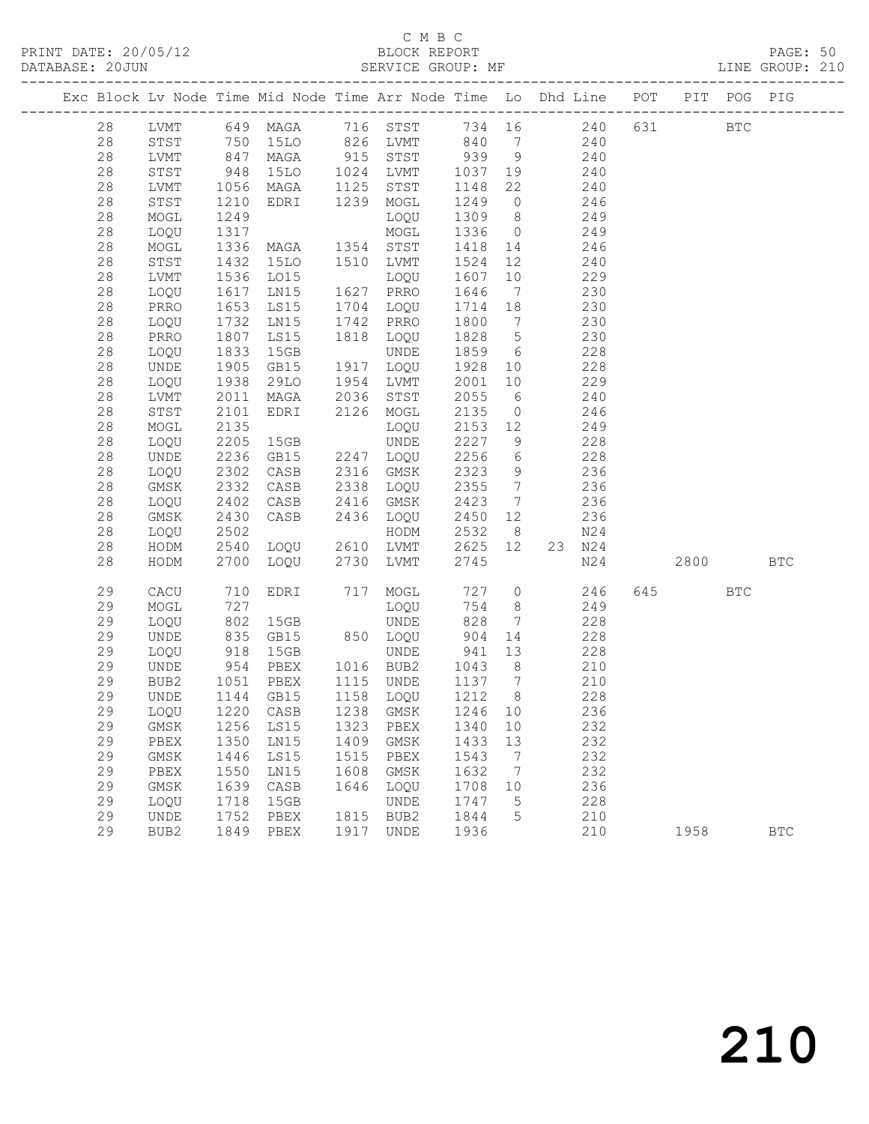# C M B C N B C N B C N B C N B C N B C N B C SEPORT

|  | DATABASE: 20JUN | --------------------- |                    | SERVICE GROUP: MF                                                              |      |                                                                                     |                   |                 |            |        |           |            | LINE GROUP: 210 |  |
|--|-----------------|-----------------------|--------------------|--------------------------------------------------------------------------------|------|-------------------------------------------------------------------------------------|-------------------|-----------------|------------|--------|-----------|------------|-----------------|--|
|  |                 |                       |                    | Exc Block Lv Node Time Mid Node Time Arr Node Time Lo Dhd Line POT PIT POG PIG |      |                                                                                     |                   |                 |            |        |           |            |                 |  |
|  | 28              |                       |                    | LVMT 649 MAGA 716 STST 734 16 240 631 BTC                                      |      |                                                                                     |                   |                 |            |        |           |            |                 |  |
|  | 28              |                       |                    | STST 750 15LO 826 LVMT 840 7 240                                               |      |                                                                                     |                   |                 |            |        |           |            |                 |  |
|  | 28              | LVMT                  | 847<br>948<br>1056 |                                                                                |      | MAGA 915 STST 939 9 240<br>15LO 1024 LVMT 1037 19 240<br>MAGA 1125 STST 1148 22 240 |                   |                 |            |        |           |            |                 |  |
|  | 28              | STST                  |                    |                                                                                |      |                                                                                     |                   |                 |            |        |           |            |                 |  |
|  | 28              | LVMT                  |                    |                                                                                |      |                                                                                     |                   |                 |            |        |           |            |                 |  |
|  | 28              | STST                  | 1210               | EDRI 1239 MOGL                                                                 |      |                                                                                     | 1249              |                 | $0 \t 246$ |        |           |            |                 |  |
|  | 28              | MOGL                  | 1249               |                                                                                |      | LOQU                                                                                | 1309 8 249        |                 |            |        |           |            |                 |  |
|  | 28              | LOQU                  |                    |                                                                                |      |                                                                                     | 1336 0            |                 |            | 249    |           |            |                 |  |
|  | 28              | MOGL                  |                    |                                                                                |      |                                                                                     | 1418  14          |                 |            | 246    |           |            |                 |  |
|  | 28              | STST                  | 1432               | 15LO 1510 LVMT                                                                 |      |                                                                                     | 1524              | 12              | 240        |        |           |            |                 |  |
|  | 28              | LVMT                  | 1536               | LO15                                                                           |      | LOQU                                                                                | 1607              | 10              |            | 229    |           |            |                 |  |
|  | 28              | LOQU                  | 1617<br>1653       | LNI5                                                                           |      | 1627 PRRO                                                                           | 1646              | $7\overline{ }$ |            | 230    |           |            |                 |  |
|  | 28              | PRRO                  |                    | LS15                                                                           |      | 1704 LOQU                                                                           | 1714 18           |                 |            | 230    |           |            |                 |  |
|  | 28              | LOQU                  | 1732               | LN15                                                                           |      | 1742 PRRO                                                                           | 1800 7 230        |                 |            |        |           |            |                 |  |
|  | 28              | PRRO                  | 1807               | LS15                                                                           |      | 1818 LOQU                                                                           | 1828 5            |                 | 230        |        |           |            |                 |  |
|  | 28              | LOQU                  | 1833<br>1905       | 15GB                                                                           |      | UNDE                                                                                | 1859 6<br>1928 10 |                 |            | 228    |           |            |                 |  |
|  | 28<br>28        | UNDE                  | 1938               | GB15<br>29LO                                                                   |      | 1917 LOQU<br>1954 LVMT                                                              | 2001 10 229       |                 |            | 228    |           |            |                 |  |
|  | 28              | LOQU<br>LVMT          | 2011               | MAGA                                                                           |      | 2036 STST                                                                           | 2055              | 6               | 240        |        |           |            |                 |  |
|  | 28              | STST                  | 2101               | EDRI                                                                           |      | 2126 MOGL                                                                           | 2135              | $\overline{0}$  |            | 246    |           |            |                 |  |
|  | 28              | MOGL                  | 2135               |                                                                                |      | LOQU                                                                                | 2153 12           |                 |            | 249    |           |            |                 |  |
|  | 28              | LOQU                  | 2205               | 15GB                                                                           |      | UNDE                                                                                | 2227              | 9               | 228        |        |           |            |                 |  |
|  | 28              | UNDE                  | 2236               | GB15                                                                           |      | 2247 LOQU                                                                           | 2256              | $6\overline{6}$ | 228        |        |           |            |                 |  |
|  | 28              | LOQU                  | 2302               | CASB                                                                           |      | 2316 GMSK                                                                           | 2323              | 9               | 236        |        |           |            |                 |  |
|  | 28              | GMSK                  | 2332               | CASB                                                                           |      | 2338 LOQU                                                                           | 2355              | $7\overline{ }$ |            | 236    |           |            |                 |  |
|  | 28              | LOQU                  | 2402               | CASB                                                                           |      | 2416 GMSK                                                                           | 2423              | $7\overline{)}$ |            | 236    |           |            |                 |  |
|  | 28              | GMSK                  | 2430               |                                                                                |      | CASB 2436 LOQU                                                                      | 2450 12           |                 | 236        |        |           |            |                 |  |
|  | 28              | LOQU                  | 2502               |                                                                                |      | HODM                                                                                | 2532              | 8 <sup>8</sup>  |            | N24    |           |            |                 |  |
|  | 28              | HODM                  | 2540               |                                                                                |      |                                                                                     | 2625 12           |                 |            | 23 N24 |           |            |                 |  |
|  | 28              | HODM                  | 2700               |                                                                                |      | LOQU 2610 LVMT<br>LOQU 2730 LVMT                                                    | 2745              |                 |            | N24    | 2800      |            | <b>BTC</b>      |  |
|  | 29              | CACU                  | 710                | EDRI 717 MOGL                                                                  |      |                                                                                     | 727               | $\overline{0}$  |            | 246    | 645   100 | <b>BTC</b> |                 |  |
|  | 29              | MOGL                  | 727                |                                                                                |      | LOQU                                                                                | 754               | 8 <sup>8</sup>  |            | 249    |           |            |                 |  |
|  | 29              | LOQU                  | $\frac{72}{1}$     | 15GB                                                                           |      | UNDE                                                                                | 828               | $7\overline{ }$ |            | 228    |           |            |                 |  |
|  | 29              | UNDE                  | 835                | GB15 850 LOQU                                                                  |      |                                                                                     | 904               | 14              | 228        |        |           |            |                 |  |
|  | 29              | LOQU                  | 918                | 15GB UNDE<br>PBEX 1016 BUB2                                                    |      |                                                                                     | 941               | 13              | 228        |        |           |            |                 |  |
|  | 29              | UNDE                  | 954<br>1051        |                                                                                |      |                                                                                     | 1043 8<br>1137 7  | 8 <sup>8</sup>  |            | 210    |           |            |                 |  |
|  | 29              | BUB2                  |                    | PBEX                                                                           |      | 1115 UNDE                                                                           |                   |                 |            | 210    |           |            |                 |  |
|  | 29              |                       |                    | UNDE 1144 GB15 1158 LOQU 1212 8                                                |      |                                                                                     |                   |                 |            | 228    |           |            |                 |  |
|  | 29              | LOQU                  | 1220               | CASB                                                                           | 1238 | GMSK                                                                                | 1246              | 10              |            | 236    |           |            |                 |  |
|  | 29              | GMSK                  | 1256               | LS15                                                                           | 1323 | PBEX                                                                                | 1340              | 10              |            | 232    |           |            |                 |  |
|  | 29              | PBEX                  | 1350               | LN15                                                                           | 1409 | GMSK                                                                                | 1433              | 13              |            | 232    |           |            |                 |  |
|  | 29              | GMSK                  | 1446               | LS15                                                                           | 1515 | PBEX                                                                                | 1543              | $\overline{7}$  |            | 232    |           |            |                 |  |
|  | 29              | PBEX                  | 1550               | LN15                                                                           | 1608 | GMSK                                                                                | 1632              | 7               |            | 232    |           |            |                 |  |
|  | 29              | $\rm{GMSK}$           | 1639               | CASB                                                                           | 1646 | LOQU                                                                                | 1708              | 10              |            | 236    |           |            |                 |  |
|  | 29              | LOQU                  | 1718               | 15GB                                                                           |      | UNDE                                                                                | 1747              | 5               |            | 228    |           |            |                 |  |
|  | 29              | UNDE                  | 1752               | PBEX                                                                           | 1815 | BUB2                                                                                | 1844              | 5               |            | 210    |           |            |                 |  |
|  | 29              | BUB2                  | 1849               | PBEX                                                                           | 1917 | UNDE                                                                                | 1936              |                 |            | 210    | 1958      |            | $_{\rm BTC}$    |  |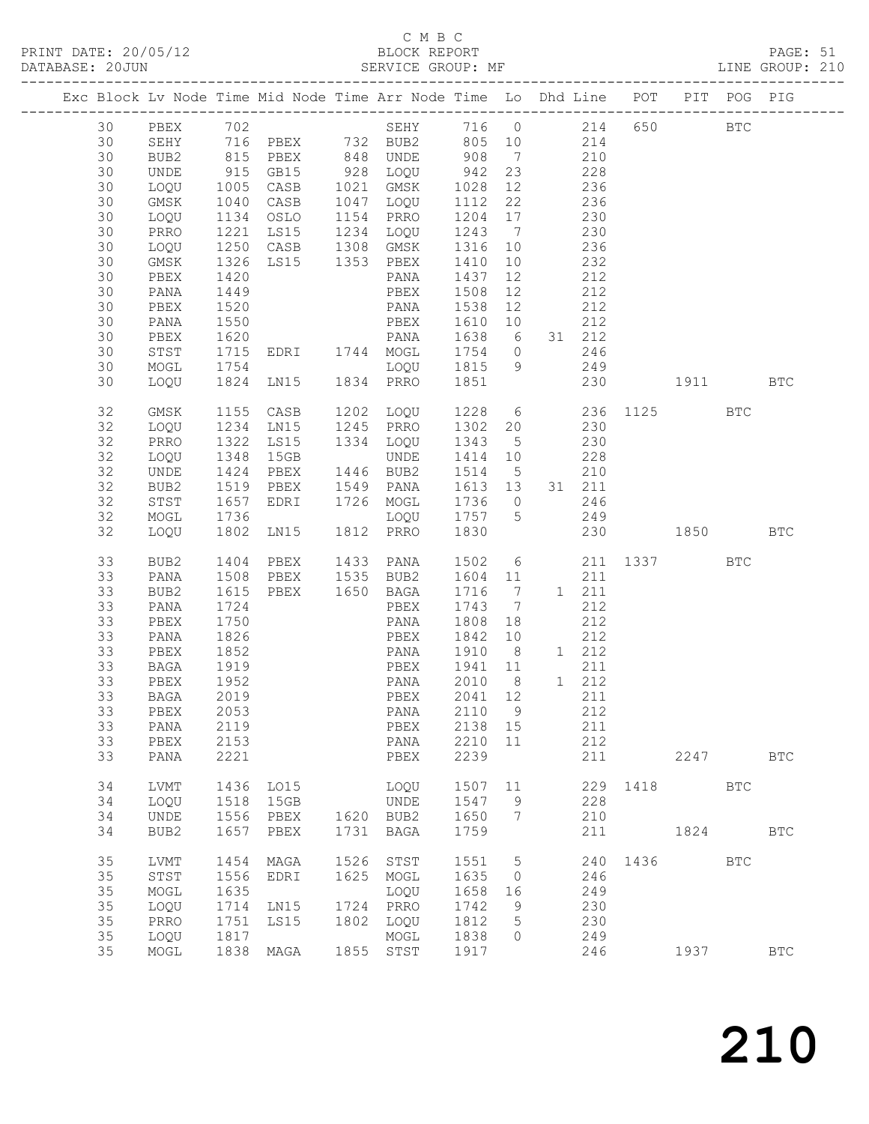# C M B C

| DATABASE: 20JUN |    |      |                  | SERVICE GROUP: MF                                                                              |      |                                                                                                                                                                                                                                                             |                         |                 |     |        |                 |      |            | LINE GROUP: 210 |  |
|-----------------|----|------|------------------|------------------------------------------------------------------------------------------------|------|-------------------------------------------------------------------------------------------------------------------------------------------------------------------------------------------------------------------------------------------------------------|-------------------------|-----------------|-----|--------|-----------------|------|------------|-----------------|--|
|                 |    |      |                  | Exc Block Lv Node Time Mid Node Time Arr Node Time Lo Dhd Line POT PIT POG PIG                 |      |                                                                                                                                                                                                                                                             |                         |                 |     |        |                 |      |            |                 |  |
|                 | 30 |      |                  | PBEX 702 SEHY 716 0 214 650 BTC                                                                |      |                                                                                                                                                                                                                                                             |                         |                 |     |        |                 |      |            |                 |  |
|                 | 30 |      |                  | SEHY 716 PBEX 732 BUB2 805 10 214                                                              |      |                                                                                                                                                                                                                                                             |                         |                 |     |        |                 |      |            |                 |  |
|                 | 30 | BUB2 |                  |                                                                                                |      |                                                                                                                                                                                                                                                             |                         |                 |     |        |                 |      |            |                 |  |
|                 | 30 | UNDE |                  |                                                                                                |      |                                                                                                                                                                                                                                                             |                         |                 |     |        |                 |      |            |                 |  |
|                 | 30 |      |                  | 815 PBEX 848 UNDE 908 7 210<br>915 GB15 928 LOQU 942 23 228<br>1005 CASB 1021 GMSK 1028 12 236 |      |                                                                                                                                                                                                                                                             |                         |                 |     |        |                 |      |            |                 |  |
|                 |    | LOQU |                  |                                                                                                |      |                                                                                                                                                                                                                                                             |                         |                 |     |        |                 |      |            |                 |  |
|                 | 30 | GMSK | 1040             | CASB                                                                                           |      | 1047 LOQU 1112 22 236                                                                                                                                                                                                                                       |                         |                 |     |        |                 |      |            |                 |  |
|                 | 30 | LOQU |                  | 1134 OSLO                                                                                      |      | 1154 PRRO                                                                                                                                                                                                                                                   | 1204 17                 |                 | 230 |        |                 |      |            |                 |  |
|                 | 30 | PRRO |                  | 1221 LS15 1234 LOQU 1243 7<br>1250 CASB 1308 GMSK 1316 10                                      |      |                                                                                                                                                                                                                                                             |                         |                 |     | 230    |                 |      |            |                 |  |
|                 | 30 | LOQU |                  |                                                                                                |      |                                                                                                                                                                                                                                                             |                         |                 | 236 |        |                 |      |            |                 |  |
|                 | 30 | GMSK | 1326             |                                                                                                |      | LS15 1353 PBEX 1410                                                                                                                                                                                                                                         |                         | 10              | 232 |        |                 |      |            |                 |  |
|                 | 30 | PBEX | 1420             |                                                                                                |      | PANA                                                                                                                                                                                                                                                        | 1437                    | 12              | 212 |        |                 |      |            |                 |  |
|                 | 30 | PANA | 1449             |                                                                                                |      | PBEX<br>PANA<br>PBEX                                                                                                                                                                                                                                        | 1508 12                 |                 |     | 212    |                 |      |            |                 |  |
|                 | 30 | PBEX | $\frac{1}{1520}$ |                                                                                                |      |                                                                                                                                                                                                                                                             | 1538 12                 |                 |     | 212    |                 |      |            |                 |  |
|                 | 30 | PANA | 1550             |                                                                                                |      |                                                                                                                                                                                                                                                             | 1610 10 212             |                 |     |        |                 |      |            |                 |  |
|                 | 30 | PBEX | 1620             |                                                                                                |      | PANA 1638 6 31 212                                                                                                                                                                                                                                          |                         |                 |     |        |                 |      |            |                 |  |
|                 | 30 | STST |                  | EDRI 1744 MOGL                                                                                 |      |                                                                                                                                                                                                                                                             | 1754 0                  |                 |     | 246    |                 |      |            |                 |  |
|                 | 30 | MOGL | 1715<br>1754     |                                                                                                |      | $\frac{1}{2}$<br>$\frac{1}{2}$<br>$\frac{1}{2}$<br>$\frac{1}{2}$<br>$\frac{1}{2}$<br>$\frac{1}{2}$<br>$\frac{1}{2}$<br>$\frac{1}{2}$<br>$\frac{1}{2}$<br>$\frac{1}{2}$<br>$\frac{1}{2}$<br>$\frac{1}{2}$<br>$\frac{1}{2}$<br>$\frac{1}{2}$<br>$\frac{1}{2}$ |                         |                 |     | 249    |                 |      |            |                 |  |
|                 | 30 | LOQU |                  |                                                                                                |      |                                                                                                                                                                                                                                                             |                         |                 |     |        | 230 1911 BTC    |      |            |                 |  |
|                 |    |      |                  |                                                                                                |      |                                                                                                                                                                                                                                                             |                         |                 |     |        |                 |      |            |                 |  |
|                 | 32 | GMSK |                  | 1155 CASB 1202 LOQU 1228 6 236 1125 BTC<br>1234 LN15 1245 PRRO 1302 20 230                     |      |                                                                                                                                                                                                                                                             |                         |                 |     |        |                 |      |            |                 |  |
|                 | 32 |      | 1234             |                                                                                                |      |                                                                                                                                                                                                                                                             |                         |                 |     |        |                 |      |            |                 |  |
|                 |    | LOQU | 1322             |                                                                                                |      | 1334 LOQU 1343 5                                                                                                                                                                                                                                            |                         |                 | 230 |        |                 |      |            |                 |  |
|                 | 32 | PRRO |                  | LS15                                                                                           |      |                                                                                                                                                                                                                                                             |                         |                 |     |        |                 |      |            |                 |  |
|                 | 32 | LOQU | 1348             | 15GB                                                                                           |      | UNDE                                                                                                                                                                                                                                                        | 1414 10                 |                 | 228 |        |                 |      |            |                 |  |
|                 | 32 | UNDE |                  | 1424 PBEX   1446  BUB2<br>1519  PBEX   1549  PANA<br>PBEX                                      |      |                                                                                                                                                                                                                                                             | 1514 5                  |                 |     | 210    |                 |      |            |                 |  |
|                 | 32 | BUB2 |                  |                                                                                                |      |                                                                                                                                                                                                                                                             | 1613 13                 |                 |     | 31 211 |                 |      |            |                 |  |
|                 | 32 | STST | 1657             |                                                                                                |      | EDRI 1726 MOGL                                                                                                                                                                                                                                              | 1736 0 246              |                 |     |        |                 |      |            |                 |  |
|                 | 32 | MOGL | 1736             |                                                                                                |      | LOQU 1757 5 249<br>LOQU 1757 5<br>LN15 1812 PRRO 1830                                                                                                                                                                                                       |                         |                 |     |        |                 |      |            |                 |  |
|                 | 32 | LOQU | 1802             |                                                                                                |      |                                                                                                                                                                                                                                                             |                         |                 |     |        | 230 1850 BTC    |      |            |                 |  |
|                 | 33 | BUB2 | 1404             | PBEX                                                                                           |      | 1433 PANA                                                                                                                                                                                                                                                   |                         |                 |     |        | 1502 6 211 1337 |      | BTC        |                 |  |
|                 | 33 | PANA | 1508             |                                                                                                |      | PBEX 1535 BUB2                                                                                                                                                                                                                                              | 1604 11 211             |                 |     |        |                 |      |            |                 |  |
|                 | 33 | BUB2 | 1615             | PBEX 1650 BAGA                                                                                 |      |                                                                                                                                                                                                                                                             | 1716 7                  |                 |     | 1 211  |                 |      |            |                 |  |
|                 | 33 | PANA | 1724             |                                                                                                |      | PBEX                                                                                                                                                                                                                                                        | 1743 7                  |                 |     | 212    |                 |      |            |                 |  |
|                 | 33 | PBEX | 1750             |                                                                                                |      | PANA                                                                                                                                                                                                                                                        | 1808 18                 |                 |     | 212    |                 |      |            |                 |  |
|                 | 33 | PANA | 1826             |                                                                                                |      | PBEX                                                                                                                                                                                                                                                        | 1842 10 212             |                 |     |        |                 |      |            |                 |  |
|                 | 33 |      |                  |                                                                                                |      | PANA                                                                                                                                                                                                                                                        |                         |                 |     |        |                 |      |            |                 |  |
|                 |    | PBEX | 1852             |                                                                                                |      |                                                                                                                                                                                                                                                             | 1910 8 1 212            |                 |     |        |                 |      |            |                 |  |
|                 | 33 | BAGA | 1919<br>1952     |                                                                                                |      | PBEX<br>PANA                                                                                                                                                                                                                                                | 1941 11<br>2010 8 1 212 |                 |     | 211    |                 |      |            |                 |  |
|                 | 33 | PBEX |                  |                                                                                                |      |                                                                                                                                                                                                                                                             |                         |                 |     |        |                 |      |            |                 |  |
|                 | 33 |      |                  | BAGA 2019   PBEX 2041 12   211                                                                 |      |                                                                                                                                                                                                                                                             |                         |                 |     |        |                 |      |            |                 |  |
|                 | 33 | PBEX | 2053             |                                                                                                |      | PANA                                                                                                                                                                                                                                                        | 2110 9                  |                 |     | 212    |                 |      |            |                 |  |
|                 | 33 | PANA | 2119             |                                                                                                |      | PBEX                                                                                                                                                                                                                                                        | 2138 15                 |                 |     | 211    |                 |      |            |                 |  |
|                 | 33 | PBEX | 2153             |                                                                                                |      | PANA                                                                                                                                                                                                                                                        | 2210                    | 11              |     | 212    |                 |      |            |                 |  |
|                 | 33 | PANA | 2221             |                                                                                                |      | PBEX                                                                                                                                                                                                                                                        | 2239                    |                 |     | 211    |                 | 2247 |            | $_{\rm BTC}$    |  |
|                 | 34 | LVMT | 1436             | LO15                                                                                           |      | LOQU                                                                                                                                                                                                                                                        | 1507 11                 |                 |     |        | 229 1418        |      | BTC        |                 |  |
|                 | 34 | LOQU | 1518             | 15GB                                                                                           |      | UNDE                                                                                                                                                                                                                                                        | 1547                    | 9               |     | 228    |                 |      |            |                 |  |
|                 | 34 | UNDE | 1556             | PBEX                                                                                           |      | 1620 BUB2                                                                                                                                                                                                                                                   | 1650                    | 7               |     | 210    |                 |      |            |                 |  |
|                 | 34 | BUB2 | 1657             | PBEX                                                                                           | 1731 | BAGA                                                                                                                                                                                                                                                        | 1759                    |                 |     | 211    |                 | 1824 |            | <b>BTC</b>      |  |
|                 |    |      |                  |                                                                                                |      |                                                                                                                                                                                                                                                             |                         |                 |     |        |                 |      |            |                 |  |
|                 | 35 | LVMT | 1454             | MAGA                                                                                           |      | 1526 STST                                                                                                                                                                                                                                                   | 1551                    | $5\overline{)}$ |     | 240    | 1436            |      | <b>BTC</b> |                 |  |
|                 | 35 | STST | 1556             | EDRI                                                                                           |      | 1625 MOGL                                                                                                                                                                                                                                                   | 1635                    | $\overline{0}$  |     | 246    |                 |      |            |                 |  |
|                 | 35 | MOGL | 1635             |                                                                                                |      | LOQU                                                                                                                                                                                                                                                        | 1658                    | 16              |     | 249    |                 |      |            |                 |  |
|                 | 35 | LOQU | 1714             | LN15                                                                                           |      | 1724 PRRO                                                                                                                                                                                                                                                   | 1742                    | 9               |     | 230    |                 |      |            |                 |  |
|                 | 35 | PRRO | 1751             | LS15                                                                                           |      | 1802 LOQU                                                                                                                                                                                                                                                   | 1812                    | $5\phantom{.0}$ |     | 230    |                 |      |            |                 |  |
|                 | 35 | LOQU | 1817             |                                                                                                |      | MOGL                                                                                                                                                                                                                                                        | 1838                    | $\circ$         |     | 249    |                 |      |            |                 |  |
|                 | 35 | MOGL |                  | 1838 MAGA                                                                                      |      | 1855 STST                                                                                                                                                                                                                                                   | 1917                    |                 |     | 246    |                 | 1937 |            | $_{\rm BTC}$    |  |
|                 |    |      |                  |                                                                                                |      |                                                                                                                                                                                                                                                             |                         |                 |     |        |                 |      |            |                 |  |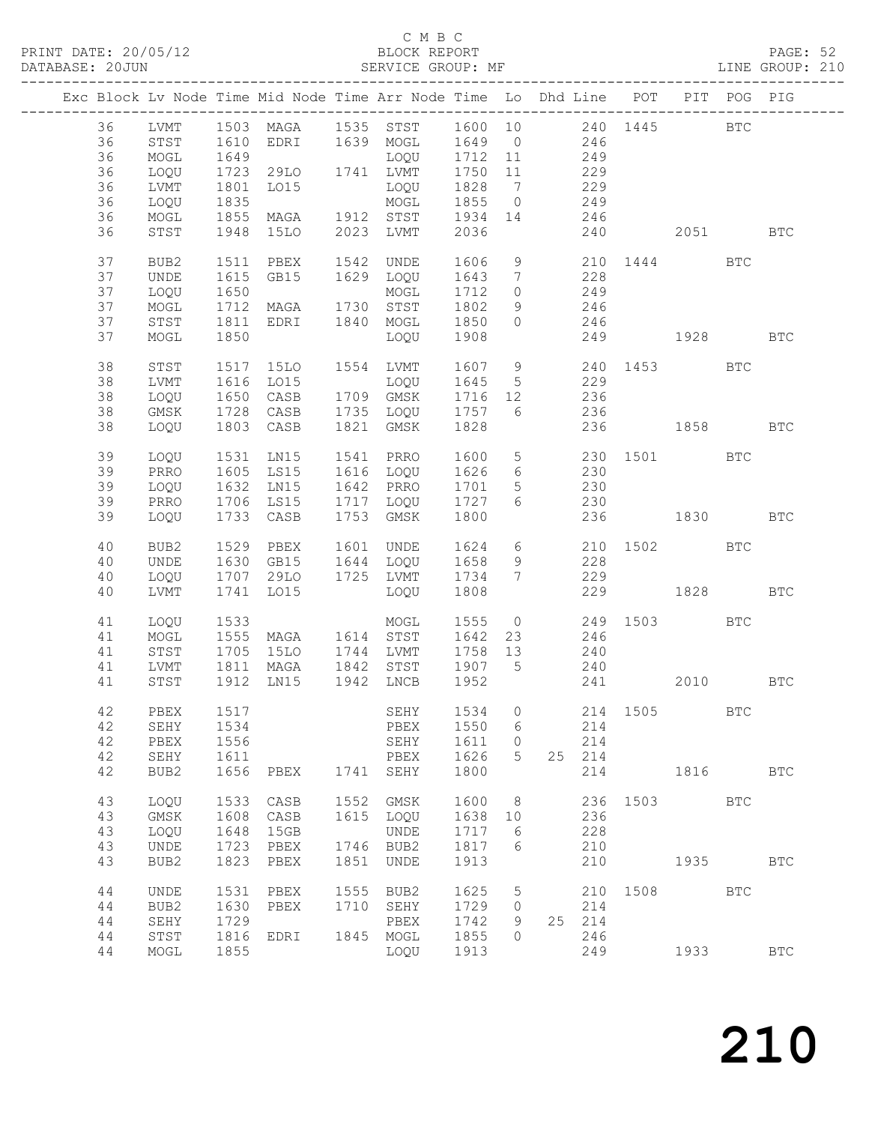### C M B C<br>BLOCK REPORT

PAGE: 52<br>LINE GROUP: 210

|  |    |                  |              | Exc Block Lv Node Time Mid Node Time Arr Node Time Lo Dhd Line POT |      |                                       |         |                 |                 |                |      |                | PIT POG PIG |              |
|--|----|------------------|--------------|--------------------------------------------------------------------|------|---------------------------------------|---------|-----------------|-----------------|----------------|------|----------------|-------------|--------------|
|  | 36 | LVMT             |              | 1503 MAGA 1535 STST 1600 10 240 1445 BTC                           |      |                                       |         |                 |                 |                |      |                |             |              |
|  | 36 | STST             |              |                                                                    |      |                                       |         |                 |                 |                |      |                |             |              |
|  | 36 | MOGL             | 1610<br>1649 |                                                                    |      | EDRI 1639 MOGL 1649 0<br>LOQU 1712 11 |         |                 | $246$<br>$249$  |                |      |                |             |              |
|  | 36 |                  | 1723         | 29LO 1741 LVMT                                                     |      |                                       | 1750 11 |                 | 229             |                |      |                |             |              |
|  |    | LOQU             |              |                                                                    |      |                                       |         |                 |                 |                |      |                |             |              |
|  | 36 | LVMT             | 1801         | LO15                                                               |      | LOQU                                  | 1828    | $7\overline{)}$ | 229             |                |      |                |             |              |
|  | 36 | LOQU             | 1835<br>1855 |                                                                    |      | MOGL                                  | 1855 0  |                 |                 | $249$<br>$246$ |      |                |             |              |
|  | 36 | MOGL             |              | MAGA                                                               |      | 1912 STST                             | 1934 14 |                 |                 |                |      |                |             |              |
|  | 36 | STST             | 1948         | 15LO                                                               |      | 2023 LVMT                             | 2036    |                 |                 |                | 240  | 2051 70        |             | <b>BTC</b>   |
|  | 37 | BUB2             | 1511         |                                                                    |      | 1542 UNDE 1606<br>1629 LOQU 1643      |         |                 |                 |                |      | 9 210 1444 BTC |             |              |
|  | 37 | UNDE             | 1615         | PBEX<br>GB15                                                       |      |                                       |         | $7\overline{ }$ |                 | 228            |      |                |             |              |
|  | 37 | LOQU             | 1650         |                                                                    |      | MOGL                                  | 1712    | $\overline{0}$  | 249             |                |      |                |             |              |
|  | 37 | MOGL             | 1712         | MAGA 1730 STST                                                     |      |                                       | 1802    | 9               | 246             |                |      |                |             |              |
|  | 37 | STST             | 1811         | EDRI 1840 MOGL                                                     |      |                                       | 1850    | $\circ$         |                 | 246            |      |                |             |              |
|  | 37 | MOGL             | 1850         |                                                                    |      | LOQU                                  | 1908    |                 |                 |                |      | 249 1928       |             | <b>BTC</b>   |
|  | 38 | STST             | 1517         | 15LO                                                               |      | 1554 LVMT                             | 1607 9  |                 |                 |                |      | 240 1453       | <b>BTC</b>  |              |
|  | 38 |                  | 1616         | L015                                                               |      |                                       | 1645    | $5\overline{)}$ |                 | 229            |      |                |             |              |
|  |    | LVMT             |              |                                                                    |      | LOQU                                  | 1716 12 |                 |                 |                |      |                |             |              |
|  | 38 | LOQU             | 1650         | CASB                                                               |      | 1709 GMSK                             |         |                 |                 | 236            |      |                |             |              |
|  | 38 | GMSK             | 1728         | CASB                                                               |      | 1735 LOQU                             | 1757 6  |                 |                 | 236            |      |                |             |              |
|  | 38 | LOQU             |              | 1803 CASB                                                          |      | 1821 GMSK                             | 1828    |                 |                 |                |      | 236 1858 BTC   |             |              |
|  | 39 | LOQU             | 1531         | LN15                                                               |      | 1541 PRRO                             | 1600    |                 |                 |                |      | 5 230 1501 BTC |             |              |
|  | 39 | PRRO             | 1605         | LS15                                                               |      | 1616 LOQU                             | 1626    | $6\overline{6}$ |                 | 230            |      |                |             |              |
|  | 39 | LOQU             | 1632         | LN15                                                               |      | 1642 PRRO                             | 1701    | $5\overline{)}$ | 230             |                |      |                |             |              |
|  | 39 | PRRO             | 1706         | LS15                                                               |      | 1717 LOQU                             | 1727    | 6               |                 | 230            |      |                |             |              |
|  | 39 | LOQU             | 1733         | CASB                                                               |      | 1753 GMSK                             | 1800    |                 |                 |                |      | 236 1830       |             | <b>BTC</b>   |
|  |    |                  |              |                                                                    |      |                                       |         |                 |                 |                |      |                |             |              |
|  | 40 | BUB2             | 1529         | PBEX                                                               |      | 1601 UNDE                             | 1624    |                 | $6\overline{6}$ |                |      | 210 1502 BTC   |             |              |
|  | 40 | UNDE             | 1630         | GB15                                                               |      | 1644 LOQU                             | 1658    | 9               |                 | 228            |      |                |             |              |
|  | 40 | LOQU             |              | 1707 29LO 1725 LVMT                                                |      |                                       | 1734    | $7\phantom{0}$  |                 | 229            |      |                |             |              |
|  | 40 | LVMT             | 1741         | LO15                                                               |      | LOQU                                  | 1808    |                 |                 |                |      | 229 1828       |             | <b>BTC</b>   |
|  |    |                  |              |                                                                    |      |                                       |         |                 |                 |                |      |                |             |              |
|  | 41 | LOQU             | 1533         |                                                                    |      | MOGL                                  | 1555    |                 |                 |                |      | 0 249 1503     | <b>BTC</b>  |              |
|  | 41 | MOGL             |              | MAGA 1614 STST                                                     |      |                                       | 1642    | 23              |                 | 246            |      |                |             |              |
|  | 41 | STST             | 1555<br>1705 | 15LO                                                               |      | 1744 LVMT                             | 1758 13 |                 |                 | 240            |      |                |             |              |
|  | 41 | LVMT             | 1811         |                                                                    |      | MAGA 1842 STST 1907 5 240             |         |                 |                 |                |      |                |             |              |
|  | 41 | STST             | 1912         | LNI5                                                               |      | 1942 LNCB                             | 1952    |                 |                 |                | 241  | 2010 BTC       |             |              |
|  |    |                  |              |                                                                    |      |                                       |         |                 |                 |                |      |                |             |              |
|  | 42 | PBEX             | 1517         |                                                                    |      | SEHY 1534 0 214 1505 BTC              |         |                 |                 |                |      |                |             |              |
|  | 42 | SEHY             | 1534         |                                                                    |      | PBEX                                  | 1550    | 6               |                 | 214            |      |                |             |              |
|  | 42 | PBEX             | 1556         |                                                                    |      | SEHY                                  | 1611    | 0               |                 | 214            |      |                |             |              |
|  | 42 | SEHY             | 1611         |                                                                    |      | PBEX                                  | 1626    | 5               | 25              | 214            |      |                |             |              |
|  | 42 | BUB2             | 1656         | PBEX                                                               | 1741 | SEHY                                  | 1800    |                 |                 | 214            |      | 1816           |             | $_{\rm BTC}$ |
|  | 43 | LOQU             | 1533         | CASB                                                               | 1552 | GMSK                                  | 1600    | 8               |                 | 236            | 1503 |                | <b>BTC</b>  |              |
|  | 43 | GMSK             | 1608         | CASB                                                               | 1615 | LOQU                                  | 1638    | 10              |                 | 236            |      |                |             |              |
|  | 43 | LOQU             | 1648         | 15GB                                                               |      | UNDE                                  | 1717    | 6               |                 | 228            |      |                |             |              |
|  | 43 | UNDE             | 1723         | PBEX                                                               | 1746 | BUB2                                  | 1817    | 6               |                 | 210            |      |                |             |              |
|  | 43 | BUB <sub>2</sub> | 1823         | PBEX                                                               | 1851 | UNDE                                  | 1913    |                 |                 | 210            |      | 1935           |             | <b>BTC</b>   |
|  |    |                  |              |                                                                    |      |                                       |         |                 |                 |                |      |                |             |              |
|  | 44 | UNDE             | 1531         | PBEX                                                               | 1555 | BUB <sub>2</sub>                      | 1625    | 5               |                 | 210            | 1508 |                | <b>BTC</b>  |              |
|  | 44 | BUB2             | 1630         | PBEX                                                               | 1710 | SEHY                                  | 1729    | 0               |                 | 214            |      |                |             |              |
|  | 44 | SEHY             | 1729         |                                                                    |      | PBEX                                  | 1742    | 9               | 25              | 214            |      |                |             |              |
|  | 44 | STST             | 1816         | EDRI                                                               | 1845 | MOGL                                  | 1855    | $\Omega$        |                 | 246            |      |                |             |              |
|  | 44 | MOGL             | 1855         |                                                                    |      | LOQU                                  | 1913    |                 |                 | 249            |      | 1933           |             | <b>BTC</b>   |
|  |    |                  |              |                                                                    |      |                                       |         |                 |                 |                |      |                |             |              |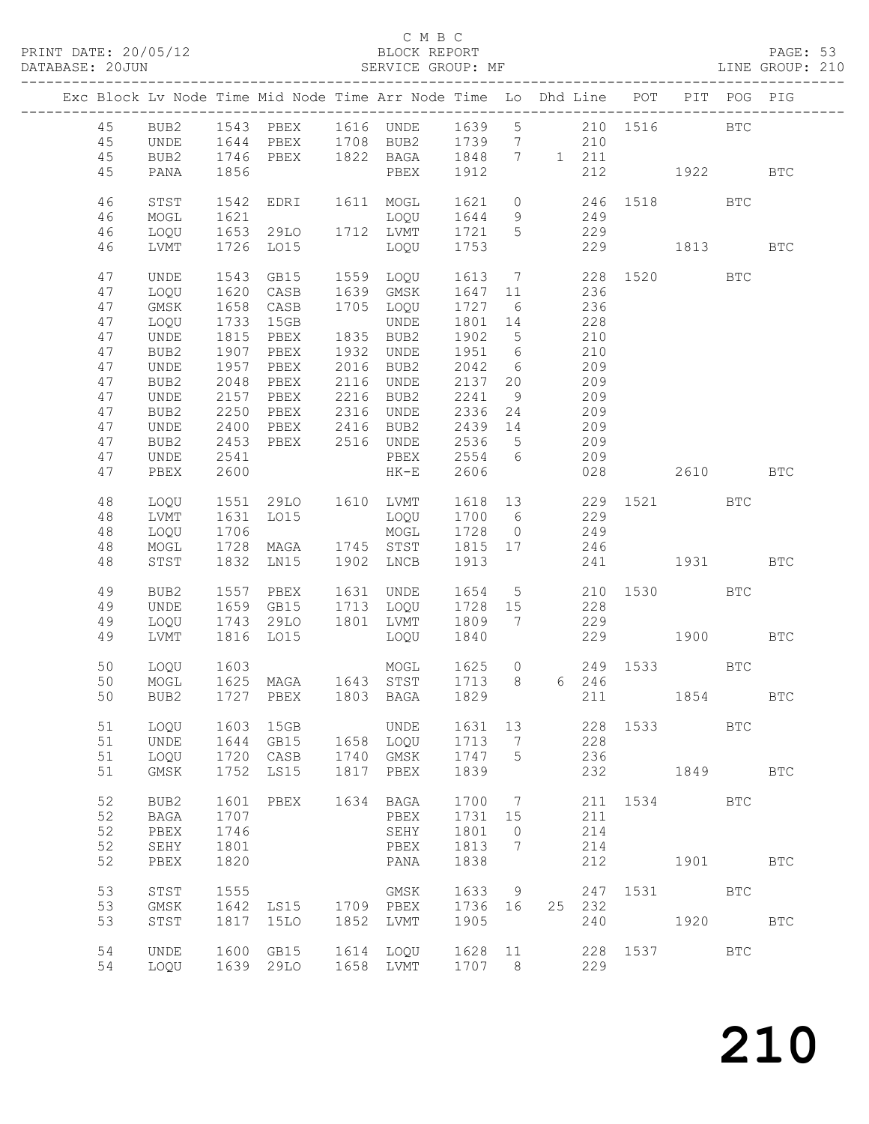### C M B C<br>BLOCK REPORT

PAGE: 53<br>LINE GROUP: 210

|                |                      |              |                        |              | Exc Block Lv Node Time Mid Node Time Arr Node Time Lo Dhd Line POT |                 |                 |         |                 |      |              | PIT POG PIG  |            |
|----------------|----------------------|--------------|------------------------|--------------|--------------------------------------------------------------------|-----------------|-----------------|---------|-----------------|------|--------------|--------------|------------|
| 45<br>45<br>45 | BUB2<br>UNDE<br>BUB2 |              |                        |              | 1746 PBEX 1822 BAGA 1848 7 1 211                                   |                 |                 |         |                 |      |              | BTC          |            |
| 45             | PANA                 | 1856         |                        |              | PBEX 1912                                                          |                 |                 |         |                 |      | 212 1922 BTC |              |            |
| 46<br>46       | STST<br>MOGL         | 1542<br>1621 | EDRI 1611 MOGL         |              | LOQU                                                               | 1621 0<br>1644  | 9               |         | 249             |      | 246 1518 BTC |              |            |
| 46<br>46       | LOQU<br>LVMT         | 1653         | 1726 LO15              |              | 29LO 1712 LVMT 1721 5<br>LOQU                                      | 1753            |                 |         | 229             |      | 229 1813     |              | <b>BTC</b> |
| 47             | UNDE                 | 1543         |                        |              | GB15 1559 LOQU 1613 7                                              |                 |                 |         |                 |      | 228 1520 BTC |              |            |
| 47<br>47       | LOQU<br>GMSK         | 1620<br>1658 | CASB<br>CASB           |              | 1639 GMSK<br>1705 LOQU                                             | 1647 11<br>1727 | 6               |         | 236<br>236      |      |              |              |            |
| 47             | LOQU                 | 1733         | 15GB                   |              | UNDE                                                               | 1801 14         |                 |         | 228             |      |              |              |            |
| 47             | UNDE                 | 1815         | PBEX                   |              | 1835 BUB2                                                          | 1902            | $5\overline{)}$ |         | $\frac{1}{210}$ |      |              |              |            |
| 47             | BUB2                 | 1907         | PBEX                   |              | 1932 UNDE                                                          | 1951 6          |                 |         | 210             |      |              |              |            |
| 47             | UNDE                 | 1957         | PBEX                   |              | 2016 BUB2                                                          | 2042            | 6               |         | 209             |      |              |              |            |
| 47             | BUB2                 | 2048         | PBEX                   |              | 2116 UNDE                                                          | 2137 20         |                 |         | 209             |      |              |              |            |
| 47             | UNDE                 | 2157         | PBEX                   |              | 2216 BUB2<br>2316 UNDE                                             | 2241            | 9               |         | 209<br>209      |      |              |              |            |
| 47<br>47       | BUB2<br>UNDE         | 2250<br>2400 | PBEX<br>PBEX 2416 BUB2 |              |                                                                    | 2336<br>2439 14 | 24              |         | 209             |      |              |              |            |
| 47             | BUB2                 | 2453         | PBEX 2516 UNDE         |              |                                                                    | 2536            | $5\overline{)}$ |         | 209             |      |              |              |            |
| 47             | UNDE                 | 2541         |                        |              | PBEX                                                               | 2554 6          |                 |         | 209             |      |              |              |            |
| 47             | PBEX                 | 2600         |                        |              | $HK-E$                                                             | 2606            |                 |         | 028             |      | 2610         |              | <b>BTC</b> |
| 48             | LOQU                 |              |                        |              | 1551 29LO 1610 LVMT 1618 13 229 1521 BTC                           |                 |                 |         |                 |      |              |              |            |
| 48             | LVMT                 | 1631         | LO15                   |              | LOQU 1700 6                                                        |                 |                 |         | 229             |      |              |              |            |
| 48             | LOQU                 | 1706         |                        |              | MOGL                                                               | 1728            | $\overline{0}$  |         | 249             |      |              |              |            |
| 48             | MOGL                 | 1728         |                        |              | MAGA 1745 STST 1815 17 246                                         |                 |                 |         |                 |      |              |              |            |
| 48             | STST                 | 1832         | LNI5                   |              | 1902 LNCB                                                          | 1913            |                 |         |                 |      | 241 1931 BTC |              |            |
| 49             | BUB2                 | 1557         | PBEX                   |              | 1631 UNDE                                                          | 1654            |                 | $5 - 5$ |                 |      | 210 1530 BTC |              |            |
| 49             | <b>UNDE</b>          | 1659         |                        |              | GB15 1713 LOQU 1728 15                                             |                 |                 |         | 228             |      |              |              |            |
| 49<br>49       | LOQU<br>LVMT         | 1743<br>1816 | 29LO<br>LO15           |              | 1801 LVMT<br>LOQU                                                  | 1809 7<br>1840  |                 |         | 229             |      | 229 1900     |              | <b>BTC</b> |
|                |                      |              |                        |              |                                                                    |                 |                 |         |                 |      |              |              |            |
| 50<br>50       | LOQU<br>MOGL         | 1603<br>1625 |                        |              | MOGL 1625 0<br>MAGA 1643 STST 1713 8 6 246                         |                 |                 |         |                 |      | 249 1533 BTC |              |            |
| 50             | BUB2                 |              |                        |              | 1727 PBEX 1803 BAGA 1829                                           |                 |                 |         |                 |      | 211 1854 BTC |              |            |
|                |                      |              |                        |              |                                                                    |                 |                 |         |                 |      |              |              |            |
| 51             | LOQU                 | 1603         | 15GB                   |              | UNDE                                                               | 1631            | 13              |         | 228             | 1533 |              | BTC          |            |
| 51             | UNDE                 | 1644         | GB15                   | 1658         | LOQU                                                               | 1713            | 7               |         | 228             |      |              |              |            |
| 51<br>51       | LOQU<br>GMSK         | 1720<br>1752 | CASB<br>LS15           | 1740<br>1817 | GMSK<br>PBEX                                                       | 1747<br>1839    | 5               |         | 236<br>232      |      | 1849         |              | <b>BTC</b> |
|                |                      |              |                        |              |                                                                    |                 |                 |         |                 |      |              |              |            |
| 52             | BUB2                 | 1601         | PBEX                   | 1634         | BAGA                                                               | 1700            | 7               |         | 211             | 1534 |              | <b>BTC</b>   |            |
| 52             | <b>BAGA</b>          | 1707         |                        |              | PBEX                                                               | 1731            | 15              |         | 211             |      |              |              |            |
| 52<br>52       | PBEX                 | 1746         |                        |              | SEHY                                                               | 1801<br>1813    | $\circ$<br>7    |         | 214<br>214      |      |              |              |            |
| 52             | SEHY<br>PBEX         | 1801<br>1820 |                        |              | PBEX<br>PANA                                                       | 1838            |                 |         | 212             |      | 1901         |              | <b>BTC</b> |
|                |                      |              |                        |              |                                                                    |                 |                 |         |                 |      |              |              |            |
| 53<br>53       | STST<br>GMSK         | 1555<br>1642 | LS15                   | 1709         | GMSK<br>PBEX                                                       | 1633<br>1736    | 9<br>16         | 25      | 247<br>232      | 1531 |              | $_{\rm BTC}$ |            |
| 53             | STST                 | 1817         | 15LO                   | 1852         | LVMT                                                               | 1905            |                 |         | 240             |      | 1920         |              | <b>BTC</b> |
|                |                      |              |                        |              |                                                                    |                 |                 |         |                 |      |              |              |            |
| 54             | UNDE                 | 1600         | GB15                   |              | 1614 LOQU                                                          | 1628            | 11              |         | 228             | 1537 |              | <b>BTC</b>   |            |
| 54             | LOQU                 |              | 1639 29LO              |              | 1658 LVMT                                                          | 1707            | 8               |         | 229             |      |              |              |            |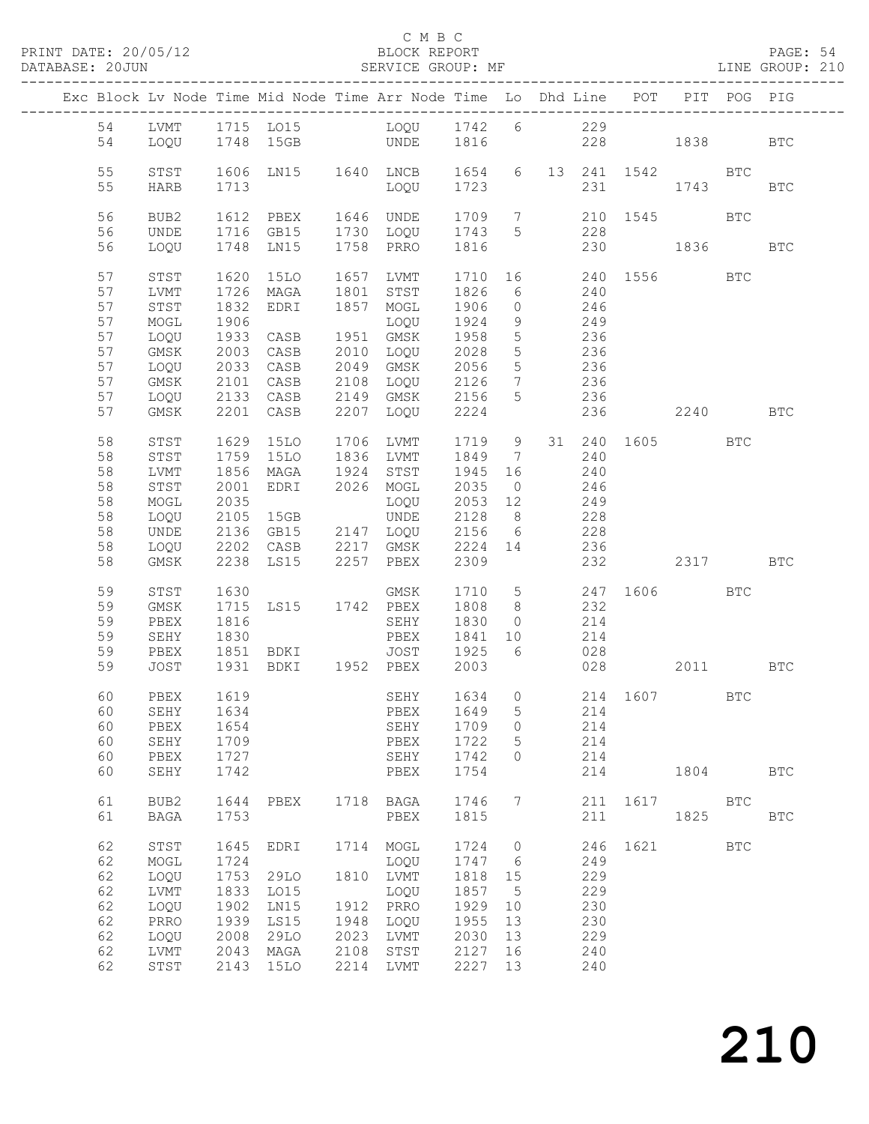### C M B C<br>BLOCK REPORT

PAGE: 54<br>LINE GROUP: 210

|                |                              |                      | Exc Block Lv Node Time Mid Node Time Arr Node Time Lo Dhd Line POT PIT POG PIG |                      |                                     |                         |                                                      |                 |                   |      |                      |            |              |
|----------------|------------------------------|----------------------|--------------------------------------------------------------------------------|----------------------|-------------------------------------|-------------------------|------------------------------------------------------|-----------------|-------------------|------|----------------------|------------|--------------|
| 54<br>54       | LOQU                         |                      | LVMT 1715 LO15 LOQU 1742 6 229<br>1748 15GB UNDE 1816                          |                      |                                     |                         |                                                      |                 |                   |      | 228 1838             |            | BTC          |
| 55<br>55       | STST<br>HARB                 | 1713                 | 1606 LN15 1640 LNCB 1654 6 13 241 1542 BTC                                     |                      | LOQU                                | 1723                    |                                                      |                 | 231               |      | 1743                 |            | BTC          |
| 56<br>56       | BUB2<br>UNDE                 | 1612                 | PBEX<br>1716 GB15                                                              |                      | 1646 UNDE<br>1730 LOQU              | 1709<br>1743            | 5 <sup>5</sup>                                       | $7\overline{ }$ | 228               |      | 210 1545             | BTC        |              |
| 56             | LOQU                         | 1748                 | LN15                                                                           |                      | 1758 PRRO                           | 1816                    |                                                      |                 |                   |      | 230 1836             |            | <b>BTC</b>   |
| 57<br>57<br>57 | STST<br>LVMT<br>STST         | 1620<br>1726<br>1832 | 15LO<br>MAGA<br>EDRI                                                           |                      | 1657 LVMT<br>1801 STST<br>1857 MOGL | 1826<br>1906            | $\circ$                                              |                 | 6 240<br>246      |      | 1710 16 240 1556 BTC |            |              |
| 57<br>57       | MOGL<br>LOQU                 | 1906<br>1933         | CASB                                                                           |                      | LOQU<br>1951 GMSK                   | 1924<br>1958            | 9<br>5 <sup>5</sup>                                  |                 | 249<br>236<br>236 |      |                      |            |              |
| 57<br>57<br>57 | GMSK<br>LOQU<br>GMSK         | 2003<br>2033<br>2101 | CASB<br>CASB<br>CASB                                                           |                      | 2010 LOQU<br>2049 GMSK<br>2108 LOQU | 2028<br>2056<br>2126    | $5\overline{)}$<br>5 <sup>5</sup><br>$7\overline{ }$ |                 | 236<br>236        |      |                      |            |              |
| 57<br>57       | LOQU<br>GMSK                 |                      | 2133 CASB<br>2201 CASB                                                         | 2207                 | 2149 GMSK<br>LOQU                   | 2156<br>2224            | 5 <sup>5</sup>                                       |                 | 236<br>236        |      | 2240 BTC             |            |              |
| 58<br>58       | STST<br>STST                 | 1629<br>1759         | 15LO<br>15LO                                                                   |                      | 1706 LVMT<br>1836 LVMT              | 1719 9<br>1849          | $7\overline{ }$                                      |                 | 240               |      | 31  240  1605  BTC   |            |              |
| 58<br>58<br>58 | LVMT<br>STST<br>MOGL         | 1856<br>2001<br>2035 | MAGA<br>EDRI                                                                   |                      | 1924 STST<br>2026 MOGL<br>LOQU      | 1945<br>2035<br>2053    | 16<br>$\overline{0}$<br>12                           |                 | 240<br>246<br>249 |      |                      |            |              |
| 58<br>58<br>58 | LOQU<br>UNDE<br>LOQU         | 2105                 | 15GB<br>2136 GB15 2147 LOQU<br>2202 CASB 2217 GMSK                             |                      | UNDE                                | 2128<br>2156<br>2224 14 | 8 <sup>8</sup><br>6                                  |                 | 228<br>228<br>236 |      |                      |            |              |
| 58             | GMSK                         |                      | 2238 LS15 2257 PBEX                                                            |                      |                                     | 2309                    |                                                      |                 |                   | 232  | 2317 BTC             |            |              |
| 59<br>59<br>59 | STST<br>GMSK<br>PBEX         | 1630<br>1715<br>1816 | LS15 1742 PBEX                                                                 |                      | GMSK<br>SEHY                        | 1710<br>1808<br>1830    | 8 <sup>8</sup><br>$\overline{0}$                     |                 | 232<br>214        |      | 5 247 1606 BTC       |            |              |
| 59<br>59<br>59 | SEHY<br>PBEX<br>JOST         | 1830<br>1851         | <b>BDKI</b><br>1931 BDKI 1952 PBEX                                             |                      | PBEX<br>JOST                        | 1841<br>1925<br>2003    | 10<br>6                                              |                 | 214<br>028        | 028  | 2011 BTC             |            |              |
| 60             | PBEX                         | 1619                 |                                                                                |                      | SEHY                                |                         |                                                      |                 |                   |      | 1634 0 214 1607 BTC  |            |              |
| 60<br>60       | 60 SEHY 1634<br>PBEX<br>SEHY | 1654<br>1709         |                                                                                |                      | PBEX 1649 5 214<br>SEHY<br>PBEX     | 1709<br>1722            | $\circ$<br>5                                         |                 | 214<br>214        |      |                      |            |              |
| 60<br>60       | PBEX<br>SEHY                 | 1727<br>1742         |                                                                                |                      | SEHY<br>PBEX                        | 1742<br>1754            | $\Omega$                                             |                 | 214<br>214        |      | 1804                 |            | $_{\rm BTC}$ |
| 61<br>61       | BUB2<br><b>BAGA</b>          | 1644<br>1753         | PBEX                                                                           | 1718                 | BAGA<br>PBEX                        | 1746<br>1815            | 7                                                    |                 | 211<br>211        | 1617 | 1825                 | BTC        | <b>BTC</b>   |
| 62<br>62       | ${\tt STST}$<br>MOGL         | 1645<br>1724         | EDRI                                                                           | 1714                 | MOGL<br>LOQU                        | 1724<br>1747            | $\circ$<br>- 6                                       |                 | 246<br>249        | 1621 |                      | <b>BTC</b> |              |
| 62<br>62       | LOQU<br><b>LVMT</b>          | 1753<br>1833         | 29LO<br>L015                                                                   | 1810                 | LVMT<br>LOQU                        | 1818<br>1857            | 15<br>5                                              |                 | 229<br>229        |      |                      |            |              |
| 62<br>62       | LOQU<br>PRRO                 | 1902<br>1939         | LN15<br>LS15                                                                   | 1912<br>1948         | PRRO<br>LOQU                        | 1929<br>1955            | 10<br>13                                             |                 | 230<br>230        |      |                      |            |              |
| 62<br>62<br>62 | LOQU<br>LVMT<br>STST         | 2008<br>2043<br>2143 | 29LO<br>MAGA<br>15LO                                                           | 2023<br>2108<br>2214 | LVMT<br>STST<br>LVMT                | 2030<br>2127<br>2227    | 13<br>16<br>13                                       |                 | 229<br>240<br>240 |      |                      |            |              |
|                |                              |                      |                                                                                |                      |                                     |                         |                                                      |                 |                   |      |                      |            |              |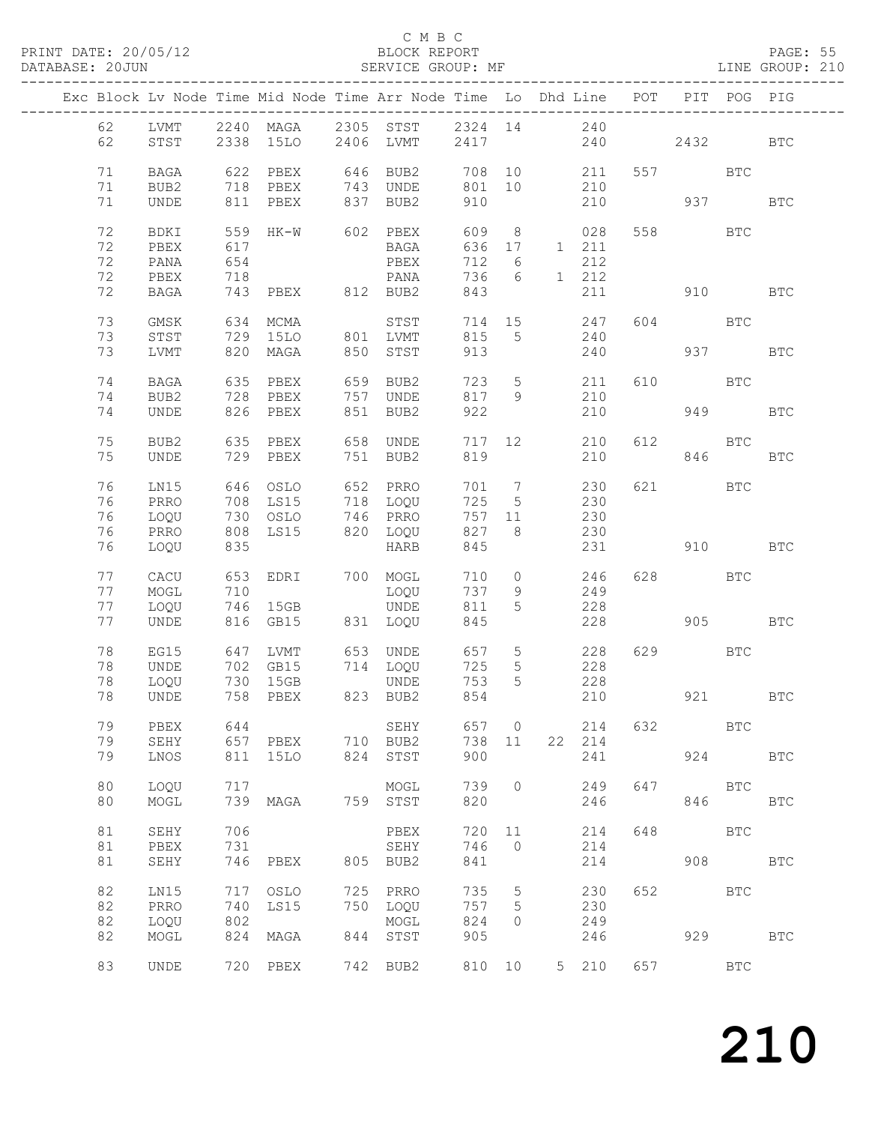### C M B C<br>BLOCK REPORT

| DATABASE: 20JUN |    |    |               |     | SERVICE GROUP: MF LINE GROUP: 210                                              |                      |             |                |             |                                                                                   |         |            |            |              |  |
|-----------------|----|----|---------------|-----|--------------------------------------------------------------------------------|----------------------|-------------|----------------|-------------|-----------------------------------------------------------------------------------|---------|------------|------------|--------------|--|
|                 |    |    |               |     | Exc Block Lv Node Time Mid Node Time Arr Node Time Lo Dhd Line POT PIT POG PIG |                      |             |                |             |                                                                                   |         |            |            |              |  |
|                 |    | 62 |               |     | LVMT 2240 MAGA 2305 STST                                                       |                      | 2324 14 240 |                |             |                                                                                   |         |            |            |              |  |
|                 | 62 |    |               |     | STST 2338 15LO                                                                 | 2406 LVMT 2417 240   |             |                |             |                                                                                   |         | 2432       |            | <b>BTC</b>   |  |
|                 | 71 |    |               |     | BAGA 622 PBEX 646 BUB2 708 10                                                  |                      |             |                |             | 211                                                                               |         | 557 BTC    |            |              |  |
|                 | 71 |    | BUB2 718 PBEX |     |                                                                                | 743 UNDE 801 10 210  |             |                |             |                                                                                   |         |            |            |              |  |
|                 | 71 |    | UNDE          |     | 811 PBEX                                                                       | 837 BUB2             | 910         |                |             | 210                                                                               | 937     |            |            | <b>BTC</b>   |  |
|                 | 72 |    | BDKI          |     | 559 HK-W 602 PBEX                                                              |                      |             |                | 609 8       | 028                                                                               |         | 558 BTC    |            |              |  |
|                 | 72 |    | PBEX          | 617 |                                                                                | <b>BAGA</b>          | 636 17      |                |             | 1 211                                                                             |         |            |            |              |  |
|                 | 72 |    | PANA          | 654 |                                                                                | PBEX                 | 712 6       |                |             | 212                                                                               |         |            |            |              |  |
|                 | 72 |    | PBEX          | 718 |                                                                                | PANA                 |             |                | 736 6 1 212 |                                                                                   |         |            |            |              |  |
|                 | 72 |    | BAGA          |     |                                                                                |                      | 843         |                |             | 211                                                                               |         | 910        |            | <b>BTC</b>   |  |
|                 | 73 |    | GMSK          |     | 634 MCMA                                                                       | STST                 |             |                | 714 15 247  |                                                                                   |         | 604 BTC    |            |              |  |
|                 | 73 |    | STST          |     | 729 15LO                                                                       | 801 LVMT             | 815 5       |                |             | 240                                                                               |         |            |            |              |  |
|                 | 73 |    | LVMT          |     | 820 MAGA                                                                       | 850 STST             | 913         |                |             | 240                                                                               | 937     |            |            | <b>BTC</b>   |  |
|                 |    |    |               |     |                                                                                |                      |             |                |             |                                                                                   |         |            |            |              |  |
|                 | 74 |    | BAGA          |     | 635 PBEX                                                                       | 659 BUB2             | 723         |                | $5 - 5$     | 211                                                                               |         | 610 BTC    |            |              |  |
|                 | 74 |    | BUB2          |     | 728 PBEX                                                                       | 757 UNDE             | 817 9       |                |             | 210                                                                               |         |            |            |              |  |
|                 | 74 |    | UNDE          |     | 826 PBEX                                                                       | 851 BUB2             | 922         |                |             | 210                                                                               |         | 949        |            | <b>BTC</b>   |  |
|                 | 75 |    | BUB2          |     | 635 PBEX                                                                       | 658 UNDE             |             |                | 717 12      | 210                                                                               |         | 612 BTC    |            |              |  |
|                 | 75 |    | UNDE          |     | 729 PBEX                                                                       | 751 BUB2             | 819         |                |             | 210                                                                               |         | 846        |            | <b>BTC</b>   |  |
|                 | 76 |    | LN15          |     | 646 OSLO                                                                       | 652 PRRO             | 701 7       |                |             | 230                                                                               |         | 621 7      | BTC        |              |  |
|                 | 76 |    | PRRO          |     | 708 LS15                                                                       | 718 LOQU             | 725         |                | $5 - 5$     | 230                                                                               |         |            |            |              |  |
|                 | 76 |    | LOQU          |     | 730 OSLO                                                                       |                      |             |                | 757 11      | 230                                                                               |         |            |            |              |  |
|                 | 76 |    | PRRO          |     | 808 LS15                                                                       | 746 PRRO<br>820 LOQU | 827 8       |                |             | 230                                                                               |         |            |            |              |  |
|                 | 76 |    | LOQU          | 835 |                                                                                | HARB                 | 845         |                |             | 231                                                                               | 910 BTC |            |            |              |  |
|                 |    |    |               |     |                                                                                |                      |             |                |             |                                                                                   |         |            |            |              |  |
|                 | 77 |    | CACU          |     | 653 EDRI 700 MOGL                                                              |                      | 710         | $\overline{0}$ |             | 246                                                                               |         | 628 BTC    |            |              |  |
|                 | 77 |    | MOGL          | 710 |                                                                                | LOQU                 | 737         | 9              |             | 249                                                                               |         |            |            |              |  |
|                 | 77 |    | LOQU          |     | 746 15GB                                                                       | UNDE                 | 811         | 5 <sub>5</sub> |             | 228                                                                               |         |            |            |              |  |
|                 | 77 |    | UNDE          |     | 816 GB15                                                                       | 831 LOQU             | 845         |                |             |                                                                                   | 228 905 |            |            | <b>BTC</b>   |  |
|                 | 78 |    | EG15<br>UNDE  |     | 647 LVMT 653 UNDE 657<br>702 GB15 714 LOQU 725                                 |                      |             |                |             | $\begin{array}{ccc} 5 & \hspace{1.5cm} 228 \\ 5 & \hspace{1.5cm} 228 \end{array}$ |         | 629 BTC    |            |              |  |
|                 | 78 |    | UNDE          |     | 702 GB15                                                                       |                      |             |                |             |                                                                                   |         |            |            |              |  |
|                 |    | 78 | LOQU 730 15GB |     |                                                                                | UNDE                 | 753         |                | $5^{\circ}$ | 228                                                                               |         |            |            |              |  |
|                 |    | 78 | UNDE          |     | 758 PBEX                                                                       | 823 BUB2             | 854         |                |             | 210                                                                               |         | 921        |            | $_{\rm BTC}$ |  |
|                 |    | 79 | PBEX          | 644 |                                                                                | SEHY                 | 657 0       |                |             | 214                                                                               | 632     | <b>BTC</b> |            |              |  |
|                 |    | 79 | SEHY          |     | 657 PBEX                                                                       | 710 BUB2             | 738 11      |                |             | 22 214                                                                            |         |            |            |              |  |
|                 |    | 79 | LNOS          |     | 811 15LO                                                                       | 824 STST             | 900         |                |             | 241                                                                               |         |            | 924 BTC    |              |  |
|                 | 80 |    | LOQU          | 717 |                                                                                | MOGL                 | 739         | $\circ$        |             | 249                                                                               | 647     |            | <b>BTC</b> |              |  |
|                 | 80 |    | MOGL          |     | 739 MAGA                                                                       | 759 STST             | 820         |                |             | 246                                                                               |         |            | 846        | $_{\rm BTC}$ |  |
|                 |    |    |               |     |                                                                                |                      |             |                |             |                                                                                   |         |            |            |              |  |
|                 | 81 |    | SEHY          | 706 |                                                                                | PBEX                 |             | 720 11         |             | 214                                                                               | 648     |            | BTC        |              |  |

81 PBEX 731 SEHY 746 0 214

82 PRRO 740 LS15 750 LOQU 757 5 230

82 LOQU 802 MOGL 824 0 249

82 LN15 717 OSLO 725 PRRO 735 5 230 652 BTC

82 MOGL 824 MAGA 844 STST 905 246 929 BTC

83 UNDE 720 PBEX 742 BUB2 810 10 5 210 657 BTC

808 BTC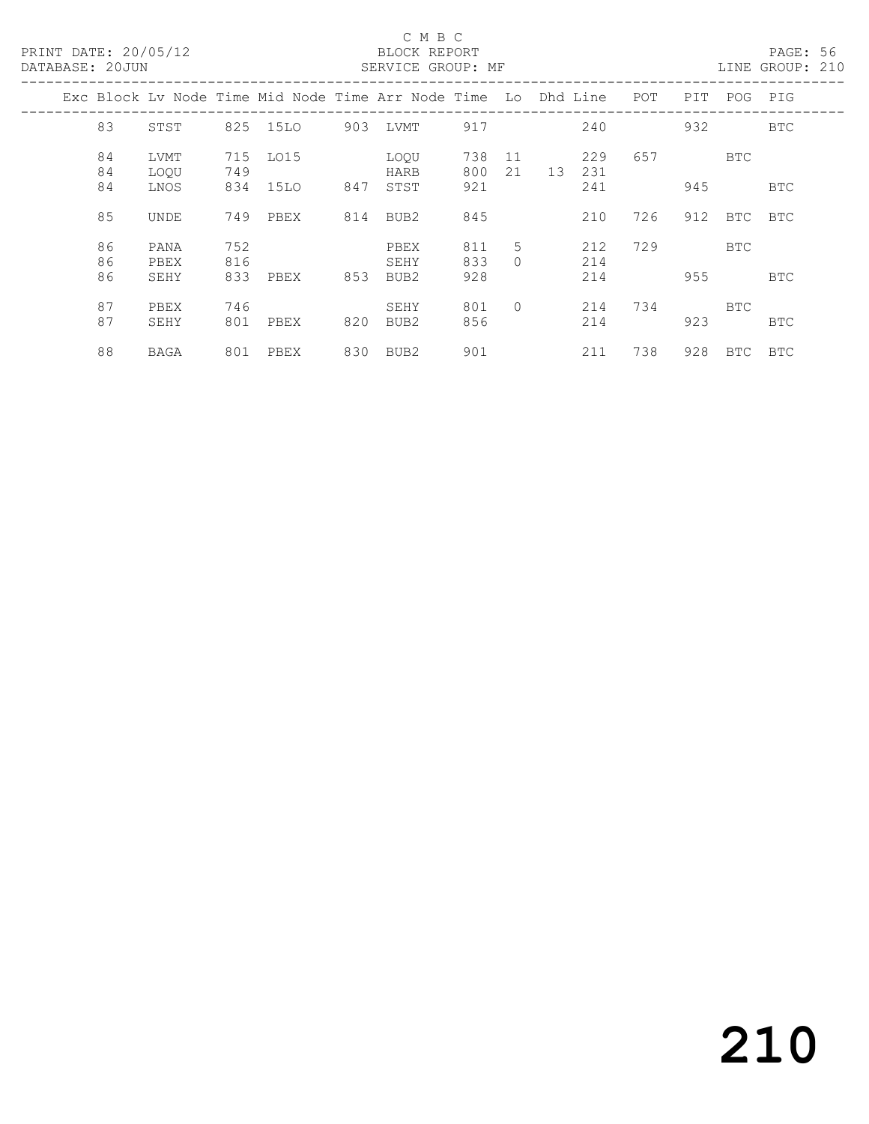### C M B C<br>BLOCK REPORT

PAGE: 56<br>LINE GROUP: 210

|  |          |              |            |          |     | Exc Block Ly Node Time Mid Node Time Arr Node Time Lo Dhd Line |            |               |    |            | POT | PIT | POG        | PIG        |
|--|----------|--------------|------------|----------|-----|----------------------------------------------------------------|------------|---------------|----|------------|-----|-----|------------|------------|
|  | 83       | STST         |            | 825 15LO | 903 | LVMT                                                           | 917        |               |    | 240        |     | 932 |            | BTC        |
|  | 84<br>84 | LVMT<br>LOOU | 715<br>749 | LO15     |     | LOOU<br>HARB                                                   | 738<br>800 | -11<br>21     | 13 | 229<br>231 | 657 |     | BTC        |            |
|  | 84       | LNOS         | 834        | 15LO     | 847 | STST                                                           | 921        |               |    | 241        |     | 945 |            | BTC        |
|  | 85       | UNDE         | 749        | PBEX     | 814 | BUB2                                                           | 845        |               |    | 210        | 726 | 912 | BTC        | BTC        |
|  | 86<br>86 | PANA<br>PBEX | 752<br>816 |          |     | PBEX<br>SEHY                                                   | 811<br>833 | 5<br>$\Omega$ |    | 212<br>214 | 729 |     | BTC        |            |
|  | 86       | SEHY         | 833        | PBEX     | 853 | BUB2                                                           | 928        |               |    | 214        |     | 955 |            | BTC        |
|  | 87<br>87 | PBEX<br>SEHY | 746<br>801 | PBEX     | 820 | SEHY<br>BUB2                                                   | 801<br>856 | $\bigcap$     |    | 214<br>214 | 734 | 923 | <b>BTC</b> | BTC        |
|  | 88       | BAGA         | 801        | PBEX     | 830 | BUB2                                                           | 901        |               |    | 211        | 738 | 928 | BTC        | <b>BTC</b> |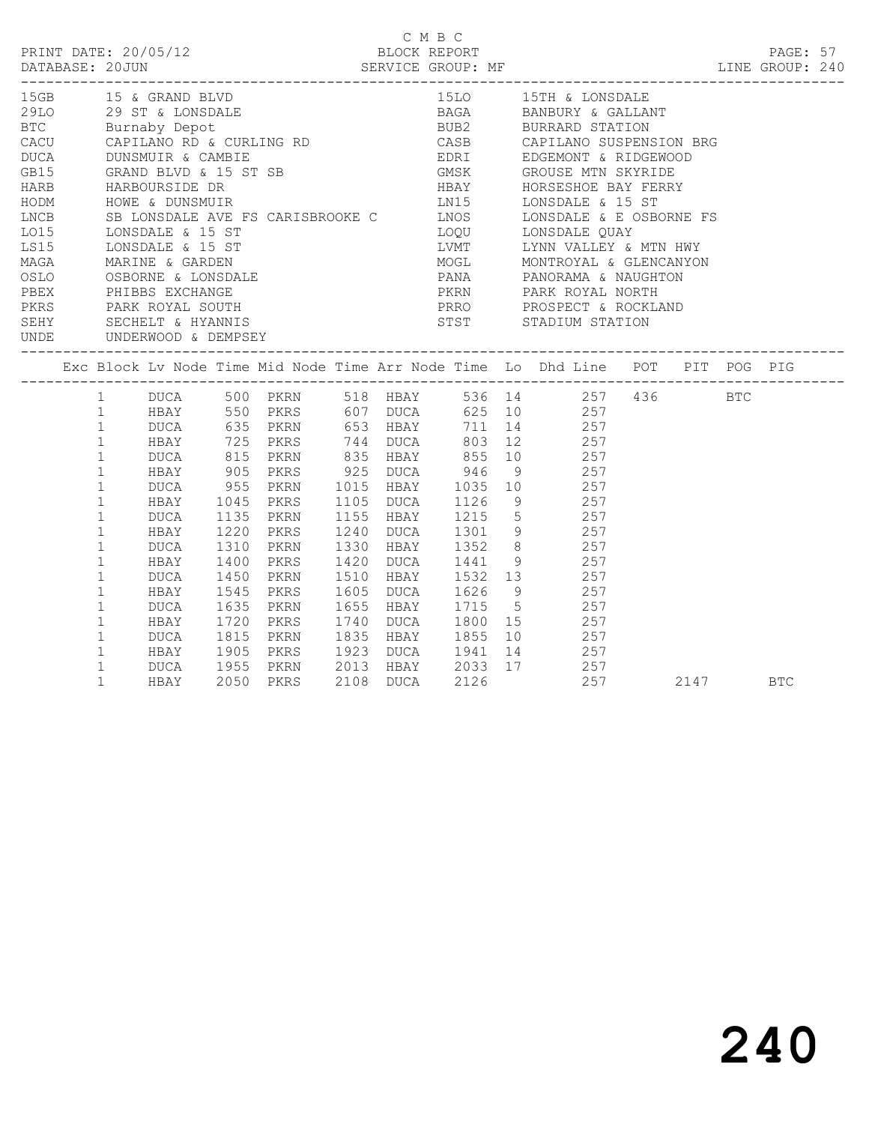| PRINT DATE: 20/05/12<br>DATABASE: 20JUN SERVICE GROUP: MF EXAMPLE PARABASE: 20JUN SERVICE GROUP: MF LINE GROUP: 240                                                                                                                                                                                                                                                                                                                                                                                                                                                                                                                                                                   |                                                                                                                                                                                                                                                            |                                                                                                                    |                      |                                                                  |  | C M B C<br>BLOCK REPORT |                                                                                                                                                                                                                                                                                                                                                                                                                                                                                                                                                         |     |          | PAGE: 57 |  |
|---------------------------------------------------------------------------------------------------------------------------------------------------------------------------------------------------------------------------------------------------------------------------------------------------------------------------------------------------------------------------------------------------------------------------------------------------------------------------------------------------------------------------------------------------------------------------------------------------------------------------------------------------------------------------------------|------------------------------------------------------------------------------------------------------------------------------------------------------------------------------------------------------------------------------------------------------------|--------------------------------------------------------------------------------------------------------------------|----------------------|------------------------------------------------------------------|--|-------------------------|---------------------------------------------------------------------------------------------------------------------------------------------------------------------------------------------------------------------------------------------------------------------------------------------------------------------------------------------------------------------------------------------------------------------------------------------------------------------------------------------------------------------------------------------------------|-----|----------|----------|--|
| 15GB 15 & GRAND BLVD<br>29<br>29 30 29 ST & LONSDALE<br>BORGA BANBURY & GALLANT<br>BUB2 BURRARD STATION<br>CACU CAPILANO RD & CURLING RD CASB CAPILANO SUSPENSION BRG<br>HARB HARBOURSIDE DR<br>HODM HOWE & DUNSMUIR<br>LONS SB LONSDALE AVE FS CARISBROOKE C<br>LONS LONSDALE & 15 ST<br>LONSDALE & 15 ST<br>LONSDALE & 15 ST<br>LONSDALE & 15 ST<br>LONSDALE & 15 ST<br>LONSDALE & 15 ST<br>LONSDALE & 15 ST<br>LONSDALE<br>MAGA MARINE & GARDEN<br>OSLO OSBORNE & LONSDALE<br>PEEX<br>PHIBBS EXCHANGE<br>PEEX<br>PHIBBS EXCHANGE<br>PERS<br>PARK ROYAL SOUTH<br>SECHELT & HYANNIS<br>SECHELT & HYANNIS<br>SECHELT & HYANNIS<br>TERRO PROSPECT & ROCKLAND<br>PERS<br>PERRO PROSPECT |                                                                                                                                                                                                                                                            |                                                                                                                    |                      |                                                                  |  |                         | 15LO 15TH & LONSDALE<br>MOGL               MONTROYAL  &  GLENCANYON<br>PANA                 PANORAMA  &  NAUGHTON<br>PKRN                   PARK  ROYAL  NORTH                                                                                                                                                                                                                                                                                                                                                                                          |     |          |          |  |
|                                                                                                                                                                                                                                                                                                                                                                                                                                                                                                                                                                                                                                                                                       |                                                                                                                                                                                                                                                            |                                                                                                                    |                      |                                                                  |  |                         |                                                                                                                                                                                                                                                                                                                                                                                                                                                                                                                                                         |     |          |          |  |
|                                                                                                                                                                                                                                                                                                                                                                                                                                                                                                                                                                                                                                                                                       | $\mathbf 1$<br>$\mathbf{1}$<br>$\mathbf{1}$<br>$\mathbf{1}$<br>$\mathbf{1}$<br>$\mathbf{1}$<br>$\mathbf{1}$<br>$\mathbf{1}$<br>$\mathbf 1$<br>$\mathbf{1}$<br>$\mathbf{1}$<br>$\mathbf{1}$<br>$\mathbf{1}$<br>$\mathbf{1}$<br>$\mathbf{1}$<br>$\mathbf{1}$ | DUCA<br>HBAY 1220 PKRS<br>DUCA 1310 PKRN<br>HBAY<br>DUCA<br>HBAY<br>DUCA<br>HBAY<br>DUCA 1815 PKRN<br>DUCA<br>HBAY | 1135<br>1400<br>1720 | PKRS<br>1450 PKRN<br>1545 PKRS<br>1635 PKRN<br>PKRS<br>2050 PKRS |  |                         | 1 DUCA 500 PKRN 518 HBAY 536 14 257 436 BTC<br>1 HBAY 550 PKRS 607 DUCA 625 10 257<br>1 DUCA 635 PKRN 653 HBAY 711 14 257<br>1 HBAY 725 PKRS 744 DUCA 803 12 257<br>DUCA 815 PKRN 835 HBAY 855 10 257<br>HBAY 905 PKRS 925 DUCA 946 9 257<br>DUCA 955 PKRN 1015 HBAY 1035 10 257<br>HBAY 1045 PKRS 1105 DUCA 1126 9 257<br>PKRN 1155 HBAY 1215 5 257<br>PKRS 1240 DUCA 1301 9 257<br>PKRN 1330 HBAY 1352 8 257<br>1420 DUCA 1441 9 257<br>1510 HBAY 1532 13 257<br>1605 DUCA 1626 9 257<br>1655 HBAY 1715 5 257<br>HBAY 1905 PKRS 1923 DUCA 1941 14 257 | 257 | 2147 BTC |          |  |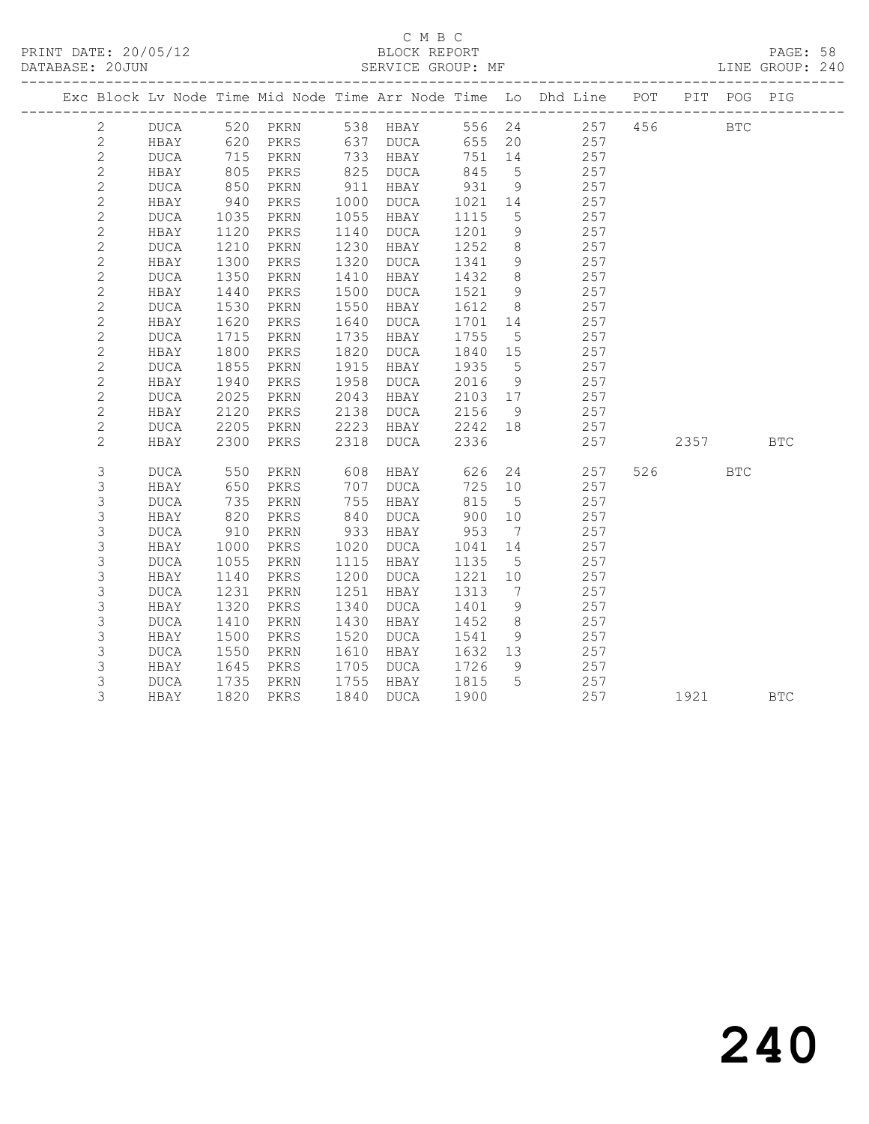# C M B C<br>BLOCK REPORT

PAGE: 58<br>LINE GROUP: 240

|  |                     |             |              |      |              |                      |         |                 | Exc Block Lv Node Time Mid Node Time Arr Node Time Lo Dhd Line POT PIT POG PIG |          |            |            |
|--|---------------------|-------------|--------------|------|--------------|----------------------|---------|-----------------|--------------------------------------------------------------------------------|----------|------------|------------|
|  | $\overline{2}$      |             |              |      |              |                      |         |                 | DUCA 520 PKRN 538 HBAY 556 24 257 456<br>HBAY 620 PKRS 637 DUCA 655 20 257     |          | <b>BTC</b> |            |
|  | $\mathbf{2}$        |             |              |      |              |                      |         |                 |                                                                                |          |            |            |
|  | $\mathbf{2}$        | DUCA        | 715          | PKRN |              | 733 HBAY             | 751 14  |                 | 257                                                                            |          |            |            |
|  | $\overline{2}$      | HBAY        | 805          | PKRS |              | 825 DUCA             | 845     | $5^{\circ}$     | 257                                                                            |          |            |            |
|  | $\mathbf{2}$        | DUCA        | 850<br>940   | PKRN | 911          | HBAY                 | 931     | 9               | 257                                                                            |          |            |            |
|  | $\mathbf{2}$        | HBAY        |              | PKRS | 1000         | DUCA                 | 1021    | 14              | 257                                                                            |          |            |            |
|  | $\mathbf{2}$        | DUCA        | 1035         | PKRN | 1055         | HBAY                 | 1115    | $5\overline{)}$ | 257                                                                            |          |            |            |
|  | $\mathbf{2}$        | HBAY        | 1120         | PKRS | 1140         | DUCA                 | 1201    | 9               | 257                                                                            |          |            |            |
|  | $\mathbf{2}$        | DUCA        | 1210         | PKRN | 1230         | HBAY                 | 1252    | 8 <sup>8</sup>  | 257                                                                            |          |            |            |
|  | $\mathbf{2}$        | HBAY        | 1300         | PKRS | 1320         | DUCA                 | 1341    | 9               | 257                                                                            |          |            |            |
|  | $\mathbf{2}$        | DUCA        | 1350         | PKRN | 1410         | HBAY                 | 1432    | 8 <sup>8</sup>  | 257                                                                            |          |            |            |
|  | $\mathbf{2}$        | HBAY        | 1440         | PKRS | 1500         | DUCA                 | 1521    | 9               | 257                                                                            |          |            |            |
|  | $\mathbf{2}$        | <b>DUCA</b> | 1530         | PKRN | 1550         | HBAY                 | 1612    | 8 <sup>8</sup>  | 257                                                                            |          |            |            |
|  | $\mathbf{2}$        | HBAY        | 1620         | PKRS | 1640         | DUCA                 | 1701 14 |                 | 257                                                                            |          |            |            |
|  | $\mathbf{2}$        | <b>DUCA</b> | 1715         | PKRN | 1735         | HBAY                 | 1755    | $5\overline{)}$ | 257                                                                            |          |            |            |
|  | $\mathbf{2}$        | HBAY        | 1800         | PKRS | 1820         | DUCA                 | 1840    | 15              | 257                                                                            |          |            |            |
|  | $\mathbf{2}$        | DUCA        | 1855         | PKRN | 1915         | HBAY                 | 1935    | $5^{\circ}$     | 257                                                                            |          |            |            |
|  | $\mathbf{2}$        | HBAY        | 1940         | PKRS | 1958         | DUCA                 | 2016    | 9               | 257                                                                            |          |            |            |
|  | $\mathbf{2}$        | DUCA        | 2025         | PKRN | 2043         | HBAY                 | 2103 17 |                 | 257                                                                            |          |            |            |
|  | $\mathbf{2}$        | HBAY        | 2120         | PKRS | 2138         | DUCA<br>HBAY 2242 18 | 2156    | 9               | 257<br>257                                                                     |          |            |            |
|  | $\overline{c}$<br>2 | DUCA        | 2205<br>2300 | PKRN | 2223<br>2318 | DUCA                 | 2336    |                 | 257                                                                            | 2357 BTC |            |            |
|  |                     | HBAY        |              | PKRS |              |                      |         |                 |                                                                                |          |            |            |
|  | 3                   | <b>DUCA</b> | 550          | PKRN | 608          | <b>HBAY</b>          | 626     |                 | 24<br>257                                                                      | 526      | <b>BTC</b> |            |
|  | $\mathsf 3$         | HBAY        | 650          | PKRS | 707          | DUCA                 | 725 10  |                 | 257                                                                            |          |            |            |
|  | 3                   | <b>DUCA</b> | 735          | PKRN | 755          | HBAY                 | 815     | $5^{\circ}$     | 257                                                                            |          |            |            |
|  | 3                   | HBAY        | 820          | PKRS | 840          | DUCA                 | 900     | 10              | 257                                                                            |          |            |            |
|  | $\mathsf 3$         | DUCA        | 910          | PKRN | 933          | HBAY                 | 953     | $\overline{7}$  | 257                                                                            |          |            |            |
|  | $\mathsf 3$         | HBAY        | 1000         | PKRS | 1020         | DUCA                 | 1041    | 14              | 257                                                                            |          |            |            |
|  | 3                   | DUCA        | 1055         | PKRN | 1115         | HBAY                 | 1135    | $5^{\circ}$     | 257                                                                            |          |            |            |
|  | 3                   | HBAY        | 1140         | PKRS | 1200         | DUCA                 | 1221 10 |                 | 257                                                                            |          |            |            |
|  | $\mathsf 3$         | <b>DUCA</b> | 1231         | PKRN | 1251         | HBAY                 | 1313    | $\overline{7}$  | 257                                                                            |          |            |            |
|  | $\mathsf 3$         | HBAY        | 1320         | PKRS | 1340         | DUCA                 | 1401    | 9               | 257                                                                            |          |            |            |
|  | $\mathsf 3$         | <b>DUCA</b> | 1410         | PKRN | 1430         | HBAY                 | 1452    | 8 <sup>8</sup>  | 257                                                                            |          |            |            |
|  | 3                   | HBAY        | 1500         | PKRS | 1520         | DUCA                 | 1541    | 9               | 257                                                                            |          |            |            |
|  | $\mathsf S$         | DUCA        | 1550         | PKRN | 1610         | HBAY                 | 1632 13 |                 | 257                                                                            |          |            |            |
|  | $\mathsf 3$         | HBAY        | 1645         | PKRS | 1705         | DUCA                 | 1726    | 9               | 257                                                                            |          |            |            |
|  | 3                   | DUCA        | 1735         | PKRN |              | 1755 HBAY            | 1815    | $5^{\circ}$     | 257                                                                            |          |            |            |
|  | 3                   | HBAY        | 1820         | PKRS |              | 1840 DUCA            | 1900    |                 | 257                                                                            | 1921     |            | <b>BTC</b> |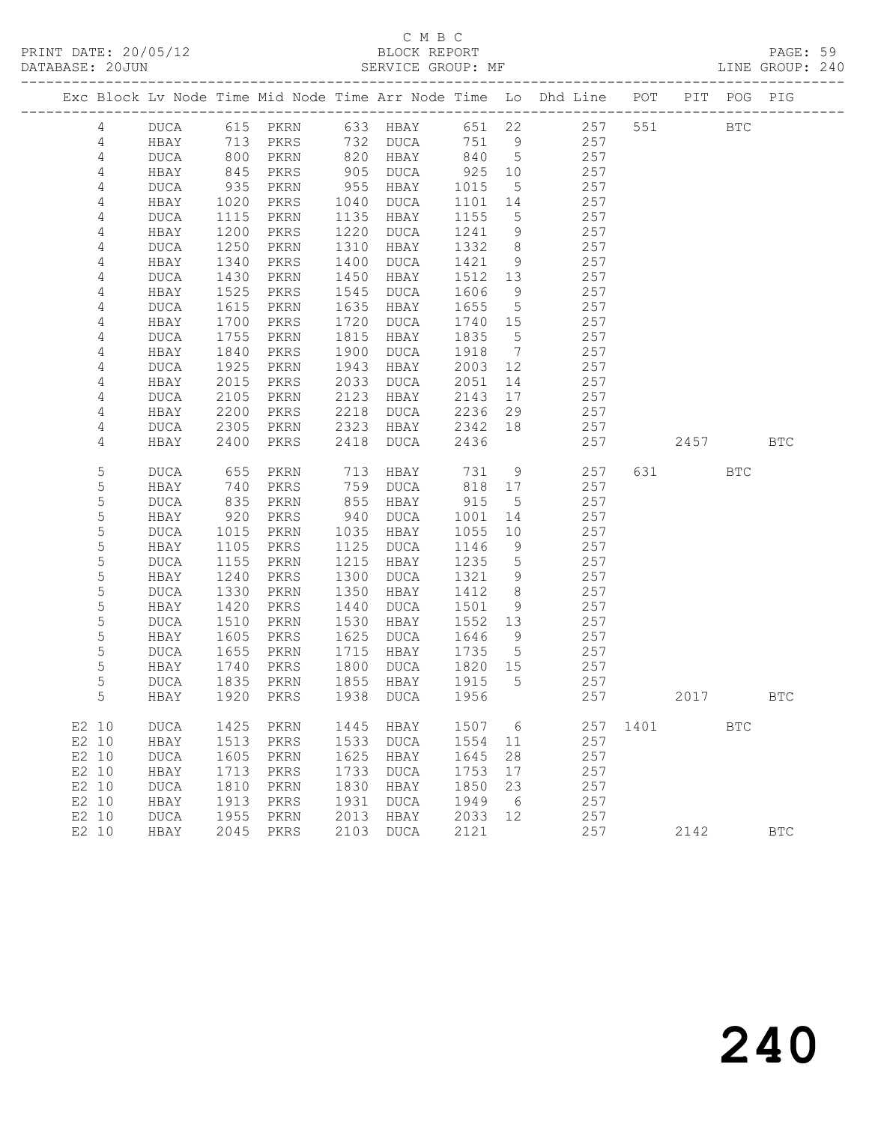# C M B C

| DATABASE: 20JUN |              |                   |              |                | SERVICE GROUP: MF |                 |                 |                                                                                |              |                                                                        |            | LINE GROUP: 240 |
|-----------------|--------------|-------------------|--------------|----------------|-------------------|-----------------|-----------------|--------------------------------------------------------------------------------|--------------|------------------------------------------------------------------------|------------|-----------------|
|                 |              |                   |              |                |                   |                 |                 | Exc Block Lv Node Time Mid Node Time Arr Node Time Lo Dhd Line POT PIT POG PIG |              |                                                                        |            |                 |
| 4               |              |                   |              |                |                   |                 |                 | DUCA 615 PKRN 633 HBAY 651 22 257 551 BTC                                      |              |                                                                        |            |                 |
| 4               | HBAY         | 713               |              |                | PKRS 732 DUCA     |                 |                 | 751 9<br>257                                                                   |              |                                                                        |            |                 |
| 4               | DUCA         | 800<br>845<br>935 | PKRN         |                | 820 HBAY          | 840 5           |                 | 257                                                                            |              |                                                                        |            |                 |
| $\overline{4}$  | HBAY         |                   | PKRS         |                | 905 DUCA          | 925             | 10              | 257                                                                            |              |                                                                        |            |                 |
| 4               | DUCA         |                   | PKRN         | 955            | HBAY              | 1015            | $5\overline{)}$ | 257                                                                            |              |                                                                        |            |                 |
| 4               | HBAY         | 1020              | PKRS         | 1040           | DUCA              | 1101            | 14              | 257                                                                            |              |                                                                        |            |                 |
| 4               | DUCA         | 1115              | PKRN         | 1135           | HBAY              | 1155            | $5\overline{)}$ | 257                                                                            |              |                                                                        |            |                 |
| 4               | HBAY         | 1200              | PKRS         | 1220           | DUCA              | 1241            | 9               | 257                                                                            |              |                                                                        |            |                 |
| 4               | DUCA         | 1250              | PKRN         | 1310<br>1400   | HBAY              | 1332            | 8 <sup>8</sup>  | 257                                                                            |              |                                                                        |            |                 |
| 4               | HBAY         | 1340              | PKRS         |                | DUCA              | 1421            | 9               | 257<br>257                                                                     |              |                                                                        |            |                 |
| 4<br>4          | DUCA<br>HBAY | 1430<br>1525      | PKRN<br>PKRS | 1450<br>1545   | HBAY<br>DUCA      | 1512<br>1606    | 13<br>9         | 257                                                                            |              |                                                                        |            |                 |
| $\sqrt{4}$      | DUCA         | 1615              | PKRN         | 1635           | HBAY              | 1655            | $5\overline{)}$ | 257                                                                            |              |                                                                        |            |                 |
| 4               | HBAY         | 1700              | PKRS         | 1720           | DUCA              | 1740 15         |                 | 257                                                                            |              |                                                                        |            |                 |
| 4               | DUCA         | 1755              | PKRN         | 1815           | HBAY              | 1835            | $5\overline{)}$ | 257                                                                            |              |                                                                        |            |                 |
| 4               | HBAY         | 1840              | PKRS         | 1900           | DUCA              | 1918            | $\overline{7}$  | 257                                                                            |              |                                                                        |            |                 |
| 4               | DUCA         | 1925              | PKRN         | 1943           | HBAY              | 2003            | 12              | 257                                                                            |              |                                                                        |            |                 |
| 4               | HBAY         | 2015              | PKRS         | 2033           | DUCA              | 2051            | 14              | 257                                                                            |              |                                                                        |            |                 |
| 4               | DUCA         | 2105              | PKRN         | 2123           | HBAY              | 2143            | 17              | 257                                                                            |              |                                                                        |            |                 |
| 4               | HBAY         | 2200              | PKRS         | 2218           | DUCA              | 2236            | 29              | 257                                                                            |              |                                                                        |            |                 |
| 4               | DUCA         | 2305              | PKRN         | 2323           | HBAY              | 2342            | 18              | 257                                                                            |              |                                                                        |            |                 |
| 4               | HBAY         | 2400              | PKRS         | 2418           | DUCA              | 2436            |                 | 257                                                                            |              | 2457                                                                   |            | <b>BTC</b>      |
| 5               | DUCA         | 655               | PKRN         | $713$<br>$759$ | HBAY              | 731             | 9               | 257                                                                            |              | 631 631 632 632 633 633 633 633 633 633 634 635 637 638 638 638 638 64 | <b>BTC</b> |                 |
| 5               | HBAY         | 740               | PKRS         | 759            | DUCA              | 818 17          |                 | 257                                                                            |              |                                                                        |            |                 |
| 5               | DUCA         | 835               | PKRN         | 855            | HBAY              | 915             | $5^{\circ}$     | 257                                                                            |              |                                                                        |            |                 |
| 5               | HBAY         | 920               | PKRS         | 940            | DUCA              | 1001            | 14              | 257                                                                            |              |                                                                        |            |                 |
| 5               | DUCA         | 1015              | PKRN         | 1035           | HBAY              | 1055            | 10              | 257                                                                            |              |                                                                        |            |                 |
| 5               | HBAY         | 1105              | PKRS         | 1125           | DUCA              | 1146            | 9               | 257                                                                            |              |                                                                        |            |                 |
| 5               | DUCA         | 1155              | PKRN         | 1215           | HBAY              | 1235            | $5\overline{)}$ | 257                                                                            |              |                                                                        |            |                 |
| 5               | HBAY         | 1240              | PKRS         | 1300           | DUCA              | 1321            | 9               | 257                                                                            |              |                                                                        |            |                 |
| 5               | DUCA         | 1330              | PKRN         | 1350           | HBAY              | 1412            | 8 <sup>8</sup>  | 257                                                                            |              |                                                                        |            |                 |
| 5               | HBAY         | 1420              | PKRS         | 1440           | DUCA              | 1501            | 9               | 257                                                                            |              |                                                                        |            |                 |
| 5               | DUCA         | 1510              | PKRN         | 1530           | HBAY              | 1552 13         |                 | 257                                                                            |              |                                                                        |            |                 |
| 5               | HBAY         | 1605              | PKRS         | 1625           | DUCA              | 1646            | $\overline{9}$  | 257                                                                            |              |                                                                        |            |                 |
| 5<br>5          | DUCA<br>HBAY | 1655              | PKRN         | 1715<br>1800   | HBAY              | 1735<br>1820 15 | $5^{\circ}$     | 257<br>257                                                                     |              |                                                                        |            |                 |
| 5               | DUCA         | 1740<br>1835      | PKRS<br>PKRN |                | DUCA<br>1855 HBAY | 1915            | $5^{\circ}$     | 257                                                                            |              |                                                                        |            |                 |
| 5               |              |                   |              |                |                   |                 |                 | HBAY 1920 PKRS 1938 DUCA 1956 257 2017                                         |              |                                                                        |            | <b>BTC</b>      |
| E2 10           | DUCA         | 1425              | PKRN         | 1445           | HBAY              | 1507 6          |                 |                                                                                | 257 1401 BTC |                                                                        |            |                 |
| E2 10           | HBAY         | 1513              | PKRS         | 1533           | DUCA              | 1554            | 11              | 257                                                                            |              |                                                                        |            |                 |
| E2 10           | <b>DUCA</b>  | 1605              | PKRN         | 1625           | HBAY              | 1645            | 28              | 257                                                                            |              |                                                                        |            |                 |
| E2 10           | HBAY         | 1713              | PKRS         | 1733           | DUCA              | 1753            | 17              | 257                                                                            |              |                                                                        |            |                 |
| E2 10           | <b>DUCA</b>  | 1810              | PKRN         | 1830           | HBAY              | 1850            | 23              | 257                                                                            |              |                                                                        |            |                 |
| E2 10           | HBAY         | 1913              | PKRS         | 1931           | <b>DUCA</b>       | 1949            | 6               | 257                                                                            |              |                                                                        |            |                 |
| E2 10           | <b>DUCA</b>  | 1955              | PKRN         | 2013           | HBAY              | 2033 12         |                 | 257                                                                            |              |                                                                        |            |                 |
| E2 10           | HBAY         |                   | 2045 PKRS    | 2103           | DUCA              | 2121            |                 | 257                                                                            |              | 2142                                                                   |            | $_{\rm BTC}$    |
|                 |              |                   |              |                |                   |                 |                 |                                                                                |              |                                                                        |            |                 |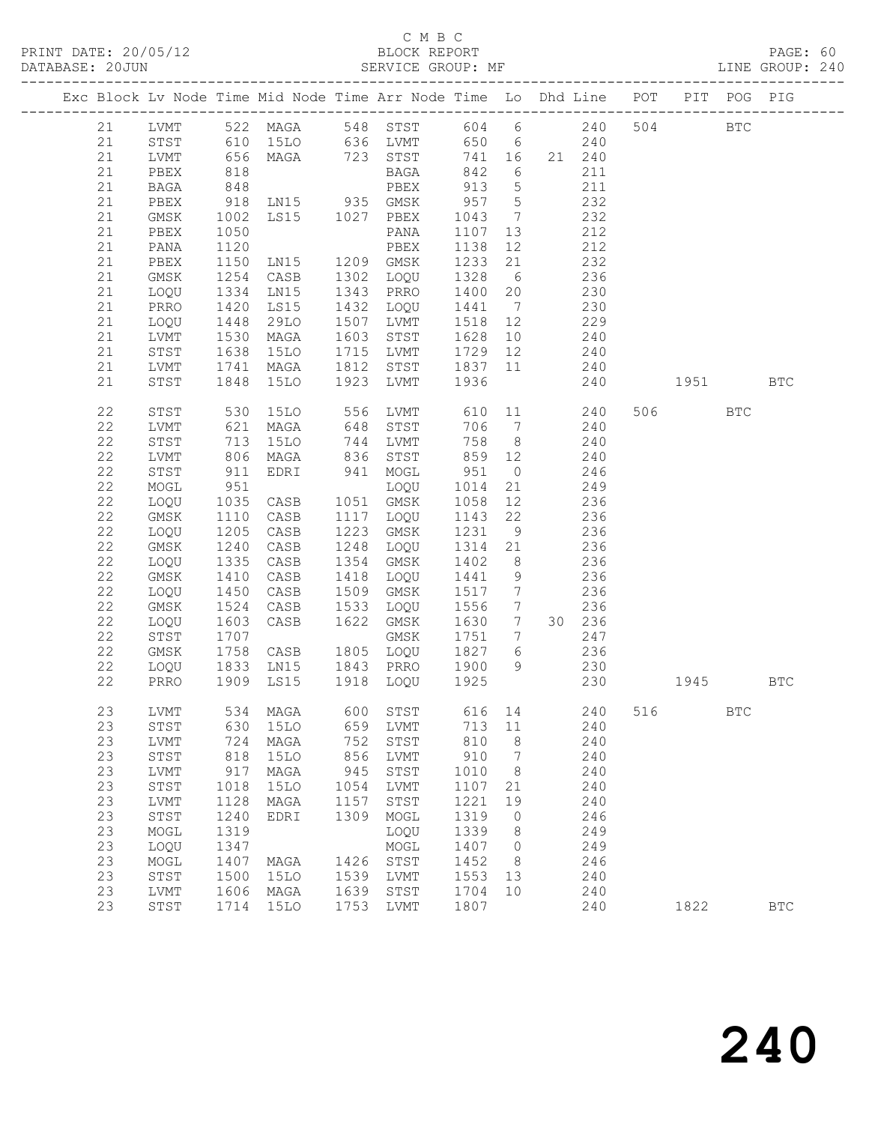# C M B C<br>BLOCK REPORT

PAGE: 60<br>LINE GROUP: 240

|  |          |              |                  | Exc Block Lv Node Time Mid Node Time Arr Node Time Lo Dhd Line POT         |      |                       |                 |                     |            |                 |     |          | PIT POG PIG  |            |
|--|----------|--------------|------------------|----------------------------------------------------------------------------|------|-----------------------|-----------------|---------------------|------------|-----------------|-----|----------|--------------|------------|
|  |          |              |                  | 21 LVMT 522 MAGA 548 STST 604 6 240<br>21 STST 610 15LO 636 LVMT 650 6 240 |      |                       |                 |                     |            |                 |     | 504 BTC  |              |            |
|  |          |              |                  |                                                                            |      |                       |                 |                     |            |                 |     |          |              |            |
|  | 21       | LVMT         |                  | 656 MAGA 723 STST                                                          |      |                       | 741 16 21 240   |                     |            |                 |     |          |              |            |
|  | 21       | PBEX         | 818              |                                                                            |      | BAGA                  | 842 6           |                     |            | 211             |     |          |              |            |
|  | 21       | BAGA         |                  |                                                                            |      |                       |                 |                     |            | 211             |     |          |              |            |
|  | 21       | PBEX         | 848<br>918       |                                                                            |      |                       | 913 5<br>957 5  |                     |            | 232             |     |          |              |            |
|  | 21       | GMSK         | 1002             |                                                                            |      |                       | 1043            | $7\overline{ }$     |            | 232             |     |          |              |            |
|  | 21       | PBEX         | 1050             |                                                                            |      | PANA                  | 1107            | 13                  |            | 212             |     |          |              |            |
|  | 21       | PANA         | 1120             | PBEX<br>LN15 1209 GMSK                                                     |      |                       | 1138            | 12                  |            | 212             |     |          |              |            |
|  | 21       | PBEX         | 1150             |                                                                            |      |                       | 1233 21         |                     |            | 232             |     |          |              |            |
|  | 21       | GMSK         | 1254             | CASB 1302 LOQU                                                             |      |                       | 1328 6 236      |                     |            |                 |     |          |              |            |
|  | 21       | LOQU         | 1334             | LNI5                                                                       |      | 1343 PRRO             | 1400 20         |                     | 230        |                 |     |          |              |            |
|  | 21       | PRRO         | 1420<br>1448     | LS15                                                                       |      | 1432 LOQU             | 1441 7          |                     |            | 230<br>229      |     |          |              |            |
|  | 21       | LOQU         |                  | 29LO                                                                       |      | 1507 LVMT             | 1518 12         |                     |            |                 |     |          |              |            |
|  | 21       | LVMT         | .<br>1530        | MAGA                                                                       |      | 1603 STST             | 1628 10         |                     | $240$      |                 |     |          |              |            |
|  | 21       | STST         | 1638             | 15LO                                                                       |      | 1715 LVMT 1729 12     |                 |                     | 240        |                 |     |          |              |            |
|  | 21       | LVMT         | 1741             | MAGA                                                                       |      | 1812 STST 1837 11 240 |                 |                     |            |                 |     |          |              |            |
|  | 21       | STST         | 1848             | 15LO                                                                       |      | 1923 LVMT             | 1936            |                     |            | 240             |     | 1951 BTC |              |            |
|  | 22       | STST         |                  | 530 15LO 556 LVMT 610 11 240                                               |      |                       |                 |                     |            |                 |     | 506 700  | BTC          |            |
|  | 22       | LVMT         | 621              | MAGA                                                                       |      | 648 STST              |                 |                     | 706 7 240  |                 |     |          |              |            |
|  | 22       | STST         | 713<br>806       | 15LO                                                                       |      | 744 LVMT<br>836 STST  | 758 8           |                     |            | 240             |     |          |              |            |
|  | 22       | LVMT         |                  | MAGA                                                                       |      |                       | 859 12          |                     |            |                 |     |          |              |            |
|  | 22       | STST         | 911              | EDRI                                                                       |      | 941 MOGL              | 951             |                     | $0 \t 246$ |                 |     |          |              |            |
|  | 22<br>22 | MOGL         | 951              | LOQU<br>CASB 1051 GMSK                                                     |      |                       | 1014            | 21                  | 249        |                 |     |          |              |            |
|  | 22       | LOQU         | $1035$<br>$1110$ | CASB                                                                       |      | 1117 LOQU             | 1058<br>1143 22 | 12                  |            | 236<br>236      |     |          |              |            |
|  | 22       | GMSK<br>LOQU | 1205             | CASB                                                                       |      | 1223 GMSK             | 1231            | 9                   | 236        |                 |     |          |              |            |
|  | 22       | GMSK         | 1240             | CASB                                                                       |      | 1248 LOQU             | 1314            | 21                  |            | 236             |     |          |              |            |
|  | 22       | LOQU         |                  | CASB                                                                       |      | 1354 GMSK             | 1402            | 8 <sup>8</sup>      |            | $\frac{236}{6}$ |     |          |              |            |
|  | 22       | GMSK         | 1335<br>1410     | CASB                                                                       |      | 1418 LOQU             | 1441 9          |                     |            | 236             |     |          |              |            |
|  | 22       | LOQU         | 1450             | CASB                                                                       | 1509 | GMSK                  | 1517 7          |                     | 236        |                 |     |          |              |            |
|  | 22       | GMSK         | 1524             | CASB                                                                       | 1533 | LOQU                  | 1556            |                     | 7 236      |                 |     |          |              |            |
|  | 22       | LOQU         |                  | CASB                                                                       | 1622 | GMSK                  | 1630 7          |                     |            | 30 236          |     |          |              |            |
|  | 22       | STST         | 1603<br>1707     |                                                                            |      | GMSK                  | 1751 7          |                     |            | 247             |     |          |              |            |
|  | 22       | GMSK         | 1758             |                                                                            |      | CASB 1805 LOQU 1827 6 |                 |                     |            | 236             |     |          |              |            |
|  | 22       | LOQU         |                  | 1833 LN15 1843 PRRO 1900 9                                                 |      |                       |                 |                     |            | 230             |     |          |              |            |
|  | 22       | PRRO         |                  | 1909 LS15                                                                  |      | 1918 LOQU 1925        |                 |                     |            | 230             |     | 1945     |              | BTC        |
|  | 23       |              |                  | LVMT 534 MAGA 600 STST 616 14 240                                          |      |                       |                 |                     |            |                 | 516 |          | $_{\rm BTC}$ |            |
|  | 23       | STST         | 630              | 15LO                                                                       | 659  | LVMT                  | 713             | 11                  |            | 240             |     |          |              |            |
|  | 23       | LVMT         | 724              | MAGA                                                                       | 752  | STST                  | 810             | 8                   |            | 240             |     |          |              |            |
|  | 23       | STST         | 818              | <b>15LO</b>                                                                | 856  | LVMT                  | 910             | $7\phantom{.0}$     |            | 240             |     |          |              |            |
|  | 23       | LVMT         | 917              | MAGA                                                                       | 945  | STST                  | 1010            | 8                   |            | 240             |     |          |              |            |
|  | 23       | STST         | 1018             | <b>15LO</b>                                                                | 1054 | LVMT                  | 1107            | 21                  |            | 240             |     |          |              |            |
|  | 23       | LVMT         | 1128             | MAGA                                                                       | 1157 | STST                  | 1221            | 19                  |            | 240             |     |          |              |            |
|  | 23<br>23 | STST         | 1240<br>1319     | EDRI                                                                       | 1309 | MOGL                  | 1319<br>1339    | $\overline{0}$      |            | 246<br>249      |     |          |              |            |
|  | 23       | MOGL<br>LOQU | 1347             |                                                                            |      | LOQU<br>MOGL          | 1407            | 8<br>$\overline{0}$ |            | 249             |     |          |              |            |
|  | 23       | MOGL         | 1407             | MAGA                                                                       | 1426 | STST                  | 1452            | 8 <sup>8</sup>      |            | 246             |     |          |              |            |
|  | 23       | STST         | 1500             | 15LO                                                                       | 1539 | LVMT                  | 1553            | 13                  |            | 240             |     |          |              |            |
|  | 23       | LVMT         | 1606             | MAGA                                                                       | 1639 | STST                  | 1704            | 10                  |            | 240             |     |          |              |            |
|  | 23       | STST         | 1714             | <b>15LO</b>                                                                | 1753 | LVMT                  | 1807            |                     |            | 240             |     | 1822     |              | <b>BTC</b> |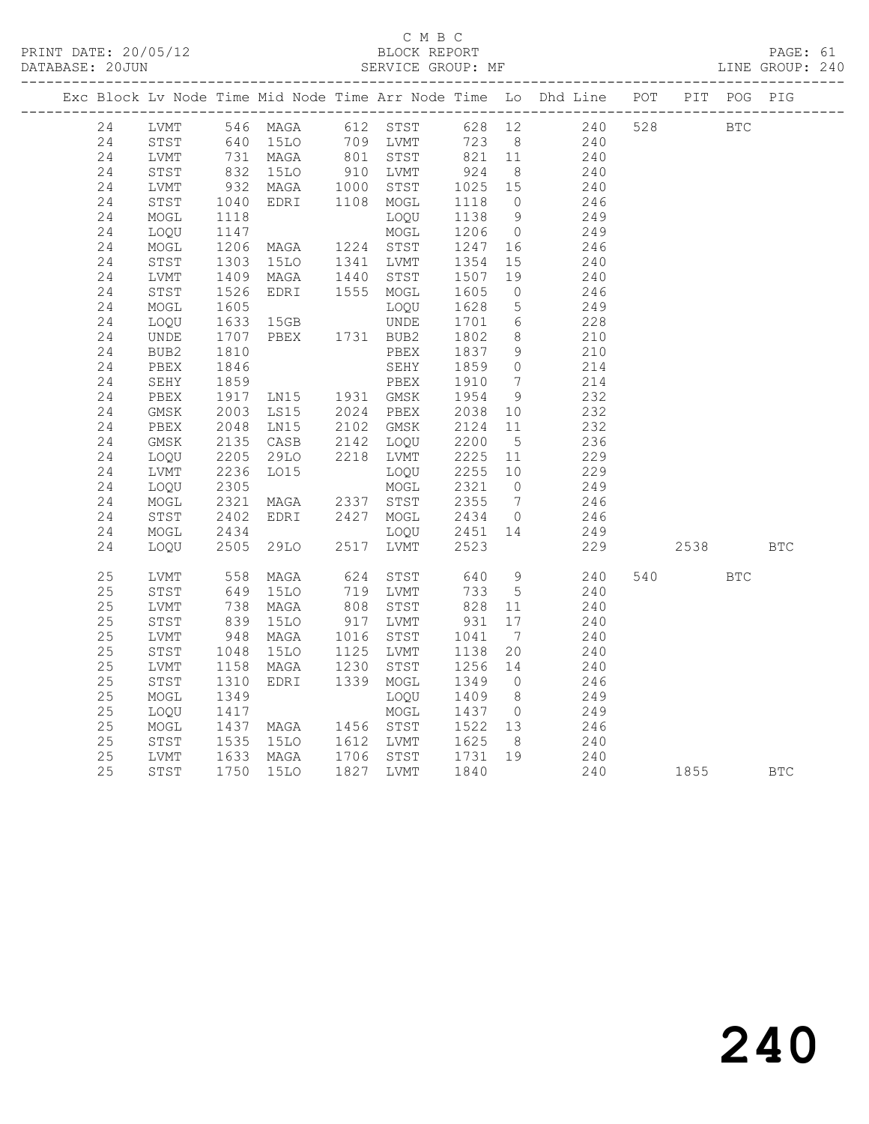### C M B C<br>BLOCK REPORT SERVICE GROUP: MF

|  |          |              |                           |                                  |      |                                                  |                     |                              | Exc Block Lv Node Time Mid Node Time Arr Node Time Lo Dhd Line POT                         |     | PIT        | POG PIG    |            |
|--|----------|--------------|---------------------------|----------------------------------|------|--------------------------------------------------|---------------------|------------------------------|--------------------------------------------------------------------------------------------|-----|------------|------------|------------|
|  | 24       | LVMT         |                           |                                  |      |                                                  |                     |                              | 546 MAGA 612 STST 628 12 240                                                               | 528 | <b>BTC</b> |            |            |
|  | 24       | STST         |                           |                                  |      |                                                  |                     |                              |                                                                                            |     |            |            |            |
|  | 24       | LVMT         |                           |                                  |      |                                                  |                     |                              | 640 15LO 709 LVMT 723 8 240<br>731 MAGA 801 STST 821 11 240<br>832 15LO 910 LVMT 924 8 240 |     |            |            |            |
|  | 24       | STST         |                           |                                  |      |                                                  |                     |                              |                                                                                            |     |            |            |            |
|  | 24       | LVMT         | 932<br>1040               | MAGA 1000 STST<br>EDRI 1108 MOGL |      |                                                  | 1025  15<br>1118  0 |                              | 240                                                                                        |     |            |            |            |
|  | 24       | STST         |                           |                                  |      |                                                  |                     |                              | 246                                                                                        |     |            |            |            |
|  | 24       | MOGL         | 1118<br>1147              |                                  |      | LOQU                                             | 1138                | 9                            | 249                                                                                        |     |            |            |            |
|  | 24       | LOQU         |                           |                                  |      | MOGL                                             | 1206 0              |                              | 249                                                                                        |     |            |            |            |
|  | 24       | MOGL         | 1206                      | MAGA 1224 STST                   |      |                                                  | 1247                | 16                           | 246                                                                                        |     |            |            |            |
|  | 24       | STST         | 1303<br>1409              | 15LO 1341 LVMT                   |      |                                                  | 1354<br>1507        | 15                           | 240                                                                                        |     |            |            |            |
|  | 24       | LVMT         |                           | MAGA                             |      | 1440 STST                                        |                     | 19                           | 240                                                                                        |     |            |            |            |
|  | 24       | STST         | 1526<br>1605              | EDRI                             |      | 1555 MOGL                                        | 1605                | $\overline{0}$               | 246                                                                                        |     |            |            |            |
|  | 24       | $\sf{MOGL}$  | 1605                      |                                  |      | LOQU                                             | 1628                | $5\overline{)}$              | 249                                                                                        |     |            |            |            |
|  | 24       | LOQU         | 1633                      | 15GB                             |      | UNDE                                             | 1701                | $6\overline{6}$              | 228                                                                                        |     |            |            |            |
|  | 24       | UNDE         | $1/\sqrt{1810}$<br>$1810$ | PBEX 1731 BUB2                   |      |                                                  | 1802                | 8 <sup>8</sup>               | 210                                                                                        |     |            |            |            |
|  | 24       | BUB2         |                           |                                  |      | PBEX                                             | 1837                | 9                            | 210                                                                                        |     |            |            |            |
|  | 24       | PBEX         | 1846<br>1840<br>1859      |                                  |      | SEHY                                             | 1859                | $\overline{0}$               | 214                                                                                        |     |            |            |            |
|  | 24       | SEHY         |                           |                                  |      | PBEX                                             | 1910                | $7\phantom{0}$               | 214                                                                                        |     |            |            |            |
|  | 24       | PBEX         | 1917<br>2003              | LN15 1931 GMSK<br>LS15 2024 PBEX |      |                                                  | 1954<br>2038        | 9                            | 232                                                                                        |     |            |            |            |
|  | 24       | GMSK         | 2003                      |                                  |      |                                                  | 2038 10             |                              | 232                                                                                        |     |            |            |            |
|  | 24       | PBEX         | 2048                      | LN15                             |      | 2102 GMSK                                        | 2124 11             |                              | 232                                                                                        |     |            |            |            |
|  | 24       | $\rm{GMSK}$  | 2135<br>2205              | CASB                             |      | 2142 LOQU<br>2142 LU <sub>N</sub> U<br>2218 LVMT | 2200 5<br>2225 11   |                              | 236                                                                                        |     |            |            |            |
|  | 24       | LOQU         |                           | 29LO                             |      |                                                  |                     |                              | 229                                                                                        |     |            |            |            |
|  | 24<br>24 | LVMT         | 2236<br>2305              | LO15                             |      | LOQU<br>MOGL                                     | 2255 10<br>2321 0   |                              | 229<br>249                                                                                 |     |            |            |            |
|  | 24       | LOQU         | 2321                      | MAGA 2337 STST                   |      |                                                  | 2355 7              |                              | 246                                                                                        |     |            |            |            |
|  | 24       | MOGL<br>STST |                           |                                  |      | 2427 MOGL                                        |                     |                              |                                                                                            |     |            |            |            |
|  | 24       | MOGL         | 2402<br>2434              | EDRI                             |      | LOQU                                             | 2434 0<br>2451 14   |                              | $\frac{246}{6}$<br>249                                                                     |     |            |            |            |
|  | 24       | LOQU         | 2505                      | 29LO                             | 2517 | LVMT                                             | 2523                |                              | 229                                                                                        |     | 2538       |            | <b>BTC</b> |
|  |          |              |                           |                                  |      |                                                  |                     |                              |                                                                                            |     |            |            |            |
|  | 25       | LVMT         | 558<br>649                | MAGA                             | 624  | STST 640                                         |                     |                              | 9 240                                                                                      |     | 540 6      | <b>BTC</b> |            |
|  | 25       | STST         |                           | <b>15LO</b>                      |      | 719 LVMT                                         | 733 5<br>828 11     | 5 <sup>5</sup>               | 240                                                                                        |     |            |            |            |
|  | 25       | LVMT         | 738                       | MAGA                             |      | 808 STST                                         |                     |                              | 240                                                                                        |     |            |            |            |
|  | 25       | STST         | 839<br>948                | 15LO                             | 917  | LVMT                                             | 931                 | 17                           | 240                                                                                        |     |            |            |            |
|  | 25       | LVMT         |                           | MAGA                             |      | 1016 STST                                        | 1041                | $7\phantom{.0}\phantom{.0}7$ | 240                                                                                        |     |            |            |            |
|  | 25       | STST         | 1048<br>1158              | 15LO                             |      | 1125 LVMT                                        | 1138                | 20                           | 240                                                                                        |     |            |            |            |
|  | 25       | LVMT         |                           | MAGA                             | 1230 | STST                                             | 1256 14             |                              | 240                                                                                        |     |            |            |            |
|  | 25       | STST         | 1310                      | EDRI                             |      | 1339 MOGL                                        | 1349                | $\overline{0}$               | 246                                                                                        |     |            |            |            |
|  | 25       | $\sf{MOGL}$  | 1349<br>$1317$<br>$1417$  |                                  |      | LOQU                                             | 1409 8              |                              | 249                                                                                        |     |            |            |            |
|  | 25       | LOQU         |                           |                                  |      | MOGL                                             | 1437 0              |                              | 249                                                                                        |     |            |            |            |
|  | 25       | MOGL         | 1437<br>1535              | MAGA 1456 STST                   |      |                                                  | 1522 13             |                              | 246                                                                                        |     |            |            |            |
|  | 25       | ${\tt STST}$ |                           | 15LO  1612  LVMT<br>1633 MAGA    |      |                                                  | 1625<br>1731 19     | 8 <sup>8</sup>               | 240<br>240                                                                                 |     |            |            |            |
|  | 25       | LVMT         |                           |                                  |      | 1706 STST                                        |                     |                              |                                                                                            |     |            |            |            |
|  | 25       | STST         | 1750                      | 15LO                             |      | 1827 LVMT                                        | 1840                |                              | 240                                                                                        |     | 1855       |            | <b>BTC</b> |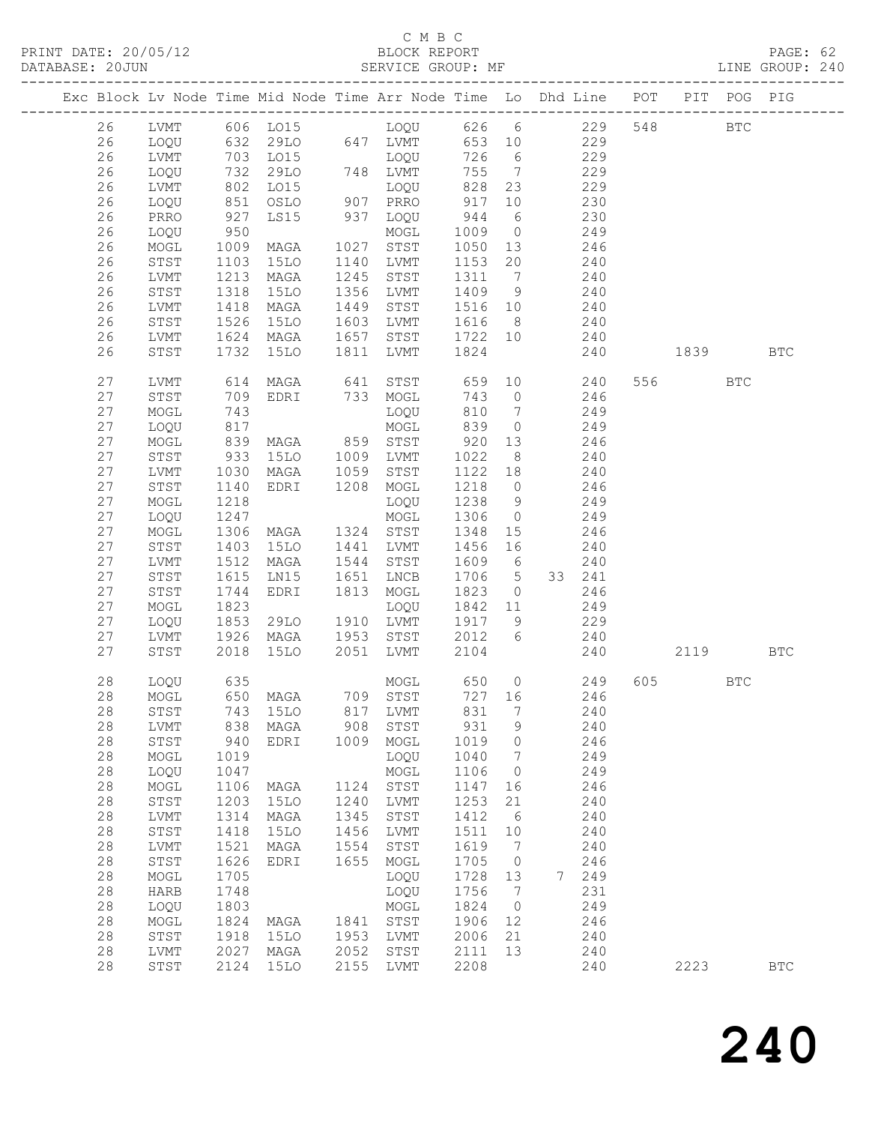# C M B C<br>BLOCK REPORT

| DATABASE: 20JUN |    |              |                    | SERVICE GROUP: MF                |      |                       |            |                 |                                                                                |      |         |     | LINE GROUP: 240 |  |
|-----------------|----|--------------|--------------------|----------------------------------|------|-----------------------|------------|-----------------|--------------------------------------------------------------------------------|------|---------|-----|-----------------|--|
|                 |    |              |                    |                                  |      |                       |            |                 | Exc Block Lv Node Time Mid Node Time Arr Node Time Lo Dhd Line POT PIT POG PIG |      |         |     |                 |  |
|                 | 26 |              |                    |                                  |      |                       |            |                 |                                                                                |      |         |     |                 |  |
|                 | 26 | LOQU         |                    |                                  |      |                       |            |                 | 632 29LO 647 LVMT 653 10 229                                                   |      |         |     |                 |  |
|                 | 26 | LVMT         |                    |                                  |      |                       | 726 6      |                 | 229                                                                            |      |         |     |                 |  |
|                 | 26 | LOQU         |                    |                                  |      |                       | 755 7      |                 | 229                                                                            |      |         |     |                 |  |
|                 | 26 | LVMT         |                    |                                  |      |                       |            | 828 23          | $\frac{1}{229}$                                                                |      |         |     |                 |  |
|                 | 26 | LOQU         | 851                | OSLO 907 PRRO                    |      |                       | 917        | 10              | 230                                                                            |      |         |     |                 |  |
|                 | 26 | PRRO         |                    | LS15 937 LOQU                    |      |                       | 944        | $6\overline{6}$ | 230                                                                            |      |         |     |                 |  |
|                 | 26 | LOQU         |                    |                                  |      | MOGL                  | 1009 0     |                 | 249                                                                            |      |         |     |                 |  |
|                 | 26 | MOGL         | 927<br>950<br>1009 |                                  |      |                       | 1050 13    |                 | 246                                                                            |      |         |     |                 |  |
|                 | 26 | STST         | 1103               | 15LO                             |      | 1140 LVMT             | 1153 20    |                 | 240                                                                            |      |         |     |                 |  |
|                 | 26 | LVMT         | 1213               | MAGA                             |      | 1245 STST             | 1311 7     |                 | 240                                                                            |      |         |     |                 |  |
|                 | 26 | STST         |                    | 15LO                             |      | 1356 LVMT             | 1409 9     |                 |                                                                                |      |         |     |                 |  |
|                 | 26 | LVMT         | 1318<br>1418       | MAGA                             |      | 1449 STST             | 1516 10    |                 | $\begin{array}{c}\n 240 \\  \circ \circ \end{array}$                           |      |         |     |                 |  |
|                 | 26 | STST         | 1526               | 15LO                             |      | 1603 LVMT             |            |                 | 1616 8 240                                                                     |      |         |     |                 |  |
|                 | 26 | LVMT         | 1624               | MAGA                             |      |                       |            |                 | 1657 STST 1722 10 240                                                          |      |         |     |                 |  |
|                 | 26 | STST         | 1732               | 15LO                             |      | 1811 LVMT             | 1824       |                 | 240                                                                            | 1839 |         |     | <b>BTC</b>      |  |
|                 | 27 | LVMT         |                    |                                  |      |                       |            |                 | 614 MAGA 641 STST 659 10 240                                                   |      | 556 7   | BTC |                 |  |
|                 | 27 | STST         | 709                | EDRI 733 MOGL                    |      |                       |            |                 | 743 0 246                                                                      |      |         |     |                 |  |
|                 | 27 | MOGL         | 743                |                                  |      | LOQU                  | 810        | $\overline{7}$  | 249                                                                            |      |         |     |                 |  |
|                 | 27 | LOQU         | 743<br>817<br>839  |                                  |      | MOGL                  | 810<br>839 | $\overline{0}$  | 249                                                                            |      |         |     |                 |  |
|                 | 27 | MOGL         |                    | MAGA 859 STST                    |      |                       | 920        | 13              | 246                                                                            |      |         |     |                 |  |
|                 | 27 | STST         | 933                | 15LO 1009 LVMT                   |      |                       | 1022       | 8 <sup>8</sup>  | 240                                                                            |      |         |     |                 |  |
|                 | 27 | LVMT         |                    |                                  |      |                       | 1122 18    |                 | 240                                                                            |      |         |     |                 |  |
|                 | 27 | STST         | 1030<br>1140       | MAGA 1059 STST<br>EDRI 1208 MOGL |      |                       | 1218 0     |                 | 246                                                                            |      |         |     |                 |  |
|                 | 27 | MOGL         | 1218               |                                  |      | LOQU                  | 1238 9     |                 | 249                                                                            |      |         |     |                 |  |
|                 | 27 | LOQU         | 1247               |                                  |      | MOGL                  | 1306 0     |                 | 249                                                                            |      |         |     |                 |  |
|                 | 27 | MOGL         | 1306               | MAGA 1324 STST                   |      |                       | 1348       | 15              | 246                                                                            |      |         |     |                 |  |
|                 | 27 | STST         | 1403               | 15LO                             |      | 1441 LVMT             | 1456 16    |                 | 240                                                                            |      |         |     |                 |  |
|                 | 27 | LVMT         | $\frac{1}{1512}$   | MAGA                             |      | 1544 STST             | 1609 6     |                 | 240                                                                            |      |         |     |                 |  |
|                 | 27 | STST         | 1615               | LN15                             |      | 1651 LNCB             | 1706 5     |                 | 33 241                                                                         |      |         |     |                 |  |
|                 | 27 | STST         | 1744               | EDRI                             |      | 1813 MOGL             | 1823       |                 | $0 \qquad \qquad 246$                                                          |      |         |     |                 |  |
|                 | 27 | MOGL         | 1823               |                                  |      | LOQU                  | 1842 11    |                 | 249                                                                            |      |         |     |                 |  |
|                 | 27 | LOQU         | 1853               | 29LO                             |      | 1910 LVMT             | 1917 9     |                 | 229                                                                            |      |         |     |                 |  |
|                 | 27 | LVMT         | 1926               |                                  |      | MAGA 1953 STST 2012 6 |            |                 | 240                                                                            |      |         |     |                 |  |
|                 | 27 | STST         | 2018               | 15LO                             |      | 2051 LVMT             | 2104       |                 |                                                                                | 240  | 2119    |     | BTC             |  |
|                 | 28 | LOQU         | 635                |                                  |      |                       |            |                 | MOGL 650 0 249                                                                 |      | 605 000 | BTC |                 |  |
|                 |    |              |                    |                                  |      |                       |            |                 | 28 MOGL 650 MAGA 709 STST 727 16 246                                           |      |         |     |                 |  |
|                 | 28 | STST         | 743                | 15LO                             | 817  | LVMT                  | 831        | $7\phantom{.0}$ | 240                                                                            |      |         |     |                 |  |
|                 | 28 | LVMT         | 838                | MAGA                             | 908  | STST                  | 931        | 9               | 240                                                                            |      |         |     |                 |  |
|                 | 28 | STST         | 940                | EDRI                             | 1009 | MOGL                  | 1019       | $\overline{0}$  | 246                                                                            |      |         |     |                 |  |
|                 | 28 | MOGL         | 1019               |                                  |      | LOQU                  | 1040       | 7               | 249                                                                            |      |         |     |                 |  |
|                 | 28 | LOQU         | 1047               |                                  |      | MOGL                  | 1106       | $\overline{0}$  | 249                                                                            |      |         |     |                 |  |
|                 | 28 | $\sf{MOGL}$  | 1106               | MAGA                             | 1124 | STST                  | 1147       | 16              | 246                                                                            |      |         |     |                 |  |
|                 | 28 | STST         | 1203               | 15LO                             | 1240 | LVMT                  | 1253       | 21              | 240                                                                            |      |         |     |                 |  |
|                 | 28 | ${\rm LVMT}$ | 1314               | MAGA                             | 1345 | STST                  | 1412       | 6               | 240                                                                            |      |         |     |                 |  |
|                 | 28 | STST         | 1418               | <b>15LO</b>                      | 1456 | LVMT                  | 1511       | 10              | 240                                                                            |      |         |     |                 |  |
|                 | 28 | LVMT         | 1521               | MAGA                             | 1554 | STST                  | 1619       | $\overline{7}$  | 240                                                                            |      |         |     |                 |  |
|                 | 28 | STST         | 1626               | EDRI                             | 1655 | MOGL                  | 1705       | $\overline{0}$  | 246                                                                            |      |         |     |                 |  |
|                 | 28 | $\sf{MOGL}$  | 1705               |                                  |      | LOQU                  | 1728       | 13              | 7 249                                                                          |      |         |     |                 |  |
|                 | 28 | HARB         | 1748               |                                  |      | LOQU                  | 1756       | $\overline{7}$  | 231                                                                            |      |         |     |                 |  |
|                 | 28 | LOQU         | 1803               |                                  |      | MOGL                  | 1824       | $\overline{0}$  | 249                                                                            |      |         |     |                 |  |
|                 | 28 | MOGL         | 1824               | MAGA                             |      | 1841 STST             | 1906       | 12              | 246                                                                            |      |         |     |                 |  |
|                 | 28 | STST         | 1918               | 15LO                             |      | 1953 LVMT             | 2006       | 21              | 240                                                                            |      |         |     |                 |  |
|                 | 28 | LVMT         | 2027               | MAGA                             | 2052 | STST                  | 2111       | 13              | 240                                                                            |      |         |     |                 |  |
|                 | 28 | STST         | 2124               | 15LO                             |      | 2155 LVMT             | 2208       |                 | 240                                                                            |      | 2223    |     | <b>BTC</b>      |  |
|                 |    |              |                    |                                  |      |                       |            |                 |                                                                                |      |         |     |                 |  |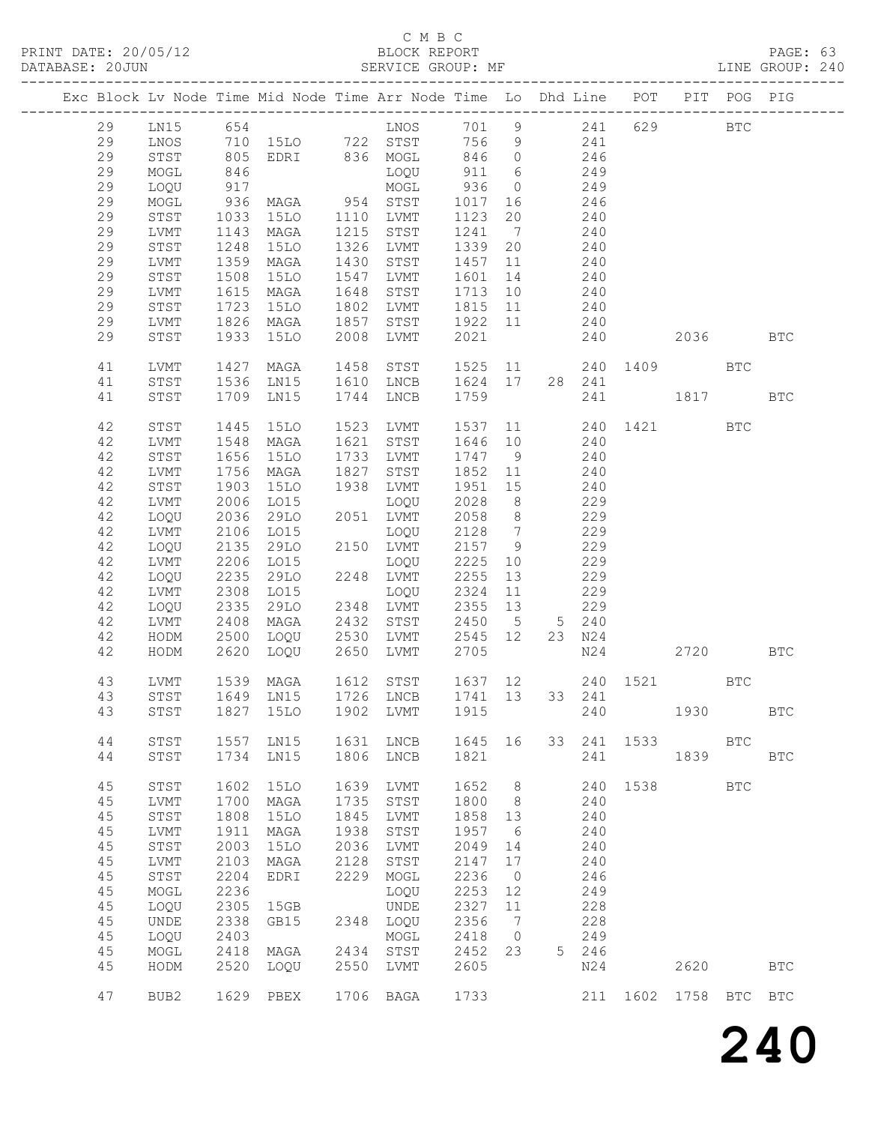# C M B C<br>BLOCK REPORT

PAGE: 63<br>LINE GROUP: 240

|    |                  |      |               |      | Exc Block Lv Node Time Mid Node Time Arr Node Time Lo Dhd Line POT |         |                              |                |        |          |               | PIT POG PIG  |                      |
|----|------------------|------|---------------|------|--------------------------------------------------------------------|---------|------------------------------|----------------|--------|----------|---------------|--------------|----------------------|
| 29 | LN15             | 654  |               |      | LNOS                                                               | 701     | 9                            |                | 241    | 629      |               | $_{\rm BTC}$ |                      |
| 29 | LNOS             | 710  | 15LO 722 STST |      |                                                                    | 756     | 9                            |                | 241    |          |               |              |                      |
| 29 | STST             | 805  | EDRI 836 MOGL |      |                                                                    | 846     | $\overline{0}$               |                | 246    |          |               |              |                      |
| 29 | MOGL             | 846  |               |      | LOQU                                                               | 911     | 6                            |                | 249    |          |               |              |                      |
| 29 | LOQU             | 917  |               |      | MOGL                                                               | 936     | $\overline{0}$               |                | 249    |          |               |              |                      |
| 29 | MOGL             | 936  | MAGA          | 954  | STST                                                               | 1017    | 16                           |                | 246    |          |               |              |                      |
| 29 | STST             | 1033 | 15LO          | 1110 | LVMT                                                               | 1123    | 20                           |                | 240    |          |               |              |                      |
| 29 | ${\rm LVMT}$     | 1143 | MAGA          | 1215 | STST                                                               | 1241    | $7\phantom{.0}\phantom{.0}7$ |                | 240    |          |               |              |                      |
| 29 |                  | 1248 | 15LO          | 1326 | LVMT                                                               | 1339    | 20                           |                | 240    |          |               |              |                      |
|    | STST             |      |               |      |                                                                    |         |                              |                |        |          |               |              |                      |
| 29 | LVMT             | 1359 | MAGA          | 1430 | STST                                                               | 1457    | 11                           |                | 240    |          |               |              |                      |
| 29 | STST             | 1508 | <b>15LO</b>   | 1547 | LVMT                                                               | 1601    | 14                           |                | 240    |          |               |              |                      |
| 29 | LVMT             | 1615 | MAGA          | 1648 | STST                                                               | 1713    | 10                           |                | 240    |          |               |              |                      |
| 29 | STST             | 1723 | 15LO          | 1802 | LVMT                                                               | 1815    | 11                           |                | 240    |          |               |              |                      |
| 29 | LVMT             | 1826 | MAGA          | 1857 | STST                                                               | 1922    | 11                           |                | 240    |          |               |              |                      |
| 29 | STST             | 1933 | <b>15LO</b>   | 2008 | LVMT                                                               | 2021    |                              |                | 240    |          | 2036          |              | <b>BTC</b>           |
| 41 | LVMT             | 1427 | MAGA          | 1458 | STST                                                               | 1525    | 11                           |                |        | 240 1409 |               | <b>BTC</b>   |                      |
| 41 | STST             | 1536 | LN15          | 1610 | LNCB                                                               | 1624    | 17                           | 28             | 241    |          |               |              |                      |
| 41 | STST             | 1709 | LN15          | 1744 | LNCB                                                               | 1759    |                              |                | 241    |          | 1817          |              | <b>BTC</b>           |
|    |                  |      |               |      |                                                                    |         |                              |                |        |          |               |              |                      |
| 42 | STST             | 1445 | <b>15LO</b>   | 1523 | LVMT                                                               | 1537    | 11                           |                |        | 240 1421 |               | <b>BTC</b>   |                      |
| 42 | LVMT             | 1548 | MAGA          | 1621 | STST                                                               | 1646    | 10                           |                | 240    |          |               |              |                      |
| 42 | STST             | 1656 | <b>15LO</b>   | 1733 | LVMT                                                               | 1747    | 9                            |                | 240    |          |               |              |                      |
| 42 | LVMT             | 1756 | MAGA          | 1827 | STST                                                               | 1852    | 11                           |                | 240    |          |               |              |                      |
| 42 | STST             | 1903 | <b>15LO</b>   | 1938 | LVMT                                                               | 1951    | 15                           |                | 240    |          |               |              |                      |
| 42 | LVMT             | 2006 | LO15          |      | LOQU                                                               | 2028    | 8 <sup>8</sup>               |                | 229    |          |               |              |                      |
|    |                  |      |               |      |                                                                    |         |                              |                |        |          |               |              |                      |
| 42 | LOQU             | 2036 | 29LO          | 2051 | LVMT                                                               | 2058    | 8 <sup>8</sup>               |                | 229    |          |               |              |                      |
| 42 | LVMT             | 2106 | L015          |      | LOQU                                                               | 2128    | $\overline{7}$               |                | 229    |          |               |              |                      |
| 42 | LOQU             | 2135 | 29LO          |      | 2150 LVMT                                                          | 2157    | 9                            |                | 229    |          |               |              |                      |
| 42 | LVMT             | 2206 | LO15          |      | LOQU                                                               | 2225    | 10                           |                | 229    |          |               |              |                      |
| 42 | LOQU             | 2235 | 29LO          | 2248 | LVMT                                                               | 2255    | 13                           |                | 229    |          |               |              |                      |
| 42 | LVMT             | 2308 | LO15          |      | LOQU                                                               | 2324    | 11                           |                | 229    |          |               |              |                      |
| 42 | LOQU             | 2335 | 29LO          | 2348 | LVMT                                                               | 2355    | 13                           |                | 229    |          |               |              |                      |
| 42 | LVMT             | 2408 | MAGA          | 2432 | STST                                                               | 2450    | $5^{\circ}$                  |                | 5 240  |          |               |              |                      |
| 42 | HODM             | 2500 | LOQU          | 2530 | LVMT                                                               | 2545    | 12                           |                | 23 N24 |          |               |              |                      |
| 42 | HODM             | 2620 | LOQU          | 2650 | LVMT                                                               | 2705    |                              |                | N24    |          | 2720          |              | <b>BTC</b>           |
|    |                  |      |               |      |                                                                    |         |                              |                |        |          |               |              |                      |
| 43 | LVMT             | 1539 | MAGA          | 1612 | STST                                                               | 1637 12 |                              |                |        | 240 1521 |               | <b>BTC</b>   |                      |
| 43 | STST             |      | 1649 LN15     |      | 1726 LNCB                                                          | 1741 13 |                              |                | 33 241 |          |               |              |                      |
|    |                  |      |               |      | 43 STST 1827 15LO 1902 LVMT 1915                                   |         |                              |                | 240    |          | 1930          |              | $\operatorname{BTC}$ |
| 44 | STST             | 1557 | LN15          | 1631 | LNCB                                                               | 1645    | 16                           | 33             | 241    | 1533     |               | <b>BTC</b>   |                      |
| 44 | STST             | 1734 | LN15          | 1806 | ${\rm LNCB}$                                                       | 1821    |                              |                | 241    |          | 1839          |              | <b>BTC</b>           |
|    |                  |      |               |      |                                                                    |         |                              |                |        |          |               |              |                      |
| 45 | STST             | 1602 | <b>15LO</b>   | 1639 | LVMT                                                               | 1652    | $\,8\,$                      |                | 240    | 1538     |               | $_{\rm BTC}$ |                      |
| 45 | LVMT             | 1700 | MAGA          | 1735 | STST                                                               | 1800    | 8                            |                | 240    |          |               |              |                      |
| 45 | STST             | 1808 | <b>15LO</b>   | 1845 | LVMT                                                               | 1858    | 13                           |                | 240    |          |               |              |                      |
| 45 | LVMT             | 1911 | MAGA          | 1938 | ${\tt STST}$                                                       | 1957    | 6                            |                | 240    |          |               |              |                      |
| 45 | STST             | 2003 | <b>15LO</b>   | 2036 | LVMT                                                               | 2049    | 14                           |                | 240    |          |               |              |                      |
| 45 | LVMT             | 2103 | MAGA          | 2128 | STST                                                               | 2147    | 17                           |                | 240    |          |               |              |                      |
| 45 | STST             | 2204 | EDRI          | 2229 | MOGL                                                               | 2236    | $\overline{0}$               |                | 246    |          |               |              |                      |
|    |                  | 2236 |               |      |                                                                    |         |                              |                |        |          |               |              |                      |
| 45 | MOGL             |      |               |      | LOQU                                                               | 2253    | 12                           |                | 249    |          |               |              |                      |
| 45 | LOQU             | 2305 | 15GB          |      | UNDE                                                               | 2327    | 11                           |                | 228    |          |               |              |                      |
| 45 | UNDE             | 2338 | GB15          | 2348 | LOQU                                                               | 2356    | 7                            |                | 228    |          |               |              |                      |
| 45 | LOQU             | 2403 |               |      | MOGL                                                               | 2418    | 0                            |                | 249    |          |               |              |                      |
| 45 | MOGL             | 2418 | MAGA          | 2434 | $_{\footnotesize\rm STST}$                                         | 2452    | 23                           | 5 <sup>1</sup> | 246    |          |               |              |                      |
| 45 | HODM             | 2520 | LOQU          | 2550 | LVMT                                                               | 2605    |                              |                | N24    |          | 2620          |              | <b>BTC</b>           |
| 47 | BUB <sub>2</sub> |      | 1629 PBEX     | 1706 | BAGA                                                               | 1733    |                              |                | 211    |          | 1602 1758 BTC |              | <b>BTC</b>           |
|    |                  |      |               |      |                                                                    |         |                              |                |        |          |               |              |                      |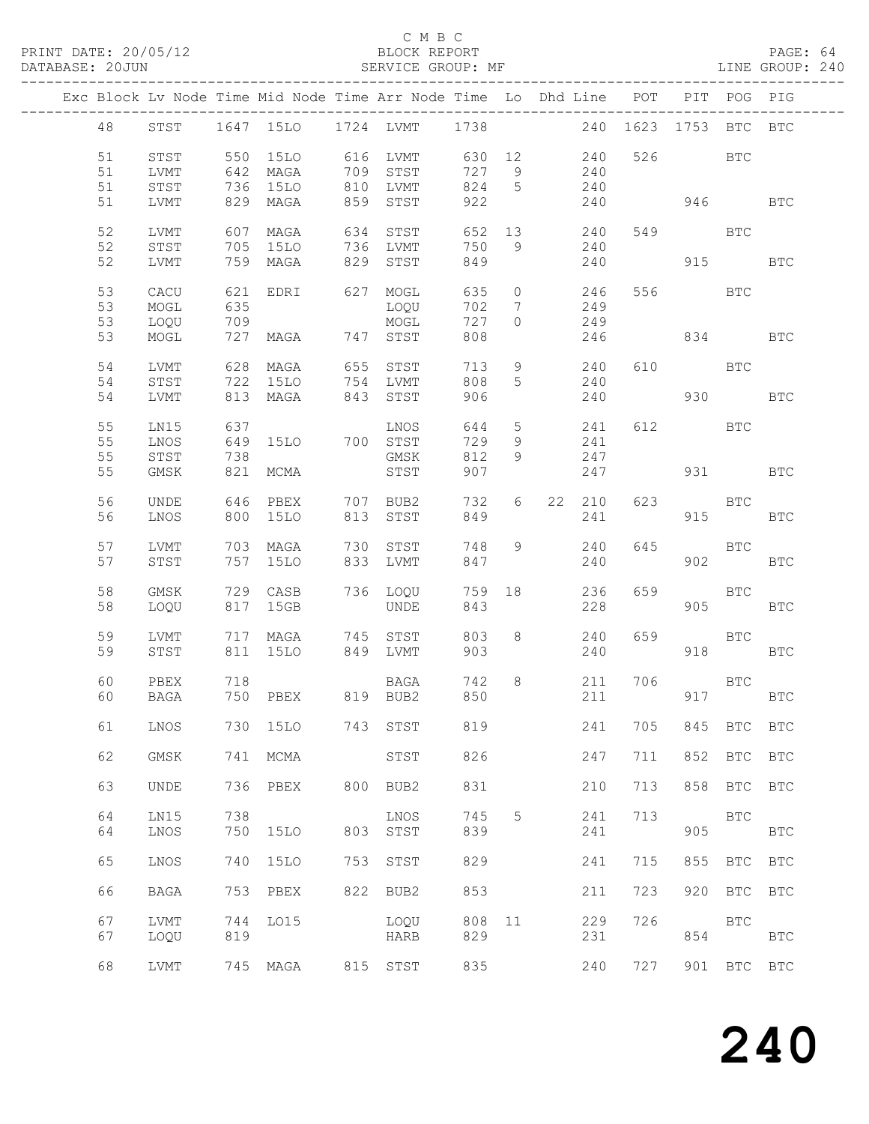### C M B C<br>BLOCK REPORT

PAGE: 64<br>LINE GROUP: 240

|  |    |             |     | Exc Block Lv Node Time Mid Node Time Arr Node Time Lo Dhd Line POT |     |             |        |                 |    |          | ------------- |          | PIT POG PIG |              |
|--|----|-------------|-----|--------------------------------------------------------------------|-----|-------------|--------|-----------------|----|----------|---------------|----------|-------------|--------------|
|  | 48 | STST        |     | 1647 15LO 1724 LVMT 1738                                           |     |             |        |                 |    | 240 1623 |               | 1753     | BTC         | <b>BTC</b>   |
|  | 51 | STST        |     | 550 15LO                                                           |     | 616 LVMT    | 630 12 |                 |    | 240      |               | 526 32   | BTC         |              |
|  |    |             |     |                                                                    |     |             |        |                 |    |          |               |          |             |              |
|  | 51 | LVMT        |     | 642 MAGA                                                           | 709 | STST        | 727    | 9               |    | 240      |               |          |             |              |
|  | 51 | STST        |     | 736 15LO                                                           | 810 | LVMT        | 824    | $5^{\circ}$     |    | 240      |               |          |             |              |
|  | 51 | LVMT        |     | 829 MAGA                                                           | 859 | STST        | 922    |                 |    | 240      |               | 946      |             | <b>BTC</b>   |
|  |    |             |     |                                                                    |     |             |        |                 |    |          |               |          |             |              |
|  | 52 | LVMT        | 607 | MAGA                                                               | 634 | STST        | 652    | 13              |    | 240      |               | 549      | <b>BTC</b>  |              |
|  |    |             |     |                                                                    |     |             |        |                 |    |          |               |          |             |              |
|  | 52 | STST        | 705 | 15LO                                                               | 736 | LVMT        | 750    | 9               |    | 240      |               |          |             |              |
|  | 52 | LVMT        |     | 759 MAGA                                                           | 829 | STST        | 849    |                 |    | 240      |               | 915      |             | <b>BTC</b>   |
|  |    |             |     |                                                                    |     |             |        |                 |    |          |               |          |             |              |
|  | 53 | CACU        | 621 | EDRI                                                               |     | 627 MOGL    | 635    | $\circ$         |    | 246      |               | 556 BTC  |             |              |
|  | 53 | MOGL        | 635 |                                                                    |     | LOQU        | 702    | $7\phantom{.0}$ |    | 249      |               |          |             |              |
|  |    |             |     |                                                                    |     |             |        |                 |    |          |               |          |             |              |
|  | 53 | LOQU        | 709 |                                                                    |     | MOGL        | 727    | $\Omega$        |    | 249      |               |          |             |              |
|  | 53 | MOGL        | 727 | MAGA 747 STST                                                      |     |             | 808    |                 |    | 246      |               | 834      |             | BTC          |
|  |    |             |     |                                                                    |     |             |        |                 |    |          |               |          |             |              |
|  | 54 | <b>LVMT</b> | 628 | MAGA                                                               | 655 | STST        | 713    | 9               |    | 240      |               | 610 000  | <b>BTC</b>  |              |
|  | 54 | STST        | 722 | <b>15LO</b>                                                        |     | 754 LVMT    | 808    | 5               |    | 240      |               |          |             |              |
|  |    |             |     |                                                                    |     |             |        |                 |    |          |               |          |             |              |
|  | 54 | LVMT        |     | 813 MAGA                                                           | 843 | STST        | 906    |                 |    | 240      |               | 930      |             | BTC          |
|  |    |             |     |                                                                    |     |             |        |                 |    |          |               |          |             |              |
|  | 55 | LN15        | 637 |                                                                    |     | LNOS        | 644    | $5\overline{)}$ |    | 241      |               | 612 000  | BTC         |              |
|  | 55 | LNOS        | 649 | 15LO                                                               |     | 700 STST    | 729    | 9               |    | 241      |               |          |             |              |
|  |    |             |     |                                                                    |     |             |        | 9               |    |          |               |          |             |              |
|  | 55 | STST        | 738 |                                                                    |     | GMSK        | 812    |                 |    | 247      |               |          |             |              |
|  | 55 | <b>GMSK</b> | 821 | MCMA                                                               |     | STST        | 907    |                 |    | 247      |               | 931 — 10 |             | BTC          |
|  |    |             |     |                                                                    |     |             |        |                 |    |          |               |          |             |              |
|  | 56 | <b>UNDE</b> | 646 | PBEX                                                               | 707 | BUB2        | 732    | 6               | 22 | 210      | 623           |          | BTC         |              |
|  | 56 | LNOS        |     | 800 15LO                                                           | 813 | STST        | 849    |                 |    | 241      |               | 915      |             | <b>BTC</b>   |
|  |    |             |     |                                                                    |     |             |        |                 |    |          |               |          |             |              |
|  |    |             |     |                                                                    |     |             |        |                 |    |          |               |          |             |              |
|  | 57 | LVMT        |     | 703 MAGA                                                           | 730 | STST        | 748    | 9               |    | 240      | 645           |          | BTC         |              |
|  | 57 | STST        |     | 757 15LO                                                           |     | 833 LVMT    | 847    |                 |    | 240      |               | 902      |             | <b>BTC</b>   |
|  |    |             |     |                                                                    |     |             |        |                 |    |          |               |          |             |              |
|  | 58 | GMSK        |     | 729 CASB                                                           |     | 736 LOQU    | 759 18 |                 |    | 236      | 659           |          | <b>BTC</b>  |              |
|  | 58 | LOQU        |     | 817 15GB                                                           |     | <b>UNDE</b> | 843    |                 |    | 228      |               | 905      |             | <b>BTC</b>   |
|  |    |             |     |                                                                    |     |             |        |                 |    |          |               |          |             |              |
|  |    |             |     |                                                                    |     |             |        |                 |    |          |               |          |             |              |
|  | 59 | LVMT        | 717 | MAGA                                                               | 745 | STST        | 803    | 8               |    | 240      | 659           |          | BTC         |              |
|  | 59 | STST        |     | 811 15LO                                                           |     | 849 LVMT    | 903    |                 |    | 240      |               | 918      |             | BTC          |
|  |    |             |     |                                                                    |     |             |        |                 |    |          |               |          |             |              |
|  | 60 | PBEX        | 718 |                                                                    |     | BAGA        | 742    | 8               |    | 211      | 706           |          | <b>BTC</b>  |              |
|  | 60 | BAGA        |     | 750 PBEX 819 BUB2                                                  |     |             | 850    |                 |    | 211      |               |          | 917 BTC     |              |
|  |    |             |     |                                                                    |     |             |        |                 |    |          |               |          |             |              |
|  |    |             |     |                                                                    |     |             |        |                 |    |          |               |          |             |              |
|  | 61 | LNOS        |     | 730 15LO                                                           | 743 | STST        | 819    |                 |    | 241      | 705           | 845      | BTC         | <b>BTC</b>   |
|  |    |             |     |                                                                    |     |             |        |                 |    |          |               |          |             |              |
|  | 62 | <b>GMSK</b> | 741 | MCMA                                                               |     | STST        | 826    |                 |    | 247      | 711           | 852      | BTC         | $_{\rm BTC}$ |
|  |    |             |     |                                                                    |     |             |        |                 |    |          |               |          |             |              |
|  | 63 |             |     |                                                                    |     |             |        |                 |    |          |               |          |             |              |
|  |    | UNDE        | 736 | PBEX                                                               | 800 | BUB2        | 831    |                 |    | 210      | 713           | 858      | BTC         | <b>BTC</b>   |
|  |    |             |     |                                                                    |     |             |        |                 |    |          |               |          |             |              |
|  | 64 | LN15        | 738 |                                                                    |     | LNOS        | 745    | 5               |    | 241      | 713           |          | <b>BTC</b>  |              |
|  | 64 | LNOS        | 750 | 15LO                                                               | 803 | STST        | 839    |                 |    | 241      |               | 905      |             | <b>BTC</b>   |
|  |    |             |     |                                                                    |     |             |        |                 |    |          |               |          |             |              |
|  | 65 | LNOS        | 740 | 15LO                                                               | 753 | STST        | 829    |                 |    | 241      | 715           | 855      | BTC         | $_{\rm BTC}$ |
|  |    |             |     |                                                                    |     |             |        |                 |    |          |               |          |             |              |
|  |    |             |     |                                                                    |     |             |        |                 |    |          |               |          |             |              |
|  | 66 | <b>BAGA</b> | 753 | PBEX                                                               | 822 | BUB2        | 853    |                 |    | 211      | 723           | 920      | BTC         | <b>BTC</b>   |
|  |    |             |     |                                                                    |     |             |        |                 |    |          |               |          |             |              |
|  | 67 | <b>LVMT</b> | 744 | L015                                                               |     | LOQU        | 808    | 11              |    | 229      | 726           |          | <b>BTC</b>  |              |
|  |    |             |     |                                                                    |     |             | 829    |                 |    | 231      |               | 854      |             |              |
|  | 67 | LOQU        | 819 |                                                                    |     | HARB        |        |                 |    |          |               |          |             | $_{\rm BTC}$ |
|  |    |             |     |                                                                    |     |             |        |                 |    |          |               |          |             |              |
|  | 68 | LVMT        | 745 | MAGA                                                               | 815 | STST        | 835    |                 |    | 240      | 727           |          | 901 BTC BTC |              |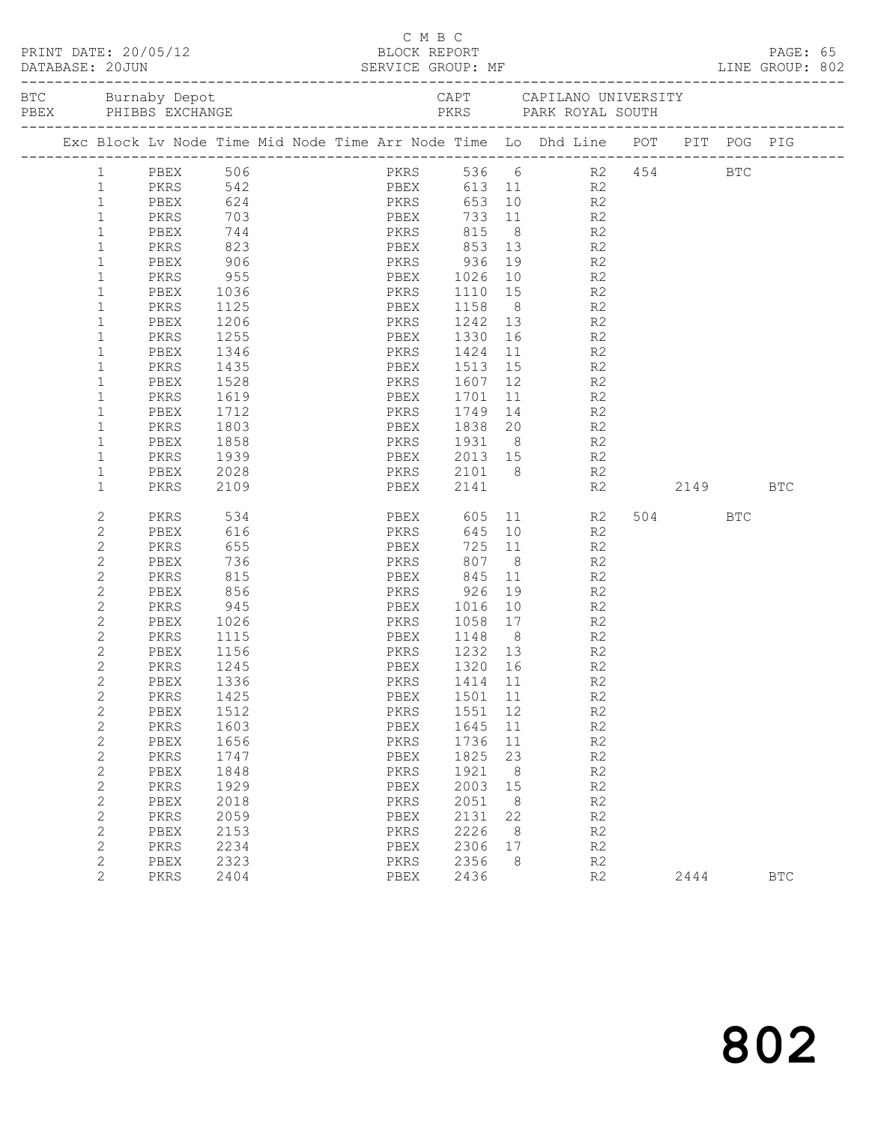|  |                                |                                                                                |                       |  |  |              |                                    |          |                                                                                                                                                                                                                                                                                                                                                                                                                  |                |    |            |            | PAGE: 65<br>LINE GROUP: 802 |  |
|--|--------------------------------|--------------------------------------------------------------------------------|-----------------------|--|--|--------------|------------------------------------|----------|------------------------------------------------------------------------------------------------------------------------------------------------------------------------------------------------------------------------------------------------------------------------------------------------------------------------------------------------------------------------------------------------------------------|----------------|----|------------|------------|-----------------------------|--|
|  |                                |                                                                                |                       |  |  |              |                                    |          |                                                                                                                                                                                                                                                                                                                                                                                                                  |                |    |            |            |                             |  |
|  |                                | Exc Block Lv Node Time Mid Node Time Arr Node Time Lo Dhd Line POT PIT POG PIG |                       |  |  |              |                                    |          |                                                                                                                                                                                                                                                                                                                                                                                                                  |                |    |            |            |                             |  |
|  | $\mathbf{1}$                   | PBEX 506<br>PKRS 542                                                           |                       |  |  |              | PKRS 536 6                         |          |                                                                                                                                                                                                                                                                                                                                                                                                                  |                |    | R2 454 BTC |            |                             |  |
|  | $\mathbf{1}$                   |                                                                                |                       |  |  |              | PBEX 613 11 R2                     |          |                                                                                                                                                                                                                                                                                                                                                                                                                  |                |    |            |            |                             |  |
|  | $\mathbf{1}$                   | PBEX                                                                           | 624 PKRS              |  |  |              |                                    |          | 653 10                                                                                                                                                                                                                                                                                                                                                                                                           | R2             |    |            |            |                             |  |
|  | $\mathbf{1}$                   | PKRS                                                                           | $703$<br>$744$<br>823 |  |  |              |                                    |          | 733 11                                                                                                                                                                                                                                                                                                                                                                                                           | R2             |    |            |            |                             |  |
|  | $\mathbf{1}$                   | PBEX                                                                           |                       |  |  |              |                                    |          |                                                                                                                                                                                                                                                                                                                                                                                                                  | R2             |    |            |            |                             |  |
|  | $\mathbf{1}$                   | PKRS                                                                           |                       |  |  |              | PBEX 853 13 R2                     |          |                                                                                                                                                                                                                                                                                                                                                                                                                  |                |    |            |            |                             |  |
|  | $\mathbf{1}$                   | PBEX                                                                           | 906                   |  |  |              | PKRS 936 19 R2                     |          |                                                                                                                                                                                                                                                                                                                                                                                                                  |                |    |            |            |                             |  |
|  | $\mathbf{1}$                   | PKRS                                                                           | 955                   |  |  |              | PBEX 1026                          |          | 10 R2                                                                                                                                                                                                                                                                                                                                                                                                            |                |    |            |            |                             |  |
|  | $\mathbf{1}$                   | PBEX                                                                           | 1036                  |  |  | PKRS         | 1110 15                            |          | $\begin{array}{c} 15 \\ 8 \end{array}$                                                                                                                                                                                                                                                                                                                                                                           | R2<br>R2       |    |            |            |                             |  |
|  | 1                              | PKRS                                                                           | 1125                  |  |  |              | PBEX 1158                          |          |                                                                                                                                                                                                                                                                                                                                                                                                                  |                |    |            |            |                             |  |
|  | 1                              | PBEX                                                                           | 1206                  |  |  |              | PKRS 1242 13                       |          | R2                                                                                                                                                                                                                                                                                                                                                                                                               |                |    |            |            |                             |  |
|  | $\mathbf{1}$                   | PKRS                                                                           | 1255                  |  |  |              | PBEX 1330                          |          |                                                                                                                                                                                                                                                                                                                                                                                                                  | R <sub>2</sub> |    |            |            |                             |  |
|  | 1                              | PBEX                                                                           | 1346                  |  |  |              | PKRS 1424 11 R2<br>PBEX 1513 15 R2 |          |                                                                                                                                                                                                                                                                                                                                                                                                                  |                |    |            |            |                             |  |
|  | $\mathbf 1$                    | PKRS                                                                           | 1435                  |  |  |              |                                    |          |                                                                                                                                                                                                                                                                                                                                                                                                                  |                |    |            |            |                             |  |
|  | $\mathbf 1$                    | PBEX                                                                           | 1528                  |  |  |              | PKRS 1607 12 R2                    |          |                                                                                                                                                                                                                                                                                                                                                                                                                  |                |    |            |            |                             |  |
|  | $\mathbf 1$                    | PKRS                                                                           | 1619                  |  |  |              | PBEX 1701                          |          | 11                                                                                                                                                                                                                                                                                                                                                                                                               | R <sub>2</sub> |    |            |            |                             |  |
|  | 1                              | PBEX                                                                           | 1712                  |  |  |              |                                    |          | $\begin{array}{ccc} 14 & \phantom{000} & \phantom{000} & \phantom{000} & \phantom{000} & \phantom{000} & \phantom{000} & \phantom{000} & \phantom{000} & \phantom{000} & \phantom{000} & \phantom{000} & \phantom{000} & \phantom{000} & \phantom{000} & \phantom{000} & \phantom{000} & \phantom{000} & \phantom{000} & \phantom{000} & \phantom{000} & \phantom{000} & \phantom{000} & \phantom{000} & \phant$ |                |    |            |            |                             |  |
|  | 1                              | PKRS                                                                           | 1803                  |  |  |              |                                    |          |                                                                                                                                                                                                                                                                                                                                                                                                                  |                |    |            |            |                             |  |
|  | 1                              | PBEX                                                                           | 1858                  |  |  |              | PKRS 1931 8 R2                     |          |                                                                                                                                                                                                                                                                                                                                                                                                                  |                |    |            |            |                             |  |
|  | $\mathbf{1}$                   | PKRS                                                                           | 1939                  |  |  |              | PBEX 2013 15                       |          |                                                                                                                                                                                                                                                                                                                                                                                                                  | R2             |    |            |            |                             |  |
|  | 1                              | PBEX                                                                           | 2028                  |  |  |              | PKRS 2101 8 R2<br>PBEX 2141 R2     |          |                                                                                                                                                                                                                                                                                                                                                                                                                  |                |    |            |            |                             |  |
|  | $\mathbf{1}$                   | PKRS                                                                           | 2109                  |  |  |              |                                    |          |                                                                                                                                                                                                                                                                                                                                                                                                                  |                | R2 | 2149       |            | <b>BTC</b>                  |  |
|  | 2                              | PKRS                                                                           | 534                   |  |  |              | PBEX 605 11                        |          |                                                                                                                                                                                                                                                                                                                                                                                                                  | R2             |    | 504 70     | <b>BTC</b> |                             |  |
|  | 2                              | PBEX                                                                           | 616                   |  |  | PKRS         | 645                                |          | 10                                                                                                                                                                                                                                                                                                                                                                                                               | R2             |    |            |            |                             |  |
|  | $\mathbf{2}$                   | PKRS                                                                           | 655                   |  |  | PBEX         | 725 11                             |          | $\overline{\mathbf{8}}$                                                                                                                                                                                                                                                                                                                                                                                          | R2             |    |            |            |                             |  |
|  | 2                              | PBEX                                                                           | 736                   |  |  | PKRS         | 807                                |          |                                                                                                                                                                                                                                                                                                                                                                                                                  | R2             |    |            |            |                             |  |
|  | $\mathbf{2}$                   | PKRS                                                                           | 815                   |  |  |              | PBEX 845                           | 11       |                                                                                                                                                                                                                                                                                                                                                                                                                  | R2             |    |            |            |                             |  |
|  | 2                              | PBEX                                                                           | 856                   |  |  | PKRS         | 926                                | 19       |                                                                                                                                                                                                                                                                                                                                                                                                                  | R2             |    |            |            |                             |  |
|  | $\mathbf{2}$                   | PKRS                                                                           | 945                   |  |  |              | PBEX 1016 10                       |          |                                                                                                                                                                                                                                                                                                                                                                                                                  | R2             |    |            |            |                             |  |
|  | 2                              | PBEX                                                                           | 1026                  |  |  |              | PKRS 1058 17                       |          |                                                                                                                                                                                                                                                                                                                                                                                                                  | R2             |    |            |            |                             |  |
|  | $\mathbf{2}$                   | PKRS                                                                           | 1115                  |  |  |              | PBEX 1148 8 R2                     |          |                                                                                                                                                                                                                                                                                                                                                                                                                  |                |    |            |            |                             |  |
|  | 2                              | PBEX                                                                           | 1156                  |  |  |              | PKRS 1232 13                       |          |                                                                                                                                                                                                                                                                                                                                                                                                                  | R <sub>2</sub> |    |            |            |                             |  |
|  | $\overline{c}$                 | PKRS                                                                           | 1245                  |  |  | PBEX         | 1320 16                            |          |                                                                                                                                                                                                                                                                                                                                                                                                                  | R2             |    |            |            |                             |  |
|  | 2                              | PBEX 1336                                                                      |                       |  |  |              | PKRS 1414 11                       |          |                                                                                                                                                                                                                                                                                                                                                                                                                  | R <sub>2</sub> |    |            |            |                             |  |
|  | 2                              | PKRS                                                                           | 1425                  |  |  | PBEX         | 1501 11                            |          |                                                                                                                                                                                                                                                                                                                                                                                                                  | R2             |    |            |            |                             |  |
|  | $\overline{c}$<br>$\mathbf{2}$ | PBEX                                                                           | 1512<br>1603          |  |  | PKRS         | 1551<br>1645                       | 12<br>11 |                                                                                                                                                                                                                                                                                                                                                                                                                  | R2<br>R2       |    |            |            |                             |  |
|  |                                | PKRS                                                                           | 1656                  |  |  | PBEX         | 1736                               |          |                                                                                                                                                                                                                                                                                                                                                                                                                  | R2             |    |            |            |                             |  |
|  | $\mathbf{2}$<br>$\mathbf{2}$   | PBEX<br>PKRS                                                                   | 1747                  |  |  | PKRS<br>PBEX | 1825                               | 11<br>23 |                                                                                                                                                                                                                                                                                                                                                                                                                  | R2             |    |            |            |                             |  |
|  | $\mathbf{2}$                   | PBEX                                                                           | 1848                  |  |  | PKRS         | 1921                               | 8        |                                                                                                                                                                                                                                                                                                                                                                                                                  | R2             |    |            |            |                             |  |
|  | $\mathbf{2}$                   | PKRS                                                                           | 1929                  |  |  | PBEX         | 2003                               | 15       |                                                                                                                                                                                                                                                                                                                                                                                                                  | R2             |    |            |            |                             |  |
|  | $\mathbf{2}$                   | PBEX                                                                           | 2018                  |  |  | PKRS         | 2051                               | 8        |                                                                                                                                                                                                                                                                                                                                                                                                                  | R2             |    |            |            |                             |  |
|  | $\mathbf{2}$                   | PKRS                                                                           | 2059                  |  |  | PBEX         | 2131                               | 22       |                                                                                                                                                                                                                                                                                                                                                                                                                  | R2             |    |            |            |                             |  |
|  | $\mathbf{2}$                   | PBEX                                                                           | 2153                  |  |  | PKRS         | 2226                               | 8        |                                                                                                                                                                                                                                                                                                                                                                                                                  | R2             |    |            |            |                             |  |
|  | $\mathbf{2}$                   | PKRS                                                                           | 2234                  |  |  | PBEX         | 2306                               | 17       |                                                                                                                                                                                                                                                                                                                                                                                                                  | R2             |    |            |            |                             |  |
|  | $\mathbf{2}$                   | PBEX                                                                           | 2323                  |  |  | PKRS         | 2356                               | 8        |                                                                                                                                                                                                                                                                                                                                                                                                                  | R2             |    |            |            |                             |  |
|  | $\overline{2}$                 | PKRS                                                                           | 2404                  |  |  | PBEX         | 2436                               |          |                                                                                                                                                                                                                                                                                                                                                                                                                  | R2             |    | 2444       |            | <b>BTC</b>                  |  |

C M B C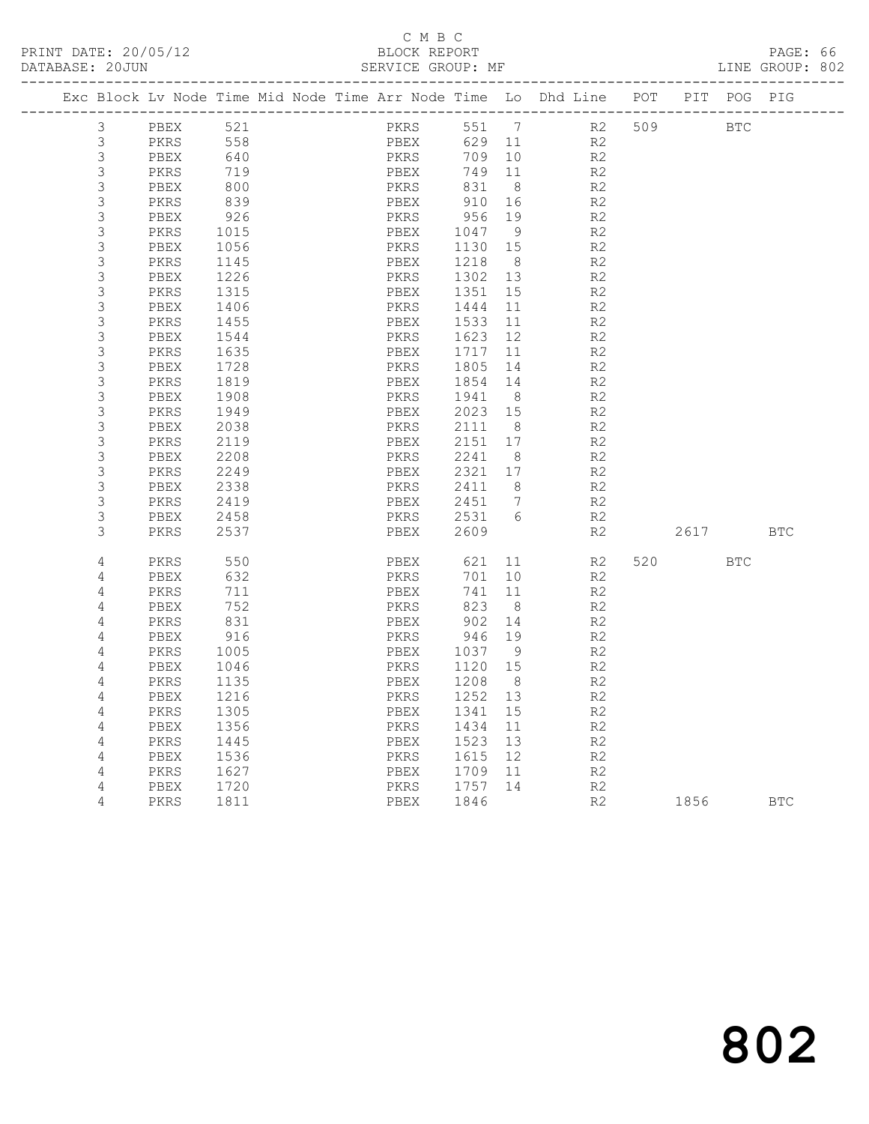# C M B C<br>
C M B C<br>
ELOCK REPORT

DATABASE: 20JUN SERVICE GROUP: MF LINE GROUP: 802

| Exc Block Lv Node Time Mid Node Time Arr Node Time Lo Dhd Line POT |              |              |  |              |              |                      |                |     |      | PIT POG PIG |            |
|--------------------------------------------------------------------|--------------|--------------|--|--------------|--------------|----------------------|----------------|-----|------|-------------|------------|
| 3                                                                  | PBEX         | 521          |  | PKRS         | 551          | $\overline{7}$       | R2             | 509 |      | <b>BTC</b>  |            |
| 3                                                                  | PKRS         | 558          |  | PBEX         | 629          | 11                   | R <sub>2</sub> |     |      |             |            |
| 3                                                                  | PBEX         | 640          |  | PKRS         | 709          | 10                   | R2             |     |      |             |            |
| 3                                                                  | PKRS         | 719          |  | PBEX         | 749          | 11                   | R2             |     |      |             |            |
| 3                                                                  | PBEX         | 800          |  | PKRS         | 831          | 8 <sup>8</sup>       | R2             |     |      |             |            |
| $\mathsf S$                                                        | PKRS         | 839          |  | PBEX         | 910          | 16                   | R2             |     |      |             |            |
| 3                                                                  | PBEX         | 926          |  | PKRS         | 956          | 19                   | R <sub>2</sub> |     |      |             |            |
| $\mathsf 3$                                                        | PKRS         | 1015         |  | PBEX         | 1047         | - 9                  | R2             |     |      |             |            |
| $\mathfrak{Z}$                                                     | PBEX         | 1056         |  | PKRS         | 1130         | 15                   | R <sub>2</sub> |     |      |             |            |
| $\mathfrak{Z}$                                                     | PKRS         | 1145         |  | PBEX         | 1218         | 8 <sup>8</sup>       | R <sub>2</sub> |     |      |             |            |
| $\mathsf 3$                                                        | PBEX         | 1226         |  | PKRS         | 1302         | 13                   | R2             |     |      |             |            |
| $\mathsf 3$                                                        | PKRS         | 1315         |  | PBEX         | 1351         | 15                   | R2             |     |      |             |            |
| $\ensuremath{\mathsf{3}}$                                          | PBEX         | 1406         |  | PKRS         | 1444         | 11                   | R <sub>2</sub> |     |      |             |            |
| $\mathfrak{Z}$                                                     | PKRS         | 1455         |  | PBEX         | 1533         | 11                   | R <sub>2</sub> |     |      |             |            |
| $\mathsf 3$                                                        | PBEX         | 1544         |  | PKRS         | 1623         | 12                   | R <sub>2</sub> |     |      |             |            |
| $\mathsf 3$                                                        | PKRS         | 1635         |  | PBEX         | 1717         | 11                   | R2             |     |      |             |            |
| $\mathsf 3$                                                        | PBEX         | 1728         |  | PKRS         | 1805         | 14                   | R <sub>2</sub> |     |      |             |            |
| $\mathsf 3$                                                        | PKRS         | 1819         |  | PBEX         | 1854         | 14                   | R2             |     |      |             |            |
| $\mathsf 3$                                                        | PBEX         | 1908         |  | PKRS         | 1941         | 8                    | R2             |     |      |             |            |
| $\mathsf 3$                                                        | PKRS         | 1949         |  | PBEX         | 2023 15      |                      | R2             |     |      |             |            |
| $\mathsf 3$                                                        | PBEX         | 2038         |  | PKRS         | 2111         | 8                    | R <sub>2</sub> |     |      |             |            |
| $\mathfrak{Z}$                                                     | PKRS         | 2119         |  | PBEX         | 2151         | 17                   | R2             |     |      |             |            |
| $\mathsf 3$<br>$\mathfrak{Z}$                                      | PBEX         | 2208         |  | PKRS         | 2241         | 8                    | R2             |     |      |             |            |
| 3                                                                  | PKRS         | 2249         |  | PBEX         | 2321<br>2411 | 17<br>8 <sup>8</sup> | R <sub>2</sub> |     |      |             |            |
| $\mathsf S$                                                        | PBEX<br>PKRS | 2338<br>2419 |  | PKRS<br>PBEX | 2451         | $\overline{7}$       | R2<br>R2       |     |      |             |            |
| 3                                                                  |              |              |  |              |              | 6                    |                |     |      |             |            |
| 3                                                                  | PBEX<br>PKRS | 2458<br>2537 |  | PKRS<br>PBEX | 2531<br>2609 |                      | R2<br>R2       |     | 2617 |             | <b>BTC</b> |
|                                                                    |              |              |  |              |              |                      |                |     |      |             |            |
| $\sqrt{4}$                                                         | PKRS         | 550          |  | PBEX         | 621          | 11                   | R2             | 520 |      | <b>BTC</b>  |            |
| 4                                                                  | PBEX         | 632          |  | PKRS         | 701          | 10                   | R <sub>2</sub> |     |      |             |            |
| 4                                                                  | PKRS         | 711          |  | PBEX         | 741          | 11                   | R2             |     |      |             |            |
| 4                                                                  | PBEX         | 752          |  | PKRS         | 823          | 8 <sup>8</sup>       | R2             |     |      |             |            |
| 4                                                                  | PKRS         | 831          |  | PBEX         | 902          | 14                   | R2             |     |      |             |            |
| 4                                                                  | PBEX         | 916          |  | PKRS         | 946          | 19                   | R2             |     |      |             |            |
| 4                                                                  | PKRS         | 1005         |  | PBEX         | 1037         | - 9                  | R <sub>2</sub> |     |      |             |            |
| 4                                                                  | PBEX         | 1046         |  | PKRS         | 1120         | 15                   | R <sub>2</sub> |     |      |             |            |
| 4                                                                  | PKRS         | 1135         |  | PBEX         | 1208         | 8                    | R <sub>2</sub> |     |      |             |            |
| 4                                                                  | PBEX         | 1216         |  | PKRS         | 1252         | 13                   | R2             |     |      |             |            |
| 4                                                                  | PKRS         | 1305         |  | PBEX         | 1341         | 15                   | R2             |     |      |             |            |
| 4                                                                  | PBEX         | 1356         |  | PKRS         | 1434         | 11                   | R2             |     |      |             |            |
| 4                                                                  | PKRS         | 1445         |  | PBEX         | 1523         | 13                   | R2             |     |      |             |            |
| 4                                                                  | PBEX         | 1536         |  | PKRS         | 1615         | 12                   | R <sub>2</sub> |     |      |             |            |
| 4                                                                  | PKRS         | 1627         |  | PBEX         | 1709         | 11                   | R <sub>2</sub> |     |      |             |            |
| $\sqrt{4}$                                                         | PBEX         | 1720         |  | PKRS         | 1757         | 14                   | R2             |     |      |             |            |
| 4                                                                  | PKRS         | 1811         |  | PBEX         | 1846         |                      | R <sub>2</sub> |     | 1856 |             | <b>BTC</b> |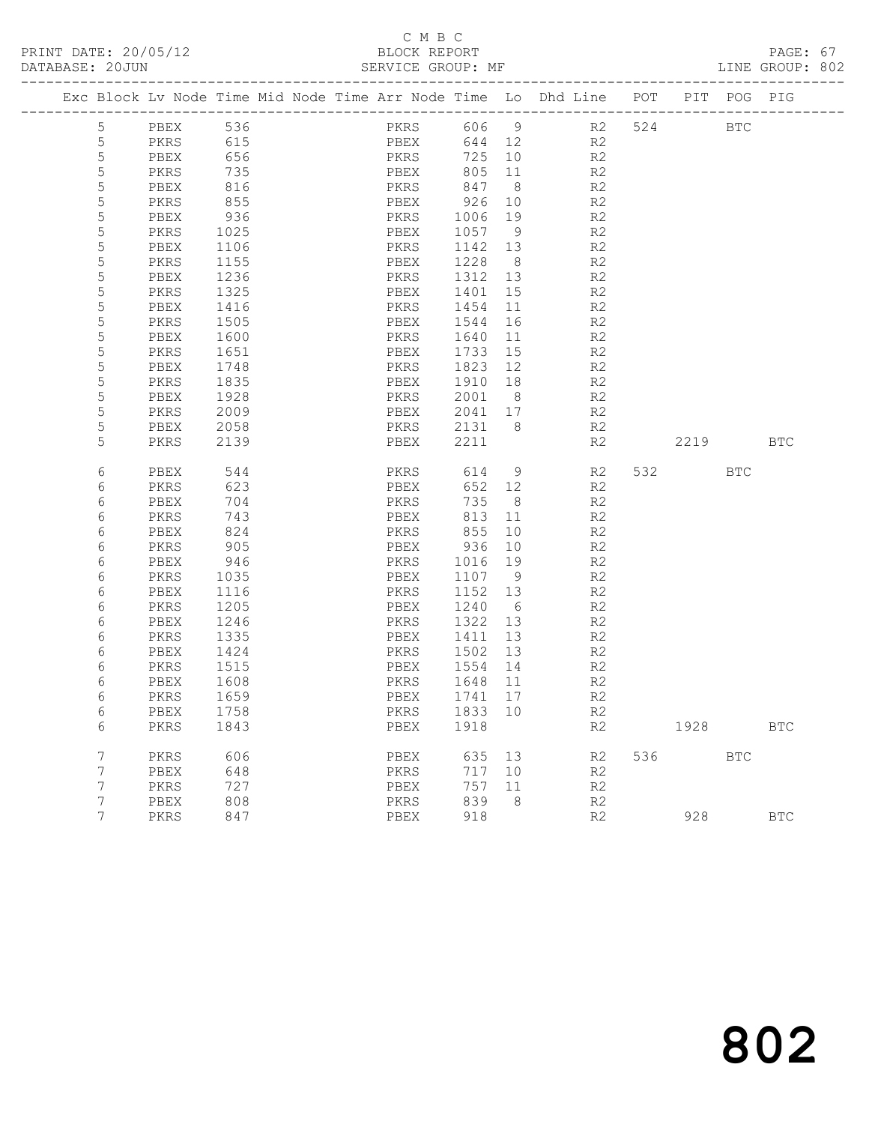# C M B C<br>BLOCK REPORT

PAGE: 67<br>LINE GROUP: 802

|  |                  | Exc Block Lv Node Time Mid Node Time Arr Node Time Lo Dhd Line POT |              |  |      |              |                   |                |                   |        | PIT POG PIG  |              |
|--|------------------|--------------------------------------------------------------------|--------------|--|------|--------------|-------------------|----------------|-------------------|--------|--------------|--------------|
|  | 5                | PBEX                                                               | 536          |  |      |              |                   |                | PKRS 606 9 R2 524 |        | <b>BTC</b>   |              |
|  | 5                | PKRS                                                               | 615<br>656   |  |      |              | 644 12            |                | R2                |        |              |              |
|  | 5                | PBEX                                                               |              |  |      | PBEX<br>PKRS | 725 10            |                | R2                |        |              |              |
|  | 5                | PKRS                                                               | 735          |  |      | PBEX         | 805 11            |                | R2                |        |              |              |
|  | 5                | PBEX                                                               | 816          |  |      | PKRS         | 847               | 8 <sup>8</sup> | R2                |        |              |              |
|  | 5                | PKRS                                                               | 855          |  | PBEX |              | 926 10            |                | R2                |        |              |              |
|  | $\mathsf S$      | PBEX                                                               | 936          |  | PKRS |              | 1006              | 19             | R2                |        |              |              |
|  | 5                | PKRS                                                               | 1025         |  | PBEX |              | 1057 9            |                | R2                |        |              |              |
|  | 5                | PBEX                                                               | 1106         |  | PKRS |              | 1142 13           |                | R2                |        |              |              |
|  | 5                | PKRS                                                               | 1155         |  | PBEX |              | 1228 8            |                | R2                |        |              |              |
|  | 5                | PBEX                                                               | 1236         |  | PKRS |              | 1312 13           |                | R2                |        |              |              |
|  | 5                | PKRS                                                               | 1325         |  | PBEX |              | 1401 15           |                | R2                |        |              |              |
|  | 5                | PBEX                                                               | 1416         |  | PKRS |              | 1454 11           |                | R2                |        |              |              |
|  | 5                | PKRS                                                               | 1505         |  | PBEX |              | 1544              | 16             | R2                |        |              |              |
|  | $\mathsf S$      | PBEX                                                               | 1600         |  | PKRS |              | 1640              | 11             | R <sub>2</sub>    |        |              |              |
|  | 5                | PKRS                                                               | 1651         |  | PBEX |              | 1733              | 15             | R2                |        |              |              |
|  | 5                | PBEX                                                               | 1748         |  | PKRS |              | 1823 12           |                | R2                |        |              |              |
|  | 5<br>$\mathsf S$ | PKRS                                                               | 1835         |  | PBEX |              | 1910 18           |                | R2                |        |              |              |
|  | 5                | PBEX<br>PKRS                                                       | 1928<br>2009 |  | PKRS | PBEX         | 2001 8<br>2041 17 |                | R2<br>R2          |        |              |              |
|  | 5                | PBEX                                                               | 2058         |  |      |              | PKRS 2131 8       |                | R2                |        |              |              |
|  | 5                | PKRS                                                               | 2139         |  |      | PBEX         | 2211              |                | R2                | 2219   |              | <b>BTC</b>   |
|  |                  |                                                                    |              |  |      |              |                   |                |                   |        |              |              |
|  | 6                | PBEX                                                               | 544          |  |      | PKRS         | 614               | 9              | R2                | 532    | <b>BTC</b>   |              |
|  | 6                | PKRS                                                               | 623          |  | PBEX |              | 652 12            |                | R2                |        |              |              |
|  | 6                | PBEX                                                               | 704          |  | PKRS |              | 735               | 8 <sup>8</sup> | R2                |        |              |              |
|  | 6                | PKRS                                                               | 743          |  | PBEX |              | 813 11            |                | R2                |        |              |              |
|  | 6                | PBEX                                                               | 824          |  |      | PBEX<br>PKRS | 855               | 10             | R2                |        |              |              |
|  | 6                | PKRS                                                               | 905          |  | PBEX |              | 936 10            |                | R2                |        |              |              |
|  | 6                | PBEX                                                               | 946          |  | PKRS |              | 1016 19           |                | R2                |        |              |              |
|  | 6                | PKRS                                                               | 1035         |  | PBEX |              | 1107 9            |                | R2                |        |              |              |
|  | 6                | PBEX                                                               | 1116         |  | PKRS |              | 1152 13           |                | R2                |        |              |              |
|  | 6                | PKRS                                                               | 1205         |  | PBEX |              | 1240              | 6              | R2                |        |              |              |
|  | 6                | PBEX                                                               | 1246         |  | PKRS |              | 1322 13           |                | R2                |        |              |              |
|  | 6                | PKRS                                                               | 1335         |  | PBEX |              | 1411 13           |                | R2                |        |              |              |
|  | 6                | PBEX                                                               | 1424         |  | PKRS |              | 1502 13           |                | R2                |        |              |              |
|  | 6                | PKRS                                                               | 1515         |  |      |              | PBEX 1554 14      |                | R2                |        |              |              |
|  | 6                | PBEX                                                               | 1608         |  |      | PKRS         | 1648 11           |                | R2                |        |              |              |
|  | 6                | PKRS                                                               | 1659         |  | PBEX |              | 1741 17           |                | R <sub>2</sub>    |        |              |              |
|  | 6                | PBEX 1758                                                          |              |  |      |              | PKRS 1833 10      |                | R <sub>2</sub>    |        |              |              |
|  | 6                | PKRS                                                               | 1843         |  | PBEX |              | 1918              |                | R2                | 1928   |              | $_{\rm BTC}$ |
|  | $7\phantom{.0}$  | PKRS                                                               | 606          |  | PBEX |              | 635 13            |                | R2                | 536 33 | $_{\rm BTC}$ |              |
|  | 7                | PBEX                                                               | 648          |  | PKRS |              | 717 10            |                | R2                |        |              |              |
|  | 7                | PKRS                                                               | 727          |  | PBEX |              | 757               | 11             | R2                |        |              |              |
|  | 7                | PBEX                                                               | 808          |  | PKRS |              | 839               | 8              | R2                |        |              |              |
|  | 7                | PKRS                                                               | 847          |  | PBEX |              | 918               |                | R2                | 928    |              | <b>BTC</b>   |
|  |                  |                                                                    |              |  |      |              |                   |                |                   |        |              |              |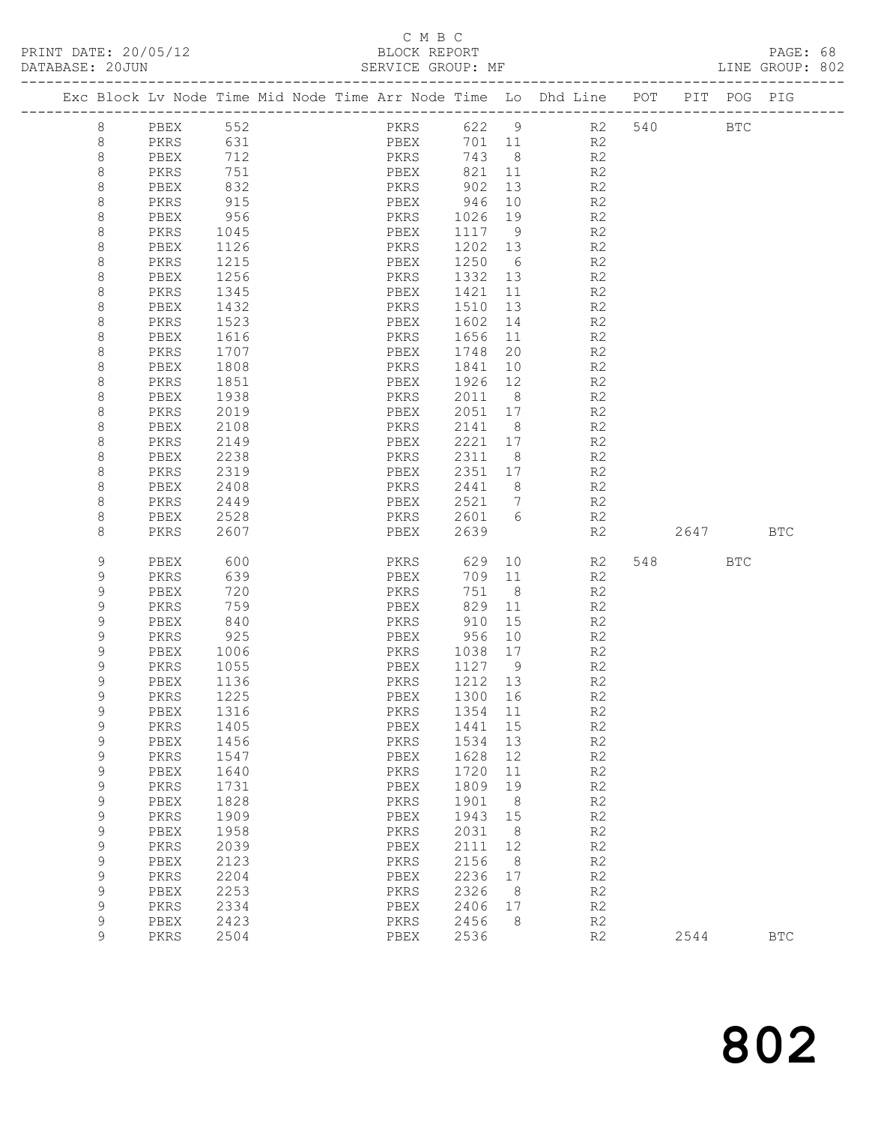# C M B C<br>BLOCK REPORT<br>SERVICE GROUP: MF

| DATABASE: 20JUN |             |              |              | . _ _ _ _ _ _ _ _ _ _ _ _ _ _ _ _ _ | SERVICE GROUP: MF |                   |                |                                                                                |      |     | LINE GROUP: 802 |  |
|-----------------|-------------|--------------|--------------|-------------------------------------|-------------------|-------------------|----------------|--------------------------------------------------------------------------------|------|-----|-----------------|--|
|                 |             |              |              |                                     |                   |                   |                | Exc Block Lv Node Time Mid Node Time Arr Node Time Lo Dhd Line POT PIT POG PIG |      |     |                 |  |
|                 | 8           | PBEX 552     |              |                                     | PKRS 622 9        |                   |                | R2 540 BTC                                                                     |      |     |                 |  |
|                 | 8           | PKRS         | 631          |                                     | PBEX              |                   |                | 701 11 R2                                                                      |      |     |                 |  |
|                 | 8           | PBEX         | 712          |                                     | PKRS              | 743 8             |                | R2                                                                             |      |     |                 |  |
|                 | 8           | PKRS         | 751          |                                     | PBEX              | 821 11            |                | R2                                                                             |      |     |                 |  |
|                 | 8           | PBEX         | 832          |                                     |                   |                   | 13             | R2                                                                             |      |     |                 |  |
|                 | 8           | PKRS         | 915          |                                     | PBEX              | 946               | 10             | R2                                                                             |      |     |                 |  |
|                 | 8           | PBEX         | 956          |                                     | PKRS              | 1026 19           |                | R2                                                                             |      |     |                 |  |
|                 | 8           | PKRS         | 1045         |                                     | PBEX              | 1117 9            |                | R2                                                                             |      |     |                 |  |
|                 | 8           | PBEX         | 1126<br>1215 |                                     | PKRS              | 1202 13           |                | R2                                                                             |      |     |                 |  |
|                 | 8<br>8      | PKRS<br>PBEX | 1256         |                                     | PBEX<br>PKRS      | 1250 6<br>1332 13 |                | R2<br>R2                                                                       |      |     |                 |  |
|                 | 8           | PKRS         | 1345         |                                     | PBEX              | 1421              | 11             | R2                                                                             |      |     |                 |  |
|                 | 8           | PBEX         | 1432         |                                     | PKRS              | 1510              | 13             | R2                                                                             |      |     |                 |  |
|                 | 8           | PKRS         | 1523         |                                     | PBEX              | 1602              | 14             | R2                                                                             |      |     |                 |  |
|                 | 8           | PBEX         | 1616         |                                     | PKRS              | 1656              | 11             | R2                                                                             |      |     |                 |  |
|                 | 8           | PKRS         | 1707         |                                     | PBEX              | 1748              | 20             | R2                                                                             |      |     |                 |  |
|                 | 8           | PBEX         | 1808         |                                     | PKRS              | 1841              | 10             | R2                                                                             |      |     |                 |  |
|                 | 8           | PKRS         | 1851         |                                     | PBEX              | 1926 12           |                | R2                                                                             |      |     |                 |  |
|                 | 8           | PBEX         | 1938         |                                     | PKRS              | 2011              | 8 <sup>8</sup> | R2                                                                             |      |     |                 |  |
|                 | 8           | PKRS         | 2019         |                                     | PBEX              | 2051 17           |                | R2                                                                             |      |     |                 |  |
|                 | 8           | PBEX         | 2108         |                                     | PKRS              | 2141 8            |                | R2                                                                             |      |     |                 |  |
|                 | 8           | PKRS         | 2149         |                                     | PBEX              | 2221 17           |                | R2                                                                             |      |     |                 |  |
|                 | 8           | PBEX         | 2238         |                                     | PKRS              | 2311 8            |                | R2                                                                             |      |     |                 |  |
|                 | 8           | PKRS         | 2319         |                                     | PBEX              | 2351 17           |                | R2                                                                             |      |     |                 |  |
|                 | 8           | PBEX         | 2408         |                                     | PKRS              | 2441 8            |                | R2                                                                             |      |     |                 |  |
|                 | 8           | PKRS         | 2449         |                                     | PBEX              | 2521 7            |                | R2                                                                             |      |     |                 |  |
|                 | 8           | PBEX         | 2528         |                                     | PKRS 2601 6       |                   |                | R2                                                                             |      |     |                 |  |
|                 | 8           | PKRS         | 2607         |                                     | PBEX              | 2639              |                | R2                                                                             | 2647 |     | <b>BTC</b>      |  |
|                 | 9           | PBEX         | 600          |                                     | PKRS              | 629               |                | 10<br>R2                                                                       |      | BTC |                 |  |
|                 | 9           | PKRS         | 639          |                                     | PBEX              | 709 11            |                | R2                                                                             |      |     |                 |  |
|                 | 9           | PBEX         | 720          |                                     | PKRS              | 751 8             |                | R2                                                                             |      |     |                 |  |
|                 | 9           | PKRS         | 759          |                                     | PBEX<br>PKRS      | 829 11            |                | R <sub>2</sub>                                                                 |      |     |                 |  |
|                 | 9           | PBEX         | 840          |                                     |                   | 910               | 15             | R2                                                                             |      |     |                 |  |
|                 | 9           | PKRS         | 925          |                                     | PBEX              | 956 10            |                | R2                                                                             |      |     |                 |  |
|                 | 9<br>9      | PBEX<br>PKRS | 1006<br>1055 |                                     | PKRS<br>PBEX      | 1038 17<br>1127 9 |                | R2<br>R2                                                                       |      |     |                 |  |
|                 | 9           | PBEX         | 1136         |                                     | PKRS              | 1212 13           |                | R <sub>2</sub>                                                                 |      |     |                 |  |
|                 | Q           | PKRS         | 1225         |                                     | PBEX 1300 16      |                   |                | R2                                                                             |      |     |                 |  |
|                 | 9           | PBEX         | 1316         |                                     | PKRS              | 1354              | 11             | R2                                                                             |      |     |                 |  |
|                 | 9           | PKRS         | 1405         |                                     | PBEX              | 1441              | 15             | R2                                                                             |      |     |                 |  |
|                 | 9           | PBEX         | 1456         |                                     | PKRS              | 1534              | 13             | R2                                                                             |      |     |                 |  |
|                 | 9           | PKRS         | 1547         |                                     | PBEX              | 1628              | 12             | R2                                                                             |      |     |                 |  |
|                 | 9           | PBEX         | 1640         |                                     | PKRS              | 1720              | 11             | R2                                                                             |      |     |                 |  |
|                 | 9           | PKRS         | 1731         |                                     | ${\tt PBEX}$      | 1809              | 19             | R2                                                                             |      |     |                 |  |
|                 | $\mathsf 9$ | PBEX         | 1828         |                                     | PKRS              | 1901              | 8              | R2                                                                             |      |     |                 |  |
|                 | 9           | PKRS         | 1909         |                                     | PBEX              | 1943              | 15             | R2                                                                             |      |     |                 |  |
|                 | 9           | PBEX         | 1958         |                                     | PKRS              | 2031              | 8              | R2                                                                             |      |     |                 |  |
|                 | $\mathsf 9$ | PKRS         | 2039         |                                     | PBEX              | 2111              | 12             | R2                                                                             |      |     |                 |  |
|                 | $\mathsf 9$ | PBEX         | 2123         |                                     | PKRS              | 2156              | 8              | R2                                                                             |      |     |                 |  |
|                 | 9           | PKRS         | 2204         |                                     | PBEX              | 2236              | 17             | R2                                                                             |      |     |                 |  |
|                 | 9           | PBEX         | 2253         |                                     | PKRS              | 2326              | 8 <sup>8</sup> | R2                                                                             |      |     |                 |  |
|                 | 9           | PKRS         | 2334         |                                     | PBEX              | 2406              | 17             | R2                                                                             |      |     |                 |  |
|                 | 9           | PBEX         | 2423         |                                     | PKRS              | 2456              | - 8            | R2                                                                             |      |     |                 |  |
|                 | 9           | PKRS         | 2504         |                                     | PBEX              | 2536              |                | R2                                                                             | 2544 |     | <b>BTC</b>      |  |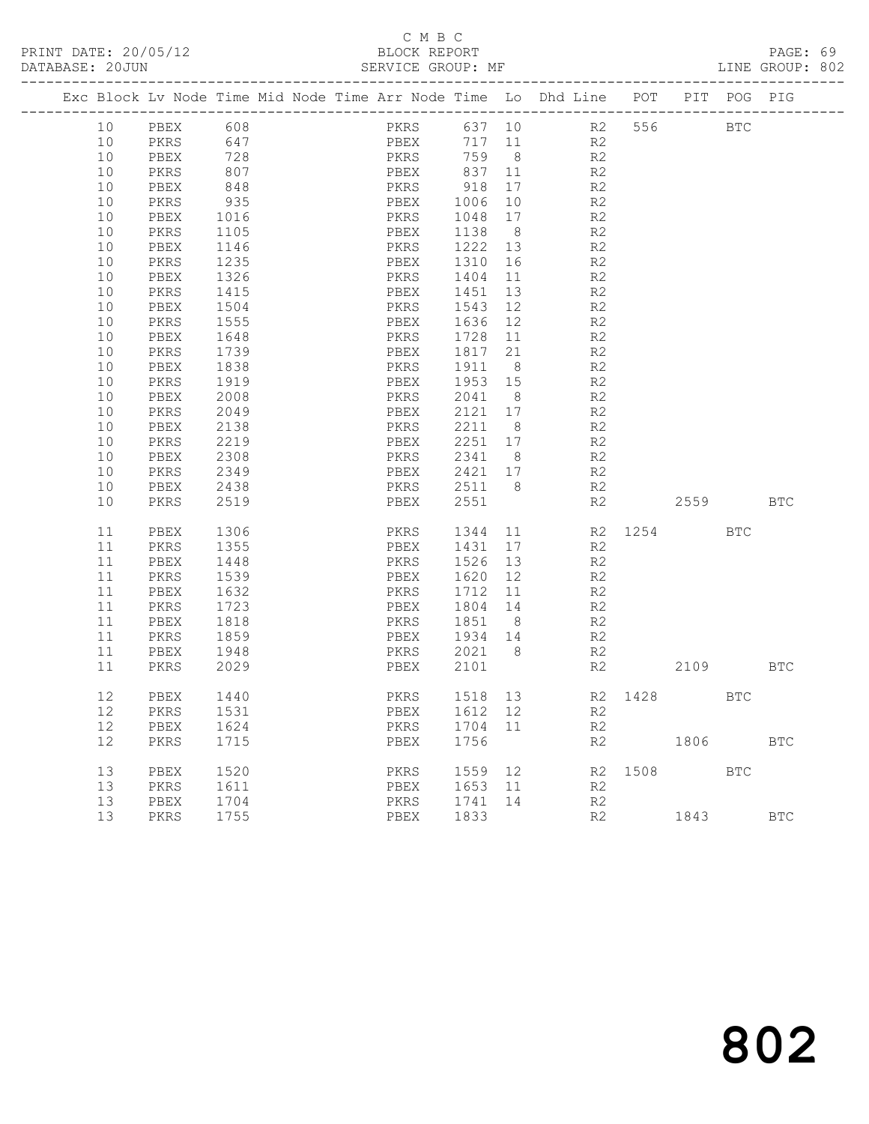# C M B C<br>BLOCK REPORT<br>SERVICE GROUP: MF

| DATABASE: 20JUN |    |             |      |  | SERVICE GROUP: MF                                                              |        |                |                      |         |            | LINE GROUP: 802 |  |
|-----------------|----|-------------|------|--|--------------------------------------------------------------------------------|--------|----------------|----------------------|---------|------------|-----------------|--|
|                 |    |             |      |  | Exc Block Lv Node Time Mid Node Time Arr Node Time Lo Dhd Line POT PIT POG PIG |        |                |                      |         |            |                 |  |
|                 |    | 10 PBEX 608 |      |  |                                                                                |        |                | PKRS 637 10 R2 556   |         | <b>BTC</b> |                 |  |
|                 | 10 | PKRS 647    |      |  | PBEX                                                                           | 717 11 |                | R2                   |         |            |                 |  |
|                 | 10 | PBEX        | 728  |  | PKRS                                                                           | 759    | 8 <sup>8</sup> | R <sub>2</sub>       |         |            |                 |  |
|                 | 10 | PKRS        | 807  |  | PBEX                                                                           | 837    | 11             | R2                   |         |            |                 |  |
|                 | 10 | PBEX        | 848  |  | PKRS                                                                           | 918    | 17             | R <sub>2</sub>       |         |            |                 |  |
|                 | 10 | PKRS        | 935  |  | PBEX                                                                           | 1006   | 10             | R <sub>2</sub>       |         |            |                 |  |
|                 | 10 | PBEX        | 1016 |  | PKRS                                                                           | 1048   | 17             | R <sub>2</sub>       |         |            |                 |  |
|                 | 10 | PKRS        | 1105 |  | PBEX                                                                           | 1138   | 8 <sup>8</sup> | R2                   |         |            |                 |  |
|                 | 10 | PBEX        | 1146 |  | PKRS                                                                           | 1222   |                | 13<br>R <sub>2</sub> |         |            |                 |  |
|                 | 10 | PKRS        | 1235 |  | PBEX                                                                           | 1310   | 16             | R2                   |         |            |                 |  |
|                 | 10 | PBEX        | 1326 |  | PKRS                                                                           | 1404   | 11             | R <sub>2</sub>       |         |            |                 |  |
|                 | 10 | PKRS        | 1415 |  | PBEX                                                                           | 1451   | 13             | R2                   |         |            |                 |  |
|                 | 10 | PBEX        | 1504 |  | PKRS                                                                           | 1543   | 12             | R2                   |         |            |                 |  |
|                 | 10 | PKRS        | 1555 |  | PBEX                                                                           | 1636   | 12             | R <sub>2</sub>       |         |            |                 |  |
|                 | 10 | PBEX        | 1648 |  | PKRS                                                                           | 1728   | 11             | $\mathbb{R}2$        |         |            |                 |  |
|                 | 10 | PKRS        | 1739 |  | PBEX                                                                           | 1817   | 21             | R2                   |         |            |                 |  |
|                 | 10 | PBEX        | 1838 |  | PKRS                                                                           | 1911   | 8 <sup>8</sup> | R2                   |         |            |                 |  |
|                 | 10 | PKRS        | 1919 |  | PBEX                                                                           | 1953   | 15             | R <sub>2</sub>       |         |            |                 |  |
|                 | 10 | PBEX        | 2008 |  | PKRS                                                                           | 2041   | 8 <sup>1</sup> | R2                   |         |            |                 |  |
|                 | 10 | PKRS        | 2049 |  | PBEX                                                                           | 2121   | 17             | R2                   |         |            |                 |  |
|                 | 10 | PBEX        | 2138 |  | PKRS                                                                           | 2211   | 8              | R <sub>2</sub>       |         |            |                 |  |
|                 | 10 | PKRS        | 2219 |  | PBEX                                                                           | 2251   | 17             | R <sub>2</sub>       |         |            |                 |  |
|                 | 10 | PBEX        | 2308 |  | PKRS                                                                           | 2341   | 8 <sup>8</sup> | R2                   |         |            |                 |  |
|                 | 10 | PKRS        | 2349 |  | PBEX                                                                           | 2421   | 17             | R2                   |         |            |                 |  |
|                 | 10 | PBEX        | 2438 |  | PKRS                                                                           | 2511   | 8              | R <sub>2</sub>       |         |            |                 |  |
|                 | 10 | PKRS        | 2519 |  | PBEX                                                                           | 2551   |                | R2                   |         | 2559       | <b>BTC</b>      |  |
|                 | 11 | PBEX        | 1306 |  | PKRS                                                                           |        |                | 1344 11              | R2 1254 | <b>BTC</b> |                 |  |
|                 | 11 | PKRS        | 1355 |  | PBEX                                                                           | 1431   | 17             | R <sub>2</sub>       |         |            |                 |  |
|                 | 11 | PBEX        | 1448 |  | PKRS                                                                           | 1526   | 13             | R <sub>2</sub>       |         |            |                 |  |

| 11 | PKRS | 1355 | PBEX | 1431 | 17 | R <sub>2</sub> |      |      |            |            |
|----|------|------|------|------|----|----------------|------|------|------------|------------|
| 11 | PBEX | 1448 | PKRS | 1526 | 13 | R <sub>2</sub> |      |      |            |            |
| 11 | PKRS | 1539 | PBEX | 1620 | 12 | R <sub>2</sub> |      |      |            |            |
| 11 | PBEX | 1632 | PKRS | 1712 | 11 | R <sub>2</sub> |      |      |            |            |
| 11 | PKRS | 1723 | PBEX | 1804 | 14 | R <sub>2</sub> |      |      |            |            |
| 11 | PBEX | 1818 | PKRS | 1851 | 8  | R <sub>2</sub> |      |      |            |            |
| 11 | PKRS | 1859 | PBEX | 1934 | 14 | R <sub>2</sub> |      |      |            |            |
| 11 | PBEX | 1948 | PKRS | 2021 | 8  | R <sub>2</sub> |      |      |            |            |
| 11 | PKRS | 2029 | PBEX | 2101 |    | R <sub>2</sub> |      | 2109 |            | <b>BTC</b> |
|    |      |      |      |      |    |                |      |      |            |            |
| 12 | PBEX | 1440 | PKRS | 1518 | 13 | R2             | 1428 |      | <b>BTC</b> |            |
| 12 | PKRS | 1531 | PBEX | 1612 | 12 | R <sub>2</sub> |      |      |            |            |
| 12 | PBEX | 1624 | PKRS | 1704 | 11 | R <sub>2</sub> |      |      |            |            |
| 12 | PKRS | 1715 | PBEX | 1756 |    | R <sub>2</sub> |      | 1806 |            | <b>BTC</b> |
|    |      |      |      |      |    |                |      |      |            |            |
| 13 | PBEX | 1520 | PKRS | 1559 | 12 | R2             | 1508 |      | <b>BTC</b> |            |
| 13 | PKRS | 1611 | PBEX | 1653 | 11 | R <sub>2</sub> |      |      |            |            |
| 13 | PBEX | 1704 | PKRS | 1741 | 14 | R <sub>2</sub> |      |      |            |            |
| 13 | PKRS | 1755 | PBEX | 1833 |    | R <sub>2</sub> |      | 1843 |            | <b>BTC</b> |
|    |      |      |      |      |    |                |      |      |            |            |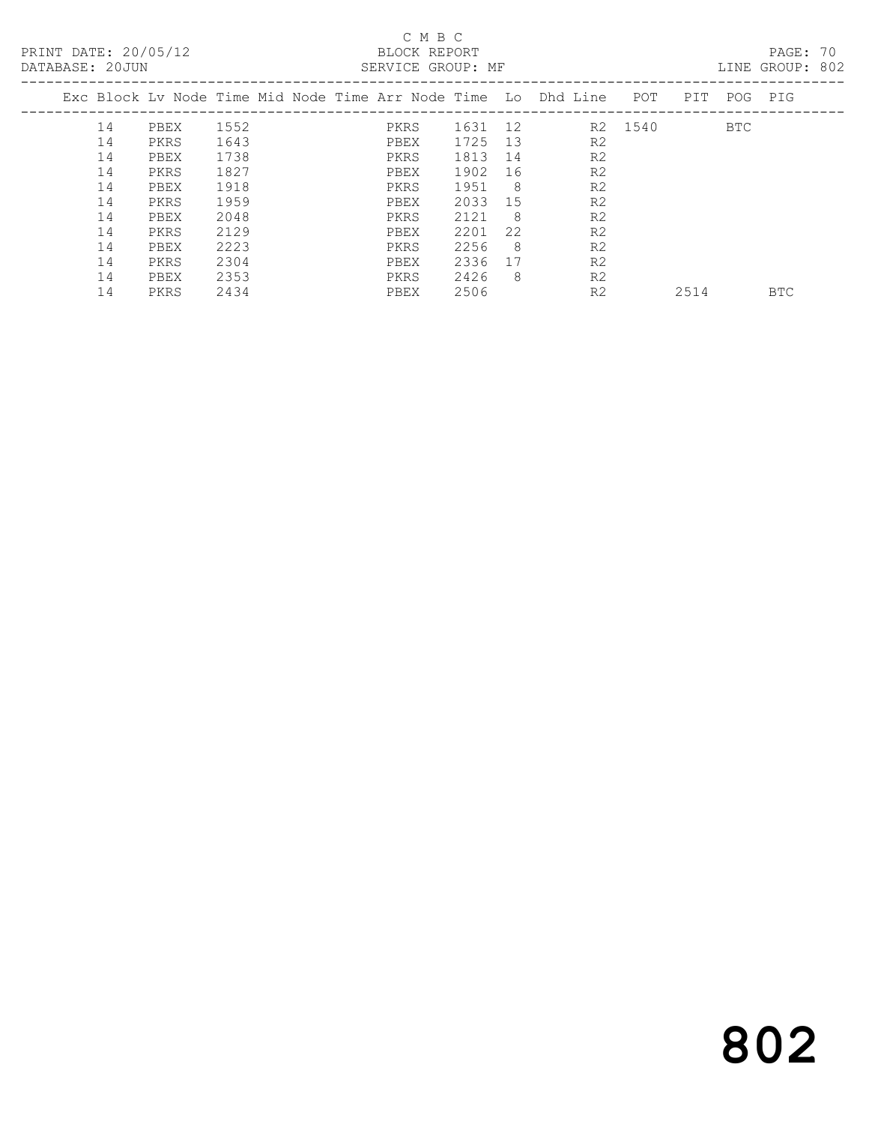PRINT DATE: 20/05/12 BLOCK REPORT<br>DATABASE: 20JUN BATABASE: 20JUN

# C M B C<br>BLOCK REPORT

PAGE: 70<br>LINE GROUP: 802

| 2000 - 2000 <del>- 2000 - 2000 - 201</del> |    |      |      |  | CHILLED GILCOL. III |         |     |                                                                |         |      |            | - 77       |
|--------------------------------------------|----|------|------|--|---------------------|---------|-----|----------------------------------------------------------------|---------|------|------------|------------|
|                                            |    |      |      |  |                     |         |     | Exc Block Ly Node Time Mid Node Time Arr Node Time Lo Dhd Line | POT     | PIT  | POG PIG    |            |
|                                            | 14 | PBEX | 1552 |  | PKRS                | 1631 12 |     |                                                                | R2 1540 |      | <b>BTC</b> |            |
|                                            | 14 | PKRS | 1643 |  | PBEX                | 1725    | 13  | R <sub>2</sub>                                                 |         |      |            |            |
|                                            | 14 | PBEX | 1738 |  | PKRS                | 1813    | 14  | R <sub>2</sub>                                                 |         |      |            |            |
|                                            | 14 | PKRS | 1827 |  | PBEX                | 1902    | 16  | R <sub>2</sub>                                                 |         |      |            |            |
|                                            | 14 | PBEX | 1918 |  | PKRS                | 1951    | - 8 | R <sub>2</sub>                                                 |         |      |            |            |
|                                            | 14 | PKRS | 1959 |  | PBEX                | 2033    | 15  | R <sub>2</sub>                                                 |         |      |            |            |
|                                            | 14 | PBEX | 2048 |  | PKRS                | 2121    | - 8 | R <sub>2</sub>                                                 |         |      |            |            |
|                                            | 14 | PKRS | 2129 |  | PBEX                | 2201    | 22  | R <sub>2</sub>                                                 |         |      |            |            |
|                                            | 14 | PBEX | 2223 |  | PKRS                | 2256    | 8   | R <sub>2</sub>                                                 |         |      |            |            |
|                                            | 14 | PKRS | 2304 |  | PBEX                | 2336    | 17  | R <sub>2</sub>                                                 |         |      |            |            |
|                                            | 14 | PBEX | 2353 |  | PKRS                | 2426    | - 8 | R <sub>2</sub>                                                 |         |      |            |            |
|                                            | 14 | PKRS | 2434 |  | PBEX                | 2506    |     | R <sub>2</sub>                                                 |         | 2514 |            | <b>BTC</b> |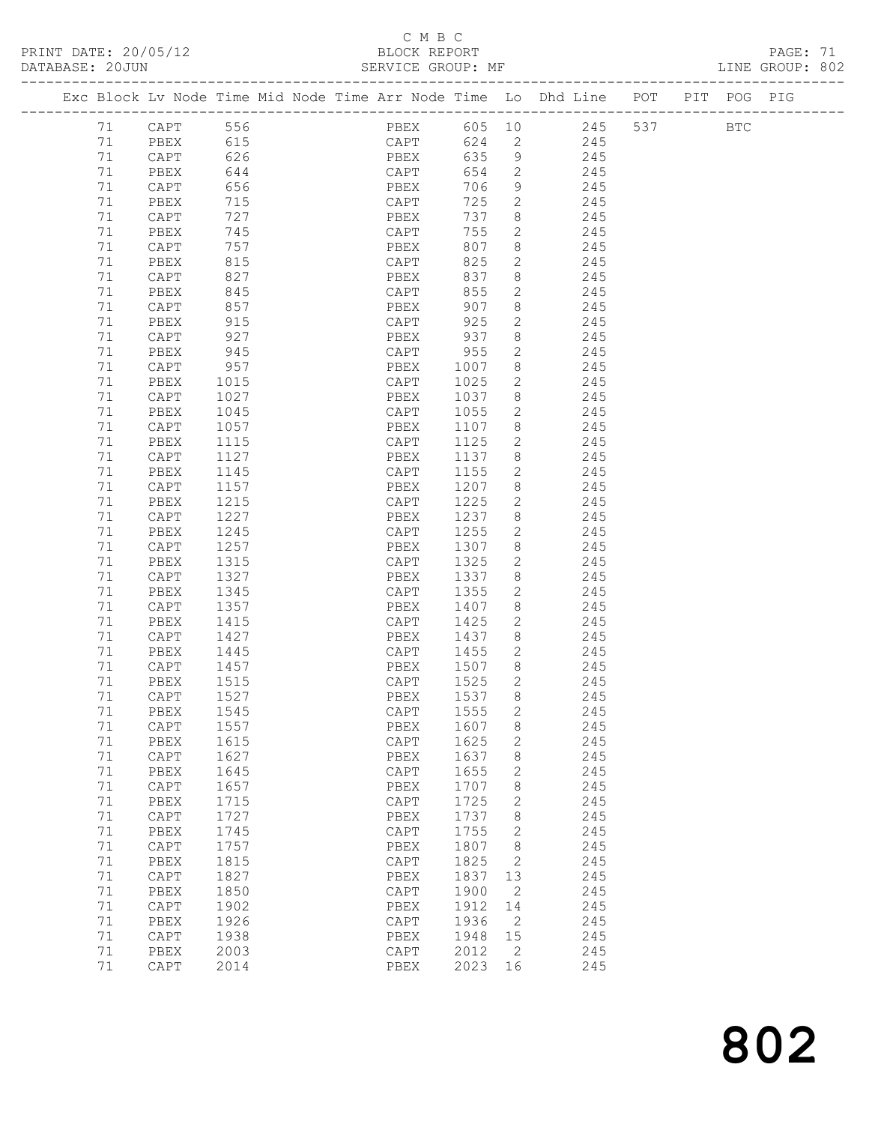# C M B C<br>BLOCK REPORT

|    |                 |                                                                                |                                    |        |              |                                                                        |  | PAGE: 71<br>LINE GROUP: 802 |  |
|----|-----------------|--------------------------------------------------------------------------------|------------------------------------|--------|--------------|------------------------------------------------------------------------|--|-----------------------------|--|
|    |                 | Exc Block Lv Node Time Mid Node Time Arr Node Time Lo Dhd Line POT PIT POG PIG |                                    |        |              |                                                                        |  |                             |  |
|    | 71 CAPT 556     |                                                                                |                                    |        |              | PBEX 605 10 245 537 BTC                                                |  |                             |  |
| 71 | PBEX 615        |                                                                                |                                    |        |              | CAPT 624 2 245                                                         |  |                             |  |
| 71 | CAPT            | 626                                                                            | PBEX 635 9 245                     |        |              |                                                                        |  |                             |  |
| 71 | PBEX            | 644                                                                            |                                    |        |              |                                                                        |  |                             |  |
| 71 | CAPT            | 656                                                                            |                                    |        |              | CAPT 654 2 245<br>PBEX 706 9 245<br>CAPT 725 2 245                     |  |                             |  |
| 71 | PBEX            | 715                                                                            |                                    |        |              |                                                                        |  |                             |  |
| 71 | CAPT            | 727                                                                            | PBEX                               |        |              | 737 8 245                                                              |  |                             |  |
| 71 | PBEX            | 745                                                                            |                                    |        |              |                                                                        |  |                             |  |
|    |                 |                                                                                | CAPT<br>PBEX<br>CAPT               |        |              | 755 2 245                                                              |  |                             |  |
| 71 | CAPT            | 757<br>815                                                                     |                                    |        |              | 807 8 245<br>825 2 245                                                 |  |                             |  |
| 71 | PBEX            |                                                                                |                                    |        |              |                                                                        |  |                             |  |
| 71 | CAPT            | 827                                                                            |                                    |        |              | PBEX 837 8 245                                                         |  |                             |  |
| 71 | PBEX            | 845                                                                            | CAPT 855                           |        |              | 245                                                                    |  |                             |  |
| 71 | CAPT            | 857                                                                            | PBEX 907 8<br>CAPT 925 2           |        |              | $\begin{array}{ccc} 8 & 245 \\ 2 & 245 \end{array}$                    |  |                             |  |
| 71 | PBEX            | 915                                                                            |                                    |        |              |                                                                        |  |                             |  |
| 71 | CAPT            | 927                                                                            | PBEX                               |        |              | 937 8 245                                                              |  |                             |  |
| 71 | PBEX            | 945                                                                            | CAPT 955                           |        |              | 2 245                                                                  |  |                             |  |
| 71 | CAPT            | 957                                                                            | PBEX                               | 1007 8 |              | 1007 8 245<br>1025 2 245                                               |  |                             |  |
| 71 | PBEX            | 1015                                                                           | CAPT                               |        |              |                                                                        |  |                             |  |
| 71 | CAPT            | 1027                                                                           | PBEX                               |        |              | 1037 8 245                                                             |  |                             |  |
| 71 | PBEX            | 1045                                                                           | CAPT                               | 1055   |              | 2 245                                                                  |  |                             |  |
| 71 | CAPT            | 1057<br>1115                                                                   | PBEX                               |        |              |                                                                        |  |                             |  |
| 71 | PBEX            |                                                                                | CAPT                               | 1125   |              | $\begin{array}{cccc} 1107 & 8 & & 245 \\ 1125 & 2 & & 245 \end{array}$ |  |                             |  |
| 71 | CAPT            | 1127                                                                           | PBEX                               |        |              | 1137 8 245                                                             |  |                             |  |
| 71 | PBEX            | 1145                                                                           | CAPT                               |        |              | 1155 2 245                                                             |  |                             |  |
| 71 | CAPT            |                                                                                | PBEX                               |        |              |                                                                        |  |                             |  |
| 71 | PBEX            | 1157<br>1215                                                                   | CAPT                               |        |              | 1207 8 245<br>1225 2 245                                               |  |                             |  |
| 71 | CAPT            | 1227                                                                           | PBEX                               |        |              | 1237 8 245                                                             |  |                             |  |
| 71 | PBEX            | 1245                                                                           | CAPT                               |        |              | 1255 2 245                                                             |  |                             |  |
| 71 | CAPT            | 1257                                                                           | PBEX                               |        |              |                                                                        |  |                             |  |
| 71 | PBEX            | 1315                                                                           | CAPT                               | 1325   |              | 1307 8 245<br>1325 2 245                                               |  |                             |  |
| 71 | CAPT            | 1327                                                                           | PBEX                               |        |              | $1337$ 8 245                                                           |  |                             |  |
| 71 | PBEX            |                                                                                | CAPT                               |        |              | 1355 2 245                                                             |  |                             |  |
| 71 |                 | 1345                                                                           |                                    |        |              |                                                                        |  |                             |  |
|    | CAPT            | 1357                                                                           | PBEX                               |        |              | 1407 8 245                                                             |  |                             |  |
| 71 | PBEX            | 1415<br>1427                                                                   | CAPT 1425 2 245<br>PBEX 1437 8 245 |        |              |                                                                        |  |                             |  |
| 71 | CAPT            |                                                                                |                                    |        |              |                                                                        |  |                             |  |
| 71 | PBEX            | 1445                                                                           | CAPT 1455 2 245                    |        |              |                                                                        |  |                             |  |
| 71 | CAPT            | 1457                                                                           | PBEX                               | 1507   |              | 8<br>245                                                               |  |                             |  |
|    | 71 PBEX 1515    |                                                                                | CAPT 1525 2                        |        |              | 245                                                                    |  |                             |  |
| 71 | CAPT            | 1527                                                                           | PBEX                               | 1537   | 8            | 245                                                                    |  |                             |  |
| 71 | PBEX            | 1545                                                                           | CAPT                               | 1555   | 2            | 245                                                                    |  |                             |  |
| 71 | CAPT            | 1557                                                                           | PBEX                               | 1607   | 8            | 245                                                                    |  |                             |  |
| 71 | PBEX            | 1615                                                                           | CAPT                               | 1625   | $\mathbf{2}$ | 245                                                                    |  |                             |  |
| 71 | $\texttt{CAPT}$ | 1627                                                                           | PBEX                               | 1637   | 8            | 245                                                                    |  |                             |  |
| 71 | PBEX            | 1645                                                                           | CAPT                               | 1655   | 2            | 245                                                                    |  |                             |  |
| 71 | $\texttt{CAPT}$ | 1657                                                                           | PBEX                               | 1707   | 8            | 245                                                                    |  |                             |  |
| 71 | PBEX            | 1715                                                                           | CAPT                               | 1725   | $\mathbf{2}$ | 245                                                                    |  |                             |  |
| 71 | CAPT            | 1727                                                                           | PBEX                               | 1737   | $\,8\,$      | 245                                                                    |  |                             |  |
| 71 | PBEX            | 1745                                                                           | CAPT                               | 1755   | 2            | 245                                                                    |  |                             |  |
| 71 | CAPT            | 1757                                                                           | PBEX                               | 1807   | 8            | 245                                                                    |  |                             |  |
| 71 | PBEX            | 1815                                                                           | CAPT                               | 1825   | 2            | 245                                                                    |  |                             |  |
| 71 | CAPT            | 1827                                                                           | PBEX                               | 1837   | 13           | 245                                                                    |  |                             |  |
| 71 | PBEX            | 1850                                                                           | $\texttt{CAPT}$                    | 1900   | 2            | 245                                                                    |  |                             |  |
| 71 | CAPT            | 1902                                                                           | PBEX                               | 1912   | 14           | 245                                                                    |  |                             |  |
| 71 | PBEX            | 1926                                                                           | CAPT                               | 1936   | 2            | 245                                                                    |  |                             |  |
| 71 |                 |                                                                                |                                    | 1948   | 15           | 245                                                                    |  |                             |  |
|    | CAPT            | 1938                                                                           | PBEX                               |        |              |                                                                        |  |                             |  |
| 71 | PBEX            | 2003                                                                           | $\texttt{CAPT}$                    | 2012   | 2            | 245                                                                    |  |                             |  |

71 CAPT 2014 PBEX 2023 16 245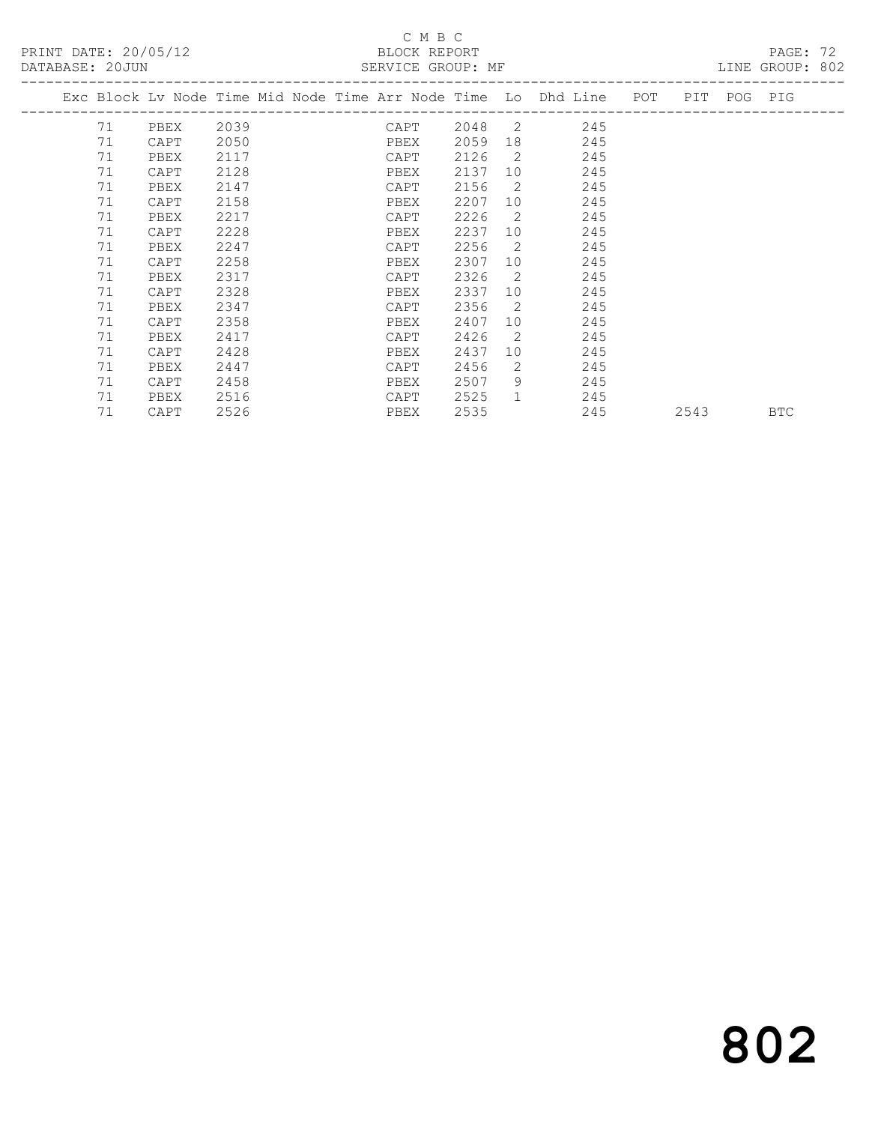# C M B C

| DATABASE: 20JUN |    |      |                       |  | SERVICE GROUP: MF |      |                |                                                                                |  |      |  | LINE GROUP: 802 |  |
|-----------------|----|------|-----------------------|--|-------------------|------|----------------|--------------------------------------------------------------------------------|--|------|--|-----------------|--|
|                 |    |      | _____________________ |  |                   |      |                | Exc Block Lv Node Time Mid Node Time Arr Node Time Lo Dhd Line POT PIT POG PIG |  |      |  |                 |  |
|                 | 71 | PBEX | 2039                  |  | CAPT              |      |                | 2048 2<br>245                                                                  |  |      |  |                 |  |
|                 | 71 | CAPT | 2050                  |  | PBEX              | 2059 |                | 245                                                                            |  |      |  |                 |  |
|                 | 71 | PBEX | 2117                  |  | CAPT              | 2126 | $\overline{2}$ | 245                                                                            |  |      |  |                 |  |
|                 | 71 | CAPT | 2128                  |  | PBEX              | 2137 | 10             | 245                                                                            |  |      |  |                 |  |
|                 | 71 | PBEX | 2147                  |  | CAPT              | 2156 | $\overline{2}$ | 245                                                                            |  |      |  |                 |  |
|                 | 71 | CAPT | 2158                  |  | PBEX              | 2207 | 10             | 245                                                                            |  |      |  |                 |  |
|                 | 71 | PBEX | 2217                  |  | CAPT              | 2226 | 2              | 245                                                                            |  |      |  |                 |  |
|                 | 71 | CAPT | 2228                  |  | PBEX              | 2237 | 10             | 245                                                                            |  |      |  |                 |  |
|                 | 71 | PBEX | 2247                  |  | CAPT              | 2256 | $\overline{2}$ | 245                                                                            |  |      |  |                 |  |
|                 | 71 | CAPT | 2258                  |  | PBEX              | 2307 | 10             | 245                                                                            |  |      |  |                 |  |
|                 | 71 | PBEX | 2317                  |  | CAPT              | 2326 | $\overline{2}$ | 245                                                                            |  |      |  |                 |  |
|                 | 71 | CAPT | 2328                  |  | PBEX              | 2337 | 10             | 245                                                                            |  |      |  |                 |  |
|                 | 71 | PBEX | 2347                  |  | CAPT              | 2356 | $\overline{2}$ | 245                                                                            |  |      |  |                 |  |
|                 | 71 | CAPT | 2358                  |  | PBEX              | 2407 | 10             | 245                                                                            |  |      |  |                 |  |
|                 | 71 | PBEX | 2417                  |  | CAPT              | 2426 | $\overline{2}$ | 245                                                                            |  |      |  |                 |  |
|                 | 71 | CAPT | 2428                  |  | PBEX              | 2437 | 10             | 245                                                                            |  |      |  |                 |  |
|                 | 71 | PBEX | 2447                  |  | CAPT              | 2456 | 2              | 245                                                                            |  |      |  |                 |  |
|                 | 71 | CAPT | 2458                  |  | PBEX              | 2507 | 9              | 245                                                                            |  |      |  |                 |  |
|                 | 71 | PBEX | 2516                  |  | CAPT              | 2525 | $\mathbf{1}$   | 245                                                                            |  |      |  |                 |  |
|                 | 71 | CAPT | 2526                  |  | PBEX              | 2535 |                | 245                                                                            |  | 2543 |  | <b>BTC</b>      |  |
|                 |    |      |                       |  |                   |      |                |                                                                                |  |      |  |                 |  |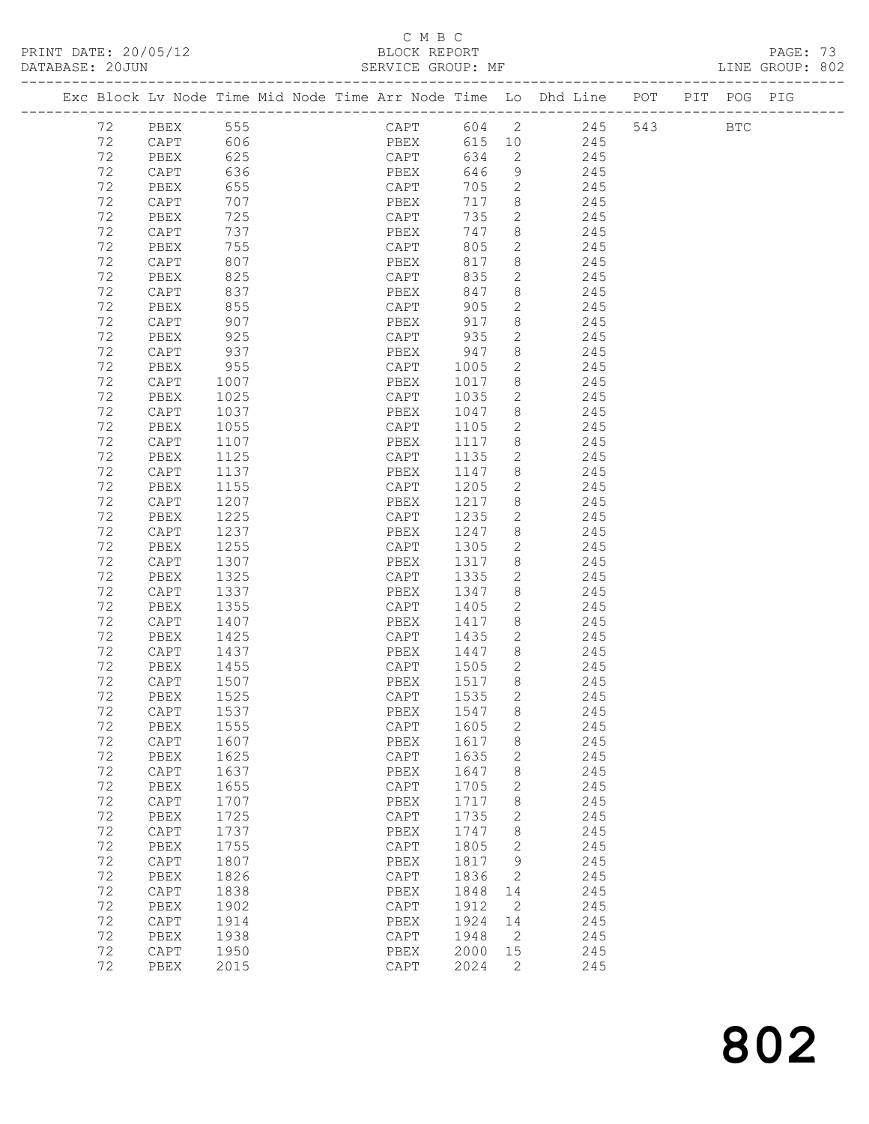## C M B C<br>BLOCK REPORT

PRINT DATE: 20/05/12 BLOCK REPORT BATABASE: 20JUN

PAGE: 73<br>LINE GROUP: 802

|    | Exc Block Lv Node Time Mid Node Time Arr Node Time Lo Dhd Line POT PIT POG PIG |      |  |      |      |              |                            |            |                |     |            |  |
|----|--------------------------------------------------------------------------------|------|--|------|------|--------------|----------------------------|------------|----------------|-----|------------|--|
|    |                                                                                |      |  |      |      |              |                            |            |                |     |            |  |
| 72 | PBEX                                                                           | 555  |  |      |      |              |                            |            | CAPT 604 2 245 | 543 | <b>BTC</b> |  |
|    |                                                                                | 606  |  |      | PBEX |              |                            | 615 10 245 |                |     |            |  |
| 72 | CAPT                                                                           |      |  |      |      |              |                            |            |                |     |            |  |
| 72 | PBEX                                                                           | 625  |  |      | CAPT | 634          | $\overline{2}$             |            | 245            |     |            |  |
| 72 | CAPT                                                                           | 636  |  | PBEX |      | 646          | 9                          |            | 245            |     |            |  |
| 72 | PBEX                                                                           | 655  |  | CAPT |      | 705          | $\overline{2}$             |            | 245            |     |            |  |
| 72 | CAPT                                                                           | 707  |  | PBEX |      | 717          | 8 <sup>8</sup>             |            | 245            |     |            |  |
| 72 | PBEX                                                                           | 725  |  | CAPT |      | 735          | $\mathbf{2}$               |            | 245            |     |            |  |
| 72 | CAPT                                                                           | 737  |  | PBEX |      | 747          | 8                          |            | 245            |     |            |  |
|    |                                                                                |      |  |      |      | 805          | $\overline{2}$             |            |                |     |            |  |
| 72 | PBEX                                                                           | 755  |  | CAPT |      |              |                            |            | 245            |     |            |  |
| 72 | CAPT                                                                           | 807  |  | PBEX |      | 817          | 8                          |            | 245            |     |            |  |
| 72 | PBEX                                                                           | 825  |  |      | CAPT | 835          | $\mathbf{2}$               |            | 245            |     |            |  |
| 72 | CAPT                                                                           | 837  |  | PBEX |      | 847          | 8                          |            | 245            |     |            |  |
| 72 | PBEX                                                                           | 855  |  | CAPT |      | 905          | $\overline{2}$             |            | 245            |     |            |  |
| 72 | $\texttt{CAPT}$                                                                | 907  |  | PBEX |      | 917          | 8                          |            | 245            |     |            |  |
| 72 | PBEX                                                                           | 925  |  | CAPT |      | 935          | $\overline{2}$             |            | 245            |     |            |  |
| 72 | CAPT                                                                           | 937  |  | PBEX |      | 947          | 8                          |            | 245            |     |            |  |
| 72 |                                                                                |      |  |      |      |              | $2^{\circ}$                |            |                |     |            |  |
|    | PBEX                                                                           | 955  |  | CAPT |      | 1005<br>1017 |                            |            | 245            |     |            |  |
| 72 | CAPT                                                                           | 1007 |  | PBEX |      |              | 8 <sup>8</sup>             |            | 245            |     |            |  |
| 72 | PBEX                                                                           | 1025 |  | CAPT |      | 1035         | 2                          |            | 245            |     |            |  |
| 72 | CAPT                                                                           | 1037 |  | PBEX |      | 1047         | 8 <sup>8</sup>             |            | 245            |     |            |  |
| 72 | PBEX                                                                           | 1055 |  | CAPT |      | 1105         | $\overline{2}$             |            | 245            |     |            |  |
| 72 | CAPT                                                                           | 1107 |  | PBEX |      | 1117         | 8                          |            | 245            |     |            |  |
| 72 | PBEX                                                                           | 1125 |  | CAPT |      | 1135         | $\mathbf{2}$               |            | 245            |     |            |  |
| 72 | CAPT                                                                           | 1137 |  | PBEX |      | 1147         | 8                          |            | 245            |     |            |  |
|    |                                                                                |      |  |      |      |              |                            |            |                |     |            |  |
| 72 | PBEX                                                                           | 1155 |  | CAPT |      | 1205         | $\overline{2}$             |            | 245            |     |            |  |
| 72 | CAPT                                                                           | 1207 |  | PBEX |      | 1217         | 8                          |            | 245            |     |            |  |
| 72 | PBEX                                                                           | 1225 |  | CAPT |      | 1235         | $\overline{2}$             |            | 245            |     |            |  |
| 72 | CAPT                                                                           | 1237 |  | PBEX |      | 1247         | 8 <sup>8</sup>             |            | 245            |     |            |  |
| 72 | PBEX                                                                           | 1255 |  | CAPT |      | 1305         | $\overline{2}$             |            | 245            |     |            |  |
| 72 | CAPT                                                                           | 1307 |  | PBEX |      | 1317         | 8                          |            | 245            |     |            |  |
| 72 | PBEX                                                                           | 1325 |  | CAPT |      | 1335         | $\mathbf{2}$               |            | 245            |     |            |  |
| 72 | CAPT                                                                           | 1337 |  | PBEX |      | 1347         | 8 <sup>8</sup>             |            | 245            |     |            |  |
| 72 |                                                                                |      |  |      |      | 1405         | $2^{\circ}$                |            |                |     |            |  |
|    | PBEX                                                                           | 1355 |  | CAPT |      |              |                            |            | 245            |     |            |  |
| 72 | CAPT                                                                           | 1407 |  | PBEX |      | 1417         | 8                          |            | 245            |     |            |  |
| 72 | PBEX                                                                           | 1425 |  | CAPT |      | 1435         | 2                          |            | 245            |     |            |  |
| 72 | CAPT                                                                           | 1437 |  | PBEX |      | 1447         | 8 <sup>8</sup>             |            | 245            |     |            |  |
| 72 | PBEX                                                                           | 1455 |  | CAPT |      | 1505         | $\overline{2}$             |            | 245            |     |            |  |
| 72 | CAPT                                                                           | 1507 |  | PBEX |      | 1517         | 8 <sup>8</sup>             |            | 245            |     |            |  |
| 72 | PBEX                                                                           | 1525 |  | CAPT |      | 1535         | 2                          |            | 245            |     |            |  |
| 72 | CAPT                                                                           | 1537 |  |      |      | PBEX 1547 8  |                            |            | 245            |     |            |  |
| 72 | PBEX                                                                           | 1555 |  | CAPT |      | 1605         | $\mathbf{2}$               |            | 245            |     |            |  |
|    |                                                                                |      |  |      |      |              |                            |            |                |     |            |  |
| 72 | $\texttt{CAPT}$                                                                | 1607 |  | PBEX |      | 1617         | 8                          |            | 245            |     |            |  |
| 72 | PBEX                                                                           | 1625 |  | CAPT |      | 1635         | 2                          |            | 245            |     |            |  |
| 72 | CAPT                                                                           | 1637 |  | PBEX |      | 1647         | 8                          |            | 245            |     |            |  |
| 72 | PBEX                                                                           | 1655 |  | CAPT |      | 1705         | 2                          |            | 245            |     |            |  |
| 72 | $\mathop{\mathtt{CAPT}}$                                                       | 1707 |  | PBEX |      | 1717         | 8                          |            | 245            |     |            |  |
| 72 | PBEX                                                                           | 1725 |  | CAPT |      | 1735         | 2                          |            | 245            |     |            |  |
| 72 | $\texttt{CAPT}$                                                                | 1737 |  | PBEX |      | 1747         | 8                          |            | 245            |     |            |  |
| 72 | PBEX                                                                           | 1755 |  | CAPT |      | 1805         | 2                          |            | 245            |     |            |  |
|    |                                                                                |      |  |      |      |              |                            |            |                |     |            |  |
| 72 | $\texttt{CAPT}$                                                                | 1807 |  | PBEX |      | 1817         | 9                          |            | 245            |     |            |  |
| 72 | PBEX                                                                           | 1826 |  | CAPT |      | 1836         | 2                          |            | 245            |     |            |  |
| 72 | $\texttt{CAPT}$                                                                | 1838 |  | PBEX |      | 1848         | 14                         |            | 245            |     |            |  |
| 72 | PBEX                                                                           | 1902 |  | CAPT |      | 1912         | $\overline{2}$             |            | 245            |     |            |  |
| 72 | CAPT                                                                           | 1914 |  | PBEX |      | 1924         | 14                         |            | 245            |     |            |  |
| 72 | PBEX                                                                           | 1938 |  | CAPT |      | 1948         | $\overline{\phantom{0}}^2$ |            | 245            |     |            |  |
| 72 | CAPT                                                                           | 1950 |  | PBEX |      | 2000         | 15                         |            | 245            |     |            |  |
| 72 | PBEX                                                                           | 2015 |  | CAPT |      | 2024         | 2                          |            | 245            |     |            |  |
|    |                                                                                |      |  |      |      |              |                            |            |                |     |            |  |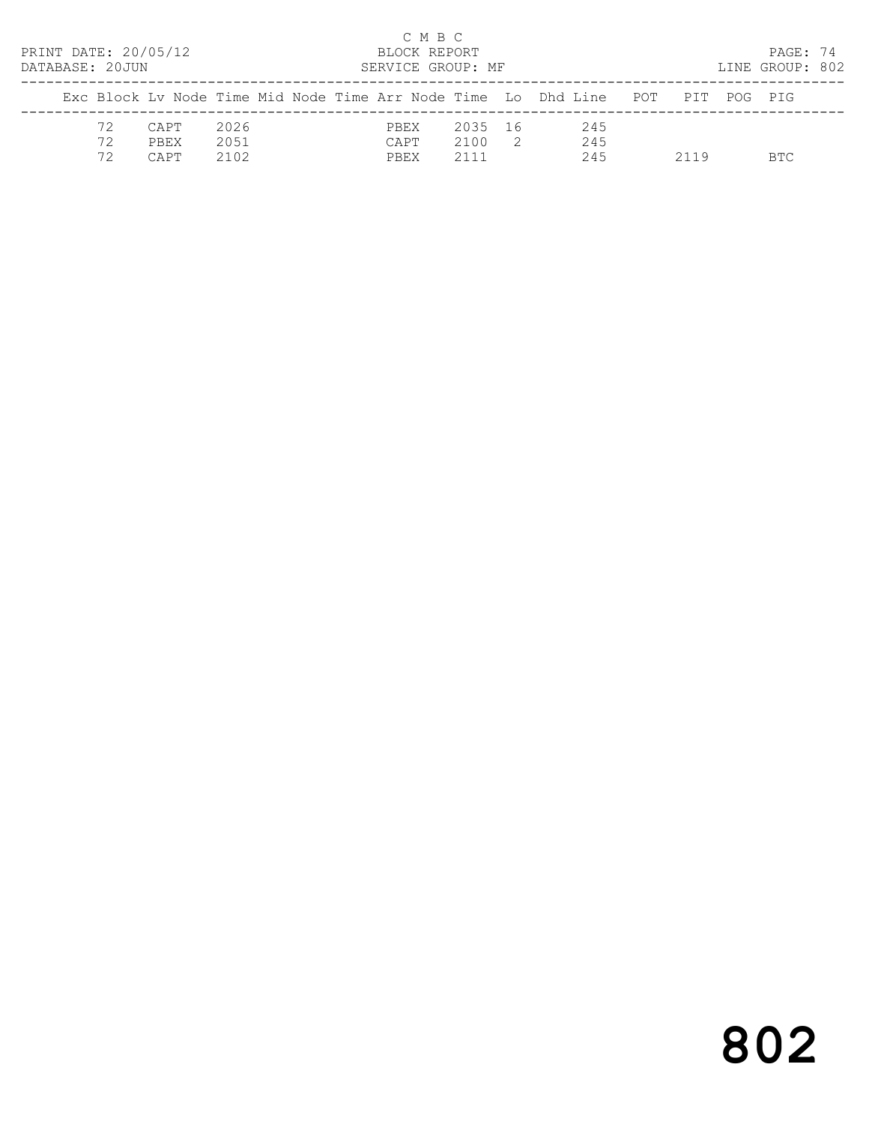| PRINT DATE: 20/05/12<br>DATABASE: 20JUN |                      |                      | C M B C<br>BLOCK REPORT<br>SERVICE GROUP: MF |                         |                |                                                                                |      | PAGE: 74<br>LINE GROUP: 802 |  |
|-----------------------------------------|----------------------|----------------------|----------------------------------------------|-------------------------|----------------|--------------------------------------------------------------------------------|------|-----------------------------|--|
|                                         |                      |                      |                                              |                         |                | Exc Block Ly Node Time Mid Node Time Arr Node Time Lo Dhd Line POT PIT POG PIG |      |                             |  |
| 72<br>72<br>72                          | CAPT<br>PBEX<br>CAPT | 2026<br>2051<br>2102 | PBEX<br>CAPT<br>PBEX                         | 2035 16<br>2100<br>2111 | $\overline{2}$ | 245<br>245<br>245                                                              | 2119 | BTC.                        |  |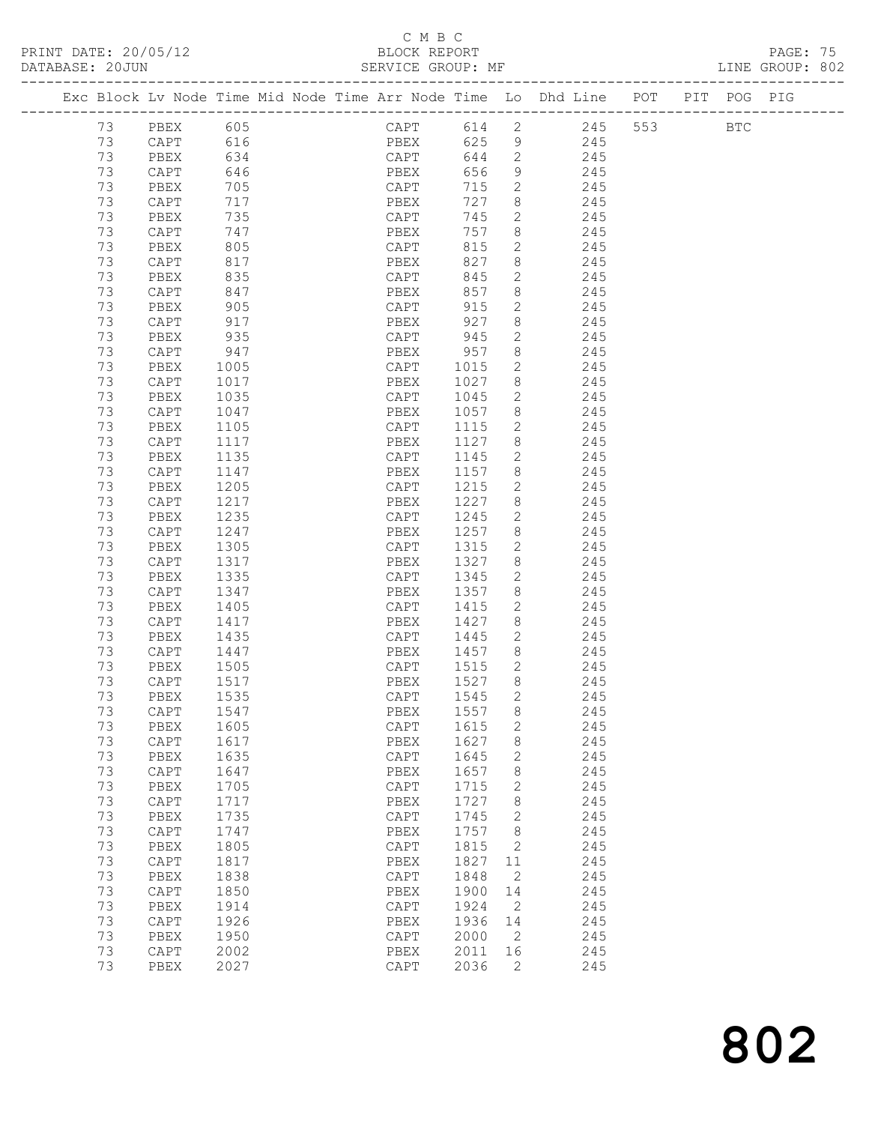## C M B C<br>BLOCK REPORT

| DATABASE: 20JUN |    |           |                                                                                                                                       |                                                                                |                           |          |                            |                        |  | LINE GROUP: 802 |  |
|-----------------|----|-----------|---------------------------------------------------------------------------------------------------------------------------------------|--------------------------------------------------------------------------------|---------------------------|----------|----------------------------|------------------------|--|-----------------|--|
|                 |    |           |                                                                                                                                       | Exc Block Lv Node Time Mid Node Time Arr Node Time Lo Dhd Line POT PIT POG PIG |                           |          |                            |                        |  |                 |  |
|                 | 73 | PBEX 605  |                                                                                                                                       |                                                                                |                           |          |                            | CAPT 614 2 245 553 BTC |  |                 |  |
|                 | 73 | CAPT 616  |                                                                                                                                       |                                                                                |                           |          |                            | PBEX 625 9 245         |  |                 |  |
|                 | 73 | PBEX      | 634                                                                                                                                   |                                                                                | CAPT                      | 644      |                            | 2 245                  |  |                 |  |
|                 | 73 | CAPT      | 646                                                                                                                                   |                                                                                | PBEX<br>$\overline{CAPT}$ | 656      | 9                          | 245                    |  |                 |  |
|                 | 73 | PBEX      | 705                                                                                                                                   |                                                                                |                           | 715      | $\overline{2}$             | 245                    |  |                 |  |
|                 | 73 | CAPT      | 717                                                                                                                                   |                                                                                | PBEX                      | 727      | 8                          | 245                    |  |                 |  |
|                 | 73 | PBEX      | 735                                                                                                                                   |                                                                                | CAPT                      | 745      | $2^{\circ}$                | 245                    |  |                 |  |
|                 | 73 | CAPT      | 747                                                                                                                                   |                                                                                | PBEX                      | 757      | 8                          | 245                    |  |                 |  |
|                 | 73 | PBEX      | $\begin{array}{c} \begin{array}{c} \cdot \\ \times \\ \hline \end{array} \\ \begin{array}{c} \cdot \\ \hline \end{array} \end{array}$ |                                                                                | r pry<br>CAPT             | 815      | $\mathbf{2}$               | 245                    |  |                 |  |
|                 | 73 | CAPT      | 817                                                                                                                                   |                                                                                | PBEX                      | 827      | 8 <sup>8</sup>             | 245                    |  |                 |  |
|                 | 73 | PBEX      | 835                                                                                                                                   |                                                                                | CAPT                      | 845      | $\overline{2}$             | 245                    |  |                 |  |
|                 | 73 | CAPT      | 847                                                                                                                                   |                                                                                |                           | 857      | 8                          | 245                    |  |                 |  |
|                 | 73 | PBEX      | 905                                                                                                                                   |                                                                                | rbex<br>CAPT              | 915      | $2^{\circ}$                | 245                    |  |                 |  |
|                 | 73 | CAPT      | 917                                                                                                                                   |                                                                                | PBEX                      | 927      | 8                          | 245                    |  |                 |  |
|                 | 73 | PBEX      | 935                                                                                                                                   |                                                                                | CAPT                      | 945      | $\overline{2}$             | 245                    |  |                 |  |
|                 | 73 | CAPT      | 947                                                                                                                                   |                                                                                | PBEX                      | 957      | 8                          | 245                    |  |                 |  |
|                 | 73 | PBEX      | 1005                                                                                                                                  |                                                                                | CAPT                      | 1015     | $\mathbf{2}$               | 245                    |  |                 |  |
|                 | 73 | CAPT      | 1017                                                                                                                                  |                                                                                | PBEX                      | 1027     | 8                          | 245                    |  |                 |  |
|                 | 73 | PBEX      | 1035                                                                                                                                  |                                                                                | CAPT                      | 1045     | $\overline{2}$             | 245                    |  |                 |  |
|                 | 73 | CAPT      | 1047                                                                                                                                  |                                                                                | PBEX                      | 1057     | 8                          | 245                    |  |                 |  |
|                 | 73 | PBEX      | 1105                                                                                                                                  |                                                                                | CAPT                      | 1115     | $\overline{2}$             | 245                    |  |                 |  |
|                 | 73 | CAPT      | 1117                                                                                                                                  |                                                                                | PBEX                      | 1127     | 8                          | 245                    |  |                 |  |
|                 | 73 | PBEX      | 1135                                                                                                                                  |                                                                                | CAPT                      | 1145     | $\mathbf{2}$               | 245                    |  |                 |  |
|                 | 73 | CAPT      | 1147                                                                                                                                  |                                                                                | PBEX                      | 1157     | 8                          | 245                    |  |                 |  |
|                 | 73 | PBEX      | 1205                                                                                                                                  |                                                                                | CAPT                      | 1215     | $\overline{2}$             | 245                    |  |                 |  |
|                 | 73 | CAPT      | 1217                                                                                                                                  |                                                                                | PBEX                      | 1227     | 8                          | 245                    |  |                 |  |
|                 | 73 | PBEX      | 1235                                                                                                                                  |                                                                                | CAPT                      | 1245     | $\overline{2}$             | 245                    |  |                 |  |
|                 | 73 | CAPT      | 1247                                                                                                                                  |                                                                                | PBEX                      | 1257     | 8                          | 245                    |  |                 |  |
|                 | 73 | PBEX      | 1305                                                                                                                                  |                                                                                | CAPT                      | 1315     | $\mathbf{2}$               | 245                    |  |                 |  |
|                 | 73 | CAPT      | 1317                                                                                                                                  |                                                                                | PBEX                      | 1327     | 8                          | 245                    |  |                 |  |
|                 | 73 | PBEX      | 1335                                                                                                                                  |                                                                                | CAPT                      | 1345     | $\mathbf{2}$               | 245                    |  |                 |  |
|                 | 73 | CAPT      | 1347                                                                                                                                  |                                                                                | PBEX                      | 1357     | 8                          | 245                    |  |                 |  |
|                 | 73 | PBEX      | 1405                                                                                                                                  |                                                                                | CAPT                      | 1415     | $2^{\circ}$                | 245                    |  |                 |  |
|                 | 73 | CAPT      | 1417                                                                                                                                  |                                                                                | PBEX                      | 1427     | 8 <sup>8</sup>             | 245                    |  |                 |  |
|                 | 73 | PBEX      | 1435                                                                                                                                  |                                                                                | CAPT 1445                 |          | $\overline{2}$             | 245                    |  |                 |  |
|                 | 73 | CAPT      | 1447                                                                                                                                  |                                                                                | PBEX                      | 1457     | 8 <sup>8</sup>             | 245                    |  |                 |  |
|                 | 73 | PBEX      | 1505                                                                                                                                  |                                                                                | CAPT                      | 1515     | $\overline{2}$             | 245                    |  |                 |  |
|                 | 73 | CAPT      | 1517                                                                                                                                  |                                                                                | PBEX                      | $1527$ 8 |                            | 245                    |  |                 |  |
|                 | 73 | PBEX 1535 |                                                                                                                                       |                                                                                | CAPT 1545                 |          | $\overline{2}$             | 245                    |  |                 |  |
|                 | 73 | CAPT      | 1547                                                                                                                                  |                                                                                | PBEX                      | 1557     | 8                          | 245                    |  |                 |  |
|                 | 73 | PBEX      | 1605                                                                                                                                  |                                                                                | CAPT                      | 1615     | $\mathbf{2}$               | 245                    |  |                 |  |
|                 | 73 | CAPT      | 1617                                                                                                                                  |                                                                                | PBEX                      | 1627     | 8                          | 245                    |  |                 |  |
|                 | 73 | PBEX      | 1635                                                                                                                                  |                                                                                | CAPT                      | 1645     | 2                          | 245                    |  |                 |  |
|                 | 73 | CAPT      | 1647                                                                                                                                  |                                                                                | PBEX                      | 1657     | 8                          | 245                    |  |                 |  |
|                 | 73 | PBEX      | 1705                                                                                                                                  |                                                                                | CAPT                      | 1715     | 2                          | 245                    |  |                 |  |
|                 | 73 | CAPT      | 1717                                                                                                                                  |                                                                                | PBEX                      | 1727     | 8                          | 245                    |  |                 |  |
|                 | 73 | PBEX      | 1735                                                                                                                                  |                                                                                | CAPT                      | 1745     | 2                          | 245                    |  |                 |  |
|                 | 73 | CAPT      | 1747                                                                                                                                  |                                                                                | PBEX                      | 1757     | 8 <sup>8</sup>             | 245                    |  |                 |  |
|                 | 73 | PBEX      | 1805                                                                                                                                  |                                                                                | CAPT                      | 1815     | 2                          | 245                    |  |                 |  |
|                 | 73 | CAPT      | 1817                                                                                                                                  |                                                                                | PBEX                      | 1827     | 11                         | 245                    |  |                 |  |
|                 | 73 | PBEX      | 1838                                                                                                                                  |                                                                                | CAPT                      | 1848     | 2                          | 245                    |  |                 |  |
|                 | 73 | CAPT      | 1850                                                                                                                                  |                                                                                | PBEX                      | 1900     | 14                         | 245                    |  |                 |  |
|                 | 73 | PBEX      | 1914                                                                                                                                  |                                                                                | CAPT                      | 1924     | 2                          | 245                    |  |                 |  |
|                 | 73 | CAPT      | 1926                                                                                                                                  |                                                                                | PBEX                      | 1936     | 14                         | 245                    |  |                 |  |
|                 | 73 | PBEX      | 1950                                                                                                                                  |                                                                                | CAPT                      | 2000     | $\overline{\phantom{0}}^2$ | 245                    |  |                 |  |
|                 | 73 | CAPT      | 2002                                                                                                                                  |                                                                                | PBEX                      | 2011 16  |                            | 245                    |  |                 |  |

73 PBEX 2027 CAPT 2036 2 245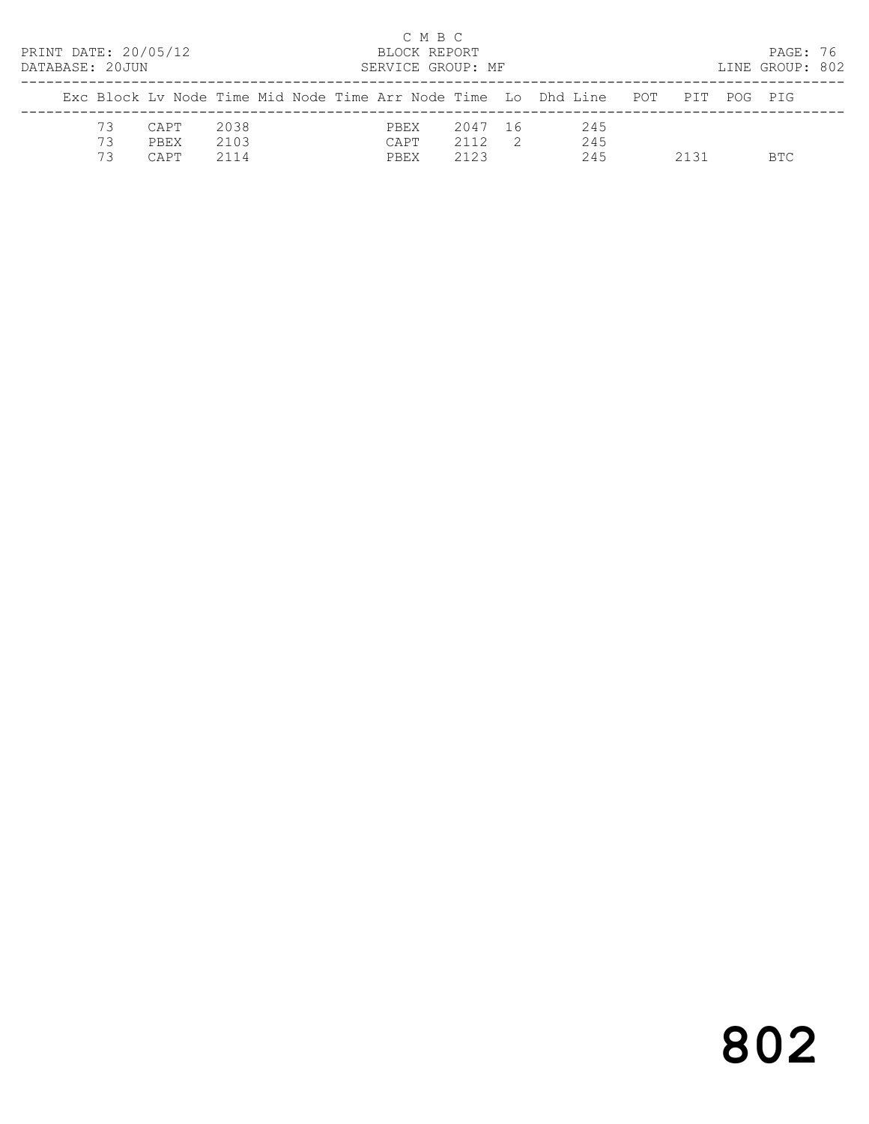| PRINT DATE: 20/05/12<br>DATABASE: 20JUN |                      |                      | C M B C<br>BLOCK REPORT<br>SERVICE GROUP: MF |                         |     |                                                                                |      | PAGE: 76<br>LINE GROUP: 802 |  |
|-----------------------------------------|----------------------|----------------------|----------------------------------------------|-------------------------|-----|--------------------------------------------------------------------------------|------|-----------------------------|--|
|                                         |                      |                      |                                              |                         |     | Exc Block Ly Node Time Mid Node Time Arr Node Time Lo Dhd Line POT PIT POG PIG |      |                             |  |
| 73<br>73<br>73                          | CAPT<br>PBEX<br>CAPT | 2038<br>2103<br>2114 | PBEX<br>CAPT<br>PBEX                         | 2047 16<br>2112<br>2123 | - 2 | 245<br>245<br>245                                                              | 2131 | BTC.                        |  |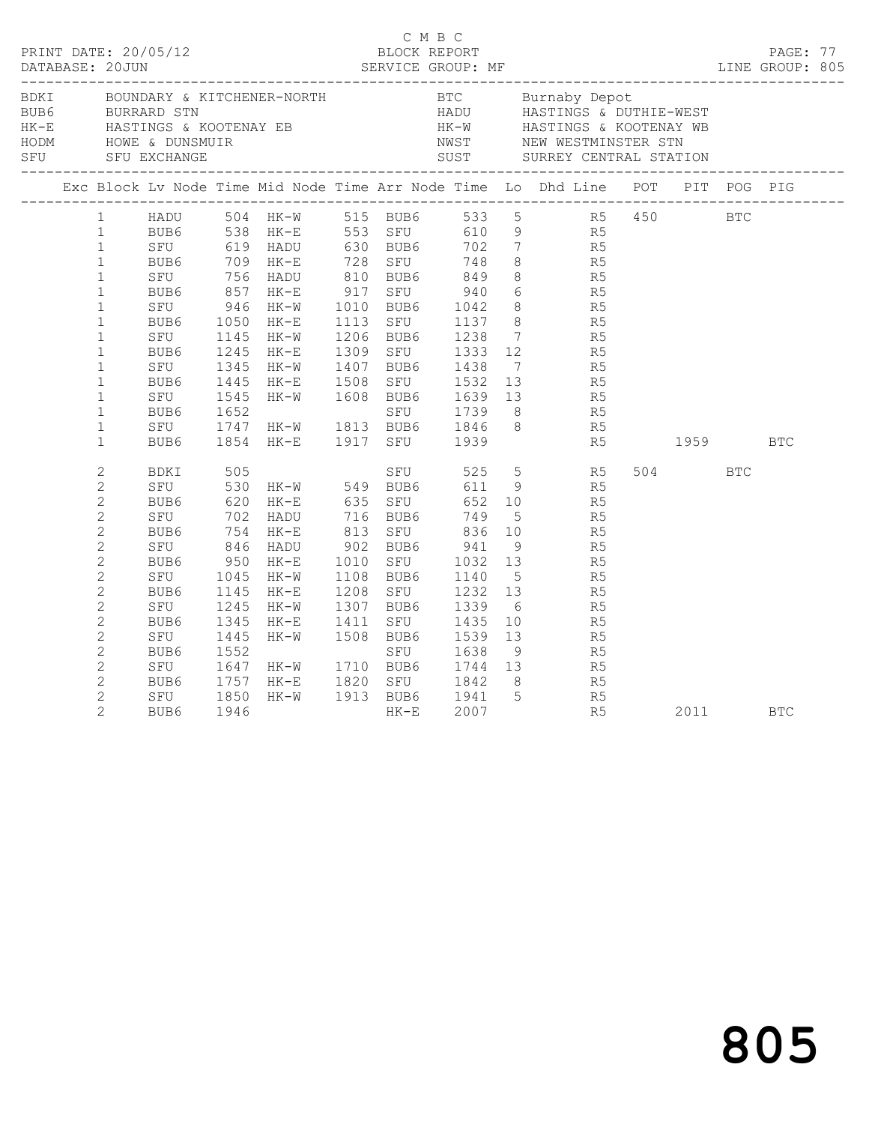|                                                                                                                                                                                                                                                                                                      |                                                                                                                                  |                                                                                                                        |                                                                                                                                                                                 |              |                                                                                                                           |                                                                                                                                                                     |                                                 | BORI BOUNDARY & KITCHENER-NORTH BTC Burnaby Depot<br>BUB6 BURRARD STN HADU HASTINGS & DUTHIE-WEST<br>HK-E HASTINGS & KOOTENAY EB HK-W HASTINGS & KOOTENAY WB<br>HODM HOWE & DUNSMUIR SFU STORE SUST SURREY CENTRAL STATION<br>--------                                                                                                                                                                                                                                                                          |         |      |            |  |
|------------------------------------------------------------------------------------------------------------------------------------------------------------------------------------------------------------------------------------------------------------------------------------------------------|----------------------------------------------------------------------------------------------------------------------------------|------------------------------------------------------------------------------------------------------------------------|---------------------------------------------------------------------------------------------------------------------------------------------------------------------------------|--------------|---------------------------------------------------------------------------------------------------------------------------|---------------------------------------------------------------------------------------------------------------------------------------------------------------------|-------------------------------------------------|-----------------------------------------------------------------------------------------------------------------------------------------------------------------------------------------------------------------------------------------------------------------------------------------------------------------------------------------------------------------------------------------------------------------------------------------------------------------------------------------------------------------|---------|------|------------|--|
|                                                                                                                                                                                                                                                                                                      |                                                                                                                                  |                                                                                                                        |                                                                                                                                                                                 |              |                                                                                                                           |                                                                                                                                                                     |                                                 | Exc Block Lv Node Time Mid Node Time Arr Node Time Lo Dhd Line POT PIT POG PIG                                                                                                                                                                                                                                                                                                                                                                                                                                  |         |      |            |  |
| $1 \quad$<br>$1 \quad$<br>$\mathbf{1}$<br>$\mathbf{1}$<br>$\mathbf{1}$<br>$\mathbf{1}$<br>$\mathbf{1}$<br>$\mathbf{1}$<br>$\mathbf{1}$<br>$\mathbf{1}$<br>$\mathbf{1}$<br>$\mathbf{1}$<br>$\mathbf{1}$<br>$\mathbf{1}$<br>$\mathbf{1}$<br>$\mathbf{1}$                                               | SFU 946<br>BUB6 1050<br>BUB6<br>SFU<br>BUB6<br>SFU<br>BUB6<br>SFU<br>BUB6<br>SFU<br>BUB6                                         | 1050<br>1145<br>1245<br>1345                                                                                           | HK-W<br>$HK-E$<br>HK-W<br>HK-E<br>HK-W<br>1445 HK-E 1508 SFU 1532 13<br>1545 HK-W 1608 BUB6 1639 13<br>1652 SFU 1739 8<br>1747 HK-W 1813 BUB6 1846 8<br>1854 HK-E 1917 SFU 1939 |              | 1206 BUB6                                                                                                                 | 1010 BUB6 1042<br>1113 SFU 1137<br>1238<br>1309 SFU 1333<br>1407 BUB6 1438                                                                                          |                                                 | HADU 504 HK-W 515 BUB6 533 5 R5 450 BTC<br>BUB6 538 HK-E 553 SFU 610 9 R5<br>SFU 619 HADU 630 BUB6 702 7 R5<br>BUB6 709 HK-E 728 SFU 748 8 R5<br>SFU 756 HADU 810 BUB6 849 8 R5<br>BUB6 857 HK-E 917 SFU 940 6 R5<br>BUB6 857 HK-E 917 SFU<br>8<br>8<br>8<br>R5<br>7 R5<br>$\begin{array}{ccc} 12 & \quad & \quad \text{R5} \\ 7 & \quad & \quad \text{R5} \end{array}$<br>R <sub>5</sub><br>$\begin{array}{ccc} 13 & \quad & \mathbb{R}5 \\ 8 & \quad & \mathbb{R}5 \end{array}$<br>8 <sup>1</sup><br>R5<br>R5 | 1959    |      | <b>BTC</b> |  |
| $\overline{c}$<br>$\mathbf{2}$<br>$\overline{2}$<br>$\overline{c}$<br>$\mathbf{2}$<br>$\overline{c}$<br>$\overline{c}$<br>$\mathbf{2}$<br>$\overline{c}$<br>$\mathbf{2}$<br>$\overline{c}$<br>$\overline{c}$<br>$\overline{c}$<br>$\mathbf{2}$<br>$\overline{c}$<br>$\overline{c}$<br>$\overline{2}$ | BDKI<br>SFU 530<br>BUB6<br>SFU<br>BUB6<br>SFU<br>BUB6<br>SFU<br>BUB6<br>SFU<br>BUB6<br>SFU<br>BUB6<br>SFU<br>BUB6<br>SFU<br>BUB6 | 505<br>620<br>702<br>754<br>846<br>950<br>1045<br>1145<br>1245<br>1345<br>1445<br>1552<br>1647<br>1757<br>1850<br>1946 | $HK-W$ 549 BUB6<br>HK-E<br>HADU<br>HK-E<br>HADU<br>HK-E<br>$HK-W$<br>HK-E<br>HK-W<br>HK-E<br>$HK-W$<br>HK-W 1710 BUB6<br>HK-E<br>HK-W                                           | 1010<br>1411 | SFU<br>635 SFU<br>716 BUB6<br>SFU<br>813 SFU<br>902 BUB6<br>1108 BUB6<br>1208 SFU<br>1307 BUB6<br>SFU<br>1508 BUB6<br>SFU | 525<br>611<br>652<br>749<br>836<br>BUB6 941<br>SFU 1032<br>1032<br>1140<br>1232<br>1339<br>1435<br>1539<br>1638<br>1710   BUB6       1744<br>1820   SFU        1842 | 10<br>5 <sup>5</sup><br>13<br>6<br>9<br>1744 13 | 5 R5<br>9 R5<br>$\begin{tabular}{cc} 10 & \quad R5 \\ 5 & \quad R5 \end{tabular}$<br>R <sub>5</sub><br>$\begin{array}{ccc} 9 & \text{R5} \\ 13 & \text{R5} \end{array}$<br>R5<br>R5<br>R5<br>$\begin{tabular}{ll} 10 & \quad R5 \\ 13 & \quad R5 \end{tabular}$<br>R <sub>5</sub><br>$\begin{array}{ccc} 13 & \quad & \mathbb{R}5 \\ 8 & \quad & \mathbb{R}5 \end{array}$                                                                                                                                       | 504 BTC | 2011 | <b>BTC</b> |  |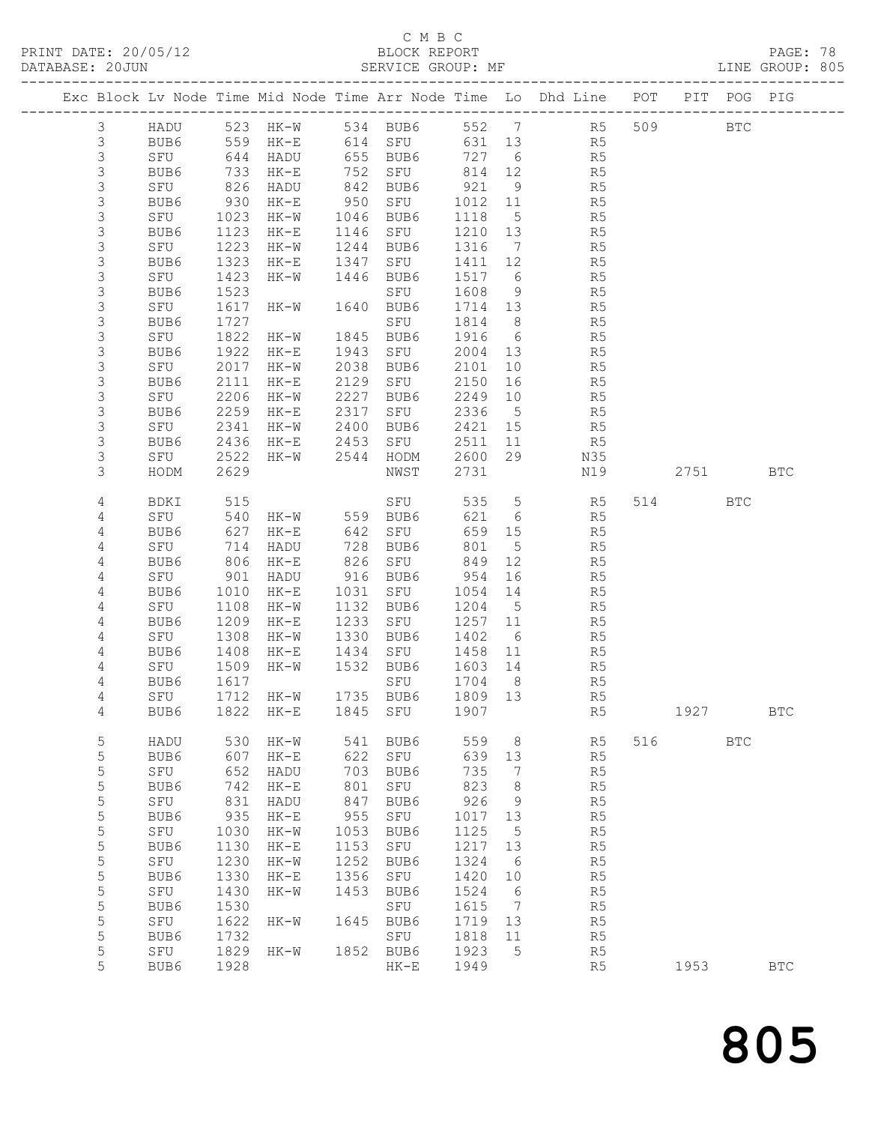## C M B C<br>BLOCK REPORT

| PRINT DATE: 20/05/12<br>DATABASE: 20JUN |                |      |                                                                                                |                      |            | BLOCK REPORT<br>SERVICE GROUP: MF |         |                 |                                                                                |      |              | PAGE: 78<br>LINE GROUP: 805 |  |
|-----------------------------------------|----------------|------|------------------------------------------------------------------------------------------------|----------------------|------------|-----------------------------------|---------|-----------------|--------------------------------------------------------------------------------|------|--------------|-----------------------------|--|
|                                         |                |      |                                                                                                |                      |            |                                   |         |                 | Exc Block Lv Node Time Mid Node Time Arr Node Time Lo Dhd Line POT PIT POG PIG |      |              |                             |  |
|                                         | $\mathcal{S}$  |      |                                                                                                |                      |            |                                   |         |                 | HADU 523 HK-W 534 BUB6 552 7 R5 509 BTC                                        |      |              |                             |  |
|                                         | $\mathsf 3$    |      |                                                                                                |                      |            | BUB6 559 HK-E 614 SFU             | 631 13  |                 | R <sub>5</sub>                                                                 |      |              |                             |  |
|                                         | $\mathsf 3$    | SFU  |                                                                                                | 644 HADU             |            | 655 BUB6                          | 727     |                 | 6 <sup>1</sup><br>R5                                                           |      |              |                             |  |
|                                         | $\mathsf 3$    | BUB6 |                                                                                                |                      |            |                                   | 814 12  |                 | R5                                                                             |      |              |                             |  |
|                                         |                | SFU  |                                                                                                | 733 HK-E<br>826 HADU |            | 752 SFU 814<br>842 BUB6 921       |         | 9               | R <sub>5</sub>                                                                 |      |              |                             |  |
|                                         | 3 <sup>3</sup> | BUB6 |                                                                                                | 930 HK-E             | 950        | SFU 1012                          |         | 11              | R5                                                                             |      |              |                             |  |
|                                         | $\mathsf S$    | SFU  |                                                                                                | 1023 HK-W            | 1046       | BUB6                              | 1118    | $5\overline{)}$ | R5                                                                             |      |              |                             |  |
|                                         | $\mathsf 3$    | BUB6 |                                                                                                | 1123 HK-E            | 1146       | SFU                               | 1210    | 13              | R5                                                                             |      |              |                             |  |
|                                         | $\mathsf 3$    | SFU  |                                                                                                | 1223 HK-W            |            | 1244 BUB6                         | 1316    | $7\overline{ }$ | R5                                                                             |      |              |                             |  |
|                                         | $\mathsf 3$    | BUB6 | 1323                                                                                           | HK-E                 | 1347       | SFU 1411                          |         | 12              | R5                                                                             |      |              |                             |  |
|                                         | $\mathsf S$    | SFU  | 1423                                                                                           | HK-W 1446 BUB6       |            |                                   | 1517    |                 | $6\overline{6}$<br>R5                                                          |      |              |                             |  |
|                                         | $\mathsf 3$    | BUB6 | 1523                                                                                           |                      |            | SFU                               | 1608    |                 | $\begin{array}{c} 9 \\ 13 \end{array}$<br>R5                                   |      |              |                             |  |
|                                         | $\mathfrak{Z}$ | SFU  |                                                                                                | 1617 HK-W 1640 BUB6  |            |                                   | 1714    |                 | R5                                                                             |      |              |                             |  |
|                                         | $\mathsf 3$    | BUB6 | 1727                                                                                           |                      |            | SFU                               | 1814    | 8 <sup>8</sup>  | R5                                                                             |      |              |                             |  |
|                                         | $\mathsf 3$    | SFU  |                                                                                                | 1822 HK-W 1845 BUB6  |            |                                   | 1916    | $6\overline{6}$ | R5                                                                             |      |              |                             |  |
|                                         | $\mathsf S$    | BUB6 | 1922                                                                                           | $HK-E$               |            | 1943 SFU                          | 2004    | 13              | R <sub>5</sub>                                                                 |      |              |                             |  |
|                                         | $\mathsf 3$    | SFU  |                                                                                                | 2017 HK-W            |            | 2038 BUB6                         | 2101    | 10              | R5                                                                             |      |              |                             |  |
|                                         | $\mathsf 3$    | BUB6 | 2111                                                                                           | $HK-E$               | 2129       | SFU                               | 2150    | 16              | R5                                                                             |      |              |                             |  |
|                                         | 3              | SFU  | 2206                                                                                           | $HK-W$               | 2227       | BUB6                              | 2249    | 10              | R5                                                                             |      |              |                             |  |
|                                         | $\mathsf S$    | BUB6 | 2259                                                                                           | $HK-E$               | 2317       | SFU                               | 2336    | $5\overline{)}$ | R5                                                                             |      |              |                             |  |
|                                         | $\mathsf 3$    | SFU  | 2341                                                                                           | HK-W                 | 2400       | BUB6                              | 2421    | 15              | R5                                                                             |      |              |                             |  |
|                                         | 3              | BUB6 | 2436                                                                                           | $HK-E$               | 2453       | SFU                               | 2511    | 11              | R5                                                                             |      |              |                             |  |
|                                         | 3              | SFU  | 2522                                                                                           | HK-W                 |            | 2544 HODM                         | 2600    | 29              | N35                                                                            |      |              |                             |  |
|                                         | 3              | HODM | 2629                                                                                           |                      |            | NWST                              | 2731    |                 | N19                                                                            | 2751 |              | <b>BTC</b>                  |  |
|                                         | 4              | BDKI | 515                                                                                            |                      |            | SFU                               |         |                 | 535 5 R5                                                                       | 514  | BTC          |                             |  |
|                                         | 4              | SFU  |                                                                                                |                      |            | 540 HK-W 559 BUB6                 | 621     |                 | $6\overline{6}$<br>R5                                                          |      |              |                             |  |
|                                         | 4              | BUB6 | 627                                                                                            | $HK-E$               |            | 642 SFU                           | 659     | 15              | R5                                                                             |      |              |                             |  |
|                                         | $\sqrt{4}$     | SFU  | $\begin{array}{c} \n \stackrel{\frown}{\phantom{}_{0}}\\ \n 806 \\  \hline\n 21\n \end{array}$ | HADU                 | 728<br>826 | BUB6<br>BUB6<br>SFU               | 801     | $5^{\circ}$     | R5                                                                             |      |              |                             |  |
|                                         | 4              | BUB6 |                                                                                                | HK-E                 |            |                                   | 849     | 12              | R5                                                                             |      |              |                             |  |
|                                         | 4              | SFU  |                                                                                                | 901 HADU             |            | 916 BUB6                          | 954     | 16              | R5                                                                             |      |              |                             |  |
|                                         | 4              | BUB6 | 1010                                                                                           | HK-E                 | 1031       | SFU                               | 1054    | 14              | R5                                                                             |      |              |                             |  |
|                                         | $\sqrt{4}$     | SFU  | 1108                                                                                           | HK-W                 |            | 1132 BUB6                         | 1204    | $5\overline{)}$ | R5                                                                             |      |              |                             |  |
|                                         | 4              | BUB6 |                                                                                                | 1209 HK-E            | 1233       | SFU 1257                          |         | 11              | R5                                                                             |      |              |                             |  |
|                                         | 4              | SFU  |                                                                                                | 1308 HK-W            |            | 1330 BUB6                         | 1402    | $6\overline{6}$ | R5                                                                             |      |              |                             |  |
|                                         | 4              | BUB6 | 1408                                                                                           | $HK-E$               |            | 1434 SFU 1458                     |         | 11              | R5                                                                             |      |              |                             |  |
|                                         | 4              | SFU  |                                                                                                | 1509 HK-W            |            | 1532 BUB6                         | 1603 14 |                 | R5                                                                             |      |              |                             |  |
|                                         | 4              |      |                                                                                                |                      |            | BUB6 1617 SFU 1704 8              |         |                 | R5                                                                             |      |              |                             |  |
|                                         | 4              | SFU  |                                                                                                | 1712 HK-W            |            | 1735 BUB6                         | 1809 13 |                 | R5                                                                             |      |              |                             |  |
|                                         | 4              | BUB6 | 1822                                                                                           | $HK-E$               | 1845       | SFU                               | 1907    |                 | R5                                                                             | 1927 |              | <b>BTC</b>                  |  |
|                                         | $\mathsf S$    | HADU | 530                                                                                            | HK-W                 | 541        | BUB6                              | 559     | 8               | R5                                                                             | 516  | $_{\rm BTC}$ |                             |  |
|                                         | 5              | BUB6 | 607                                                                                            | $HK-E$               | 622        | SFU                               | 639     | 13              | R5                                                                             |      |              |                             |  |
|                                         | $\mathsf S$    | SFU  | 652                                                                                            | HADU                 | 703        | BUB6                              | 735     | 7               | R5                                                                             |      |              |                             |  |
|                                         | 5              | BUB6 | 742                                                                                            | $HK-E$               | 801        | SFU                               | 823     | 8               | R5                                                                             |      |              |                             |  |
|                                         | $\mathsf S$    | SFU  | 831                                                                                            | HADU                 | 847        | BUB6                              | 926     | 9               | R5                                                                             |      |              |                             |  |
|                                         | 5              | BUB6 | 935                                                                                            | $HK-E$               | 955        | SFU                               | 1017    | 13              | R5                                                                             |      |              |                             |  |
|                                         | $\mathsf S$    | SFU  | 1030                                                                                           | HK-W                 | 1053       | BUB6                              | 1125    | $5\phantom{.0}$ | R5                                                                             |      |              |                             |  |
|                                         | $\mathsf S$    | BUB6 | 1130                                                                                           | $HK-E$               | 1153       | SFU                               | 1217    | 13              | R5                                                                             |      |              |                             |  |
|                                         | $\mathsf S$    | SFU  | 1230                                                                                           | $HK-W$               | 1252       | BUB6                              | 1324    | $6\overline{6}$ | R5                                                                             |      |              |                             |  |
|                                         | 5              | BUB6 | 1330                                                                                           | $HK-E$               | 1356       | SFU                               | 1420    | 10              | R5                                                                             |      |              |                             |  |
|                                         | 5              | SFU  | 1430                                                                                           | $HK-W$               | 1453       | BUB6                              | 1524    | $6\overline{6}$ | R5                                                                             |      |              |                             |  |
|                                         | 5              | BUB6 | 1530                                                                                           |                      |            | SFU                               | 1615    | $\overline{7}$  | R <sub>5</sub>                                                                 |      |              |                             |  |
|                                         | 5              | SFU  | 1622                                                                                           | HK-W                 |            | 1645 BUB6                         | 1719    | 13              | R5                                                                             |      |              |                             |  |
|                                         | 5              | BUB6 | 1732                                                                                           |                      |            | SFU                               | 1818    | 11              | R5                                                                             |      |              |                             |  |

5 SFU 1829 HK-W 1852 BUB6 1923 5 R5

5 BUB6 1928 HK-E 1949 R5 1953 BTC

805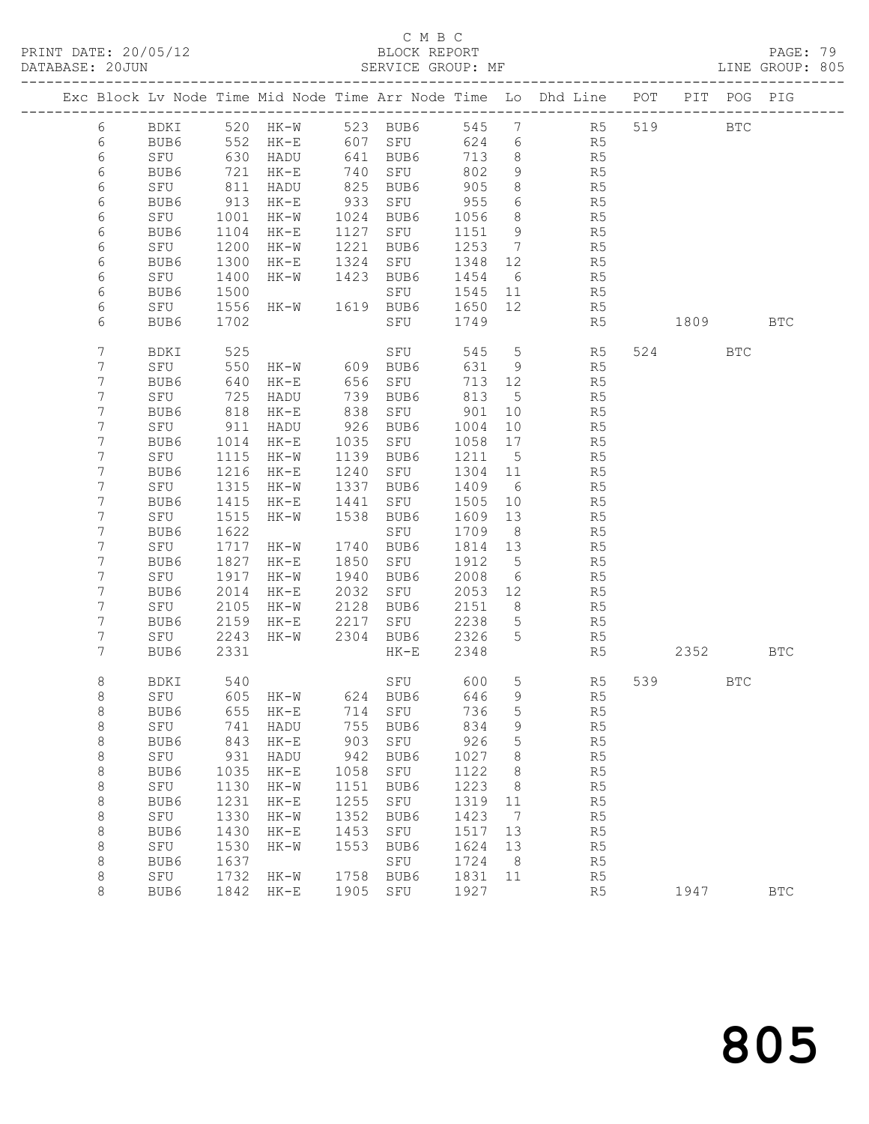PRINT DATE: 20/05/12 BLOCK REPORT BATABASE: 20JUN

## C M B C<br>BLOCK REPORT

PAGE: 79<br>LINE GROUP: 805

|            |      |      |                   |      |             |       |                 | Exc Block Lv Node Time Mid Node Time Arr Node Time Lo Dhd Line POT |     |                                                                                  | PIT POG PIG  |            |
|------------|------|------|-------------------|------|-------------|-------|-----------------|--------------------------------------------------------------------|-----|----------------------------------------------------------------------------------|--------------|------------|
| 6          | BDKI |      | 520 HK-W          |      | 523 BUB6    | 545   | $7\phantom{.0}$ | R <sub>5</sub>                                                     | 519 |                                                                                  | $_{\rm BTC}$ |            |
| 6          | BUB6 | 552  | HK-E              | 607  | SFU         | 624   | 6               | R5                                                                 |     |                                                                                  |              |            |
| $\epsilon$ | SFU  | 630  | HADU              | 641  | BUB6        | 713   | 8               | R5                                                                 |     |                                                                                  |              |            |
| 6          | BUB6 | 721  | HK-E              | 740  | SFU         | 802   | 9               | R5                                                                 |     |                                                                                  |              |            |
| 6          | SFU  | 811  | HADU              | 825  | BUB6        | 905   | 8               | R5                                                                 |     |                                                                                  |              |            |
| 6          | BUB6 | 913  | $HK-E$            | 933  | SFU         | 955   | 6               | R5                                                                 |     |                                                                                  |              |            |
| 6          | SFU  | 1001 | HK-W              | 1024 | BUB6        | 1056  | 8               | R5                                                                 |     |                                                                                  |              |            |
| 6          | BUB6 | 1104 | $HK-E$            | 1127 | SFU         | 1151  | 9               | R5                                                                 |     |                                                                                  |              |            |
| 6          | SFU  | 1200 | $HK-W$            | 1221 | BUB6        | 1253  | $\overline{7}$  | R5                                                                 |     |                                                                                  |              |            |
| 6          | BUB6 | 1300 | $HK-E$            | 1324 | SFU         | 1348  | 12              | R5                                                                 |     |                                                                                  |              |            |
| 6          | SFU  | 1400 | HK-W              | 1423 | BUB6        | 1454  | 6               | R5                                                                 |     |                                                                                  |              |            |
| 6          | BUB6 | 1500 |                   |      | SFU         | 1545  | 11              | R5                                                                 |     |                                                                                  |              |            |
| 6          | SFU  | 1556 | HK-W              |      | 1619 BUB6   | 1650  | 12              | R5                                                                 |     |                                                                                  |              |            |
| 6          | BUB6 | 1702 |                   |      | SFU         | 1749  |                 | R5                                                                 |     | 1809 — 1809 — 1809 — 1809 — 1809 — 1809 — 1809 — 1809 — 1809 — 1809 — 1809 — 180 |              | <b>BTC</b> |
| 7          | BDKI | 525  |                   |      | SFU         | 545   | $5\overline{)}$ | R5                                                                 |     | 524                                                                              | <b>BTC</b>   |            |
| 7          | SFU  | 550  | HK-W              | 609  | BUB6        | 631   | - 9             | R5                                                                 |     |                                                                                  |              |            |
| 7          | BUB6 | 640  | $HK-E$            | 656  | SFU         | 713   | 12              | R5                                                                 |     |                                                                                  |              |            |
| 7          | SFU  | 725  | HADU              | 739  | BUB6        | 813   | $5^{\circ}$     | R5                                                                 |     |                                                                                  |              |            |
| 7          | BUB6 | 818  | $HK-E$            | 838  | SFU         | 901   | 10              | R5                                                                 |     |                                                                                  |              |            |
| 7          | SFU  | 911  | HADU              | 926  | BUB6        | 1004  | 10              | R5                                                                 |     |                                                                                  |              |            |
| 7          | BUB6 | 1014 | $HK-E$            | 1035 | SFU         | 1058  | 17              | R5                                                                 |     |                                                                                  |              |            |
| 7          | SFU  | 1115 | HK-W              | 1139 | BUB6        | 1211  | 5               | R5                                                                 |     |                                                                                  |              |            |
| 7          | BUB6 | 1216 | $HK-E$            | 1240 | SFU         | 1304  | 11              | R5                                                                 |     |                                                                                  |              |            |
| 7          | SFU  | 1315 | HK-W              | 1337 | BUB6        | 1409  | 6               | R5                                                                 |     |                                                                                  |              |            |
| 7          | BUB6 | 1415 | $HK-E$            | 1441 | SFU         | 1505  | 10              | R5                                                                 |     |                                                                                  |              |            |
| 7          | SFU  | 1515 | $HK-W$            | 1538 | BUB6        | 1609  | 13              | R5                                                                 |     |                                                                                  |              |            |
| 7          | BUB6 | 1622 |                   |      | SFU         | 1709  | 8 <sup>8</sup>  | R5                                                                 |     |                                                                                  |              |            |
| 7          | SFU  | 1717 | HK-W              | 1740 | BUB6        | 1814  | 13              | R5                                                                 |     |                                                                                  |              |            |
| 7          | BUB6 | 1827 | $HK-E$            | 1850 | SFU         | 1912  | $5^{\circ}$     | R5                                                                 |     |                                                                                  |              |            |
| 7          | SFU  | 1917 | $HK-W$            | 1940 | BUB6        | 2008  | - 6             | R5                                                                 |     |                                                                                  |              |            |
| 7          | BUB6 | 2014 | $HK-E$            | 2032 | SFU         | 2053  | 12              | R5                                                                 |     |                                                                                  |              |            |
| 7          | SFU  | 2105 | HK-W              | 2128 | BUB6        | 2151  | 8               | R5                                                                 |     |                                                                                  |              |            |
| 7          | BUB6 | 2159 | $HK-E$            | 2217 | SFU         | 2238  | 5               | R5                                                                 |     |                                                                                  |              |            |
| 7          | SFU  | 2243 | HK-W              | 2304 | BUB6        | 2326  | 5               | R5                                                                 |     |                                                                                  |              |            |
| 7          | BUB6 | 2331 |                   |      | $HK-E$      | 2348  |                 | R5                                                                 |     | 2352                                                                             |              | <b>BTC</b> |
| 8          | BDKI | 540  |                   |      | SFU         | 600   | 5               | R5                                                                 | 539 |                                                                                  | $_{\rm BTC}$ |            |
| 8          | SFU  |      | 605 HK-W 624 BUB6 |      |             | 646   | 9               | R5                                                                 |     |                                                                                  |              |            |
| 8          | BUB6 |      | 655 HK-E          |      | 714 SFU     | 736 5 |                 | R5                                                                 |     |                                                                                  |              |            |
| 8          | SFU  | 741  | HADU              | 755  | BUB6        | 834   | 9               | R <sub>5</sub>                                                     |     |                                                                                  |              |            |
| 8          | BUB6 | 843  | $HK-E$            | 903  | SFU         | 926   | 5               | R5                                                                 |     |                                                                                  |              |            |
| $\,8\,$    | SFU  | 931  | HADU              | 942  | BUB6        | 1027  | 8               | R5                                                                 |     |                                                                                  |              |            |
| $\,8\,$    | BUB6 | 1035 | $HK-E$            | 1058 | ${\tt SFU}$ | 1122  | 8               | R5                                                                 |     |                                                                                  |              |            |
| $\,8\,$    | SFU  | 1130 | $HK-W$            | 1151 | BUB6        | 1223  | 8               | R5                                                                 |     |                                                                                  |              |            |
| 8          | BUB6 | 1231 | $HK-E$            | 1255 | SFU         | 1319  | 11              | R5                                                                 |     |                                                                                  |              |            |
| 8          | SFU  | 1330 | $HK-W$            | 1352 | BUB6        | 1423  | 7               | R <sub>5</sub>                                                     |     |                                                                                  |              |            |
| $\,8\,$    | BUB6 | 1430 | $HK-E$            | 1453 | SFU         | 1517  | 13              | R5                                                                 |     |                                                                                  |              |            |
| $\,8\,$    | SFU  | 1530 | $HK-W$            | 1553 | BUB6        | 1624  | 13              | R5                                                                 |     |                                                                                  |              |            |
| 8          | BUB6 | 1637 |                   |      | ${\tt SFU}$ | 1724  | 8               | R <sub>5</sub>                                                     |     |                                                                                  |              |            |
| 8          | SFU  | 1732 | $HK-W$            | 1758 | BUB6        | 1831  | 11              | R <sub>5</sub>                                                     |     |                                                                                  |              |            |
| 8          | BUB6 | 1842 | $HK-E$            | 1905 | ${\tt SFU}$ | 1927  |                 | R <sub>5</sub>                                                     |     | 1947                                                                             |              | <b>BTC</b> |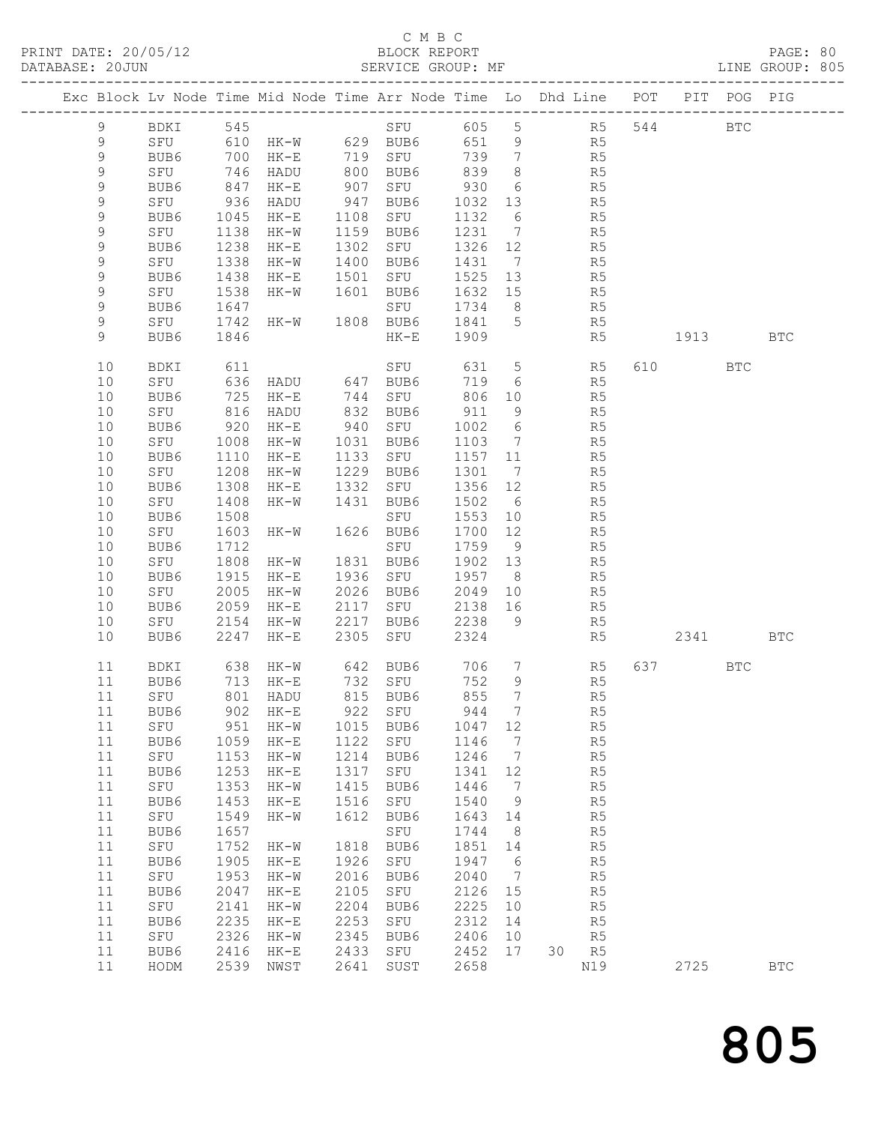#### C M B C<br>BLOCK REPORT SERVICE GROUP: MF

| Exc Block Lv Node Time Mid Node Time Arr Node Time Lo Dhd Line POT |             |              |                                                |              |                     |                   |                                                |                |                      |         | PIT POG PIG |            |
|--------------------------------------------------------------------|-------------|--------------|------------------------------------------------|--------------|---------------------|-------------------|------------------------------------------------|----------------|----------------------|---------|-------------|------------|
| $\overline{9}$                                                     | BDKI 545    |              |                                                |              | SFU 605 5 R5 544    |                   |                                                |                |                      |         | <b>BTC</b>  |            |
| 9                                                                  |             |              | SPU 610 HK-W 629 BUB6<br>BUB6 700 HK-E 719 SFU |              |                     | 651 9             |                                                |                | R5<br>R5             |         |             |            |
| $\mathsf 9$                                                        |             |              |                                                |              |                     | 739               | $7\overline{ }$                                |                |                      |         |             |            |
| 9                                                                  | SFU         | 746          | HADU                                           |              | 800 BUB6            | 839               | 8 <sup>8</sup>                                 | R <sub>5</sub> |                      |         |             |            |
| 9                                                                  | BUB6        | 847          | $HK-E$                                         | 907          | SFU                 | 930               | 6                                              |                | R5                   |         |             |            |
| 9                                                                  | SFU         | 936          | HADU                                           |              | 947 BUB6            | 1032 13           |                                                |                | R5<br>R5             |         |             |            |
| 9<br>9                                                             | BUB6        | 1045         | HK-E                                           | 1108         | SFU<br>1159 BUB6    | 1132<br>1231      | 6                                              |                |                      |         |             |            |
| 9                                                                  | SFU<br>BUB6 | 1138<br>1238 | HK-W<br>HK-E                                   | 1302         | SFU                 | 1326 12           | $\overline{7}$                                 |                | R5<br>R5             |         |             |            |
| 9                                                                  | SFU         | 1338         | HK-W                                           |              | 1400 BUB6           | 1431 7            |                                                |                | R5                   |         |             |            |
| $\mathsf 9$                                                        | BUB6        | 1438         | $HK-E$                                         | 1501         | SFU                 | 1525 13           |                                                |                | R5                   |         |             |            |
| 9                                                                  | SFU         | 1538         | HK-W                                           |              | 1601 BUB6           | 1632 15           |                                                |                | R5                   |         |             |            |
| 9                                                                  | BUB6        | 1647         |                                                |              | SFU                 | 1734              | 8 <sup>8</sup>                                 |                | R5                   |         |             |            |
| 9                                                                  | SFU         | 1742         | HK-W 1808 BUB6                                 |              |                     | 1841 5            |                                                |                | R <sub>5</sub>       |         |             |            |
| 9                                                                  | BUB6        | 1846         |                                                |              | $HK-E$              | 1909              |                                                |                | R5                   | 1913    |             | <b>BTC</b> |
| 10                                                                 | BDKI        | 611          |                                                |              | SFU                 | 631               | $5\overline{)}$                                |                | R5                   | 610 000 | <b>BTC</b>  |            |
| 10                                                                 | SFU         | 636          |                                                |              |                     | 719               | 6                                              |                | R5                   |         |             |            |
| 10                                                                 | BUB6        | 725          | HADU 647 BUB6<br>HK-E 744 SFU<br>$HK-E$        |              |                     | 806 10            |                                                |                | R5                   |         |             |            |
| 10                                                                 | SFU         | 816          | HADU                                           |              | 832 BUB6            | 911               | 9                                              |                | R5                   |         |             |            |
| 10                                                                 | BUB6        | 920          | HK-E                                           |              | 940 SFU             | 1002 6            |                                                |                | R5                   |         |             |            |
| 10                                                                 | SFU         | 1008         | HK-W                                           | 1031         | BUB6                | 1103              | $\overline{7}$                                 |                | R5                   |         |             |            |
| 10                                                                 | BUB6        | 1110         | $HK-E$                                         |              | 1133 SFU            | 1157 11           |                                                |                | R <sub>5</sub>       |         |             |            |
| 10                                                                 | SFU         | 1208         | HK-W                                           |              | 1229 BUB6           | 1301              | $\overline{7}$                                 |                | R5                   |         |             |            |
| 10                                                                 | BUB6        | 1308         | $HK-E$                                         |              | 1332 SFU            | 1356 12           |                                                |                | R5                   |         |             |            |
| 10                                                                 | SFU         | 1408         | $HK-W$                                         | 1431         | BUB6                | 1502 6            |                                                |                | R5                   |         |             |            |
| 10                                                                 | BUB6        | 1508         |                                                |              | SFU                 | 1553 10           |                                                |                | R5                   |         |             |            |
| 10                                                                 | SFU         | 1603         | $HK-W$                                         |              | 1626 BUB6           | 1700 12           |                                                |                | R5                   |         |             |            |
| 10<br>10                                                           | BUB6        | 1712<br>1808 | $HK-W$                                         |              | SFU<br>1831 BUB6    | 1759 9<br>1902 13 |                                                |                | R5                   |         |             |            |
| 10                                                                 | SFU<br>BUB6 | 1915         | HK-E                                           |              | 1936 SFU            | 1957 8            |                                                |                | R5<br>R5             |         |             |            |
| 10                                                                 | SFU         | 2005         | HK-W                                           |              | 2026 BUB6           | 2049              | 10                                             |                | R5                   |         |             |            |
| 10                                                                 | BUB6        | 2059         | $HK-E$                                         |              | 2117 SFU            | 2138 16           |                                                |                | R5                   |         |             |            |
| 10                                                                 | SFU         | 2154         | HK-W                                           | 2217         | BUB6                | 2238              | - 9                                            |                | R5                   |         |             |            |
| 10                                                                 | BUB6        | 2247         | $HK-E$                                         | 2305         | SFU                 | 2324              |                                                |                | R5                   | 2341    |             | <b>BTC</b> |
| 11                                                                 | BDKI        | 638          |                                                |              | HK-W 642 BUB6 706 7 |                   |                                                |                | R <sub>5</sub>       | 637     | BTC         |            |
| 11                                                                 | BUB6        | 713          | HK-E                                           |              | 732 SFU             | 752               | 9                                              |                | R <sub>5</sub>       |         |             |            |
| 11                                                                 | SFU         | 801          | HADU                                           |              | 815 BUB6            | 855               | $7\phantom{.0}\phantom{.0}7$                   |                | R <sub>5</sub>       |         |             |            |
|                                                                    | 11 BUB6     |              | 902 HK-E 922 SFU 944 7                         |              |                     |                   |                                                |                | R5                   |         |             |            |
| 11                                                                 | SFU         | 951<br>1059  | $HK-W$                                         | 1015<br>1122 | BUB6                | 1047              | 12                                             |                | R5                   |         |             |            |
| 11<br>11                                                           | BUB6<br>SFU | 1153         | $HK-E$<br>$HK-W$                               | 1214         | SFU<br>BUB6         | 1146<br>1246      | $7\phantom{.0}\phantom{.0}7$<br>$\overline{7}$ |                | R5<br>R <sub>5</sub> |         |             |            |
| 11                                                                 | BUB6        | 1253         | $HK-E$                                         | 1317         | SFU                 | 1341              | 12                                             |                | R <sub>5</sub>       |         |             |            |
| 11                                                                 | SFU         | 1353         | $HK-W$                                         | 1415         | BUB6                | 1446              | $\overline{7}$                                 |                | R <sub>5</sub>       |         |             |            |
| 11                                                                 | BUB6        | 1453         | $HK-E$                                         | 1516         | SFU                 | 1540              | 9                                              |                | R <sub>5</sub>       |         |             |            |
| 11                                                                 | SFU         | 1549         | $HK-W$                                         | 1612         | BUB6                | 1643              | 14                                             |                | R5                   |         |             |            |
| 11                                                                 | BUB6        | 1657         |                                                |              | SFU                 | 1744              | 8                                              |                | R5                   |         |             |            |
| 11                                                                 | SFU         | 1752         | $HK-W$                                         | 1818         | BUB6                | 1851              | 14                                             |                | R5                   |         |             |            |
| 11                                                                 | BUB6        | 1905         | $HK-E$                                         | 1926         | SFU                 | 1947              | $6\overline{6}$                                |                | R <sub>5</sub>       |         |             |            |
| 11                                                                 | SFU         | 1953         | $HK-W$                                         | 2016         | BUB6                | 2040              | $\overline{7}$                                 |                | R <sub>5</sub>       |         |             |            |
| 11                                                                 | BUB6        | 2047         | $HK-E$                                         | 2105         | SFU                 | 2126              | 15                                             |                | R <sub>5</sub>       |         |             |            |
| 11                                                                 | SFU         | 2141         | $HK-W$                                         | 2204         | BUB6                | 2225              | 10                                             |                | R <sub>5</sub>       |         |             |            |
| 11                                                                 | BUB6        | 2235         | $HK-E$                                         | 2253         | SFU                 | 2312              | 14                                             |                | R5                   |         |             |            |
| 11                                                                 | SFU         | 2326         | $HK-W$                                         | 2345         | BUB6                | 2406              | 10                                             |                | R <sub>5</sub>       |         |             |            |
| 11<br>11                                                           | BUB6        | 2416         | $HK-E$                                         | 2433<br>2641 | SFU                 | 2452<br>2658      | 17                                             | 30             | R <sub>5</sub>       | 2725    |             | <b>BTC</b> |
|                                                                    | HODM        | 2539         | NWST                                           |              | SUST                |                   |                                                |                | N19                  |         |             |            |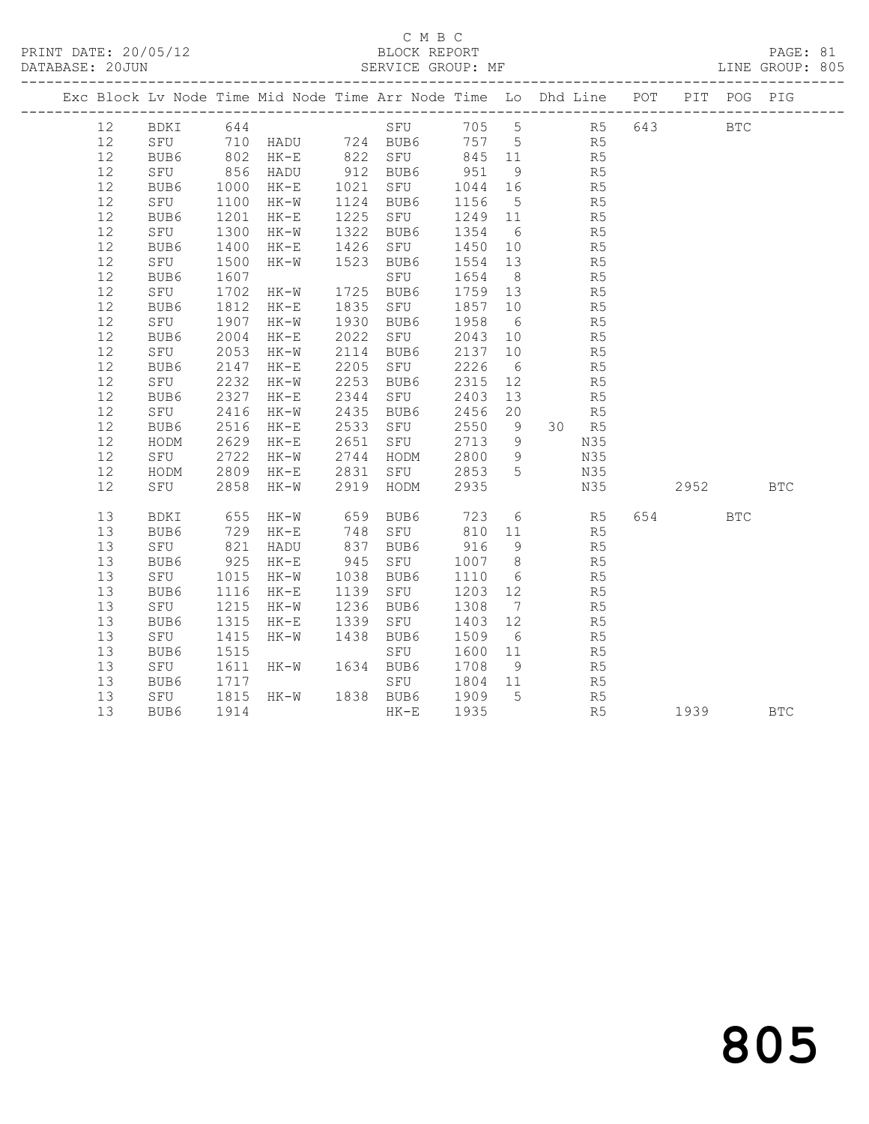### C M B C<br>BLOCK REPORT SERVICE GROUP: MF

| Exc Block Lv Node Time Mid Node Time Arr Node Time Lo Dhd Line POT PIT POG PIG |                       |                |                                 |                                                         |                   |                 |                |                |          |            |            |
|--------------------------------------------------------------------------------|-----------------------|----------------|---------------------------------|---------------------------------------------------------|-------------------|-----------------|----------------|----------------|----------|------------|------------|
| 12                                                                             |                       |                |                                 | BDKI 644 SFU 705 5 R5 643 BTC                           |                   |                 |                |                |          |            |            |
| 12                                                                             |                       |                |                                 | SFU 710 HADU 724 BUB6 757 5 R5                          |                   |                 |                |                |          |            |            |
| 12                                                                             | BUB6                  |                |                                 | 802 HK-E 822 SFU 845 11                                 |                   |                 | R <sub>5</sub> |                |          |            |            |
| 12                                                                             | SFU                   | 856<br>1000    | HADU                            | 912 BUB6<br>$1021$ BUB6 951<br>1021 SFU 1044<br>1124 TH |                   | 9               |                | R5             |          |            |            |
| 12                                                                             | BUB6                  |                | HK-E                            |                                                         | 1044 16           |                 |                | R5             |          |            |            |
| 12                                                                             | SFU                   | 1100           | $HK-W$                          | 1124 BUB6                                               | 1156              | $5\overline{)}$ |                | R5             |          |            |            |
| 12                                                                             | BUB6                  | 1201           | HK-E                            | 1225 SFU                                                | 1249 11           |                 |                | R <sub>5</sub> |          |            |            |
| 12                                                                             | SFU                   | 1300<br>1400   | HK-W                            | 1322 BUB6                                               | 1354 6            |                 |                | R5<br>R5       |          |            |            |
| 12                                                                             | BUB6                  |                | $HK-E$                          | 1426 SFU                                                | 1450 10           |                 |                |                |          |            |            |
| 12                                                                             | SFU                   | 1500           | $HK-W$                          | 1523 BUB6                                               | 1554 13           |                 | R <sub>5</sub> |                |          |            |            |
| 12                                                                             | BUB6                  | 1607           |                                 | SFU                                                     | 1654 8            |                 |                | R5             |          |            |            |
| 12                                                                             | SFU                   | 1702           | $HK-W$                          | 1725 BUB6                                               | 1759 13           |                 |                | R5<br>R5       |          |            |            |
| 12                                                                             | BUB6                  | 1812           | $HK-E$                          | 1835 SFU                                                | 1857 10           |                 |                |                |          |            |            |
| 12                                                                             | SFU                   | 1907           | $HK-W$                          | 1930 BUB6                                               | 1958 6            |                 | R <sub>5</sub> |                |          |            |            |
| 12                                                                             | BUB6                  | 2004           | $HK-E$                          | 2022 SFU                                                | 2043 10           |                 |                | R5             |          |            |            |
| 12<br>12                                                                       | SFU                   | 2053<br>2147   | HK-W                            | 2114 BUB6<br>$2205$ SFU                                 | 2137 10<br>2226 6 |                 |                | R5<br>R5       |          |            |            |
| 12                                                                             | BUB6                  | 2232           | $HK-E$<br>$HK-W$                | 2253 BUB6                                               | 2315 12           |                 |                | R5             |          |            |            |
| 12                                                                             | SFU<br>BUB6           |                | HK-E                            |                                                         | 2403 13           |                 |                | R5             |          |            |            |
| 12                                                                             | SFU                   | 2327<br>2416   | $HK-W$                          | 2344 SFU<br>2435 BUB6                                   | 2456 20           |                 |                | R5             |          |            |            |
| 12                                                                             | BUB6                  | 2516           | $HK-E$                          | 2533 SFU                                                | 2550 9            |                 |                | 30 R5          |          |            |            |
| 12                                                                             | HODM                  | 2629           | HK-E 2651 SFU                   |                                                         | 2713 9 N35        |                 |                |                |          |            |            |
| 12                                                                             | SFU                   |                |                                 |                                                         | 2800 9            |                 |                | N35            |          |            |            |
| 12                                                                             | HODM                  | 2722<br>2809   |                                 | 2722 HK-W 2744 HODM<br>2809 HK-E 2831 SFU               | 2853 5            |                 |                | N35            |          |            |            |
| 12                                                                             | SFU 2858              |                | HK-W                            | 2919 HODM                                               | 2935              |                 |                | N35            | 2952 BTC |            |            |
|                                                                                |                       |                |                                 |                                                         |                   |                 |                |                |          |            |            |
| 13                                                                             | BDKI                  |                |                                 |                                                         |                   |                 |                | R <sub>5</sub> | 654      | <b>BTC</b> |            |
| 13                                                                             | BUB6                  |                | 655 HK-W<br>729 HK-E            |                                                         |                   |                 |                | R5             |          |            |            |
| 13                                                                             | SFU                   | 821            | HADU                            | 837 BUB6                                                | 916               | 9               |                | R5             |          |            |            |
| 13                                                                             | BUB6                  | 925            | $HK-E$                          | 945 SFU                                                 | 1007 8            |                 | R <sub>5</sub> |                |          |            |            |
| 13                                                                             | SFU                   |                |                                 | 1038 BUB6                                               | 1110 6            |                 |                | R5             |          |            |            |
| 13                                                                             | BUB6                  |                | $1015$<br>1116 HK-E<br>$4K - W$ | 1139 SFU                                                | 1203 12           |                 |                | R5             |          |            |            |
| 13                                                                             | SFU                   | 1215           | $HK-W$                          | 1236 BUB6                                               | 1308 7            |                 |                | R5             |          |            |            |
| 13                                                                             | BUB6                  | 1315           | $HK-E$                          | 1339 SFU                                                | 1403 12           |                 |                | R5             |          |            |            |
| 13                                                                             | SFU                   | $14.4$<br>1515 | HK-W                            | 1438 BUB6                                               | 1509              | 6               |                | R5             |          |            |            |
| 13                                                                             | BUB6                  |                |                                 | SFU                                                     | 1600 11           |                 |                | R5             |          |            |            |
| 13                                                                             | SFU                   | 1611           | HK-W 1634 BUB6                  |                                                         | 1708              | 9               | R <sub>5</sub> |                |          |            |            |
| 13                                                                             | BUB6                  | 1717           |                                 | SFU                                                     | 1804 11           |                 |                | R5             |          |            |            |
| 13                                                                             | SFU 1815<br>BUB6 1914 |                | HK-W 1838 BUB6                  |                                                         | 1909 5            |                 |                | R <sub>5</sub> |          |            |            |
| 13                                                                             |                       |                |                                 | $HK-E$                                                  | 1935              |                 |                | R5             | 1939     |            | <b>BTC</b> |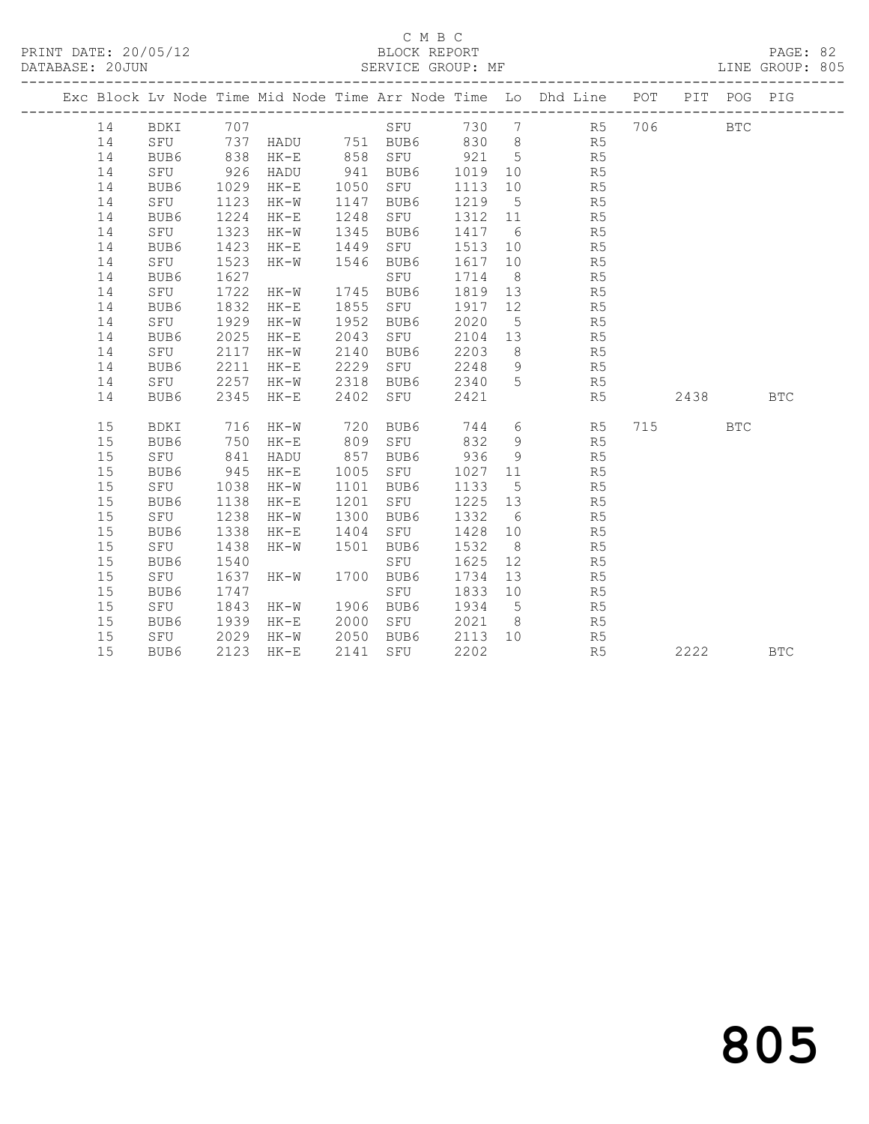PRINT DATE: 20/05/12 BLOCK REPORT BATABASE: 20JUN

## C M B C<br>BLOCK REPORT

PAGE: 82<br>LINE GROUP: 805

|  |    |             |      |                   |      |               |         |                 | Exc Block Lv Node Time Mid Node Time Arr Node Time Lo Dhd Line POT PIT POG PIG |          |              |            |
|--|----|-------------|------|-------------------|------|---------------|---------|-----------------|--------------------------------------------------------------------------------|----------|--------------|------------|
|  | 14 | BDKI 707    |      |                   |      | SFU 730 7     |         |                 | R5 706                                                                         |          | $_{\rm BTC}$ |            |
|  | 14 | SFU         |      | 737 HADU 751 BUB6 |      |               |         |                 | 830 8 R5                                                                       |          |              |            |
|  | 14 | BUB6        | 838  | HK-E              |      | 858 SFU 921 5 |         |                 | R5                                                                             |          |              |            |
|  | 14 | SFU         | 926  | HADU              |      | 941 BUB6      | 1019    | 10              | R5                                                                             |          |              |            |
|  | 14 | BUB6        | 1029 | HK-E              | 1050 | SFU           | 1113    | 10              | R5                                                                             |          |              |            |
|  | 14 | SFU         | 1123 | HK-W              | 1147 | BUB6          | 1219    | $5^{\circ}$     | R5                                                                             |          |              |            |
|  | 14 | BUB6        | 1224 | $HK-E$            | 1248 | SFU           | 1312 11 |                 | R5                                                                             |          |              |            |
|  | 14 | SFU         | 1323 | HK-W              | 1345 | BUB6          | 1417 6  |                 | R5                                                                             |          |              |            |
|  | 14 | BUB6        | 1423 | $HK-E$            | 1449 | SFU           | 1513    | 10              | R <sub>5</sub>                                                                 |          |              |            |
|  | 14 | SFU         | 1523 | $HK-W$            | 1546 | BUB6          | 1617    | 10              | R5                                                                             |          |              |            |
|  | 14 | BUB6        | 1627 |                   |      | SFU           | 1714    | 8 <sup>8</sup>  | R5                                                                             |          |              |            |
|  | 14 | SFU         | 1722 | HK-W              |      | 1745 BUB6     | 1819 13 |                 | R5                                                                             |          |              |            |
|  | 14 | BUB6        | 1832 | HK-E              | 1855 | SFU           | 1917    | 12              | R5                                                                             |          |              |            |
|  | 14 | SFU         | 1929 | HK-W              | 1952 | BUB6          | 2020    | $5^{\circ}$     | R5                                                                             |          |              |            |
|  | 14 | BUB6        | 2025 | $HK-E$            | 2043 | SFU           | 2104 13 |                 | R5                                                                             |          |              |            |
|  | 14 | SFU         | 2117 | HK-W              | 2140 | BUB6          | 2203    |                 | 8 <sup>8</sup><br>R5                                                           |          |              |            |
|  | 14 | BUB6        | 2211 | $HK-E$            | 2229 | SFU           | 2248    | 9               | R <sub>5</sub>                                                                 |          |              |            |
|  | 14 | SFU         | 2257 | HK-W              | 2318 | BUB6          | 2340    | 5 <sup>5</sup>  | R5                                                                             |          |              |            |
|  | 14 | BUB6        | 2345 | $HK-E$            | 2402 | SFU           | 2421    |                 | R5                                                                             | 2438     |              | <b>BTC</b> |
|  |    |             |      |                   |      |               |         |                 |                                                                                |          |              |            |
|  | 15 | <b>BDKI</b> | 716  | HK-W              | 720  | BUB6          | 744     | $6\overline{6}$ | R5                                                                             | 715 — 11 | <b>BTC</b>   |            |
|  | 15 | BUB6        | 750  | HK-E              | 809  | SFU           | 832     | 9               | R5                                                                             |          |              |            |
|  | 15 | SFU         | 841  | HADU              | 857  | BUB6          | 936     | 9               | R5                                                                             |          |              |            |
|  | 15 | BUB6        | 945  | $HK-E$            | 1005 | SFU           | 1027    | 11              | R5                                                                             |          |              |            |
|  | 15 | SFU         | 1038 | HK-W              | 1101 | BUB6          | 1133    | $5^{\circ}$     | R5                                                                             |          |              |            |
|  | 15 | BUB6        | 1138 | $HK-E$            | 1201 | SFU           | 1225 13 |                 | R5                                                                             |          |              |            |
|  | 15 | SFU         | 1238 | $HK-W$            | 1300 | BUB6          | 1332    | 6               | R5                                                                             |          |              |            |
|  | 15 | BUB6        | 1338 | $HK-E$            | 1404 | SFU           | 1428    | 10              | R <sub>5</sub>                                                                 |          |              |            |
|  | 15 | SFU         | 1438 | HK-W              | 1501 | BUB6          | 1532    | 8 <sup>8</sup>  | R5                                                                             |          |              |            |
|  | 15 | BUB6        | 1540 |                   |      | SFU           | 1625    | 12              | R5                                                                             |          |              |            |
|  | 15 | SFU         | 1637 | HK-W              | 1700 | BUB6          | 1734    | 13              | R5                                                                             |          |              |            |
|  | 15 | BUB6        | 1747 |                   |      | SFU           | 1833    | 10              | R5                                                                             |          |              |            |
|  | 15 | SFU         | 1843 | HK-W              | 1906 | BUB6          | 1934    | $5^{\circ}$     | R5                                                                             |          |              |            |
|  | 15 | BUB6        | 1939 | HK-E              | 2000 | SFU           | 2021 8  |                 | R5                                                                             |          |              |            |
|  | 15 | SFU         | 2029 | $HK-W$            | 2050 | BUB6          | 2113 10 |                 | R5                                                                             |          |              |            |
|  | 15 | BUB6        | 2123 | HK-E              | 2141 | SFU           | 2202    |                 | R5                                                                             | 2222     |              | <b>BTC</b> |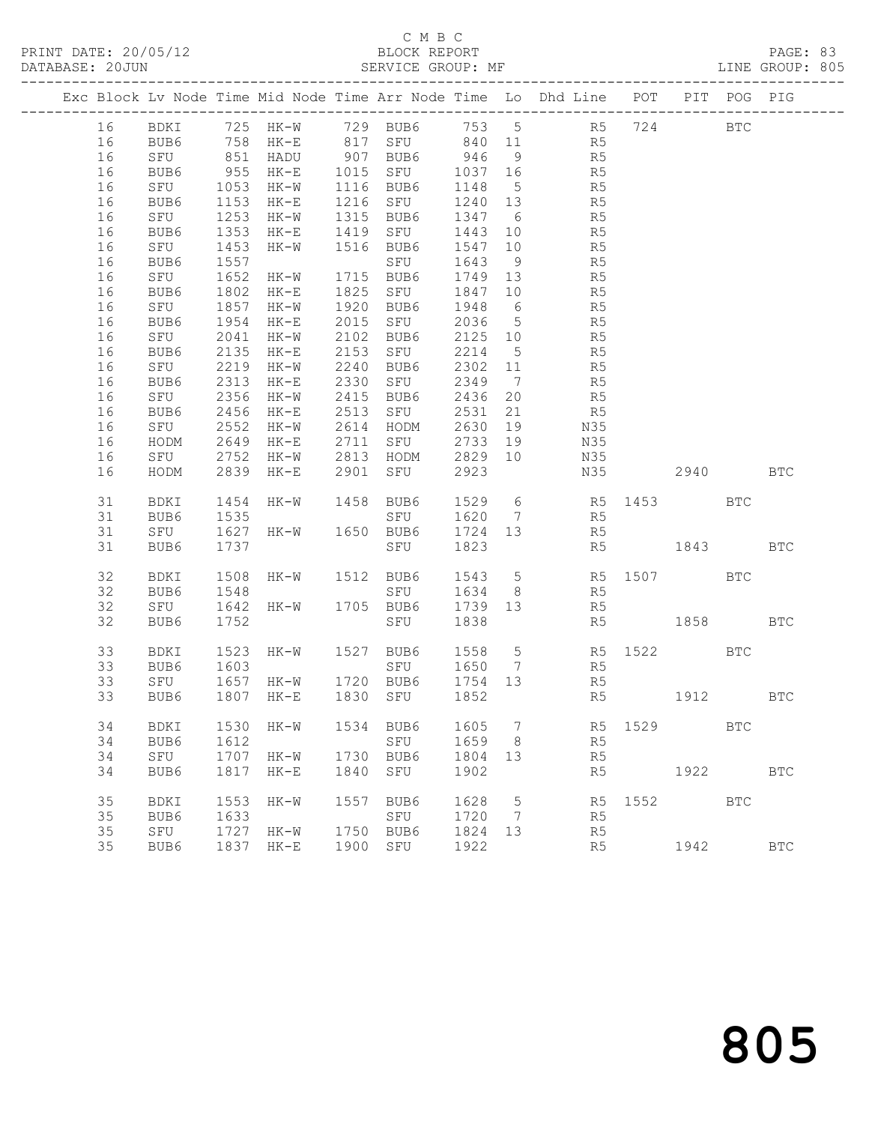#### C M B C<br>BLOCK REPORT SERVICE GROUP: MF

|          |             |                     |                                                        |      |                                 |                    |                | Exc Block Lv Node Time Mid Node Time Arr Node Time Lo Dhd Line POT PIT POG PIG |             |      |            |              |
|----------|-------------|---------------------|--------------------------------------------------------|------|---------------------------------|--------------------|----------------|--------------------------------------------------------------------------------|-------------|------|------------|--------------|
| 16       |             |                     |                                                        |      |                                 |                    |                | BDKI 725 HK-W 729 BUB6 753 5 R5 724 BTC<br>BUB6 758 HK-E 817 SFU 840 11 R5     |             |      |            |              |
| 16       | BUB6        |                     |                                                        |      |                                 |                    |                |                                                                                |             |      |            |              |
| 16       | SFU         |                     | 851 HADU 907 BUB6 946 9                                |      |                                 |                    |                | R <sub>5</sub>                                                                 |             |      |            |              |
| 16       | BUB6        | 955<br>1053<br>1153 |                                                        |      | HK-E 1015 SFU 1037 16           |                    |                | R <sub>5</sub>                                                                 |             |      |            |              |
| 16       | SFU         |                     | HK-W 1116 BUB6                                         |      |                                 | 1148 5             |                | R5<br>R5                                                                       |             |      |            |              |
| 16       | BUB6        |                     | $HK-E$                                                 |      | 1216 SFU                        | 1240 13            |                |                                                                                |             |      |            |              |
| 16       | SFU         | 1253                | HK-W 1315 BUB6                                         |      |                                 | 1347 6             |                | R <sub>5</sub>                                                                 |             |      |            |              |
| 16       | BUB6        | 1353                | HK-E 1419 SFU                                          |      |                                 | 1443 10            |                | R <sub>5</sub>                                                                 |             |      |            |              |
| 16       | SFU         | 1453                | HK-W 1516 BUB6                                         |      |                                 | 1547 10            |                | R5<br>R5                                                                       |             |      |            |              |
| 16       | BUB6        | 1557                |                                                        |      | SFU                             | 1643 9             |                |                                                                                |             |      |            |              |
| 16       | SFU         | 1652                | HK-W 1715 BUB6                                         |      |                                 | 1749 13            |                | R <sub>5</sub>                                                                 |             |      |            |              |
| 16       | BUB6        | 1802                | $HK-E$                                                 |      | 1825 SFU                        | 1847 10            |                | R5                                                                             |             |      |            |              |
| 16       | SFU         | 1857                | HK-W 1920 BUB6                                         |      |                                 | 1948 6             |                | R5<br>R5                                                                       |             |      |            |              |
| 16       | BUB6        | 1954                | HK-E                                                   |      | $2015$ SFU                      | 2036 5             |                |                                                                                |             |      |            |              |
| 16       | SFU         | 2041                | HK-W                                                   |      | 2102 BUB6                       | 2125 10            |                | R5                                                                             |             |      |            |              |
| 16       | BUB6        | 2135                |                                                        |      | HK-E 2153 SFU                   | 2214 5             |                | R <sub>5</sub>                                                                 |             |      |            |              |
| 16       | SFU         | 2219                | $HK-W$                                                 |      | 2240 BUB6<br>2330 SFU           | 2302 11            |                | R5<br>R5                                                                       |             |      |            |              |
| 16       | BUB6        | 2313                | $HK-E$                                                 |      |                                 | 2349 7             |                | R <sub>5</sub>                                                                 |             |      |            |              |
| 16       | SFU         | 2356                | HK-W 2415 BUB6                                         |      |                                 | 2436 20            |                |                                                                                |             |      |            |              |
| 16       | BUB6        | 2456                |                                                        |      | HK-E 2513 SFU                   | 2531               | 21             | R <sub>5</sub>                                                                 |             |      |            |              |
| 16       | SFU         | 2552                |                                                        |      | HK-W 2614 HODM<br>HK-E 2711 SFU | 2630 19            |                | N35                                                                            |             |      |            |              |
| 16<br>16 | HODM        | 2649<br>2752        |                                                        |      | HK-W 2813 HODM                  | 2733 19<br>2829 10 |                | N35<br>N35                                                                     |             |      |            |              |
| 16       | SFU<br>HODM |                     | 2839 HK-E                                              |      | 2901 SFU                        | 2923               |                |                                                                                | N35         | 2940 |            | <b>BTC</b>   |
|          |             |                     |                                                        |      |                                 |                    |                |                                                                                |             |      |            |              |
| 31       | BDKI        |                     |                                                        |      |                                 |                    |                |                                                                                |             |      |            |              |
| 31       | BUB6        | 1535                |                                                        |      | SFU                             |                    |                |                                                                                |             |      |            |              |
| 31       | SFU         |                     | 1627 HK-W 1650 BUB6                                    |      |                                 | 1724 13            |                | R <sub>5</sub>                                                                 |             |      |            |              |
| 31       | BUB6        | 1737                |                                                        |      | SFU                             | 1823               |                |                                                                                | R5 1843 BTC |      |            |              |
|          |             |                     |                                                        |      |                                 |                    |                |                                                                                |             |      |            |              |
| 32       | BDKI        | 1508                | HK-W 1512 BUB6                                         |      |                                 |                    |                | 1543 5 R5 1507 BTC                                                             |             |      |            |              |
| 32       | BUB6        | 1548                |                                                        |      | SFU                             | 1634 8             |                | R5                                                                             |             |      |            |              |
| 32       | SFU         | 1642                | HK-W 1705 BUB6                                         |      |                                 |                    |                | 1739 13 R5                                                                     |             |      |            |              |
| 32       | BUB6        | 1752                |                                                        |      | SFU                             | 1838               |                |                                                                                | R5 1858     |      |            | BTC          |
|          |             |                     |                                                        |      |                                 |                    |                |                                                                                |             |      |            |              |
| 33       | BDKI        |                     |                                                        |      |                                 |                    |                | 1523 HK-W 1527 BUB6 1558 5 R5 1522 BTC                                         |             |      |            |              |
| 33       | BUB6        | 1603                |                                                        |      | SFU                             |                    |                | 1650 7 R5                                                                      |             |      |            |              |
| 33       | SFU         |                     | 1657 HK-W 1720 BUB6 1754 13<br>1807 HK-E 1830 SFU 1852 |      |                                 |                    |                | R5<br>R5                                                                       |             |      |            |              |
| 33       | BUB6        |                     |                                                        |      |                                 |                    |                |                                                                                | 1912        |      |            | BTC          |
|          |             |                     |                                                        |      |                                 |                    |                |                                                                                |             |      |            |              |
| 34       | BDKI        | 1530                | $HK-W$                                                 | 1534 | BUB6                            | 1605               | 7              | R5                                                                             | 1529        |      | <b>BTC</b> |              |
| 34       | BUB6        | 1612                |                                                        |      | SFU                             | 1659               | 8 <sup>8</sup> | R <sub>5</sub>                                                                 |             |      |            |              |
| 34       | SFU         | 1707                | $HK-W$                                                 | 1730 | BUB6                            | 1804               | 13             | R5                                                                             |             |      |            |              |
| 34       | BUB6        | 1817                | $HK-E$                                                 | 1840 | SFU                             | 1902               |                | R5                                                                             |             | 1922 |            | $_{\rm BTC}$ |
| 35       | BDKI        | 1553                | $HK-W$                                                 | 1557 | BUB6                            | 1628               | 5              | R5                                                                             | 1552        |      | <b>BTC</b> |              |
| 35       | BUB6        | 1633                |                                                        |      | SFU                             | 1720               | 7              | R5                                                                             |             |      |            |              |
| 35       | SFU         | 1727                | $HK-W$                                                 | 1750 | BUB6                            | 1824               | 13             | R5                                                                             |             |      |            |              |
| 35       | BUB6        | 1837                | $HK-E$                                                 | 1900 | ${\tt SFU}$                     | 1922               |                | R5                                                                             |             | 1942 |            | <b>BTC</b>   |
|          |             |                     |                                                        |      |                                 |                    |                |                                                                                |             |      |            |              |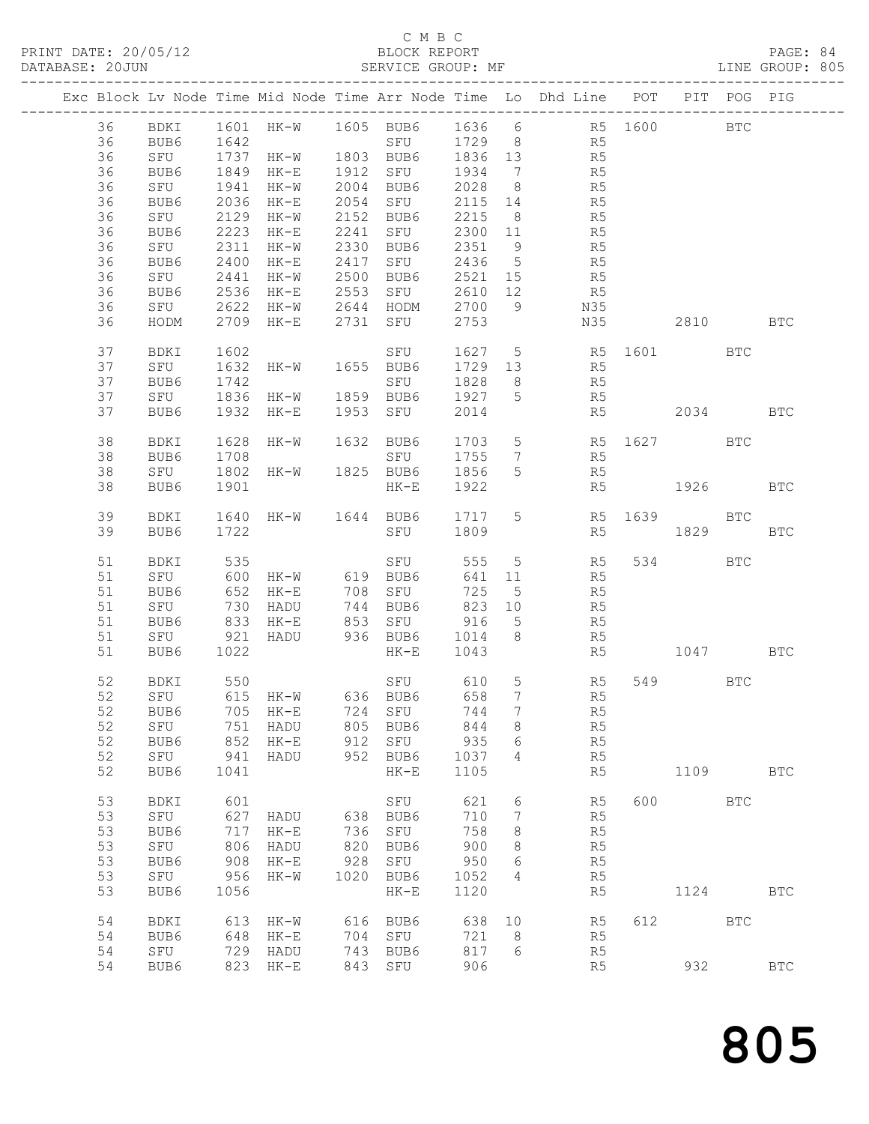## C M B C<br>BLOCK REPORT

| DATABASE: 20JUN |    |           |              | SERVICE GROUP: MF                                                            |      |                                                |        |                 | LINE GROUP: 805                                                                |             |         |            |            |  |
|-----------------|----|-----------|--------------|------------------------------------------------------------------------------|------|------------------------------------------------|--------|-----------------|--------------------------------------------------------------------------------|-------------|---------|------------|------------|--|
|                 |    |           |              |                                                                              |      |                                                |        |                 | Exc Block Lv Node Time Mid Node Time Arr Node Time Lo Dhd Line POT PIT POG PIG |             |         |            |            |  |
|                 |    |           |              |                                                                              |      |                                                |        |                 | 36 BDKI 1601 HK-W 1605 BUB6 1636 6 R5 1600 BTC                                 |             |         |            |            |  |
|                 | 36 | BUB6 1642 |              |                                                                              |      |                                                |        |                 | SFU 1729 8 R5                                                                  |             |         |            |            |  |
|                 | 36 |           |              |                                                                              |      |                                                |        |                 | 54 5 51° 51′ 51′ 51′ 51′<br>HK-W 1803 BUB6 1836 13                             |             |         |            |            |  |
|                 | 36 |           |              | SFU 1737 HK-W<br>BUB6 1849 HK-E<br>SFU 1941 HK-W                             |      | 1912 SFU 1934 7                                |        |                 |                                                                                |             |         |            |            |  |
|                 |    |           |              |                                                                              |      | HK-W 2004 BUB6 2028 8                          |        |                 | R5<br>R5                                                                       |             |         |            |            |  |
|                 | 36 |           |              |                                                                              |      |                                                |        |                 |                                                                                |             |         |            |            |  |
|                 | 36 | BUB6      | 2036         |                                                                              |      | HK-E 2054 SFU 2115 14                          |        |                 | R <sub>5</sub>                                                                 |             |         |            |            |  |
|                 | 36 | SFU       |              | 2129 HK-W 2152 BUB6                                                          |      |                                                | 2215 8 |                 | R <sub>5</sub>                                                                 |             |         |            |            |  |
|                 | 36 | BUB6      | 2223         |                                                                              |      |                                                |        |                 |                                                                                |             |         |            |            |  |
|                 | 36 | SFU       | 2311         |                                                                              |      | HK-E 2241 SFU 2300 11<br>HK-W 2330 BUB6 2351 9 |        |                 | R5<br>R5                                                                       |             |         |            |            |  |
|                 | 36 | BUB6      | 2400         |                                                                              |      |                                                |        |                 | HK-E 2417 SFU 2436 5 R5                                                        |             |         |            |            |  |
|                 | 36 | SFU       | 2441         | HK-W 2500 BUB6                                                               |      |                                                |        |                 | 2521 15 R5                                                                     |             |         |            |            |  |
|                 | 36 | BUB6      |              |                                                                              |      |                                                |        |                 |                                                                                |             |         |            |            |  |
|                 | 36 |           |              | BUB6 2536 HK-E 2553 SFU 2610 12<br>SFU 2622 HK-W 2644 HODM 2700 9            |      |                                                |        |                 | 2610 12 R5<br>2700 9 N35                                                       |             |         |            |            |  |
|                 | 36 |           |              | 2709 HK-E 2731 SFU                                                           |      |                                                | 2753   |                 | N35                                                                            |             | 2810    |            | <b>BTC</b> |  |
|                 |    | HODM      |              |                                                                              |      |                                                |        |                 |                                                                                |             |         |            |            |  |
|                 | 37 | BDKI      | 1602<br>1632 | SFU<br>HK-W 1655 BUB6                                                        |      |                                                |        |                 | 1627 5 R5 1601 BTC<br>1729 13 R5                                               |             |         |            |            |  |
|                 | 37 | SFU       |              |                                                                              |      |                                                |        |                 |                                                                                |             |         |            |            |  |
|                 | 37 | BUB6      | 1742         |                                                                              |      |                                                |        |                 | 1828 8 R5                                                                      |             |         |            |            |  |
|                 | 37 | SFU       |              |                                                                              |      |                                                |        |                 | R5                                                                             |             |         |            |            |  |
|                 | 37 | BUB6      |              | 1932 HK-E                                                                    |      | 1953 SFU                                       | 2014   |                 |                                                                                | R5 2034 BTC |         |            |            |  |
|                 | 38 | BDKI      | 1628         | HK-W 1632 BUB6                                                               |      |                                                |        |                 | 1703 5 R5 1627 BTC                                                             |             |         |            |            |  |
|                 | 38 | BUB6      | 1708         |                                                                              |      | SFU 1755 7                                     |        |                 | R5                                                                             |             |         |            |            |  |
|                 |    |           |              |                                                                              |      | SFU 1755<br>HK-W 1825 BUB6 1856                |        |                 |                                                                                |             |         |            |            |  |
|                 | 38 | SFU       | 1802         |                                                                              |      |                                                |        |                 | 5 <sub>1</sub><br>R5                                                           |             |         |            |            |  |
|                 | 38 | BUB6      | 1901         |                                                                              |      | $HK-E$                                         | 1922   |                 |                                                                                | R5 1926 BTC |         |            |            |  |
|                 | 39 | BDKI      |              |                                                                              |      |                                                |        |                 | 1640 HK-W 1644 BUB6 1717 5 R5 1639 BTC                                         |             |         |            |            |  |
|                 | 39 | BUB6      | 1722         |                                                                              |      | SFU 1809                                       |        |                 |                                                                                | R5 1829     |         |            | <b>BTC</b> |  |
|                 | 51 | BDKI      | 535          |                                                                              |      | SFU                                            | 555    |                 | $5$ R5                                                                         |             | 534     | <b>BTC</b> |            |  |
|                 | 51 | SFU       |              | 600 HK-W 619 BUB6                                                            |      |                                                |        |                 | 641 11<br>R5                                                                   |             |         |            |            |  |
|                 | 51 | BUB6      |              |                                                                              |      |                                                |        |                 | R5                                                                             |             |         |            |            |  |
|                 | 51 |           | 652          | 652 HK-E 708 SFU 725 5<br>730 HADU 744 BUB6 823 10<br>833 HK-E 853 SFU 916 5 |      |                                                |        |                 |                                                                                |             |         |            |            |  |
|                 |    | SFU       |              |                                                                              |      |                                                |        |                 | R5<br>R5                                                                       |             |         |            |            |  |
|                 | 51 | BUB6      |              |                                                                              |      |                                                |        |                 |                                                                                |             |         |            |            |  |
|                 | 51 | SFU 921   |              |                                                                              |      |                                                |        |                 | HADU 936 BUB6 1014 8 R5                                                        |             |         |            |            |  |
|                 | 51 | BUB6      | 1022         |                                                                              |      | HK-E 1043                                      |        |                 |                                                                                | R5 1047 BTC |         |            |            |  |
|                 | 52 | BDKI      | 550          |                                                                              |      |                                                |        |                 | SFU 610 5 R5                                                                   |             | 549 BTC |            |            |  |
|                 |    |           |              |                                                                              |      |                                                |        |                 | 52 SFU 615 HK-W 636 BUB6 658 7 R5                                              |             |         |            |            |  |
|                 | 52 | BUB6      |              | 705 HK-E                                                                     |      | 724 SFU                                        | 744    | $7\phantom{.0}$ | R5                                                                             |             |         |            |            |  |
|                 | 52 | SFU       | 751          | HADU                                                                         |      | 805 BUB6                                       | 844    | 8 <sup>8</sup>  | R5                                                                             |             |         |            |            |  |
|                 | 52 | BUB6      | 852          | $HK-E$                                                                       |      | 912 SFU                                        | 935    | - 6             | R5                                                                             |             |         |            |            |  |
|                 | 52 |           | 941          |                                                                              |      | 952 BUB6                                       |        |                 |                                                                                |             |         |            |            |  |
|                 |    | SFU       |              | HADU                                                                         |      |                                                | 1037   | $\overline{4}$  | R5                                                                             |             |         |            |            |  |
|                 | 52 | BUB6      | 1041         |                                                                              |      | $HK-E$                                         | 1105   |                 | R5                                                                             |             | 1109    |            | <b>BTC</b> |  |
|                 | 53 | BDKI      | 601          |                                                                              |      | SFU                                            | 621    | 6               | R5                                                                             |             | 600 BTC |            |            |  |
|                 | 53 | SFU       | 627          | HADU                                                                         |      | 638 BUB6                                       | 710    | $7\phantom{.0}$ | R5                                                                             |             |         |            |            |  |
|                 | 53 | BUB6      | 717          | HK-E                                                                         |      | 736 SFU                                        | 758    | 8               | R5                                                                             |             |         |            |            |  |
|                 | 53 | SFU       | 806          | HADU                                                                         | 820  | BUB6                                           | 900    | 8               | R5                                                                             |             |         |            |            |  |
|                 | 53 | BUB6      | 908          | HK-E                                                                         | 928  | SFU                                            | 950    | 6               | R5                                                                             |             |         |            |            |  |
|                 | 53 | SFU       | 956          | HK-W                                                                         | 1020 | BUB6                                           | 1052   | 4               | R5                                                                             |             |         |            |            |  |
|                 | 53 | BUB6      | 1056         |                                                                              |      | $HK-E$                                         | 1120   |                 | R5                                                                             |             | 1124    |            | <b>BTC</b> |  |
|                 |    |           |              |                                                                              |      |                                                |        |                 |                                                                                |             |         |            |            |  |
|                 | 54 | BDKI      | 613          | HK-W                                                                         |      | 616 BUB6                                       | 638 10 |                 | R5                                                                             |             | 612 BTC |            |            |  |
|                 | 54 | BUB6      | 648          | HK-E                                                                         |      | 704 SFU                                        | 721 8  |                 | R5                                                                             |             |         |            |            |  |
|                 | 54 | SFU       | 729          | HADU                                                                         |      | 743 BUB6                                       | 817    | 6               | R5                                                                             |             |         |            |            |  |
|                 | 54 | BUB6      |              | 823 HK-E                                                                     |      | 843 SFU                                        | 906    |                 | R5                                                                             |             | 932     |            | <b>BTC</b> |  |
|                 |    |           |              |                                                                              |      |                                                |        |                 |                                                                                |             |         |            |            |  |

805